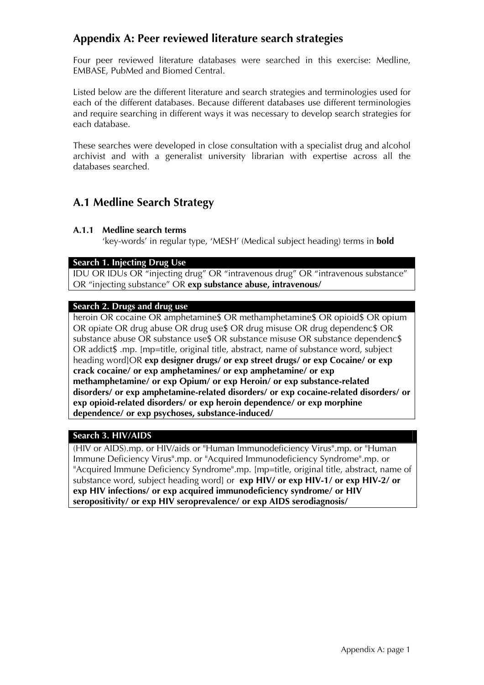# **Appendix A: Peer reviewed literature search strategies**

Four peer reviewed literature databases were searched in this exercise: Medline, EMBASE, PubMed and Biomed Central.

Listed below are the different literature and search strategies and terminologies used for each of the different databases. Because different databases use different terminologies and require searching in different ways it was necessary to develop search strategies for each database.

These searches were developed in close consultation with a specialist drug and alcohol archivist and with a generalist university librarian with expertise across all the databases searched.

# **A.1 Medline Search Strategy**

# **A.1.1 Medline search terms**

'key-words' in regular type, 'MESH' (Medical subject heading) terms in **bold** 

### **Search 1. Injecting Drug Use**

IDU OR IDUs OR "injecting drug" OR "intravenous drug" OR "intravenous substance" OR "injecting substance" OR **exp substance abuse, intravenous/**

### **Search 2. Drugs and drug use**

heroin OR cocaine OR amphetamine\$ OR methamphetamine\$ OR opioid\$ OR opium OR opiate OR drug abuse OR drug use\$ OR drug misuse OR drug dependenc\$ OR substance abuse OR substance use\$ OR substance misuse OR substance dependenc\$ OR addict\$ .mp. [mp=title, original title, abstract, name of substance word, subject heading word]OR **exp designer drugs/ or exp street drugs/ or exp Cocaine/ or exp crack cocaine/ or exp amphetamines/ or exp amphetamine/ or exp methamphetamine/ or exp Opium/ or exp Heroin/ or exp substance-related disorders/ or exp amphetamine-related disorders/ or exp cocaine-related disorders/ or exp opioid-related disorders/ or exp heroin dependence/ or exp morphine dependence/ or exp psychoses, substance-induced/**

# **Search 3. HIV/AIDS**

(HIV or AIDS).mp. or HIV/aids or "Human Immunodeficiency Virus".mp. or "Human Immune Deficiency Virus".mp. or "Acquired Immunodeficiency Syndrome".mp. or "Acquired Immune Deficiency Syndrome".mp. [mp=title, original title, abstract, name of substance word, subject heading word] or **exp HIV/ or exp HIV-1/ or exp HIV-2/ or exp HIV infections/ or exp acquired immunodeficiency syndrome/ or HIV seropositivity/ or exp HIV seroprevalence/ or exp AIDS serodiagnosis/**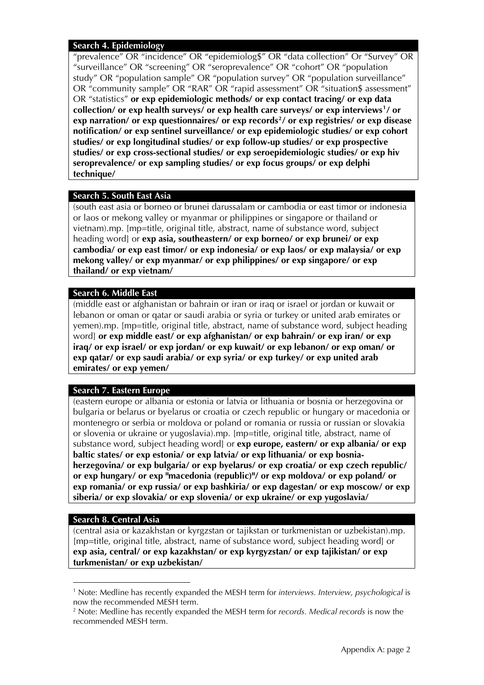#### **Search 4. Epidemiology**

"prevalence" OR "incidence" OR "epidemiolog\$" OR "data collection" Or "Survey" OR "surveillance" OR "screening" OR "seroprevalence" OR "cohort" OR "population study" OR "population sample" OR "population survey" OR "population surveillance" OR "community sample" OR "RAR" OR "rapid assessment" OR "situation\$ assessment" OR "statistics" **or exp epidemiologic methods/ or exp contact tracing/ or exp data collection/ or exp health surveys/ or exp health care surveys/ or exp interviews[1](#page-1-0)/ or exp narration/ or exp questionnaires/ or exp records[2](#page-1-1)/ or exp registries/ or exp disease notification/ or exp sentinel surveillance/ or exp epidemiologic studies/ or exp cohort studies/ or exp longitudinal studies/ or exp follow-up studies/ or exp prospective studies/ or exp cross-sectional studies/ or exp seroepidemiologic studies/ or exp hiv seroprevalence/ or exp sampling studies/ or exp focus groups/ or exp delphi technique/**

# **Search 5. South East Asia**

(south east asia or borneo or brunei darussalam or cambodia or east timor or indonesia or laos or mekong valley or myanmar or philippines or singapore or thailand or vietnam).mp. [mp=title, original title, abstract, name of substance word, subject heading word] or **exp asia, southeastern/ or exp borneo/ or exp brunei/ or exp cambodia/ or exp east timor/ or exp indonesia/ or exp laos/ or exp malaysia/ or exp mekong valley/ or exp myanmar/ or exp philippines/ or exp singapore/ or exp thailand/ or exp vietnam/** 

### **Search 6. Middle East**

(middle east or afghanistan or bahrain or iran or iraq or israel or jordan or kuwait or lebanon or oman or qatar or saudi arabia or syria or turkey or united arab emirates or yemen).mp. [mp=title, original title, abstract, name of substance word, subject heading word] **or exp middle east/ or exp afghanistan/ or exp bahrain/ or exp iran/ or exp iraq/ or exp israel/ or exp jordan/ or exp kuwait/ or exp lebanon/ or exp oman/ or exp qatar/ or exp saudi arabia/ or exp syria/ or exp turkey/ or exp united arab emirates/ or exp yemen/** 

### **Search 7. Eastern Europe**

(eastern europe or albania or estonia or latvia or lithuania or bosnia or herzegovina or bulgaria or belarus or byelarus or croatia or czech republic or hungary or macedonia or montenegro or serbia or moldova or poland or romania or russia or russian or slovakia or slovenia or ukraine or yugoslavia).mp. [mp=title, original title, abstract, name of substance word, subject heading word] or **exp europe, eastern/ or exp albania/ or exp baltic states/ or exp estonia/ or exp latvia/ or exp lithuania/ or exp bosniaherzegovina/ or exp bulgaria/ or exp byelarus/ or exp croatia/ or exp czech republic/ or exp hungary/ or exp "macedonia (republic)"/ or exp moldova/ or exp poland/ or exp romania/ or exp russia/ or exp bashkiria/ or exp dagestan/ or exp moscow/ or exp siberia/ or exp slovakia/ or exp slovenia/ or exp ukraine/ or exp yugoslavia/** 

### **Search 8. Central Asia**

<sup>-</sup>

(central asia or kazakhstan or kyrgzstan or tajikstan or turkmenistan or uzbekistan).mp. [mp=title, original title, abstract, name of substance word, subject heading word] or **exp asia, central/ or exp kazakhstan/ or exp kyrgyzstan/ or exp tajikistan/ or exp turkmenistan/ or exp uzbekistan/** 

<span id="page-1-0"></span><sup>1</sup> Note: Medline has recently expanded the MESH term for *interviews. Interview, psychological* is now the recommended MESH term.

<span id="page-1-1"></span><sup>2</sup> Note: Medline has recently expanded the MESH term for *records. Medical records* is now the recommended MESH term.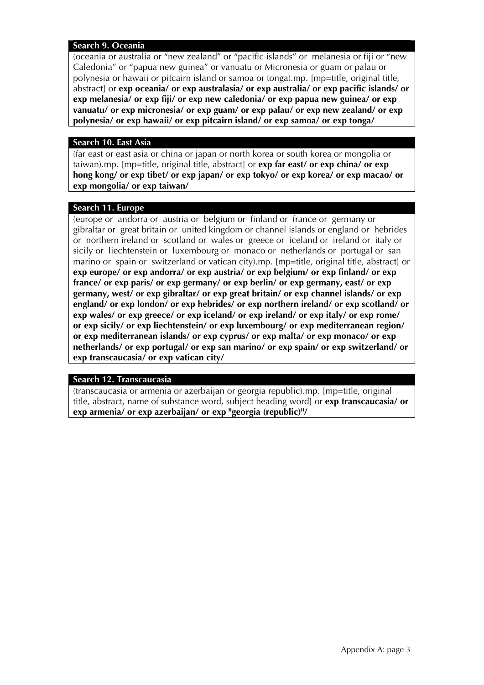#### **Search 9. Oceania**

(oceania or australia or "new zealand" or "pacific islands" or melanesia or fiji or "new Caledonia" or "papua new guinea" or vanuatu or Micronesia or guam or palau or polynesia or hawaii or pitcairn island or samoa or tonga).mp. [mp=title, original title, abstract] or **exp oceania/ or exp australasia/ or exp australia/ or exp pacific islands/ or exp melanesia/ or exp fiji/ or exp new caledonia/ or exp papua new guinea/ or exp vanuatu/ or exp micronesia/ or exp guam/ or exp palau/ or exp new zealand/ or exp polynesia/ or exp hawaii/ or exp pitcairn island/ or exp samoa/ or exp tonga/**

#### **Search 10. East Asia**

(far east or east asia or china or japan or north korea or south korea or mongolia or taiwan).mp. [mp=title, original title, abstract] or **exp far east/ or exp china/ or exp hong kong/ or exp tibet/ or exp japan/ or exp tokyo/ or exp korea/ or exp macao/ or exp mongolia/ or exp taiwan/** 

#### **Search 11. Europe**

(europe or andorra or austria or belgium or finland or france or germany or gibraltar or great britain or united kingdom or channel islands or england or hebrides or northern ireland or scotland or wales or greece or iceland or ireland or italy or sicily or liechtenstein or luxembourg or monaco or netherlands or portugal or san marino or spain or switzerland or vatican city).mp. [mp=title, original title, abstract] or **exp europe/ or exp andorra/ or exp austria/ or exp belgium/ or exp finland/ or exp france/ or exp paris/ or exp germany/ or exp berlin/ or exp germany, east/ or exp germany, west/ or exp gibraltar/ or exp great britain/ or exp channel islands/ or exp england/ or exp london/ or exp hebrides/ or exp northern ireland/ or exp scotland/ or exp wales/ or exp greece/ or exp iceland/ or exp ireland/ or exp italy/ or exp rome/ or exp sicily/ or exp liechtenstein/ or exp luxembourg/ or exp mediterranean region/ or exp mediterranean islands/ or exp cyprus/ or exp malta/ or exp monaco/ or exp netherlands/ or exp portugal/ or exp san marino/ or exp spain/ or exp switzerland/ or exp transcaucasia/ or exp vatican city/**

#### **Search 12. Transcaucasia**

(transcaucasia or armenia or azerbaijan or georgia republic).mp. [mp=title, original title, abstract, name of substance word, subject heading word] or **exp transcaucasia/ or exp armenia/ or exp azerbaijan/ or exp "georgia (republic)"/**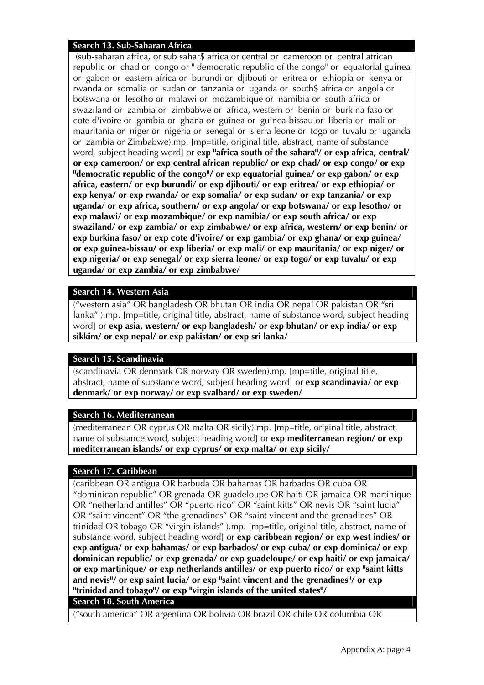#### **Search 13. Sub-Saharan Africa**

 (sub-saharan africa, or sub sahar\$ africa or central or cameroon or central african republic or chad or congo or " democratic republic of the congo" or equatorial guinea or gabon or eastern africa or burundi or djibouti or eritrea or ethiopia or kenya or rwanda or somalia or sudan or tanzania or uganda or south\$ africa or angola or botswana or lesotho or malawi or mozambique or namibia or south africa or swaziland or zambia or zimbabwe or africa, western or benin or burkina faso or cote d'ivoire or gambia or ghana or guinea or guinea-bissau or liberia or mali or mauritania or niger or nigeria or senegal or sierra leone or togo or tuvalu or uganda or zambia or Zimbabwe).mp. [mp=title, original title, abstract, name of substance word, subject heading word] or **exp "africa south of the sahara"/ or exp africa, central/ or exp cameroon/ or exp central african republic/ or exp chad/ or exp congo/ or exp "democratic republic of the congo"/ or exp equatorial guinea/ or exp gabon/ or exp africa, eastern/ or exp burundi/ or exp djibouti/ or exp eritrea/ or exp ethiopia/ or exp kenya/ or exp rwanda/ or exp somalia/ or exp sudan/ or exp tanzania/ or exp uganda/ or exp africa, southern/ or exp angola/ or exp botswana/ or exp lesotho/ or exp malawi/ or exp mozambique/ or exp namibia/ or exp south africa/ or exp swaziland/ or exp zambia/ or exp zimbabwe/ or exp africa, western/ or exp benin/ or exp burkina faso/ or exp cote d'ivoire/ or exp gambia/ or exp ghana/ or exp guinea/ or exp guinea-bissau/ or exp liberia/ or exp mali/ or exp mauritania/ or exp niger/ or exp nigeria/ or exp senegal/ or exp sierra leone/ or exp togo/ or exp tuvalu/ or exp uganda/ or exp zambia/ or exp zimbabwe/** 

#### **Search 14. Western Asia**

("western asia" OR bangladesh OR bhutan OR india OR nepal OR pakistan OR "sri lanka" ).mp. [mp=title, original title, abstract, name of substance word, subject heading word] or **exp asia, western/ or exp bangladesh/ or exp bhutan/ or exp india/ or exp sikkim/ or exp nepal/ or exp pakistan/ or exp sri lanka/**

### **Search 15. Scandinavia**

(scandinavia OR denmark OR norway OR sweden).mp. [mp=title, original title, abstract, name of substance word, subject heading word] or **exp scandinavia/ or exp denmark/ or exp norway/ or exp svalbard/ or exp sweden/**

#### **Search 16. Mediterranean**

(mediterranean OR cyprus OR malta OR sicily).mp. [mp=title, original title, abstract, name of substance word, subject heading word] or **exp mediterranean region/ or exp mediterranean islands/ or exp cyprus/ or exp malta/ or exp sicily/**

#### **Search 17. Caribbean**

(caribbean OR antigua OR barbuda OR bahamas OR barbados OR cuba OR "dominican republic" OR grenada OR guadeloupe OR haiti OR jamaica OR martinique OR "netherland antilles" OR "puerto rico" OR "saint kitts" OR nevis OR "saint lucia" OR "saint vincent" OR "the grenadines" OR "saint vincent and the grenadines" OR trinidad OR tobago OR "virgin islands" ).mp. [mp=title, original title, abstract, name of substance word, subject heading word] or **exp caribbean region/ or exp west indies/ or exp antigua/ or exp bahamas/ or exp barbados/ or exp cuba/ or exp dominica/ or exp dominican republic/ or exp grenada/ or exp guadeloupe/ or exp haiti/ or exp jamaica/ or exp martinique/ or exp netherlands antilles/ or exp puerto rico/ or exp "saint kitts and nevis"/ or exp saint lucia/ or exp "saint vincent and the grenadines"/ or exp "trinidad and tobago"/ or exp "virgin islands of the united states"/**

## **Search 18. South America**

("south america" OR argentina OR bolivia OR brazil OR chile OR columbia OR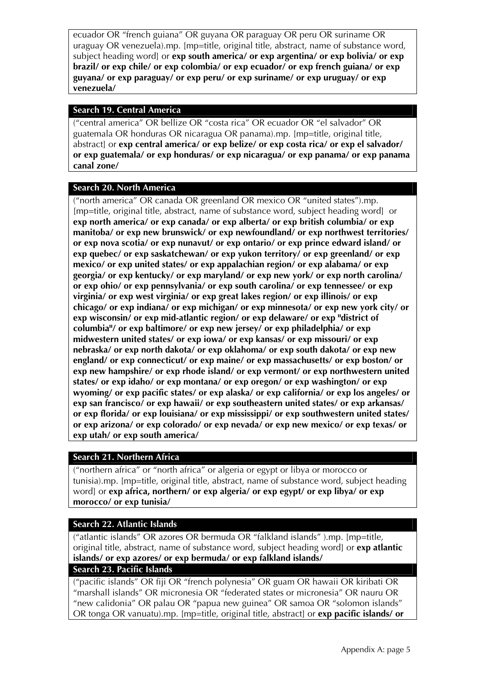ecuador OR "french guiana" OR guyana OR paraguay OR peru OR suriname OR uraguay OR venezuela).mp. [mp=title, original title, abstract, name of substance word, subject heading word] or **exp south america/ or exp argentina/ or exp bolivia/ or exp brazil/ or exp chile/ or exp colombia/ or exp ecuador/ or exp french guiana/ or exp guyana/ or exp paraguay/ or exp peru/ or exp suriname/ or exp uruguay/ or exp venezuela/**

# **Search 19. Central America**

("central america" OR bellize OR "costa rica" OR ecuador OR "el salvador" OR guatemala OR honduras OR nicaragua OR panama).mp. [mp=title, original title, abstract] or **exp central america/ or exp belize/ or exp costa rica/ or exp el salvador/ or exp guatemala/ or exp honduras/ or exp nicaragua/ or exp panama/ or exp panama canal zone/**

# **Search 20. North America**

("north america" OR canada OR greenland OR mexico OR "united states").mp. [mp=title, original title, abstract, name of substance word, subject heading word] or **exp north america/ or exp canada/ or exp alberta/ or exp british columbia/ or exp manitoba/ or exp new brunswick/ or exp newfoundland/ or exp northwest territories/ or exp nova scotia/ or exp nunavut/ or exp ontario/ or exp prince edward island/ or exp quebec/ or exp saskatchewan/ or exp yukon territory/ or exp greenland/ or exp mexico/ or exp united states/ or exp appalachian region/ or exp alabama/ or exp georgia/ or exp kentucky/ or exp maryland/ or exp new york/ or exp north carolina/ or exp ohio/ or exp pennsylvania/ or exp south carolina/ or exp tennessee/ or exp virginia/ or exp west virginia/ or exp great lakes region/ or exp illinois/ or exp chicago/ or exp indiana/ or exp michigan/ or exp minnesota/ or exp new york city/ or exp wisconsin/ or exp mid-atlantic region/ or exp delaware/ or exp "district of columbia"/ or exp baltimore/ or exp new jersey/ or exp philadelphia/ or exp midwestern united states/ or exp iowa/ or exp kansas/ or exp missouri/ or exp nebraska/ or exp north dakota/ or exp oklahoma/ or exp south dakota/ or exp new england/ or exp connecticut/ or exp maine/ or exp massachusetts/ or exp boston/ or exp new hampshire/ or exp rhode island/ or exp vermont/ or exp northwestern united states/ or exp idaho/ or exp montana/ or exp oregon/ or exp washington/ or exp wyoming/ or exp pacific states/ or exp alaska/ or exp california/ or exp los angeles/ or exp san francisco/ or exp hawaii/ or exp southeastern united states/ or exp arkansas/ or exp florida/ or exp louisiana/ or exp mississippi/ or exp southwestern united states/ or exp arizona/ or exp colorado/ or exp nevada/ or exp new mexico/ or exp texas/ or exp utah/ or exp south america/**

# **Search 21. Northern Africa**

("northern africa" or "north africa" or algeria or egypt or libya or morocco or tunisia).mp. [mp=title, original title, abstract, name of substance word, subject heading word] or **exp africa, northern/ or exp algeria/ or exp egypt/ or exp libya/ or exp morocco/ or exp tunisia/**

# **Search 22. Atlantic Islands**

("atlantic islands" OR azores OR bermuda OR "falkland islands" ).mp. [mp=title, original title, abstract, name of substance word, subject heading word] or **exp atlantic islands/ or exp azores/ or exp bermuda/ or exp falkland islands/**

### **Search 23. Pacific Islands**

("pacific islands" OR fiji OR "french polynesia" OR guam OR hawaii OR kiribati OR "marshall islands" OR micronesia OR "federated states or micronesia" OR nauru OR "new calidonia" OR palau OR "papua new guinea" OR samoa OR "solomon islands" OR tonga OR vanuatu).mp. [mp=title, original title, abstract] or **exp pacific islands/ or**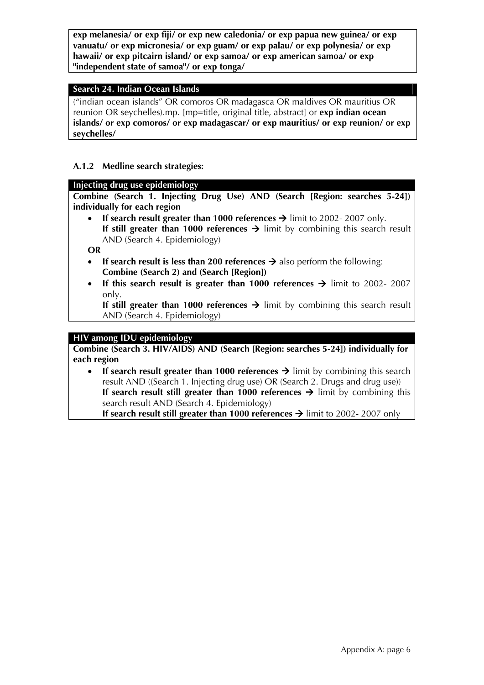**exp melanesia/ or exp fiji/ or exp new caledonia/ or exp papua new guinea/ or exp vanuatu/ or exp micronesia/ or exp guam/ or exp palau/ or exp polynesia/ or exp hawaii/ or exp pitcairn island/ or exp samoa/ or exp american samoa/ or exp "independent state of samoa"/ or exp tonga/**

#### **Search 24. Indian Ocean Islands**

("indian ocean islands" OR comoros OR madagasca OR maldives OR mauritius OR reunion OR seychelles).mp. [mp=title, original title, abstract] or **exp indian ocean islands/ or exp comoros/ or exp madagascar/ or exp mauritius/ or exp reunion/ or exp seychelles/**

#### **A.1.2 Medline search strategies:**

#### **Injecting drug use epidemiology**

**Combine (Search 1. Injecting Drug Use) AND (Search [Region: searches 5-24]) individually for each region** 

**If search result greater than 1000 references**  $\rightarrow$  **limit to 2002-2007 only. If still greater than 1000 references**  $\rightarrow$  **limit by combining this search result** AND (Search 4. Epidemiology)

**OR** 

- If search result is less than 200 references  $\rightarrow$  also perform the following: **Combine (Search 2) and (Search [Region])**
- **If this search result is greater than 1000 references**  $\rightarrow$  **limit to 2002- 2007** only.

**If still greater than 1000 references**  $\rightarrow$  **limit by combining this search result** AND (Search 4. Epidemiology)

### **HIV among IDU epidemiology**

**Combine (Search 3. HIV/AIDS) AND (Search [Region: searches 5-24]) individually for each region** 

• If search result greater than 1000 references  $\rightarrow$  limit by combining this search result AND ((Search 1. Injecting drug use) OR (Search 2. Drugs and drug use)) **If search result still greater than 1000 references**  $\rightarrow$  **limit by combining this** search result AND (Search 4. Epidemiology)

**If search result still greater than 1000 references**  $\rightarrow$  **limit to 2002-2007 only**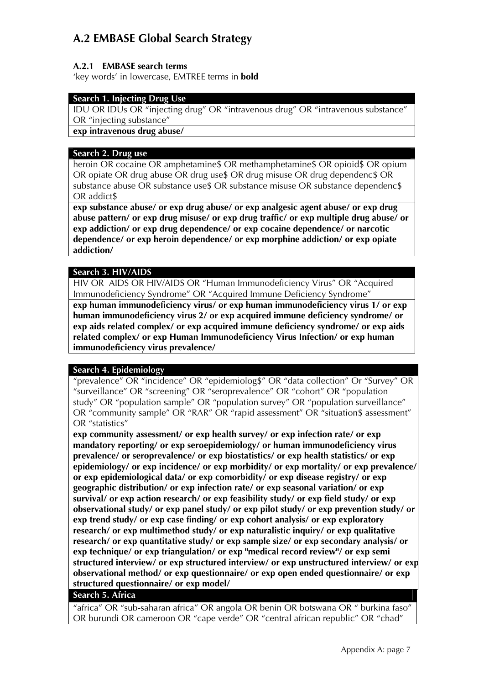# **A.2 EMBASE Global Search Strategy**

# **A.2.1 EMBASE search terms**

'key words' in lowercase, EMTREE terms in **bold** 

# **Search 1. Injecting Drug Use**

IDU OR IDUs OR "injecting drug" OR "intravenous drug" OR "intravenous substance" OR "injecting substance"

**exp intravenous drug abuse/** 

#### **Search 2. Drug use**

heroin OR cocaine OR amphetamine\$ OR methamphetamine\$ OR opioid\$ OR opium OR opiate OR drug abuse OR drug use\$ OR drug misuse OR drug dependenc\$ OR substance abuse OR substance use\$ OR substance misuse OR substance dependenc\$ OR addict\$

**exp substance abuse/ or exp drug abuse/ or exp analgesic agent abuse/ or exp drug abuse pattern/ or exp drug misuse/ or exp drug traffic/ or exp multiple drug abuse/ or exp addiction/ or exp drug dependence/ or exp cocaine dependence/ or narcotic dependence/ or exp heroin dependence/ or exp morphine addiction/ or exp opiate addiction/** 

### **Search 3. HIV/AIDS**

HIV OR AIDS OR HIV/AIDS OR "Human Immunodeficiency Virus" OR "Acquired Immunodeficiency Syndrome" OR "Acquired Immune Deficiency Syndrome" **exp human immunodeficiency virus/ or exp human immunodeficiency virus 1/ or exp human immunodeficiency virus 2/ or exp acquired immune deficiency syndrome/ or exp aids related complex/ or exp acquired immune deficiency syndrome/ or exp aids related complex/ or exp Human Immunodeficiency Virus Infection/ or exp human immunodeficiency virus prevalence/** 

# **Search 4. Epidemiology**

"prevalence" OR "incidence" OR "epidemiolog\$" OR "data collection" Or "Survey" OR "surveillance" OR "screening" OR "seroprevalence" OR "cohort" OR "population study" OR "population sample" OR "population survey" OR "population surveillance" OR "community sample" OR "RAR" OR "rapid assessment" OR "situation\$ assessment" OR "statistics"

**exp community assessment/ or exp health survey/ or exp infection rate/ or exp mandatory reporting/ or exp seroepidemiology/ or human immunodeficiency virus prevalence/ or seroprevalence/ or exp biostatistics/ or exp health statistics/ or exp epidemiology/ or exp incidence/ or exp morbidity/ or exp mortality/ or exp prevalence/ or exp epidemiological data/ or exp comorbidity/ or exp disease registry/ or exp geographic distribution/ or exp infection rate/ or exp seasonal variation/ or exp survival/ or exp action research/ or exp feasibility study/ or exp field study/ or exp observational study/ or exp panel study/ or exp pilot study/ or exp prevention study/ or exp trend study/ or exp case finding/ or exp cohort analysis/ or exp exploratory research/ or exp multimethod study/ or exp naturalistic inquiry/ or exp qualitative research/ or exp quantitative study/ or exp sample size/ or exp secondary analysis/ or exp technique/ or exp triangulation/ or exp "medical record review"/ or exp semi structured interview/ or exp structured interview/ or exp unstructured interview/ or exp observational method/ or exp questionnaire/ or exp open ended questionnaire/ or exp structured questionnaire/ or exp model/** 

### **Search 5. Africa**

"africa" OR "sub-saharan africa" OR angola OR benin OR botswana OR " burkina faso" OR burundi OR cameroon OR "cape verde" OR "central african republic" OR "chad"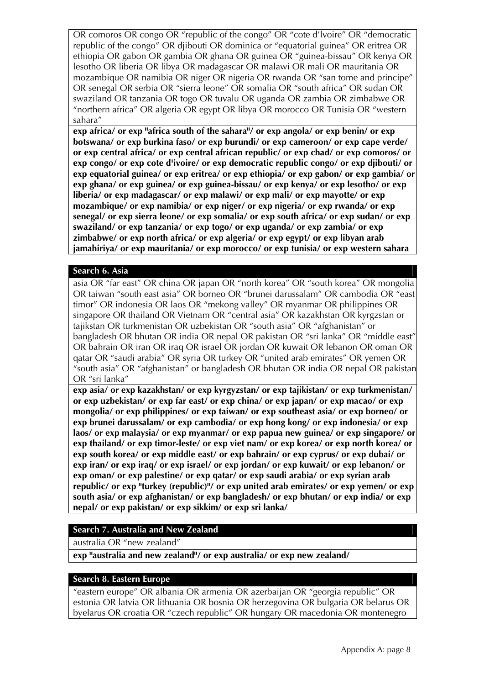OR comoros OR congo OR "republic of the congo" OR "cote d'lvoire" OR "democratic republic of the congo" OR djibouti OR dominica or "equatorial guinea" OR eritrea OR ethiopia OR gabon OR gambia OR ghana OR guinea OR "guinea-bissau" OR kenya OR lesotho OR liberia OR libya OR madagascar OR malawi OR mali OR mauritania OR mozambique OR namibia OR niger OR nigeria OR rwanda OR "san tome and principe" OR senegal OR serbia OR "sierra leone" OR somalia OR "south africa" OR sudan OR swaziland OR tanzania OR togo OR tuvalu OR uganda OR zambia OR zimbabwe OR "northern africa" OR algeria OR egypt OR libya OR morocco OR Tunisia OR "western sahara"

**exp africa/ or exp "africa south of the sahara"/ or exp angola/ or exp benin/ or exp botswana/ or exp burkina faso/ or exp burundi/ or exp cameroon/ or exp cape verde/ or exp central africa/ or exp central african republic/ or exp chad/ or exp comoros/ or exp congo/ or exp cote d'ivoire/ or exp democratic republic congo/ or exp djibouti/ or exp equatorial guinea/ or exp eritrea/ or exp ethiopia/ or exp gabon/ or exp gambia/ or exp ghana/ or exp guinea/ or exp guinea-bissau/ or exp kenya/ or exp lesotho/ or exp liberia/ or exp madagascar/ or exp malawi/ or exp mali/ or exp mayotte/ or exp mozambique/ or exp namibia/ or exp niger/ or exp nigeria/ or exp rwanda/ or exp senegal/ or exp sierra leone/ or exp somalia/ or exp south africa/ or exp sudan/ or exp swaziland/ or exp tanzania/ or exp togo/ or exp uganda/ or exp zambia/ or exp zimbabwe/ or exp north africa/ or exp algeria/ or exp egypt/ or exp libyan arab jamahiriya/ or exp mauritania/ or exp morocco/ or exp tunisia/ or exp western sahara** 

### **Search 6. Asia**

asia OR "far east" OR china OR japan OR "north korea" OR "south korea" OR mongolia OR taiwan "south east asia" OR borneo OR "brunei darussalam" OR cambodia OR "east timor" OR indonesia OR laos OR "mekong valley" OR myanmar OR philippines OR singapore OR thailand OR Vietnam OR "central asia" OR kazakhstan OR kyrgzstan or tajikstan OR turkmenistan OR uzbekistan OR "south asia" OR "afghanistan" or bangladesh OR bhutan OR india OR nepal OR pakistan OR "sri lanka" OR "middle east" OR bahrain OR iran OR iraq OR israel OR jordan OR kuwait OR lebanon OR oman OR qatar OR "saudi arabia" OR syria OR turkey OR "united arab emirates" OR yemen OR "south asia" OR "afghanistan" or bangladesh OR bhutan OR india OR nepal OR pakistan OR "sri lanka"

**exp asia/ or exp kazakhstan/ or exp kyrgyzstan/ or exp tajikistan/ or exp turkmenistan/ or exp uzbekistan/ or exp far east/ or exp china/ or exp japan/ or exp macao/ or exp mongolia/ or exp philippines/ or exp taiwan/ or exp southeast asia/ or exp borneo/ or exp brunei darussalam/ or exp cambodia/ or exp hong kong/ or exp indonesia/ or exp laos/ or exp malaysia/ or exp myanmar/ or exp papua new guinea/ or exp singapore/ or exp thailand/ or exp timor-leste/ or exp viet nam/ or exp korea/ or exp north korea/ or exp south korea/ or exp middle east/ or exp bahrain/ or exp cyprus/ or exp dubai/ or exp iran/ or exp iraq/ or exp israel/ or exp jordan/ or exp kuwait/ or exp lebanon/ or exp oman/ or exp palestine/ or exp qatar/ or exp saudi arabia/ or exp syrian arab republic/ or exp "turkey (republic)"/ or exp united arab emirates/ or exp yemen/ or exp south asia/ or exp afghanistan/ or exp bangladesh/ or exp bhutan/ or exp india/ or exp nepal/ or exp pakistan/ or exp sikkim/ or exp sri lanka/** 

# **Search 7. Australia and New Zealand**

australia OR "new zealand"

**exp "australia and new zealand"/ or exp australia/ or exp new zealand/** 

### **Search 8. Eastern Europe**

"eastern europe" OR albania OR armenia OR azerbaijan OR "georgia republic" OR estonia OR latvia OR lithuania OR bosnia OR herzegovina OR bulgaria OR belarus OR byelarus OR croatia OR "czech republic" OR hungary OR macedonia OR montenegro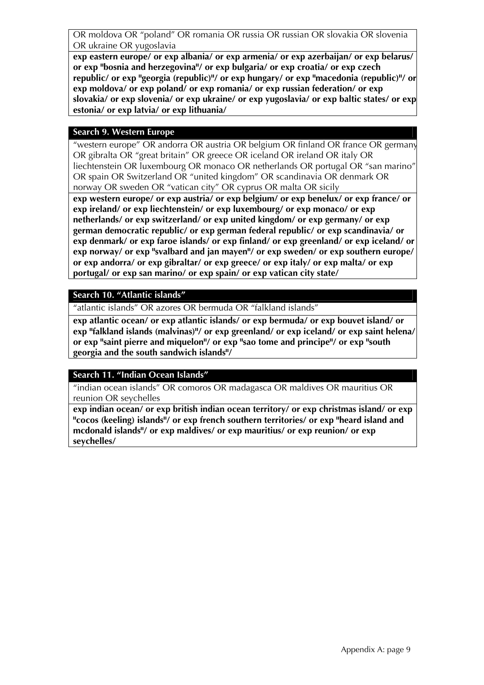OR moldova OR "poland" OR romania OR russia OR russian OR slovakia OR slovenia OR ukraine OR yugoslavia

**exp eastern europe/ or exp albania/ or exp armenia/ or exp azerbaijan/ or exp belarus/ or exp "bosnia and herzegovina"/ or exp bulgaria/ or exp croatia/ or exp czech republic/ or exp "georgia (republic)"/ or exp hungary/ or exp "macedonia (republic)"/ or exp moldova/ or exp poland/ or exp romania/ or exp russian federation/ or exp slovakia/ or exp slovenia/ or exp ukraine/ or exp yugoslavia/ or exp baltic states/ or exp estonia/ or exp latvia/ or exp lithuania/** 

#### **Search 9. Western Europe**

"western europe" OR andorra OR austria OR belgium OR finland OR france OR germany OR gibralta OR "great britain" OR greece OR iceland OR ireland OR italy OR liechtenstein OR luxembourg OR monaco OR netherlands OR portugal OR "san marino" OR spain OR Switzerland OR "united kingdom" OR scandinavia OR denmark OR norway OR sweden OR "vatican city" OR cyprus OR malta OR sicily

**exp western europe/ or exp austria/ or exp belgium/ or exp benelux/ or exp france/ or exp ireland/ or exp liechtenstein/ or exp luxembourg/ or exp monaco/ or exp netherlands/ or exp switzerland/ or exp united kingdom/ or exp germany/ or exp german democratic republic/ or exp german federal republic/ or exp scandinavia/ or exp denmark/ or exp faroe islands/ or exp finland/ or exp greenland/ or exp iceland/ or exp norway/ or exp "svalbard and jan mayen"/ or exp sweden/ or exp southern europe/ or exp andorra/ or exp gibraltar/ or exp greece/ or exp italy/ or exp malta/ or exp portugal/ or exp san marino/ or exp spain/ or exp vatican city state/** 

### **Search 10. "Atlantic islands"**

"atlantic islands" OR azores OR bermuda OR "falkland islands"

**exp atlantic ocean/ or exp atlantic islands/ or exp bermuda/ or exp bouvet island/ or exp "falkland islands (malvinas)"/ or exp greenland/ or exp iceland/ or exp saint helena/ or exp "saint pierre and miquelon"/ or exp "sao tome and principe"/ or exp "south georgia and the south sandwich islands"/** 

### **Search 11. "Indian Ocean Islands"**

"indian ocean islands" OR comoros OR madagasca OR maldives OR mauritius OR reunion OR seychelles

**exp indian ocean/ or exp british indian ocean territory/ or exp christmas island/ or exp "cocos (keeling) islands"/ or exp french southern territories/ or exp "heard island and mcdonald islands"/ or exp maldives/ or exp mauritius/ or exp reunion/ or exp seychelles/**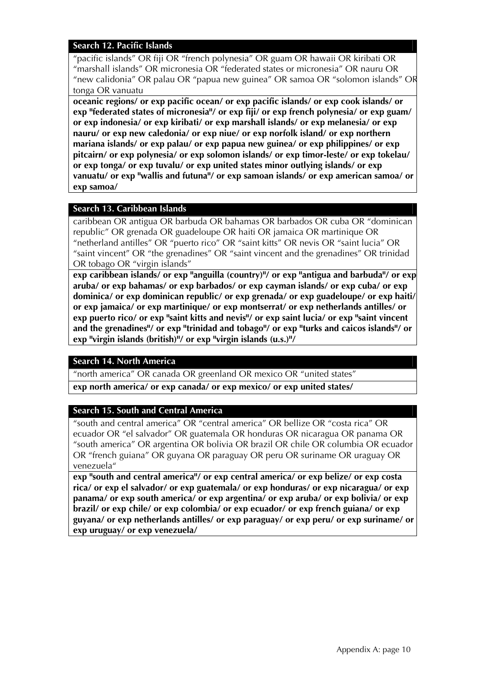#### **Search 12. Pacific Islands**

"pacific islands" OR fiji OR "french polynesia" OR guam OR hawaii OR kiribati OR "marshall islands" OR micronesia OR "federated states or micronesia" OR nauru OR "new calidonia" OR palau OR "papua new guinea" OR samoa OR "solomon islands" OR tonga OR vanuatu

**oceanic regions/ or exp pacific ocean/ or exp pacific islands/ or exp cook islands/ or exp "federated states of micronesia"/ or exp fiji/ or exp french polynesia/ or exp guam/ or exp indonesia/ or exp kiribati/ or exp marshall islands/ or exp melanesia/ or exp nauru/ or exp new caledonia/ or exp niue/ or exp norfolk island/ or exp northern mariana islands/ or exp palau/ or exp papua new guinea/ or exp philippines/ or exp pitcairn/ or exp polynesia/ or exp solomon islands/ or exp timor-leste/ or exp tokelau/ or exp tonga/ or exp tuvalu/ or exp united states minor outlying islands/ or exp vanuatu/ or exp "wallis and futuna"/ or exp samoan islands/ or exp american samoa/ or exp samoa/** 

#### **Search 13. Caribbean Islands**

caribbean OR antigua OR barbuda OR bahamas OR barbados OR cuba OR "dominican republic" OR grenada OR guadeloupe OR haiti OR jamaica OR martinique OR "netherland antilles" OR "puerto rico" OR "saint kitts" OR nevis OR "saint lucia" OR "saint vincent" OR "the grenadines" OR "saint vincent and the grenadines" OR trinidad OR tobago OR "virgin islands"

**exp caribbean islands/ or exp "anguilla (country)"/ or exp "antigua and barbuda"/ or exp aruba/ or exp bahamas/ or exp barbados/ or exp cayman islands/ or exp cuba/ or exp dominica/ or exp dominican republic/ or exp grenada/ or exp guadeloupe/ or exp haiti/ or exp jamaica/ or exp martinique/ or exp montserrat/ or exp netherlands antilles/ or exp puerto rico/ or exp "saint kitts and nevis"/ or exp saint lucia/ or exp "saint vincent and the grenadines"/ or exp "trinidad and tobago"/ or exp "turks and caicos islands"/ or exp "virgin islands (british)"/ or exp "virgin islands (u.s.)"/** 

#### **Search 14. North America**

"north america" OR canada OR greenland OR mexico OR "united states"

**exp north america/ or exp canada/ or exp mexico/ or exp united states/** 

### **Search 15. South and Central America**

"south and central america" OR "central america" OR bellize OR "costa rica" OR ecuador OR "el salvador" OR guatemala OR honduras OR nicaragua OR panama OR "south america" OR argentina OR bolivia OR brazil OR chile OR columbia OR ecuador OR "french guiana" OR guyana OR paraguay OR peru OR suriname OR uraguay OR venezuela"

**exp "south and central america"/ or exp central america/ or exp belize/ or exp costa rica/ or exp el salvador/ or exp guatemala/ or exp honduras/ or exp nicaragua/ or exp panama/ or exp south america/ or exp argentina/ or exp aruba/ or exp bolivia/ or exp brazil/ or exp chile/ or exp colombia/ or exp ecuador/ or exp french guiana/ or exp guyana/ or exp netherlands antilles/ or exp paraguay/ or exp peru/ or exp suriname/ or exp uruguay/ or exp venezuela/**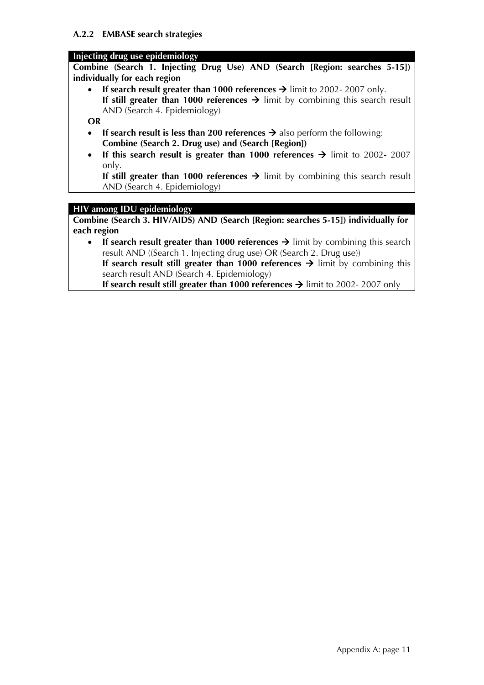### **Injecting drug use epidemiology**

**Combine (Search 1. Injecting Drug Use) AND (Search [Region: searches 5-15]) individually for each region** 

**If search result greater than 1000 references**  $\rightarrow$  **limit to 2002-2007 only. If still greater than 1000 references**  $\rightarrow$  limit by combining this search result AND (Search 4. Epidemiology)

**OR** 

- If search result is less than 200 references  $\rightarrow$  also perform the following: **Combine (Search 2. Drug use) and (Search [Region])**
- **If this search result is greater than 1000 references**  $\rightarrow$  **limit to 2002- 2007** only.

**If still greater than 1000 references**  $\rightarrow$  limit by combining this search result AND (Search 4. Epidemiology)

# **HIV among IDU epidemiology**

**Combine (Search 3. HIV/AIDS) AND (Search [Region: searches 5-15]) individually for each region** 

• If search result greater than 1000 references  $\rightarrow$  limit by combining this search result AND ((Search 1. Injecting drug use) OR (Search 2. Drug use)) **If search result still greater than 1000 references**  $\rightarrow$  **limit by combining this** search result AND (Search 4. Epidemiology)

**If search result still greater than 1000 references**  $\rightarrow$  **limit to 2002-2007 only**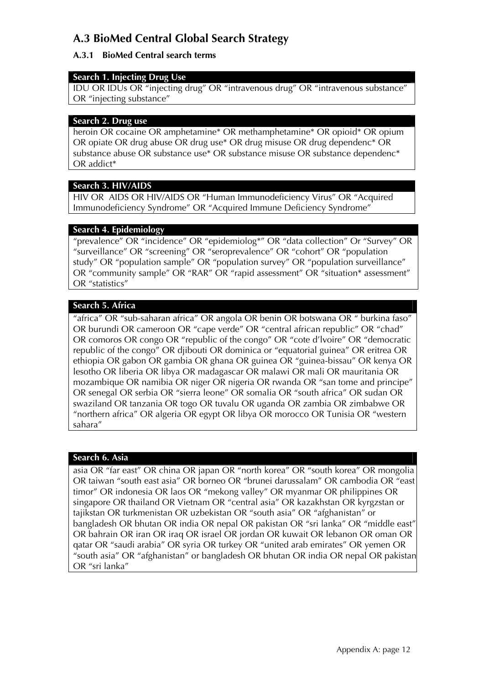# **A.3 BioMed Central Global Search Strategy**

# **A.3.1 BioMed Central search terms**

# **Search 1. Injecting Drug Use**

IDU OR IDUs OR "injecting drug" OR "intravenous drug" OR "intravenous substance" OR "injecting substance"

### **Search 2. Drug use**

heroin OR cocaine OR amphetamine\* OR methamphetamine\* OR opioid\* OR opium OR opiate OR drug abuse OR drug use\* OR drug misuse OR drug dependenc\* OR substance abuse OR substance use\* OR substance misuse OR substance dependenc\* OR addict\*

# **Search 3. HIV/AIDS**

HIV OR AIDS OR HIV/AIDS OR "Human Immunodeficiency Virus" OR "Acquired Immunodeficiency Syndrome" OR "Acquired Immune Deficiency Syndrome"

# **Search 4. Epidemiology**

"prevalence" OR "incidence" OR "epidemiolog\*" OR "data collection" Or "Survey" OR "surveillance" OR "screening" OR "seroprevalence" OR "cohort" OR "population study" OR "population sample" OR "population survey" OR "population surveillance" OR "community sample" OR "RAR" OR "rapid assessment" OR "situation\* assessment" OR "statistics"

# **Search 5. Africa**

"africa" OR "sub-saharan africa" OR angola OR benin OR botswana OR " burkina faso" OR burundi OR cameroon OR "cape verde" OR "central african republic" OR "chad" OR comoros OR congo OR "republic of the congo" OR "cote d'lvoire" OR "democratic republic of the congo" OR djibouti OR dominica or "equatorial guinea" OR eritrea OR ethiopia OR gabon OR gambia OR ghana OR guinea OR "guinea-bissau" OR kenya OR lesotho OR liberia OR libya OR madagascar OR malawi OR mali OR mauritania OR mozambique OR namibia OR niger OR nigeria OR rwanda OR "san tome and principe" OR senegal OR serbia OR "sierra leone" OR somalia OR "south africa" OR sudan OR swaziland OR tanzania OR togo OR tuvalu OR uganda OR zambia OR zimbabwe OR "northern africa" OR algeria OR egypt OR libya OR morocco OR Tunisia OR "western sahara"

# **Search 6. Asia**

asia OR "far east" OR china OR japan OR "north korea" OR "south korea" OR mongolia OR taiwan "south east asia" OR borneo OR "brunei darussalam" OR cambodia OR "east timor" OR indonesia OR laos OR "mekong valley" OR myanmar OR philippines OR singapore OR thailand OR Vietnam OR "central asia" OR kazakhstan OR kyrgzstan or tajikstan OR turkmenistan OR uzbekistan OR "south asia" OR "afghanistan" or bangladesh OR bhutan OR india OR nepal OR pakistan OR "sri lanka" OR "middle east" OR bahrain OR iran OR iraq OR israel OR jordan OR kuwait OR lebanon OR oman OR qatar OR "saudi arabia" OR syria OR turkey OR "united arab emirates" OR yemen OR "south asia" OR "afghanistan" or bangladesh OR bhutan OR india OR nepal OR pakistan OR "sri lanka"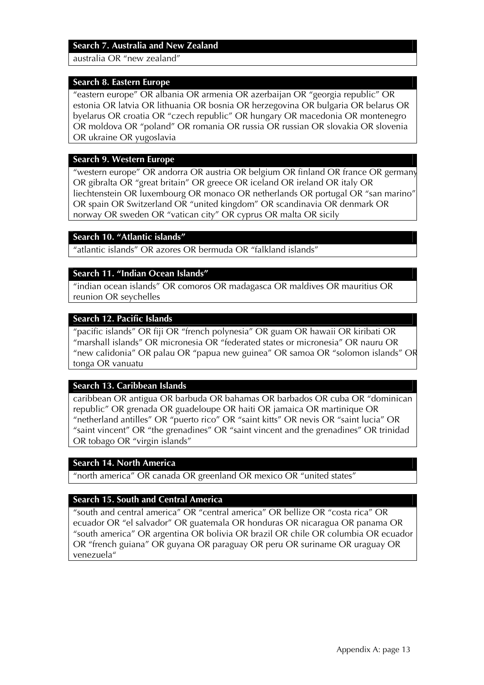#### **Search 7. Australia and New Zealand**

australia OR "new zealand"

#### **Search 8. Eastern Europe**

"eastern europe" OR albania OR armenia OR azerbaijan OR "georgia republic" OR estonia OR latvia OR lithuania OR bosnia OR herzegovina OR bulgaria OR belarus OR byelarus OR croatia OR "czech republic" OR hungary OR macedonia OR montenegro OR moldova OR "poland" OR romania OR russia OR russian OR slovakia OR slovenia OR ukraine OR yugoslavia

#### **Search 9. Western Europe**

"western europe" OR andorra OR austria OR belgium OR finland OR france OR germany OR gibralta OR "great britain" OR greece OR iceland OR ireland OR italy OR liechtenstein OR luxembourg OR monaco OR netherlands OR portugal OR "san marino" OR spain OR Switzerland OR "united kingdom" OR scandinavia OR denmark OR norway OR sweden OR "vatican city" OR cyprus OR malta OR sicily

### **Search 10. "Atlantic islands"**

"atlantic islands" OR azores OR bermuda OR "falkland islands"

### **Search 11. "Indian Ocean Islands"**

"indian ocean islands" OR comoros OR madagasca OR maldives OR mauritius OR reunion OR seychelles

#### **Search 12. Pacific Islands**

"pacific islands" OR fiji OR "french polynesia" OR guam OR hawaii OR kiribati OR "marshall islands" OR micronesia OR "federated states or micronesia" OR nauru OR "new calidonia" OR palau OR "papua new guinea" OR samoa OR "solomon islands" OR tonga OR vanuatu

### **Search 13. Caribbean Islands**

caribbean OR antigua OR barbuda OR bahamas OR barbados OR cuba OR "dominican republic" OR grenada OR guadeloupe OR haiti OR jamaica OR martinique OR "netherland antilles" OR "puerto rico" OR "saint kitts" OR nevis OR "saint lucia" OR "saint vincent" OR "the grenadines" OR "saint vincent and the grenadines" OR trinidad OR tobago OR "virgin islands"

#### **Search 14. North America**

"north america" OR canada OR greenland OR mexico OR "united states"

### **Search 15. South and Central America**

"south and central america" OR "central america" OR bellize OR "costa rica" OR ecuador OR "el salvador" OR guatemala OR honduras OR nicaragua OR panama OR "south america" OR argentina OR bolivia OR brazil OR chile OR columbia OR ecuador OR "french guiana" OR guyana OR paraguay OR peru OR suriname OR uraguay OR venezuela"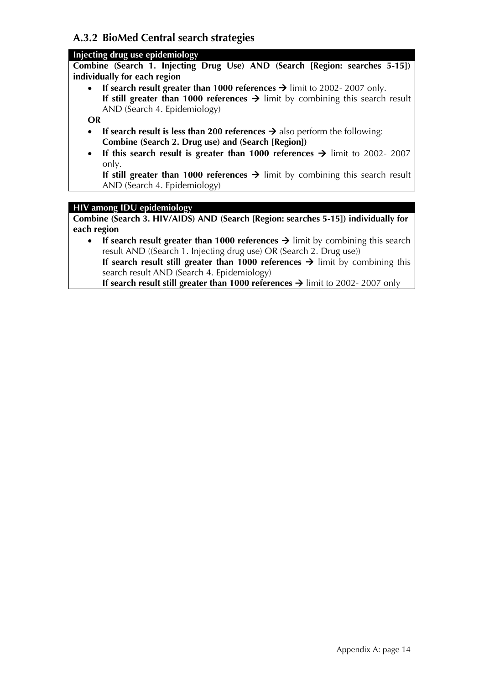# **A.3.2 BioMed Central search strategies**

# **Injecting drug use epidemiology**

**Combine (Search 1. Injecting Drug Use) AND (Search [Region: searches 5-15]) individually for each region** 

• If search result greater than 1000 references  $\rightarrow$  limit to 2002-2007 only. **If still greater than 1000 references**  $\rightarrow$  limit by combining this search result AND (Search 4. Epidemiology)

**OR** 

- **If search result is less than 200 references**  $\rightarrow$  **also perform the following: Combine (Search 2. Drug use) and (Search [Region])**
- **If this search result is greater than 1000 references**  $\rightarrow$  **limit to 2002- 2007** only.

**If still greater than 1000 references**  $\rightarrow$  limit by combining this search result AND (Search 4. Epidemiology)

# **HIV among IDU epidemiology**

**Combine (Search 3. HIV/AIDS) AND (Search [Region: searches 5-15]) individually for each region** 

• If search result greater than 1000 references  $\rightarrow$  limit by combining this search result AND ((Search 1. Injecting drug use) OR (Search 2. Drug use)) **If search result still greater than 1000 references**  $\rightarrow$  **limit by combining this** search result AND (Search 4. Epidemiology) **If search result still greater than 1000 references**  $\rightarrow$  **limit to 2002- 2007 only**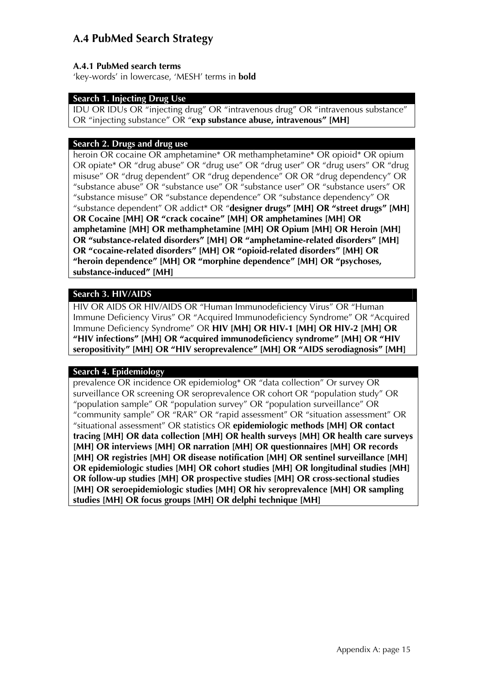# **A.4 PubMed Search Strategy**

# **A.4.1 PubMed search terms**

'key-words' in lowercase, 'MESH' terms in **bold** 

# **Search 1. Injecting Drug Use**

IDU OR IDUs OR "injecting drug" OR "intravenous drug" OR "intravenous substance" OR "injecting substance" OR "**exp substance abuse, intravenous" [MH]**

## **Search 2. Drugs and drug use**

heroin OR cocaine OR amphetamine\* OR methamphetamine\* OR opioid\* OR opium OR opiate\* OR "drug abuse" OR "drug use" OR "drug user" OR "drug users" OR "drug misuse" OR "drug dependent" OR "drug dependence" OR OR "drug dependency" OR "substance abuse" OR "substance use" OR "substance user" OR "substance users" OR "substance misuse" OR "substance dependence" OR "substance dependency" OR "substance dependent" OR addict\* OR "**designer drugs" [MH] OR "street drugs" [MH] OR Cocaine [MH] OR "crack cocaine" [MH] OR amphetamines [MH] OR amphetamine [MH] OR methamphetamine [MH] OR Opium [MH] OR Heroin [MH] OR "substance-related disorders" [MH] OR "amphetamine-related disorders" [MH] OR "cocaine-related disorders" [MH] OR "opioid-related disorders" [MH] OR "heroin dependence" [MH] OR "morphine dependence" [MH] OR "psychoses, substance-induced" [MH]**

# **Search 3. HIV/AIDS**

HIV OR AIDS OR HIV/AIDS OR "Human Immunodeficiency Virus" OR "Human Immune Deficiency Virus" OR "Acquired Immunodeficiency Syndrome" OR "Acquired Immune Deficiency Syndrome" OR **HIV [MH] OR HIV-1 [MH] OR HIV-2 [MH] OR "HIV infections" [MH] OR "acquired immunodeficiency syndrome" [MH] OR "HIV seropositivity" [MH] OR "HIV seroprevalence" [MH] OR "AIDS serodiagnosis" [MH]**

### **Search 4. Epidemiology**

prevalence OR incidence OR epidemiolog\* OR "data collection" Or survey OR surveillance OR screening OR seroprevalence OR cohort OR "population study" OR "population sample" OR "population survey" OR "population surveillance" OR "community sample" OR "RAR" OR "rapid assessment" OR "situation assessment" OR "situational assessment" OR statistics OR **epidemiologic methods [MH] OR contact tracing [MH] OR data collection [MH] OR health surveys [MH] OR health care surveys [MH] OR interviews [MH] OR narration [MH] OR questionnaires [MH] OR records [MH] OR registries [MH] OR disease notification [MH] OR sentinel surveillance [MH] OR epidemiologic studies [MH] OR cohort studies [MH] OR longitudinal studies [MH] OR follow-up studies [MH] OR prospective studies [MH] OR cross-sectional studies [MH] OR seroepidemiologic studies [MH] OR hiv seroprevalence [MH] OR sampling studies [MH] OR focus groups [MH] OR delphi technique [MH]**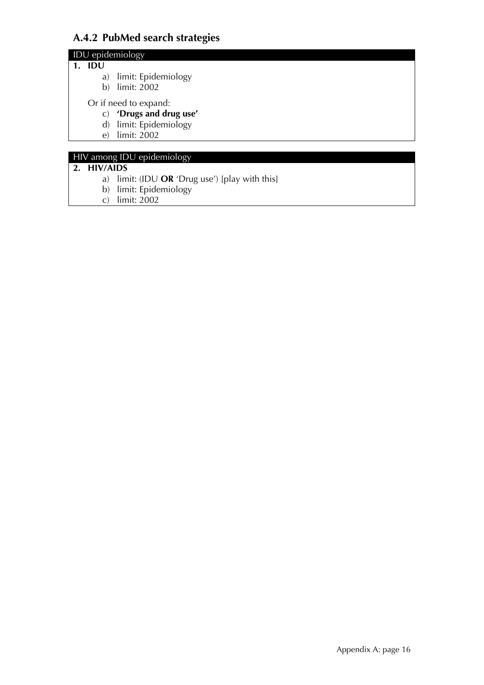# **A.4.2 PubMed search strategies**

# IDU epidemiology

### **1. IDU**

- a) limit: Epidemiology
- b) limit: 2002
- Or if need to expand:
	- c) **'Drugs and drug use'**
	- d) limit: Epidemiology
	- e) limit: 2002

# HIV among IDU epidemiology

# **2. HIV/AIDS**

- a) limit: (IDU **OR** 'Drug use') [play with this]
- b) limit: Epidemiology
- c) limit: 2002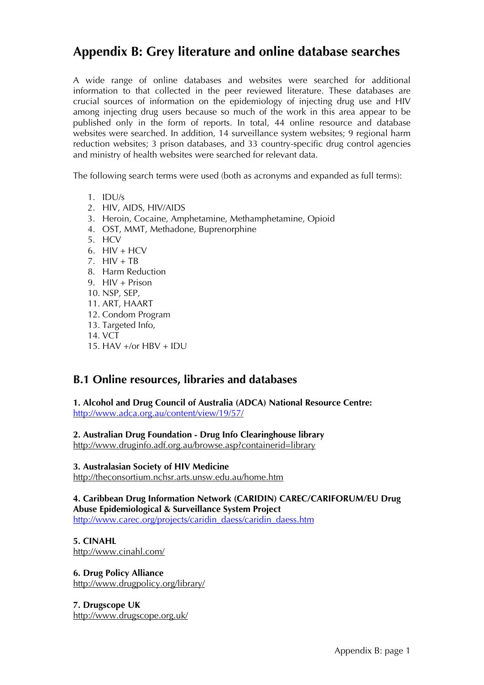# **Appendix B: Grey literature and online database searches**

A wide range of online databases and websites were searched for additional information to that collected in the peer reviewed literature. These databases are crucial sources of information on the epidemiology of injecting drug use and HIV among injecting drug users because so much of the work in this area appear to be published only in the form of reports. In total, 44 online resource and database websites were searched. In addition, 14 surveillance system websites; 9 regional harm reduction websites; 3 prison databases, and 33 country-specific drug control agencies and ministry of health websites were searched for relevant data.

The following search terms were used (both as acronyms and expanded as full terms):

- 1. IDU/s
- 2. HIV, AIDS, HIV/AIDS
- 3. Heroin, Cocaine, Amphetamine, Methamphetamine, Opioid
- 4. OST, MMT, Methadone, Buprenorphine
- 5. HCV
- 6. HIV + HCV
- 7.  $HIV + TB$
- 8. Harm Reduction
- 9. HIV + Prison
- 10. NSP, SEP,
- 11. ART, HAART
- 12. Condom Program
- 13. Targeted Info,
- 14. VCT
- 15. HAV +/or HBV + IDU

# **B.1 Online resources, libraries and databases**

**1. Alcohol and Drug Council of Australia (ADCA) National Resource Centre:**  <http://www.adca.org.au/content/view/19/57/>

**2. Australian Drug Foundation - Drug Info Clearinghouse library** 

<http://www.druginfo.adf.org.au/browse.asp?containerid=library>

### **3. Australasian Society of HIV Medicine**

<http://theconsortium.nchsr.arts.unsw.edu.au/home.htm>

**4. Caribbean Drug Information Network (CARIDIN) CAREC/CARIFORUM/EU Drug Abuse Epidemiological & Surveillance System Project**  [http://www.carec.org/projects/caridin\\_daess/caridin\\_daess.htm](http://www.carec.org/projects/caridin_daess/caridin_daess.htm)

**5. CINAHL**  <http://www.cinahl.com/>

**6. Drug Policy Alliance** <http://www.drugpolicy.org/library/>

**7. Drugscope UK**  <http://www.drugscope.org.uk/>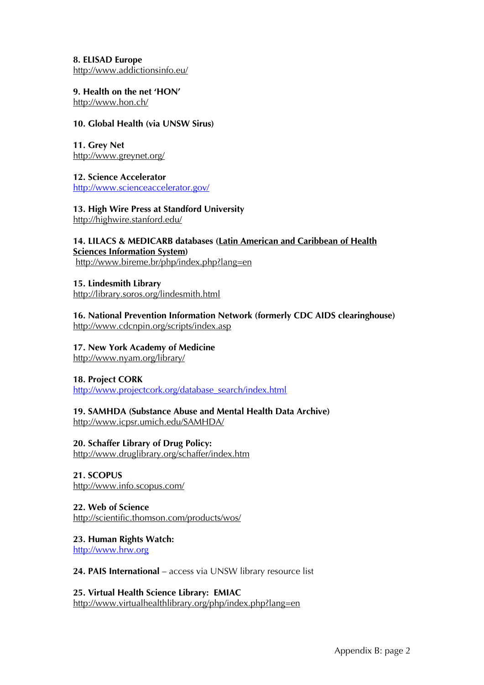**8. ELISAD Europe**  <http://www.addictionsinfo.eu/>

**9. Health on the net 'HON'** 

<http://www.hon.ch/>

## **10. Global Health (via UNSW Sirus)**

**11. Grey Net**  <http://www.greynet.org/>

**12. Science Accelerator**  <http://www.scienceaccelerator.gov/>

**13. High Wire Press at Standford University**  <http://highwire.stanford.edu/>

# **14. LILACS & MEDICARB databases ([Latin American and Caribbean of Health](http://www.bireme.br/bvs/I/isystem.htm)**

**[Sciences Information System\)](http://www.bireme.br/bvs/I/isystem.htm)** <http://www.bireme.br/php/index.php?lang=en>

**15. Lindesmith Library**  <http://library.soros.org/lindesmith.html>

# **16. National Prevention Information Network (formerly CDC AIDS clearinghouse)**

<http://www.cdcnpin.org/scripts/index.asp>

# **17. New York Academy of Medicine**

<http://www.nyam.org/library/>

# **18. Project CORK**

[http://www.projectcork.org/database\\_search/index.html](http://www.projectcork.org/database_search/index.html)

# **19. SAMHDA (Substance Abuse and Mental Health Data Archive)**

<http://www.icpsr.umich.edu/SAMHDA/>

**20. Schaffer Library of Drug Policy:** <http://www.druglibrary.org/schaffer/index.htm>

**21. SCOPUS** 

<http://www.info.scopus.com/>

# **22. Web of Science**

<http://scientific.thomson.com/products/wos/>

**23. Human Rights Watch:**  [http://www.hrw.org](http://www.hrw.org/)

# **24. PAIS International** – access via UNSW library resource list

**25. Virtual Health Science Library: EMIAC**  <http://www.virtualhealthlibrary.org/php/index.php?lang=en>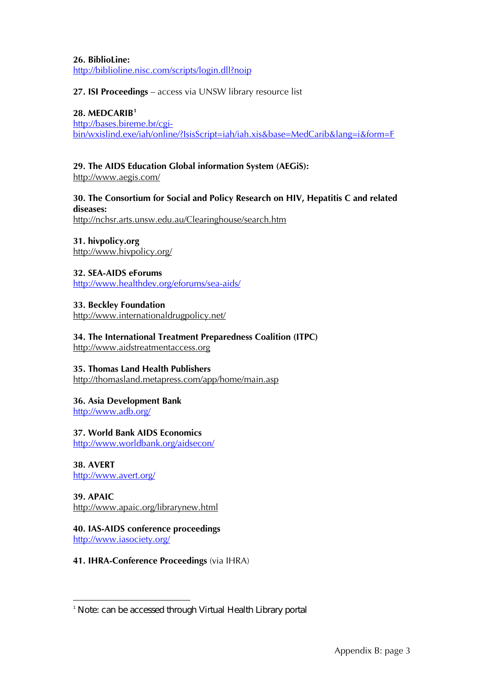**26. BiblioLine:** <http://biblioline.nisc.com/scripts/login.dll?noip>

### **27. ISI Proceedings** – access via UNSW library resource list

#### **28. MEDCARIB[1](#page-18-0)**

[http://bases.bireme.br/cgi](http://bases.bireme.br/cgi-bin/wxislind.exe/iah/online/?IsisScript=iah/iah.xis&base=MedCarib&lang=i&form=F)[bin/wxislind.exe/iah/online/?IsisScript=iah/iah.xis&base=MedCarib&lang=i&form=F](http://bases.bireme.br/cgi-bin/wxislind.exe/iah/online/?IsisScript=iah/iah.xis&base=MedCarib&lang=i&form=F)

### **29. The AIDS Education Global information System (AEGiS):**

<http://www.aegis.com/>

# **30. The Consortium for Social and Policy Research on HIV, Hepatitis C and related diseases:**

<http://nchsr.arts.unsw.edu.au/Clearinghouse/search.htm>

**31. hivpolicy.org**  <http://www.hivpolicy.org/>

**32. SEA-AIDS eForums**  <http://www.healthdev.org/eforums/sea-aids/>

**33. Beckley Foundation** 

<http://www.internationaldrugpolicy.net/>

**34. The International Treatment Preparedness Coalition (ITPC)**  [http://www.aidstreatmentaccess.org](http://www.aidstreatmentaccess.org/)

### **35. Thomas Land Health Publishers**

<http://thomasland.metapress.com/app/home/main.asp>

#### **36. Asia Development Bank**

<http://www.adb.org/>

### **37. World Bank AIDS Economics**

<http://www.worldbank.org/aidsecon/>

#### **38. AVERT**  <http://www.avert.org/>

-

**39. APAIC** 

<http://www.apaic.org/librarynew.html>

#### **40. IAS-AIDS conference proceedings**  <http://www.iasociety.org/>

**41. IHRA-Conference Proceedings** (via IHRA)

<span id="page-18-0"></span><sup>1</sup> Note: can be accessed through Virtual Health Library portal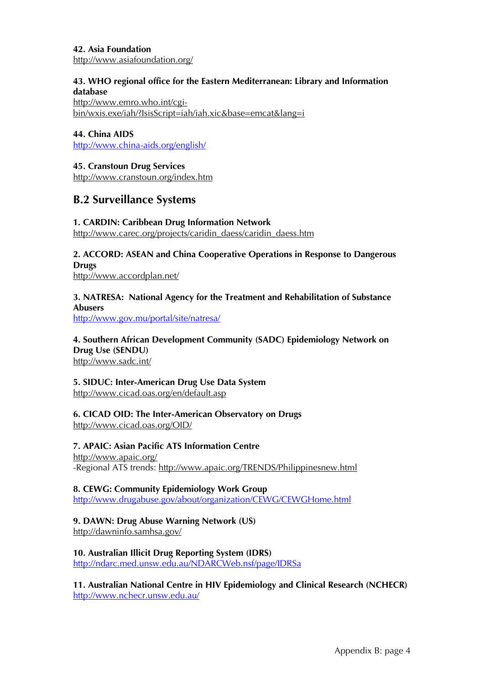### **42. Asia Foundation**

<http://www.asiafoundation.org/>

### **43. WHO regional office for the Eastern Mediterranean: Library and Information database**

[http://www.emro.who.int/cgi](http://www.emro.who.int/cgi-bin/wxis.exe/iah/?IsisScript=iah/iah.xic&base=emcat&lang=i)[bin/wxis.exe/iah/?IsisScript=iah/iah.xic&base=emcat&lang=i](http://www.emro.who.int/cgi-bin/wxis.exe/iah/?IsisScript=iah/iah.xic&base=emcat&lang=i)

### **44. China AIDS**

<http://www.china-aids.org/english/>

### **45. Cranstoun Drug Services**

<http://www.cranstoun.org/index.htm>

# **B.2 Surveillance Systems**

### **1. CARDIN: Caribbean Drug Information Network**

[http://www.carec.org/projects/caridin\\_daess/caridin\\_daess.htm](http://www.carec.org/projects/caridin_daess/caridin_daess.htm)

# **2. ACCORD: ASEAN and China Cooperative Operations in Response to Dangerous Drugs**

<http://www.accordplan.net/>

# **3. NATRESA: National Agency for the Treatment and Rehabilitation of Substance Abusers**

<http://www.gov.mu/portal/site/natresa/>

#### **4. Southern African Development Community (SADC) Epidemiology Network on Drug Use (SENDU)**  <http://www.sadc.int/>

**5. SIDUC: Inter-American Drug Use Data System**  <http://www.cicad.oas.org/en/default.asp>

#### **6. CICAD OID: The Inter-American Observatory on Drugs**  <http://www.cicad.oas.org/OID/>

#### **7. APAIC: Asian Pacific ATS Information Centre**  <http://www.apaic.org/> -Regional ATS trends:<http://www.apaic.org/TRENDS/Philippinesnew.html>

# **8. CEWG: Community Epidemiology Work Group**

<http://www.drugabuse.gov/about/organization/CEWG/CEWGHome.html>

# **9. DAWN: Drug Abuse Warning Network (US)**

<http://dawninfo.samhsa.gov/>

### **10. Australian Illicit Drug Reporting System (IDRS)**

<http://ndarc.med.unsw.edu.au/NDARCWeb.nsf/page/IDRSa>

# **11. Australian National Centre in HIV Epidemiology and Clinical Research (NCHECR)**  <http://www.nchecr.unsw.edu.au/>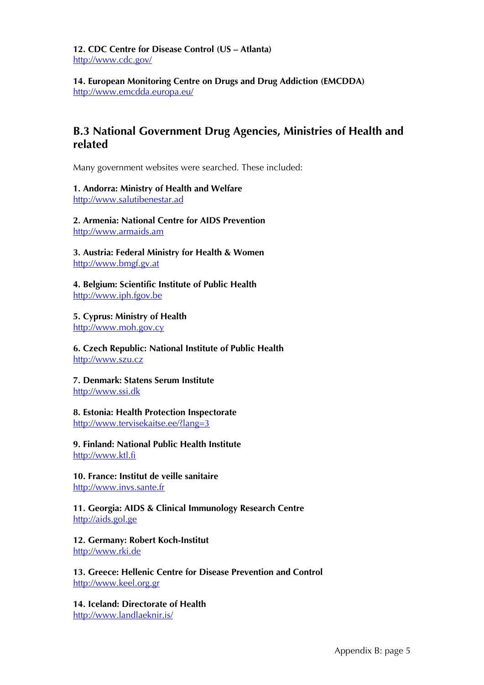**12. CDC Centre for Disease Control (US – Atlanta)**  <http://www.cdc.gov/>

**14. European Monitoring Centre on Drugs and Drug Addiction (EMCDDA)**  <http://www.emcdda.europa.eu/>

# **B.3 National Government Drug Agencies, Ministries of Health and related**

Many government websites were searched. These included:

### **1. Andorra: Ministry of Health and Welfare**

[http://www.salutibenestar.ad](http://www.salutibenestar.ad/)

**2. Armenia: National Centre for AIDS Preventio[n](http://www.armaids.am/)** [http://www.armaids.am](http://www.armaids.am/)

**3. Austria: Federal Ministry for Health & Women** [http://www.bmgf.gv.at](http://www.bmgf.gv.at/)

**4. Belgium: Scientific Institute of Public Health** [http://www.iph.fgov.be](http://www.iph.fgov.be/)

**5. Cyprus: Ministry of Health** [http://www.moh.gov.cy](http://www.moh.gov.cy/moh/moh.nsf/index_en/index_en?OpenDocument)

**6. Czech Republic: National Institute of Public Health**  [http://www.szu.cz](http://www.szu.cz/)

**7. Denmark: Statens Serum Institute** [http://www.ssi.dk](http://www.ssi.dk/)

#### **8. Estonia: Health Protection Inspectorate**  <http://www.tervisekaitse.ee/?lang=3>

**9. Finland: National Public Health Institute** [http://www.ktl.fi](http://www.ktl.fi/)

**10. France: Institut de veille sanitaire** [http://www.invs.sante.fr](http://www.invs.sante.fr/)

#### **11. Georgia: AIDS & Clinical Immunology Research Centre** [http://aids.gol.ge](http://aids.gol.ge/)

**12. Germany: Robert Koch-Institut**  [http://www.rki.de](http://www.rki.de/)

**13. Greece: Hellenic Centre for Disease Prevention and Control** [http://www.keel.org.gr](http://www.keel.org.gr/)

**14. Iceland: Directorate of Health** <http://www.landlaeknir.is/>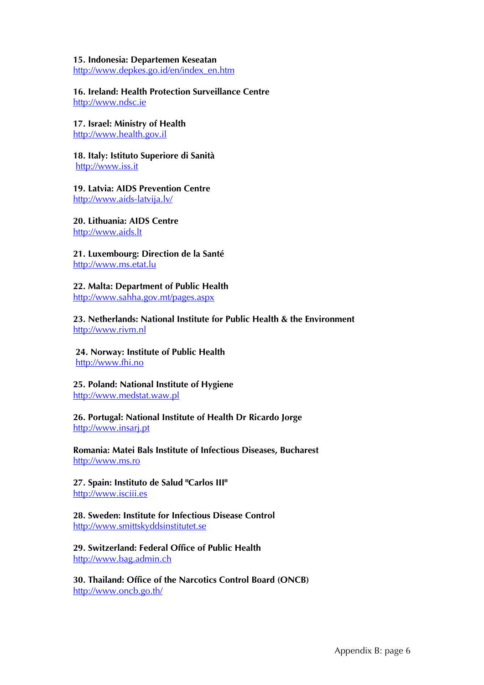#### **15. Indonesia: Departemen Keseatan**

[http://www.depkes.go.id/en/index\\_en.htm](http://www.depkes.go.id/en/index_en.htm)

**16. Ireland: Health Protection Surveillance Centre** [http://www.ndsc.ie](http://www.ndsc.ie/)

**17. Israel: Ministry of Health** [http://www.health.gov.il](http://www.health.gov.il/)

**18. Italy: Istituto Superiore di Sanità** [http://www.iss.it](http://www.iss.it/)

**19. Latvia: AIDS Prevention Centre** <http://www.aids-latvija.lv/>

**20. Lithuania: AIDS Centre** [http://www.aids.lt](http://www.aids.lt/)

**21. Luxembourg: Direction de la Santé**  [http://www.ms.etat.lu](http://www.ms.etat.lu/)

**22. Malta: Department of Public Health** <http://www.sahha.gov.mt/pages.aspx>

**23. Netherlands: National Institute for Public Health & the Environment**  [http://www.rivm.nl](http://www.rivm.nl/)

 **24. Norway: Institute of Public Health** [http://www.fhi.no](http://www.fhi.no/)

**25. Poland: National Institute of Hygiene** [http://www.medstat.waw.pl](http://www.medstat.waw.pl/)

**26. Portugal: National Institute of Health Dr Ricardo Jorge**  [http://www.insarj.pt](http://www.insarj.pt/)

**Romania: Matei Bals Institute of Infectious Diseases, Bucharest**  [http://www.ms.ro](http://www.ms.ro/)

**27. Spain: Instituto de Salud "Carlos III"**  [http://www.isciii.es](http://www.isciii.es/)

**28. Sweden: Institute for Infectious Disease Control**  [http://www.smittskyddsinstitutet.se](http://www.smittskyddsinstitutet.se/)

**29. Switzerland: Federal Office of Public Health** [http://www.bag.admin.ch](http://www.bag.admin.ch/)

**30. Thailand: Office of the Narcotics Control Board (ONCB)**  <http://www.oncb.go.th/>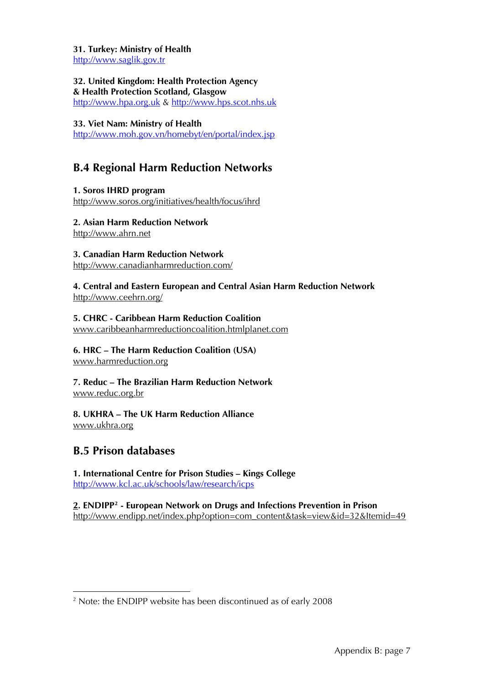**31. Turkey: Ministry of Health** [http://www.saglik.gov.tr](http://www.saglik.gov.tr/)

**32. United Kingdom: Health Protection Agency & Health Protection Scotland, Glasgow** [http://www.hpa.org.uk](http://www.hpa.org.uk/) & [http://www.hps.scot.nhs.uk](http://www.hps.scot.nhs.uk/)

#### **33. Viet Nam: Ministry of Health**

<http://www.moh.gov.vn/homebyt/en/portal/index.jsp>

# **B.4 Regional Harm Reduction Networks**

**1. Soros IHRD program**  <http://www.soros.org/initiatives/health/focus/ihrd>

#### **2. Asian Harm Reduction Network**

[http://www.ahrn.net](http://www.ahrn.net/)

# **3. Canadian Harm Reduction Network**

<http://www.canadianharmreduction.com/>

#### **4. Central and Eastern European and Central Asian Harm Reduction Network**  <http://www.ceehrn.org/>

# **5. CHRC - Caribbean Harm Reduction Coalition**

[www.caribbeanharmreductioncoalition.htmlplanet.com](http://www.caribbeanharmreductioncoalition.htmlplanet.com/) 

#### **6. HRC – The Harm Reduction Coalition (USA)**  [www.harmreduction.org](http://www.harmreduction.org/)

#### **7. Reduc – The Brazilian Harm Reduction Network**  [www.reduc.org.br](http://www.reduc.org.br/)

# **8. UKHRA – The UK Harm Reduction Alliance**  [www.ukhra.org](http://www.ukhra.org/)

# **B.5 Prison databases**

-

### **1. International Centre for Prison Studies – Kings College**  <http://www.kcl.ac.uk/schools/law/research/icps>

**2. ENDIPP[2](#page-22-0) - European Network on Drugs and Infections Prevention in Prison**  [http://www.endipp.net/index.php?option=com\\_content&task=view&id=32&Itemid=49](http://www.endipp.net/index.php?option=com_content&task=view&id=32&Itemid=49)

<span id="page-22-0"></span><sup>&</sup>lt;sup>2</sup> Note: the ENDIPP website has been discontinued as of early 2008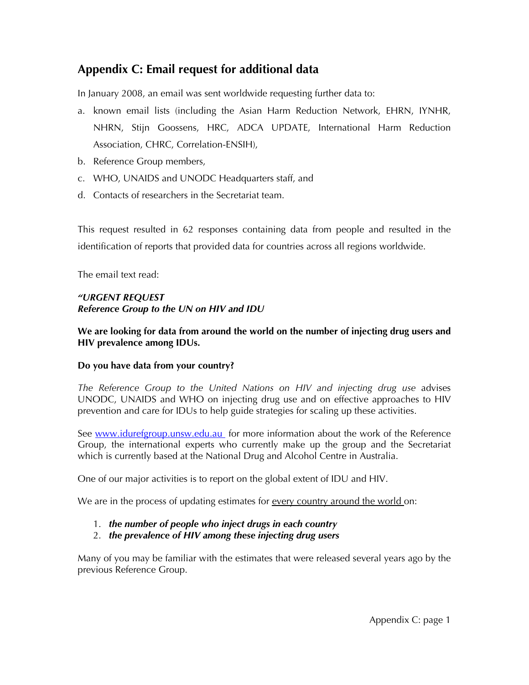# **Appendix C: Email request for additional data**

In January 2008, an email was sent worldwide requesting further data to:

- a. known email lists (including the Asian Harm Reduction Network, EHRN, IYNHR, NHRN, Stijn Goossens, HRC, ADCA UPDATE, International Harm Reduction Association, CHRC, Correlation-ENSIH),
- b. Reference Group members,
- c. WHO, UNAIDS and UNODC Headquarters staff, and
- d. Contacts of researchers in the Secretariat team.

This request resulted in 62 responses containing data from people and resulted in the identification of reports that provided data for countries across all regions worldwide.

The email text read:

# *"URGENT REQUEST Reference Group to the UN on HIV and IDU*

## **We are looking for data from around the world on the number of injecting drug users and HIV prevalence among IDUs.**

### **Do you have data from your country?**

*The Reference Group to the United Nations on HIV and injecting drug use* advises UNODC, UNAIDS and WHO on injecting drug use and on effective approaches to HIV prevention and care for IDUs to help guide strategies for scaling up these activities.

See [www.idurefgroup.unsw.edu.au](http://www.idurefgroup.unsw.edu.au/) for more information about the work of the Reference Group, the international experts who currently make up the group and the Secretariat which is currently based at the National Drug and Alcohol Centre in Australia.

One of our major activities is to report on the global extent of IDU and HIV.

We are in the process of updating estimates for every country around the world on:

- 1. *the number of people who inject drugs in each country*
- 2. *the prevalence of HIV among these injecting drug users*

Many of you may be familiar with the estimates that were released several years ago by the previous Reference Group.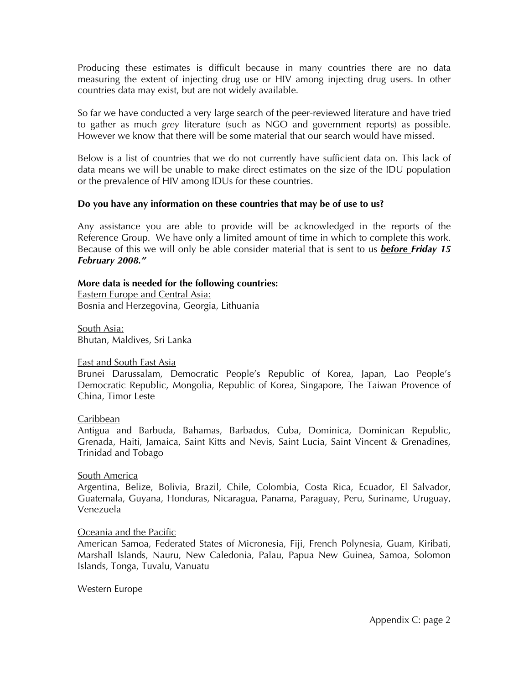Producing these estimates is difficult because in many countries there are no data measuring the extent of injecting drug use or HIV among injecting drug users. In other countries data may exist, but are not widely available.

So far we have conducted a very large search of the peer-reviewed literature and have tried to gather as much *grey* literature (such as NGO and government reports) as possible. However we know that there will be some material that our search would have missed.

Below is a list of countries that we do not currently have sufficient data on. This lack of data means we will be unable to make direct estimates on the size of the IDU population or the prevalence of HIV among IDUs for these countries.

#### **Do you have any information on these countries that may be of use to us?**

Any assistance you are able to provide will be acknowledged in the reports of the Reference Group. We have only a limited amount of time in which to complete this work. Because of this we will only be able consider material that is sent to us *before Friday 15 February 2008."* 

### **More data is needed for the following countries:**

Eastern Europe and Central Asia: Bosnia and Herzegovina, Georgia, Lithuania

South Asia: Bhutan, Maldives, Sri Lanka

#### East and South East Asia

Brunei Darussalam, Democratic People's Republic of Korea, Japan, Lao People's Democratic Republic, Mongolia, Republic of Korea, Singapore, The Taiwan Provence of China, Timor Leste

#### Caribbean

Antigua and Barbuda, Bahamas, Barbados, Cuba, Dominica, Dominican Republic, Grenada, Haiti, Jamaica, Saint Kitts and Nevis, Saint Lucia, Saint Vincent & Grenadines, Trinidad and Tobago

#### South America

Argentina, Belize, Bolivia, Brazil, Chile, Colombia, Costa Rica, Ecuador, El Salvador, Guatemala, Guyana, Honduras, Nicaragua, Panama, Paraguay, Peru, Suriname, Uruguay, Venezuela

#### Oceania and the Pacific

American Samoa, Federated States of Micronesia, Fiji, French Polynesia, Guam, Kiribati, Marshall Islands, Nauru, New Caledonia, Palau, Papua New Guinea, Samoa, Solomon Islands, Tonga, Tuvalu, Vanuatu

#### Western Europe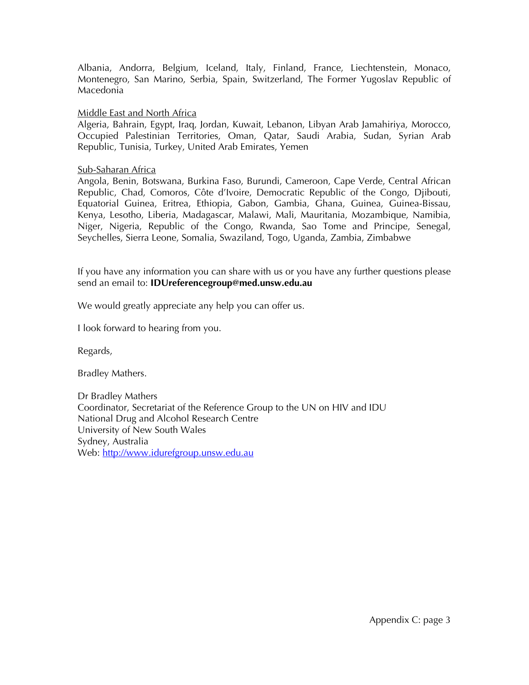Albania, Andorra, Belgium, Iceland, Italy, Finland, France, Liechtenstein, Monaco, Montenegro, San Marino, Serbia, Spain, Switzerland, The Former Yugoslav Republic of Macedonia

#### Middle East and North Africa

Algeria, Bahrain, Egypt, Iraq, Jordan, Kuwait, Lebanon, Libyan Arab Jamahiriya, Morocco, Occupied Palestinian Territories, Oman, Qatar, Saudi Arabia, Sudan, Syrian Arab Republic, Tunisia, Turkey, United Arab Emirates, Yemen

#### Sub-Saharan Africa

Angola, Benin, Botswana, Burkina Faso, Burundi, Cameroon, Cape Verde, Central African Republic, Chad, Comoros, Côte d'Ivoire, Democratic Republic of the Congo, Djibouti, Equatorial Guinea, Eritrea, Ethiopia, Gabon, Gambia, Ghana, Guinea, Guinea-Bissau, Kenya, Lesotho, Liberia, Madagascar, Malawi, Mali, Mauritania, Mozambique, Namibia, Niger, Nigeria, Republic of the Congo, Rwanda, Sao Tome and Principe, Senegal, Seychelles, Sierra Leone, Somalia, Swaziland, Togo, Uganda, Zambia, Zimbabwe

If you have any information you can share with us or you have any further questions please send an email to: **IDUreferencegroup@med.unsw.edu.au** 

We would greatly appreciate any help you can offer us.

I look forward to hearing from you.

Regards,

Bradley Mathers.

Dr Bradley Mathers Coordinator, Secretariat of the Reference Group to the UN on HIV and IDU National Drug and Alcohol Research Centre University of New South Wales Sydney, Australia Web: [http://www.idurefgroup.unsw.edu.au](http://www.idurefgroup.unsw.edu.au/)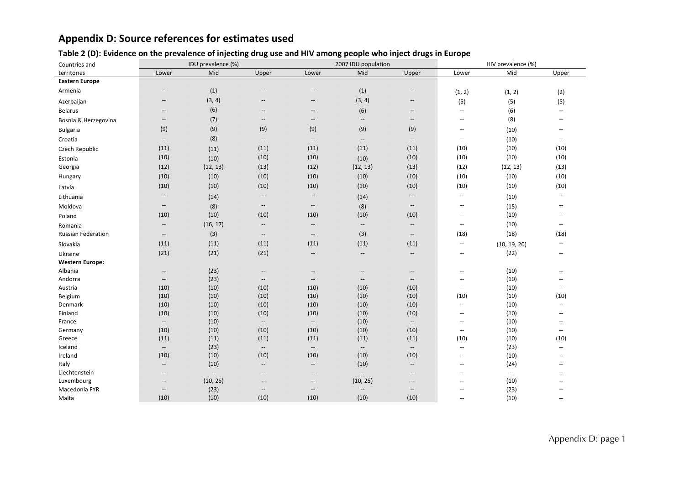# **Appendix D: Source references for estimates used**

#### Table 2 (D): Evidence on the prevalence of injecting drug use and HIV among people who inject drugs in Europe

| Countries and             | IDU prevalence (%)                                  |                          |                                                     |                                                     | 2007 IDU population      |                                                         | HIV prevalence (%)       |                          |                          |  |
|---------------------------|-----------------------------------------------------|--------------------------|-----------------------------------------------------|-----------------------------------------------------|--------------------------|---------------------------------------------------------|--------------------------|--------------------------|--------------------------|--|
| territories               | Lower                                               | Mid                      | Upper                                               | Lower                                               | Mid                      | Upper                                                   | Lower                    | Mid                      | Upper                    |  |
| <b>Eastern Europe</b>     |                                                     |                          |                                                     |                                                     |                          |                                                         |                          |                          |                          |  |
| Armenia                   | $\overline{\phantom{a}}$                            | (1)                      | $\hspace{0.05cm} -\hspace{0.05cm}$                  | $\overline{\phantom{a}}$                            | (1)                      | $\hspace{0.05cm} \hspace{0.02cm} \hspace{0.02cm} \dots$ | (1, 2)                   | (1, 2)                   | (2)                      |  |
| Azerbaijan                | $\overline{\phantom{a}}$                            | (3, 4)                   | $-\hbox{--}$                                        | $\hspace{0.05cm} -\hspace{0.05cm} -\hspace{0.05cm}$ | (3, 4)                   | $\overline{\phantom{a}}$                                | (5)                      | (5)                      | (5)                      |  |
| <b>Belarus</b>            | $\overline{\phantom{a}}$                            | (6)                      | $\overline{\phantom{a}}$                            | $\hspace{0.05cm} -$                                 | (6)                      | $\hspace{0.05cm} -\hspace{0.05cm} -\hspace{0.05cm}$     | $\overline{\phantom{a}}$ | (6)                      | $\overline{\phantom{a}}$ |  |
| Bosnia & Herzegovina      | $\hspace{0.05cm} -\hspace{0.05cm} -\hspace{0.05cm}$ | (7)                      | $-\hbox{--}$                                        | $\overline{\phantom{a}}$                            | $\overline{\phantom{a}}$ | $\hspace{0.05cm} -\hspace{0.05cm} -\hspace{0.05cm}$     | $\overline{\phantom{a}}$ | (8)                      | $\overline{\phantom{a}}$ |  |
| <b>Bulgaria</b>           | (9)                                                 | (9)                      | (9)                                                 | (9)                                                 | (9)                      | (9)                                                     | $\overline{\phantom{a}}$ | (10)                     | $\overline{\phantom{a}}$ |  |
| Croatia                   | $\overline{\phantom{a}}$                            | (8)                      | $-\hbox{--}$                                        | $\overline{\phantom{a}}$                            | $\overline{\phantom{a}}$ | $\overline{\phantom{a}}$                                | $\overline{\phantom{a}}$ | (10)                     | $\overline{\phantom{a}}$ |  |
| Czech Republic            | (11)                                                | (11)                     | (11)                                                | (11)                                                | (11)                     | (11)                                                    | (10)                     | (10)                     | (10)                     |  |
| Estonia                   | (10)                                                | (10)                     | (10)                                                | (10)                                                | (10)                     | (10)                                                    | (10)                     | (10)                     | (10)                     |  |
| Georgia                   | (12)                                                | (12, 13)                 | (13)                                                | (12)                                                | (12, 13)                 | (13)                                                    | (12)                     | (12, 13)                 | (13)                     |  |
| Hungary                   | (10)                                                | (10)                     | (10)                                                | (10)                                                | (10)                     | (10)                                                    | (10)                     | (10)                     | (10)                     |  |
| Latvia                    | (10)                                                | (10)                     | (10)                                                | (10)                                                | (10)                     | (10)                                                    | (10)                     | (10)                     | (10)                     |  |
| Lithuania                 | $\overline{\phantom{a}}$                            | (14)                     | $\overline{\phantom{a}}$                            | $\overline{\phantom{a}}$                            | (14)                     | $\overline{\phantom{a}}$                                | $\overline{\phantom{a}}$ | (10)                     | $\overline{\phantom{a}}$ |  |
| Moldova                   | $-\!$ $\!-$                                         | (8)                      | $-\!$                                               | $\overline{\phantom{a}}$                            | (8)                      | $\overline{\phantom{a}}$                                | $\overline{\phantom{a}}$ | (15)                     | $\sim$                   |  |
| Poland                    | (10)                                                | (10)                     | (10)                                                | (10)                                                | (10)                     | (10)                                                    | $\overline{\phantom{a}}$ | (10)                     | $\overline{\phantom{a}}$ |  |
| Romania                   | $-\!$ –                                             | (16, 17)                 | $-\!$                                               | $\hspace{0.05cm} -\hspace{0.05cm} -\hspace{0.05cm}$ | $\overline{\phantom{a}}$ | $\hspace{0.05cm} -\hspace{0.05cm} -\hspace{0.05cm}$     | $\overline{\phantom{a}}$ | (10)                     | $\overline{\phantom{a}}$ |  |
| <b>Russian Federation</b> | $-\!$ –                                             | (3)                      | $-\!$                                               | $\overline{\phantom{a}}$                            | (3)                      | $\hspace{0.05cm} -\hspace{0.05cm} -\hspace{0.05cm}$     | (18)                     | (18)                     | (18)                     |  |
| Slovakia                  | (11)                                                | (11)                     | (11)                                                | (11)                                                | (11)                     | (11)                                                    | $\overline{\phantom{a}}$ | (10, 19, 20)             | $\overline{\phantom{a}}$ |  |
| Ukraine                   | (21)                                                | (21)                     | (21)                                                | $\overline{\phantom{a}}$                            | $\overline{\phantom{a}}$ | $\hspace{0.05cm} -\hspace{0.05cm} -\hspace{0.05cm}$     | $\overline{\phantom{a}}$ | (22)                     | $\overline{\phantom{a}}$ |  |
| <b>Western Europe:</b>    |                                                     |                          |                                                     |                                                     |                          |                                                         |                          |                          |                          |  |
| Albania                   | $-\hbox{--}$                                        | (23)                     | $-\hbox{--}$                                        | $\hspace{0.05cm} -$                                 | $\overline{\phantom{a}}$ | $\hspace{0.05cm} -\hspace{0.05cm} -\hspace{0.05cm}$     | $\overline{\phantom{a}}$ | (10)                     | $\overline{\phantom{a}}$ |  |
| Andorra                   | $\overline{\phantom{a}}$                            | (23)                     | $\overline{\phantom{a}}$                            | $\hspace{0.05cm} -\hspace{0.05cm} -\hspace{0.05cm}$ | $\overline{\phantom{a}}$ | $\hspace{0.05cm} -\hspace{0.05cm} -\hspace{0.05cm}$     | $\overline{\phantom{a}}$ | (10)                     | $\overline{a}$           |  |
| Austria                   | (10)                                                | (10)                     | (10)                                                | (10)                                                | (10)                     | (10)                                                    | $\overline{\phantom{a}}$ | (10)                     | $\sim$ $\sim$            |  |
| Belgium                   | (10)                                                | (10)                     | (10)                                                | (10)                                                | (10)                     | (10)                                                    | (10)                     | (10)                     | (10)                     |  |
| Denmark                   | (10)                                                | (10)                     | (10)                                                | (10)                                                | (10)                     | (10)                                                    | $\overline{\phantom{a}}$ | (10)                     | $\overline{\phantom{a}}$ |  |
| Finland                   | (10)                                                | (10)                     | (10)                                                | (10)                                                | (10)                     | (10)                                                    | $\overline{\phantom{a}}$ | (10)                     | $\sim$ $\sim$            |  |
| France                    | $\overline{\phantom{a}}$                            | (10)                     | $\overline{\phantom{a}}$                            | $\overline{\phantom{a}}$                            | (10)                     | $\overline{\phantom{a}}$                                | $\overline{\phantom{a}}$ | (10)                     | $\overline{\phantom{a}}$ |  |
| Germany                   | (10)                                                | (10)                     | (10)                                                | (10)                                                | (10)                     | (10)                                                    | $\overline{\phantom{a}}$ | (10)                     | $\overline{\phantom{a}}$ |  |
| Greece                    | (11)                                                | (11)                     | (11)                                                | (11)                                                | (11)                     | (11)                                                    | (10)                     | (10)                     | (10)                     |  |
| Iceland                   | $\overline{\phantom{a}}$                            | (23)                     | $\overline{\phantom{a}}$                            | $\overline{\phantom{a}}$                            | $\overline{\phantom{a}}$ | $\overline{\phantom{a}}$                                | $\overline{\phantom{a}}$ | (23)                     | $\overline{\phantom{a}}$ |  |
| Ireland                   | (10)                                                | (10)                     | (10)                                                | (10)                                                | (10)                     | (10)                                                    | $\overline{\phantom{a}}$ | (10)                     | $\mathbf{u}$             |  |
| Italy                     | $\overline{\phantom{a}}$                            | (10)                     | $-\!$                                               | $\overline{\phantom{a}}$                            | (10)                     | $\overline{\phantom{a}}$                                | $\overline{\phantom{a}}$ | (24)                     | $\overline{\phantom{a}}$ |  |
| Liechtenstein             | $\overline{\phantom{a}}$                            | $\overline{\phantom{a}}$ | $-\!$                                               | $\overline{\phantom{a}}$                            | $\overline{\phantom{a}}$ | $\overline{\phantom{a}}$                                | $\overline{\phantom{a}}$ | $\overline{\phantom{a}}$ | $\overline{\phantom{a}}$ |  |
| Luxembourg                | $\overline{\phantom{a}}$                            | (10, 25)                 | $\hspace{0.05cm} -\hspace{0.05cm} -\hspace{0.05cm}$ | $\overline{\phantom{a}}$                            | (10, 25)                 | $\overline{\phantom{a}}$                                | $\overline{\phantom{a}}$ | (10)                     | $\overline{\phantom{a}}$ |  |
| Macedonia FYR             | $\hspace{0.05cm} -\hspace{0.05cm} -\hspace{0.05cm}$ | (23)                     | $\overline{\phantom{a}}$                            | $\hspace{0.05cm} -\hspace{0.05cm} -\hspace{0.05cm}$ | $\overline{\phantom{a}}$ | $\overline{\phantom{a}}$                                | $\overline{\phantom{a}}$ | (23)                     | $-$                      |  |
| Malta                     | (10)                                                | (10)                     | (10)                                                | (10)                                                | (10)                     | (10)                                                    | $\overline{\phantom{a}}$ | (10)                     | $\sim$ $\sim$            |  |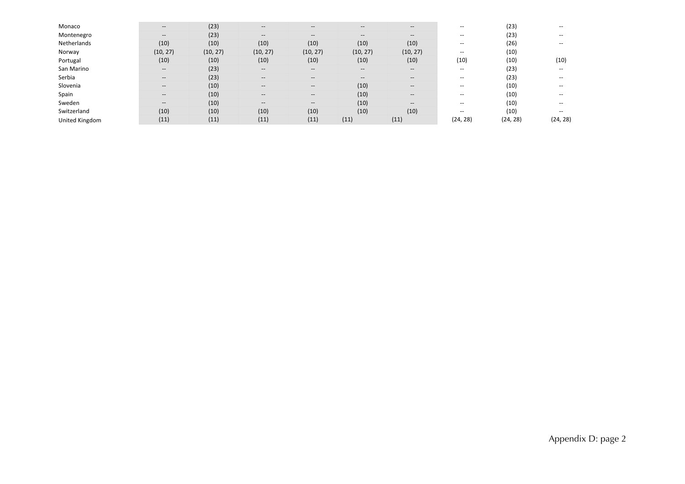| Monaco         | $\hspace{0.05cm} \ldots$                            | (23)     | $- -$                                          | $- -$                                                   | $- -$                                 | $--$                                                | $- -$                                 | (23)     | $- -$    |
|----------------|-----------------------------------------------------|----------|------------------------------------------------|---------------------------------------------------------|---------------------------------------|-----------------------------------------------------|---------------------------------------|----------|----------|
| Montenegro     | $\hspace{0.05cm} -\hspace{0.05cm} -\hspace{0.05cm}$ | (23)     | $--$                                           | $\hspace{0.05cm} \hspace{0.02cm} \hspace{0.02cm} \dots$ | $\hspace{0.05cm}$ – $\hspace{0.05cm}$ | $--$                                                | $\overline{\phantom{m}}$              | (23)     | --       |
| Netherlands    | (10)                                                | (10)     | (10)                                           | (10)                                                    | (10)                                  | (10)                                                | $\hspace{0.05cm}$ $\hspace{0.05cm}$   | (26)     | --       |
| Norway         | (10, 27)                                            | (10, 27) | (10, 27)                                       | (10, 27)                                                | (10, 27)                              | (10, 27)                                            | $\overline{\phantom{m}}$              | (10)     |          |
| Portugal       | (10)                                                | (10)     | (10)                                           | (10)                                                    | (10)                                  | (10)                                                | (10)                                  | (10)     | (10)     |
| San Marino     | $\hspace{0.05cm} -\hspace{0.05cm} -\hspace{0.05cm}$ | (23)     | $- -$                                          | $\hspace{0.05cm} \hspace{0.02cm} \hspace{0.02cm} \dots$ | $- -$                                 | $--$                                                | $\hspace{0.05cm}$ – $\hspace{0.05cm}$ | (23)     | --       |
| Serbia         | $\hspace{0.05cm} -\hspace{0.05cm} -\hspace{0.05cm}$ | (23)     | $- -$                                          | $\hspace{0.05cm} \hspace{0.02cm} \hspace{0.02cm} \dots$ | $\hspace{0.05cm}$                     | $--$                                                | $\overline{\phantom{a}}$              | (23)     | $- -$    |
| Slovenia       | $\hspace{0.05cm} \ldots$                            | (10)     | $\hspace{0.1mm}-\hspace{0.1mm}-\hspace{0.1mm}$ | $\hspace{0.05cm} \hspace{0.02cm} \hspace{0.02cm} \dots$ | (10)                                  | $\hspace{0.05cm} -\hspace{0.05cm} -\hspace{0.05cm}$ | $\overline{\phantom{m}}$              | (10)     | $- -$    |
| Spain          | $\hspace{0.05cm} -\hspace{0.05cm} -\hspace{0.05cm}$ | (10)     | $- -$                                          | $\hspace{0.05cm}$ – $\hspace{0.05cm}$                   | (10)                                  | $--$                                                | $\overline{\phantom{m}}$              | (10)     | $- -$    |
| Sweden         | $\hspace{0.05cm} -\hspace{0.05cm} -\hspace{0.05cm}$ | (10)     | $--$                                           | $\hspace{0.05cm} -\hspace{0.05cm} -\hspace{0.05cm}$     | (10)                                  | $--$                                                | $\overline{\phantom{m}}$              | (10)     | --       |
| Switzerland    | (10)                                                | (10)     | (10)                                           | (10)                                                    | (10)                                  | (10)                                                | $\overline{\phantom{m}}$              | (10)     | --       |
| United Kingdom | (11)                                                | (11)     | (11)                                           | (11)                                                    | (11)                                  | (11)                                                | (24, 28)                              | (24, 28) | (24, 28) |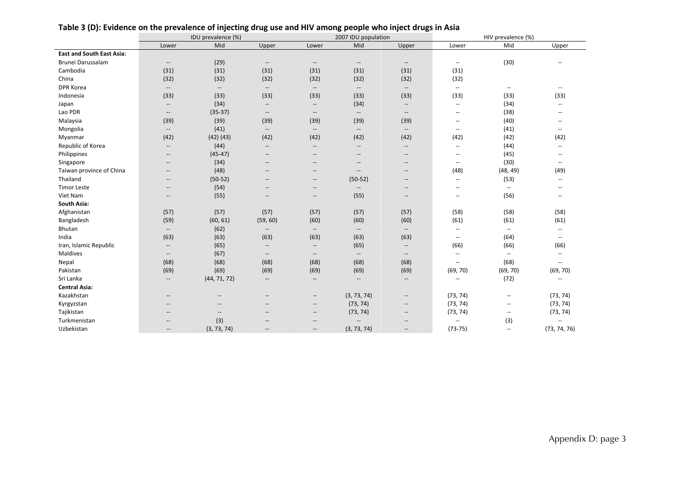|                                  | IDU prevalence (%)                                  |                          |                                                     |                                                     | 2007 IDU population                                 |                                                     | HIV prevalence (%)                                  |                           |                                                     |  |
|----------------------------------|-----------------------------------------------------|--------------------------|-----------------------------------------------------|-----------------------------------------------------|-----------------------------------------------------|-----------------------------------------------------|-----------------------------------------------------|---------------------------|-----------------------------------------------------|--|
|                                  | Lower                                               | Mid                      | Upper                                               | Lower                                               | Mid                                                 | Upper                                               | Lower                                               | Mid                       | Upper                                               |  |
| <b>East and South East Asia:</b> |                                                     |                          |                                                     |                                                     |                                                     |                                                     |                                                     |                           |                                                     |  |
| Brunei Darussalam                | $\hspace{0.05cm} -\hspace{0.05cm} -\hspace{0.05cm}$ | (29)                     | $\hspace{0.05cm} -$                                 | $\hspace{0.05cm} -$                                 | $\hspace{0.05cm} -\hspace{0.05cm} -\hspace{0.05cm}$ | $\hspace{0.05cm} -\hspace{0.05cm} -\hspace{0.05cm}$ | $\overline{\phantom{a}}$                            | (30)                      | $\overline{\phantom{a}}$                            |  |
| Cambodia                         | (31)                                                | (31)                     | (31)                                                | (31)                                                | (31)                                                | (31)                                                | (31)                                                |                           |                                                     |  |
| China                            | (32)                                                | (32)                     | (32)                                                | (32)                                                | (32)                                                | (32)                                                | (32)                                                |                           |                                                     |  |
| <b>DPR Korea</b>                 | $\overline{\phantom{a}}$                            | $\overline{\phantom{a}}$ | $\overline{\phantom{a}}$                            | $--$                                                | $\hspace{0.05cm} -\hspace{0.05cm} -\hspace{0.05cm}$ | $\overline{\phantom{a}}$                            | $\sim$                                              | $\overline{\phantom{a}}$  | $\overline{\phantom{a}}$                            |  |
| Indonesia                        | (33)                                                | (33)                     | (33)                                                | (33)                                                | (33)                                                | (33)                                                | (33)                                                | (33)                      | (33)                                                |  |
| Japan                            | $\hspace{0.05cm} -\hspace{0.05cm} -\hspace{0.05cm}$ | (34)                     | $\overline{\phantom{a}}$                            | $\hspace{0.05cm} -\hspace{0.05cm} -\hspace{0.05cm}$ | (34)                                                | $\overline{\phantom{a}}$                            | $\sim$ $\sim$                                       | (34)                      | $\overline{\phantom{a}}$                            |  |
| Lao PDR                          | $\overline{\phantom{a}}$                            | $(35-37)$                | $\overline{\phantom{a}}$                            | $\overline{\phantom{a}}$                            | $\hspace{0.05cm} -\hspace{0.05cm} -\hspace{0.05cm}$ | $\overline{\phantom{a}}$                            | $\overline{\phantom{a}}$                            | (38)                      | $\overline{a}$                                      |  |
| Malaysia                         | (39)                                                | (39)                     | (39)                                                | (39)                                                | (39)                                                | (39)                                                | --                                                  | (40)                      | $\overline{\phantom{a}}$                            |  |
| Mongolia                         | $\hspace{0.05cm} -\hspace{0.05cm} -\hspace{0.05cm}$ | (41)                     | $\hspace{0.05cm} -\hspace{0.05cm} -\hspace{0.05cm}$ | $\hspace{0.05cm} \ldots$                            | $\hspace{0.05cm} -\hspace{0.05cm} -\hspace{0.05cm}$ | $\overline{\phantom{a}}$                            | $\hspace{0.05cm} -\hspace{0.05cm} -\hspace{0.05cm}$ | (41)                      | $\hspace{0.05cm} -\hspace{0.05cm} -\hspace{0.05cm}$ |  |
| Myanmar                          | (42)                                                | $(42)$ $(43)$            | (42)                                                | (42)                                                | (42)                                                | (42)                                                | (42)                                                | (42)                      | (42)                                                |  |
| Republic of Korea                | $\hspace{0.05cm} \cdots$                            | (44)                     | $\overline{\phantom{a}}$                            | $\hspace{0.05cm} -\hspace{0.05cm} -\hspace{0.05cm}$ | $-\!$                                               | $\overline{\phantom{a}}$                            | $\overline{\phantom{a}}$                            | (44)                      | $\overline{\phantom{a}}$                            |  |
| Philippines                      | $\overline{\phantom{a}}$                            | $(45-47)$                | $\overline{\phantom{a}}$                            | $\overline{\phantom{a}}$                            | $\overline{\phantom{a}}$                            | $\overline{\phantom{a}}$                            | --                                                  | (45)                      | $\overline{a}$                                      |  |
| Singapore                        | $\overline{\phantom{a}}$                            | (34)                     | $\overline{\phantom{a}}$                            | $\hspace{0.05cm} -$                                 | $\qquad \qquad -$                                   | $\overline{\phantom{a}}$                            | $\hspace{0.05cm} -\hspace{0.05cm} -\hspace{0.05cm}$ | (30)                      | $\hspace{0.05cm} -\hspace{0.05cm} -\hspace{0.05cm}$ |  |
| Taiwan province of China         | $-$                                                 | (48)                     | $-$                                                 | $-$                                                 | $-$                                                 | $-$                                                 | (48)                                                | (48, 49)                  | (49)                                                |  |
| Thailand                         | $\hspace{0.05cm} -$                                 | $(50-52)$                | --                                                  | $-\hbox{--}$                                        | $(50-52)$                                           | --                                                  | $\overline{\phantom{a}}$                            | (53)                      | $\hspace{0.05cm} -\hspace{0.05cm} -\hspace{0.05cm}$ |  |
| <b>Timor Leste</b>               | $\hspace{0.05cm}$                                   | (54)                     | $\hspace{0.05cm} -\hspace{0.05cm} -\hspace{0.05cm}$ | $-\!$                                               | $-\hbox{--}$                                        | $\overline{\phantom{a}}$                            | $\hspace{0.05cm} -\hspace{0.05cm} -\hspace{0.05cm}$ | $\overline{\phantom{a}}$  | $\overline{\phantom{a}}$                            |  |
| Viet Nam                         | $\hspace{0.05cm}$                                   | (55)                     | $\hspace{0.05cm} -\hspace{0.05cm} -\hspace{0.05cm}$ | $\hspace{0.05cm} \cdots$                            | (55)                                                | $\overline{\phantom{a}}$                            | $\hspace{0.05cm} -\hspace{0.05cm} -\hspace{0.05cm}$ | (56)                      | $\overline{\phantom{a}}$                            |  |
| South Asia:                      |                                                     |                          |                                                     |                                                     |                                                     |                                                     |                                                     |                           |                                                     |  |
| Afghanistan                      | (57)                                                | (57)                     | (57)                                                | (57)                                                | (57)                                                | (57)                                                | (58)                                                | (58)                      | (58)                                                |  |
| Bangladesh                       | (59)                                                | (60, 61)                 | (59, 60)                                            | (60)                                                | (60)                                                | (60)                                                | (61)                                                | (61)                      | (61)                                                |  |
| Bhutan                           | $\overline{\phantom{a}}$                            | (62)                     | $\overline{\phantom{a}}$                            | $\overline{\phantom{a}}$                            | $\overline{\phantom{a}}$                            | $\overline{\phantom{a}}$                            | $\overline{\phantom{a}}$                            | $\mathbb{L}^{\mathbb{L}}$ | $\overline{\phantom{a}}$                            |  |
| India                            | (63)                                                | (63)                     | (63)                                                | (63)                                                | (63)                                                | (63)                                                | $\overline{\phantom{a}}$                            | (64)                      | $\hspace{0.05cm} -\hspace{0.05cm} -\hspace{0.05cm}$ |  |
| Iran, Islamic Republic           | $\hspace{0.05cm} -\hspace{0.05cm} -\hspace{0.05cm}$ | (65)                     | --                                                  | $\hspace{0.05cm} -\hspace{0.05cm} -\hspace{0.05cm}$ | (65)                                                | $\overline{\phantom{a}}$                            | (66)                                                | (66)                      | (66)                                                |  |
| Maldives                         | $\hspace{0.05cm} -\hspace{0.05cm} -\hspace{0.05cm}$ | (67)                     | $\overline{\phantom{a}}$                            | $\hspace{0.05cm} -\hspace{0.05cm} -\hspace{0.05cm}$ | $-\!$                                               | $\overline{\phantom{a}}$                            | $\overline{\phantom{a}}$                            | $\overline{\phantom{a}}$  | $\overline{\phantom{a}}$                            |  |
| Nepal                            | (68)                                                | (68)                     | (68)                                                | (68)                                                | (68)                                                | (68)                                                | $\sim$ $\sim$                                       | (68)                      | $\mathbf{u}$                                        |  |
| Pakistan                         | (69)                                                | (69)                     | (69)                                                | (69)                                                | (69)                                                | (69)                                                | (69, 70)                                            | (69, 70)                  | (69, 70)                                            |  |
| Sri Lanka                        | $\overline{\phantom{a}}$                            | (44, 71, 72)             | $\overline{\phantom{a}}$                            | $\overline{\phantom{a}}$                            | $\overline{\phantom{a}}$                            | $\overline{\phantom{a}}$                            | $\overline{a}$                                      | (72)                      | $\mathbf{u}$                                        |  |
| <b>Central Asia:</b>             |                                                     |                          |                                                     |                                                     |                                                     |                                                     |                                                     |                           |                                                     |  |
| Kazakhstan                       | $\overline{\phantom{a}}$                            | $-\, -$                  | $\overline{\phantom{a}}$                            | $-\!$                                               | (3, 73, 74)                                         | $\overline{\phantom{a}}$                            | (73, 74)                                            | $\overline{\phantom{a}}$  | (73, 74)                                            |  |
| Kyrgyzstan                       | $\hspace{0.05cm}$                                   | $\overline{\phantom{a}}$ | $\qquad \qquad -$                                   | $\overline{\phantom{a}}$                            | (73, 74)                                            | $\overline{\phantom{a}}$                            | (73, 74)                                            | $\overline{\phantom{a}}$  | (73, 74)                                            |  |
| Tajikistan                       | $\overline{\phantom{a}}$                            | $\overline{\phantom{a}}$ | --                                                  | $\overline{\phantom{a}}$                            | (73, 74)                                            | $\overline{\phantom{a}}$                            | (73, 74)                                            | $\overline{\phantom{a}}$  | (73, 74)                                            |  |
| Turkmenistan                     |                                                     | (3)                      | $\overline{\phantom{a}}$                            | $\hspace{0.05cm} -$                                 | $-\!$                                               | $\hspace{0.05cm} -\hspace{0.05cm} -\hspace{0.05cm}$ | --                                                  | (3)                       | $\overline{\phantom{a}}$                            |  |
| Uzbekistan                       | $\hspace{0.05cm} -$                                 | (3, 73, 74)              | $\overline{\phantom{a}}$                            | $\hspace{0.05cm} -\hspace{0.05cm} -\hspace{0.05cm}$ | (3, 73, 74)                                         | $\hspace{0.05cm} -\hspace{0.05cm} -\hspace{0.05cm}$ | $(73 - 75)$                                         | $\mathbf{u}$              | (73, 74, 76)                                        |  |

#### Table 3 (D): Evidence on the prevalence of injecting drug use and HIV among people who inject drugs in Asia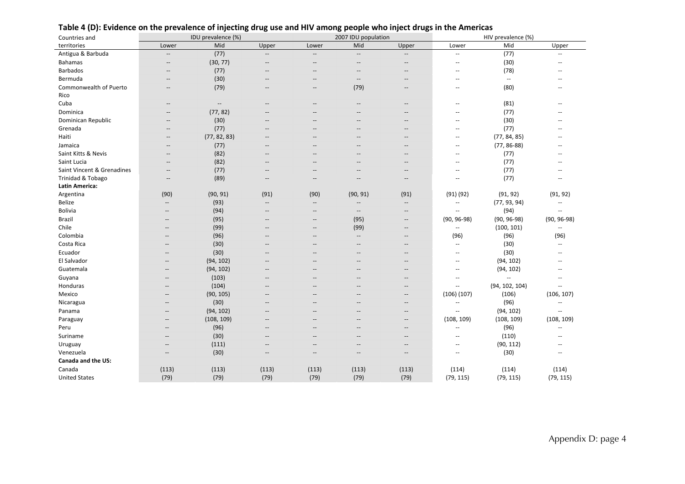| Countries and              | IDU prevalence (%)                                  |                          |                          | 2007 IDU population                   |                                                     | HIV prevalence (%)                                  |                          |                             |                          |
|----------------------------|-----------------------------------------------------|--------------------------|--------------------------|---------------------------------------|-----------------------------------------------------|-----------------------------------------------------|--------------------------|-----------------------------|--------------------------|
| territories                | Lower                                               | Mid                      | Upper                    | Lower                                 | Mid                                                 | Upper                                               | Lower                    | Mid                         | Upper                    |
| Antigua & Barbuda          | $\overline{\phantom{a}}$                            | (77)                     | $\overline{\phantom{a}}$ | $\overline{\phantom{a}}$              | $\hspace{0.05cm} -\hspace{0.05cm} -\hspace{0.05cm}$ | $\hspace{0.05cm} -\hspace{0.05cm} -\hspace{0.05cm}$ | Щ,                       | (77)                        | $\overline{a}$           |
| <b>Bahamas</b>             | $\hspace{0.05cm} -\hspace{0.05cm} -\hspace{0.05cm}$ | (30, 77)                 | $\qquad \qquad -$        | $\qquad \qquad -$                     | $\hspace{0.05cm} -$                                 | $\hspace{0.05cm} -\hspace{0.05cm} -\hspace{0.05cm}$ | $\overline{\phantom{a}}$ | (30)                        | --                       |
| <b>Barbados</b>            | $\overline{\phantom{a}}$                            | (77)                     | --                       |                                       | --                                                  | $\overline{\phantom{a}}$                            | $\overline{\phantom{a}}$ | (78)                        | $\overline{a}$           |
| Bermuda                    | $\overline{\phantom{a}}$                            | (30)                     | $-\hbox{--}$             | $\overline{\phantom{a}}$              | $\hspace{0.05cm} -\hspace{0.05cm}$                  | $\overline{\phantom{a}}$                            | $\overline{a}$           | $\mathcal{L}_{\mathcal{F}}$ | $-$                      |
| Commonwealth of Puerto     | $\hspace{0.05cm} -\hspace{0.05cm} -\hspace{0.05cm}$ | (79)                     | $\qquad \qquad -$        | $\hspace{0.05cm}$ – $\hspace{0.05cm}$ | (79)                                                | $\hspace{0.05cm} -\hspace{0.05cm} -\hspace{0.05cm}$ | $\overline{\phantom{a}}$ | (80)                        | $\qquad \qquad -$        |
| Rico                       |                                                     |                          |                          |                                       |                                                     |                                                     |                          |                             |                          |
| Cuba                       | $\hspace{0.05cm} -\hspace{0.05cm} -\hspace{0.05cm}$ | $\overline{\phantom{a}}$ | $-$                      | $\hspace{0.05cm}$ – $\hspace{0.05cm}$ | $\hspace{0.05cm}$ – $\hspace{0.05cm}$               | $\hspace{0.05cm} -\hspace{0.05cm} -\hspace{0.05cm}$ | $\overline{a}$           | (81)                        | $\qquad \qquad -$        |
| Dominica                   | $-$                                                 | (77, 82)                 | $\overline{a}$           |                                       |                                                     | $\overline{\phantom{a}}$                            |                          | (77)                        |                          |
| Dominican Republic         | $\overline{\phantom{a}}$                            | (30)                     | $\overline{\phantom{a}}$ | --                                    | --                                                  | $\overline{\phantom{a}}$                            | --                       | (30)                        | $\sim$                   |
| Grenada                    | $\overline{a}$                                      | (77)                     | Ξ.                       | --                                    | --                                                  | $\hspace{0.05cm} -\hspace{0.05cm} -\hspace{0.05cm}$ | --                       | (77)                        |                          |
| Haiti                      | $\overline{\phantom{a}}$                            | (77, 82, 83)             | --                       | --                                    | --                                                  | $\hspace{0.05cm} -$                                 | $\overline{a}$           | (77, 84, 85)                |                          |
| Jamaica                    | $\hspace{0.05cm} -\hspace{0.05cm} -\hspace{0.05cm}$ | (77)                     | $\overline{\phantom{a}}$ | $\qquad \qquad -$                     | $\qquad \qquad -$                                   | $\hspace{0.05cm} -\hspace{0.05cm} -\hspace{0.05cm}$ | $\overline{\phantom{a}}$ | $(77, 86-88)$               | $\overline{a}$           |
| Saint Kitts & Nevis        | $-$                                                 | (82)                     | --                       |                                       |                                                     | $-$                                                 | $-$                      | (77)                        | --                       |
| Saint Lucia                | $\overline{\phantom{a}}$                            | (82)                     | --                       |                                       |                                                     | $\hspace{0.05cm} -$                                 | --                       | (77)                        | --                       |
| Saint Vincent & Grenadines | $\overline{\phantom{a}}$                            | (77)                     | --                       | --                                    |                                                     | $\overline{\phantom{a}}$                            | $\overline{a}$           | (77)                        | $\overline{a}$           |
| Trinidad & Tobago          | $\overline{a}$                                      | (89)                     | Ξ.                       | $\overline{\phantom{a}}$              | --                                                  | $\overline{\phantom{a}}$                            | $-$                      | (77)                        | $\overline{a}$           |
| <b>Latin America:</b>      |                                                     |                          |                          |                                       |                                                     |                                                     |                          |                             |                          |
| Argentina                  | (90)                                                | (90, 91)                 | (91)                     | (90)                                  | (90, 91)                                            | (91)                                                | $(91)$ $(92)$            | (91, 92)                    | (91, 92)                 |
| <b>Belize</b>              | $\overline{\phantom{a}}$                            | (93)                     | $\overline{\phantom{a}}$ | $\hspace{0.05cm} -\hspace{0.05cm}$    | $\overline{\phantom{a}}$                            | $\overline{\phantom{a}}$                            | $\overline{\phantom{a}}$ | (77, 93, 94)                | $\overline{\phantom{a}}$ |
| Bolivia                    | --                                                  | (94)                     | $\overline{\phantom{a}}$ | $\qquad \qquad -$                     | $\overline{\phantom{a}}$                            | $\hspace{0.05cm} -$                                 | $\overline{\phantom{a}}$ | (94)                        | $\overline{\phantom{a}}$ |
| Brazil                     | --                                                  | (95)                     | $\qquad \qquad -$        | $\qquad \qquad -$                     | (95)                                                | $\hspace{0.05cm} -\hspace{0.05cm} -\hspace{0.05cm}$ | $(90, 96-98)$            | $(90, 96-98)$               | $(90, 96-98)$            |
| Chile                      | --                                                  | (99)                     | $\overline{\phantom{a}}$ | --                                    | (99)                                                | $\overline{\phantom{a}}$                            | $\overline{\phantom{a}}$ | (100, 101)                  | $\overline{\phantom{a}}$ |
| Colombia                   | --                                                  | (96)                     | $\overline{\phantom{a}}$ | $\overline{\phantom{a}}$              | $\overline{\phantom{a}}$                            | $\hspace{0.05cm} -\hspace{0.05cm} -\hspace{0.05cm}$ | (96)                     | (96)                        | (96)                     |
| Costa Rica                 | --                                                  | (30)                     | $\overline{\phantom{a}}$ | --                                    | $\hspace{0.05cm} -\hspace{0.05cm}$                  | $\hspace{0.05cm} -\hspace{0.05cm} -\hspace{0.05cm}$ | $\overline{\phantom{a}}$ | (30)                        | Ξ.                       |
| Ecuador                    | --                                                  | (30)                     | $\overline{\phantom{a}}$ | $\qquad \qquad -$                     | $\qquad \qquad -$                                   | $\overline{\phantom{a}}$                            | $\sim$ $\sim$            | (30)                        | $\overline{a}$           |
| El Salvador                | $-$                                                 | (94, 102)                | $-$                      | $-$                                   | $-$                                                 | $-$                                                 | $-$                      | (94, 102)                   | $-$                      |
| Guatemala                  | --                                                  | (94, 102)                | --                       |                                       |                                                     | $\hspace{0.05cm} -\hspace{0.05cm} -\hspace{0.05cm}$ | ÷-                       | (94, 102)                   | $-$                      |
| Guyana                     | --                                                  | (103)                    | $\overline{\phantom{a}}$ |                                       |                                                     | $\overline{\phantom{a}}$                            | $\overline{\phantom{a}}$ | $\ddotsc$                   | $\overline{a}$           |
| Honduras                   | $\qquad \qquad -$                                   | (104)                    | $\overline{\phantom{a}}$ | $\qquad \qquad -$                     | $\qquad \qquad -$                                   | $\overline{\phantom{a}}$                            | $\overline{\phantom{a}}$ | (94, 102, 104)              | $\overline{\phantom{a}}$ |
| Mexico                     | --                                                  | (90, 105)                | $\qquad \qquad -$        | --                                    | $-$                                                 | $\hspace{0.05cm} -\hspace{0.05cm} -\hspace{0.05cm}$ | (106)(107)               | (106)                       | (106, 107)               |
| Nicaragua                  | $\overline{a}$                                      | (30)                     | $\overline{\phantom{a}}$ | $-$                                   | --                                                  | $\overline{\phantom{a}}$                            | $\sim$                   | (96)                        | $\overline{a}$           |
| Panama                     | --                                                  | (94, 102)                | --                       | --                                    |                                                     | $\overline{\phantom{a}}$                            | $\overline{\phantom{a}}$ | (94, 102)                   | $\mathbf{u}$             |
| Paraguay                   | --                                                  | (108, 109)               | $\overline{\phantom{a}}$ | --                                    | --                                                  | $\hspace{0.05cm} -$                                 | (108, 109)               | (108, 109)                  | (108, 109)               |
| Peru                       | $\qquad \qquad -$                                   | (96)                     | $\overline{\phantom{a}}$ | $\qquad \qquad -$                     | $\hspace{0.05cm} -$                                 | $\hspace{0.05cm} -$                                 | $\overline{\phantom{a}}$ | (96)                        | $\overline{a}$           |
| Suriname                   | --                                                  | (30)                     | --                       | --                                    | --                                                  | $\overline{\phantom{a}}$                            | $\overline{\phantom{a}}$ | (110)                       | $\overline{a}$           |
| Uruguay                    | --                                                  | (111)                    | $-$                      | $\overline{\phantom{a}}$              | $\overline{\phantom{a}}$                            | $\overline{\phantom{a}}$                            | $\overline{a}$           | (90, 112)                   | $-$                      |
| Venezuela                  | --                                                  | (30)                     | $\overline{\phantom{a}}$ | --                                    | $\qquad \qquad -$                                   | $\hspace{0.05cm} -\hspace{0.05cm} -\hspace{0.05cm}$ | $\overline{\phantom{a}}$ | (30)                        | $\overline{\phantom{a}}$ |
| Canada and the US:         |                                                     |                          |                          |                                       |                                                     |                                                     |                          |                             |                          |
| Canada                     | (113)                                               | (113)                    | (113)                    | (113)                                 | (113)                                               | (113)                                               | (114)                    | (114)                       | (114)                    |
| <b>United States</b>       | (79)                                                | (79)                     | (79)                     | (79)                                  | (79)                                                | (79)                                                | (79, 115)                | (79, 115)                   | (79, 115)                |

#### Table 4 (D): Evidence on the prevalence of injecting drug use and HIV among people who inject drugs in the Americas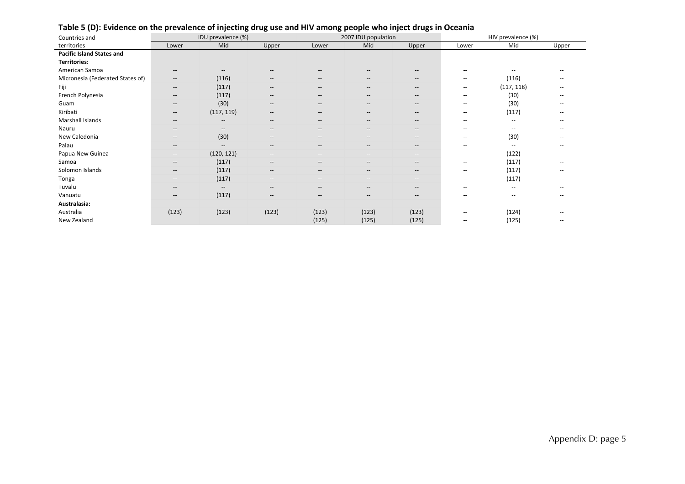| Countries and                    | IDU prevalence (%)                    |                                                                                                                   |                                                     |                                    | 2007 IDU population |                                                     | HIV prevalence (%)       |                          |                          |  |
|----------------------------------|---------------------------------------|-------------------------------------------------------------------------------------------------------------------|-----------------------------------------------------|------------------------------------|---------------------|-----------------------------------------------------|--------------------------|--------------------------|--------------------------|--|
| territories                      | Lower                                 | Mid                                                                                                               | Upper                                               | Lower                              | Mid                 | Upper                                               | Lower                    | Mid                      | Upper                    |  |
| <b>Pacific Island States and</b> |                                       |                                                                                                                   |                                                     |                                    |                     |                                                     |                          |                          |                          |  |
| <b>Territories:</b>              |                                       |                                                                                                                   |                                                     |                                    |                     |                                                     |                          |                          |                          |  |
| American Samoa                   | $\hspace{0.05cm}$ – $\hspace{0.05cm}$ | $\hspace{0.05cm} \hspace{0.02cm} \hspace{0.02cm} \hspace{0.02cm} \hspace{0.02cm} \hspace{0.02cm} \hspace{0.02cm}$ | $-$                                                 | --                                 |                     | $\hspace{0.05cm} -\hspace{0.05cm} -\hspace{0.05cm}$ | $\overline{\phantom{m}}$ | --                       | --                       |  |
| Micronesia (Federated States of) | $\hspace{0.05cm}$ – $\hspace{0.05cm}$ | (116)                                                                                                             | $\hspace{0.05cm}$ – $\hspace{0.05cm}$               | $-\!$                              | $--$                | $\hspace{0.05cm} -\hspace{0.05cm} -\hspace{0.05cm}$ | $\overline{\phantom{m}}$ | (116)                    | $\overline{\phantom{m}}$ |  |
| Fiji                             | $\hspace{0.05cm}$ –                   | (117)                                                                                                             | $\hspace{0.05cm} -\hspace{0.05cm} -\hspace{0.05cm}$ | $\hspace{0.05cm} \textbf{--}$      | $\qquad \qquad -$   | $\hspace{0.05cm} -\hspace{0.05cm} -\hspace{0.05cm}$ | $\overline{\phantom{m}}$ | (117, 118)               | $\overline{\phantom{m}}$ |  |
| French Polynesia                 | $\hspace{0.05cm}$ – $\hspace{0.05cm}$ | (117)                                                                                                             | $\hspace{0.05cm}$ – $\hspace{0.05cm}$               | $-\!$                              | $--$                | $\hspace{0.05cm} -\hspace{0.05cm} -\hspace{0.05cm}$ | $\overline{\phantom{m}}$ | (30)                     | $- -$                    |  |
| Guam                             | $\qquad \qquad -$                     | (30)                                                                                                              | $\hspace{0.05cm} -\hspace{0.05cm} -\hspace{0.05cm}$ | $\hspace{0.05cm} -\hspace{0.05cm}$ | $--$                | $\hspace{0.05cm} -\hspace{0.05cm} -\hspace{0.05cm}$ | $\overline{\phantom{m}}$ | (30)                     | $\overline{\phantom{a}}$ |  |
| Kiribati                         | $\hspace{0.05cm}$ –                   | (117, 119)                                                                                                        | $\hspace{0.05cm}$ – $\hspace{0.05cm}$               | $\hspace{0.05cm} \textbf{--}$      | $--$                | $\hspace{0.05cm} -\hspace{0.05cm} -\hspace{0.05cm}$ | $\overline{\phantom{m}}$ | (117)                    | $\overline{\phantom{m}}$ |  |
| Marshall Islands                 | $\hspace{0.05cm}$ – $\hspace{0.05cm}$ | $\hspace{0.05cm} -\hspace{0.05cm} -\hspace{0.05cm}$                                                               | $\hspace{0.05cm} -\hspace{0.05cm} -\hspace{0.05cm}$ | $\hspace{0.05cm} -\hspace{0.05cm}$ | $--$                | $\hspace{0.05cm} -\hspace{0.05cm} -\hspace{0.05cm}$ | $\overline{\phantom{a}}$ | $\overline{\phantom{a}}$ | $\overline{\phantom{m}}$ |  |
| Nauru                            | $\hspace{0.05cm}$ – $\hspace{0.05cm}$ | $\hspace{0.05cm} -\hspace{0.05cm} -\hspace{0.05cm}$                                                               | $\hspace{0.05cm}$ – $\hspace{0.05cm}$               | $\hspace{0.05cm} \textbf{--}$      | $\qquad \qquad -$   | $\hspace{0.05cm} -\hspace{0.05cm} -\hspace{0.05cm}$ | $\overline{\phantom{m}}$ | $\hspace{0.05cm}$        | $\overline{\phantom{m}}$ |  |
| New Caledonia                    | $\hspace{0.05cm} \cdots$              | (30)                                                                                                              | $\overline{\phantom{a}}$                            | $\hspace{0.05cm} -\hspace{0.05cm}$ | $--$                | $\hspace{0.05cm} -\hspace{0.05cm} -\hspace{0.05cm}$ | $\overline{\phantom{a}}$ | (30)                     | $\overline{\phantom{a}}$ |  |
| Palau                            | $\hspace{0.05cm}$ – $\hspace{0.05cm}$ | $\hspace{0.05cm} -\hspace{0.05cm} -\hspace{0.05cm}$                                                               | $\qquad \qquad -$                                   | $\hspace{0.05cm} \textbf{--}$      | $\qquad \qquad -$   | $\hspace{0.05cm} -\hspace{0.05cm} -\hspace{0.05cm}$ | $\overline{\phantom{m}}$ | $\hspace{0.05cm}$        | --                       |  |
| Papua New Guinea                 | $\hspace{0.05cm}$ – $\hspace{0.05cm}$ | (120, 121)                                                                                                        | $\hspace{0.05cm}$ – $\hspace{0.05cm}$               | $\hspace{0.05cm} \textbf{--}$      | $--$                | $\hspace{0.05cm} -\hspace{0.05cm} -\hspace{0.05cm}$ | $\overline{\phantom{a}}$ | (122)                    | $\overline{\phantom{m}}$ |  |
| Samoa                            | $\hspace{0.05cm}$ – $\hspace{0.05cm}$ | (117)                                                                                                             | $\hspace{0.05cm}$ – $\hspace{0.05cm}$               | $\hspace{0.05cm} -\hspace{0.05cm}$ | $--$                | $\hspace{0.05cm} -\hspace{0.05cm} -\hspace{0.05cm}$ | $\overline{\phantom{m}}$ | (117)                    | $\overline{\phantom{m}}$ |  |
| Solomon Islands                  | $\hspace{0.05cm}$ – $\hspace{0.05cm}$ | (117)                                                                                                             | $\hspace{0.05cm}$ – $\hspace{0.05cm}$               | $\hspace{0.05cm} \textbf{--}$      | $--$                | $\hspace{0.05cm} -\hspace{0.05cm} -\hspace{0.05cm}$ | $\overline{\phantom{a}}$ | (117)                    | $\overline{\phantom{a}}$ |  |
| Tonga                            | $\hspace{0.05cm}$ – $\hspace{0.05cm}$ | (117)                                                                                                             | $\hspace{0.05cm}$ – $\hspace{0.05cm}$               | $\hspace{0.05cm} -\hspace{0.05cm}$ | $\qquad \qquad -$   | $\hspace{0.05cm} -\hspace{0.05cm} -\hspace{0.05cm}$ | $\overline{\phantom{m}}$ | (117)                    | $\overline{\phantom{a}}$ |  |
| Tuvalu                           | $\hspace{0.05cm}$ – $\hspace{0.05cm}$ | $- -$                                                                                                             | $\hspace{0.05cm}$ – $\hspace{0.05cm}$               | $-\!$                              | $--$                | $\hspace{0.05cm} -\hspace{0.05cm} -\hspace{0.05cm}$ | $\qquad \qquad -$        | $\overline{\phantom{a}}$ | $\overline{\phantom{m}}$ |  |
| Vanuatu                          | $\hspace{0.05cm}$ – $\hspace{0.05cm}$ | (117)                                                                                                             | $\hspace{0.05cm} -\hspace{0.05cm} -\hspace{0.05cm}$ | --                                 | $--$                | $\hspace{0.05cm} -\hspace{0.05cm} -\hspace{0.05cm}$ | $\qquad \qquad -$        | $\hspace{0.05cm}$        | --                       |  |
| Australasia:                     |                                       |                                                                                                                   |                                                     |                                    |                     |                                                     |                          |                          |                          |  |
| Australia                        | (123)                                 | (123)                                                                                                             | (123)                                               | (123)                              | (123)               | (123)                                               | $\overline{\phantom{m}}$ | (124)                    | $\overline{\phantom{m}}$ |  |
| New Zealand                      |                                       |                                                                                                                   |                                                     | (125)                              | (125)               | (125)                                               | $\qquad \qquad -$        | (125)                    | $\overline{\phantom{m}}$ |  |

#### Table 5 (D): Evidence on the prevalence of injecting drug use and HIV among people who inject drugs in Oceania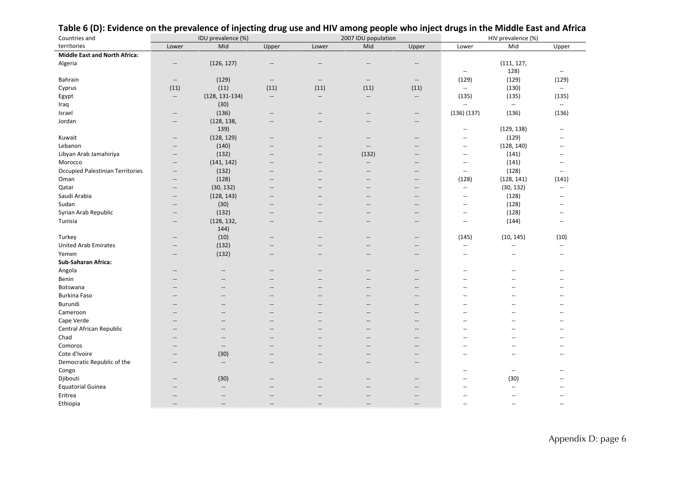| Countries and                           | IDU prevalence (%)       |                                                     |                                                     |                                    | 2007 IDU population                                 |                          | HIV prevalence (%)        |                          |                          |
|-----------------------------------------|--------------------------|-----------------------------------------------------|-----------------------------------------------------|------------------------------------|-----------------------------------------------------|--------------------------|---------------------------|--------------------------|--------------------------|
| territories                             | Lower                    | Mid                                                 | Upper                                               | Lower                              | Mid                                                 | Upper                    | Lower                     | Mid                      | Upper                    |
| <b>Middle East and North Africa:</b>    |                          |                                                     |                                                     |                                    |                                                     |                          |                           |                          |                          |
| Algeria                                 | $\qquad \qquad -$        | (126, 127)                                          | $\overline{\phantom{a}}$                            | $-$                                | --                                                  | $-$                      | $\overline{\phantom{a}}$  | (111, 127,<br>128)       | $\overline{\phantom{a}}$ |
| Bahrain                                 | $\overline{\phantom{a}}$ | (129)                                               | $\overline{\phantom{a}}$                            | $\hspace{0.05cm} -\hspace{0.05cm}$ | $\hspace{0.1mm}-\hspace{0.1mm}-\hspace{0.1mm}$      | $\qquad \qquad -$        | (129)                     | (129)                    | (129)                    |
| Cyprus                                  | (11)                     | (11)                                                | (11)                                                | (11)                               | (11)                                                | (11)                     | $\sim$                    | (130)                    | $\overline{\phantom{a}}$ |
| Egypt                                   | $\overline{\phantom{a}}$ | $(128, 131-134)$                                    | $\overline{\phantom{a}}$                            | $\cdots$                           | $-\!$                                               | $\overline{\phantom{a}}$ | (135)                     | (135)                    | (135)                    |
| Iraq                                    |                          | (30)                                                |                                                     |                                    |                                                     |                          | $\mathbf{u}$              | $\mathbf{u}$             | $\mathbf{u}$             |
| Israel                                  | $\overline{\phantom{a}}$ | (136)                                               | $\hspace{0.05cm} -\hspace{0.05cm} -\hspace{0.05cm}$ | $-\!$                              | $\hspace{0.05cm} -\hspace{0.05cm} -\hspace{0.05cm}$ | $-\hbox{--}$             | $(136)$ $(137)$           | (136)                    | (136)                    |
| Jordan                                  | $\overline{\phantom{a}}$ | (128, 138,<br>139)                                  | $\overline{\phantom{a}}$                            |                                    |                                                     | $-$                      | $\sim$ $\sim$             | (129, 138)               | $\overline{a}$           |
| Kuwait                                  | $\qquad \qquad -$        | (128, 129)                                          | $-\hbox{--}$                                        |                                    | $\overline{\phantom{a}}$                            | $\overline{\phantom{a}}$ | $\overline{a}$            | (129)                    | --                       |
| Lebanon                                 | $\overline{\phantom{a}}$ | (140)                                               | $\overline{a}$                                      | $\overline{a}$                     | $\sim$ $\sim$                                       | $-$                      | $\sim$ $\sim$             | (128, 140)               | <u></u>                  |
| Libyan Arab Jamahiriya                  | $\overline{\phantom{a}}$ | (132)                                               | $\overline{\phantom{a}}$                            | --                                 | (132)                                               | $-$                      | $\sim$ $\sim$             | (141)                    | --                       |
| Morocco                                 | $\qquad \qquad -$        | (141, 142)                                          | $\overline{\phantom{a}}$                            | --                                 | $\overline{\phantom{a}}$                            | $-$                      | $\overline{\phantom{a}}$  | (141)                    | --                       |
| <b>Occupied Palestinian Territories</b> | $\overline{\phantom{a}}$ | (132)                                               | $\overline{\phantom{a}}$                            | $\overline{\phantom{a}}$           | $\overline{\phantom{a}}$                            | $\overline{\phantom{a}}$ | $\overline{\phantom{a}}$  | (128)                    | $\mathbf{u}$             |
| Oman                                    | $\overline{\phantom{a}}$ | (128)                                               | $\overline{\phantom{a}}$                            | --                                 | $-$                                                 | $\overline{\phantom{a}}$ | (128)                     | (128, 141)               | (141)                    |
| Qatar                                   | $\qquad \qquad -$        | (30, 132)                                           | $\overline{\phantom{a}}$                            |                                    | --                                                  | $-$                      | $\mathbb{L}^{\mathbb{L}}$ | (30, 132)                | Ξ.                       |
| Saudi Arabia                            | $\overline{\phantom{a}}$ | (128, 143)                                          | $\overline{\phantom{a}}$                            | $\overline{\phantom{a}}$           | $\overline{a}$                                      | $\overline{\phantom{a}}$ | $\overline{\phantom{a}}$  | (128)                    | <u></u>                  |
| Sudan                                   | --                       | (30)                                                | $-$                                                 | $-$                                | $-$                                                 | $\overline{\phantom{a}}$ | $\sim$ $\sim$             | (128)                    | $-$                      |
| Syrian Arab Republic                    | $\qquad \qquad -$        | (132)                                               | $-\hbox{--}$                                        | --                                 | --                                                  | $\overline{\phantom{a}}$ | $\mathbf{u}$              | (128)                    | --                       |
| Tunisia                                 | $\overline{\phantom{a}}$ | (128, 132,<br>144)                                  | $\overline{\phantom{a}}$                            | $\overline{\phantom{a}}$           | $\overline{a}$                                      | $\overline{\phantom{a}}$ | $\overline{\phantom{a}}$  | (144)                    | --                       |
| Turkey                                  |                          | (10)                                                | $\overline{\phantom{a}}$                            |                                    |                                                     | $\overline{\phantom{a}}$ | (145)                     | (10, 145)                | (10)                     |
| <b>United Arab Emirates</b>             | $\overline{\phantom{a}}$ | (132)                                               | $\overline{\phantom{a}}$                            | $-$                                | $-$                                                 | $\overline{\phantom{a}}$ | $\overline{\phantom{a}}$  | $\overline{\phantom{a}}$ | $\mathbf{u}$             |
| Yemen                                   | $\overline{\phantom{a}}$ | (132)                                               | $\overline{\phantom{a}}$                            | --                                 | --                                                  | $-$                      | $\sim$ $\sim$             | $\sim$                   | $\overline{a}$           |
| Sub-Saharan Africa:                     |                          |                                                     |                                                     |                                    |                                                     |                          |                           |                          |                          |
| Angola                                  | $\overline{\phantom{a}}$ | $\overline{\phantom{a}}$                            | $-$                                                 |                                    | $-$                                                 | $\overline{\phantom{a}}$ | $-$                       |                          | $-$                      |
| Benin                                   | --                       | $\overline{\phantom{a}}$                            | $\overline{\phantom{a}}$                            | --                                 |                                                     | $\overline{\phantom{a}}$ | $\overline{a}$            |                          | $\overline{a}$           |
| Botswana                                |                          |                                                     | $\overline{\phantom{a}}$                            |                                    |                                                     | $\overline{\phantom{a}}$ |                           |                          | --                       |
| <b>Burkina Faso</b>                     |                          |                                                     |                                                     |                                    |                                                     | $-$                      |                           |                          | --                       |
| Burundi                                 | --                       | $\overline{\phantom{a}}$                            | $\overline{\phantom{a}}$                            | $\overline{\phantom{a}}$           | $-$                                                 | $\overline{\phantom{a}}$ | $\overline{a}$            | $\overline{a}$           | $\overline{a}$           |
| Cameroon                                |                          |                                                     | $-$                                                 |                                    |                                                     | $-$                      |                           |                          | --                       |
| Cape Verde                              |                          |                                                     | $-$                                                 |                                    | --                                                  | $-$                      | $\overline{a}$            |                          | $\overline{a}$           |
| Central African Republic                | --                       | $\overline{\phantom{a}}$                            | $\overline{\phantom{a}}$                            | $-$                                | $-$                                                 | $\overline{\phantom{a}}$ | $\overline{a}$            |                          | $\overline{a}$           |
| Chad                                    |                          | $-$                                                 | $-$                                                 |                                    |                                                     | $-$                      |                           |                          | --                       |
| Comoros                                 | --                       | $\hspace{0.05cm} -\hspace{0.05cm} -\hspace{0.05cm}$ | $\overline{a}$                                      | $\overline{a}$                     | $\overline{a}$                                      | $\overline{\phantom{a}}$ | $\sim$                    | $\overline{a}$           | --                       |
| Cote d'Ivoire                           | $\overline{a}$           | (30)                                                | $\overline{\phantom{a}}$                            | $-$                                | $\overline{a}$                                      | $\overline{\phantom{a}}$ | $\overline{a}$            | $\overline{a}$           | $\overline{a}$           |
| Democratic Republic of the<br>Congo     | $\overline{\phantom{a}}$ | $\overline{\phantom{a}}$                            | $\qquad \qquad -$                                   | $-$                                | $\hspace{0.05cm} -\hspace{0.05cm} -\hspace{0.05cm}$ | $\overline{\phantom{a}}$ | $-$                       | $\overline{\phantom{a}}$ | --                       |
| Djibouti                                | --                       | (30)                                                |                                                     |                                    | --                                                  | $\overline{\phantom{a}}$ | $-$                       | (30)                     |                          |
| <b>Equatorial Guinea</b>                |                          | $\overline{\phantom{a}}$                            |                                                     |                                    |                                                     |                          | Ξ.                        | $\sim$                   |                          |
| Eritrea                                 |                          | $\overline{a}$                                      |                                                     |                                    |                                                     | $-$                      | $\overline{a}$            |                          | --                       |
| Ethiopia                                | $\overline{a}$           | $-$                                                 | $\overline{\phantom{a}}$                            | $-$                                | --                                                  | $\overline{\phantom{a}}$ | $\sim$ $\sim$             | $\overline{a}$           | $\overline{a}$           |

#### Table 6 (D): Evidence on the prevalence of injecting drug use and HIV among people who inject drugs in the Middle East and Africa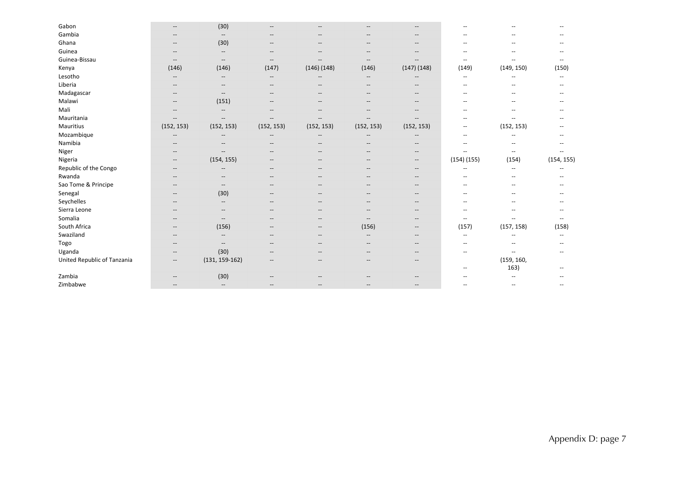| Gabon                       |                                                     | (30)                                                |                                       |                                                     |                                                         |                                                     |                          |                          |            |
|-----------------------------|-----------------------------------------------------|-----------------------------------------------------|---------------------------------------|-----------------------------------------------------|---------------------------------------------------------|-----------------------------------------------------|--------------------------|--------------------------|------------|
| Gambia                      | $-$                                                 | $\overline{\phantom{a}}$                            | $\qquad \qquad -$                     | --                                                  | $- -$                                                   | $- -$                                               | $-$                      | --                       |            |
| Ghana                       | $\hspace{0.05cm} -\hspace{0.05cm} -\hspace{0.05cm}$ | (30)                                                | $\overline{\phantom{a}}$              | $-\!$                                               | $-$                                                     | $\overline{\phantom{a}}$                            | --                       | $\overline{\phantom{a}}$ |            |
| Guinea                      | $\hspace{0.05cm}$ – $\hspace{0.05cm}$               | $\hspace{0.05cm} -\hspace{0.05cm} -\hspace{0.05cm}$ | $\hspace{0.05cm}$ – $\hspace{0.05cm}$ | $- -$                                               | $\hspace{0.05cm} \hspace{0.02cm} \hspace{0.02cm} \dots$ | $\hspace{0.05cm} \ldots$                            | $-$                      | $-$                      |            |
| Guinea-Bissau               | $\hspace{0.05cm} -$                                 | $\overline{\phantom{a}}$                            | $\overline{\phantom{a}}$              |                                                     | $\hspace{0.05cm} -\hspace{0.05cm} -\hspace{0.05cm}$     | $\overline{\phantom{a}}$                            | $\overline{\phantom{a}}$ |                          |            |
| Kenya                       | (146)                                               | (146)                                               | (147)                                 | (146)(148)                                          | (146)                                                   | $(147)$ $(148)$                                     | (149)                    | (149, 150)               | (150)      |
| Lesotho                     | $\qquad \qquad -$                                   | $-$                                                 | $- -$                                 |                                                     | $-$                                                     | $-$                                                 | $-$                      | $-$                      | $- -$      |
| Liberia                     | --                                                  | $\qquad \qquad -$                                   | $\overline{\phantom{a}}$              |                                                     | $\overline{\phantom{a}}$                                | --                                                  | $\overline{\phantom{m}}$ |                          |            |
| Madagascar                  | --                                                  | $\overline{\phantom{a}}$                            | $-$                                   | --                                                  |                                                         | $- -$                                               | --                       |                          |            |
| Malawi                      | $-\!$                                               | (151)                                               | $\overline{\phantom{a}}$              | $- -$                                               | $-$                                                     | $\overline{\phantom{a}}$                            | --                       | $-$                      |            |
| Mali                        | $-\!$                                               | $\hspace{0.05cm} -\hspace{0.05cm} -\hspace{0.05cm}$ | $\overline{\phantom{a}}$              | $\hspace{0.05cm} -\hspace{0.05cm} -\hspace{0.05cm}$ | $\overline{\phantom{a}}$                                | $\overline{\phantom{a}}$                            | $-$                      |                          |            |
| Mauritania                  | --                                                  | $\hspace{0.05cm}$ – $\hspace{0.05cm}$               | --                                    |                                                     | $\overline{\phantom{a}}$                                | $\overline{\phantom{a}}$                            | --                       | --                       |            |
| Mauritius                   | (152, 153)                                          | (152, 153)                                          | (152, 153)                            | (152, 153)                                          | (152, 153)                                              | (152, 153)                                          | $\overline{\phantom{a}}$ | (152, 153)               |            |
| Mozambique                  | $\hspace{0.05cm}$ – $\hspace{0.05cm}$               | $\qquad \qquad -$                                   | $- -$                                 | $-$                                                 | $- -$                                                   | $- -$                                               | $\overline{\phantom{a}}$ | $-$                      |            |
| Namibia                     | --                                                  |                                                     | --                                    | $\qquad \qquad -$                                   | $-$                                                     | $\overline{\phantom{a}}$                            | --                       | --                       |            |
| Niger                       | --                                                  | $\qquad \qquad -$                                   | $\hspace{0.05cm}$ – $\hspace{0.05cm}$ | $- -$                                               | $\qquad \qquad -$                                       | $- -$                                               | $\overline{a}$           | $\overline{\phantom{m}}$ |            |
| Nigeria                     | $\hspace{0.05cm} -\hspace{0.05cm} -\hspace{0.05cm}$ | (154, 155)                                          | $\overline{\phantom{a}}$              | $--$                                                | $-$                                                     | $\hspace{0.05cm} -\hspace{0.05cm} -\hspace{0.05cm}$ | $(154)$ $(155)$          | (154)                    | (154, 155) |
| Republic of the Congo       | --                                                  | $\overline{\phantom{m}}$                            | $- -$                                 | --                                                  |                                                         | $\hspace{0.05cm} -\hspace{0.05cm} -\hspace{0.05cm}$ | --                       | $\overline{\phantom{a}}$ |            |
| Rwanda                      | --                                                  | $- -$                                               | $-$                                   | $- -$                                               | $-$                                                     | $- -$                                               | $-$                      | $-$                      |            |
| Sao Tome & Principe         | --                                                  | $\overline{\phantom{a}}$                            | $- -$                                 | $- -$                                               | $- -$                                                   | $\hspace{0.05cm} \ldots$                            | --                       | $\overline{\phantom{a}}$ |            |
| Senegal                     | $\hspace{0.05cm} -$                                 | (30)                                                | $-$                                   | $-$                                                 | $- -$                                                   | $- -$                                               | $\qquad \qquad -$        | $-$                      |            |
| Seychelles                  | --                                                  | $\overline{\phantom{a}}$                            | $\overline{\phantom{a}}$              | $\hspace{0.05cm} -\hspace{0.05cm}$                  | $-$                                                     | $\hspace{0.05cm} -\hspace{0.05cm} -\hspace{0.05cm}$ | $-$                      | $\overline{\phantom{a}}$ |            |
| Sierra Leone                | $-$                                                 | $\qquad \qquad -$                                   | $\qquad \qquad -$                     | $- -$                                               | $- -$                                                   | $- -$                                               | $- -$                    | --                       |            |
| Somalia                     | $\hspace{0.05cm}$ – $\hspace{0.05cm}$               | $\hspace{0.05cm}$ - $\hspace{0.05cm}$               | $\qquad \qquad -$                     | $- -$                                               | $- -$                                                   | $\hspace{0.05cm} \ldots$                            | $\overline{\phantom{a}}$ | --                       |            |
| South Africa                | $\hspace{0.05cm}$ – $\hspace{0.05cm}$               | (156)                                               | $\overline{\phantom{a}}$              | $\hspace{0.05cm} \ldots$                            | (156)                                                   | $\hspace{0.05cm} \ldots$                            | (157)                    | (157, 158)               | (158)      |
| Swaziland                   | --                                                  | $\qquad \qquad -$                                   | $-$                                   | $-\!$                                               | $-$                                                     | $\hspace{0.05cm} \ldots$                            | $\overline{\phantom{a}}$ | $-$                      | $-$        |
| Togo                        | $\hspace{0.05cm} -\hspace{0.05cm} -\hspace{0.05cm}$ | $\overline{\phantom{a}}$                            | $- -$                                 | --                                                  | $-$                                                     | $\hspace{0.05cm} \ldots$                            | $-$                      |                          |            |
| Uganda                      | $\overline{\phantom{a}}$                            | (30)                                                | $- -$                                 | $- -$                                               | $-$                                                     | $- -$                                               | $\qquad \qquad -$        | $-$                      |            |
| United Republic of Tanzania | $\overline{\phantom{a}}$                            | $(131, 159-162)$                                    | $- -$                                 | $\hspace{0.05cm} -\hspace{0.05cm}$                  | $- -$                                                   | $\hspace{0.05cm} -\hspace{0.05cm} -\hspace{0.05cm}$ | $\overline{\phantom{a}}$ | (159, 160,<br>163)       |            |
| Zambia                      | $-$                                                 | (30)                                                | $-$                                   | $- -$                                               | $- -$                                                   | $- -$                                               | $-$                      |                          |            |
| Zimbabwe                    | $-$                                                 | $\overline{\phantom{a}}$                            | $-$                                   | $-$                                                 |                                                         | $- -$                                               | --                       | $-$                      |            |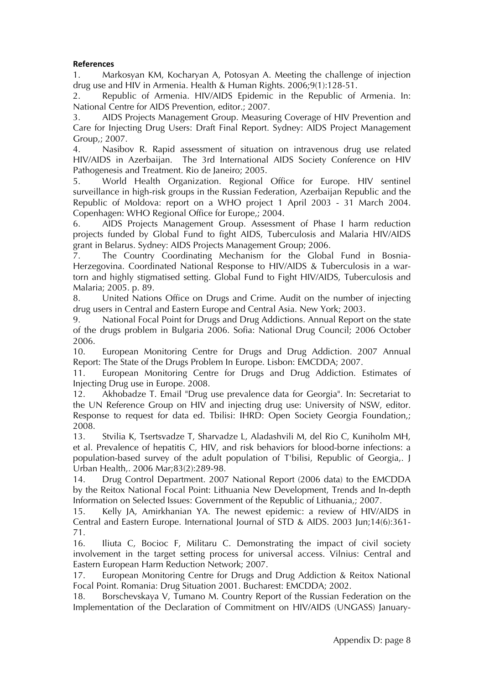#### **References**

1. Markosyan KM, Kocharyan A, Potosyan A. Meeting the challenge of injection drug use and HIV in Armenia. Health & Human Rights. 2006;9(1):128-51.

2. Republic of Armenia. HIV/AIDS Epidemic in the Republic of Armenia. In: National Centre for AIDS Prevention, editor.; 2007.

3. AIDS Projects Management Group. Measuring Coverage of HIV Prevention and Care for Injecting Drug Users: Draft Final Report. Sydney: AIDS Project Management Group,; 2007.

4. Nasibov R. Rapid assessment of situation on intravenous drug use related HIV/AIDS in Azerbaijan. The 3rd International AIDS Society Conference on HIV Pathogenesis and Treatment. Rio de Janeiro; 2005.

5. World Health Organization. Regional Office for Europe. HIV sentinel surveillance in high-risk groups in the Russian Federation, Azerbaijan Republic and the Republic of Moldova: report on a WHO project 1 April 2003 - 31 March 2004. Copenhagen: WHO Regional Office for Europe,; 2004.

6. AIDS Projects Management Group. Assessment of Phase I harm reduction projects funded by Global Fund to fight AIDS, Tuberculosis and Malaria HIV/AIDS grant in Belarus. Sydney: AIDS Projects Management Group; 2006.

7. The Country Coordinating Mechanism for the Global Fund in Bosnia-Herzegovina. Coordinated National Response to HIV/AIDS & Tuberculosis in a wartorn and highly stigmatised setting. Global Fund to Fight HIV/AIDS, Tuberculosis and Malaria; 2005. p. 89.

8. United Nations Office on Drugs and Crime. Audit on the number of injecting drug users in Central and Eastern Europe and Central Asia. New York; 2003.

9. National Focal Point for Drugs and Drug Addictions. Annual Report on the state of the drugs problem in Bulgaria 2006. Sofia: National Drug Council; 2006 October 2006.

10. European Monitoring Centre for Drugs and Drug Addiction. 2007 Annual Report: The State of the Drugs Problem In Europe. Lisbon: EMCDDA; 2007.

11. European Monitoring Centre for Drugs and Drug Addiction. Estimates of Injecting Drug use in Europe. 2008.

12. Akhobadze T. Email "Drug use prevalence data for Georgia". In: Secretariat to the UN Reference Group on HIV and injecting drug use: University of NSW, editor. Response to request for data ed. Tbilisi: IHRD: Open Society Georgia Foundation,; 2008.

13. Stvilia K, Tsertsvadze T, Sharvadze L, Aladashvili M, del Rio C, Kuniholm MH, et al. Prevalence of hepatitis C, HIV, and risk behaviors for blood-borne infections: a population-based survey of the adult population of T'bilisi, Republic of Georgia,. J Urban Health,. 2006 Mar;83(2):289-98.

14. Drug Control Department. 2007 National Report (2006 data) to the EMCDDA by the Reitox National Focal Point: Lithuania New Development, Trends and In-depth Information on Selected Issues: Government of the Republic of Lithuania,; 2007.

15. Kelly JA, Amirkhanian YA. The newest epidemic: a review of HIV/AIDS in Central and Eastern Europe. International Journal of STD & AIDS. 2003 Jun;14(6):361- 71.

16. Iliuta C, Bocioc F, Militaru C. Demonstrating the impact of civil society involvement in the target setting process for universal access. Vilnius: Central and Eastern European Harm Reduction Network; 2007.

17. European Monitoring Centre for Drugs and Drug Addiction & Reitox National Focal Point. Romania: Drug Situation 2001. Bucharest: EMCDDA; 2002.

18. Borschevskaya V, Tumano M. Country Report of the Russian Federation on the Implementation of the Declaration of Commitment on HIV/AIDS (UNGASS) January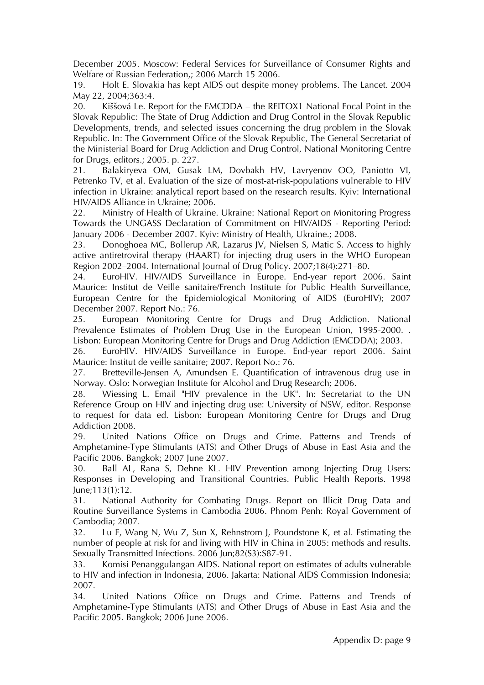December 2005. Moscow: Federal Services for Surveillance of Consumer Rights and Welfare of Russian Federation,; 2006 March 15 2006.

19. Holt E. Slovakia has kept AIDS out despite money problems. The Lancet. 2004 May 22, 2004;363:4.

20. Kiššová Le. Report for the EMCDDA – the REITOX1 National Focal Point in the Slovak Republic: The State of Drug Addiction and Drug Control in the Slovak Republic Developments, trends, and selected issues concerning the drug problem in the Slovak Republic. In: The Government Office of the Slovak Republic, The General Secretariat of the Ministerial Board for Drug Addiction and Drug Control, National Monitoring Centre for Drugs, editors.; 2005. p. 227.

21. Balakiryeva OM, Gusak LM, Dovbakh HV, Lavryenov OO, Paniotto VI, Petrenko TV, et al. Evaluation of the size of most-at-risk-populations vulnerable to HIV infection in Ukraine: analytical report based on the research results. Kyiv: International HIV/AIDS Alliance in Ukraine; 2006.

22. Ministry of Health of Ukraine. Ukraine: National Report on Monitoring Progress Towards the UNGASS Declaration of Commitment on HIV/AIDS - Reporting Period: January 2006 - December 2007. Kyiv: Ministry of Health, Ukraine.; 2008.

23. Donoghoea MC, Bollerup AR, Lazarus JV, Nielsen S, Matic S. Access to highly active antiretroviral therapy (HAART) for injecting drug users in the WHO European Region 2002–2004. International Journal of Drug Policy. 2007;18(4):271–80.

24. EuroHIV. HIV/AIDS Surveillance in Europe. End-year report 2006. Saint Maurice: Institut de Veille sanitaire/French Institute for Public Health Surveillance, European Centre for the Epidemiological Monitoring of AIDS (EuroHIV); 2007 December 2007. Report No.: 76.

25. European Monitoring Centre for Drugs and Drug Addiction. National Prevalence Estimates of Problem Drug Use in the European Union, 1995-2000. . Lisbon: European Monitoring Centre for Drugs and Drug Addiction (EMCDDA); 2003.

26. EuroHIV. HIV/AIDS Surveillance in Europe. End-year report 2006. Saint Maurice: Institut de veille sanitaire; 2007. Report No.: 76.

27. Bretteville-Jensen A, Amundsen E. Quantification of intravenous drug use in Norway. Oslo: Norwegian Institute for Alcohol and Drug Research; 2006.

28. Wiessing L. Email "HIV prevalence in the UK". In: Secretariat to the UN Reference Group on HIV and injecting drug use: University of NSW, editor. Response to request for data ed. Lisbon: European Monitoring Centre for Drugs and Drug Addiction 2008.

29. United Nations Office on Drugs and Crime. Patterns and Trends of Amphetamine-Type Stimulants (ATS) and Other Drugs of Abuse in East Asia and the Pacific 2006. Bangkok; 2007 June 2007.

30. Ball AL, Rana S, Dehne KL. HIV Prevention among Injecting Drug Users: Responses in Developing and Transitional Countries. Public Health Reports. 1998 June;113(1):12.

31. National Authority for Combating Drugs. Report on Illicit Drug Data and Routine Surveillance Systems in Cambodia 2006. Phnom Penh: Royal Government of Cambodia; 2007.

32. Lu F, Wang N, Wu Z, Sun X, Rehnstrom J, Poundstone K, et al. Estimating the number of people at risk for and living with HIV in China in 2005: methods and results. Sexually Transmitted Infections. 2006 Jun;82(S3):S87-91.

33. Komisi Penanggulangan AIDS. National report on estimates of adults vulnerable to HIV and infection in Indonesia, 2006. Jakarta: National AIDS Commission Indonesia; 2007.

34. United Nations Office on Drugs and Crime. Patterns and Trends of Amphetamine-Type Stimulants (ATS) and Other Drugs of Abuse in East Asia and the Pacific 2005. Bangkok; 2006 June 2006.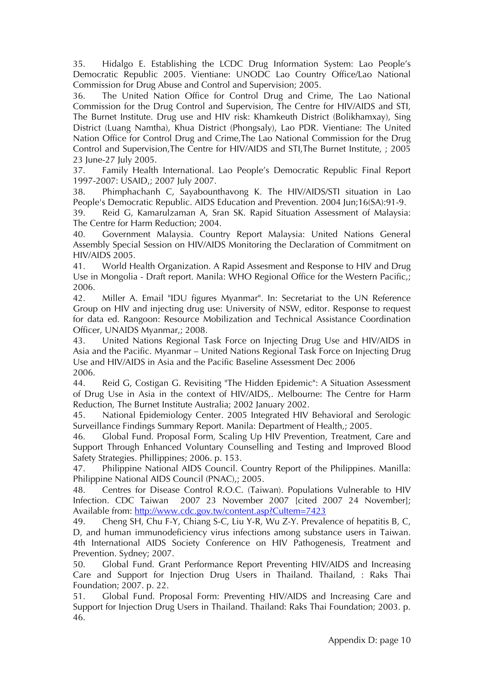35. Hidalgo E. Establishing the LCDC Drug Information System: Lao People's Democratic Republic 2005. Vientiane: UNODC Lao Country Office/Lao National Commission for Drug Abuse and Control and Supervision; 2005.

36. The United Nation Office for Control Drug and Crime, The Lao National Commission for the Drug Control and Supervision, The Centre for HIV/AIDS and STI, The Burnet Institute. Drug use and HIV risk: Khamkeuth District (Bolikhamxay), Sing District (Luang Namtha), Khua District (Phongsaly), Lao PDR. Vientiane: The United Nation Office for Control Drug and Crime,The Lao National Commission for the Drug Control and Supervision,The Centre for HIV/AIDS and STI,The Burnet Institute, ; 2005 23 June-27 July 2005.

37. Family Health International. Lao People's Democratic Republic Final Report 1997-2007: USAID,; 2007 July 2007.

38. Phimphachanh C, Sayabounthavong K. The HIV/AIDS/STI situation in Lao People's Democratic Republic. AIDS Education and Prevention. 2004 Jun;16(SA):91-9.

39. Reid G, Kamarulzaman A, Sran SK. Rapid Situation Assessment of Malaysia: The Centre for Harm Reduction; 2004.

40. Government Malaysia. Country Report Malaysia: United Nations General Assembly Special Session on HIV/AIDS Monitoring the Declaration of Commitment on HIV/AIDS 2005.

41. World Health Organization. A Rapid Assesment and Response to HIV and Drug Use in Mongolia - Draft report. Manila: WHO Regional Office for the Western Pacific,; 2006.

42. Miller A. Email "IDU figures Myanmar". In: Secretariat to the UN Reference Group on HIV and injecting drug use: University of NSW, editor. Response to request for data ed. Rangoon: Resource Mobilization and Technical Assistance Coordination Officer, UNAIDS Myanmar,; 2008.

43. United Nations Regional Task Force on Injecting Drug Use and HIV/AIDS in Asia and the Pacific. Myanmar – United Nations Regional Task Force on Injecting Drug Use and HIV/AIDS in Asia and the Pacific Baseline Assessment Dec 2006 2006.

44. Reid G, Costigan G. Revisiting "The Hidden Epidemic": A Situation Assessment of Drug Use in Asia in the context of HIV/AIDS,. Melbourne: The Centre for Harm Reduction, The Burnet Institute Australia; 2002 January 2002.

45. National Epidemiology Center. 2005 Integrated HIV Behavioral and Serologic Surveillance Findings Summary Report. Manila: Department of Health,; 2005.

46. Global Fund. Proposal Form, Scaling Up HIV Prevention, Treatment, Care and Support Through Enhanced Voluntary Counselling and Testing and Improved Blood Safety Strategies. Phillippines; 2006. p. 153.

47. Philippine National AIDS Council. Country Report of the Philippines. Manilla: Philippine National AIDS Council (PNAC),; 2005.

48. Centres for Disease Control R.O.C. (Taiwan). Populations Vulnerable to HIV Infection. CDC Taiwan 2007 23 November 2007 [cited 2007 24 November]; Available from: http://www.cdc.gov.tw/content.asp?CuItem=7423

49. Cheng SH, Chu F-Y, Chiang S-C, Liu Y-R, Wu Z-Y. Prevalence of hepatitis B, C, D, and human immunodeficiency virus infections among substance users in Taiwan. 4th International AIDS Society Conference on HIV Pathogenesis, Treatment and Prevention. Sydney; 2007.

50. Global Fund. Grant Performance Report Preventing HIV/AIDS and Increasing Care and Support for Injection Drug Users in Thailand. Thailand, : Raks Thai Foundation; 2007. p. 22.

51. Global Fund. Proposal Form: Preventing HIV/AIDS and Increasing Care and Support for Injection Drug Users in Thailand. Thailand: Raks Thai Foundation; 2003. p. 46.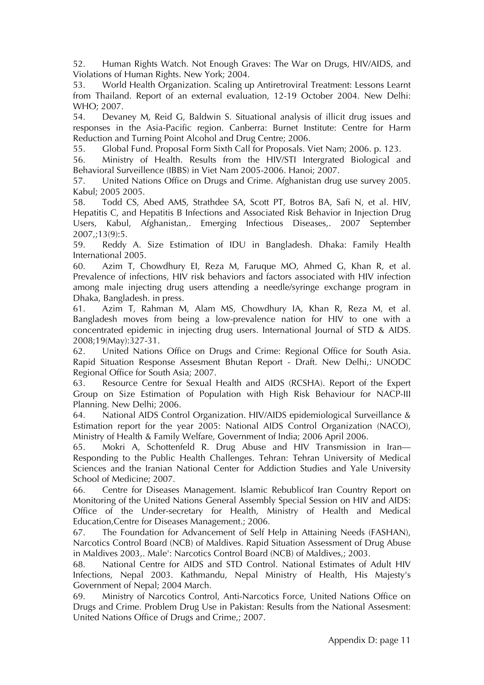52. Human Rights Watch. Not Enough Graves: The War on Drugs, HIV/AIDS, and Violations of Human Rights. New York; 2004.

53. World Health Organization. Scaling up Antiretroviral Treatment: Lessons Learnt from Thailand. Report of an external evaluation, 12-19 October 2004. New Delhi: WHO; 2007.

54. Devaney M, Reid G, Baldwin S. Situational analysis of illicit drug issues and responses in the Asia-Pacific region. Canberra: Burnet Institute: Centre for Harm Reduction and Turning Point Alcohol and Drug Centre; 2006.

55. Global Fund. Proposal Form Sixth Call for Proposals. Viet Nam; 2006. p. 123.

56. Ministry of Health. Results from the HIV/STI Intergrated Biological and Behavioral Surveillence (IBBS) in Viet Nam 2005-2006. Hanoi; 2007.

57. United Nations Office on Drugs and Crime. Afghanistan drug use survey 2005. Kabul; 2005 2005.

58. Todd CS, Abed AMS, Strathdee SA, Scott PT, Botros BA, Safi N, et al. HIV, Hepatitis C, and Hepatitis B Infections and Associated Risk Behavior in Injection Drug Users, Kabul, Afghanistan,. Emerging Infectious Diseases,. 2007 September 2007,;13(9):5.

59. Reddy A. Size Estimation of IDU in Bangladesh. Dhaka: Family Health International 2005.

60. Azim T, Chowdhury EI, Reza M, Faruque MO, Ahmed G, Khan R, et al. Prevalence of infections, HIV risk behaviors and factors associated with HIV infection among male injecting drug users attending a needle/syringe exchange program in Dhaka, Bangladesh. in press.

61. Azim T, Rahman M, Alam MS, Chowdhury IA, Khan R, Reza M, et al. Bangladesh moves from being a low-prevalence nation for HIV to one with a concentrated epidemic in injecting drug users. International Journal of STD & AIDS. 2008;19(May):327-31.

62. United Nations Office on Drugs and Crime: Regional Office for South Asia. Rapid Situation Response Assesment Bhutan Report - Draft. New Delhi,: UNODC Regional Office for South Asia; 2007.

63. Resource Centre for Sexual Health and AIDS (RCSHA). Report of the Expert Group on Size Estimation of Population with High Risk Behaviour for NACP-III Planning. New Delhi; 2006.

64. National AIDS Control Organization. HIV/AIDS epidemiological Surveillance & Estimation report for the year 2005: National AIDS Control Organization (NACO), Ministry of Health & Family Welfare, Government of India; 2006 April 2006.

65. Mokri A, Schottenfeld R. Drug Abuse and HIV Transmission in Iran— Responding to the Public Health Challenges. Tehran: Tehran University of Medical Sciences and the Iranian National Center for Addiction Studies and Yale University School of Medicine; 2007.

66. Centre for Diseases Management. Islamic Rebublicof Iran Country Report on Monitoring of the United Nations General Assembly Special Session on HIV and AIDS: Office of the Under-secretary for Health, Ministry of Health and Medical Education,Centre for Diseases Management.; 2006.

67. The Foundation for Advancement of Self Help in Attaining Needs (FASHAN), Narcotics Control Board (NCB) of Maldives. Rapid Situation Assessment of Drug Abuse in Maldives 2003,. Male': Narcotics Control Board (NCB) of Maldives,; 2003.

68. National Centre for AIDS and STD Control. National Estimates of Adult HIV Infections, Nepal 2003. Kathmandu, Nepal Ministry of Health, His Majesty's Government of Nepal; 2004 March.

69. Ministry of Narcotics Control, Anti-Narcotics Force, United Nations Office on Drugs and Crime. Problem Drug Use in Pakistan: Results from the National Assesment: United Nations Office of Drugs and Crime,; 2007.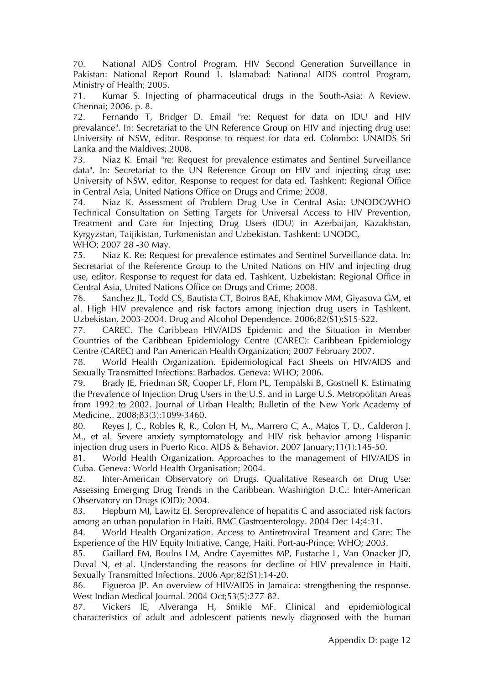70. National AIDS Control Program. HIV Second Generation Surveillance in Pakistan: National Report Round 1. Islamabad: National AIDS control Program, Ministry of Health; 2005.

71. Kumar S. Injecting of pharmaceutical drugs in the South-Asia: A Review. Chennai; 2006. p. 8.

72. Fernando T, Bridger D. Email "re: Request for data on IDU and HIV prevalance". In: Secretariat to the UN Reference Group on HIV and injecting drug use: University of NSW, editor. Response to request for data ed. Colombo: UNAIDS Sri Lanka and the Maldives; 2008.

73. Niaz K. Email "re: Request for prevalence estimates and Sentinel Surveillance data". In: Secretariat to the UN Reference Group on HIV and injecting drug use: University of NSW, editor. Response to request for data ed. Tashkent: Regional Office in Central Asia, United Nations Office on Drugs and Crime; 2008.<br>74. Niaz K. Assessment of Problem Drug Use in Central A

Niaz K. Assessment of Problem Drug Use in Central Asia: UNODC/WHO Technical Consultation on Setting Targets for Universal Access to HIV Prevention, Treatment and Care for Injecting Drug Users (IDU) in Azerbaijan, Kazakhstan, Kyrgyzstan, Taijikistan, Turkmenistan and Uzbekistan. Tashkent: UNODC, WHO; 2007 28 -30 May.

75. Niaz K. Re: Request for prevalence estimates and Sentinel Surveillance data. In: Secretariat of the Reference Group to the United Nations on HIV and injecting drug use, editor. Response to request for data ed. Tashkent, Uzbekistan: Regional Office in Central Asia, United Nations Office on Drugs and Crime; 2008.

76. Sanchez JL, Todd CS, Bautista CT, Botros BAE, Khakimov MM, Giyasova GM, et al. High HIV prevalence and risk factors among injection drug users in Tashkent, Uzbekistan, 2003-2004. Drug and Alcohol Dependence. 2006;82(S1):S15-S22.

77. CAREC. The Caribbean HIV/AIDS Epidemic and the Situation in Member Countries of the Caribbean Epidemiology Centre (CAREC): Caribbean Epidemiology Centre (CAREC) and Pan American Health Organization; 2007 February 2007.

78. World Health Organization. Epidemiological Fact Sheets on HIV/AIDS and Sexually Transmitted Infections: Barbados. Geneva: WHO; 2006.

79. Brady JE, Friedman SR, Cooper LF, Flom PL, Tempalski B, Gostnell K. Estimating the Prevalence of Injection Drug Users in the U.S. and in Large U.S. Metropolitan Areas from 1992 to 2002. Journal of Urban Health: Bulletin of the New York Academy of Medicine,. 2008;83(3):1099-3460.

80. Reyes J, C., Robles R, R., Colon H, M., Marrero C, A., Matos T, D., Calderon J, M., et al. Severe anxiety symptomatology and HIV risk behavior among Hispanic injection drug users in Puerto Rico. AIDS & Behavior. 2007 January;11(1):145-50.

81. World Health Organization. Approaches to the management of HIV/AIDS in Cuba. Geneva: World Health Organisation; 2004.

82. Inter-American Observatory on Drugs. Qualitative Research on Drug Use: Assessing Emerging Drug Trends in the Caribbean. Washington D.C.: Inter-American Observatory on Drugs (OID); 2004.

83. Hepburn MJ, Lawitz EJ. Seroprevalence of hepatitis C and associated risk factors among an urban population in Haiti. BMC Gastroenterology. 2004 Dec 14;4:31.

84. World Health Organization. Access to Antiretroviral Treament and Care: The Experience of the HIV Equity Initiative, Cange, Haiti. Port-au-Prince: WHO; 2003.

85. Gaillard EM, Boulos LM, Andre Cayemittes MP, Eustache L, Van Onacker JD, Duval N, et al. Understanding the reasons for decline of HIV prevalence in Haiti. Sexually Transmitted Infections. 2006 Apr;82(S1):14-20.

86. Figueroa JP. An overview of HIV/AIDS in Jamaica: strengthening the response. West Indian Medical Journal. 2004 Oct;53(5):277-82.

87. Vickers IE, Alveranga H, Smikle MF. Clinical and epidemiological characteristics of adult and adolescent patients newly diagnosed with the human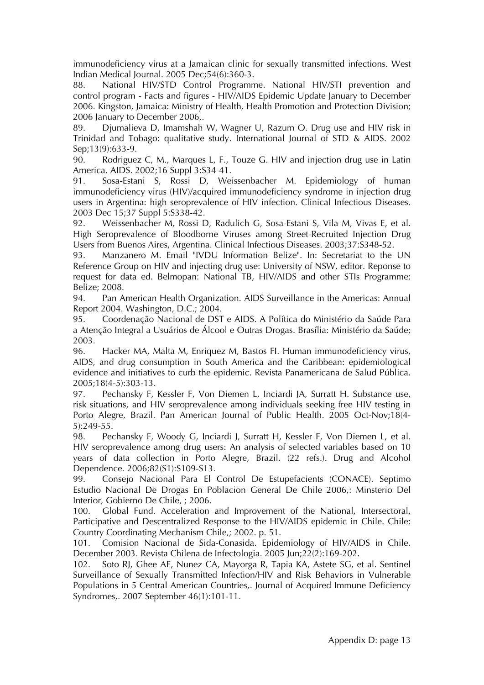immunodeficiency virus at a Jamaican clinic for sexually transmitted infections. West Indian Medical Journal. 2005 Dec;54(6):360-3.

88. National HIV/STD Control Programme. National HIV/STI prevention and control program - Facts and figures - HIV/AIDS Epidemic Update January to December 2006. Kingston, Jamaica: Ministry of Health, Health Promotion and Protection Division; 2006 January to December 2006,.

89. Djumalieva D, Imamshah W, Wagner U, Razum O. Drug use and HIV risk in Trinidad and Tobago: qualitative study. International Journal of STD & AIDS. 2002 Sep;13(9):633-9.

90. Rodriguez C, M., Marques L, F., Touze G. HIV and injection drug use in Latin America. AIDS. 2002;16 Suppl 3:S34-41.

91. Sosa-Estani S, Rossi D, Weissenbacher M. Epidemiology of human immunodeficiency virus (HIV)/acquired immunodeficiency syndrome in injection drug users in Argentina: high seroprevalence of HIV infection. Clinical Infectious Diseases. 2003 Dec 15;37 Suppl 5:S338-42.

92. Weissenbacher M, Rossi D, Radulich G, Sosa-Estani S, Vila M, Vivas E, et al. High Seroprevalence of Bloodborne Viruses among Street-Recruited Injection Drug Users from Buenos Aires, Argentina. Clinical Infectious Diseases. 2003;37:S348-52.

93. Manzanero M. Email "IVDU Information Belize". In: Secretariat to the UN Reference Group on HIV and injecting drug use: University of NSW, editor. Reponse to request for data ed. Belmopan: National TB, HIV/AIDS and other STIs Programme: Belize; 2008.

94. Pan American Health Organization. AIDS Surveillance in the Americas: Annual Report 2004. Washington, D.C.; 2004.

95. Coordenação Nacional de DST e AIDS. A Política do Ministério da Saúde Para a Atenção Integral a Usuários de Álcool e Outras Drogas. Brasília: Ministério da Saúde; 2003.

96. Hacker MA, Malta M, Enriquez M, Bastos FI. Human immunodeficiency virus, AIDS, and drug consumption in South America and the Caribbean: epidemiological evidence and initiatives to curb the epidemic. Revista Panamericana de Salud Pública. 2005;18(4-5):303-13.

97. Pechansky F, Kessler F, Von Diemen L, Inciardi JA, Surratt H. Substance use, risk situations, and HIV seroprevalence among individuals seeking free HIV testing in Porto Alegre, Brazil. Pan American Journal of Public Health. 2005 Oct-Nov;18(4- 5):249-55.

98. Pechansky F, Woody G, Inciardi J, Surratt H, Kessler F, Von Diemen L, et al. HIV seroprevalence among drug users: An analysis of selected variables based on 10 years of data collection in Porto Alegre, Brazil. (22 refs.). Drug and Alcohol Dependence. 2006;82(S1):S109-S13.

99. Consejo Nacional Para El Control De Estupefacients (CONACE). Septimo Estudio Nacional De Drogas En Poblacion General De Chile 2006,: Minsterio Del Interior, Gobierno De Chile, ; 2006.

100. Global Fund. Acceleration and Improvement of the National, Intersectoral, Participative and Descentralized Response to the HIV/AIDS epidemic in Chile. Chile: Country Coordinating Mechanism Chile,; 2002. p. 51.

101. Comision Nacional de Sida-Conasida. Epidemiology of HIV/AIDS in Chile. December 2003. Revista Chilena de Infectologia. 2005 Jun;22(2):169-202.

102. Soto RJ, Ghee AE, Nunez CA, Mayorga R, Tapia KA, Astete SG, et al. Sentinel Surveillance of Sexually Transmitted Infection/HIV and Risk Behaviors in Vulnerable Populations in 5 Central American Countries,. Journal of Acquired Immune Deficiency Syndromes,. 2007 September 46(1):101-11.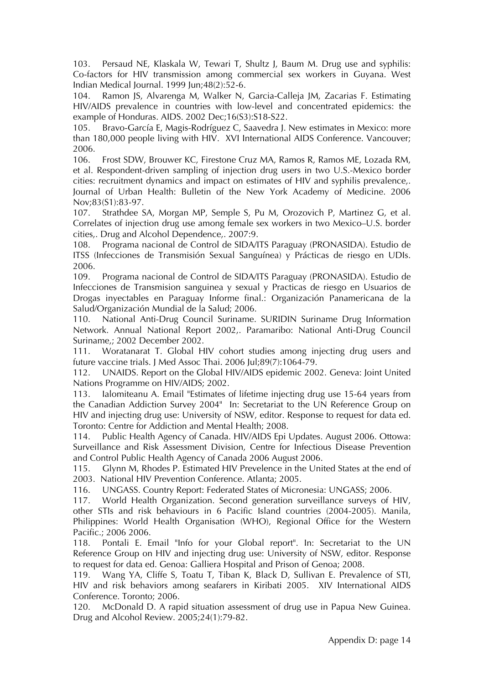103. Persaud NE, Klaskala W, Tewari T, Shultz J, Baum M. Drug use and syphilis: Co-factors for HIV transmission among commercial sex workers in Guyana. West Indian Medical Journal. 1999 Jun;48(2):52-6.

104. Ramon JS, Alvarenga M, Walker N, Garcia-Calleja JM, Zacarias F. Estimating HIV/AIDS prevalence in countries with low-level and concentrated epidemics: the example of Honduras. AIDS. 2002 Dec;16(S3):S18-S22.

105. Bravo-García E, Magis-Rodríguez C, Saavedra J. New estimates in Mexico: more than 180,000 people living with HIV. XVI International AIDS Conference. Vancouver; 2006.

106. Frost SDW, Brouwer KC, Firestone Cruz MA, Ramos R, Ramos ME, Lozada RM, et al. Respondent-driven sampling of injection drug users in two U.S.-Mexico border cities: recruitment dynamics and impact on estimates of HIV and syphilis prevalence,. Journal of Urban Health: Bulletin of the New York Academy of Medicine. 2006 Nov;83(S1):83-97.

107. Strathdee SA, Morgan MP, Semple S, Pu M, Orozovich P, Martinez G, et al. Correlates of injection drug use among female sex workers in two Mexico–U.S. border cities,. Drug and Alcohol Dependence,. 2007:9.

108. Programa nacional de Control de SIDA/ITS Paraguay (PRONASIDA). Estudio de ITSS (Infecciones de Transmisión Sexual Sanguínea) y Prácticas de riesgo en UDIs. 2006.

109. Programa nacional de Control de SIDA/ITS Paraguay (PRONASIDA). Estudio de Infecciones de Transmision sanguinea y sexual y Practicas de riesgo en Usuarios de Drogas inyectables en Paraguay Informe final.: Organización Panamericana de la Salud/Organización Mundial de la Salud; 2006.

110. National Anti-Drug Council Suriname. SURIDIN Suriname Drug Information Network. Annual National Report 2002,. Paramaribo: National Anti-Drug Council Suriname,; 2002 December 2002.

111. Woratanarat T. Global HIV cohort studies among injecting drug users and future vaccine trials. J Med Assoc Thai. 2006 Jul;89(7):1064-79.

112. UNAIDS. Report on the Global HIV/AIDS epidemic 2002. Geneva: Joint United Nations Programme on HIV/AIDS; 2002.

113. Ialomiteanu A. Email "Estimates of lifetime injecting drug use 15-64 years from the Canadian Addiction Survey 2004" In: Secretariat to the UN Reference Group on HIV and injecting drug use: University of NSW, editor. Response to request for data ed. Toronto: Centre for Addiction and Mental Health; 2008.

114. Public Health Agency of Canada. HIV/AIDS Epi Updates. August 2006. Ottowa: Surveillance and Risk Assessment Division, Centre for Infectious Disease Prevention and Control Public Health Agency of Canada 2006 August 2006.

115. Glynn M, Rhodes P. Estimated HIV Prevelence in the United States at the end of 2003. National HIV Prevention Conference. Atlanta; 2005.

116. UNGASS. Country Report: Federated States of Micronesia: UNGASS; 2006.

117. World Health Organization. Second generation surveillance surveys of HIV, other STIs and risk behaviours in 6 Pacific Island countries (2004-2005). Manila, Philippines: World Health Organisation (WHO), Regional Office for the Western Pacific.; 2006 2006.

118. Pontali E. Email "Info for your Global report". In: Secretariat to the UN Reference Group on HIV and injecting drug use: University of NSW, editor. Response to request for data ed. Genoa: Galliera Hospital and Prison of Genoa; 2008.

119. Wang YA, Cliffe S, Toatu T, Tiban K, Black D, Sullivan E. Prevalence of STI, HIV and risk behaviors among seafarers in Kiribati 2005. XIV International AIDS Conference. Toronto; 2006.

120. McDonald D. A rapid situation assessment of drug use in Papua New Guinea. Drug and Alcohol Review. 2005;24(1):79-82.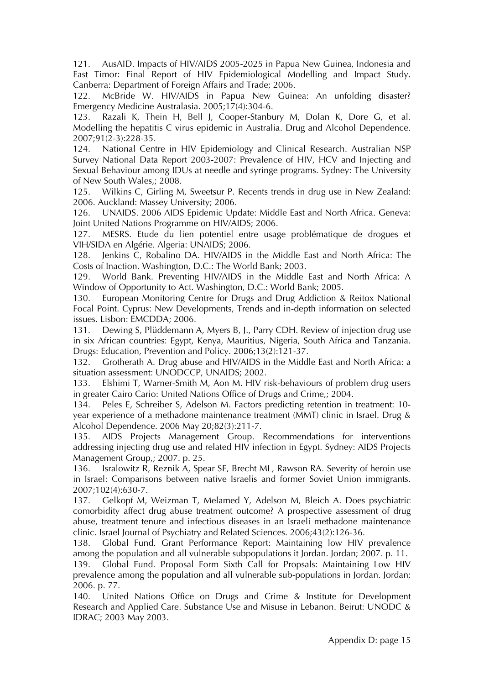121. AusAID. Impacts of HIV/AIDS 2005-2025 in Papua New Guinea, Indonesia and East Timor: Final Report of HIV Epidemiological Modelling and Impact Study. Canberra: Department of Foreign Affairs and Trade; 2006.

122. McBride W. HIV/AIDS in Papua New Guinea: An unfolding disaster? Emergency Medicine Australasia. 2005;17(4):304-6.

123. Razali K, Thein H, Bell J, Cooper-Stanbury M, Dolan K, Dore G, et al. Modelling the hepatitis C virus epidemic in Australia. Drug and Alcohol Dependence. 2007;91(2-3):228-35.

124. National Centre in HIV Epidemiology and Clinical Research. Australian NSP Survey National Data Report 2003-2007: Prevalence of HIV, HCV and Injecting and Sexual Behaviour among IDUs at needle and syringe programs. Sydney: The University of New South Wales,; 2008.

125. Wilkins C, Girling M, Sweetsur P. Recents trends in drug use in New Zealand: 2006. Auckland: Massey University; 2006.

126. UNAIDS. 2006 AIDS Epidemic Update: Middle East and North Africa. Geneva: Joint United Nations Programme on HIV/AIDS; 2006.

127. MESRS. Etude du lien potentiel entre usage problématique de drogues et VIH/SIDA en Algérie. Algeria: UNAIDS; 2006.

128. Jenkins C, Robalino DA. HIV/AIDS in the Middle East and North Africa: The Costs of Inaction. Washington, D.C.: The World Bank; 2003.

129. World Bank. Preventing HIV/AIDS in the Middle East and North Africa: A Window of Opportunity to Act. Washington, D.C.: World Bank; 2005.

130. European Monitoring Centre for Drugs and Drug Addiction & Reitox National Focal Point. Cyprus: New Developments, Trends and in-depth information on selected issues. Lisbon: EMCDDA; 2006.

131. Dewing S, Plüddemann A, Myers B, J., Parry CDH. Review of injection drug use in six African countries: Egypt, Kenya, Mauritius, Nigeria, South Africa and Tanzania. Drugs: Education, Prevention and Policy. 2006;13(2):121-37.

132. Grotherath A. Drug abuse and HIV/AIDS in the Middle East and North Africa: a situation assessment: UNODCCP, UNAIDS; 2002.

133. Elshimi T, Warner-Smith M, Aon M. HIV risk-behaviours of problem drug users in greater Cairo Cario: United Nations Office of Drugs and Crime,; 2004.

134. Peles E, Schreiber S, Adelson M. Factors predicting retention in treatment: 10 year experience of a methadone maintenance treatment (MMT) clinic in Israel. Drug & Alcohol Dependence. 2006 May 20;82(3):211-7.

135. AIDS Projects Management Group. Recommendations for interventions addressing injecting drug use and related HIV infection in Egypt. Sydney: AIDS Projects Management Group,; 2007. p. 25.

136. Isralowitz R, Reznik A, Spear SE, Brecht ML, Rawson RA. Severity of heroin use in Israel: Comparisons between native Israelis and former Soviet Union immigrants. 2007;102(4):630-7.

137. Gelkopf M, Weizman T, Melamed Y, Adelson M, Bleich A. Does psychiatric comorbidity affect drug abuse treatment outcome? A prospective assessment of drug abuse, treatment tenure and infectious diseases in an Israeli methadone maintenance clinic. Israel Journal of Psychiatry and Related Sciences. 2006;43(2):126-36.

138. Global Fund. Grant Performance Report: Maintaining low HIV prevalence among the population and all vulnerable subpopulations it Jordan. Jordan; 2007. p. 11. 139. Global Fund. Proposal Form Sixth Call for Propsals: Maintaining Low HIV prevalence among the population and all vulnerable sub-populations in Jordan. Jordan; 2006. p. 77.

140. United Nations Office on Drugs and Crime & Institute for Development Research and Applied Care. Substance Use and Misuse in Lebanon. Beirut: UNODC & IDRAC; 2003 May 2003.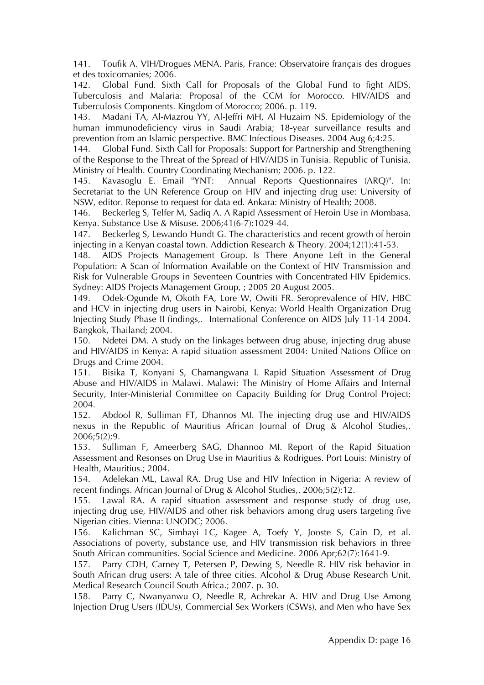141. Toufik A. VIH/Drogues MENA. Paris, France: Observatoire français des drogues et des toxicomanies; 2006.

142. Global Fund. Sixth Call for Proposals of the Global Fund to fight AIDS, Tuberculosis and Malaria: Proposal of the CCM for Morocco. HIV/AIDS and Tuberculosis Components. Kingdom of Morocco; 2006. p. 119.

143. Madani TA, Al-Mazrou YY, Al-Jeffri MH, Al Huzaim NS. Epidemiology of the human immunodeficiency virus in Saudi Arabia; 18-year surveillance results and prevention from an Islamic perspective. BMC Infectious Diseases. 2004 Aug 6;4:25.

144. Global Fund. Sixth Call for Proposals: Support for Partnership and Strengthening of the Response to the Threat of the Spread of HIV/AIDS in Tunisia. Republic of Tunisia, Ministry of Health. Country Coordinating Mechanism; 2006. p. 122.

145. Kavasoglu E. Email "YNT: Annual Reports Questionnaires (ARQ)". In: Secretariat to the UN Reference Group on HIV and injecting drug use: University of NSW, editor. Reponse to request for data ed. Ankara: Ministry of Health; 2008.

146. Beckerleg S, Telfer M, Sadiq A. A Rapid Assessment of Heroin Use in Mombasa, Kenya. Substance Use & Misuse. 2006;41(6-7):1029-44.

147. Beckerleg S, Lewando Hundt G. The characteristics and recent growth of heroin injecting in a Kenyan coastal town. Addiction Research & Theory. 2004;12(1):41-53.

148. AIDS Projects Management Group. Is There Anyone Left in the General Population: A Scan of Information Available on the Context of HIV Transmission and Risk for Vulnerable Groups in Seventeen Countries with Concentrated HIV Epidemics. Sydney: AIDS Projects Management Group, ; 2005 20 August 2005.

149. Odek-Ogunde M, Okoth FA, Lore W, Owiti FR. Seroprevalence of HIV, HBC and HCV in injecting drug users in Nairobi, Kenya: World Health Organization Drug Injecting Study Phase II findings,. International Conference on AIDS July 11-14 2004. Bangkok, Thailand; 2004.

150. Ndetei DM. A study on the linkages between drug abuse, injecting drug abuse and HIV/AIDS in Kenya: A rapid situation assessment 2004: United Nations Office on Drugs and Crime 2004.

151. Bisika T, Konyani S, Chamangwana I. Rapid Situation Assessment of Drug Abuse and HIV/AIDS in Malawi. Malawi: The Ministry of Home Affairs and Internal Security, Inter-Ministerial Committee on Capacity Building for Drug Control Project; 2004.

152. Abdool R, Sulliman FT, Dhannos MI. The injecting drug use and HIV/AIDS nexus in the Republic of Mauritius African Journal of Drug & Alcohol Studies,. 2006;5(2):9.

153. Sulliman F, Ameerberg SAG, Dhannoo MI. Report of the Rapid Situation Assessment and Resonses on Drug Use in Mauritius & Rodrigues. Port Louis: Ministry of Health, Mauritius.; 2004.

154. Adelekan ML, Lawal RA. Drug Use and HIV Infection in Nigeria: A review of recent findings. African Journal of Drug & Alcohol Studies,. 2006;5(2):12.

155. Lawal RA. A rapid situation assessment and response study of drug use, injecting drug use, HIV/AIDS and other risk behaviors among drug users targeting five Nigerian cities. Vienna: UNODC; 2006.

156. Kalichman SC, Simbayi LC, Kagee A, Toefy Y, Jooste S, Cain D, et al. Associations of poverty, substance use, and HIV transmission risk behaviors in three South African communities. Social Science and Medicine. 2006 Apr;62(7):1641-9.

157. Parry CDH, Carney T, Petersen P, Dewing S, Needle R. HIV risk behavior in South African drug users: A tale of three cities. Alcohol & Drug Abuse Research Unit, Medical Research Council South Africa.; 2007. p. 30.

158. Parry C, Nwanyanwu O, Needle R, Achrekar A. HIV and Drug Use Among Injection Drug Users (IDUs), Commercial Sex Workers (CSWs), and Men who have Sex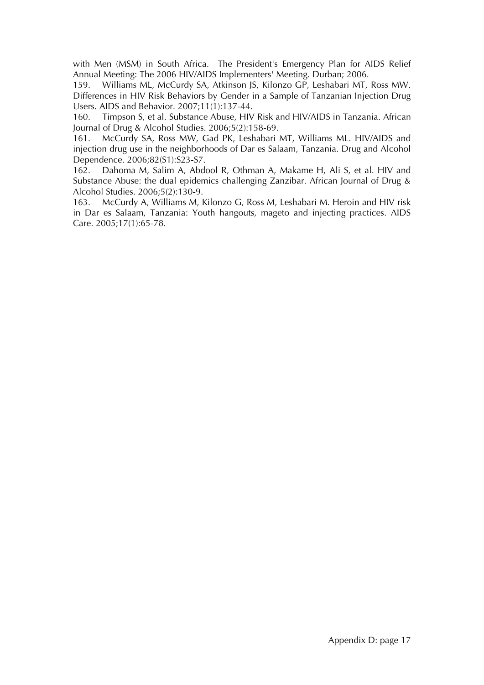with Men (MSM) in South Africa. The President's Emergency Plan for AIDS Relief Annual Meeting: The 2006 HIV/AIDS Implementers' Meeting. Durban; 2006.

159. Williams ML, McCurdy SA, Atkinson JS, Kilonzo GP, Leshabari MT, Ross MW. Differences in HIV Risk Behaviors by Gender in a Sample of Tanzanian Injection Drug Users. AIDS and Behavior. 2007;11(1):137-44.

160. Timpson S, et al. Substance Abuse, HIV Risk and HIV/AIDS in Tanzania. African Journal of Drug & Alcohol Studies. 2006;5(2):158-69.

161. McCurdy SA, Ross MW, Gad PK, Leshabari MT, Williams ML. HIV/AIDS and injection drug use in the neighborhoods of Dar es Salaam, Tanzania. Drug and Alcohol Dependence. 2006;82(S1):S23-S7.

162. Dahoma M, Salim A, Abdool R, Othman A, Makame H, Ali S, et al. HIV and Substance Abuse: the dual epidemics challenging Zanzibar. African Journal of Drug & Alcohol Studies. 2006;5(2):130-9.

163. McCurdy A, Williams M, Kilonzo G, Ross M, Leshabari M. Heroin and HIV risk in Dar es Salaam, Tanzania: Youth hangouts, mageto and injecting practices. AIDS Care. 2005;17(1):65-78.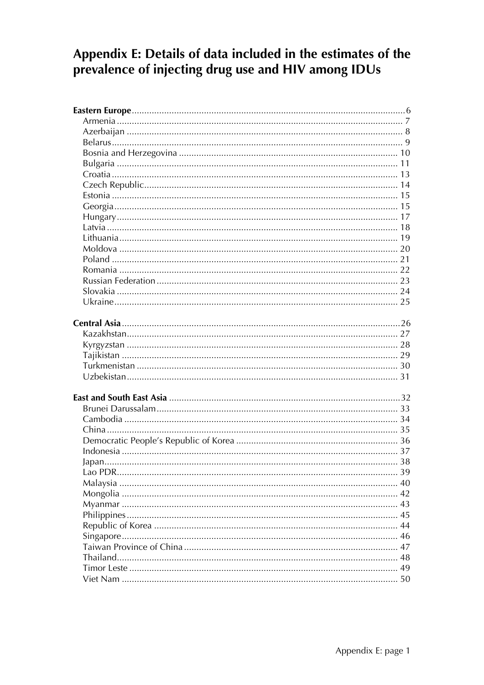# Appendix E: Details of data included in the estimates of the prevalence of injecting drug use and HIV among IDUs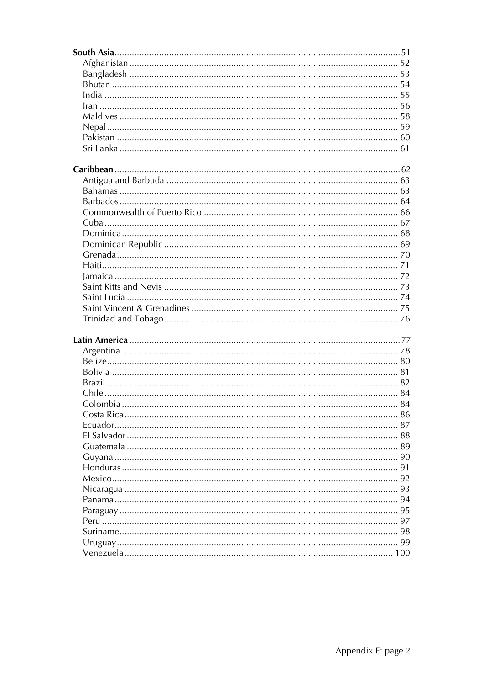| 91 |
|----|
|    |
|    |
| 94 |
| 95 |
|    |
|    |
| 99 |
|    |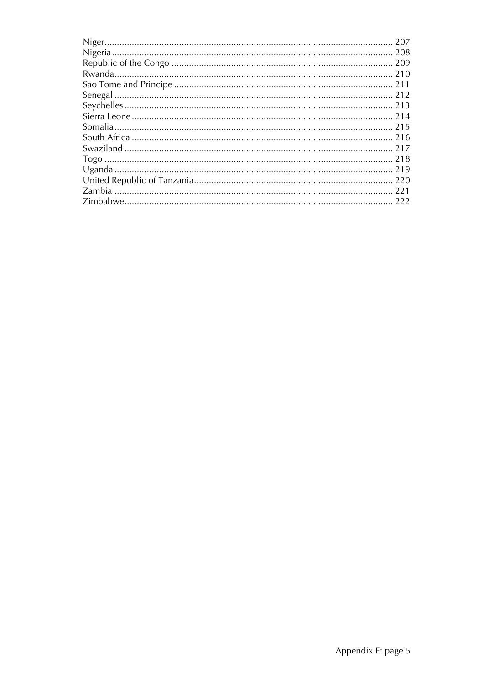| 214 |
|-----|
| 215 |
|     |
| 217 |
|     |
|     |
| 220 |
|     |
| 222 |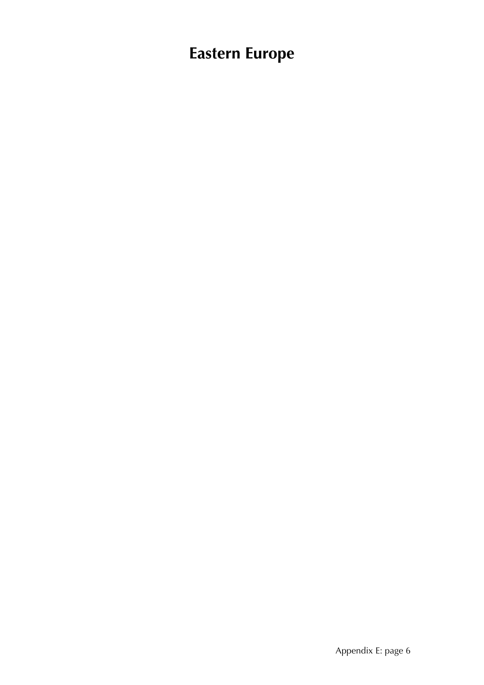# **Eastern Europe**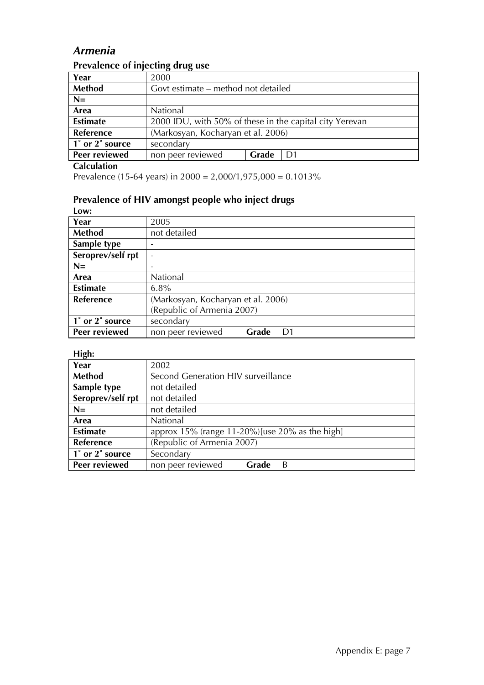# *Armenia*

| <b>Trevalence of injecting and g use</b> |                                                         |  |  |  |
|------------------------------------------|---------------------------------------------------------|--|--|--|
| Year                                     | 2000                                                    |  |  |  |
| Method                                   | Govt estimate – method not detailed                     |  |  |  |
| $N=$                                     |                                                         |  |  |  |
| Area                                     | National                                                |  |  |  |
| <b>Estimate</b>                          | 2000 IDU, with 50% of these in the capital city Yerevan |  |  |  |
| <b>Reference</b>                         | (Markosyan, Kocharyan et al. 2006)                      |  |  |  |
| 1° or 2° source                          | secondary                                               |  |  |  |
| Peer reviewed                            | Grade<br>non peer reviewed<br>D1                        |  |  |  |

### **Prevalence of injecting drug use**

#### **Calculation**

Prevalence (15-64 years) in 2000 = 2,000/1,975,000 = 0.1013%

#### **Prevalence of HIV amongst people who inject drugs**

| Low:              |                                    |       |    |
|-------------------|------------------------------------|-------|----|
| Year              | 2005                               |       |    |
| Method            | not detailed                       |       |    |
| Sample type       |                                    |       |    |
| Seroprev/self rpt |                                    |       |    |
| $N=$              |                                    |       |    |
| Area              | National                           |       |    |
| <b>Estimate</b>   | 6.8%                               |       |    |
| Reference         | (Markosyan, Kocharyan et al. 2006) |       |    |
|                   | (Republic of Armenia 2007)         |       |    |
| 1° or 2° source   | secondary                          |       |    |
| Peer reviewed     | non peer reviewed                  | Grade | D1 |

| Ő<br>Year         | 2002                                                      |                                    |   |  |  |
|-------------------|-----------------------------------------------------------|------------------------------------|---|--|--|
| Method            |                                                           | Second Generation HIV surveillance |   |  |  |
| Sample type       | not detailed                                              |                                    |   |  |  |
| Seroprev/self rpt | not detailed                                              |                                    |   |  |  |
| $N=$              | not detailed                                              |                                    |   |  |  |
| Area              | National                                                  |                                    |   |  |  |
| <b>Estimate</b>   | approx $15\%$ (range $11-20\%$ ) [use $20\%$ as the high] |                                    |   |  |  |
| Reference         | (Republic of Armenia 2007)                                |                                    |   |  |  |
| 1° or 2° source   | Secondary                                                 |                                    |   |  |  |
| Peer reviewed     | non peer reviewed                                         | Grade                              | B |  |  |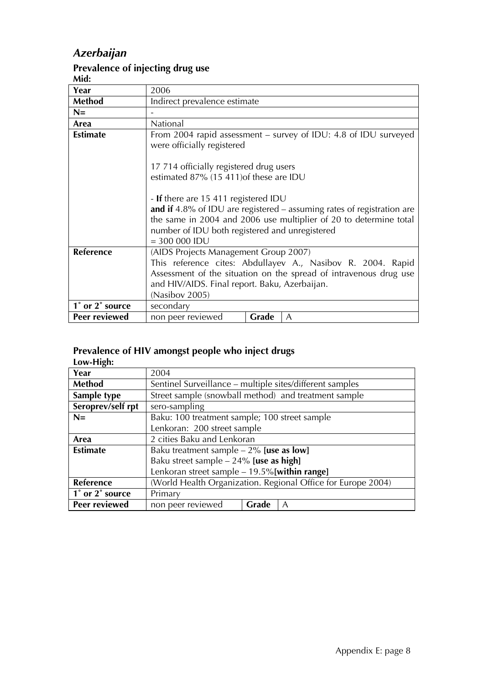# *Azerbaijan*

#### **Prevalence of injecting drug use**

**Mid:**

| ıvılu.           |                                                                                                                                                                                                                                                            |  |  |
|------------------|------------------------------------------------------------------------------------------------------------------------------------------------------------------------------------------------------------------------------------------------------------|--|--|
| Year             | 2006                                                                                                                                                                                                                                                       |  |  |
| Method           | Indirect prevalence estimate                                                                                                                                                                                                                               |  |  |
| $N=$             |                                                                                                                                                                                                                                                            |  |  |
| Area             | National                                                                                                                                                                                                                                                   |  |  |
| <b>Estimate</b>  | From 2004 rapid assessment – survey of IDU: 4.8 of IDU surveyed<br>were officially registered                                                                                                                                                              |  |  |
|                  | 17 714 officially registered drug users                                                                                                                                                                                                                    |  |  |
|                  | estimated 87% (15 411) of these are IDU                                                                                                                                                                                                                    |  |  |
|                  | - If there are 15 411 registered IDU<br>and if 4.8% of IDU are registered $-$ assuming rates of registration are<br>the same in 2004 and 2006 use multiplier of 20 to determine total<br>number of IDU both registered and unregistered<br>$= 300 000$ IDU |  |  |
| <b>Reference</b> | (AIDS Projects Management Group 2007)                                                                                                                                                                                                                      |  |  |
|                  | This reference cites: Abdullayev A., Nasibov R. 2004. Rapid                                                                                                                                                                                                |  |  |
|                  | Assessment of the situation on the spread of intravenous drug use                                                                                                                                                                                          |  |  |
|                  | and HIV/AIDS. Final report. Baku, Azerbaijan.                                                                                                                                                                                                              |  |  |
|                  | (Nasibov 2005)                                                                                                                                                                                                                                             |  |  |
| 1° or 2° source  | secondary                                                                                                                                                                                                                                                  |  |  |
| Peer reviewed    | non peer reviewed<br>Grade<br>$\mathsf{A}$                                                                                                                                                                                                                 |  |  |

### **Prevalence of HIV amongst people who inject drugs**

**Low-High:** 

| Year              | 2004                                                         |                                                          |   |  |  |
|-------------------|--------------------------------------------------------------|----------------------------------------------------------|---|--|--|
| Method            |                                                              | Sentinel Surveillance – multiple sites/different samples |   |  |  |
| Sample type       | Street sample (snowball method) and treatment sample         |                                                          |   |  |  |
| Seroprev/self rpt | sero-sampling                                                |                                                          |   |  |  |
| $N=$              |                                                              | Baku: 100 treatment sample; 100 street sample            |   |  |  |
|                   | Lenkoran: 200 street sample                                  |                                                          |   |  |  |
| Area              | 2 cities Baku and Lenkoran                                   |                                                          |   |  |  |
| <b>Estimate</b>   | Baku treatment sample $-2\%$ [use as low]                    |                                                          |   |  |  |
|                   | Baku street sample $-24\%$ [use as high]                     |                                                          |   |  |  |
|                   | Lenkoran street sample $-19.5\%$ [within range]              |                                                          |   |  |  |
| Reference         | (World Health Organization. Regional Office for Europe 2004) |                                                          |   |  |  |
| 1° or 2° source   | Primary                                                      |                                                          |   |  |  |
| Peer reviewed     | non peer reviewed                                            | Grade                                                    | A |  |  |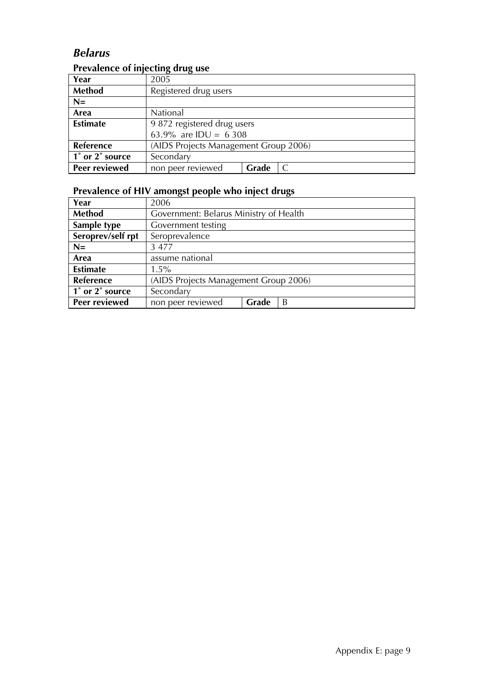# *Belarus*

# **Prevalence of injecting drug use**

| Year            | 2005                                  |       |  |  |
|-----------------|---------------------------------------|-------|--|--|
| Method          | Registered drug users                 |       |  |  |
| $N=$            |                                       |       |  |  |
| Area            | National                              |       |  |  |
| <b>Estimate</b> | 9 872 registered drug users           |       |  |  |
|                 | 63.9% are IDU = 6308                  |       |  |  |
| Reference       | (AIDS Projects Management Group 2006) |       |  |  |
| 1° or 2° source | Secondary                             |       |  |  |
| Peer reviewed   | non peer reviewed                     | Grade |  |  |

| Year                 | 2006                                  |                                        |   |  |  |
|----------------------|---------------------------------------|----------------------------------------|---|--|--|
| <b>Method</b>        |                                       | Government: Belarus Ministry of Health |   |  |  |
| Sample type          | Government testing                    |                                        |   |  |  |
| Seroprev/self rpt    | Seroprevalence                        |                                        |   |  |  |
| $N=$                 | 3 4 7 7                               |                                        |   |  |  |
| Area                 | assume national                       |                                        |   |  |  |
| <b>Estimate</b>      | $1.5\%$                               |                                        |   |  |  |
| Reference            | (AIDS Projects Management Group 2006) |                                        |   |  |  |
| 1° or 2° source      | Secondary                             |                                        |   |  |  |
| <b>Peer reviewed</b> | non peer reviewed                     | Grade                                  | B |  |  |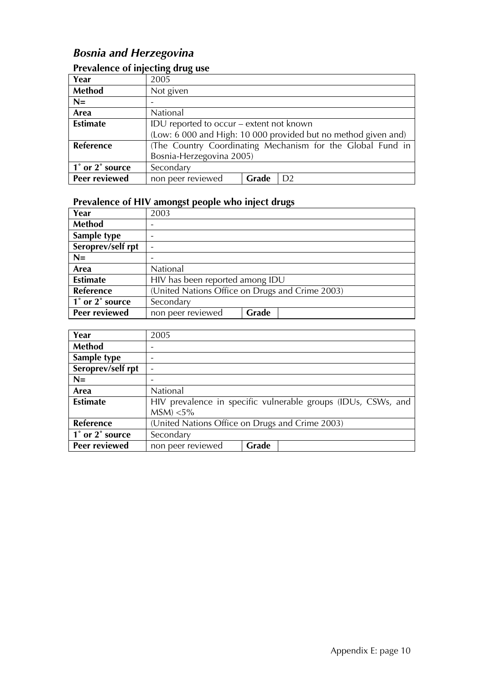# *Bosnia and Herzegovina*

### **Prevalence of injecting drug use**

| Year                    | 2005                                                           |       |    |  |
|-------------------------|----------------------------------------------------------------|-------|----|--|
| <b>Method</b>           | Not given                                                      |       |    |  |
| $N=$                    |                                                                |       |    |  |
| Area                    | National                                                       |       |    |  |
| <b>Estimate</b>         | IDU reported to occur - extent not known                       |       |    |  |
|                         | (Low: 6 000 and High: 10 000 provided but no method given and) |       |    |  |
| Reference               | (The Country Coordinating Mechanism for the Global Fund in     |       |    |  |
|                         | Bosnia-Herzegovina 2005)                                       |       |    |  |
| $\vert$ 1° or 2° source | Secondary                                                      |       |    |  |
| <b>Peer reviewed</b>    | non peer reviewed                                              | Grade | D2 |  |

| Year              | 2003                                            |       |  |  |
|-------------------|-------------------------------------------------|-------|--|--|
| Method            |                                                 |       |  |  |
| Sample type       |                                                 |       |  |  |
| Seroprev/self rpt |                                                 |       |  |  |
| $N=$              |                                                 |       |  |  |
| Area              | National                                        |       |  |  |
| <b>Estimate</b>   | HIV has been reported among IDU                 |       |  |  |
| Reference         | (United Nations Office on Drugs and Crime 2003) |       |  |  |
| 1° or 2° source   | Secondary                                       |       |  |  |
| Peer reviewed     | non peer reviewed                               | Grade |  |  |

| Year              | 2005                                            |       |                                                               |  |
|-------------------|-------------------------------------------------|-------|---------------------------------------------------------------|--|
| Method            |                                                 |       |                                                               |  |
| Sample type       | $\qquad \qquad$                                 |       |                                                               |  |
| Seroprev/self rpt |                                                 |       |                                                               |  |
| $N=$              |                                                 |       |                                                               |  |
| Area              | National                                        |       |                                                               |  |
| <b>Estimate</b>   |                                                 |       | HIV prevalence in specific vulnerable groups (IDUs, CSWs, and |  |
|                   | $MSM$ ) <5%                                     |       |                                                               |  |
| Reference         | (United Nations Office on Drugs and Crime 2003) |       |                                                               |  |
| 1° or 2° source   | Secondary                                       |       |                                                               |  |
| Peer reviewed     | non peer reviewed                               | Grade |                                                               |  |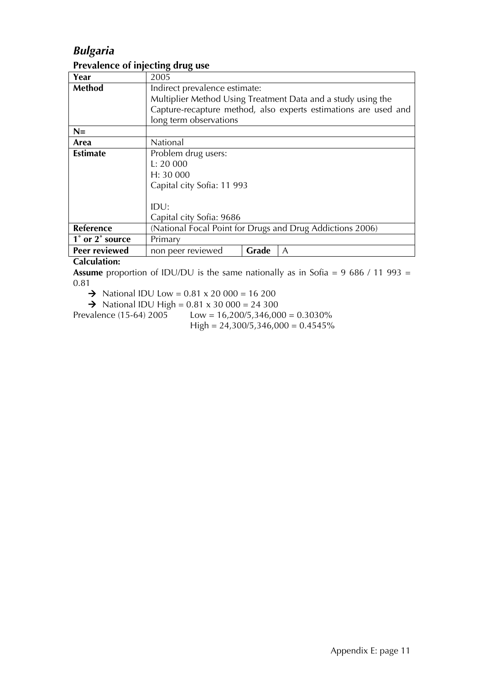# *Bulgaria*

#### **Prevalence of injecting drug use**

| Year            | 2005                                                         |       |                                                                 |  |  |  |
|-----------------|--------------------------------------------------------------|-------|-----------------------------------------------------------------|--|--|--|
| Method          | Indirect prevalence estimate:                                |       |                                                                 |  |  |  |
|                 | Multiplier Method Using Treatment Data and a study using the |       |                                                                 |  |  |  |
|                 |                                                              |       | Capture-recapture method, also experts estimations are used and |  |  |  |
|                 | long term observations                                       |       |                                                                 |  |  |  |
| $N=$            |                                                              |       |                                                                 |  |  |  |
| Area            | National                                                     |       |                                                                 |  |  |  |
| <b>Estimate</b> | Problem drug users:                                          |       |                                                                 |  |  |  |
|                 | L: 20000                                                     |       |                                                                 |  |  |  |
|                 | H: 30000                                                     |       |                                                                 |  |  |  |
|                 | Capital city Sofia: 11 993                                   |       |                                                                 |  |  |  |
|                 |                                                              |       |                                                                 |  |  |  |
|                 | IDU:                                                         |       |                                                                 |  |  |  |
|                 | Capital city Sofia: 9686                                     |       |                                                                 |  |  |  |
| Reference       | (National Focal Point for Drugs and Drug Addictions 2006)    |       |                                                                 |  |  |  |
| 1° or 2° source | Primary                                                      |       |                                                                 |  |  |  |
| Peer reviewed   | non peer reviewed                                            | Grade | A                                                               |  |  |  |

#### **Calculation:**

**Assume** proportion of IDU/DU is the same nationally as in Sofia = 9 686 / 11 993 = 0.81

 $\rightarrow$  National IDU Low = 0.81 x 20 000 = 16 200

A National IDU High =  $0.81 \times 30\,000 = 24\,300$ <br>Prevalence (15-64) 2005 Low = 16,200/5,346,00

 $Low = 16,200/5,346,000 = 0.3030\%$  $High = 24,300/5,346,000 = 0.4545\%$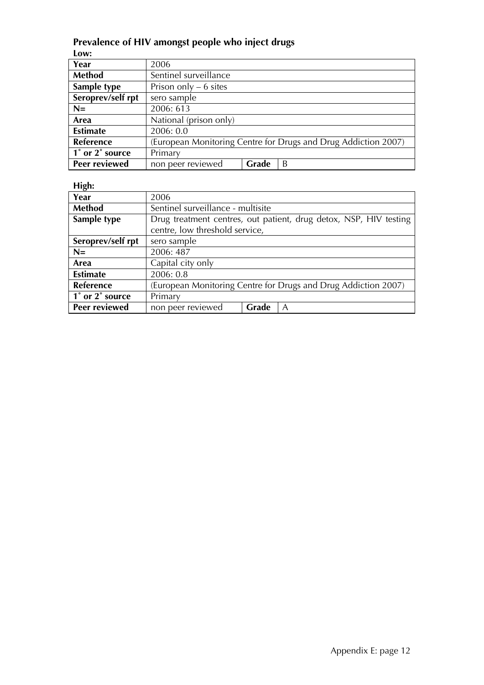# **Prevalence of HIV amongst people who inject drugs**

| Low:              |                        |       |                                                                |
|-------------------|------------------------|-------|----------------------------------------------------------------|
| Year              | 2006                   |       |                                                                |
| Method            | Sentinel surveillance  |       |                                                                |
| Sample type       | Prison only $-6$ sites |       |                                                                |
| Seroprev/self rpt | sero sample            |       |                                                                |
| $N=$              | 2006: 613              |       |                                                                |
| Area              | National (prison only) |       |                                                                |
| <b>Estimate</b>   | 2006: 0.0              |       |                                                                |
| <b>Reference</b>  |                        |       | (European Monitoring Centre for Drugs and Drug Addiction 2007) |
| 1° or 2° source   | Primary                |       |                                                                |
| Peer reviewed     | non peer reviewed      | Grade | B                                                              |

| $\sigma$          |                                                                |                                   |                                                                   |  |  |
|-------------------|----------------------------------------------------------------|-----------------------------------|-------------------------------------------------------------------|--|--|
| Year              | 2006                                                           |                                   |                                                                   |  |  |
| Method            |                                                                | Sentinel surveillance - multisite |                                                                   |  |  |
| Sample type       |                                                                |                                   | Drug treatment centres, out patient, drug detox, NSP, HIV testing |  |  |
|                   | centre, low threshold service,                                 |                                   |                                                                   |  |  |
| Seroprev/self rpt | sero sample                                                    |                                   |                                                                   |  |  |
| $N=$              | 2006: 487                                                      |                                   |                                                                   |  |  |
| Area              | Capital city only                                              |                                   |                                                                   |  |  |
| <b>Estimate</b>   | 2006: 0.8                                                      |                                   |                                                                   |  |  |
| Reference         | (European Monitoring Centre for Drugs and Drug Addiction 2007) |                                   |                                                                   |  |  |
| 1° or 2° source   | Primary                                                        |                                   |                                                                   |  |  |
| Peer reviewed     | non peer reviewed                                              | Grade                             | A                                                                 |  |  |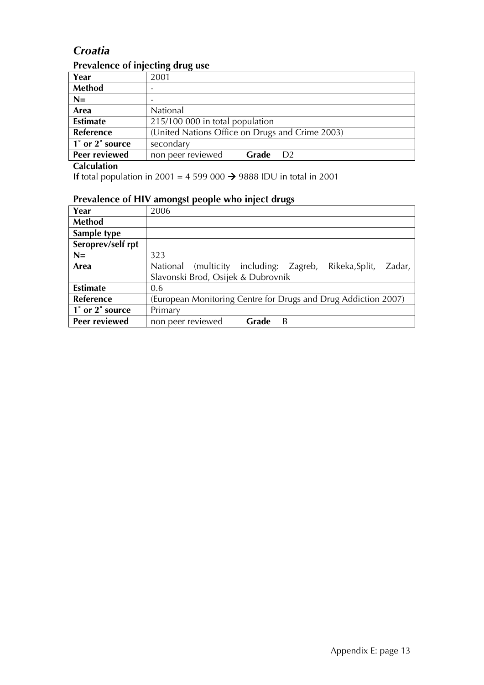# *Croatia*

### **Prevalence of injecting drug use**

| Year            | 2001                                            |       |  |
|-----------------|-------------------------------------------------|-------|--|
| <b>Method</b>   |                                                 |       |  |
| $N=$            |                                                 |       |  |
| Area            | National                                        |       |  |
| <b>Estimate</b> | 215/100 000 in total population                 |       |  |
| Reference       | (United Nations Office on Drugs and Crime 2003) |       |  |
| 1° or 2° source | secondary                                       |       |  |
| Peer reviewed   | non peer reviewed                               | Grade |  |

**Calculation**

**If** total population in 2001 = 4 599 000  $\rightarrow$  9888 IDU in total in 2001

| Year              | 2006                                                           |       |   |                |        |
|-------------------|----------------------------------------------------------------|-------|---|----------------|--------|
| <b>Method</b>     |                                                                |       |   |                |        |
| Sample type       |                                                                |       |   |                |        |
| Seroprev/self rpt |                                                                |       |   |                |        |
| $N=$              | 323                                                            |       |   |                |        |
| Area              | National (multicity including: Zagreb,                         |       |   | Rikeka, Split, | Zadar, |
|                   | Slavonski Brod, Osijek & Dubrovnik                             |       |   |                |        |
| <b>Estimate</b>   | 0.6                                                            |       |   |                |        |
| Reference         | (European Monitoring Centre for Drugs and Drug Addiction 2007) |       |   |                |        |
| 1° or 2° source   | Primary                                                        |       |   |                |        |
| Peer reviewed     | non peer reviewed                                              | Grade | B |                |        |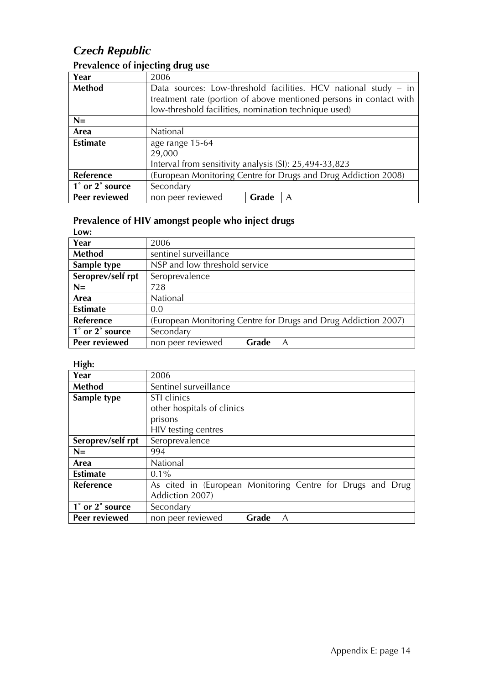# *Czech Republic*

| Year             | 2006                                                               |       |  |  |  |  |
|------------------|--------------------------------------------------------------------|-------|--|--|--|--|
| Method           | Data sources: Low-threshold facilities. HCV national study – in    |       |  |  |  |  |
|                  | treatment rate (portion of above mentioned persons in contact with |       |  |  |  |  |
|                  | low-threshold facilities, nomination technique used)               |       |  |  |  |  |
| $N=$             |                                                                    |       |  |  |  |  |
| Area             | National                                                           |       |  |  |  |  |
| <b>Estimate</b>  | age range 15-64                                                    |       |  |  |  |  |
|                  | 29,000                                                             |       |  |  |  |  |
|                  | Interval from sensitivity analysis (SI): 25,494-33,823             |       |  |  |  |  |
| <b>Reference</b> | (European Monitoring Centre for Drugs and Drug Addiction 2008)     |       |  |  |  |  |
| 1° or 2° source  | Secondary                                                          |       |  |  |  |  |
| Peer reviewed    | non peer reviewed                                                  | Grade |  |  |  |  |

# **Prevalence of injecting drug use**

# **Prevalence of HIV amongst people who inject drugs**

| Low:              |                               |       |                                                                |
|-------------------|-------------------------------|-------|----------------------------------------------------------------|
| Year              | 2006                          |       |                                                                |
| Method            | sentinel surveillance         |       |                                                                |
| Sample type       | NSP and low threshold service |       |                                                                |
| Seroprev/self rpt | Seroprevalence                |       |                                                                |
| $N=$              | 728                           |       |                                                                |
| Area              | National                      |       |                                                                |
| <b>Estimate</b>   | 0.0                           |       |                                                                |
| <b>Reference</b>  |                               |       | (European Monitoring Centre for Drugs and Drug Addiction 2007) |
| 1° or 2° source   | Secondary                     |       |                                                                |
| Peer reviewed     | non peer reviewed             | Grade | A                                                              |

| . 5.              |                            |       |                                                            |
|-------------------|----------------------------|-------|------------------------------------------------------------|
| Year              | 2006                       |       |                                                            |
| Method            | Sentinel surveillance      |       |                                                            |
| Sample type       | STI clinics                |       |                                                            |
|                   | other hospitals of clinics |       |                                                            |
|                   | prisons                    |       |                                                            |
|                   | HIV testing centres        |       |                                                            |
| Seroprev/self rpt | Seroprevalence             |       |                                                            |
| $N=$              | 994                        |       |                                                            |
| Area              | <b>National</b>            |       |                                                            |
| <b>Estimate</b>   | $0.1\%$                    |       |                                                            |
| <b>Reference</b>  |                            |       | As cited in (European Monitoring Centre for Drugs and Drug |
|                   | Addiction 2007)            |       |                                                            |
| 1° or 2° source   | Secondary                  |       |                                                            |
| Peer reviewed     | non peer reviewed          | Grade | A                                                          |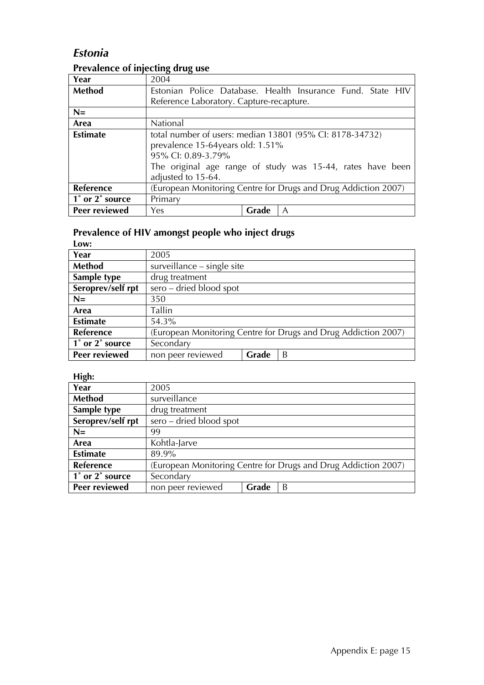# *Estonia*

### **Prevalence of injecting drug use**

| Year             | 2004                                                           |       |                                                            |  |  |
|------------------|----------------------------------------------------------------|-------|------------------------------------------------------------|--|--|
| Method           |                                                                |       | Estonian Police Database. Health Insurance Fund. State HIV |  |  |
|                  | Reference Laboratory. Capture-recapture.                       |       |                                                            |  |  |
| $N=$             |                                                                |       |                                                            |  |  |
| Area             | National                                                       |       |                                                            |  |  |
| <b>Estimate</b>  | total number of users: median 13801 (95% CI: 8178-34732)       |       |                                                            |  |  |
|                  | prevalence 15-64 years old: 1.51%                              |       |                                                            |  |  |
|                  | 95% CI: 0.89-3.79%                                             |       |                                                            |  |  |
|                  | The original age range of study was 15-44, rates have been     |       |                                                            |  |  |
|                  | adjusted to 15-64.                                             |       |                                                            |  |  |
| <b>Reference</b> | (European Monitoring Centre for Drugs and Drug Addiction 2007) |       |                                                            |  |  |
| 1° or 2° source  | Primary                                                        |       |                                                            |  |  |
| Peer reviewed    | <b>Yes</b>                                                     | Grade | A                                                          |  |  |

# **Prevalence of HIV amongst people who inject drugs**

| Low:              |                            |       |                                                                |
|-------------------|----------------------------|-------|----------------------------------------------------------------|
| Year              | 2005                       |       |                                                                |
| Method            | surveillance - single site |       |                                                                |
| Sample type       | drug treatment             |       |                                                                |
| Seroprev/self rpt | sero - dried blood spot    |       |                                                                |
| $N=$              | 350                        |       |                                                                |
| Area              | Tallin                     |       |                                                                |
| <b>Estimate</b>   | 54.3%                      |       |                                                                |
| Reference         |                            |       | (European Monitoring Centre for Drugs and Drug Addiction 2007) |
| 1° or 2° source   | Secondary                  |       |                                                                |
| Peer reviewed     | non peer reviewed          | Grade | B                                                              |

| o<br>Year         | 2005                                                           |       |   |  |
|-------------------|----------------------------------------------------------------|-------|---|--|
| Method            | surveillance                                                   |       |   |  |
| Sample type       | drug treatment                                                 |       |   |  |
| Seroprev/self rpt | sero – dried blood spot                                        |       |   |  |
| $N=$              | 99                                                             |       |   |  |
| Area              | Kohtla-Jarve                                                   |       |   |  |
| <b>Estimate</b>   | 89.9%                                                          |       |   |  |
| Reference         | (European Monitoring Centre for Drugs and Drug Addiction 2007) |       |   |  |
| 1° or 2° source   | Secondary                                                      |       |   |  |
| Peer reviewed     | non peer reviewed                                              | Grade | B |  |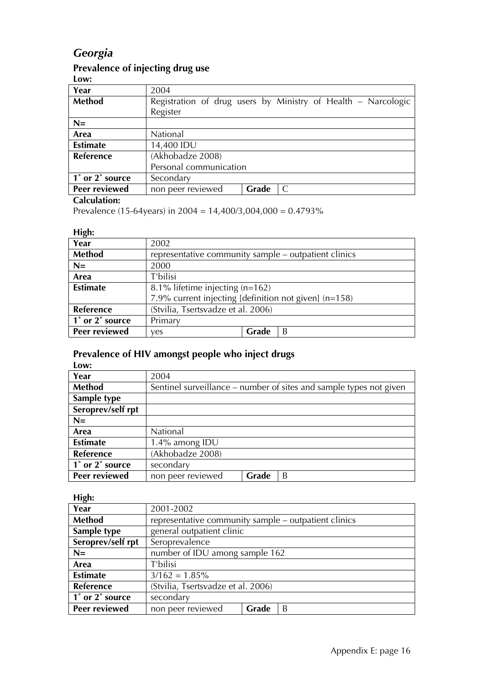# *Georgia*

# **Prevalence of injecting drug use**

**Low:** 

| Year            | 2004                                                          |       |  |  |  |
|-----------------|---------------------------------------------------------------|-------|--|--|--|
| <b>Method</b>   | Registration of drug users by Ministry of Health - Narcologic |       |  |  |  |
|                 | Register                                                      |       |  |  |  |
| $N=$            |                                                               |       |  |  |  |
| Area            | National                                                      |       |  |  |  |
| <b>Estimate</b> | 14,400 IDU                                                    |       |  |  |  |
| Reference       | (Akhobadze 2008)                                              |       |  |  |  |
|                 | Personal communication                                        |       |  |  |  |
| 1° or 2° source | Secondary                                                     |       |  |  |  |
| Peer reviewed   | non peer reviewed                                             | Grade |  |  |  |

#### **Calculation:**

Prevalence (15-64years) in 2004 = 14,400/3,004,000 = 0.4793%

#### **High:**

| ----             |                                                       |       |   |  |
|------------------|-------------------------------------------------------|-------|---|--|
| Year             | 2002                                                  |       |   |  |
| <b>Method</b>    | representative community sample – outpatient clinics  |       |   |  |
| $N=$             | 2000                                                  |       |   |  |
| Area             | T'bilisi                                              |       |   |  |
| <b>Estimate</b>  | 8.1% lifetime injecting (n=162)                       |       |   |  |
|                  | 7.9% current injecting [definition not given] (n=158) |       |   |  |
| <b>Reference</b> | (Stvilia, Tsertsvadze et al. 2006)                    |       |   |  |
| 1° or 2° source  | Primary                                               |       |   |  |
| Peer reviewed    | ves                                                   | Grade | B |  |

### **Prevalence of HIV amongst people who inject drugs**

**Low:** 

| Year              | 2004              |                                                                    |   |  |  |
|-------------------|-------------------|--------------------------------------------------------------------|---|--|--|
| <b>Method</b>     |                   | Sentinel surveillance – number of sites and sample types not given |   |  |  |
| Sample type       |                   |                                                                    |   |  |  |
| Seroprev/self rpt |                   |                                                                    |   |  |  |
| $N=$              |                   |                                                                    |   |  |  |
| Area              | National          |                                                                    |   |  |  |
| <b>Estimate</b>   | 1.4% among IDU    |                                                                    |   |  |  |
| <b>Reference</b>  | (Akhobadze 2008)  |                                                                    |   |  |  |
| 1° or 2° source   | secondary         |                                                                    |   |  |  |
| Peer reviewed     | non peer reviewed | Grade                                                              | B |  |  |

| . <b>. .</b>         |                                    |                                                      |   |  |  |
|----------------------|------------------------------------|------------------------------------------------------|---|--|--|
| Year                 | 2001-2002                          |                                                      |   |  |  |
| <b>Method</b>        |                                    | representative community sample – outpatient clinics |   |  |  |
| Sample type          |                                    | general outpatient clinic                            |   |  |  |
| Seroprev/self rpt    | Seroprevalence                     |                                                      |   |  |  |
| $N=$                 | number of IDU among sample 162     |                                                      |   |  |  |
| Area                 | T'bilisi                           |                                                      |   |  |  |
| <b>Estimate</b>      | $3/162 = 1.85\%$                   |                                                      |   |  |  |
| <b>Reference</b>     | (Stvilia, Tsertsvadze et al. 2006) |                                                      |   |  |  |
| 1° or 2° source      | secondary                          |                                                      |   |  |  |
| <b>Peer reviewed</b> | non peer reviewed                  | Grade                                                | B |  |  |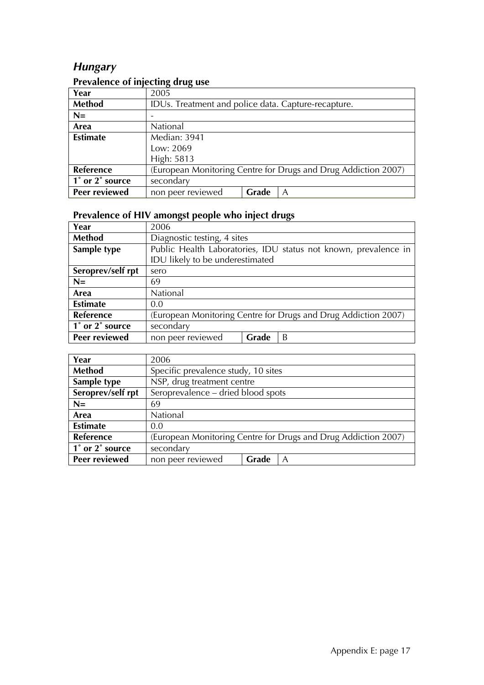# *Hungary*

# **Prevalence of injecting drug use**

|                  | $\sigma$          |                                                     |                                                                |  |  |
|------------------|-------------------|-----------------------------------------------------|----------------------------------------------------------------|--|--|
| Year             | 2005              |                                                     |                                                                |  |  |
| Method           |                   | IDUs. Treatment and police data. Capture-recapture. |                                                                |  |  |
| $N=$             |                   |                                                     |                                                                |  |  |
| Area             | National          |                                                     |                                                                |  |  |
| <b>Estimate</b>  | Median: 3941      |                                                     |                                                                |  |  |
|                  | Low: 2069         |                                                     |                                                                |  |  |
|                  | High: 5813        |                                                     |                                                                |  |  |
| <b>Reference</b> |                   |                                                     | (European Monitoring Centre for Drugs and Drug Addiction 2007) |  |  |
| 1° or 2° source  | secondary         |                                                     |                                                                |  |  |
| Peer reviewed    | non peer reviewed | Grade                                               | A                                                              |  |  |

| Year              | 2006                                                           |                             |                                                                 |  |  |
|-------------------|----------------------------------------------------------------|-----------------------------|-----------------------------------------------------------------|--|--|
| Method            |                                                                | Diagnostic testing, 4 sites |                                                                 |  |  |
| Sample type       |                                                                |                             | Public Health Laboratories, IDU status not known, prevalence in |  |  |
|                   | IDU likely to be underestimated                                |                             |                                                                 |  |  |
| Seroprev/self rpt | sero                                                           |                             |                                                                 |  |  |
| $N=$              | 69                                                             |                             |                                                                 |  |  |
| Area              | National                                                       |                             |                                                                 |  |  |
| <b>Estimate</b>   | 0.0                                                            |                             |                                                                 |  |  |
| <b>Reference</b>  | (European Monitoring Centre for Drugs and Drug Addiction 2007) |                             |                                                                 |  |  |
| 1° or 2° source   | secondary                                                      |                             |                                                                 |  |  |
| Peer reviewed     | non peer reviewed                                              | Grade                       | B                                                               |  |  |

| Year              | 2006                                                           |                                     |   |  |  |
|-------------------|----------------------------------------------------------------|-------------------------------------|---|--|--|
| Method            |                                                                | Specific prevalence study, 10 sites |   |  |  |
| Sample type       | NSP, drug treatment centre                                     |                                     |   |  |  |
| Seroprev/self rpt |                                                                | Seroprevalence - dried blood spots  |   |  |  |
| $N=$              | 69                                                             |                                     |   |  |  |
| Area              | National                                                       |                                     |   |  |  |
| <b>Estimate</b>   | 0.0                                                            |                                     |   |  |  |
| <b>Reference</b>  | (European Monitoring Centre for Drugs and Drug Addiction 2007) |                                     |   |  |  |
| 1° or 2° source   | secondary                                                      |                                     |   |  |  |
| Peer reviewed     | non peer reviewed                                              | Grade                               | A |  |  |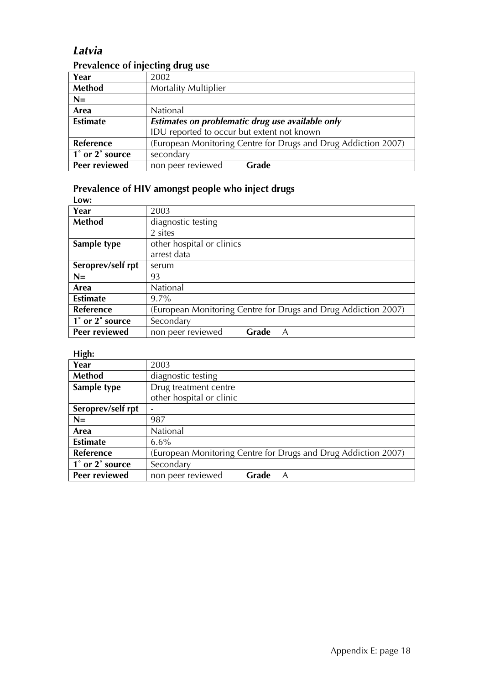# *Latvia*

### **Prevalence of injecting drug use**

| Year                 | 2002                                                           |       |  |  |
|----------------------|----------------------------------------------------------------|-------|--|--|
| <b>Method</b>        | <b>Mortality Multiplier</b>                                    |       |  |  |
| $N=$                 |                                                                |       |  |  |
| Area                 | National                                                       |       |  |  |
| <b>Estimate</b>      | Estimates on problematic drug use available only               |       |  |  |
|                      | IDU reported to occur but extent not known                     |       |  |  |
| Reference            | (European Monitoring Centre for Drugs and Drug Addiction 2007) |       |  |  |
| 1° or 2° source      | secondary                                                      |       |  |  |
| <b>Peer reviewed</b> | non peer reviewed                                              | Grade |  |  |

#### **Prevalence of HIV amongst people who inject drugs**

| Low:              |                                                                |
|-------------------|----------------------------------------------------------------|
| Year              | 2003                                                           |
| <b>Method</b>     | diagnostic testing                                             |
|                   | 2 sites                                                        |
| Sample type       | other hospital or clinics                                      |
|                   | arrest data                                                    |
| Seroprev/self rpt | serum                                                          |
| $N=$              | 93                                                             |
| Area              | <b>National</b>                                                |
| <b>Estimate</b>   | $9.7\%$                                                        |
| Reference         | (European Monitoring Centre for Drugs and Drug Addiction 2007) |
| 1° or 2° source   | Secondary                                                      |
| Peer reviewed     | Grade<br>A<br>non peer reviewed                                |

| $\sigma$<br>Year  | 2003                     |       |                                                                |
|-------------------|--------------------------|-------|----------------------------------------------------------------|
| <b>Method</b>     | diagnostic testing       |       |                                                                |
| Sample type       | Drug treatment centre    |       |                                                                |
|                   | other hospital or clinic |       |                                                                |
| Seroprev/self rpt |                          |       |                                                                |
| $N=$              | 987                      |       |                                                                |
| Area              | National                 |       |                                                                |
| <b>Estimate</b>   | $6.6\%$                  |       |                                                                |
| <b>Reference</b>  |                          |       | (European Monitoring Centre for Drugs and Drug Addiction 2007) |
| 1° or 2° source   | Secondary                |       |                                                                |
| Peer reviewed     | non peer reviewed        | Grade | A                                                              |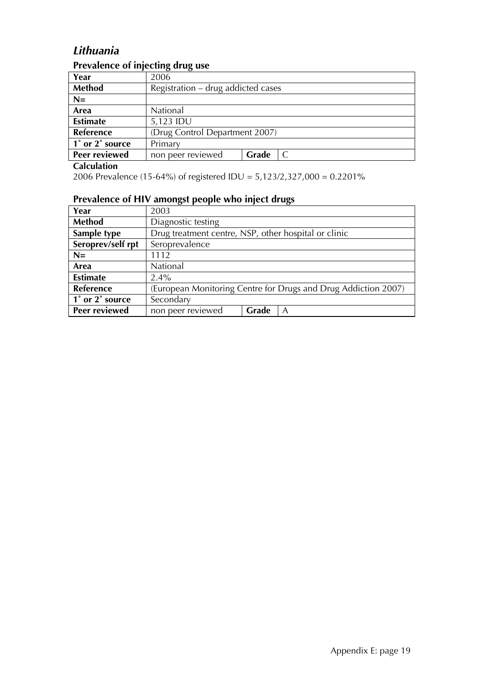# *Lithuania*

| Prevalence of injecting drug use |  |
|----------------------------------|--|
|                                  |  |

| Year                 | 2006                               |       |  |
|----------------------|------------------------------------|-------|--|
| <b>Method</b>        | Registration – drug addicted cases |       |  |
| $N=$                 |                                    |       |  |
| Area                 | National                           |       |  |
| <b>Estimate</b>      | 5,123 IDU                          |       |  |
| <b>Reference</b>     | (Drug Control Department 2007)     |       |  |
| 1° or 2° source      | Primary                            |       |  |
| <b>Peer reviewed</b> | non peer reviewed                  | Grade |  |

#### **Calculation**

2006 Prevalence (15-64%) of registered IDU = 5,123/2,327,000 = 0.2201%

| Year                 | 2003                                                           |                                                      |   |  |  |
|----------------------|----------------------------------------------------------------|------------------------------------------------------|---|--|--|
| Method               | Diagnostic testing                                             |                                                      |   |  |  |
| Sample type          |                                                                | Drug treatment centre, NSP, other hospital or clinic |   |  |  |
| Seroprev/self rpt    | Seroprevalence                                                 |                                                      |   |  |  |
| $N=$                 | 1112                                                           |                                                      |   |  |  |
| Area                 | National                                                       |                                                      |   |  |  |
| <b>Estimate</b>      | $2.4\%$                                                        |                                                      |   |  |  |
| <b>Reference</b>     | (European Monitoring Centre for Drugs and Drug Addiction 2007) |                                                      |   |  |  |
| 1° or 2° source      | Secondary                                                      |                                                      |   |  |  |
| <b>Peer reviewed</b> | non peer reviewed                                              | Grade                                                | A |  |  |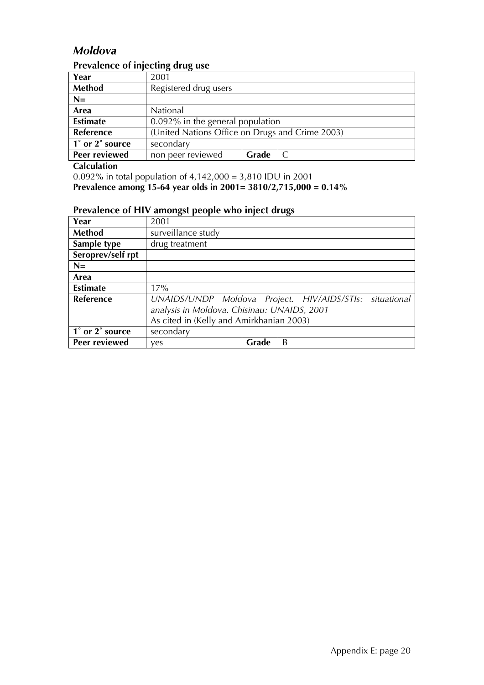# *Moldova*

### **Prevalence of injecting drug use**

| Year                 | 2001                                            |       |  |
|----------------------|-------------------------------------------------|-------|--|
| <b>Method</b>        | Registered drug users                           |       |  |
| $N=$                 |                                                 |       |  |
| Area                 | National                                        |       |  |
| <b>Estimate</b>      | 0.092% in the general population                |       |  |
| Reference            | (United Nations Office on Drugs and Crime 2003) |       |  |
| 1° or 2° source      | secondary                                       |       |  |
| <b>Peer reviewed</b> | non peer reviewed                               | Grade |  |

**Calculation** 

0.092% in total population of 4,142,000 = 3,810 IDU in 2001

**Prevalence among 15-64 year olds in 2001= 3810/2,715,000 = 0.14%** 

| Year              | 2001                                                    |       |   |  |  |
|-------------------|---------------------------------------------------------|-------|---|--|--|
| <b>Method</b>     | surveillance study                                      |       |   |  |  |
| Sample type       | drug treatment                                          |       |   |  |  |
| Seroprev/self rpt |                                                         |       |   |  |  |
| $N=$              |                                                         |       |   |  |  |
| Area              |                                                         |       |   |  |  |
| <b>Estimate</b>   | 17%                                                     |       |   |  |  |
| Reference         | UNAIDS/UNDP Moldova Project. HIV/AIDS/STIs: situational |       |   |  |  |
|                   | analysis in Moldova. Chisinau: UNAIDS, 2001             |       |   |  |  |
|                   | As cited in (Kelly and Amirkhanian 2003)                |       |   |  |  |
| 1° or 2° source   | secondary                                               |       |   |  |  |
| Peer reviewed     | ves                                                     | Grade | B |  |  |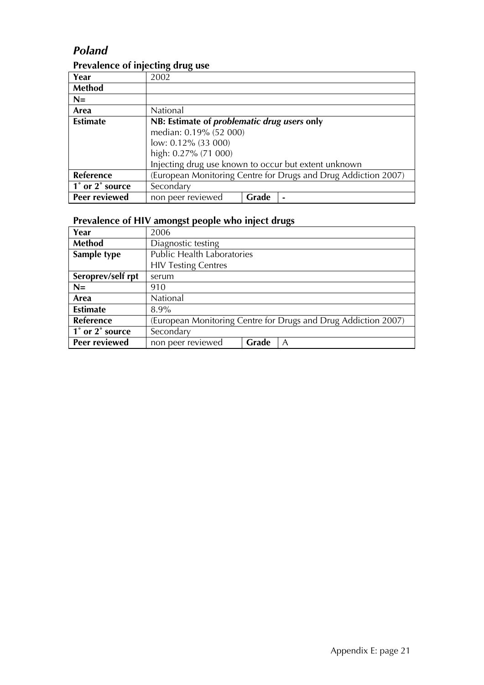### *Poland*

### **Prevalence of injecting drug use**

|                 | . .                                                            |  |  |  |
|-----------------|----------------------------------------------------------------|--|--|--|
| Year            | 2002                                                           |  |  |  |
| Method          |                                                                |  |  |  |
| $N=$            |                                                                |  |  |  |
| Area            | National                                                       |  |  |  |
| <b>Estimate</b> | NB: Estimate of problematic drug users only                    |  |  |  |
|                 | median: 0.19% (52 000)                                         |  |  |  |
|                 | low: $0.12\%$ (33 000)                                         |  |  |  |
|                 | high: 0.27% (71 000)                                           |  |  |  |
|                 | Injecting drug use known to occur but extent unknown           |  |  |  |
| Reference       | (European Monitoring Centre for Drugs and Drug Addiction 2007) |  |  |  |
| 1° or 2° source | Secondary                                                      |  |  |  |
| Peer reviewed   | non peer reviewed<br>Grade                                     |  |  |  |

| Year              | 2006                                                           |  |  |  |
|-------------------|----------------------------------------------------------------|--|--|--|
| Method            | Diagnostic testing                                             |  |  |  |
| Sample type       | <b>Public Health Laboratories</b>                              |  |  |  |
|                   | <b>HIV Testing Centres</b>                                     |  |  |  |
| Seroprev/self rpt | serum                                                          |  |  |  |
| $N=$              | 910                                                            |  |  |  |
| Area              | National                                                       |  |  |  |
| <b>Estimate</b>   | $8.9\%$                                                        |  |  |  |
| Reference         | (European Monitoring Centre for Drugs and Drug Addiction 2007) |  |  |  |
| 1° or 2° source   | Secondary                                                      |  |  |  |
| Peer reviewed     | non peer reviewed<br>Grade<br>A                                |  |  |  |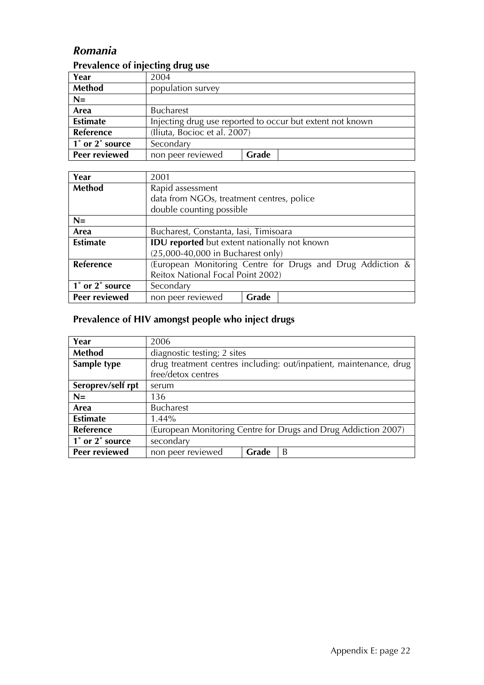# *Romania*

### **Prevalence of injecting drug use**

| Year                 | 2004                                                      |       |  |
|----------------------|-----------------------------------------------------------|-------|--|
| <b>Method</b>        | population survey                                         |       |  |
| $N=$                 |                                                           |       |  |
| Area                 | <b>Bucharest</b>                                          |       |  |
| <b>Estimate</b>      | Injecting drug use reported to occur but extent not known |       |  |
| <b>Reference</b>     | (Iliuta, Bocioc et al. 2007)                              |       |  |
| 1° or 2° source      | Secondary                                                 |       |  |
| <b>Peer reviewed</b> | non peer reviewed                                         | Grade |  |

| Year            | 2001                                                       |  |  |
|-----------------|------------------------------------------------------------|--|--|
| Method          | Rapid assessment                                           |  |  |
|                 | data from NGOs, treatment centres, police                  |  |  |
|                 | double counting possible                                   |  |  |
| $N=$            |                                                            |  |  |
| Area            | Bucharest, Constanta, Iasi, Timisoara                      |  |  |
| <b>Estimate</b> | <b>IDU</b> reported but extent nationally not known        |  |  |
|                 | $(25,000-40,000$ in Bucharest only)                        |  |  |
| Reference       | (European Monitoring Centre for Drugs and Drug Addiction & |  |  |
|                 | Reitox National Focal Point 2002)                          |  |  |
| 1° or 2° source | Secondary                                                  |  |  |
| Peer reviewed   | non peer reviewed<br>Grade                                 |  |  |

| Year              | 2006                                                           |                             |                                                                    |  |  |
|-------------------|----------------------------------------------------------------|-----------------------------|--------------------------------------------------------------------|--|--|
| <b>Method</b>     |                                                                | diagnostic testing; 2 sites |                                                                    |  |  |
| Sample type       |                                                                |                             | drug treatment centres including: out/inpatient, maintenance, drug |  |  |
|                   | free/detox centres                                             |                             |                                                                    |  |  |
| Seroprev/self rpt | serum                                                          |                             |                                                                    |  |  |
| $N=$              | 136                                                            |                             |                                                                    |  |  |
| Area              | <b>Bucharest</b>                                               |                             |                                                                    |  |  |
| <b>Estimate</b>   | $1.44\%$                                                       |                             |                                                                    |  |  |
| Reference         | (European Monitoring Centre for Drugs and Drug Addiction 2007) |                             |                                                                    |  |  |
| 1° or 2° source   | secondary                                                      |                             |                                                                    |  |  |
| Peer reviewed     | non peer reviewed                                              | Grade                       | B                                                                  |  |  |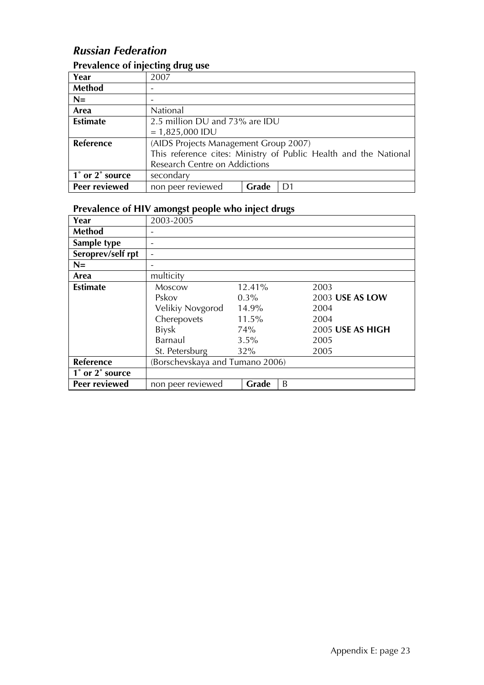# *Russian Federation*

# **Prevalence of injecting drug use**

| Year                                         | 2007                                                             |       |    |
|----------------------------------------------|------------------------------------------------------------------|-------|----|
| Method                                       |                                                                  |       |    |
| $N=$                                         |                                                                  |       |    |
| Area                                         | National                                                         |       |    |
| <b>Estimate</b>                              | 2.5 million DU and 73% are IDU                                   |       |    |
|                                              | $= 1,825,000$ IDU                                                |       |    |
| Reference                                    | (AIDS Projects Management Group 2007)                            |       |    |
|                                              | This reference cites: Ministry of Public Health and the National |       |    |
|                                              | Research Centre on Addictions                                    |       |    |
| $\overline{1}^{\circ}$ or $2^{\circ}$ source | secondary                                                        |       |    |
| Peer reviewed                                | non peer reviewed                                                | Grade | D1 |

| Year              | 2003-2005                      |         |                  |
|-------------------|--------------------------------|---------|------------------|
| <b>Method</b>     |                                |         |                  |
| Sample type       |                                |         |                  |
| Seroprev/self rpt |                                |         |                  |
| $N =$             |                                |         |                  |
| Area              | multicity                      |         |                  |
| <b>Estimate</b>   | <b>Moscow</b>                  | 12.41%  | 2003             |
|                   | Pskov                          | $0.3\%$ | 2003 USE AS LOW  |
|                   | Velikiy Novgorod               | 14.9%   | 2004             |
|                   | Cherepovets                    | 11.5%   | 2004             |
|                   | <b>Biysk</b>                   | 74%     | 2005 USE AS HIGH |
|                   | Barnaul                        | 3.5%    | 2005             |
|                   | St. Petersburg                 | 32%     | 2005             |
| Reference         | Borschevskaya and Tumano 2006) |         |                  |
| 1° or 2° source   |                                |         |                  |
| Peer reviewed     | non peer reviewed              | Grade   | B                |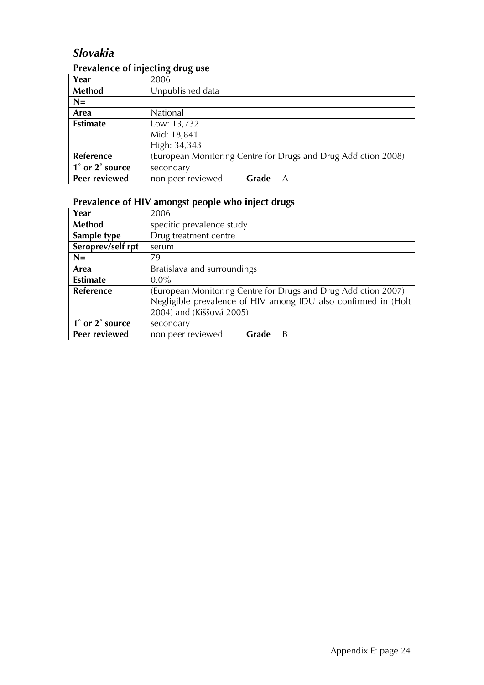# *Slovakia*

### **Prevalence of injecting drug use**

|                      | $\sigma$                                                       |       |   |
|----------------------|----------------------------------------------------------------|-------|---|
| Year                 | 2006                                                           |       |   |
| <b>Method</b>        | Unpublished data                                               |       |   |
| $N=$                 |                                                                |       |   |
| Area                 | National                                                       |       |   |
| <b>Estimate</b>      | Low: 13,732                                                    |       |   |
|                      | Mid: 18,841                                                    |       |   |
|                      | High: 34,343                                                   |       |   |
| Reference            | (European Monitoring Centre for Drugs and Drug Addiction 2008) |       |   |
| 1° or 2° source      | secondary                                                      |       |   |
| <b>Peer reviewed</b> | non peer reviewed                                              | Grade | A |

# **Prevalence of HIV amongst people who inject drugs**

| Year              | 2006                                                                                                                                                         |       |   |  |
|-------------------|--------------------------------------------------------------------------------------------------------------------------------------------------------------|-------|---|--|
| Method            | specific prevalence study                                                                                                                                    |       |   |  |
| Sample type       | Drug treatment centre                                                                                                                                        |       |   |  |
| Seroprev/self rpt | serum                                                                                                                                                        |       |   |  |
| $N=$              | 79                                                                                                                                                           |       |   |  |
| Area              | Bratislava and surroundings                                                                                                                                  |       |   |  |
| <b>Estimate</b>   | $0.0\%$                                                                                                                                                      |       |   |  |
| <b>Reference</b>  | (European Monitoring Centre for Drugs and Drug Addiction 2007)<br>Negligible prevalence of HIV among IDU also confirmed in (Holt<br>2004) and (Kiššová 2005) |       |   |  |
| 1° or 2° source   | secondary                                                                                                                                                    |       |   |  |
| Peer reviewed     | non peer reviewed                                                                                                                                            | Grade | B |  |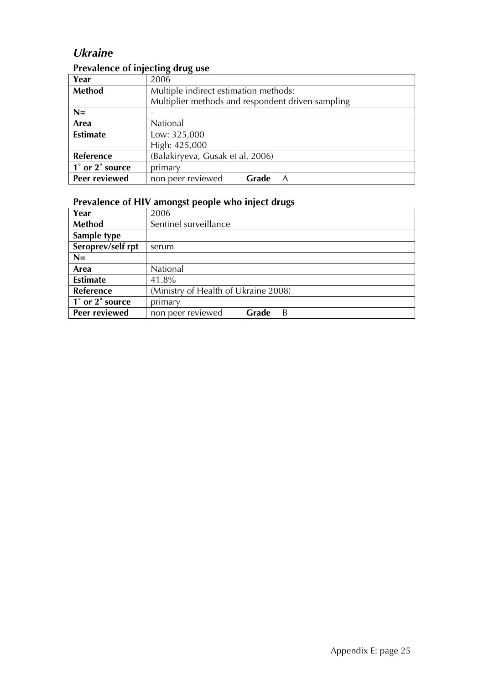# *Ukraine*

### **Prevalence of injecting drug use**

| Year             | 2006                                              |       |   |  |
|------------------|---------------------------------------------------|-------|---|--|
| Method           | Multiple indirect estimation methods:             |       |   |  |
|                  | Multiplier methods and respondent driven sampling |       |   |  |
| $N=$             |                                                   |       |   |  |
| Area             | National                                          |       |   |  |
| <b>Estimate</b>  | Low: 325,000                                      |       |   |  |
|                  | High: 425,000                                     |       |   |  |
| <b>Reference</b> | (Balakiryeva, Gusak et al. 2006)                  |       |   |  |
| 1° or 2° source  | primary                                           |       |   |  |
| Peer reviewed    | non peer reviewed                                 | Grade | Α |  |

| Year              | 2006                                 |       |   |
|-------------------|--------------------------------------|-------|---|
| Method            | Sentinel surveillance                |       |   |
| Sample type       |                                      |       |   |
| Seroprev/self rpt | serum                                |       |   |
| $N=$              |                                      |       |   |
| Area              | National                             |       |   |
| <b>Estimate</b>   | 41.8%                                |       |   |
| <b>Reference</b>  | (Ministry of Health of Ukraine 2008) |       |   |
| 1° or 2° source   | primary                              |       |   |
| Peer reviewed     | non peer reviewed                    | Grade | B |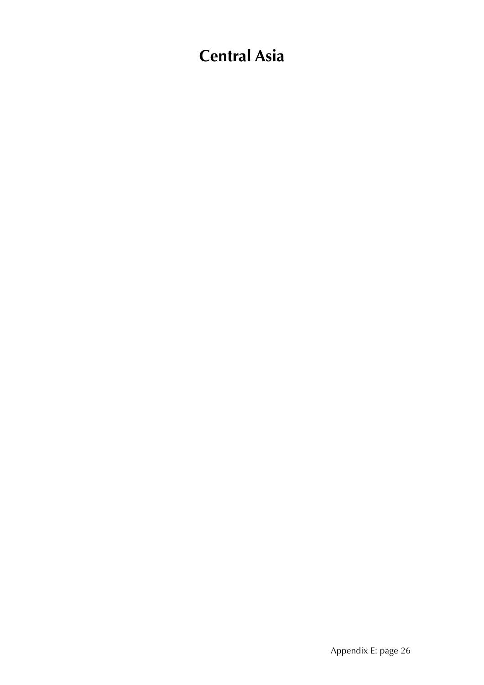# **Central Asia**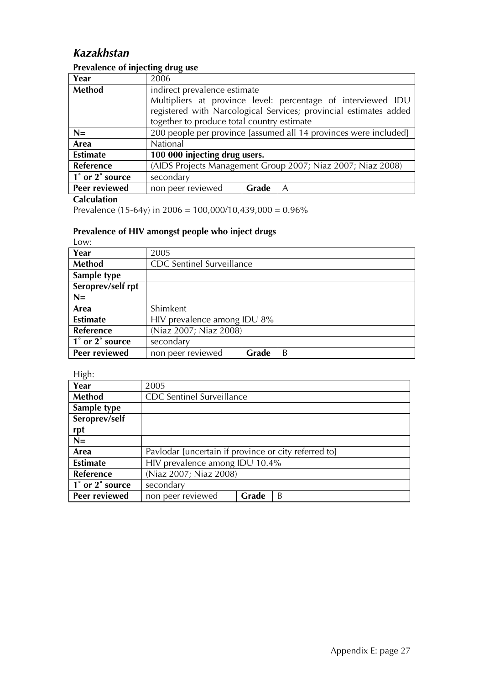# *Kazakhstan*

# **Prevalence of injecting drug use**

| Year                                         | 2006                                                              |  |  |  |
|----------------------------------------------|-------------------------------------------------------------------|--|--|--|
| Method                                       | indirect prevalence estimate                                      |  |  |  |
|                                              | Multipliers at province level: percentage of interviewed IDU      |  |  |  |
|                                              | registered with Narcological Services; provincial estimates added |  |  |  |
|                                              | together to produce total country estimate                        |  |  |  |
| $N=$                                         | 200 people per province [assumed all 14 provinces were included]  |  |  |  |
| Area                                         | National                                                          |  |  |  |
| <b>Estimate</b>                              | 100 000 injecting drug users.                                     |  |  |  |
| Reference                                    | (AIDS Projects Management Group 2007; Niaz 2007; Niaz 2008)       |  |  |  |
| $\overline{1}^{\circ}$ or $2^{\circ}$ source | secondary                                                         |  |  |  |
| Peer reviewed                                | non peer reviewed<br>Grade<br>A                                   |  |  |  |

#### **Calculation**

Prevalence (15-64y) in  $2006 = 100,000/10,439,000 = 0.96\%$ 

### **Prevalence of HIV amongst people who inject drugs**

| ۰.<br>-- | ۰ | ٠ | ٦<br>× |
|----------|---|---|--------|

| Year              | 2005                             |       |   |
|-------------------|----------------------------------|-------|---|
| Method            | <b>CDC</b> Sentinel Surveillance |       |   |
| Sample type       |                                  |       |   |
| Seroprev/self rpt |                                  |       |   |
| $N=$              |                                  |       |   |
| Area              | Shimkent                         |       |   |
| <b>Estimate</b>   | HIV prevalence among IDU 8%      |       |   |
| <b>Reference</b>  | (Niaz 2007; Niaz 2008)           |       |   |
| 1° or 2° source   | secondary                        |       |   |
| Peer reviewed     | non peer reviewed                | Grade | B |

| Year            | 2005                                                 |       |   |  |
|-----------------|------------------------------------------------------|-------|---|--|
| Method          | <b>CDC</b> Sentinel Surveillance                     |       |   |  |
| Sample type     |                                                      |       |   |  |
| Seroprev/self   |                                                      |       |   |  |
| rpt             |                                                      |       |   |  |
| $N=$            |                                                      |       |   |  |
| Area            | Pavlodar [uncertain if province or city referred to] |       |   |  |
| <b>Estimate</b> | HIV prevalence among IDU 10.4%                       |       |   |  |
| Reference       | (Niaz 2007; Niaz 2008)                               |       |   |  |
| 1° or 2° source | secondary                                            |       |   |  |
| Peer reviewed   | non peer reviewed                                    | Grade | B |  |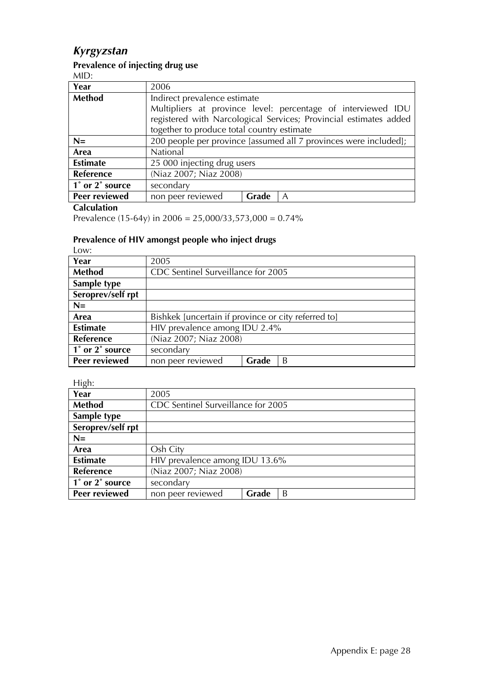# *Kyrgyzstan*

#### **Prevalence of injecting drug use**

MID:

| Year            | 2006                                                             |       |                                                                   |
|-----------------|------------------------------------------------------------------|-------|-------------------------------------------------------------------|
| Method          | Indirect prevalence estimate                                     |       |                                                                   |
|                 | Multipliers at province level: percentage of interviewed IDU     |       |                                                                   |
|                 |                                                                  |       | registered with Narcological Services; Provincial estimates added |
|                 | together to produce total country estimate                       |       |                                                                   |
| $N=$            | 200 people per province [assumed all 7 provinces were included]; |       |                                                                   |
| Area            | National                                                         |       |                                                                   |
| <b>Estimate</b> | 25 000 injecting drug users                                      |       |                                                                   |
| Reference       | (Niaz 2007; Niaz 2008)                                           |       |                                                                   |
| 1° or 2° source | secondary                                                        |       |                                                                   |
| Peer reviewed   | non peer reviewed                                                | Grade | $\mathcal{A}$                                                     |

#### **Calculation**

Prevalence (15-64y) in 2006 = 25,000/33,573,000 = 0.74%

#### **Prevalence of HIV amongst people who inject drugs**

Low:

| LVV.              |                                                     |       |   |
|-------------------|-----------------------------------------------------|-------|---|
| Year              | 2005                                                |       |   |
| Method            | CDC Sentinel Surveillance for 2005                  |       |   |
| Sample type       |                                                     |       |   |
| Seroprev/self rpt |                                                     |       |   |
| $N=$              |                                                     |       |   |
| Area              | Bishkek [uncertain if province or city referred to] |       |   |
| <b>Estimate</b>   | HIV prevalence among IDU 2.4%                       |       |   |
| Reference         | (Niaz 2007; Niaz 2008)                              |       |   |
| 1° or 2° source   | secondary                                           |       |   |
| Peer reviewed     | non peer reviewed                                   | Grade | B |

| .                 |                                    |       |   |
|-------------------|------------------------------------|-------|---|
| Year              | 2005                               |       |   |
| <b>Method</b>     | CDC Sentinel Surveillance for 2005 |       |   |
| Sample type       |                                    |       |   |
| Seroprev/self rpt |                                    |       |   |
| $N=$              |                                    |       |   |
| Area              | Osh City                           |       |   |
| <b>Estimate</b>   | HIV prevalence among IDU 13.6%     |       |   |
| <b>Reference</b>  | (Niaz 2007; Niaz 2008)             |       |   |
| 1° or 2° source   | secondary                          |       |   |
| Peer reviewed     | non peer reviewed                  | Grade | B |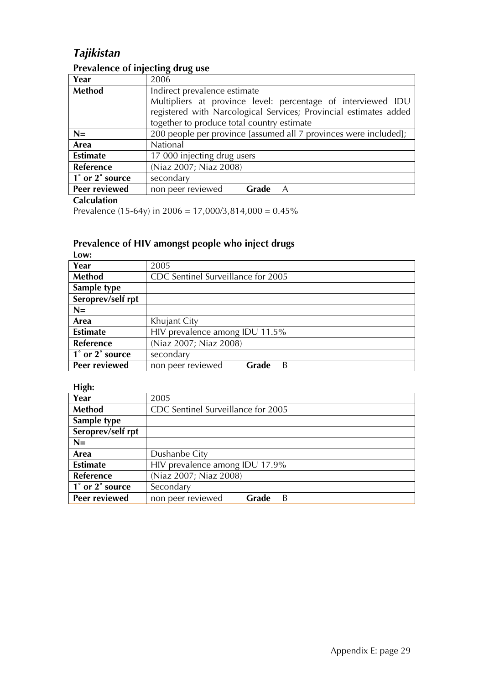# *Tajikistan*

### **Prevalence of injecting drug use**

| Year            | 2006                                                              |       |   |  |
|-----------------|-------------------------------------------------------------------|-------|---|--|
| <b>Method</b>   | Indirect prevalence estimate                                      |       |   |  |
|                 | Multipliers at province level: percentage of interviewed IDU      |       |   |  |
|                 | registered with Narcological Services; Provincial estimates added |       |   |  |
|                 | together to produce total country estimate                        |       |   |  |
| $N=$            | 200 people per province [assumed all 7 provinces were included];  |       |   |  |
| Area            | National                                                          |       |   |  |
| <b>Estimate</b> | 17 000 injecting drug users                                       |       |   |  |
| Reference       | (Niaz 2007; Niaz 2008)                                            |       |   |  |
| 1° or 2° source | secondary                                                         |       |   |  |
| Peer reviewed   | non peer reviewed                                                 | Grade | A |  |

#### **Calculation**

Prevalence (15-64y) in 2006 =  $17,000/3,814,000 = 0.45\%$ 

#### **Prevalence of HIV amongst people who inject drugs Low:**

| Year              | 2005                               |       |   |  |
|-------------------|------------------------------------|-------|---|--|
| Method            | CDC Sentinel Surveillance for 2005 |       |   |  |
| Sample type       |                                    |       |   |  |
| Seroprev/self rpt |                                    |       |   |  |
| $N=$              |                                    |       |   |  |
| Area              | Khujant City                       |       |   |  |
| <b>Estimate</b>   | HIV prevalence among IDU 11.5%     |       |   |  |
| <b>Reference</b>  | (Niaz 2007; Niaz 2008)             |       |   |  |
| 1° or 2° source   | secondary                          |       |   |  |
| Peer reviewed     | non peer reviewed                  | Grade | B |  |

| - 0                                          |                                    |       |   |  |
|----------------------------------------------|------------------------------------|-------|---|--|
| Year                                         | 2005                               |       |   |  |
| <b>Method</b>                                | CDC Sentinel Surveillance for 2005 |       |   |  |
| Sample type                                  |                                    |       |   |  |
| Seroprev/self rpt                            |                                    |       |   |  |
| $N=$                                         |                                    |       |   |  |
| Area                                         | Dushanbe City                      |       |   |  |
| <b>Estimate</b>                              | HIV prevalence among IDU 17.9%     |       |   |  |
| <b>Reference</b>                             | (Niaz 2007; Niaz 2008)             |       |   |  |
| $\overline{1}^{\circ}$ or $2^{\circ}$ source | Secondary                          |       |   |  |
| Peer reviewed                                | non peer reviewed                  | Grade | B |  |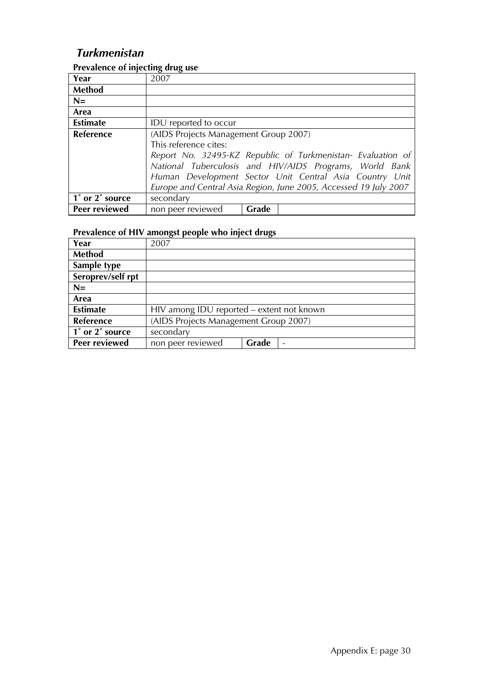### *Turkmenistan*

| Year             | 2007                                                           |       |                                                                                                                                                                                                                                                       |
|------------------|----------------------------------------------------------------|-------|-------------------------------------------------------------------------------------------------------------------------------------------------------------------------------------------------------------------------------------------------------|
| Method           |                                                                |       |                                                                                                                                                                                                                                                       |
| $N=$             |                                                                |       |                                                                                                                                                                                                                                                       |
| Area             |                                                                |       |                                                                                                                                                                                                                                                       |
| <b>Estimate</b>  | <b>IDU</b> reported to occur                                   |       |                                                                                                                                                                                                                                                       |
| <b>Reference</b> | (AIDS Projects Management Group 2007)<br>This reference cites: |       | Report No. 32495-KZ Republic of Turkmenistan- Evaluation of<br>National Tuberculosis and HIV/AIDS Programs, World Bank<br>Human Development Sector Unit Central Asia Country Unit<br>Europe and Central Asia Region, June 2005, Accessed 19 July 2007 |
| 1° or 2° source  | secondary                                                      |       |                                                                                                                                                                                                                                                       |
| Peer reviewed    | non peer reviewed                                              | Grade |                                                                                                                                                                                                                                                       |

#### **Prevalence of injecting drug use**

| Year                 | 2007                                      |       |  |
|----------------------|-------------------------------------------|-------|--|
| Method               |                                           |       |  |
| Sample type          |                                           |       |  |
| Seroprev/self rpt    |                                           |       |  |
| $N=$                 |                                           |       |  |
| Area                 |                                           |       |  |
| <b>Estimate</b>      | HIV among IDU reported – extent not known |       |  |
| Reference            | (AIDS Projects Management Group 2007)     |       |  |
| 1° or 2° source      | secondary                                 |       |  |
| <b>Peer reviewed</b> | non peer reviewed                         | Grade |  |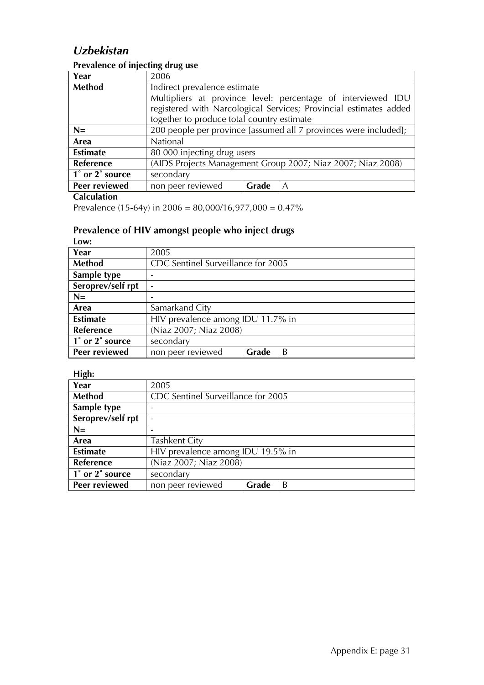### *Uzbekistan*

#### **Prevalence of injecting drug use**

| Year                                         | 2006                                                              |       |   |  |
|----------------------------------------------|-------------------------------------------------------------------|-------|---|--|
| <b>Method</b>                                | Indirect prevalence estimate                                      |       |   |  |
|                                              | Multipliers at province level: percentage of interviewed IDU      |       |   |  |
|                                              | registered with Narcological Services; Provincial estimates added |       |   |  |
|                                              | together to produce total country estimate                        |       |   |  |
| $N=$                                         | 200 people per province [assumed all 7 provinces were included];  |       |   |  |
| Area                                         | National                                                          |       |   |  |
| <b>Estimate</b>                              | 80 000 injecting drug users                                       |       |   |  |
| Reference                                    | (AIDS Projects Management Group 2007; Niaz 2007; Niaz 2008)       |       |   |  |
| $\overline{1}^{\circ}$ or $2^{\circ}$ source | secondary                                                         |       |   |  |
| Peer reviewed                                | non peer reviewed                                                 | Grade | A |  |

#### **Calculation**

Prevalence (15-64y) in  $2006 = 80,000/16,977,000 = 0.47\%$ 

#### **Prevalence of HIV amongst people who inject drugs Low:**

| LVW.                 |                                   |                                    |   |  |
|----------------------|-----------------------------------|------------------------------------|---|--|
| Year                 | 2005                              |                                    |   |  |
| Method               |                                   | CDC Sentinel Surveillance for 2005 |   |  |
| Sample type          |                                   |                                    |   |  |
| Seroprev/self rpt    | $\qquad \qquad$                   |                                    |   |  |
| $N=$                 |                                   |                                    |   |  |
| Area                 | Samarkand City                    |                                    |   |  |
| <b>Estimate</b>      | HIV prevalence among IDU 11.7% in |                                    |   |  |
| Reference            | (Niaz 2007; Niaz 2008)            |                                    |   |  |
| 1° or 2° source      | secondary                         |                                    |   |  |
| <b>Peer reviewed</b> | non peer reviewed                 | Grade                              | B |  |

**High:** 

| .<br>Year         | 2005                               |  |  |
|-------------------|------------------------------------|--|--|
| Method            | CDC Sentinel Surveillance for 2005 |  |  |
| Sample type       |                                    |  |  |
| Seroprev/self rpt |                                    |  |  |
| $N=$              |                                    |  |  |
| Area              | <b>Tashkent City</b>               |  |  |
| <b>Estimate</b>   | HIV prevalence among IDU 19.5% in  |  |  |
| Reference         | (Niaz 2007; Niaz 2008)             |  |  |
| 1° or 2° source   | secondary                          |  |  |
| Peer reviewed     | Grade<br>B<br>non peer reviewed    |  |  |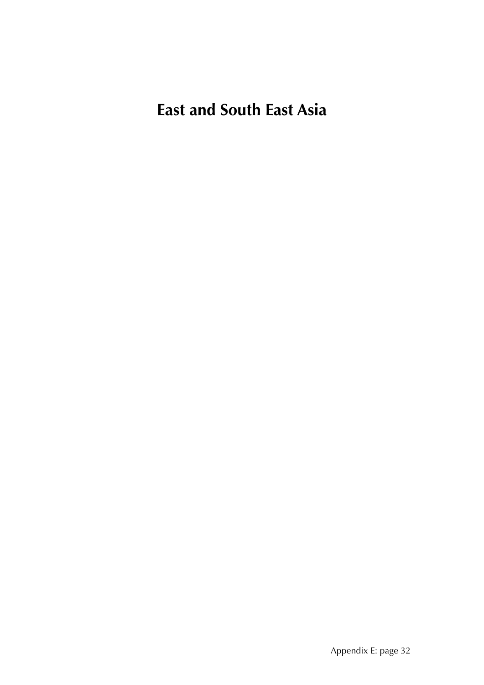**East and South East Asia**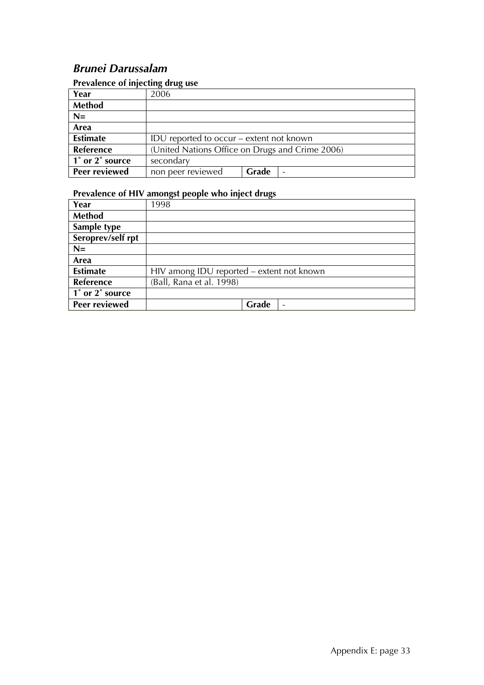### *Brunei Darussalam*

#### **Prevalence of injecting drug use**

| $\frac{1}{2}$ . The state of injecting the state |                                                 |       |  |
|--------------------------------------------------|-------------------------------------------------|-------|--|
| Year                                             | 2006                                            |       |  |
| <b>Method</b>                                    |                                                 |       |  |
| $N=$                                             |                                                 |       |  |
| Area                                             |                                                 |       |  |
| <b>Estimate</b>                                  | IDU reported to occur – extent not known        |       |  |
| Reference                                        | (United Nations Office on Drugs and Crime 2006) |       |  |
| 1° or 2° source                                  | secondary                                       |       |  |
| Peer reviewed                                    | non peer reviewed                               | Grade |  |

| Year                 | 1998                                      |  |  |
|----------------------|-------------------------------------------|--|--|
| <b>Method</b>        |                                           |  |  |
| Sample type          |                                           |  |  |
| Seroprev/self rpt    |                                           |  |  |
| $N=$                 |                                           |  |  |
| Area                 |                                           |  |  |
| <b>Estimate</b>      | HIV among IDU reported - extent not known |  |  |
| Reference            | (Ball, Rana et al. 1998)                  |  |  |
| 1° or 2° source      |                                           |  |  |
| <b>Peer reviewed</b> | Grade<br>$\overline{\phantom{0}}$         |  |  |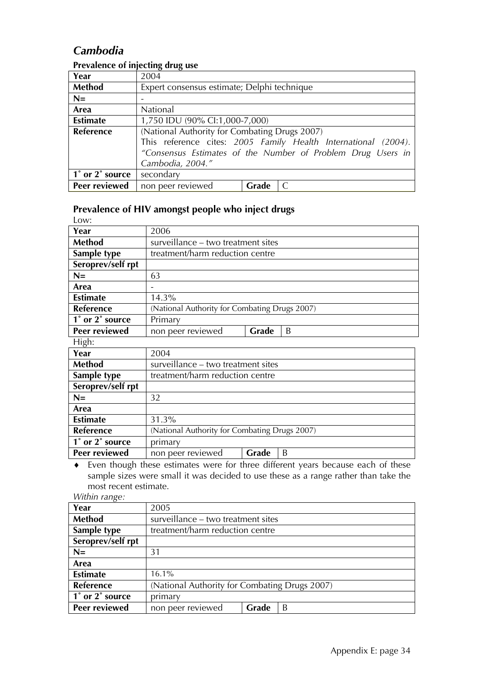### *Cambodia*

#### **Prevalence of injecting drug use**

| Year                                         | 2004                                                           |       |                                                             |
|----------------------------------------------|----------------------------------------------------------------|-------|-------------------------------------------------------------|
| Method                                       | Expert consensus estimate; Delphi technique                    |       |                                                             |
| $N=$                                         |                                                                |       |                                                             |
| Area                                         | National                                                       |       |                                                             |
| <b>Estimate</b>                              | 1,750 IDU (90% CI:1,000-7,000)                                 |       |                                                             |
| <b>Reference</b>                             | (National Authority for Combating Drugs 2007)                  |       |                                                             |
|                                              | This reference cites: 2005 Family Health International (2004). |       |                                                             |
|                                              |                                                                |       | "Consensus Estimates of the Number of Problem Drug Users in |
|                                              | Cambodia, 2004."                                               |       |                                                             |
| $\overline{1}^{\circ}$ or $2^{\circ}$ source | secondary                                                      |       |                                                             |
| Peer reviewed                                | non peer reviewed                                              | Grade |                                                             |

#### **Prevalence of HIV amongst people who inject drugs**

| Low:              |                                               |  |  |
|-------------------|-----------------------------------------------|--|--|
| Year              | 2006                                          |  |  |
| Method            | surveillance – two treatment sites            |  |  |
| Sample type       | treatment/harm reduction centre               |  |  |
| Seroprev/self rpt |                                               |  |  |
| $N=$              | 63                                            |  |  |
| Area              |                                               |  |  |
| <b>Estimate</b>   | 14.3%                                         |  |  |
| <b>Reference</b>  | (National Authority for Combating Drugs 2007) |  |  |
| 1° or 2° source   | Primary                                       |  |  |
| Peer reviewed     | non peer reviewed<br>Grade<br>B               |  |  |
| High:             |                                               |  |  |

| Year                 | 2004                                          |                                 |   |  |
|----------------------|-----------------------------------------------|---------------------------------|---|--|
| Method               | surveillance – two treatment sites            |                                 |   |  |
| Sample type          |                                               | treatment/harm reduction centre |   |  |
| Seroprev/self rpt    |                                               |                                 |   |  |
| $N=$                 | 32                                            |                                 |   |  |
| Area                 |                                               |                                 |   |  |
| <b>Estimate</b>      | 31.3%                                         |                                 |   |  |
| <b>Reference</b>     | (National Authority for Combating Drugs 2007) |                                 |   |  |
| 1° or 2° source      | primary                                       |                                 |   |  |
| <b>Peer reviewed</b> | non peer reviewed                             | Grade                           | B |  |

♦ Even though these estimates were for three different years because each of these sample sizes were small it was decided to use these as a range rather than take the most recent estimate.

|  | Within range: |
|--|---------------|
|--|---------------|

| Year              | 2005                                          |                                 |   |  |
|-------------------|-----------------------------------------------|---------------------------------|---|--|
| Method            | surveillance – two treatment sites            |                                 |   |  |
| Sample type       |                                               | treatment/harm reduction centre |   |  |
| Seroprev/self rpt |                                               |                                 |   |  |
| $N=$              | 31                                            |                                 |   |  |
| Area              |                                               |                                 |   |  |
| <b>Estimate</b>   | 16.1%                                         |                                 |   |  |
| <b>Reference</b>  | (National Authority for Combating Drugs 2007) |                                 |   |  |
| 1° or 2° source   | primary                                       |                                 |   |  |
| Peer reviewed     | non peer reviewed                             | Grade                           | B |  |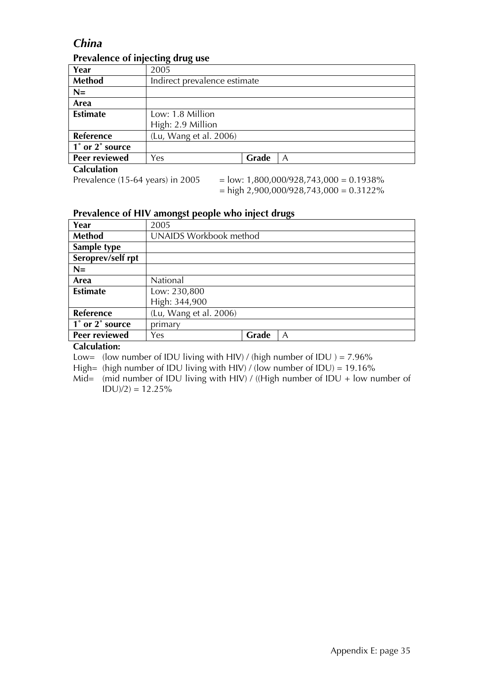### *China*

| Year            | 2005                         |
|-----------------|------------------------------|
| Method          | Indirect prevalence estimate |
| $N =$           |                              |
| Area            |                              |
| <b>Estimate</b> | Low: 1.8 Million             |
|                 | High: 2.9 Million            |
| Reference       | (Lu, Wang et al. 2006)       |
| 1° or 2° source |                              |
| Peer reviewed   | Grade<br>Yes<br>A            |
| Calculation     |                              |

#### **Prevalence of injecting drug use**

**Calculation**<br>Prevalence (15-64 years) in 2005

 $P =$ low: 1,800,000/928,743,000 = 0.1938%  $=$  high 2,900,000/928,743,000 = 0.3122%

#### **Prevalence of HIV amongst people who inject drugs**

| Year              | 2005                          |       |   |
|-------------------|-------------------------------|-------|---|
| <b>Method</b>     | <b>UNAIDS Workbook method</b> |       |   |
| Sample type       |                               |       |   |
| Seroprev/self rpt |                               |       |   |
| $N=$              |                               |       |   |
| Area              | National                      |       |   |
| <b>Estimate</b>   | Low: 230,800                  |       |   |
|                   | High: 344,900                 |       |   |
| Reference         | (Lu, Wang et al. 2006)        |       |   |
| 1° or 2° source   | primary                       |       |   |
| Peer reviewed     | Yes                           | Grade | A |

#### **Calculation:**

Low= (low number of IDU living with HIV) / (high number of IDU ) =  $7.96\%$ 

High= (high number of IDU living with HIV) / (low number of IDU) = 19.16%

Mid= (mid number of IDU living with HIV) / ((High number of IDU + low number of  $IDU)/2$ ) = 12.25%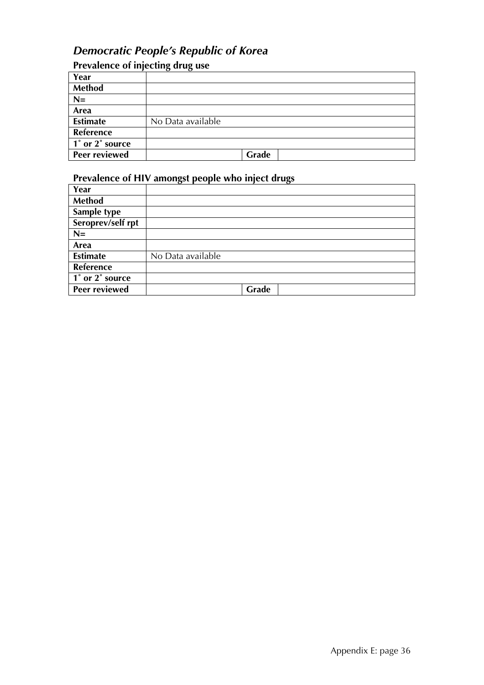### *Democratic People's Republic of Korea*

#### **Prevalence of injecting drug use**

| Year                 |                   |
|----------------------|-------------------|
| Method               |                   |
| $N=$                 |                   |
| Area                 |                   |
| <b>Estimate</b>      | No Data available |
| Reference            |                   |
| 1° or 2° source      |                   |
| <b>Peer reviewed</b> | Grade             |

| Year              |                   |
|-------------------|-------------------|
| <b>Method</b>     |                   |
| Sample type       |                   |
| Seroprev/self rpt |                   |
| $N=$              |                   |
| Area              |                   |
| <b>Estimate</b>   | No Data available |
| Reference         |                   |
| 1° or 2° source   |                   |
| Peer reviewed     | Grade             |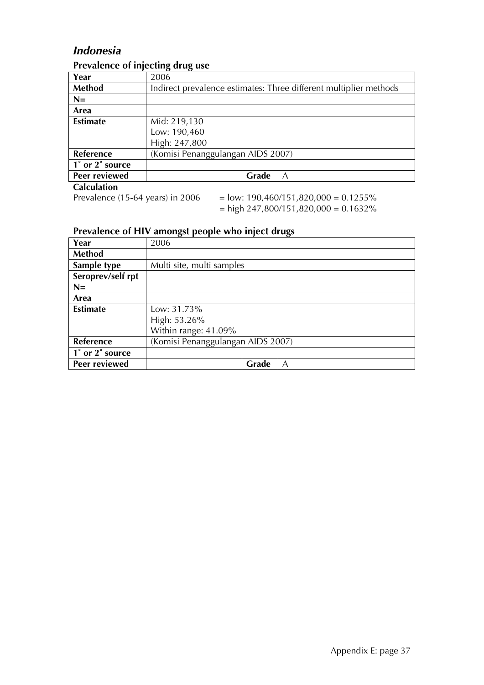#### *Indonesia*

|                    | $\frac{1}{2}$                                                                                                                                                                                                                                                                                                                                                                                                   |
|--------------------|-----------------------------------------------------------------------------------------------------------------------------------------------------------------------------------------------------------------------------------------------------------------------------------------------------------------------------------------------------------------------------------------------------------------|
| Year               | 2006                                                                                                                                                                                                                                                                                                                                                                                                            |
| Method             | Indirect prevalence estimates: Three different multiplier methods                                                                                                                                                                                                                                                                                                                                               |
| $N=$               |                                                                                                                                                                                                                                                                                                                                                                                                                 |
| Area               |                                                                                                                                                                                                                                                                                                                                                                                                                 |
| <b>Estimate</b>    | Mid: 219,130                                                                                                                                                                                                                                                                                                                                                                                                    |
|                    | Low: 190,460                                                                                                                                                                                                                                                                                                                                                                                                    |
|                    | High: 247,800                                                                                                                                                                                                                                                                                                                                                                                                   |
| Reference          | (Komisi Penanggulangan AIDS 2007)                                                                                                                                                                                                                                                                                                                                                                               |
| 1° or 2° source    |                                                                                                                                                                                                                                                                                                                                                                                                                 |
| Peer reviewed      | Grade<br>$\mathcal{A}$                                                                                                                                                                                                                                                                                                                                                                                          |
| <b>Calculation</b> |                                                                                                                                                                                                                                                                                                                                                                                                                 |
|                    | $\overline{1}$ $\overline{1}$ $\overline{2}$ $\overline{3}$ $\overline{4}$ $\overline{2}$ $\overline{4}$ $\overline{2}$ $\overline{4}$ $\overline{2}$ $\overline{4}$ $\overline{2}$ $\overline{2}$ $\overline{2}$ $\overline{2}$ $\overline{2}$ $\overline{2}$ $\overline{2}$ $\overline{2}$ $\overline{2}$ $\overline{2}$ $\overline{2}$ $\overline{2}$ $\overline{2}$ $\overline{$<br>. I <i>III I</i> I Anno |

#### **Prevalence of injecting drug use**

Prevalence (15-64 years) in 2006 = low:  $190,460/151,820,000 = 0.1255\%$  $=$  high 247,800/151,820,000  $= 0.1632\%$ 

| Year              | 2006                              |
|-------------------|-----------------------------------|
| <b>Method</b>     |                                   |
| Sample type       | Multi site, multi samples         |
| Seroprev/self rpt |                                   |
| $N=$              |                                   |
| Area              |                                   |
| <b>Estimate</b>   | Low: 31.73%                       |
|                   | High: 53.26%                      |
|                   | Within range: 41.09%              |
| Reference         | (Komisi Penanggulangan AIDS 2007) |
| 1° or 2° source   |                                   |
| Peer reviewed     | Grade<br>A                        |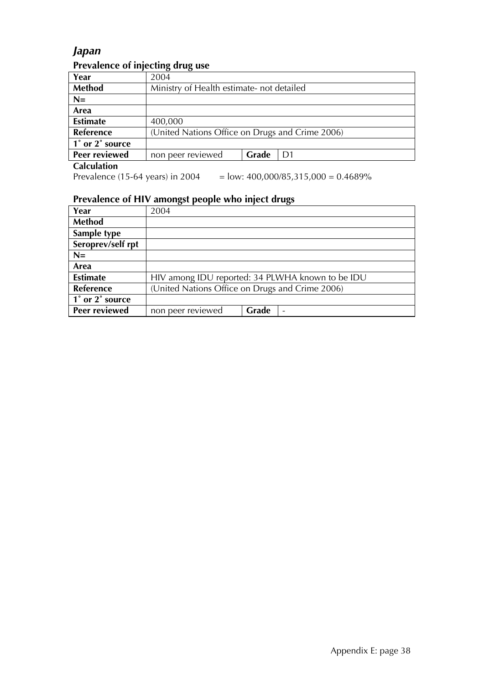### *Japan*

### **Prevalence of injecting drug use**

| Year                 | 2004                                            |       |                |
|----------------------|-------------------------------------------------|-------|----------------|
| <b>Method</b>        | Ministry of Health estimate- not detailed       |       |                |
| $N=$                 |                                                 |       |                |
| Area                 |                                                 |       |                |
| <b>Estimate</b>      | 400,000                                         |       |                |
| Reference            | (United Nations Office on Drugs and Crime 2006) |       |                |
| 1° or 2° source      |                                                 |       |                |
| Peer reviewed        | non peer reviewed                               | Grade | D <sub>1</sub> |
| $Col$ $ol$ $ol$ $ol$ |                                                 |       |                |

**Calculation**

Prevalence (15-64 years) in 2004 = low:  $400,000/85,315,000 = 0.4689\%$ 

| Year              | 2004                                             |       |  |
|-------------------|--------------------------------------------------|-------|--|
| Method            |                                                  |       |  |
| Sample type       |                                                  |       |  |
| Seroprev/self rpt |                                                  |       |  |
| $N=$              |                                                  |       |  |
| Area              |                                                  |       |  |
| <b>Estimate</b>   | HIV among IDU reported: 34 PLWHA known to be IDU |       |  |
| Reference         | (United Nations Office on Drugs and Crime 2006)  |       |  |
| 1° or 2° source   |                                                  |       |  |
| Peer reviewed     | non peer reviewed                                | Grade |  |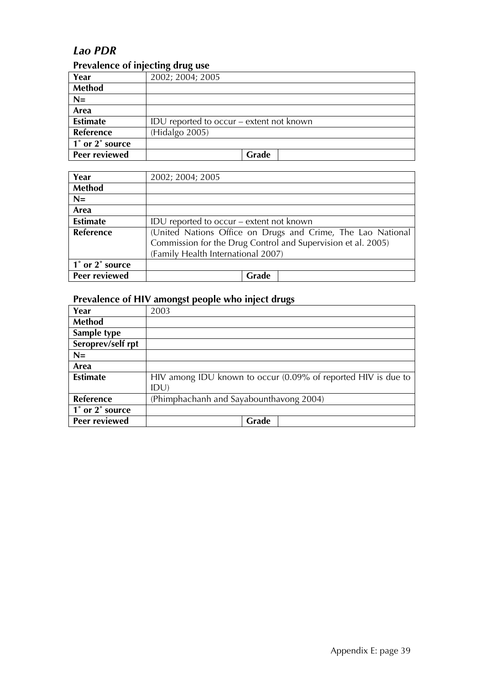#### *Lao PDR*

#### **Prevalence of injecting drug use**

| Year                 | 2002; 2004; 2005                         |
|----------------------|------------------------------------------|
| <b>Method</b>        |                                          |
| $N=$                 |                                          |
| Area                 |                                          |
| <b>Estimate</b>      | IDU reported to occur – extent not known |
| Reference            | (Hidalgo 2005)                           |
| 1° or 2° source      |                                          |
| <b>Peer reviewed</b> | Grade                                    |

| Year             | 2002; 2004; 2005                                                                                                                                                  |
|------------------|-------------------------------------------------------------------------------------------------------------------------------------------------------------------|
| <b>Method</b>    |                                                                                                                                                                   |
| $N=$             |                                                                                                                                                                   |
| Area             |                                                                                                                                                                   |
| <b>Estimate</b>  | IDU reported to occur – extent not known                                                                                                                          |
| <b>Reference</b> | (United Nations Office on Drugs and Crime, The Lao National<br>Commission for the Drug Control and Supervision et al. 2005)<br>(Family Health International 2007) |
| 1° or 2° source  |                                                                                                                                                                   |
| Peer reviewed    | Grade                                                                                                                                                             |

| Year              | 2003                                                          |
|-------------------|---------------------------------------------------------------|
| <b>Method</b>     |                                                               |
| Sample type       |                                                               |
| Seroprev/self rpt |                                                               |
| $N=$              |                                                               |
| Area              |                                                               |
| <b>Estimate</b>   | HIV among IDU known to occur (0.09% of reported HIV is due to |
|                   | IDU)                                                          |
| Reference         | (Phimphachanh and Sayabounthavong 2004)                       |
| 1° or 2° source   |                                                               |
| Peer reviewed     | Grade                                                         |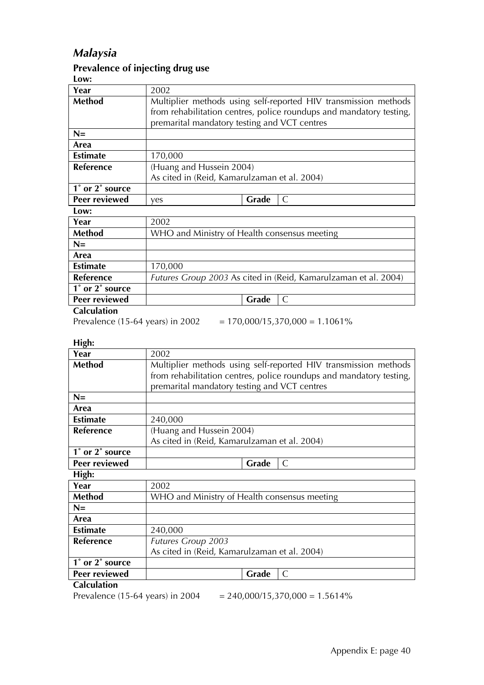### *Malaysia*

#### **Prevalence of injecting drug use**

|--|

| Year             | 2002                                                            |                                                                     |  |
|------------------|-----------------------------------------------------------------|---------------------------------------------------------------------|--|
| <b>Method</b>    | Multiplier methods using self-reported HIV transmission methods |                                                                     |  |
|                  |                                                                 | from rehabilitation centres, police roundups and mandatory testing, |  |
|                  | premarital mandatory testing and VCT centres                    |                                                                     |  |
| $N =$            |                                                                 |                                                                     |  |
| Area             |                                                                 |                                                                     |  |
| <b>Estimate</b>  | 170,000                                                         |                                                                     |  |
| <b>Reference</b> | (Huang and Hussein 2004)                                        |                                                                     |  |
|                  | As cited in (Reid, Kamarulzaman et al. 2004)                    |                                                                     |  |
| 1° or 2° source  |                                                                 |                                                                     |  |
| Peer reviewed    | ves                                                             | Grade<br>$\mathcal{C}$                                              |  |
| Low:             |                                                                 |                                                                     |  |
| Year             | 2002                                                            |                                                                     |  |
| <b>Method</b>    | WHO and Ministry of Health consensus meeting                    |                                                                     |  |
| $N=$             |                                                                 |                                                                     |  |
| Area             |                                                                 |                                                                     |  |
| <b>Estimate</b>  | 170,000                                                         |                                                                     |  |
| <b>Reference</b> | Futures Group 2003 As cited in (Reid, Kamarulzaman et al. 2004) |                                                                     |  |
| 1° or 2° source  |                                                                 |                                                                     |  |
| Peer reviewed    |                                                                 | Grade<br>$\mathsf{C}$                                               |  |

#### **Calculation**

Prevalence (15-64 years) in 2002 =  $170,000/15,370,000 = 1.1061\%$ 

**High:** 

| Year                 | 2002                                                                                                                                   |  |  |
|----------------------|----------------------------------------------------------------------------------------------------------------------------------------|--|--|
| Method               | Multiplier methods using self-reported HIV transmission methods<br>from rehabilitation centres, police roundups and mandatory testing, |  |  |
|                      | premarital mandatory testing and VCT centres                                                                                           |  |  |
| $N=$                 |                                                                                                                                        |  |  |
| Area                 |                                                                                                                                        |  |  |
| <b>Estimate</b>      | 240,000                                                                                                                                |  |  |
| Reference            | (Huang and Hussein 2004)                                                                                                               |  |  |
|                      | As cited in (Reid, Kamarulzaman et al. 2004)                                                                                           |  |  |
| 1° or 2° source      |                                                                                                                                        |  |  |
| <b>Peer reviewed</b> | Grade<br>C                                                                                                                             |  |  |
| High:                |                                                                                                                                        |  |  |
| Year                 | 2002                                                                                                                                   |  |  |
| <b>Method</b>        | WHO and Ministry of Health consensus meeting                                                                                           |  |  |
| $N=$                 |                                                                                                                                        |  |  |
| Area                 |                                                                                                                                        |  |  |
| <b>Estimate</b>      | 240,000                                                                                                                                |  |  |
| Reference            | <b>Futures Group 2003</b>                                                                                                              |  |  |
|                      | As cited in (Reid, Kamarulzaman et al. 2004)                                                                                           |  |  |
| 1° or 2° source      |                                                                                                                                        |  |  |
| Peer reviewed        | Grade<br>C                                                                                                                             |  |  |
| <b>Calculation</b>   |                                                                                                                                        |  |  |

Prevalence (15-64 years) in 2004  $= 240,000/15,370,000 = 1.5614\%$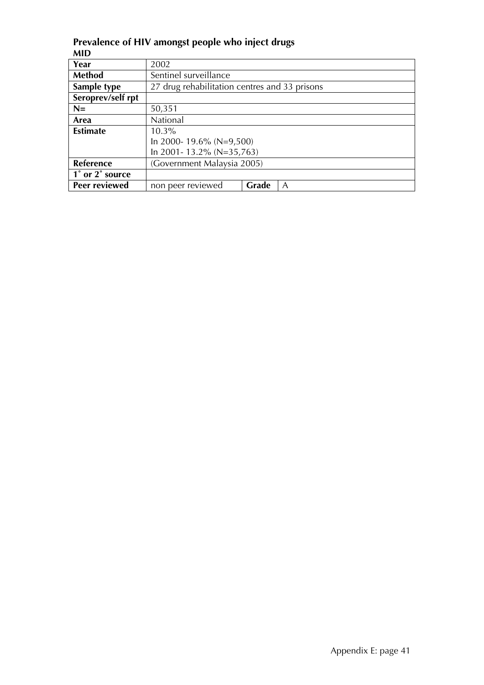| MID               |                                               |       |   |  |
|-------------------|-----------------------------------------------|-------|---|--|
| Year              | 2002                                          |       |   |  |
| <b>Method</b>     | Sentinel surveillance                         |       |   |  |
| Sample type       | 27 drug rehabilitation centres and 33 prisons |       |   |  |
| Seroprev/self rpt |                                               |       |   |  |
| $N=$              | 50,351                                        |       |   |  |
| Area              | National                                      |       |   |  |
| <b>Estimate</b>   | $10.3\%$                                      |       |   |  |
|                   | In 2000-19.6% (N=9,500)                       |       |   |  |
|                   | In 2001-13.2% (N=35,763)                      |       |   |  |
| Reference         | (Government Malaysia 2005)                    |       |   |  |
| 1° or 2° source   |                                               |       |   |  |
| Peer reviewed     | non peer reviewed                             | Grade | A |  |

**Prevalence of HIV amongst people who inject drugs MID**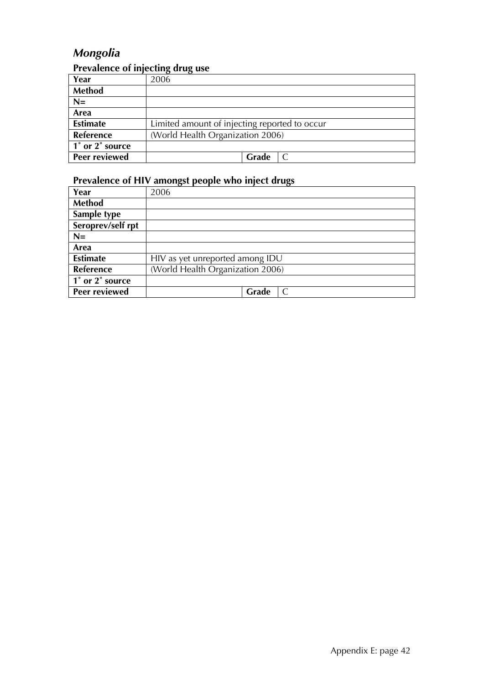### *Mongolia*

### **Prevalence of injecting drug use**

| Year                 | 2006                                          |
|----------------------|-----------------------------------------------|
| <b>Method</b>        |                                               |
| $N=$                 |                                               |
| Area                 |                                               |
| <b>Estimate</b>      | Limited amount of injecting reported to occur |
| Reference            | (World Health Organization 2006)              |
| 1° or 2° source      |                                               |
| <b>Peer reviewed</b> | Grade                                         |

| Year              | 2006                             |
|-------------------|----------------------------------|
| <b>Method</b>     |                                  |
| Sample type       |                                  |
| Seroprev/self rpt |                                  |
| $N=$              |                                  |
| Area              |                                  |
| <b>Estimate</b>   | HIV as yet unreported among IDU  |
| Reference         | (World Health Organization 2006) |
| 1° or 2° source   |                                  |
| Peer reviewed     | Grade                            |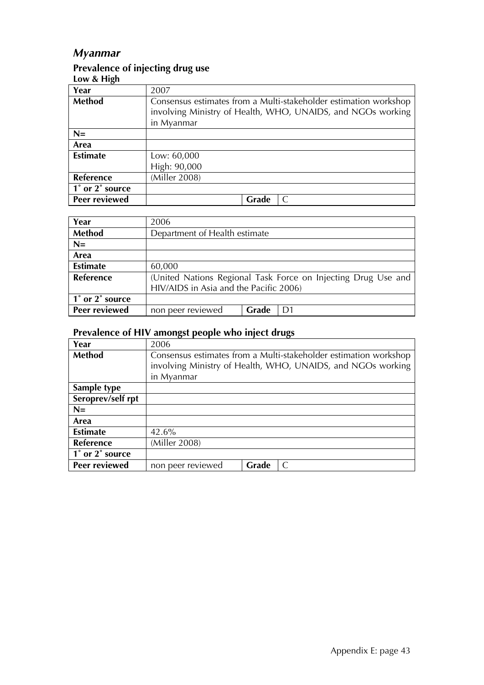### *Myanmar*

## **Prevalence of injecting drug use**

| Low & High      |                                                                                                                                               |
|-----------------|-----------------------------------------------------------------------------------------------------------------------------------------------|
| Year            | 2007                                                                                                                                          |
| <b>Method</b>   | Consensus estimates from a Multi-stakeholder estimation workshop<br>involving Ministry of Health, WHO, UNAIDS, and NGOs working<br>in Myanmar |
| $N=$            |                                                                                                                                               |
| Area            |                                                                                                                                               |
| <b>Estimate</b> | Low: 60,000<br>High: 90,000                                                                                                                   |
| Reference       | (Miller 2008)                                                                                                                                 |
| 1° or 2° source |                                                                                                                                               |
| Peer reviewed   | Grade                                                                                                                                         |

| Year            | 2006                                                          |       |    |  |
|-----------------|---------------------------------------------------------------|-------|----|--|
| <b>Method</b>   | Department of Health estimate                                 |       |    |  |
| $N=$            |                                                               |       |    |  |
| Area            |                                                               |       |    |  |
| <b>Estimate</b> | 60,000                                                        |       |    |  |
| Reference       | (United Nations Regional Task Force on Injecting Drug Use and |       |    |  |
|                 | HIV/AIDS in Asia and the Pacific 2006)                        |       |    |  |
| 1° or 2° source |                                                               |       |    |  |
| Peer reviewed   | non peer reviewed                                             | Grade | D1 |  |

| Year              | 2006                                                             |  |  |  |
|-------------------|------------------------------------------------------------------|--|--|--|
| Method            | Consensus estimates from a Multi-stakeholder estimation workshop |  |  |  |
|                   | involving Ministry of Health, WHO, UNAIDS, and NGOs working      |  |  |  |
|                   | in Myanmar                                                       |  |  |  |
| Sample type       |                                                                  |  |  |  |
| Seroprev/self rpt |                                                                  |  |  |  |
| $N=$              |                                                                  |  |  |  |
| Area              |                                                                  |  |  |  |
| <b>Estimate</b>   | 42.6%                                                            |  |  |  |
| <b>Reference</b>  | (Miller 2008)                                                    |  |  |  |
| 1° or 2° source   |                                                                  |  |  |  |
| Peer reviewed     | non peer reviewed<br>Grade                                       |  |  |  |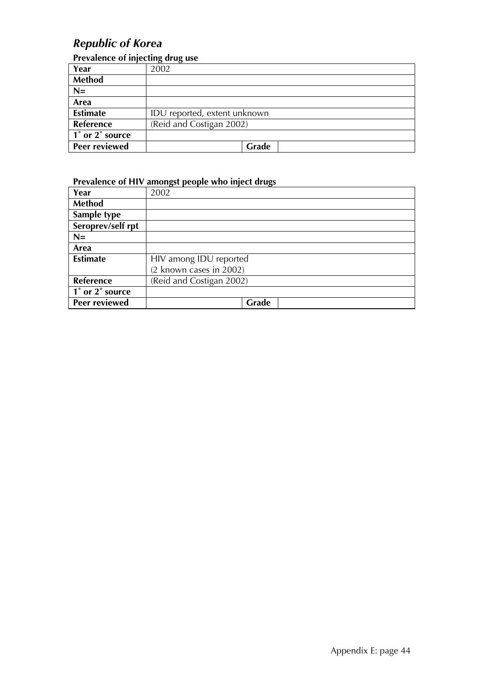### *Republic of Korea*

#### **Prevalence of injecting drug use**

| Year            | 2002                         |  |
|-----------------|------------------------------|--|
| Method          |                              |  |
| $N =$           |                              |  |
| Area            |                              |  |
| <b>Estimate</b> | IDU reported, extent unknown |  |
| Reference       | (Reid and Costigan 2002)     |  |
| 1° or 2° source |                              |  |
| Peer reviewed   | Grade                        |  |

| Year              | 2002                     |
|-------------------|--------------------------|
| <b>Method</b>     |                          |
| Sample type       |                          |
| Seroprev/self rpt |                          |
| $N=$              |                          |
| Area              |                          |
| <b>Estimate</b>   | HIV among IDU reported   |
|                   | (2 known cases in 2002)  |
| <b>Reference</b>  | (Reid and Costigan 2002) |
| 1° or 2° source   |                          |
| Peer reviewed     | Grade                    |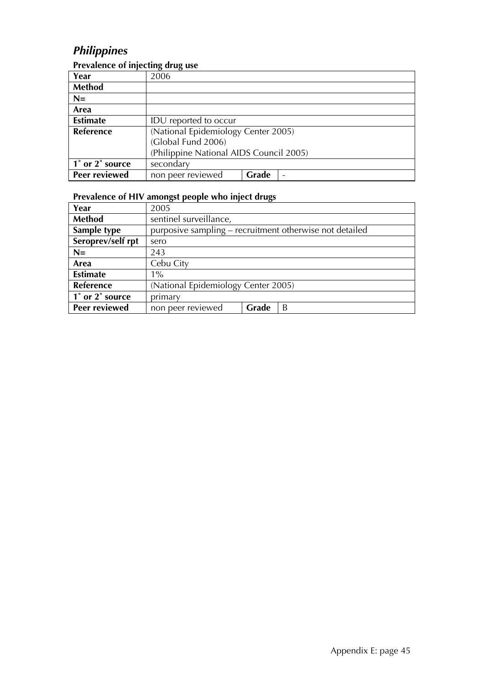### *Philippines*

| $\frac{1}{2}$ is another of injecting the $\frac{1}{2}$ |                                         |       |  |
|---------------------------------------------------------|-----------------------------------------|-------|--|
| Year                                                    | 2006                                    |       |  |
| Method                                                  |                                         |       |  |
| $N=$                                                    |                                         |       |  |
| Area                                                    |                                         |       |  |
| <b>Estimate</b>                                         | IDU reported to occur                   |       |  |
| <b>Reference</b>                                        | (National Epidemiology Center 2005)     |       |  |
|                                                         | (Global Fund 2006)                      |       |  |
|                                                         | (Philippine National AIDS Council 2005) |       |  |
| 1° or 2° source                                         | secondary                               |       |  |
| Peer reviewed                                           | non peer reviewed                       | Grade |  |

#### **Prevalence of injecting drug use**

| Year              | 2005                                                    |       |   |  |  |
|-------------------|---------------------------------------------------------|-------|---|--|--|
| <b>Method</b>     | sentinel surveillance,                                  |       |   |  |  |
| Sample type       | purposive sampling – recruitment otherwise not detailed |       |   |  |  |
| Seroprev/self rpt | sero                                                    |       |   |  |  |
| $N=$              | 243                                                     |       |   |  |  |
| Area              | Cebu City                                               |       |   |  |  |
| <b>Estimate</b>   | $1\%$                                                   |       |   |  |  |
| Reference         | (National Epidemiology Center 2005)                     |       |   |  |  |
| 1° or 2° source   | primary                                                 |       |   |  |  |
| Peer reviewed     | non peer reviewed                                       | Grade | B |  |  |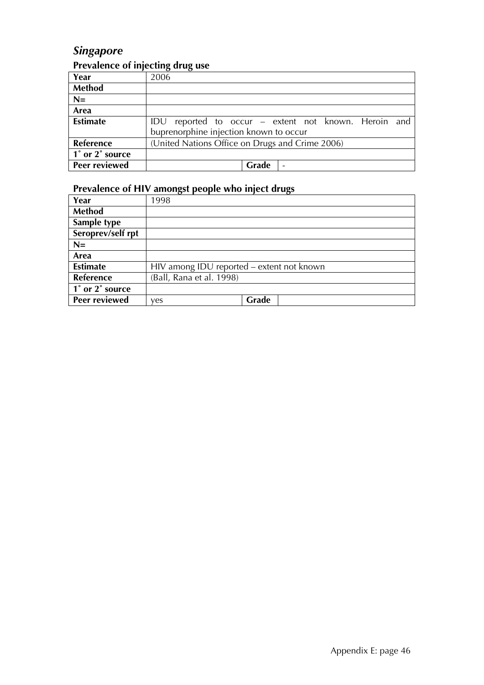### *Singapore*

### **Prevalence of injecting drug use**

| Year                 | 2006                                                 |
|----------------------|------------------------------------------------------|
| <b>Method</b>        |                                                      |
| $N=$                 |                                                      |
| Area                 |                                                      |
| <b>Estimate</b>      | IDU reported to occur – extent not known. Heroin and |
|                      | buprenorphine injection known to occur               |
| Reference            | (United Nations Office on Drugs and Crime 2006)      |
| 1° or 2° source      |                                                      |
| <b>Peer reviewed</b> | Grade                                                |

| Year                 | 1998                                      |       |
|----------------------|-------------------------------------------|-------|
| <b>Method</b>        |                                           |       |
| Sample type          |                                           |       |
| Seroprev/self rpt    |                                           |       |
| $N=$                 |                                           |       |
| Area                 |                                           |       |
| <b>Estimate</b>      | HIV among IDU reported - extent not known |       |
| <b>Reference</b>     | (Ball, Rana et al. 1998)                  |       |
| 1° or 2° source      |                                           |       |
| <b>Peer reviewed</b> | ves                                       | Grade |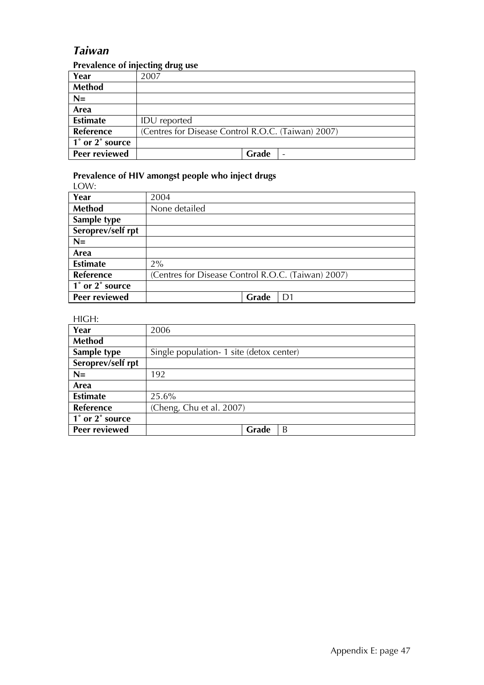#### *Taiwan*

#### **Prevalence of injecting drug use**

| Year            | 2007                                               |
|-----------------|----------------------------------------------------|
| <b>Method</b>   |                                                    |
| $N=$            |                                                    |
| Area            |                                                    |
| <b>Estimate</b> | <b>IDU</b> reported                                |
| Reference       | (Centres for Disease Control R.O.C. (Taiwan) 2007) |
| 1° or 2° source |                                                    |
| Peer reviewed   | Grade                                              |

### **Prevalence of HIV amongst people who inject drugs**

| LOW:              |                                                    |  |
|-------------------|----------------------------------------------------|--|
| Year              | 2004                                               |  |
| Method            | None detailed                                      |  |
| Sample type       |                                                    |  |
| Seroprev/self rpt |                                                    |  |
| $N=$              |                                                    |  |
| Area              |                                                    |  |
| <b>Estimate</b>   | $2\%$                                              |  |
| Reference         | (Centres for Disease Control R.O.C. (Taiwan) 2007) |  |
| 1° or 2° source   |                                                    |  |
| Peer reviewed     | Grade<br>D1                                        |  |

#### HIGH:

| Year              | 2006                                      |  |
|-------------------|-------------------------------------------|--|
| <b>Method</b>     |                                           |  |
| Sample type       | Single population - 1 site (detox center) |  |
| Seroprev/self rpt |                                           |  |
| $N=$              | 192                                       |  |
| Area              |                                           |  |
| <b>Estimate</b>   | 25.6%                                     |  |
| Reference         | (Cheng, Chu et al. 2007)                  |  |
| 1° or 2° source   |                                           |  |
| Peer reviewed     | Grade<br>B                                |  |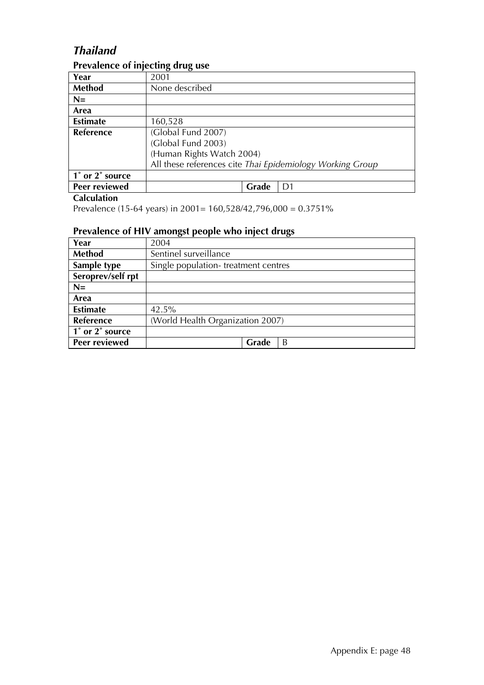### *Thailand*

#### **Prevalence of injecting drug use**

|                 | . .                                                       |       |  |
|-----------------|-----------------------------------------------------------|-------|--|
| Year            | 2001                                                      |       |  |
| Method          | None described                                            |       |  |
| $N=$            |                                                           |       |  |
| Area            |                                                           |       |  |
| <b>Estimate</b> | 160,528                                                   |       |  |
| Reference       | (Global Fund 2007)                                        |       |  |
|                 | (Global Fund 2003)                                        |       |  |
|                 | (Human Rights Watch 2004)                                 |       |  |
|                 | All these references cite Thai Epidemiology Working Group |       |  |
| 1° or 2° source |                                                           |       |  |
| Peer reviewed   |                                                           | Grade |  |

#### **Calculation**

Prevalence (15-64 years) in 2001= 160,528/42,796,000 = 0.3751%

| Year              | 2004                                |  |  |
|-------------------|-------------------------------------|--|--|
| <b>Method</b>     | Sentinel surveillance               |  |  |
| Sample type       | Single population-treatment centres |  |  |
| Seroprev/self rpt |                                     |  |  |
| $N=$              |                                     |  |  |
| Area              |                                     |  |  |
| <b>Estimate</b>   | 42.5%                               |  |  |
| <b>Reference</b>  | (World Health Organization 2007)    |  |  |
| 1° or 2° source   |                                     |  |  |
| Peer reviewed     | Grade<br>B                          |  |  |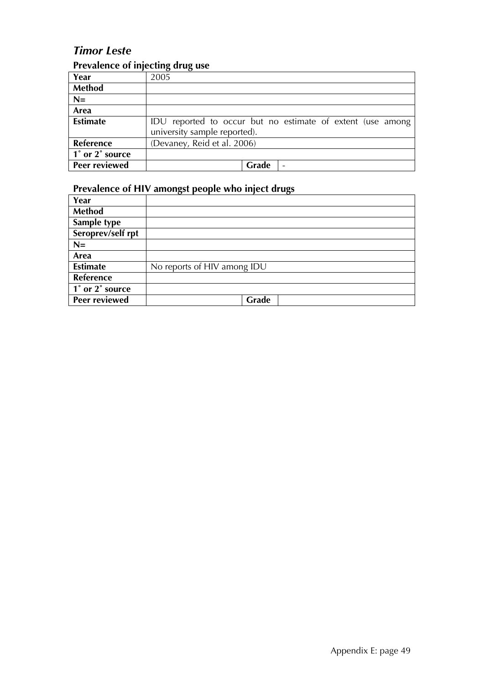### *Timor Leste*

### **Prevalence of injecting drug use**

| Year                 | 2005                                                       |
|----------------------|------------------------------------------------------------|
| Method               |                                                            |
| $N=$                 |                                                            |
| Area                 |                                                            |
| <b>Estimate</b>      | IDU reported to occur but no estimate of extent (use among |
|                      | university sample reported).                               |
| Reference            | (Devaney, Reid et al. 2006)                                |
| 1° or 2° source      |                                                            |
| <b>Peer reviewed</b> | Grade<br>$\overline{\phantom{0}}$                          |

| Year                 |                             |
|----------------------|-----------------------------|
| <b>Method</b>        |                             |
| Sample type          |                             |
| Seroprev/self rpt    |                             |
| $N=$                 |                             |
| Area                 |                             |
| <b>Estimate</b>      | No reports of HIV among IDU |
| Reference            |                             |
| 1° or 2° source      |                             |
| <b>Peer reviewed</b> | Grade                       |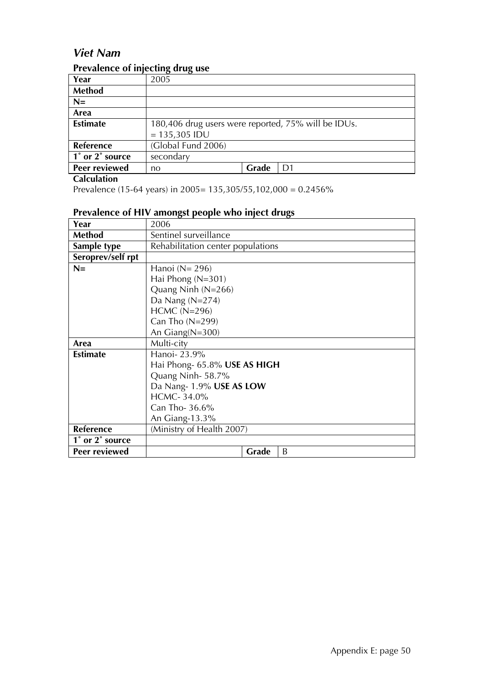### *Viet Nam*

#### **Prevalence of injecting drug use**

| Year                 | $\sigma$<br>2005                                    |       |    |
|----------------------|-----------------------------------------------------|-------|----|
| <b>Method</b>        |                                                     |       |    |
| $N=$                 |                                                     |       |    |
| Area                 |                                                     |       |    |
| <b>Estimate</b>      | 180,406 drug users were reported, 75% will be IDUs. |       |    |
|                      | $= 135,305$ IDU                                     |       |    |
| <b>Reference</b>     | (Global Fund 2006)                                  |       |    |
| 1° or 2° source      | secondary                                           |       |    |
| <b>Peer reviewed</b> | no                                                  | Grade | D1 |

**Calculation**

Prevalence (15-64 years) in 2005= 135,305/55,102,000 = 0.2456%

| Year              | 2006                              |  |
|-------------------|-----------------------------------|--|
| <b>Method</b>     | Sentinel surveillance             |  |
| Sample type       | Rehabilitation center populations |  |
| Seroprev/self rpt |                                   |  |
| $N=$              | Hanoi ( $N = 296$ )               |  |
|                   | Hai Phong (N=301)                 |  |
|                   | Quang Ninh $(N=266)$              |  |
|                   | Da Nang $(N=274)$                 |  |
|                   | $HCMC (N=296)$                    |  |
|                   | Can Tho $(N=299)$                 |  |
|                   | An $Giang(N=300)$                 |  |
| Area              | Multi-city                        |  |
| <b>Estimate</b>   | Hanoi-23.9%                       |  |
|                   | Hai Phong- 65.8% USE AS HIGH      |  |
|                   | Quang Ninh-58.7%                  |  |
|                   | Da Nang-1.9% USE AS LOW           |  |
|                   | HCMC-34.0%                        |  |
|                   | Can Tho- $36.6\%$                 |  |
|                   | An Giang-13.3%                    |  |
| Reference         | (Ministry of Health 2007)         |  |
| 1° or 2° source   |                                   |  |
| Peer reviewed     | Grade<br>B                        |  |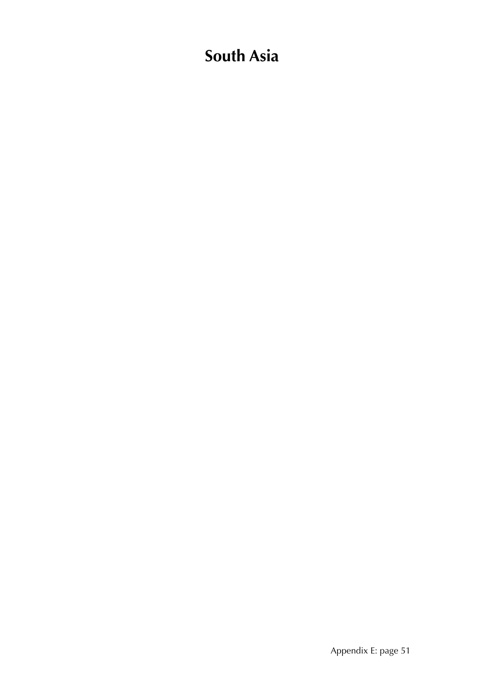# **South Asia**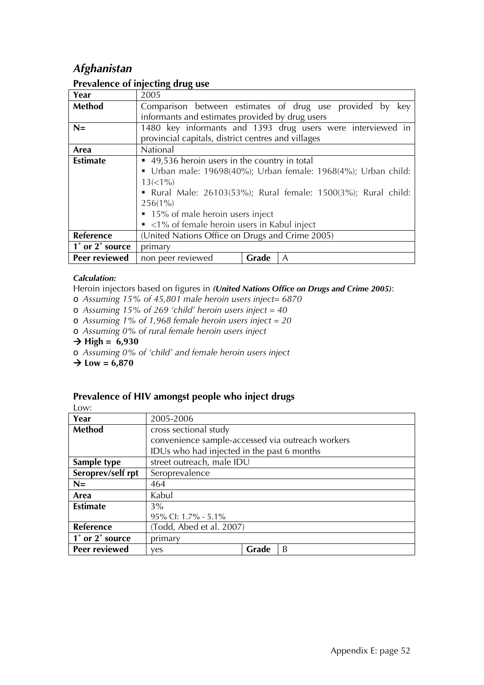### *Afghanistan*

|                 | . .                                                            |  |  |
|-----------------|----------------------------------------------------------------|--|--|
| Year            | 2005                                                           |  |  |
| Method          | Comparison between estimates of drug use provided by<br>key    |  |  |
|                 | informants and estimates provided by drug users                |  |  |
| $N =$           | 1480 key informants and 1393 drug users were interviewed in    |  |  |
|                 | provincial capitals, district centres and villages             |  |  |
| Area            | National                                                       |  |  |
| <b>Estimate</b> | ■ 49,536 heroin users in the country in total                  |  |  |
|                 | • Urban male: 19698(40%); Urban female: 1968(4%); Urban child: |  |  |
|                 | $13(<1\%)$                                                     |  |  |
|                 | • Rural Male: 26103(53%); Rural female: 1500(3%); Rural child: |  |  |
|                 | $256(1\%)$                                                     |  |  |
|                 | • 15% of male heroin users inject                              |  |  |
|                 | $\sim$ <1% of female heroin users in Kabul inject              |  |  |
| Reference       | (United Nations Office on Drugs and Crime 2005)                |  |  |
| 1° or 2° source | primary                                                        |  |  |
| Peer reviewed   | non peer reviewed<br>Grade<br>A                                |  |  |

#### **Prevalence of injecting drug use**

#### *Calculation:*

Heroin injectors based on figures in *(United Nations Office on Drugs and Crime 2005)*:

- o *Assuming 15% of 45,801 male heroin users inject= 6870*
- o *Assuming 15% of 269 'child' heroin users inject = 40*
- o *Assuming 1% of 1,968 female heroin users inject = 20*
- o *Assuming 0% of rural female heroin users inject*
- $\rightarrow$  High = 6,930
- o *Assuming 0% of 'child' and female heroin users inject*

 $\rightarrow$  Low = 6,870

| ۰.<br>×<br>÷<br>×<br>-- | ×<br>۰. |
|-------------------------|---------|
|                         |         |

| Year              | 2005-2006                                        |       |   |
|-------------------|--------------------------------------------------|-------|---|
| Method            | cross sectional study                            |       |   |
|                   | convenience sample-accessed via outreach workers |       |   |
|                   | IDUs who had injected in the past 6 months       |       |   |
| Sample type       | street outreach, male IDU                        |       |   |
| Seroprev/self rpt | Seroprevalence                                   |       |   |
| $N=$              | 464                                              |       |   |
| Area              | Kabul                                            |       |   |
| <b>Estimate</b>   | $3\%$                                            |       |   |
|                   | 95% CI: 1.7% - 5.1%                              |       |   |
| Reference         | (Todd, Abed et al. 2007)                         |       |   |
| 1° or 2° source   | primary                                          |       |   |
| Peer reviewed     | yes                                              | Grade | B |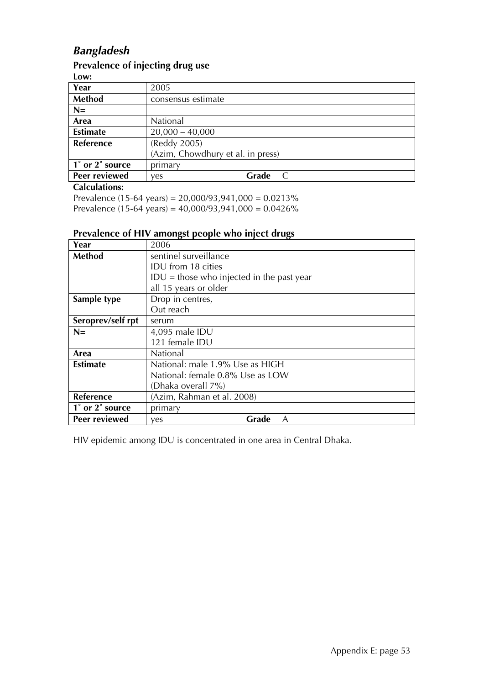### *Bangladesh*

#### **Prevalence of injecting drug use**

| ۰.<br>w<br>--<br>--<br>--<br>٠ |
|--------------------------------|
|--------------------------------|

| LVW.             |                                   |       |   |
|------------------|-----------------------------------|-------|---|
| Year             | 2005                              |       |   |
| <b>Method</b>    | consensus estimate                |       |   |
| $N=$             |                                   |       |   |
| Area             | National                          |       |   |
| <b>Estimate</b>  | $20,000 - 40,000$                 |       |   |
| <b>Reference</b> | (Reddy 2005)                      |       |   |
|                  | (Azim, Chowdhury et al. in press) |       |   |
| 1° or 2° source  | primary                           |       |   |
| Peer reviewed    | ves                               | Grade | C |
|                  |                                   |       |   |

#### **Calculations:**

Prevalence (15-64 years) =  $20,000/93,941,000 = 0.0213\%$ Prevalence (15-64 years) =  $40,000/93,941,000 = 0.0426\%$ 

#### **Prevalence of HIV amongst people who inject drugs**

| Year              | 2006                                        |  |  |
|-------------------|---------------------------------------------|--|--|
| <b>Method</b>     | sentinel surveillance                       |  |  |
|                   | IDU from 18 cities                          |  |  |
|                   | $IDU = those who injected in the past year$ |  |  |
|                   | all 15 years or older                       |  |  |
| Sample type       | Drop in centres,                            |  |  |
|                   | Out reach                                   |  |  |
| Seroprev/self rpt | serum                                       |  |  |
| $N=$              | 4,095 male IDU                              |  |  |
|                   | 121 female IDU                              |  |  |
| Area              | National                                    |  |  |
| <b>Estimate</b>   | National: male 1.9% Use as HIGH             |  |  |
|                   | National: female 0.8% Use as LOW            |  |  |
|                   | (Dhaka overall 7%)                          |  |  |
| Reference         | (Azim, Rahman et al. 2008)                  |  |  |
| 1° or 2° source   | primary                                     |  |  |
| Peer reviewed     | Grade<br>A<br>ves                           |  |  |

HIV epidemic among IDU is concentrated in one area in Central Dhaka.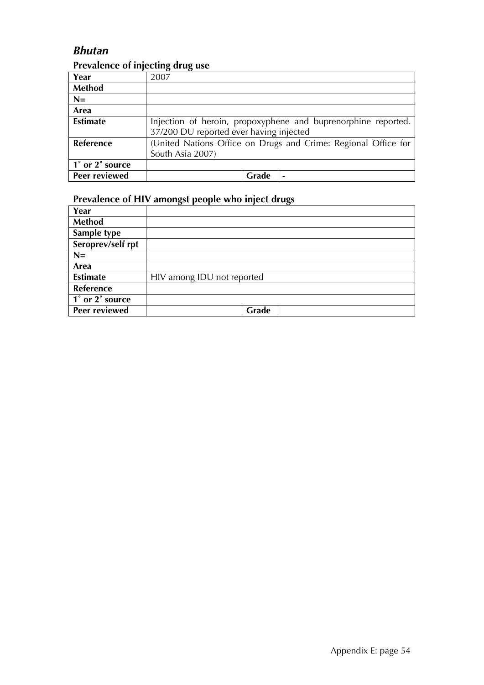#### *Bhutan*

#### **Prevalence of injecting drug use**

| Year             | 2007                                                           |
|------------------|----------------------------------------------------------------|
| <b>Method</b>    |                                                                |
| $N=$             |                                                                |
| Area             |                                                                |
| <b>Estimate</b>  | Injection of heroin, propoxyphene and buprenorphine reported.  |
|                  | 37/200 DU reported ever having injected                        |
| <b>Reference</b> | (United Nations Office on Drugs and Crime: Regional Office for |
|                  | South Asia 2007)                                               |
| 1° or 2° source  |                                                                |
| Peer reviewed    | Grade                                                          |

| Year              |                            |
|-------------------|----------------------------|
| Method            |                            |
| Sample type       |                            |
| Seroprev/self rpt |                            |
| $N=$              |                            |
| Area              |                            |
| <b>Estimate</b>   | HIV among IDU not reported |
| Reference         |                            |
| 1° or 2° source   |                            |
| Peer reviewed     | Grade                      |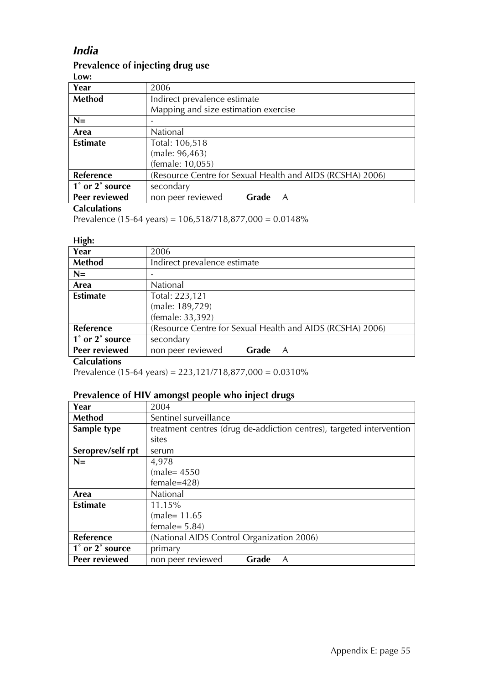### *India*

#### **Prevalence of injecting drug use**

**Low:** 

| Year            | 2006                                 |       |                                                           |
|-----------------|--------------------------------------|-------|-----------------------------------------------------------|
| Method          | Indirect prevalence estimate         |       |                                                           |
|                 | Mapping and size estimation exercise |       |                                                           |
| $N=$            |                                      |       |                                                           |
| Area            | National                             |       |                                                           |
| <b>Estimate</b> | Total: 106,518                       |       |                                                           |
|                 | (male: 96,463)                       |       |                                                           |
|                 | (female: 10,055)                     |       |                                                           |
| Reference       |                                      |       | (Resource Centre for Sexual Health and AIDS (RCSHA) 2006) |
| 1° or 2° source | secondary                            |       |                                                           |
| Peer reviewed   | non peer reviewed                    | Grade | A                                                         |

#### **Calculations**

Prevalence (15-64 years) = 106,518/718,877,000 = 0.0148%

#### **High:**

| Year                 | 2006                         |       |                                                           |
|----------------------|------------------------------|-------|-----------------------------------------------------------|
| Method               | Indirect prevalence estimate |       |                                                           |
| $N=$                 |                              |       |                                                           |
| Area                 | National                     |       |                                                           |
| <b>Estimate</b>      | Total: 223,121               |       |                                                           |
|                      | (male: 189,729)              |       |                                                           |
|                      | (female: 33,392)             |       |                                                           |
| <b>Reference</b>     |                              |       | (Resource Centre for Sexual Health and AIDS (RCSHA) 2006) |
| 1° or 2° source      | secondary                    |       |                                                           |
| <b>Peer reviewed</b> | non peer reviewed            | Grade | A                                                         |

#### **Calculations**

Prevalence (15-64 years) =  $223,121/718,877,000 = 0.0310\%$ 

| Year              | 2004                                                                 |
|-------------------|----------------------------------------------------------------------|
| <b>Method</b>     | Sentinel surveillance                                                |
| Sample type       | treatment centres (drug de-addiction centres), targeted intervention |
|                   | sites                                                                |
| Seroprev/self rpt | serum                                                                |
| $N=$              | 4,978                                                                |
|                   | $(male=4550)$                                                        |
|                   | $female=428$                                                         |
| Area              | National                                                             |
| <b>Estimate</b>   | 11.15%                                                               |
|                   | $(male=11.65)$                                                       |
|                   | female= $5.84$ )                                                     |
| Reference         | (National AIDS Control Organization 2006)                            |
| 1° or 2° source   | primary                                                              |
| Peer reviewed     | non peer reviewed<br>Grade<br>A                                      |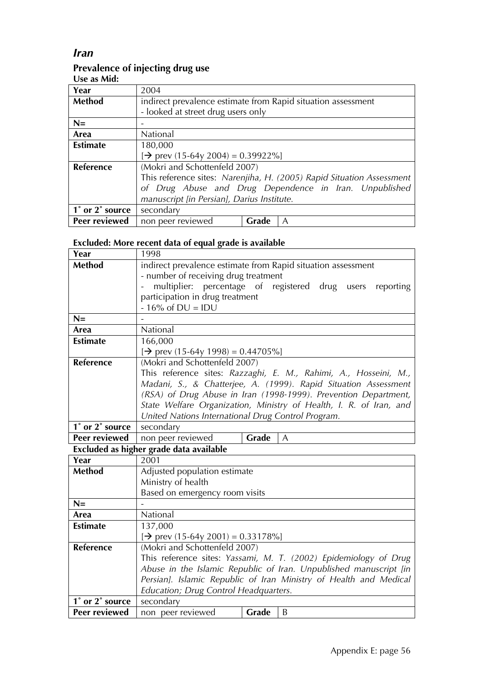### *Iran*

### **Prevalence of injecting drug use**

| Use as Mid:      |                                                                       |
|------------------|-----------------------------------------------------------------------|
| Year             | 2004                                                                  |
| <b>Method</b>    | indirect prevalence estimate from Rapid situation assessment          |
|                  | - looked at street drug users only                                    |
| $N=$             |                                                                       |
| Area             | National                                                              |
| <b>Estimate</b>  | 180,000                                                               |
|                  | $[\rightarrow]$ prev (15-64y 2004) = 0.39922%]                        |
| <b>Reference</b> | (Mokri and Schottenfeld 2007)                                         |
|                  | This reference sites: Narenjiha, H. (2005) Rapid Situation Assessment |
|                  | of Drug Abuse and Drug Dependence in Iran. Unpublished                |
|                  | manuscript [in Persian], Darius Institute.                            |
| 1° or 2° source  | secondary                                                             |
| Peer reviewed    | non peer reviewed<br>Grade<br>A                                       |

### **Excluded: More recent data of equal grade is available**

| Year                | 1998                                                                           |  |  |
|---------------------|--------------------------------------------------------------------------------|--|--|
| <b>Method</b>       | indirect prevalence estimate from Rapid situation assessment                   |  |  |
|                     | - number of receiving drug treatment                                           |  |  |
|                     | multiplier: percentage of registered drug users<br>reporting<br>$\blacksquare$ |  |  |
|                     | participation in drug treatment                                                |  |  |
|                     | $-16\%$ of DU = IDU                                                            |  |  |
| $N =$               |                                                                                |  |  |
| Area                | National                                                                       |  |  |
| <b>Estimate</b>     | 166,000                                                                        |  |  |
|                     | $[\rightarrow]$ prev (15-64y 1998) = 0.44705%]                                 |  |  |
| <b>Reference</b>    | (Mokri and Schottenfeld 2007)                                                  |  |  |
|                     | This reference sites: Razzaghi, E. M., Rahimi, A., Hosseini, M.,               |  |  |
|                     | Madani, S., & Chatterjee, A. (1999). Rapid Situation Assessment                |  |  |
|                     | (RSA) of Drug Abuse in Iran (1998-1999). Prevention Department,                |  |  |
|                     | State Welfare Organization, Ministry of Health, I. R. of Iran, and             |  |  |
|                     | United Nations International Drug Control Program.                             |  |  |
| $1°$ or $2°$ source | secondary                                                                      |  |  |
| Peer reviewed       | Grade<br>non peer reviewed<br>$\overline{A}$                                   |  |  |
|                     | Excluded as higher grade data available                                        |  |  |
| Year                | 2001                                                                           |  |  |
| <b>Method</b>       | Adjusted population estimate                                                   |  |  |
|                     | Ministry of health                                                             |  |  |

| Method          | Adjusted population estimate                |       |                                                                   |
|-----------------|---------------------------------------------|-------|-------------------------------------------------------------------|
|                 | Ministry of health                          |       |                                                                   |
|                 | Based on emergency room visits              |       |                                                                   |
| $N=$            |                                             |       |                                                                   |
| Area            | <b>National</b>                             |       |                                                                   |
| <b>Estimate</b> | 137,000                                     |       |                                                                   |
|                 | $\rightarrow$ prev (15-64y 2001) = 0.33178% |       |                                                                   |
| Reference       | (Mokri and Schottenfeld 2007)               |       |                                                                   |
|                 |                                             |       | This reference sites: Yassami, M. T. (2002) Epidemiology of Drug  |
|                 |                                             |       | Abuse in the Islamic Republic of Iran. Unpublished manuscript [in |
|                 |                                             |       | Persian]. Islamic Republic of Iran Ministry of Health and Medical |
|                 | Education; Drug Control Headquarters.       |       |                                                                   |
| 1° or 2° source | secondary                                   |       |                                                                   |
| Peer reviewed   | non peer reviewed                           | Grade | B                                                                 |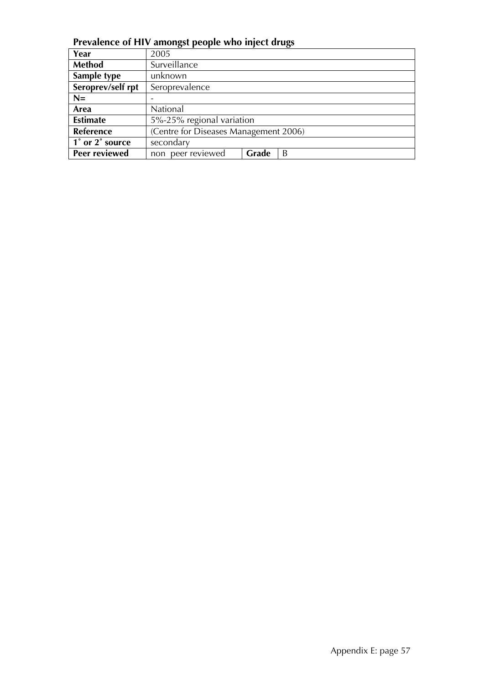**Prevalence of HIV amongst people who inject drugs**

| Year              | 2005                                  |       |   |  |
|-------------------|---------------------------------------|-------|---|--|
| Method            | Surveillance                          |       |   |  |
| Sample type       | unknown                               |       |   |  |
| Seroprev/self rpt | Seroprevalence                        |       |   |  |
| $N=$              |                                       |       |   |  |
| Area              | National                              |       |   |  |
| <b>Estimate</b>   | 5%-25% regional variation             |       |   |  |
| <b>Reference</b>  | (Centre for Diseases Management 2006) |       |   |  |
| 1° or 2° source   | secondary                             |       |   |  |
| Peer reviewed     | non peer reviewed                     | Grade | B |  |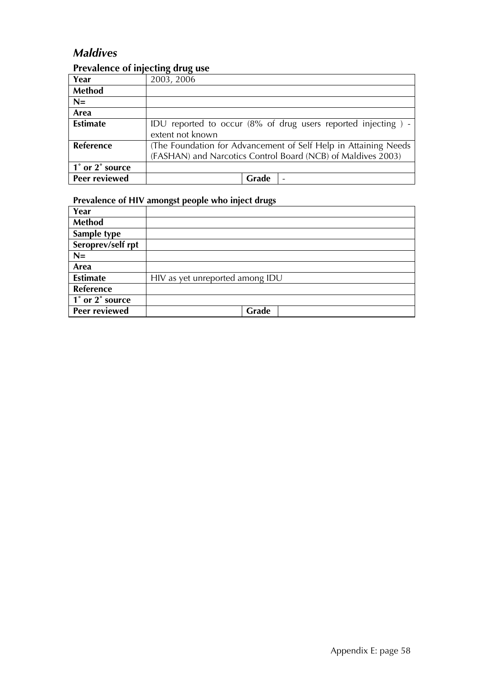### *Maldives*

#### **Prevalence of injecting drug use**

| Year             | 2003, 2006                                                      |
|------------------|-----------------------------------------------------------------|
| Method           |                                                                 |
| $N=$             |                                                                 |
| Area             |                                                                 |
| <b>Estimate</b>  | IDU reported to occur (8% of drug users reported injecting) -   |
|                  | extent not known                                                |
| <b>Reference</b> | (The Foundation for Advancement of Self Help in Attaining Needs |
|                  | (FASHAN) and Narcotics Control Board (NCB) of Maldives 2003)    |
| 1° or 2° source  |                                                                 |
| Peer reviewed    | Grade                                                           |

| Year                 |                                 |
|----------------------|---------------------------------|
| <b>Method</b>        |                                 |
| Sample type          |                                 |
| Seroprev/self rpt    |                                 |
| $N=$                 |                                 |
| Area                 |                                 |
| <b>Estimate</b>      | HIV as yet unreported among IDU |
| Reference            |                                 |
| 1° or 2° source      |                                 |
| <b>Peer reviewed</b> | Grade                           |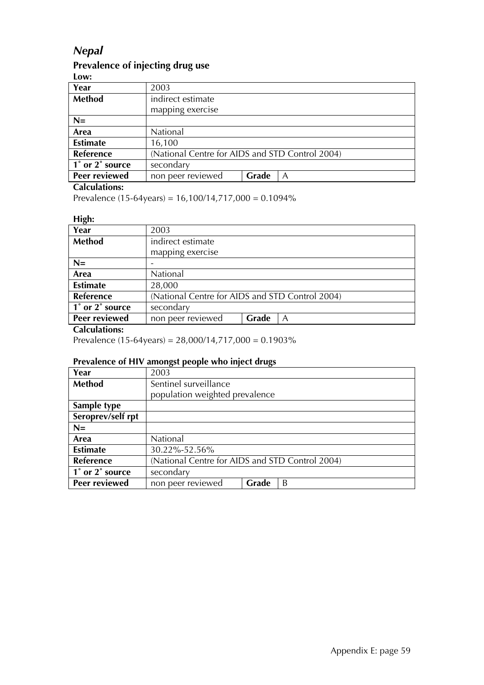#### *Nepal*

#### **Prevalence of injecting drug use**

| LVW.             |                                                 |
|------------------|-------------------------------------------------|
| Year             | 2003                                            |
| <b>Method</b>    | indirect estimate                               |
|                  | mapping exercise                                |
| $N=$             |                                                 |
| Area             | National                                        |
| <b>Estimate</b>  | 16,100                                          |
| <b>Reference</b> | (National Centre for AIDS and STD Control 2004) |
| 1° or 2° source  | secondary                                       |
| Peer reviewed    | Grade<br>non peer reviewed<br>A                 |

#### **Calculations:**

Prevalence (15-64years) = 16,100/14,717,000 = 0.1094%

#### **High:**

| Year             | 2003                                            |       |   |
|------------------|-------------------------------------------------|-------|---|
| <b>Method</b>    | indirect estimate                               |       |   |
|                  | mapping exercise                                |       |   |
| $N=$             |                                                 |       |   |
| Area             | National                                        |       |   |
| <b>Estimate</b>  | 28,000                                          |       |   |
| <b>Reference</b> | (National Centre for AIDS and STD Control 2004) |       |   |
| 1° or 2° source  | secondary                                       |       |   |
| Peer reviewed    | non peer reviewed                               | Grade | A |

#### **Calculations:**

Prevalence (15-64years) = 28,000/14,717,000 = 0.1903%

| Year              | 2003                                            |       |   |
|-------------------|-------------------------------------------------|-------|---|
| <b>Method</b>     | Sentinel surveillance                           |       |   |
|                   | population weighted prevalence                  |       |   |
| Sample type       |                                                 |       |   |
| Seroprev/self rpt |                                                 |       |   |
| $N=$              |                                                 |       |   |
| Area              | National                                        |       |   |
| <b>Estimate</b>   | 30.22%-52.56%                                   |       |   |
| <b>Reference</b>  | (National Centre for AIDS and STD Control 2004) |       |   |
| 1° or 2° source   | secondary                                       |       |   |
| Peer reviewed     | non peer reviewed                               | Grade | B |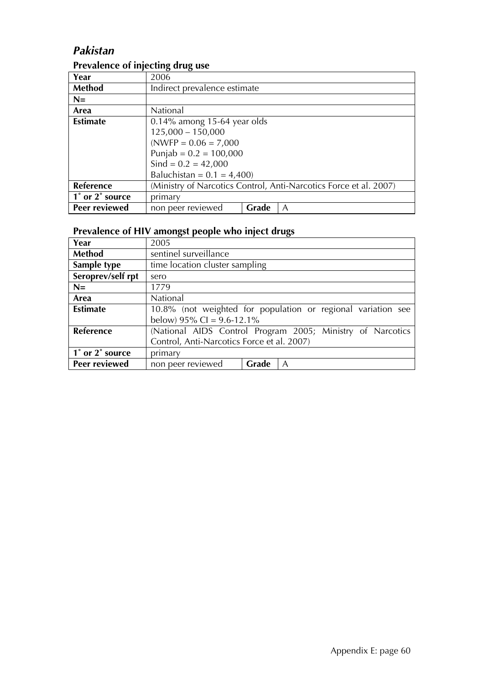### *Pakistan*

#### **Prevalence of injecting drug use**

| Year            | 2006                                                              |       |   |
|-----------------|-------------------------------------------------------------------|-------|---|
| Method          | Indirect prevalence estimate                                      |       |   |
| $N=$            |                                                                   |       |   |
| Area            | National                                                          |       |   |
| <b>Estimate</b> | $0.14\%$ among 15-64 year olds                                    |       |   |
|                 | $125,000 - 150,000$                                               |       |   |
|                 | $(NWFP = 0.06 = 7,000)$                                           |       |   |
|                 | Punjab = $0.2 = 100,000$                                          |       |   |
|                 | Sind = $0.2 = 42,000$                                             |       |   |
|                 | Baluchistan = $0.1 = 4,400$ )                                     |       |   |
| Reference       | (Ministry of Narcotics Control, Anti-Narcotics Force et al. 2007) |       |   |
| 1° or 2° source | primary                                                           |       |   |
| Peer reviewed   | non peer reviewed                                                 | Grade | A |

| Year                 | 2005                                       |       |                                                              |
|----------------------|--------------------------------------------|-------|--------------------------------------------------------------|
| Method               | sentinel surveillance                      |       |                                                              |
| Sample type          | time location cluster sampling             |       |                                                              |
| Seroprev/self rpt    | sero                                       |       |                                                              |
| $N=$                 | 1779                                       |       |                                                              |
| Area                 | National                                   |       |                                                              |
| <b>Estimate</b>      |                                            |       | 10.8% (not weighted for population or regional variation see |
|                      | below) $95\%$ CI = 9.6-12.1%               |       |                                                              |
| Reference            |                                            |       | (National AIDS Control Program 2005; Ministry of Narcotics   |
|                      | Control, Anti-Narcotics Force et al. 2007) |       |                                                              |
| 1° or 2° source      | primary                                    |       |                                                              |
| <b>Peer reviewed</b> | non peer reviewed                          | Grade | A                                                            |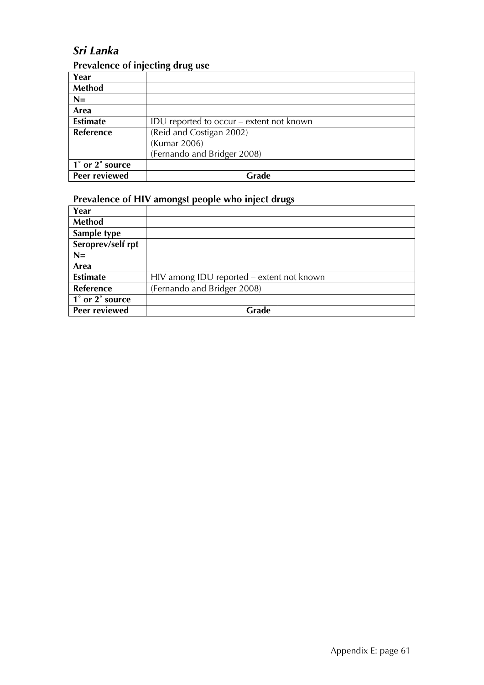### *Sri Lanka*

#### **Prevalence of injecting drug use**

| Year             |                                          |
|------------------|------------------------------------------|
| <b>Method</b>    |                                          |
| $N=$             |                                          |
| Area             |                                          |
| <b>Estimate</b>  | IDU reported to occur – extent not known |
| <b>Reference</b> | (Reid and Costigan 2002)                 |
|                  | (Kumar 2006)                             |
|                  | (Fernando and Bridger 2008)              |
| 1° or 2° source  |                                          |
| Peer reviewed    | Grade                                    |

| Year              |                                           |
|-------------------|-------------------------------------------|
| <b>Method</b>     |                                           |
| Sample type       |                                           |
| Seroprev/self rpt |                                           |
| $N=$              |                                           |
| Area              |                                           |
| <b>Estimate</b>   | HIV among IDU reported - extent not known |
| <b>Reference</b>  | (Fernando and Bridger 2008)               |
| 1° or 2° source   |                                           |
| Peer reviewed     | Grade                                     |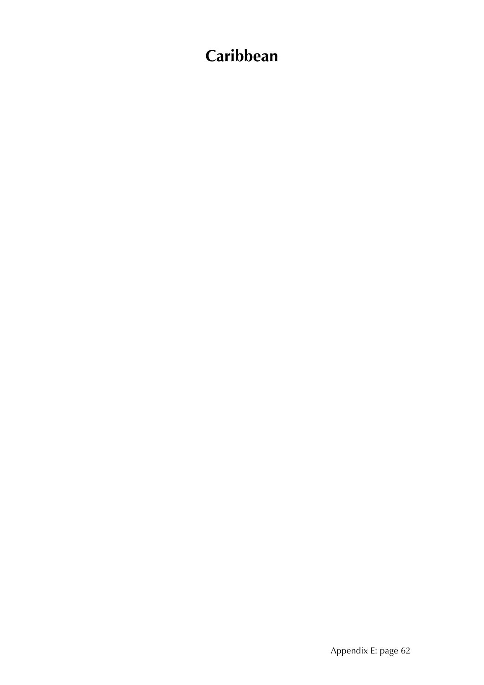# **Caribbean**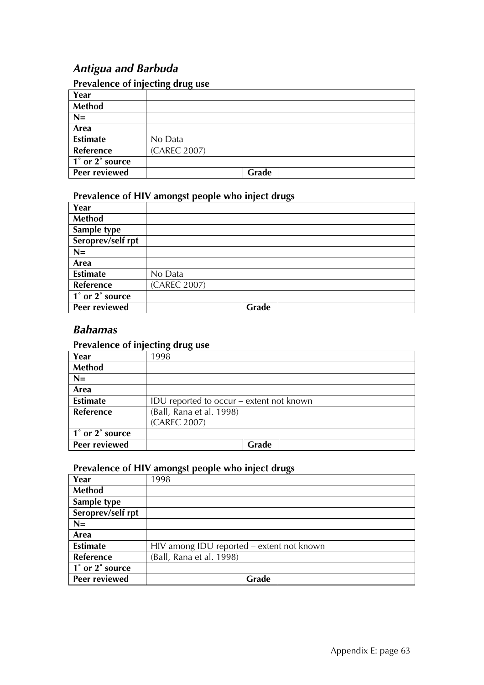### *Antigua and Barbuda*

#### **Prevalence of injecting drug use**

| Year            |              |
|-----------------|--------------|
| <b>Method</b>   |              |
| $N=$            |              |
| Area            |              |
| <b>Estimate</b> | No Data      |
| Reference       | (CAREC 2007) |
| 1° or 2° source |              |
| Peer reviewed   | Grade        |

#### **Prevalence of HIV amongst people who inject drugs**

| Year              |              |  |
|-------------------|--------------|--|
| Method            |              |  |
| Sample type       |              |  |
| Seroprev/self rpt |              |  |
| $N=$              |              |  |
| Area              |              |  |
| <b>Estimate</b>   | No Data      |  |
| Reference         | (CAREC 2007) |  |
| 1° or 2° source   |              |  |
| Peer reviewed     | Grade        |  |

#### *Bahamas*

#### **Prevalence of injecting drug use**

| Year                 | 1998                                     |
|----------------------|------------------------------------------|
| <b>Method</b>        |                                          |
| $N=$                 |                                          |
| Area                 |                                          |
| <b>Estimate</b>      | IDU reported to occur – extent not known |
| Reference            | (Ball, Rana et al. 1998)                 |
|                      | (CAREC 2007)                             |
| 1° or 2° source      |                                          |
| <b>Peer reviewed</b> | Grade                                    |

| Year                 | 1998                                      |
|----------------------|-------------------------------------------|
| <b>Method</b>        |                                           |
| Sample type          |                                           |
| Seroprev/self rpt    |                                           |
| $N=$                 |                                           |
| Area                 |                                           |
| <b>Estimate</b>      | HIV among IDU reported - extent not known |
| Reference            | (Ball, Rana et al. 1998)                  |
| 1° or 2° source      |                                           |
| <b>Peer reviewed</b> | Grade                                     |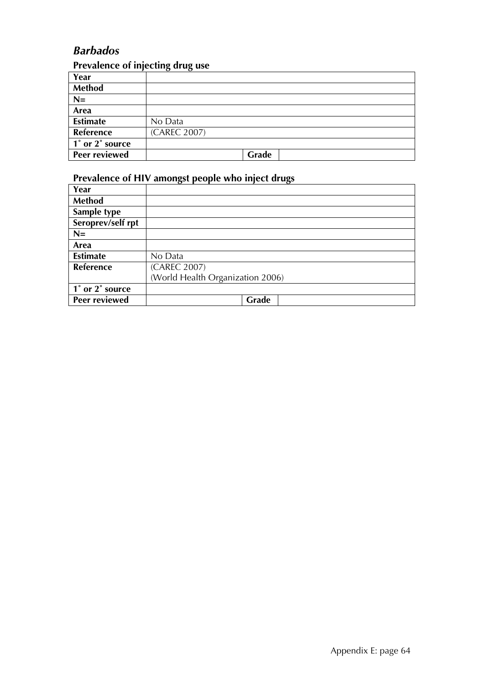### *Barbados*

#### **Prevalence of injecting drug use**

| Year                 |              |
|----------------------|--------------|
| Method               |              |
| $N=$                 |              |
| Area                 |              |
| <b>Estimate</b>      | No Data      |
| Reference            | (CAREC 2007) |
| 1° or 2° source      |              |
| <b>Peer reviewed</b> | Grade        |

| Year              |                                  |
|-------------------|----------------------------------|
| Method            |                                  |
| Sample type       |                                  |
| Seroprev/self rpt |                                  |
| $N=$              |                                  |
| Area              |                                  |
| <b>Estimate</b>   | No Data                          |
| <b>Reference</b>  | (CAREC 2007)                     |
|                   | (World Health Organization 2006) |
| 1° or 2° source   |                                  |
| Peer reviewed     | Grade                            |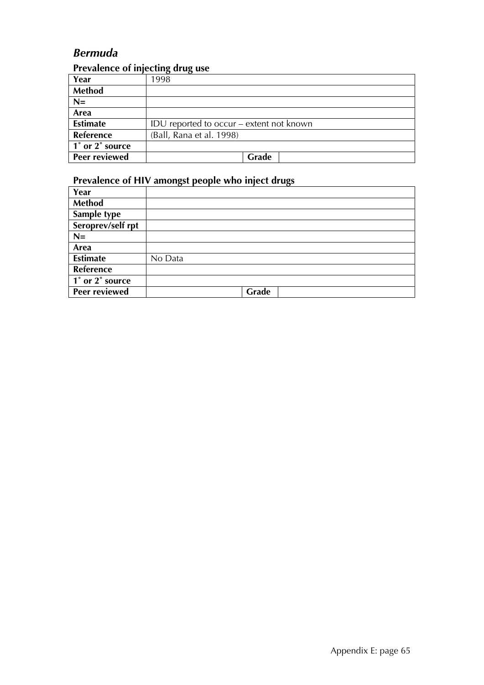### *Bermuda*

#### **Prevalence of injecting drug use**

| Year                 | 1998                                     |
|----------------------|------------------------------------------|
| <b>Method</b>        |                                          |
| $N=$                 |                                          |
| Area                 |                                          |
| <b>Estimate</b>      | IDU reported to occur – extent not known |
| Reference            | (Ball, Rana et al. 1998)                 |
| 1° or 2° source      |                                          |
| <b>Peer reviewed</b> | Grade                                    |

| Year                                                       |         |
|------------------------------------------------------------|---------|
| <b>Method</b>                                              |         |
| Sample type                                                |         |
| Seroprev/self rpt                                          |         |
| $N=$                                                       |         |
| Area                                                       |         |
| <b>Estimate</b>                                            | No Data |
| Reference                                                  |         |
| $\overline{1^{\degree}$ or $\overline{2^{\degree}}$ source |         |
| Peer reviewed                                              | Grade   |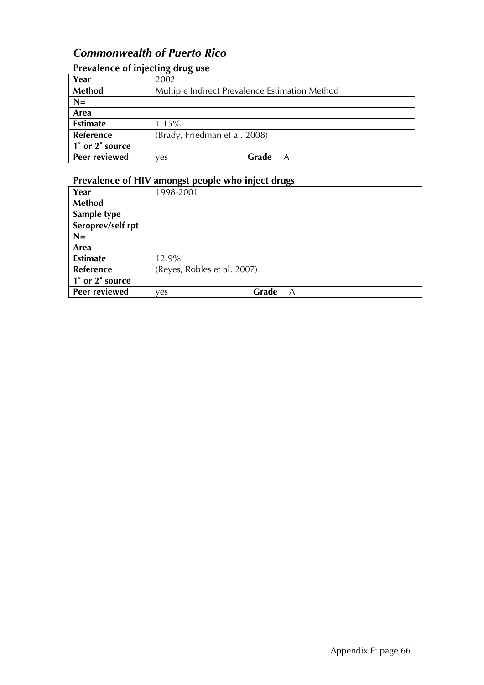### *Commonwealth of Puerto Rico*

### **Prevalence of injecting drug use**

| Year                 | 2002                                           |       |   |
|----------------------|------------------------------------------------|-------|---|
| Method               | Multiple Indirect Prevalence Estimation Method |       |   |
| $N=$                 |                                                |       |   |
| Area                 |                                                |       |   |
| <b>Estimate</b>      | 1.15%                                          |       |   |
| <b>Reference</b>     | (Brady, Friedman et al. 2008)                  |       |   |
| 1° or 2° source      |                                                |       |   |
| <b>Peer reviewed</b> | ves                                            | Grade | A |

| Year              | 1998-2001                   |       |  |
|-------------------|-----------------------------|-------|--|
| <b>Method</b>     |                             |       |  |
| Sample type       |                             |       |  |
| Seroprev/self rpt |                             |       |  |
| $N=$              |                             |       |  |
| Area              |                             |       |  |
| <b>Estimate</b>   | 12.9%                       |       |  |
| Reference         | (Reyes, Robles et al. 2007) |       |  |
| 1° or 2° source   |                             |       |  |
| Peer reviewed     | yes                         | Grade |  |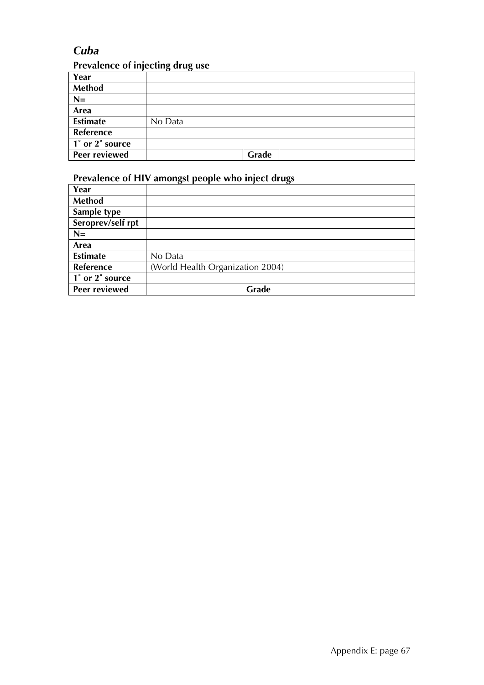### *Cuba*

### **Prevalence of injecting drug use**

| Year                 | . .     |
|----------------------|---------|
| <b>Method</b>        |         |
| $N=$                 |         |
| Area                 |         |
| <b>Estimate</b>      | No Data |
| Reference            |         |
| 1° or 2° source      |         |
| <b>Peer reviewed</b> | Grade   |

| Year              |                                  |
|-------------------|----------------------------------|
| Method            |                                  |
| Sample type       |                                  |
| Seroprev/self rpt |                                  |
| $N=$              |                                  |
| Area              |                                  |
| <b>Estimate</b>   | No Data                          |
| <b>Reference</b>  | (World Health Organization 2004) |
| 1° or 2° source   |                                  |
| Peer reviewed     | Grade                            |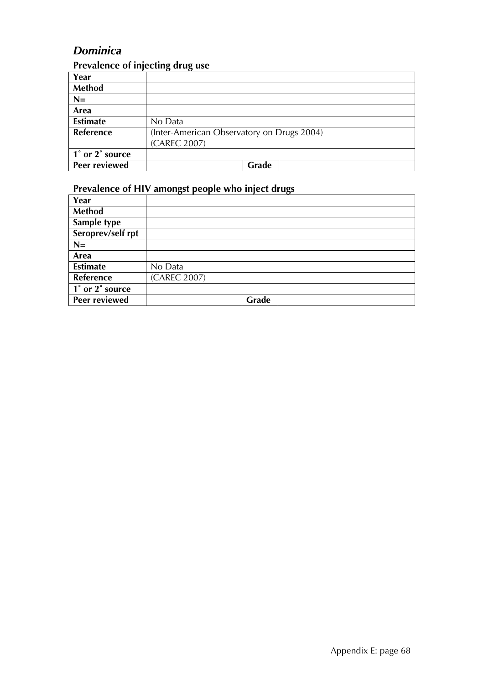### *Dominica*

### **Prevalence of injecting drug use**

| Year            |                                            |
|-----------------|--------------------------------------------|
| Method          |                                            |
| $N=$            |                                            |
| Area            |                                            |
| <b>Estimate</b> | No Data                                    |
| Reference       | (Inter-American Observatory on Drugs 2004) |
|                 | (CAREC 2007)                               |
| 1° or 2° source |                                            |
| Peer reviewed   | Grade                                      |

| Year                 |              |
|----------------------|--------------|
| <b>Method</b>        |              |
| Sample type          |              |
| Seroprev/self rpt    |              |
| $N=$                 |              |
| Area                 |              |
| <b>Estimate</b>      | No Data      |
| Reference            | (CAREC 2007) |
| 1° or 2° source      |              |
| <b>Peer reviewed</b> | Grade        |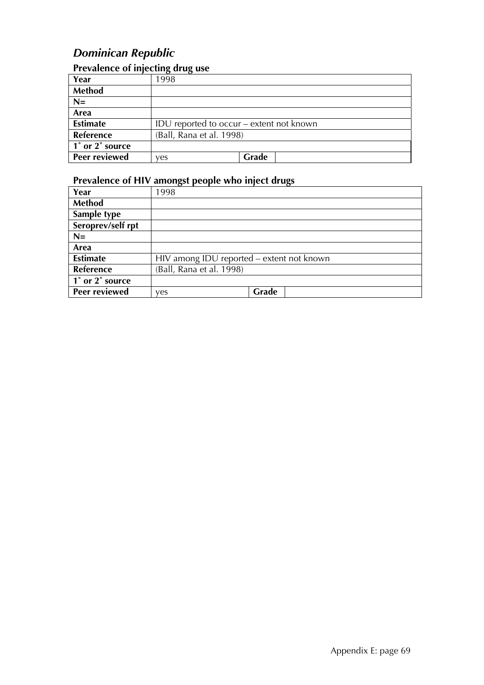### *Dominican Republic*

#### **Prevalence of injecting drug use**

|                      | ה־־־־                    |                                          |  |
|----------------------|--------------------------|------------------------------------------|--|
| Year                 | 1998                     |                                          |  |
| <b>Method</b>        |                          |                                          |  |
| $N=$                 |                          |                                          |  |
| Area                 |                          |                                          |  |
| <b>Estimate</b>      |                          | IDU reported to occur – extent not known |  |
| Reference            | (Ball, Rana et al. 1998) |                                          |  |
| 1° or 2° source      |                          |                                          |  |
| <b>Peer reviewed</b> | ves                      | Grade                                    |  |

| Year                 | 1998                                      |       |
|----------------------|-------------------------------------------|-------|
| <b>Method</b>        |                                           |       |
| Sample type          |                                           |       |
| Seroprev/self rpt    |                                           |       |
| $N=$                 |                                           |       |
| Area                 |                                           |       |
| <b>Estimate</b>      | HIV among IDU reported - extent not known |       |
| <b>Reference</b>     | (Ball, Rana et al. 1998)                  |       |
| 1° or 2° source      |                                           |       |
| <b>Peer reviewed</b> | ves                                       | Grade |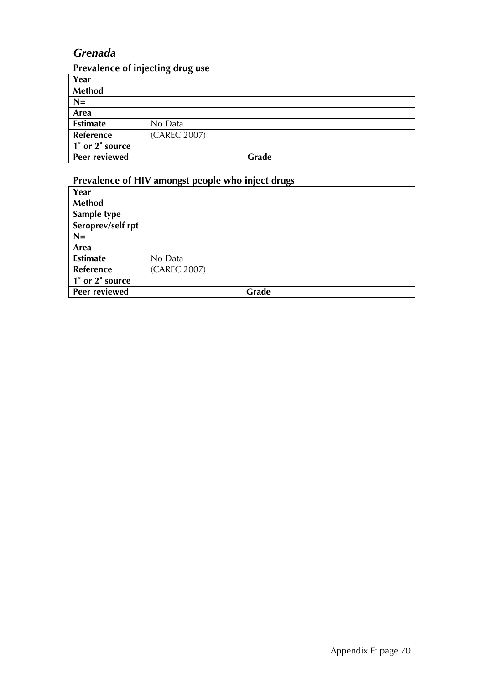### *Grenada*

#### **Prevalence of injecting drug use**

| Year                 |              |
|----------------------|--------------|
| <b>Method</b>        |              |
| $N=$                 |              |
| Area                 |              |
| <b>Estimate</b>      | No Data      |
| Reference            | (CAREC 2007) |
| 1° or 2° source      |              |
| <b>Peer reviewed</b> | Grade        |

| Year                                                       |              |
|------------------------------------------------------------|--------------|
| <b>Method</b>                                              |              |
| Sample type                                                |              |
| Seroprev/self rpt                                          |              |
| $N=$                                                       |              |
| Area                                                       |              |
| <b>Estimate</b>                                            | No Data      |
| Reference                                                  | (CAREC 2007) |
| $\overline{1^{\degree}$ or $\overline{2^{\degree}}$ source |              |
| Peer reviewed                                              | Grade        |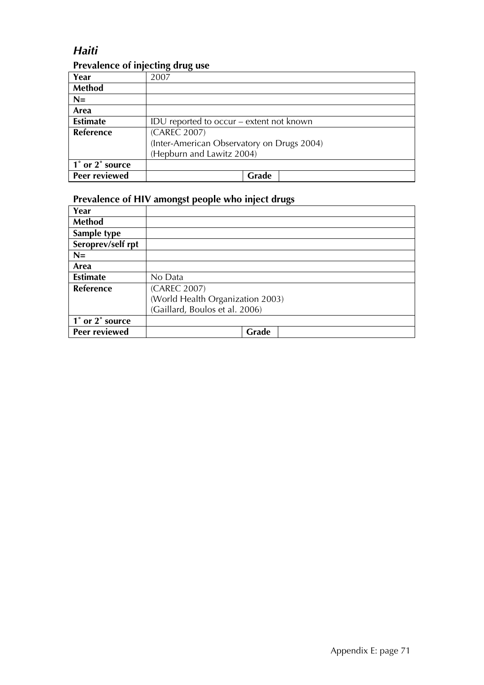### *Haiti*

### **Prevalence of injecting drug use**

| Year             | 2007                                       |
|------------------|--------------------------------------------|
| Method           |                                            |
| $N=$             |                                            |
| Area             |                                            |
| <b>Estimate</b>  | IDU reported to occur – extent not known   |
| <b>Reference</b> | (CAREC 2007)                               |
|                  | (Inter-American Observatory on Drugs 2004) |
|                  | (Hepburn and Lawitz 2004)                  |
| 1° or 2° source  |                                            |
| Peer reviewed    | Grade                                      |

| Year              |                                  |
|-------------------|----------------------------------|
| Method            |                                  |
| Sample type       |                                  |
| Seroprev/self rpt |                                  |
| $N=$              |                                  |
| Area              |                                  |
| <b>Estimate</b>   | No Data                          |
| <b>Reference</b>  | (CAREC 2007)                     |
|                   | (World Health Organization 2003) |
|                   | (Gaillard, Boulos et al. 2006)   |
| 1° or 2° source   |                                  |
| Peer reviewed     | Grade                            |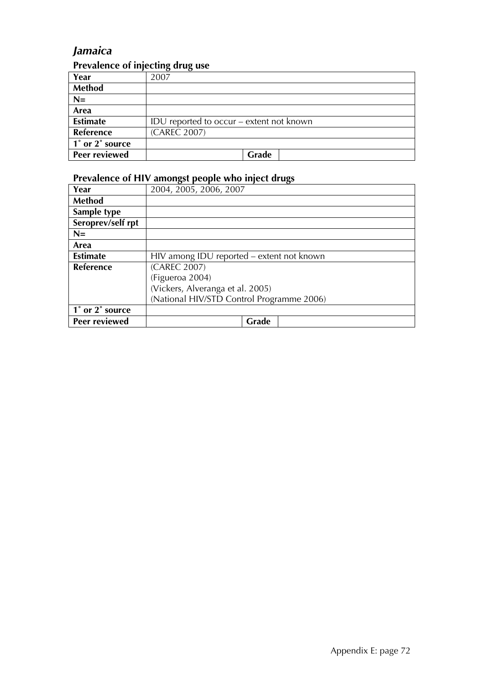### *Jamaica*

### **Prevalence of injecting drug use**

| Year            | 2007                                     |  |  |
|-----------------|------------------------------------------|--|--|
| <b>Method</b>   |                                          |  |  |
| $N=$            |                                          |  |  |
| Area            |                                          |  |  |
| <b>Estimate</b> | IDU reported to occur – extent not known |  |  |
| Reference       | (CAREC 2007)                             |  |  |
| 1° or 2° source |                                          |  |  |
| Peer reviewed   | Grade                                    |  |  |

| Year              | 2004, 2005, 2006, 2007                    |  |  |  |
|-------------------|-------------------------------------------|--|--|--|
| <b>Method</b>     |                                           |  |  |  |
| Sample type       |                                           |  |  |  |
| Seroprev/self rpt |                                           |  |  |  |
| $N =$             |                                           |  |  |  |
| Area              |                                           |  |  |  |
| <b>Estimate</b>   | HIV among IDU reported – extent not known |  |  |  |
| <b>Reference</b>  | (CAREC 2007)                              |  |  |  |
|                   | (Figueroa 2004)                           |  |  |  |
|                   | (Vickers, Alveranga et al. 2005)          |  |  |  |
|                   | (National HIV/STD Control Programme 2006) |  |  |  |
| 1° or 2° source   |                                           |  |  |  |
| Peer reviewed     | Grade                                     |  |  |  |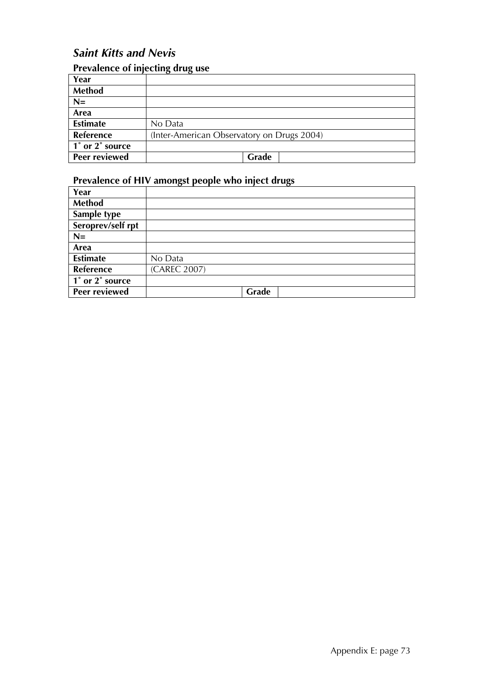### *Saint Kitts and Nevis*

#### **Prevalence of injecting drug use**

| Year            |                                            |  |
|-----------------|--------------------------------------------|--|
| <b>Method</b>   |                                            |  |
| $N=$            |                                            |  |
| Area            |                                            |  |
| <b>Estimate</b> | No Data                                    |  |
| Reference       | (Inter-American Observatory on Drugs 2004) |  |
| 1° or 2° source |                                            |  |
| Peer reviewed   | Grade                                      |  |

| Year                                                       |              |
|------------------------------------------------------------|--------------|
| <b>Method</b>                                              |              |
| Sample type                                                |              |
| Seroprev/self rpt                                          |              |
| $N=$                                                       |              |
| Area                                                       |              |
| <b>Estimate</b>                                            | No Data      |
| Reference                                                  | (CAREC 2007) |
| $\overline{1^{\degree}$ or $\overline{2^{\degree}}$ source |              |
| Peer reviewed                                              | Grade        |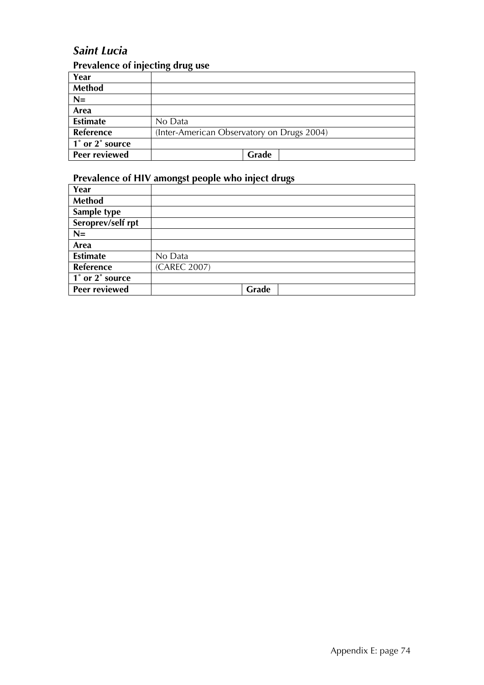### *Saint Lucia*

### **Prevalence of injecting drug use**

| Year                 |                                            |  |
|----------------------|--------------------------------------------|--|
| <b>Method</b>        |                                            |  |
| $N=$                 |                                            |  |
| Area                 |                                            |  |
| <b>Estimate</b>      | No Data                                    |  |
| <b>Reference</b>     | (Inter-American Observatory on Drugs 2004) |  |
| 1° or 2° source      |                                            |  |
| <b>Peer reviewed</b> | Grade                                      |  |

| Year                                                       |              |
|------------------------------------------------------------|--------------|
| <b>Method</b>                                              |              |
| Sample type                                                |              |
| Seroprev/self rpt                                          |              |
| $N=$                                                       |              |
| Area                                                       |              |
| <b>Estimate</b>                                            | No Data      |
| Reference                                                  | (CAREC 2007) |
| $\overline{1^{\degree}$ or $\overline{2^{\degree}}$ source |              |
| Peer reviewed                                              | Grade        |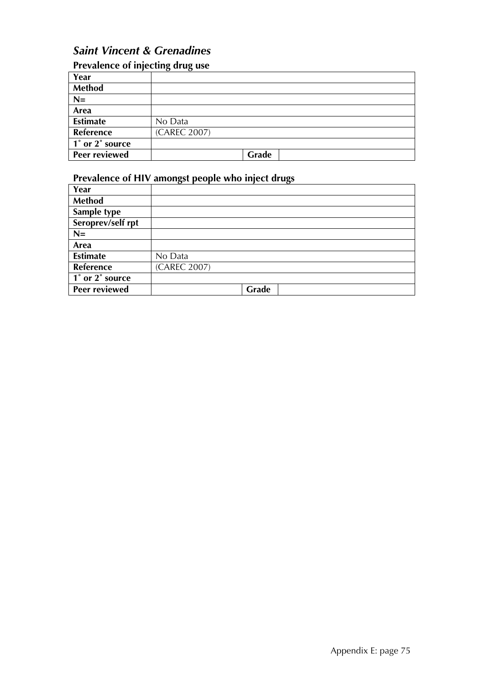### *Saint Vincent & Grenadines*

| Prevalence of injecting drug use |              |  |  |
|----------------------------------|--------------|--|--|
| Year                             |              |  |  |
| <b>Method</b>                    |              |  |  |
| $N=$                             |              |  |  |
| Area                             |              |  |  |
| <b>Estimate</b>                  | No Data      |  |  |
| <b>Reference</b>                 | (CAREC 2007) |  |  |
| 1° or 2° source                  |              |  |  |
| Peer reviewed                    | Grade        |  |  |

| Year                 |              |
|----------------------|--------------|
| <b>Method</b>        |              |
| Sample type          |              |
| Seroprev/self rpt    |              |
| $N=$                 |              |
| Area                 |              |
| <b>Estimate</b>      | No Data      |
| Reference            | (CAREC 2007) |
| 1° or 2° source      |              |
| <b>Peer reviewed</b> | Grade        |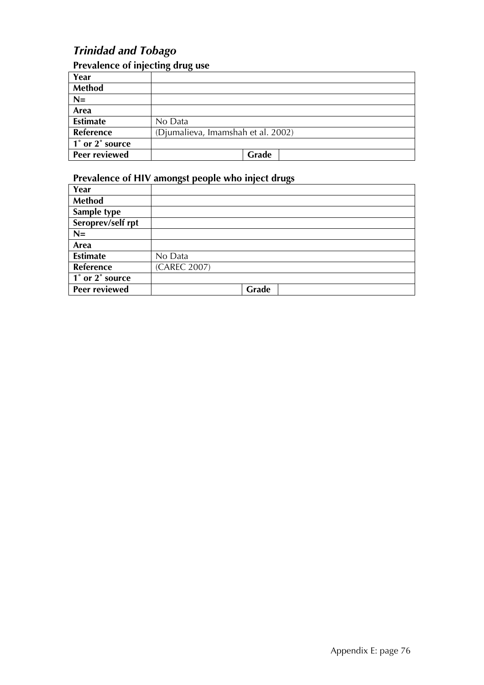### *Trinidad and Tobago*

### **Prevalence of injecting drug use**

| Year            |                                    |  |
|-----------------|------------------------------------|--|
| <b>Method</b>   |                                    |  |
| $N=$            |                                    |  |
| Area            |                                    |  |
| <b>Estimate</b> | No Data                            |  |
| Reference       | (Djumalieva, Imamshah et al. 2002) |  |
| 1° or 2° source |                                    |  |
| Peer reviewed   | Grade                              |  |

| Year                                                       |              |
|------------------------------------------------------------|--------------|
| <b>Method</b>                                              |              |
| Sample type                                                |              |
| Seroprev/self rpt                                          |              |
| $N=$                                                       |              |
| Area                                                       |              |
| <b>Estimate</b>                                            | No Data      |
| Reference                                                  | (CAREC 2007) |
| $\overline{1^{\degree}$ or $\overline{2^{\degree}}$ source |              |
| <b>Peer reviewed</b>                                       | Grade        |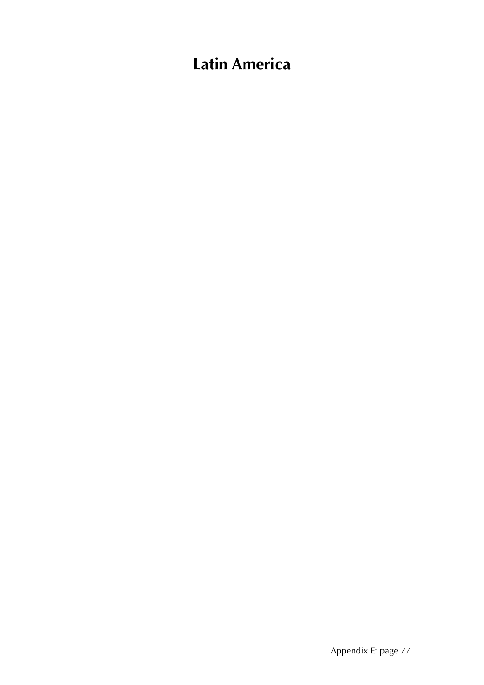# **Latin America**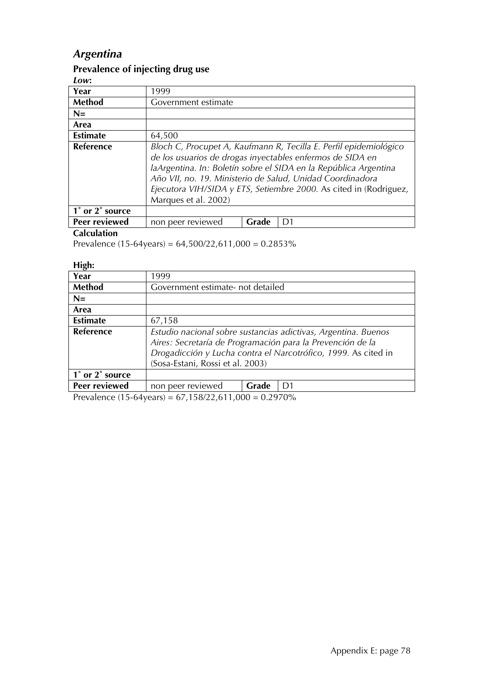### *Argentina*

#### **Prevalence of injecting drug use**

*Low***:** 

| LV IV .                                      |                                                                                                                                                                                                                                                                                                                                                              |       |    |  |
|----------------------------------------------|--------------------------------------------------------------------------------------------------------------------------------------------------------------------------------------------------------------------------------------------------------------------------------------------------------------------------------------------------------------|-------|----|--|
| Year                                         | 1999                                                                                                                                                                                                                                                                                                                                                         |       |    |  |
| Method                                       | Government estimate                                                                                                                                                                                                                                                                                                                                          |       |    |  |
| $N=$                                         |                                                                                                                                                                                                                                                                                                                                                              |       |    |  |
| Area                                         |                                                                                                                                                                                                                                                                                                                                                              |       |    |  |
| <b>Estimate</b>                              | 64,500                                                                                                                                                                                                                                                                                                                                                       |       |    |  |
| Reference                                    | Bloch C, Procupet A, Kaufmann R, Tecilla E. Perfil epidemiológico<br>de los usuarios de drogas inyectables enfermos de SIDA en<br>laArgentina. In: Boletín sobre el SIDA en la República Argentina<br>Año VII, no. 19. Ministerio de Salud, Unidad Coordinadora<br>Ejecutora VIH/SIDA y ETS, Setiembre 2000. As cited in (Rodriguez,<br>Marques et al. 2002) |       |    |  |
| $\overline{1}^{\circ}$ or $2^{\circ}$ source |                                                                                                                                                                                                                                                                                                                                                              |       |    |  |
| Peer reviewed                                | non peer reviewed                                                                                                                                                                                                                                                                                                                                            | Grade | D1 |  |
| - - - -                                      |                                                                                                                                                                                                                                                                                                                                                              |       |    |  |

#### **Calculation**

Prevalence (15-64years) =  $64,500/22,611,000 = 0.2853\%$ 

**High:** 

| .<br>Year                                    | 1999                                                                                                                                                                                                                               |       |    |  |  |
|----------------------------------------------|------------------------------------------------------------------------------------------------------------------------------------------------------------------------------------------------------------------------------------|-------|----|--|--|
| <b>Method</b>                                | Government estimate- not detailed                                                                                                                                                                                                  |       |    |  |  |
| $N=$                                         |                                                                                                                                                                                                                                    |       |    |  |  |
| Area                                         |                                                                                                                                                                                                                                    |       |    |  |  |
| <b>Estimate</b>                              | 67,158                                                                                                                                                                                                                             |       |    |  |  |
| Reference                                    | Estudio nacional sobre sustancias adictivas, Argentina. Buenos<br>Aires: Secretaría de Programación para la Prevención de la<br>Drogadicción y Lucha contra el Narcotrófico, 1999. As cited in<br>(Sosa-Estani, Rossi et al. 2003) |       |    |  |  |
| $\overline{1}^{\circ}$ or $2^{\circ}$ source |                                                                                                                                                                                                                                    |       |    |  |  |
| Peer reviewed                                | non peer reviewed                                                                                                                                                                                                                  | Grade | D1 |  |  |

Prevalence (15-64years) = 67,158/22,611,000 = 0.2970%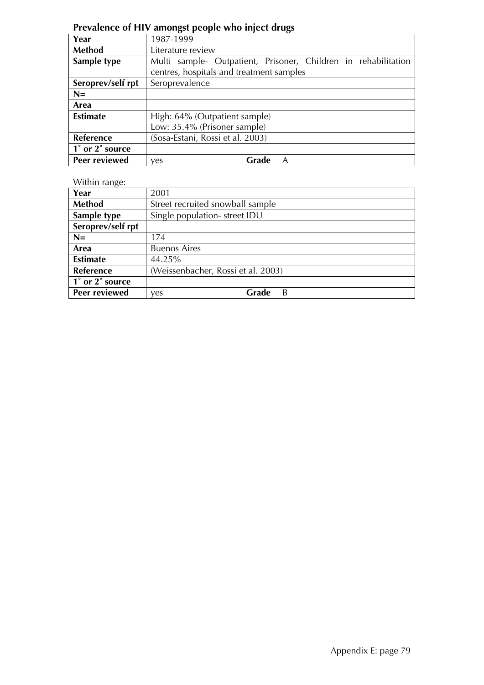#### **Prevalence of HIV amongst people who inject drugs**

| Year              | יידיים ייח<br>1987-1999                                        |       |   |  |  |
|-------------------|----------------------------------------------------------------|-------|---|--|--|
| <b>Method</b>     | Literature review                                              |       |   |  |  |
| Sample type       | Multi sample- Outpatient, Prisoner, Children in rehabilitation |       |   |  |  |
|                   | centres, hospitals and treatment samples                       |       |   |  |  |
| Seroprev/self rpt | Seroprevalence                                                 |       |   |  |  |
| $N=$              |                                                                |       |   |  |  |
| Area              |                                                                |       |   |  |  |
| <b>Estimate</b>   | High: 64% (Outpatient sample)                                  |       |   |  |  |
|                   | Low: 35.4% (Prisoner sample)                                   |       |   |  |  |
| Reference         | (Sosa-Estani, Rossi et al. 2003)                               |       |   |  |  |
| 1° or 2° source   |                                                                |       |   |  |  |
| Peer reviewed     | yes                                                            | Grade | A |  |  |

#### Within range:

| Year              | 2001                               |       |   |  |
|-------------------|------------------------------------|-------|---|--|
| Method            | Street recruited snowball sample   |       |   |  |
| Sample type       | Single population-street IDU       |       |   |  |
| Seroprev/self rpt |                                    |       |   |  |
| $N=$              | 174                                |       |   |  |
| Area              | <b>Buenos Aires</b>                |       |   |  |
| <b>Estimate</b>   | 44.25%                             |       |   |  |
| <b>Reference</b>  | (Weissenbacher, Rossi et al. 2003) |       |   |  |
| 1° or 2° source   |                                    |       |   |  |
| Peer reviewed     | ves                                | Grade | B |  |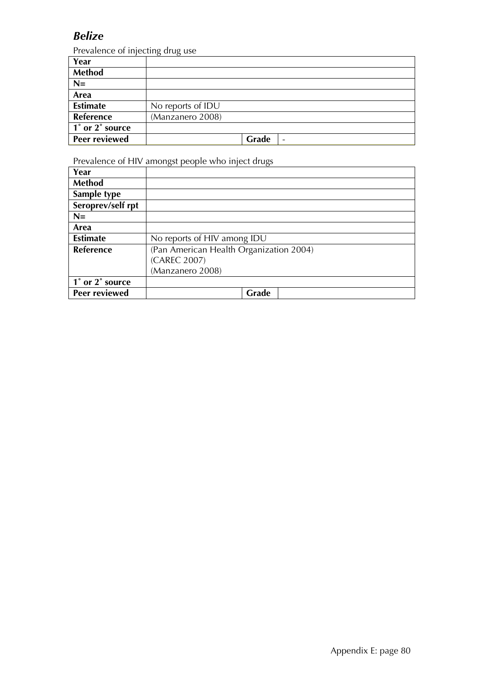### *Belize*

Prevalence of injecting drug use

| Year                 | $\epsilon$<br>$\cdots$ |       |                 |
|----------------------|------------------------|-------|-----------------|
| Method               |                        |       |                 |
| $N=$                 |                        |       |                 |
| Area                 |                        |       |                 |
| <b>Estimate</b>      | No reports of IDU      |       |                 |
| Reference            | (Manzanero 2008)       |       |                 |
| 1° or 2° source      |                        |       |                 |
| <b>Peer reviewed</b> |                        | Grade | $\qquad \qquad$ |

| Year                                         |                                         |
|----------------------------------------------|-----------------------------------------|
| Method                                       |                                         |
| Sample type                                  |                                         |
| Seroprev/self rpt                            |                                         |
| $N=$                                         |                                         |
| Area                                         |                                         |
| <b>Estimate</b>                              | No reports of HIV among IDU             |
| Reference                                    | (Pan American Health Organization 2004) |
|                                              | (CAREC 2007)                            |
|                                              | (Manzanero 2008)                        |
| $\overline{1}^{\circ}$ or $2^{\circ}$ source |                                         |
| Peer reviewed                                | Grade                                   |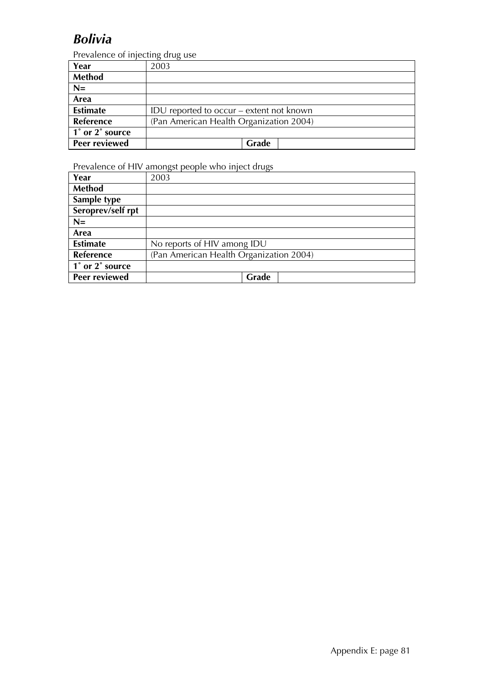## *Bolivia*

Prevalence of injecting drug use

| Year            | 2003                                     |
|-----------------|------------------------------------------|
| <b>Method</b>   |                                          |
| $N=$            |                                          |
| Area            |                                          |
| <b>Estimate</b> | IDU reported to occur – extent not known |
| Reference       | (Pan American Health Organization 2004)  |
| 1° or 2° source |                                          |
| Peer reviewed   | <b>Grade</b>                             |

| Year              | 2003                                    |
|-------------------|-----------------------------------------|
| <b>Method</b>     |                                         |
| Sample type       |                                         |
| Seroprev/self rpt |                                         |
| $N=$              |                                         |
| Area              |                                         |
| <b>Estimate</b>   | No reports of HIV among IDU             |
| Reference         | (Pan American Health Organization 2004) |
| 1° or 2° source   |                                         |
| Peer reviewed     | Grade                                   |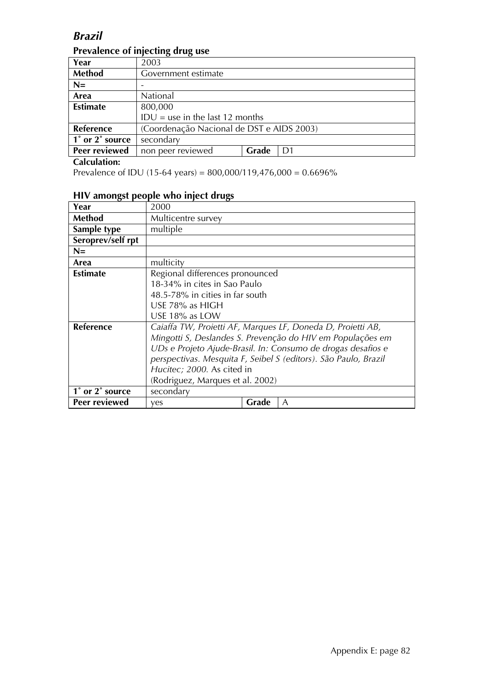### *Brazil*

| Year             | 2003                                      |       |  |  |
|------------------|-------------------------------------------|-------|--|--|
| Method           | Government estimate                       |       |  |  |
| $N=$             |                                           |       |  |  |
| Area             | National                                  |       |  |  |
| <b>Estimate</b>  | 800,000                                   |       |  |  |
|                  | $IDU =$ use in the last 12 months         |       |  |  |
| <b>Reference</b> | (Coordenação Nacional de DST e AIDS 2003) |       |  |  |
| 1° or 2° source  | secondary                                 |       |  |  |
| Peer reviewed    | non peer reviewed                         | Grade |  |  |

### **Prevalence of injecting drug use**

#### **Calculation:**

Prevalence of IDU (15-64 years) = 800,000/119,476,000 = 0.6696%

#### **HIV amongst people who inject drugs**

| Year              | 2000                                                        |       |                                                                 |
|-------------------|-------------------------------------------------------------|-------|-----------------------------------------------------------------|
| <b>Method</b>     | Multicentre survey                                          |       |                                                                 |
| Sample type       | multiple                                                    |       |                                                                 |
| Seroprev/self rpt |                                                             |       |                                                                 |
| $N=$              |                                                             |       |                                                                 |
| Area              | multicity                                                   |       |                                                                 |
| <b>Estimate</b>   | Regional differences pronounced                             |       |                                                                 |
|                   | 18-34% in cites in Sao Paulo                                |       |                                                                 |
|                   | 48.5-78% in cities in far south                             |       |                                                                 |
|                   | USE 78% as HIGH                                             |       |                                                                 |
|                   | USE 18% as LOW                                              |       |                                                                 |
| <b>Reference</b>  | Caiaffa TW, Proietti AF, Marques LF, Doneda D, Proietti AB, |       |                                                                 |
|                   |                                                             |       | Mingotti S, Deslandes S. Prevenção do HIV em Populações em      |
|                   |                                                             |       | UDs e Projeto Ajude-Brasil. In: Consumo de drogas desafios e    |
|                   |                                                             |       | perspectivas. Mesquita F, Seibel S (editors). São Paulo, Brazil |
|                   | Hucitec; 2000. As cited in                                  |       |                                                                 |
|                   | (Rodriguez, Marques et al. 2002)                            |       |                                                                 |
| 1° or 2° source   | secondary                                                   |       |                                                                 |
| Peer reviewed     | yes                                                         | Grade | A                                                               |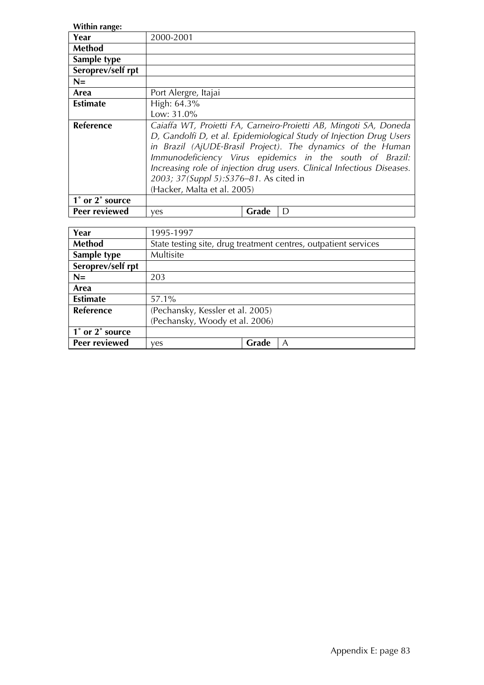| Within range:     |                                                                                                                                                                                                                                                                                                                                                                                                                         |       |   |
|-------------------|-------------------------------------------------------------------------------------------------------------------------------------------------------------------------------------------------------------------------------------------------------------------------------------------------------------------------------------------------------------------------------------------------------------------------|-------|---|
| Year              | 2000-2001                                                                                                                                                                                                                                                                                                                                                                                                               |       |   |
| Method            |                                                                                                                                                                                                                                                                                                                                                                                                                         |       |   |
| Sample type       |                                                                                                                                                                                                                                                                                                                                                                                                                         |       |   |
| Seroprev/self rpt |                                                                                                                                                                                                                                                                                                                                                                                                                         |       |   |
| $N=$              |                                                                                                                                                                                                                                                                                                                                                                                                                         |       |   |
| Area              | Port Alergre, Itajai                                                                                                                                                                                                                                                                                                                                                                                                    |       |   |
| <b>Estimate</b>   | High: 64.3%                                                                                                                                                                                                                                                                                                                                                                                                             |       |   |
|                   | Low: 31.0%                                                                                                                                                                                                                                                                                                                                                                                                              |       |   |
| <b>Reference</b>  | Caiaffa WT, Proietti FA, Carneiro-Proietti AB, Mingoti SA, Doneda<br>D, Gandolfi D, et al. Epidemiological Study of Injection Drug Users<br>in Brazil (AjUDE-Brasil Project). The dynamics of the Human<br>Immunodeficiency Virus epidemics in the south of Brazil:<br>Increasing role of injection drug users. Clinical Infectious Diseases.<br>2003; 37(Suppl 5): S376-81. As cited in<br>(Hacker, Malta et al. 2005) |       |   |
| 1° or 2° source   |                                                                                                                                                                                                                                                                                                                                                                                                                         |       |   |
| Peer reviewed     | yes                                                                                                                                                                                                                                                                                                                                                                                                                     | Grade | D |

| Year              | 1995-1997                                                       |  |
|-------------------|-----------------------------------------------------------------|--|
| Method            | State testing site, drug treatment centres, outpatient services |  |
| Sample type       | Multisite                                                       |  |
| Seroprev/self rpt |                                                                 |  |
| $N=$              | 203                                                             |  |
| Area              |                                                                 |  |
| <b>Estimate</b>   | 57.1%                                                           |  |
| <b>Reference</b>  | (Pechansky, Kessler et al. 2005)                                |  |
|                   | (Pechansky, Woody et al. 2006)                                  |  |
| 1° or 2° source   |                                                                 |  |
| Peer reviewed     | Grade<br>A<br>ves                                               |  |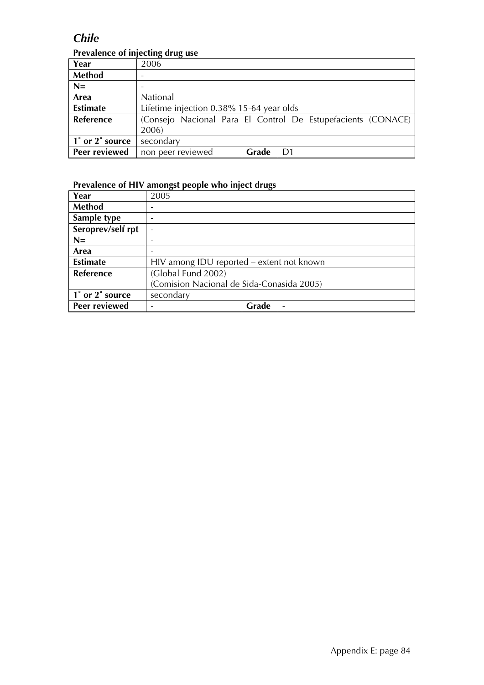### *Chile*

### **Prevalence of injecting drug use**

|                  | ־־־־־                                                        |       |                |
|------------------|--------------------------------------------------------------|-------|----------------|
| Year             | 2006                                                         |       |                |
| <b>Method</b>    |                                                              |       |                |
| $N=$             |                                                              |       |                |
| Area             | National                                                     |       |                |
| <b>Estimate</b>  | Lifetime injection 0.38% 15-64 year olds                     |       |                |
| <b>Reference</b> | (Consejo Nacional Para El Control De Estupefacients (CONACE) |       |                |
|                  | 2006)                                                        |       |                |
| 1° or 2° source  | secondary                                                    |       |                |
| Peer reviewed    | non peer reviewed                                            | Grade | D <sub>1</sub> |

| Year              | 2005                                      |       |  |  |
|-------------------|-------------------------------------------|-------|--|--|
| <b>Method</b>     |                                           |       |  |  |
| Sample type       |                                           |       |  |  |
| Seroprev/self rpt |                                           |       |  |  |
| $N=$              |                                           |       |  |  |
| Area              |                                           |       |  |  |
| <b>Estimate</b>   | HIV among IDU reported – extent not known |       |  |  |
| Reference         | (Global Fund 2002)                        |       |  |  |
|                   | (Comision Nacional de Sida-Conasida 2005) |       |  |  |
| 1° or 2° source   | secondary                                 |       |  |  |
| Peer reviewed     |                                           | Grade |  |  |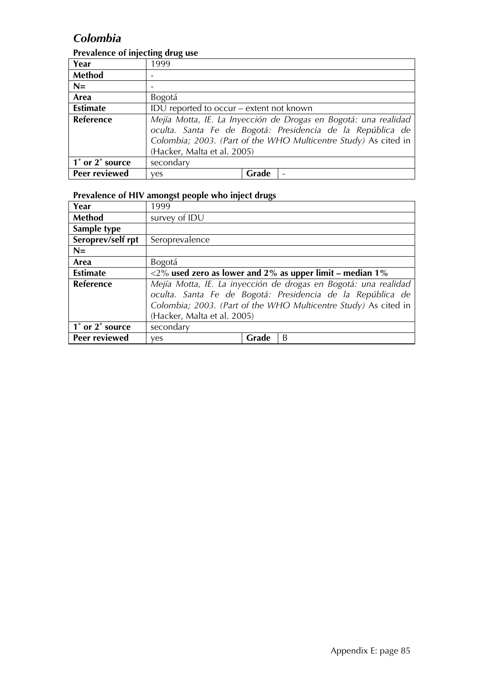### *Colombia*

#### **Prevalence of injecting drug use**

| Year            | - היי ה<br>1999                          |       |                                                                                                                                                                                                  |
|-----------------|------------------------------------------|-------|--------------------------------------------------------------------------------------------------------------------------------------------------------------------------------------------------|
| <b>Method</b>   |                                          |       |                                                                                                                                                                                                  |
| $N=$            |                                          |       |                                                                                                                                                                                                  |
| Area            | Bogotá                                   |       |                                                                                                                                                                                                  |
| <b>Estimate</b> | IDU reported to occur – extent not known |       |                                                                                                                                                                                                  |
| Reference       | (Hacker, Malta et al. 2005)              |       | Mejía Motta, IE. La Inyección de Drogas en Bogotá: una realidad<br>oculta. Santa Fe de Bogotá: Presidencia de la República de<br>Colombia; 2003. (Part of the WHO Multicentre Study) As cited in |
| 1° or 2° source | secondary                                |       |                                                                                                                                                                                                  |
| Peer reviewed   | ves                                      | Grade |                                                                                                                                                                                                  |

| Year              | 1999                                                            |       |                                                                    |
|-------------------|-----------------------------------------------------------------|-------|--------------------------------------------------------------------|
| Method            | survey of IDU                                                   |       |                                                                    |
| Sample type       |                                                                 |       |                                                                    |
| Seroprev/self rpt | Seroprevalence                                                  |       |                                                                    |
| $N=$              |                                                                 |       |                                                                    |
| Area              | Bogotá                                                          |       |                                                                    |
| <b>Estimate</b>   |                                                                 |       | $\langle 2\%$ used zero as lower and 2% as upper limit – median 1% |
| Reference         |                                                                 |       | Mejía Motta, IE. La inyección de drogas en Bogotá: una realidad    |
|                   | oculta. Santa Fe de Bogotá: Presidencia de la República de      |       |                                                                    |
|                   | Colombia; 2003. (Part of the WHO Multicentre Study) As cited in |       |                                                                    |
|                   | (Hacker, Malta et al. 2005)                                     |       |                                                                    |
| 1° or 2° source   | secondary                                                       |       |                                                                    |
| Peer reviewed     | yes                                                             | Grade | B                                                                  |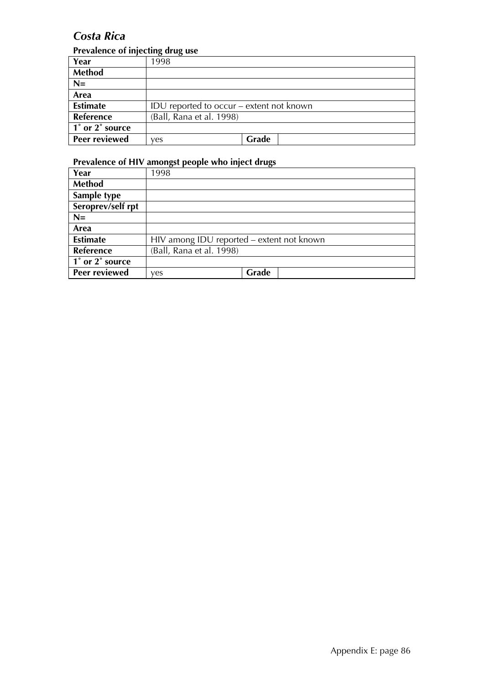### *Costa Rica*

#### **Prevalence of injecting drug use**

| Year             | 1998                                     |       |
|------------------|------------------------------------------|-------|
| <b>Method</b>    |                                          |       |
| $N=$             |                                          |       |
| Area             |                                          |       |
| <b>Estimate</b>  | IDU reported to occur – extent not known |       |
| <b>Reference</b> | (Ball, Rana et al. 1998)                 |       |
| 1° or 2° source  |                                          |       |
| Peer reviewed    | ves                                      | Grade |

| Year                 | 1998                                      |       |
|----------------------|-------------------------------------------|-------|
| <b>Method</b>        |                                           |       |
| Sample type          |                                           |       |
| Seroprev/self rpt    |                                           |       |
| $N=$                 |                                           |       |
| Area                 |                                           |       |
| <b>Estimate</b>      | HIV among IDU reported - extent not known |       |
| <b>Reference</b>     | (Ball, Rana et al. 1998)                  |       |
| 1° or 2° source      |                                           |       |
| <b>Peer reviewed</b> | ves                                       | Grade |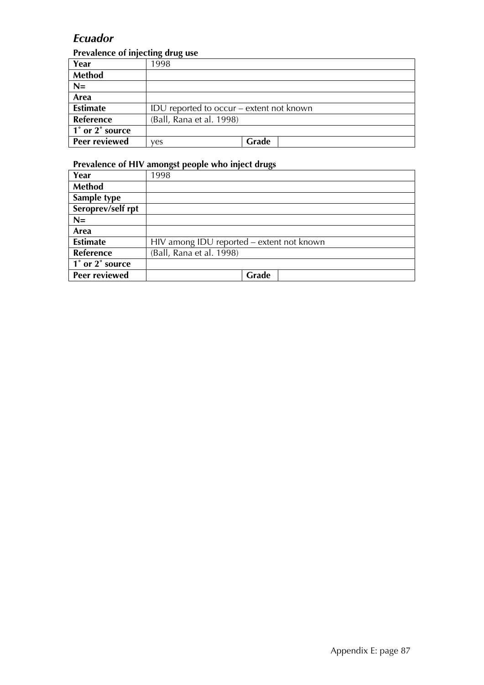### *Ecuador*

#### **Prevalence of injecting drug use**

| Year             | 1998                                     |       |  |
|------------------|------------------------------------------|-------|--|
| <b>Method</b>    |                                          |       |  |
| $N=$             |                                          |       |  |
| Area             |                                          |       |  |
| <b>Estimate</b>  | IDU reported to occur – extent not known |       |  |
| <b>Reference</b> | (Ball, Rana et al. 1998)                 |       |  |
| 1° or 2° source  |                                          |       |  |
| Peer reviewed    | ves                                      | Grade |  |

| Year                 | 1998                                      |
|----------------------|-------------------------------------------|
| <b>Method</b>        |                                           |
| Sample type          |                                           |
| Seroprev/self rpt    |                                           |
| $N=$                 |                                           |
| Area                 |                                           |
| <b>Estimate</b>      | HIV among IDU reported - extent not known |
| <b>Reference</b>     | (Ball, Rana et al. 1998)                  |
| 1° or 2° source      |                                           |
| <b>Peer reviewed</b> | Grade                                     |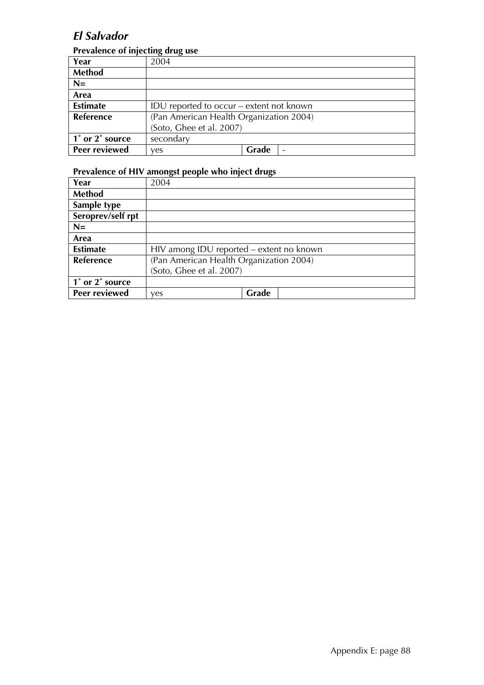### *El Salvador*

#### **Prevalence of injecting drug use**

|                  | -------                                  |       |  |
|------------------|------------------------------------------|-------|--|
| Year             | 2004                                     |       |  |
| Method           |                                          |       |  |
| $N=$             |                                          |       |  |
| Area             |                                          |       |  |
| <b>Estimate</b>  | IDU reported to occur – extent not known |       |  |
| <b>Reference</b> | (Pan American Health Organization 2004)  |       |  |
|                  | (Soto, Ghee et al. 2007)                 |       |  |
| 1° or 2° source  | secondary                                |       |  |
| Peer reviewed    | ves                                      | Grade |  |

| Year              | 2004                                     |       |  |
|-------------------|------------------------------------------|-------|--|
| <b>Method</b>     |                                          |       |  |
| Sample type       |                                          |       |  |
| Seroprev/self rpt |                                          |       |  |
| $N=$              |                                          |       |  |
| Area              |                                          |       |  |
| <b>Estimate</b>   | HIV among IDU reported – extent no known |       |  |
| Reference         | (Pan American Health Organization 2004)  |       |  |
|                   | (Soto, Ghee et al. 2007)                 |       |  |
| 1° or 2° source   |                                          |       |  |
| Peer reviewed     | ves                                      | Grade |  |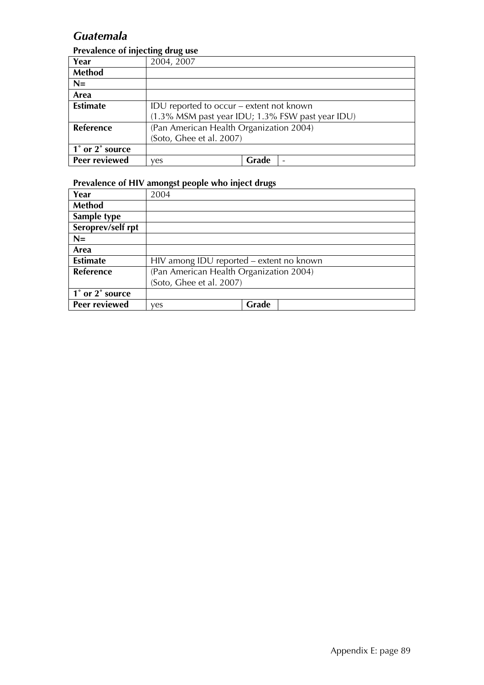### *Guatemala*

#### **Prevalence of injecting drug use**

| Year             | 2004, 2007                                          |       |                 |
|------------------|-----------------------------------------------------|-------|-----------------|
| Method           |                                                     |       |                 |
| $N=$             |                                                     |       |                 |
| Area             |                                                     |       |                 |
| <b>Estimate</b>  | IDU reported to occur – extent not known            |       |                 |
|                  | $(1.3\%$ MSM past year IDU; 1.3% FSW past year IDU) |       |                 |
| <b>Reference</b> | (Pan American Health Organization 2004)             |       |                 |
|                  | (Soto, Ghee et al. 2007)                            |       |                 |
| 1° or 2° source  |                                                     |       |                 |
| Peer reviewed    | yes                                                 | Grade | $\qquad \qquad$ |

| Year              | 2004                                     |       |  |
|-------------------|------------------------------------------|-------|--|
| <b>Method</b>     |                                          |       |  |
| Sample type       |                                          |       |  |
| Seroprev/self rpt |                                          |       |  |
| $N=$              |                                          |       |  |
| Area              |                                          |       |  |
| <b>Estimate</b>   | HIV among IDU reported – extent no known |       |  |
| <b>Reference</b>  | (Pan American Health Organization 2004)  |       |  |
|                   | (Soto, Ghee et al. 2007)                 |       |  |
| 1° or 2° source   |                                          |       |  |
| Peer reviewed     | ves                                      | Grade |  |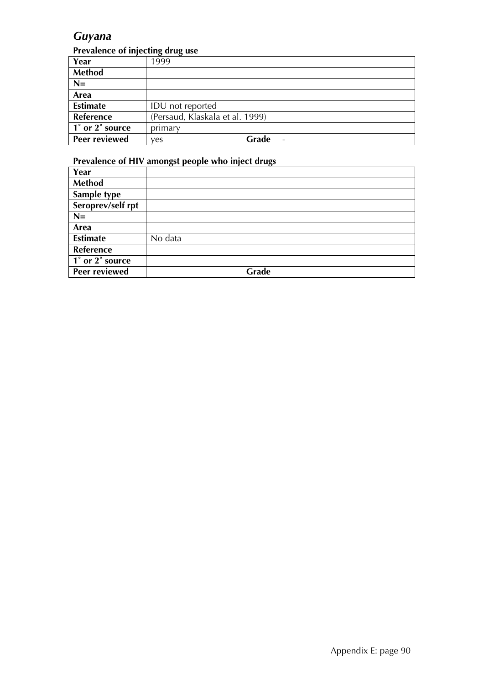### *Guyana*

#### **Prevalence of injecting drug use**

| Year            | 1999                            |       |  |
|-----------------|---------------------------------|-------|--|
| Method          |                                 |       |  |
| $N=$            |                                 |       |  |
| Area            |                                 |       |  |
| <b>Estimate</b> | IDU not reported                |       |  |
| Reference       | (Persaud, Klaskala et al. 1999) |       |  |
| 1° or 2° source | primary                         |       |  |
| Peer reviewed   | ves                             | Grade |  |

| Year              |         |
|-------------------|---------|
| <b>Method</b>     |         |
| Sample type       |         |
| Seroprev/self rpt |         |
| $N=$              |         |
| Area              |         |
| <b>Estimate</b>   | No data |
| Reference         |         |
| 1° or 2° source   |         |
| Peer reviewed     | Grade   |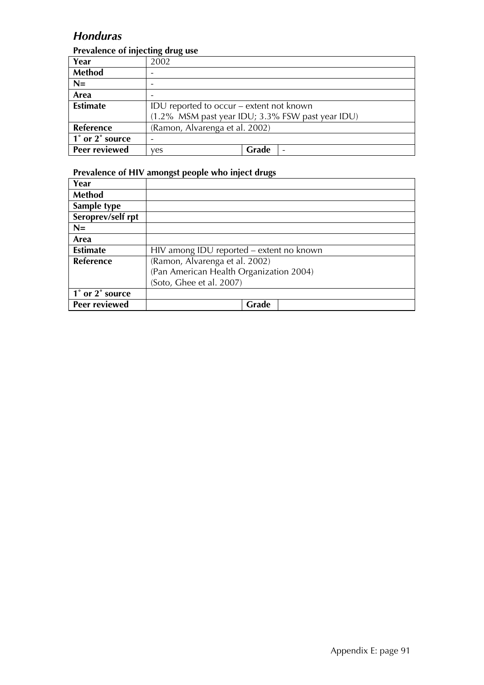### *Honduras*

#### **Prevalence of injecting drug use**

|                 | - ה----                                          |       |  |  |  |  |  |  |
|-----------------|--------------------------------------------------|-------|--|--|--|--|--|--|
| Year            | 2002                                             |       |  |  |  |  |  |  |
| <b>Method</b>   |                                                  |       |  |  |  |  |  |  |
| $N=$            |                                                  |       |  |  |  |  |  |  |
| Area            |                                                  |       |  |  |  |  |  |  |
| <b>Estimate</b> | IDU reported to occur – extent not known         |       |  |  |  |  |  |  |
|                 | (1.2% MSM past year IDU; 3.3% FSW past year IDU) |       |  |  |  |  |  |  |
| Reference       | (Ramon, Alvarenga et al. 2002)                   |       |  |  |  |  |  |  |
| 1° or 2° source |                                                  |       |  |  |  |  |  |  |
| Peer reviewed   | ves                                              | Grade |  |  |  |  |  |  |

| Year              |                                          |
|-------------------|------------------------------------------|
| Method            |                                          |
| Sample type       |                                          |
| Seroprev/self rpt |                                          |
| $N=$              |                                          |
| Area              |                                          |
| <b>Estimate</b>   | HIV among IDU reported – extent no known |
| <b>Reference</b>  | (Ramon, Alvarenga et al. 2002)           |
|                   | (Pan American Health Organization 2004)  |
|                   | (Soto, Ghee et al. 2007)                 |
| 1° or 2° source   |                                          |
| Peer reviewed     | Grade                                    |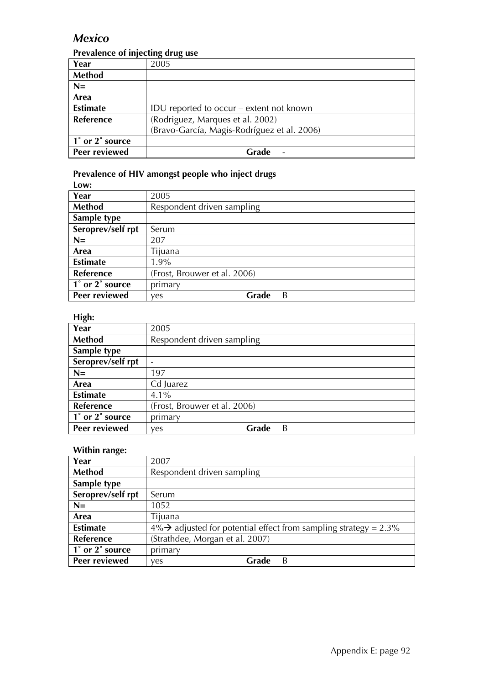### *Mexico*

#### **Prevalence of injecting drug use**

| Year                 | 2005                                        |  |  |  |  |
|----------------------|---------------------------------------------|--|--|--|--|
| <b>Method</b>        |                                             |  |  |  |  |
| $N=$                 |                                             |  |  |  |  |
| Area                 |                                             |  |  |  |  |
| <b>Estimate</b>      | IDU reported to occur – extent not known    |  |  |  |  |
| <b>Reference</b>     | (Rodriguez, Marques et al. 2002)            |  |  |  |  |
|                      | (Bravo-García, Magis-Rodríguez et al. 2006) |  |  |  |  |
| 1° or 2° source      |                                             |  |  |  |  |
| <b>Peer reviewed</b> | Grade                                       |  |  |  |  |

#### **Prevalence of HIV amongst people who inject drugs**

| Low:              |                              |       |   |  |  |
|-------------------|------------------------------|-------|---|--|--|
| Year              | 2005                         |       |   |  |  |
| <b>Method</b>     | Respondent driven sampling   |       |   |  |  |
| Sample type       |                              |       |   |  |  |
| Seroprev/self rpt | Serum                        |       |   |  |  |
| $N=$              | 207                          |       |   |  |  |
| Area              | Tijuana                      |       |   |  |  |
| <b>Estimate</b>   | $1.9\%$                      |       |   |  |  |
| Reference         | (Frost, Brouwer et al. 2006) |       |   |  |  |
| 1° or 2° source   | primary                      |       |   |  |  |
| Peer reviewed     | ves                          | Grade | B |  |  |

#### **High:**

| ັ<br>Year         | 2005                         |       |   |  |  |
|-------------------|------------------------------|-------|---|--|--|
| Method            | Respondent driven sampling   |       |   |  |  |
| Sample type       |                              |       |   |  |  |
| Seroprev/self rpt |                              |       |   |  |  |
| $N=$              | 197                          |       |   |  |  |
| Area              | Cd Juarez                    |       |   |  |  |
| <b>Estimate</b>   | $4.1\%$                      |       |   |  |  |
| Reference         | (Frost, Brouwer et al. 2006) |       |   |  |  |
| 1° or 2° source   | primary                      |       |   |  |  |
| Peer reviewed     | ves                          | Grade | B |  |  |

#### **Within range:**

| . <u>.</u>        |                                 |       |                                                                   |  |  |  |
|-------------------|---------------------------------|-------|-------------------------------------------------------------------|--|--|--|
| Year              | 2007                            |       |                                                                   |  |  |  |
| Method            | Respondent driven sampling      |       |                                                                   |  |  |  |
| Sample type       |                                 |       |                                                                   |  |  |  |
| Seroprev/self rpt | Serum                           |       |                                                                   |  |  |  |
| $N=$              | 1052                            |       |                                                                   |  |  |  |
| Area              | Tijuana                         |       |                                                                   |  |  |  |
| <b>Estimate</b>   |                                 |       | $4\%$ adjusted for potential effect from sampling strategy = 2.3% |  |  |  |
| <b>Reference</b>  | (Strathdee, Morgan et al. 2007) |       |                                                                   |  |  |  |
| 1° or 2° source   | primary                         |       |                                                                   |  |  |  |
| Peer reviewed     | yes                             | Grade | B                                                                 |  |  |  |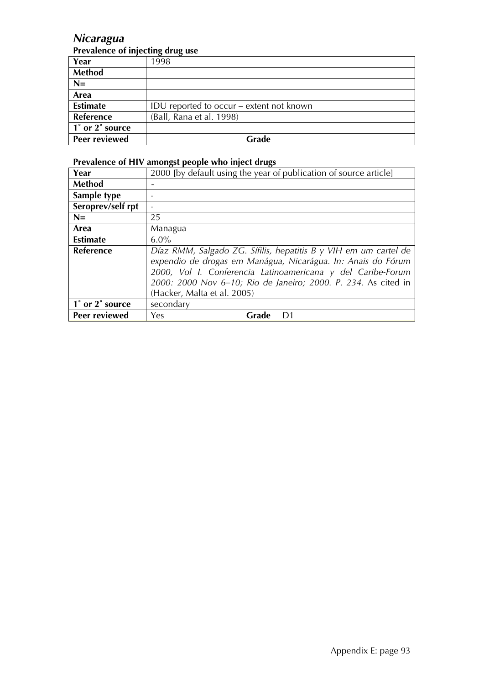### *Nicaragua*

#### **Prevalence of injecting drug use**

| Year             | 1998                                     |
|------------------|------------------------------------------|
| <b>Method</b>    |                                          |
| $N=$             |                                          |
| Area             |                                          |
| <b>Estimate</b>  | IDU reported to occur – extent not known |
| <b>Reference</b> | (Ball, Rana et al. 1998)                 |
| 1° or 2° source  |                                          |
| Peer reviewed    | Grade                                    |

| Year                                          |                                                                                                                                                                                                                                                                                                  |       | 2000 [by default using the year of publication of source article] |  |  |  |  |  |  |
|-----------------------------------------------|--------------------------------------------------------------------------------------------------------------------------------------------------------------------------------------------------------------------------------------------------------------------------------------------------|-------|-------------------------------------------------------------------|--|--|--|--|--|--|
| <b>Method</b>                                 |                                                                                                                                                                                                                                                                                                  |       |                                                                   |  |  |  |  |  |  |
| Sample type                                   |                                                                                                                                                                                                                                                                                                  |       |                                                                   |  |  |  |  |  |  |
| Seroprev/self rpt                             |                                                                                                                                                                                                                                                                                                  |       |                                                                   |  |  |  |  |  |  |
| $N=$                                          | 25                                                                                                                                                                                                                                                                                               |       |                                                                   |  |  |  |  |  |  |
| Area                                          | Managua                                                                                                                                                                                                                                                                                          |       |                                                                   |  |  |  |  |  |  |
| <b>Estimate</b>                               | $6.0\%$                                                                                                                                                                                                                                                                                          |       |                                                                   |  |  |  |  |  |  |
| <b>Reference</b>                              | Díaz RMM, Salgado ZG. Sífilis, hepatitis B y VIH em um cartel de<br>expendio de drogas em Manágua, Nicarágua. In: Anais do Fórum<br>2000, Vol I. Conferencia Latinoamericana y del Caribe-Forum<br>2000: 2000 Nov 6-10; Rio de Janeiro; 2000. P. 234. As cited in<br>(Hacker, Malta et al. 2005) |       |                                                                   |  |  |  |  |  |  |
| $\overline{1}^{\circ}$ or 2 $^{\circ}$ source | secondary                                                                                                                                                                                                                                                                                        |       |                                                                   |  |  |  |  |  |  |
| Peer reviewed                                 | Yes                                                                                                                                                                                                                                                                                              | Grade | D <sub>1</sub>                                                    |  |  |  |  |  |  |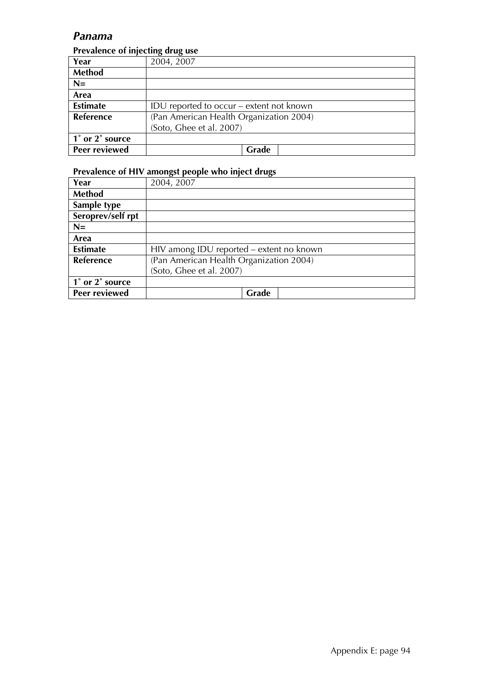#### *Panama*

#### **Prevalence of injecting drug use**

| Year             | 2004, 2007                               |  |  |  |
|------------------|------------------------------------------|--|--|--|
| <b>Method</b>    |                                          |  |  |  |
| $N=$             |                                          |  |  |  |
| Area             |                                          |  |  |  |
| <b>Estimate</b>  | IDU reported to occur – extent not known |  |  |  |
| <b>Reference</b> | (Pan American Health Organization 2004)  |  |  |  |
|                  | (Soto, Ghee et al. 2007)                 |  |  |  |
| 1° or 2° source  |                                          |  |  |  |
| Peer reviewed    | Grade                                    |  |  |  |

| Year              | 2004, 2007                               |
|-------------------|------------------------------------------|
| <b>Method</b>     |                                          |
| Sample type       |                                          |
| Seroprev/self rpt |                                          |
| $N=$              |                                          |
| Area              |                                          |
| <b>Estimate</b>   | HIV among IDU reported - extent no known |
| <b>Reference</b>  | (Pan American Health Organization 2004)  |
|                   | (Soto, Ghee et al. 2007)                 |
| 1° or 2° source   |                                          |
| Peer reviewed     | Grade                                    |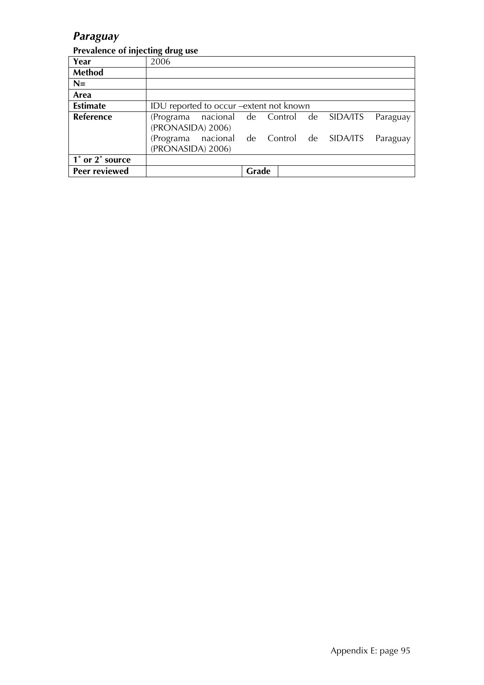### *Paraguay*

#### **Prevalence of injecting drug use**

| Year            | 2006                                      |  |       |  |  |  |          |
|-----------------|-------------------------------------------|--|-------|--|--|--|----------|
| Method          |                                           |  |       |  |  |  |          |
| $N=$            |                                           |  |       |  |  |  |          |
| Area            |                                           |  |       |  |  |  |          |
| <b>Estimate</b> | IDU reported to occur – extent not known  |  |       |  |  |  |          |
| Reference       | (Programa nacional de Control de SIDA/ITS |  |       |  |  |  | Paraguay |
|                 | (PRONASIDA) 2006)                         |  |       |  |  |  |          |
|                 | (Programa nacional de Control de SIDA/ITS |  |       |  |  |  | Paraguay |
|                 | (PRONASIDA) 2006)                         |  |       |  |  |  |          |
| 1° or 2° source |                                           |  |       |  |  |  |          |
| Peer reviewed   |                                           |  | Grade |  |  |  |          |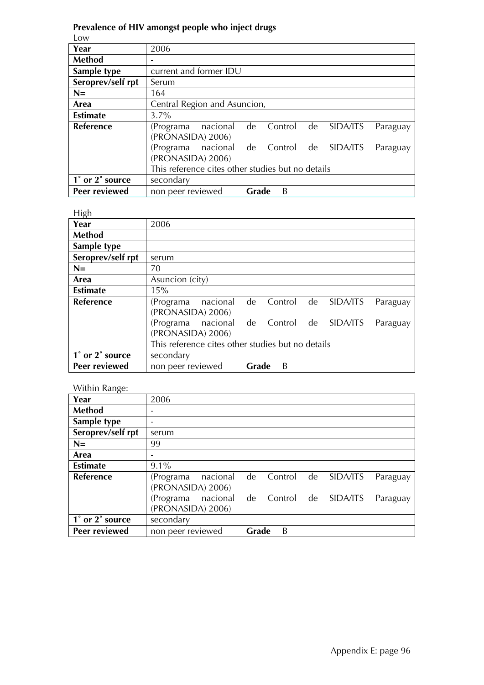### **Prevalence of HIV amongst people who inject drugs**

Low

| Year              | 2006                                              |                              |            |  |          |          |  |  |
|-------------------|---------------------------------------------------|------------------------------|------------|--|----------|----------|--|--|
| <b>Method</b>     |                                                   |                              |            |  |          |          |  |  |
| Sample type       | current and former IDU                            |                              |            |  |          |          |  |  |
| Seroprev/self rpt | Serum                                             |                              |            |  |          |          |  |  |
| $N=$              | 164                                               |                              |            |  |          |          |  |  |
| Area              |                                                   | Central Region and Asuncion, |            |  |          |          |  |  |
| <b>Estimate</b>   | $3.7\%$                                           |                              |            |  |          |          |  |  |
| Reference         | nacional<br>(Programa                             | de                           | Control de |  | SIDA/ITS | Paraguay |  |  |
|                   | (PRONASIDA) 2006)                                 |                              |            |  |          |          |  |  |
|                   | nacional<br>(Programa                             | de                           | Control de |  | SIDA/ITS | Paraguay |  |  |
|                   | (PRONASIDA) 2006)                                 |                              |            |  |          |          |  |  |
|                   | This reference cites other studies but no details |                              |            |  |          |          |  |  |
| 1° or 2° source   | secondary                                         |                              |            |  |          |          |  |  |
| Peer reviewed     | non peer reviewed                                 | Grade                        | B          |  |          |          |  |  |

#### High

| ייאיי             |                                                   |       |            |  |          |          |  |
|-------------------|---------------------------------------------------|-------|------------|--|----------|----------|--|
| Year              | 2006                                              |       |            |  |          |          |  |
| <b>Method</b>     |                                                   |       |            |  |          |          |  |
| Sample type       |                                                   |       |            |  |          |          |  |
| Seroprev/self rpt | serum                                             |       |            |  |          |          |  |
| $N =$             | 70                                                |       |            |  |          |          |  |
| Area              | Asuncion (city)                                   |       |            |  |          |          |  |
| <b>Estimate</b>   | 15%                                               |       |            |  |          |          |  |
| <b>Reference</b>  | nacional<br>(Programa                             | de    | Control de |  | SIDA/ITS | Paraguay |  |
|                   | (PRONASIDA) 2006)                                 |       |            |  |          |          |  |
|                   | nacional<br>(Programa                             | de    | Control de |  | SIDA/ITS | Paraguay |  |
|                   | (PRONASIDA) 2006)                                 |       |            |  |          |          |  |
|                   | This reference cites other studies but no details |       |            |  |          |          |  |
| 1° or 2° source   | secondary                                         |       |            |  |          |          |  |
| Peer reviewed     | non peer reviewed                                 | Grade | B          |  |          |          |  |

#### Within Range:

| $\Omega$<br>Year  | 2006              |          |       |         |    |          |          |
|-------------------|-------------------|----------|-------|---------|----|----------|----------|
| <b>Method</b>     |                   |          |       |         |    |          |          |
| Sample type       |                   |          |       |         |    |          |          |
| Seroprev/self rpt | serum             |          |       |         |    |          |          |
| $N=$              | 99                |          |       |         |    |          |          |
| Area              |                   |          |       |         |    |          |          |
| <b>Estimate</b>   | $9.1\%$           |          |       |         |    |          |          |
| Reference         | (Programa         | nacional | de    | Control | de | SIDA/ITS | Paraguay |
|                   | (PRONASIDA) 2006) |          |       |         |    |          |          |
|                   | (Programa         | nacional | de    | Control | de | SIDA/ITS | Paraguay |
|                   | (PRONASIDA) 2006) |          |       |         |    |          |          |
| 1° or 2° source   | secondary         |          |       |         |    |          |          |
| Peer reviewed     | non peer reviewed |          | Grade | B       |    |          |          |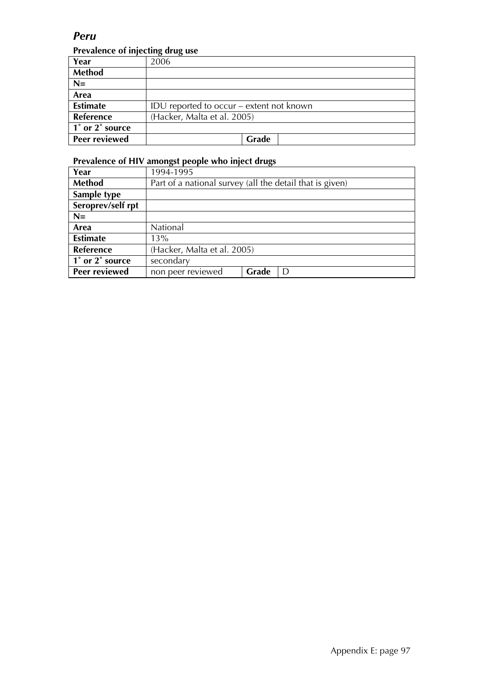### *Peru*

#### **Prevalence of injecting drug use**

| Year            | 2006                                     |
|-----------------|------------------------------------------|
| <b>Method</b>   |                                          |
| $N=$            |                                          |
| Area            |                                          |
| <b>Estimate</b> | IDU reported to occur – extent not known |
| Reference       | (Hacker, Malta et al. 2005)              |
| 1° or 2° source |                                          |
| Peer reviewed   | Grade                                    |

| Year                 | 1994-1995                                                |  |  |  |
|----------------------|----------------------------------------------------------|--|--|--|
| Method               | Part of a national survey (all the detail that is given) |  |  |  |
| Sample type          |                                                          |  |  |  |
| Seroprev/self rpt    |                                                          |  |  |  |
| $N=$                 |                                                          |  |  |  |
| Area                 | National                                                 |  |  |  |
| <b>Estimate</b>      | 13%                                                      |  |  |  |
| <b>Reference</b>     | (Hacker, Malta et al. 2005)                              |  |  |  |
| 1° or 2° source      | secondary                                                |  |  |  |
| <b>Peer reviewed</b> | Grade<br>non peer reviewed<br>D                          |  |  |  |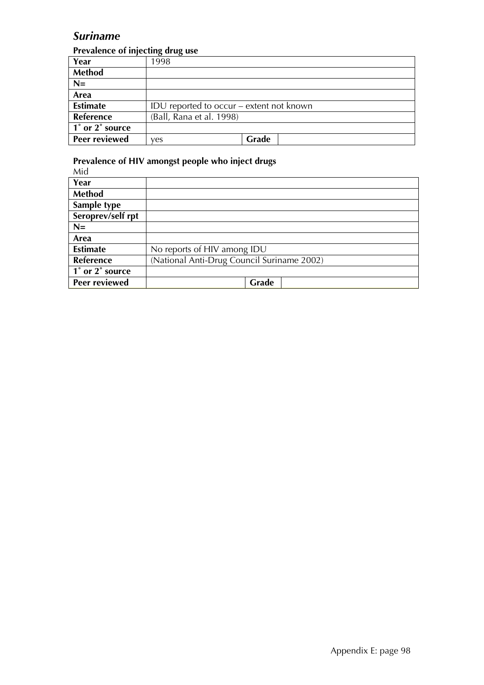### *Suriname*

#### **Prevalence of injecting drug use**

| Year             | 1998                                     |       |  |  |
|------------------|------------------------------------------|-------|--|--|
| Method           |                                          |       |  |  |
| $N=$             |                                          |       |  |  |
| Area             |                                          |       |  |  |
| <b>Estimate</b>  | IDU reported to occur – extent not known |       |  |  |
| <b>Reference</b> | (Ball, Rana et al. 1998)                 |       |  |  |
| 1° or 2° source  |                                          |       |  |  |
| Peer reviewed    | ves                                      | Grade |  |  |

| Mid               |                                            |
|-------------------|--------------------------------------------|
| Year              |                                            |
| <b>Method</b>     |                                            |
| Sample type       |                                            |
| Seroprev/self rpt |                                            |
| $N=$              |                                            |
| Area              |                                            |
| <b>Estimate</b>   | No reports of HIV among IDU                |
| <b>Reference</b>  | (National Anti-Drug Council Suriname 2002) |
| 1° or 2° source   |                                            |
| Peer reviewed     | Grade                                      |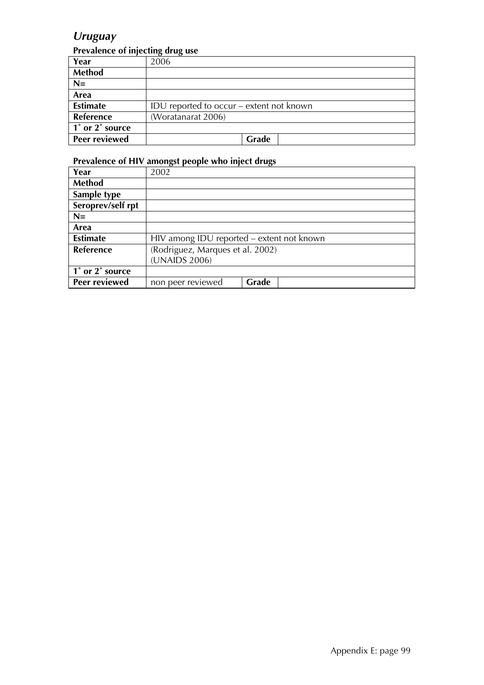### *Uruguay*

#### **Prevalence of injecting drug use**

| Year                    | 2006                                     |
|-------------------------|------------------------------------------|
| Method                  |                                          |
| $N=$                    |                                          |
| Area                    |                                          |
| <b>Estimate</b>         | IDU reported to occur – extent not known |
| Reference               | (Woratanarat 2006)                       |
| $\vert$ 1° or 2° source |                                          |
| <b>Peer reviewed</b>    | Grade                                    |

| Year              | 2002                                      |       |  |
|-------------------|-------------------------------------------|-------|--|
| <b>Method</b>     |                                           |       |  |
| Sample type       |                                           |       |  |
| Seroprev/self rpt |                                           |       |  |
| $N=$              |                                           |       |  |
| Area              |                                           |       |  |
| <b>Estimate</b>   | HIV among IDU reported - extent not known |       |  |
| Reference         | (Rodriguez, Marques et al. 2002)          |       |  |
|                   | (UNAIDS 2006)                             |       |  |
| 1° or 2° source   |                                           |       |  |
| Peer reviewed     | non peer reviewed                         | Grade |  |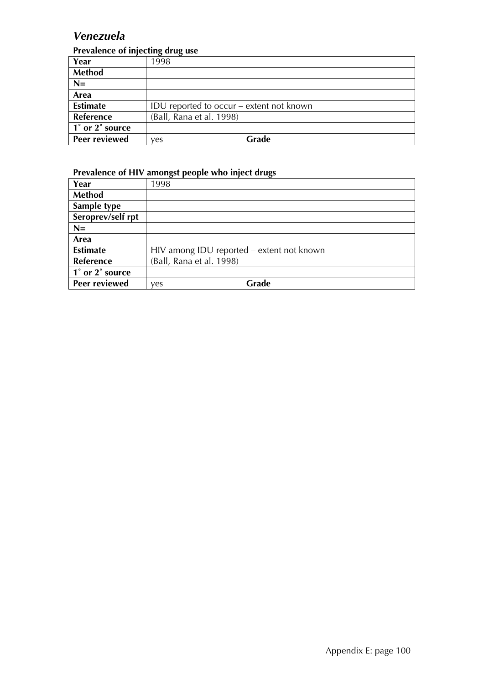### *Venezuela*

#### **Prevalence of injecting drug use**

| Year             | 1998                                     |       |  |
|------------------|------------------------------------------|-------|--|
| Method           |                                          |       |  |
| $N=$             |                                          |       |  |
| Area             |                                          |       |  |
| <b>Estimate</b>  | IDU reported to occur – extent not known |       |  |
| <b>Reference</b> | (Ball, Rana et al. 1998)                 |       |  |
| 1° or 2° source  |                                          |       |  |
| Peer reviewed    | ves                                      | Grade |  |

| Year              | 1998                                      |       |
|-------------------|-------------------------------------------|-------|
| <b>Method</b>     |                                           |       |
| Sample type       |                                           |       |
| Seroprev/self rpt |                                           |       |
| $N=$              |                                           |       |
| Area              |                                           |       |
| <b>Estimate</b>   | HIV among IDU reported – extent not known |       |
| <b>Reference</b>  | (Ball, Rana et al. 1998)                  |       |
| 1° or 2° source   |                                           |       |
| Peer reviewed     | ves                                       | Grade |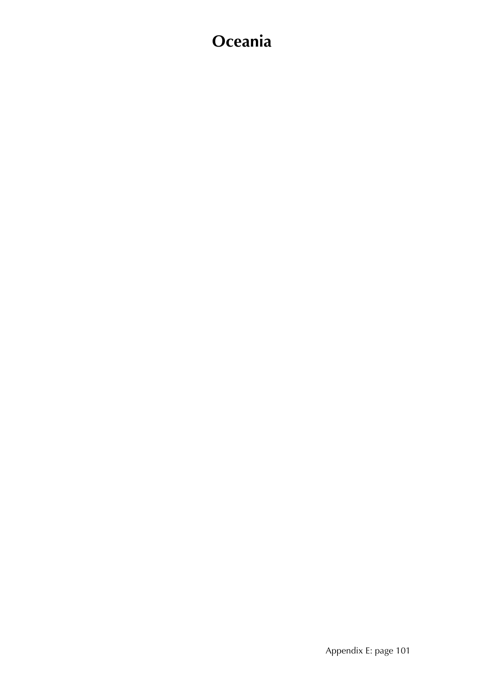# **Oceania**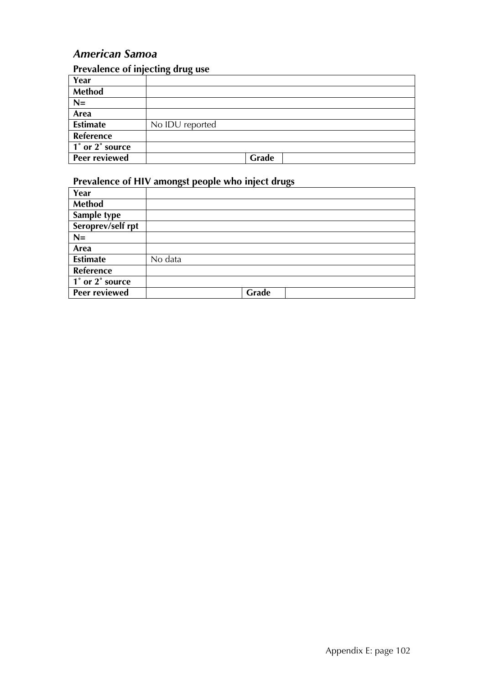## *American Samoa*

### **Prevalence of injecting drug use**

| Year                 |                 |       |
|----------------------|-----------------|-------|
| Method               |                 |       |
| $N=$                 |                 |       |
| Area                 |                 |       |
| <b>Estimate</b>      | No IDU reported |       |
| Reference            |                 |       |
| 1° or 2° source      |                 |       |
| <b>Peer reviewed</b> |                 | Grade |

| Year              |         |
|-------------------|---------|
| <b>Method</b>     |         |
| Sample type       |         |
| Seroprev/self rpt |         |
| $N=$              |         |
| Area              |         |
| <b>Estimate</b>   | No data |
| Reference         |         |
| 1° or 2° source   |         |
| Peer reviewed     | Grade   |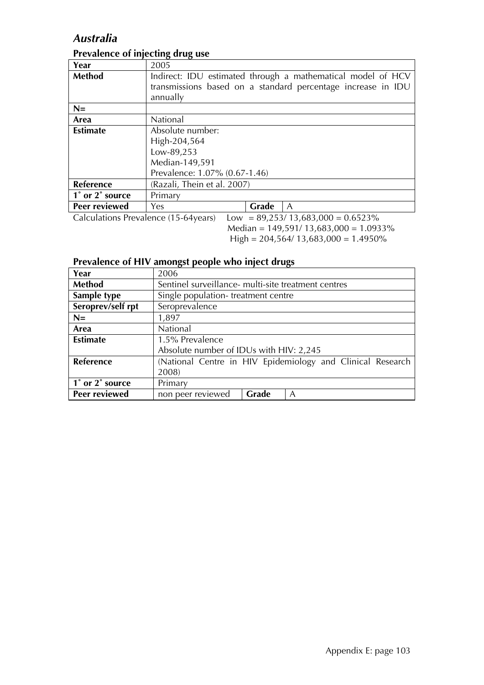## *Australia*

| Year                                 | 2005                                                         |  |  |
|--------------------------------------|--------------------------------------------------------------|--|--|
| <b>Method</b>                        | Indirect: IDU estimated through a mathematical model of HCV  |  |  |
|                                      | transmissions based on a standard percentage increase in IDU |  |  |
|                                      | annually                                                     |  |  |
| $N=$                                 |                                                              |  |  |
| Area                                 | <b>National</b>                                              |  |  |
| <b>Estimate</b>                      | Absolute number:                                             |  |  |
|                                      | High-204,564                                                 |  |  |
|                                      | Low-89,253                                                   |  |  |
|                                      | Median-149,591                                               |  |  |
|                                      | Prevalence: 1.07% (0.67-1.46)                                |  |  |
| Reference                            | (Razali, Thein et al. 2007)                                  |  |  |
| 1° or 2° source                      | Primary                                                      |  |  |
| Peer reviewed                        | Grade<br>Yes<br>$\mathsf{A}$                                 |  |  |
| Calculations Prevalence (15-64years) | $Low = 89,253/13,683,000 = 0.6523\%$                         |  |  |

## **Prevalence of injecting drug use**

 Median = 149,591/ 13,683,000 = 1.0933% High = 204,564/ 13,683,000 = 1.4950%

| Year              | 2006                                                       |  |  |
|-------------------|------------------------------------------------------------|--|--|
| Method            | Sentinel surveillance- multi-site treatment centres        |  |  |
| Sample type       | Single population-treatment centre                         |  |  |
| Seroprev/self rpt | Seroprevalence                                             |  |  |
| $N=$              | 1,897                                                      |  |  |
| Area              | National                                                   |  |  |
| <b>Estimate</b>   | 1.5% Prevalence                                            |  |  |
|                   | Absolute number of IDUs with HIV: 2,245                    |  |  |
| Reference         | (National Centre in HIV Epidemiology and Clinical Research |  |  |
|                   | 2008)                                                      |  |  |
| 1° or 2° source   | Primary                                                    |  |  |
| Peer reviewed     | Grade<br>non peer reviewed<br>A                            |  |  |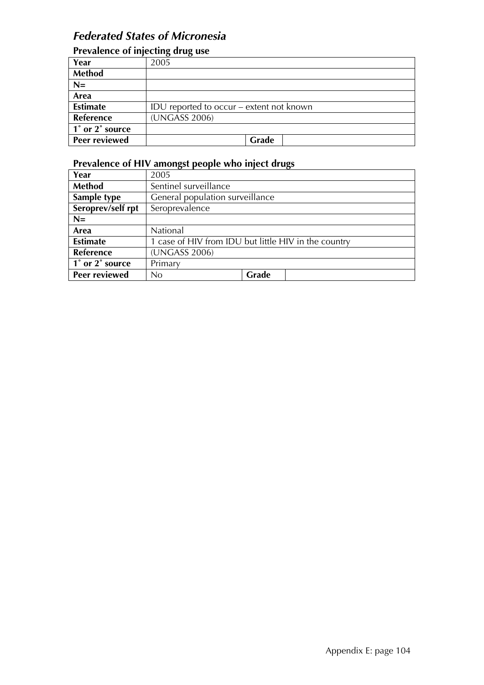## *Federated States of Micronesia*

## **Prevalence of injecting drug use**

|                 | היי הי                                   |
|-----------------|------------------------------------------|
| Year            | 2005                                     |
| Method          |                                          |
| $N=$            |                                          |
| Area            |                                          |
| <b>Estimate</b> | IDU reported to occur – extent not known |
| Reference       | (UNGASS 2006)                            |
| 1° or 2° source |                                          |
| Peer reviewed   | Grade                                    |

| Year              | 2005                                                 |       |  |
|-------------------|------------------------------------------------------|-------|--|
| Method            | Sentinel surveillance                                |       |  |
| Sample type       | General population surveillance                      |       |  |
| Seroprev/self rpt | Seroprevalence                                       |       |  |
| $N=$              |                                                      |       |  |
| Area              | National                                             |       |  |
| <b>Estimate</b>   | 1 case of HIV from IDU but little HIV in the country |       |  |
| <b>Reference</b>  | (UNGASS 2006)                                        |       |  |
| 1° or 2° source   | Primary                                              |       |  |
| Peer reviewed     | No                                                   | Grade |  |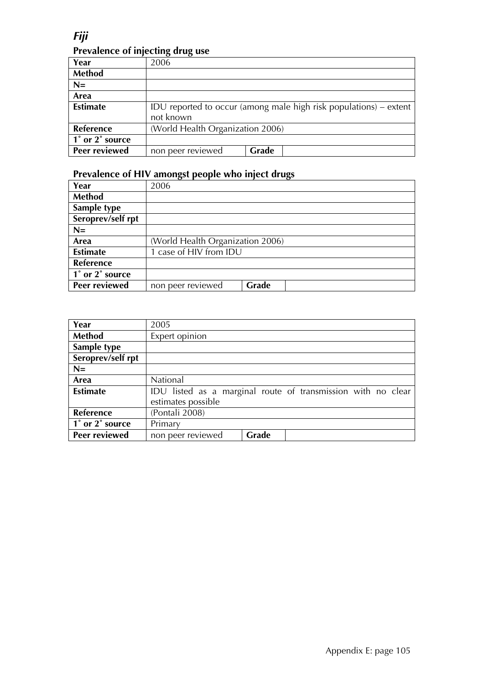*Fiji* 

### **Prevalence of injecting drug use**

| Year            | 2006                                                              |       |  |
|-----------------|-------------------------------------------------------------------|-------|--|
| <b>Method</b>   |                                                                   |       |  |
| $N=$            |                                                                   |       |  |
| Area            |                                                                   |       |  |
| <b>Estimate</b> | IDU reported to occur (among male high risk populations) – extent |       |  |
|                 | not known                                                         |       |  |
| Reference       | (World Health Organization 2006)                                  |       |  |
| 1° or 2° source |                                                                   |       |  |
| Peer reviewed   | non peer reviewed                                                 | Grade |  |

| Year              | 2006                             |       |
|-------------------|----------------------------------|-------|
| Method            |                                  |       |
| Sample type       |                                  |       |
| Seroprev/self rpt |                                  |       |
| $N=$              |                                  |       |
| Area              | (World Health Organization 2006) |       |
| <b>Estimate</b>   | 1 case of HIV from IDU           |       |
| <b>Reference</b>  |                                  |       |
| 1° or 2° source   |                                  |       |
| Peer reviewed     | non peer reviewed                | Grade |

| Year              | 2005                                                         |       |  |  |
|-------------------|--------------------------------------------------------------|-------|--|--|
| <b>Method</b>     | Expert opinion                                               |       |  |  |
| Sample type       |                                                              |       |  |  |
| Seroprev/self rpt |                                                              |       |  |  |
| $N=$              |                                                              |       |  |  |
| Area              | National                                                     |       |  |  |
| <b>Estimate</b>   | IDU listed as a marginal route of transmission with no clear |       |  |  |
|                   | estimates possible                                           |       |  |  |
| Reference         | (Pontali 2008)                                               |       |  |  |
| 1° or 2° source   | Primary                                                      |       |  |  |
| Peer reviewed     | non peer reviewed                                            | Grade |  |  |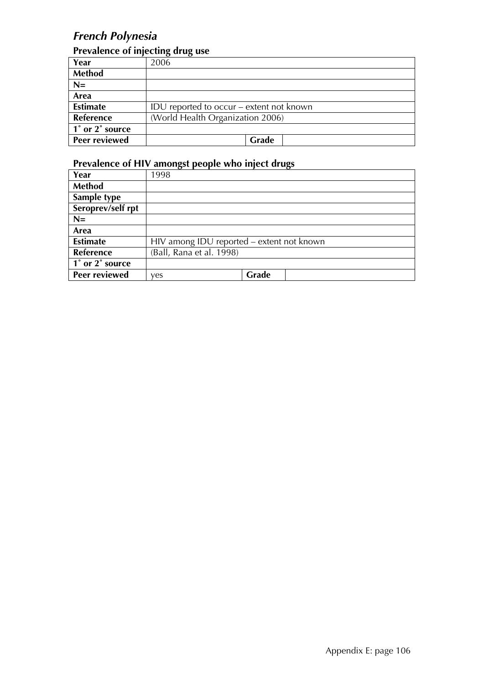## *French Polynesia*

#### **Prevalence of injecting drug use**

| Year              | 2006                                     |
|-------------------|------------------------------------------|
| <b>Method</b>     |                                          |
| $N=$              |                                          |
| Area              |                                          |
| <b>Estimate</b>   | IDU reported to occur – extent not known |
| Reference         | (World Health Organization 2006)         |
| 1 1° or 2° source |                                          |
| Peer reviewed     | Grade                                    |

| Year              | 1998                                      |       |  |
|-------------------|-------------------------------------------|-------|--|
| <b>Method</b>     |                                           |       |  |
| Sample type       |                                           |       |  |
| Seroprev/self rpt |                                           |       |  |
| $N=$              |                                           |       |  |
| Area              |                                           |       |  |
| <b>Estimate</b>   | HIV among IDU reported - extent not known |       |  |
| Reference         | (Ball, Rana et al. 1998)                  |       |  |
| 1° or 2° source   |                                           |       |  |
| Peer reviewed     | ves                                       | Grade |  |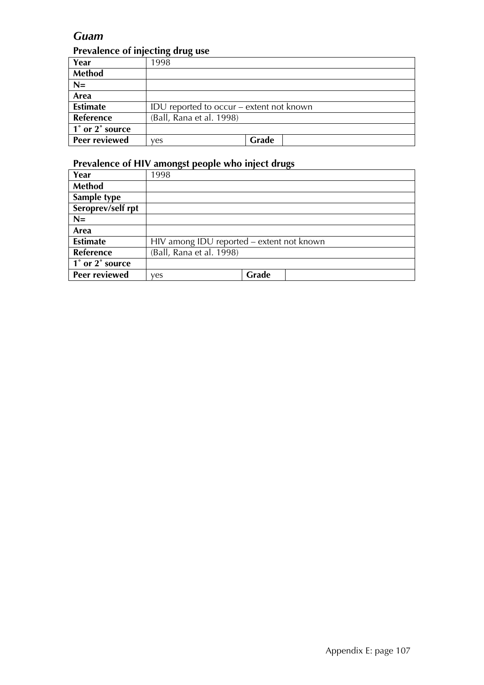### *Guam*

#### **Prevalence of injecting drug use**

|                 | $\sqrt{ }$                               |       |
|-----------------|------------------------------------------|-------|
| Year            | 1998                                     |       |
| <b>Method</b>   |                                          |       |
| $N=$            |                                          |       |
| Area            |                                          |       |
| <b>Estimate</b> | IDU reported to occur – extent not known |       |
| Reference       | (Ball, Rana et al. 1998)                 |       |
| 1° or 2° source |                                          |       |
| Peer reviewed   | ves                                      | Grade |

| Year              | 1998                                      |       |  |
|-------------------|-------------------------------------------|-------|--|
| <b>Method</b>     |                                           |       |  |
| Sample type       |                                           |       |  |
| Seroprev/self rpt |                                           |       |  |
| $N=$              |                                           |       |  |
| Area              |                                           |       |  |
| <b>Estimate</b>   | HIV among IDU reported - extent not known |       |  |
| Reference         | (Ball, Rana et al. 1998)                  |       |  |
| 1° or 2° source   |                                           |       |  |
| Peer reviewed     | ves                                       | Grade |  |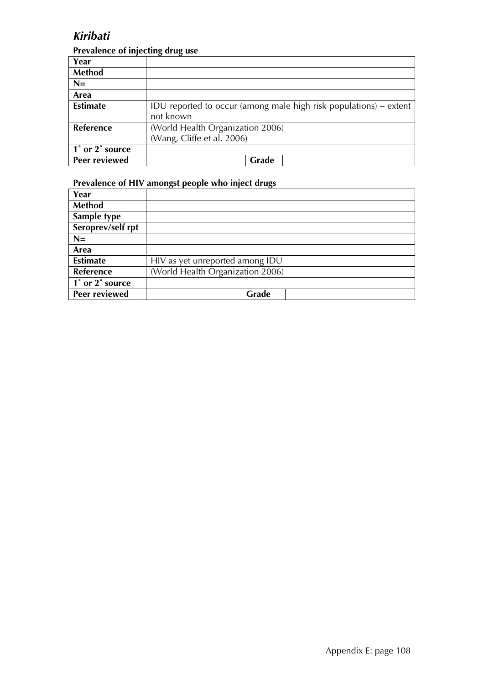## *Kiribati*

#### **Prevalence of injecting drug use**

| Year             |                                                                     |
|------------------|---------------------------------------------------------------------|
| <b>Method</b>    |                                                                     |
| $N=$             |                                                                     |
| Area             |                                                                     |
| <b>Estimate</b>  | IDU reported to occur (among male high risk populations) $-$ extent |
|                  | not known                                                           |
| <b>Reference</b> | (World Health Organization 2006)                                    |
|                  | (Wang, Cliffe et al. 2006)                                          |
| 1° or 2° source  |                                                                     |
| Peer reviewed    | Grade                                                               |

| Year              |                                  |
|-------------------|----------------------------------|
| Method            |                                  |
| Sample type       |                                  |
| Seroprev/self rpt |                                  |
| $N=$              |                                  |
| Area              |                                  |
| <b>Estimate</b>   | HIV as yet unreported among IDU  |
| <b>Reference</b>  | (World Health Organization 2006) |
| 1° or 2° source   |                                  |
| Peer reviewed     | Grade                            |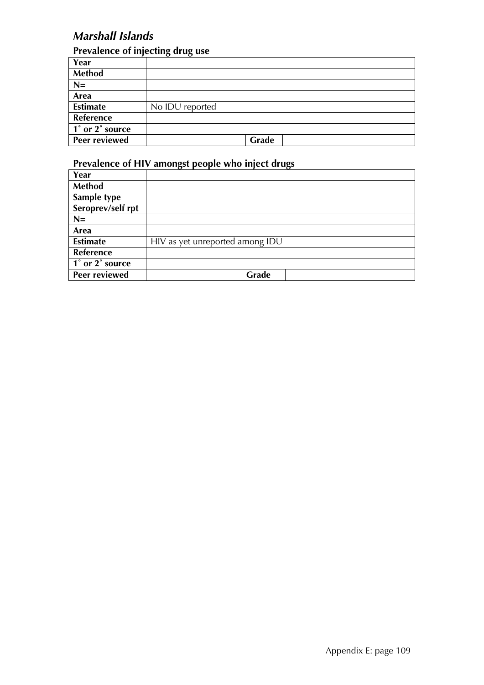## *Marshall Islands*

### **Prevalence of injecting drug use**

|                      | . .<br>. .      |
|----------------------|-----------------|
| Year                 |                 |
| Method               |                 |
| $N=$                 |                 |
| Area                 |                 |
| <b>Estimate</b>      | No IDU reported |
| Reference            |                 |
| 1° or 2° source      |                 |
| <b>Peer reviewed</b> | Grade           |

| Year              |                                 |
|-------------------|---------------------------------|
| Method            |                                 |
| Sample type       |                                 |
| Seroprev/self rpt |                                 |
| $N =$             |                                 |
| Area              |                                 |
| <b>Estimate</b>   | HIV as yet unreported among IDU |
| <b>Reference</b>  |                                 |
| 1° or 2° source   |                                 |
| Peer reviewed     | Grade                           |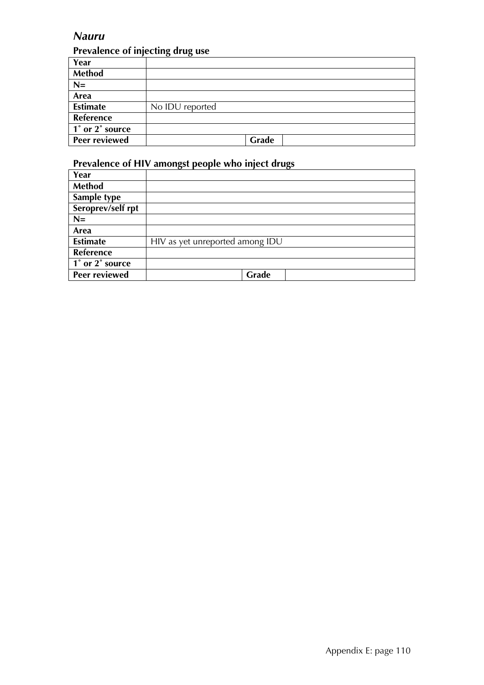### *Nauru*

#### **Prevalence of injecting drug use**

| Year                 |                 |
|----------------------|-----------------|
| Method               |                 |
| $N=$                 |                 |
| Area                 |                 |
| <b>Estimate</b>      | No IDU reported |
| Reference            |                 |
| 1° or 2° source      |                 |
| <b>Peer reviewed</b> | Grade           |

| Year              |                                 |
|-------------------|---------------------------------|
| Method            |                                 |
| Sample type       |                                 |
| Seroprev/self rpt |                                 |
| $N=$              |                                 |
| Area              |                                 |
| <b>Estimate</b>   | HIV as yet unreported among IDU |
| Reference         |                                 |
| 1° or 2° source   |                                 |
| Peer reviewed     | Grade                           |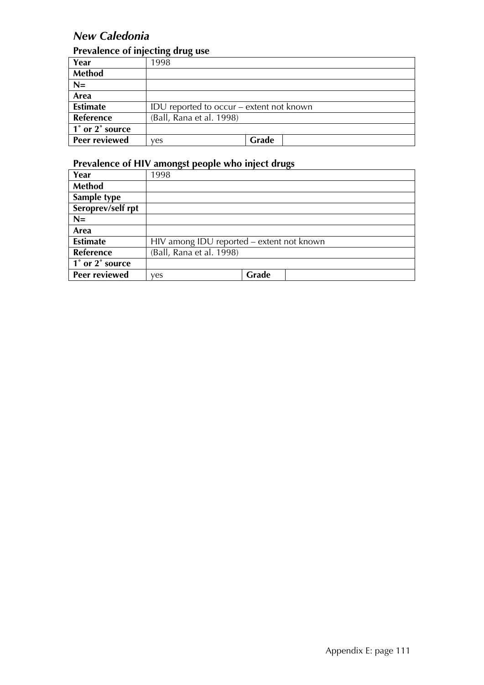## *New Caledonia*

### **Prevalence of injecting drug use**

|                 | . .                                      |       |
|-----------------|------------------------------------------|-------|
| Year            | 1998                                     |       |
| <b>Method</b>   |                                          |       |
| $N=$            |                                          |       |
| Area            |                                          |       |
| <b>Estimate</b> | IDU reported to occur – extent not known |       |
| Reference       | (Ball, Rana et al. 1998)                 |       |
| 1° or 2° source |                                          |       |
| Peer reviewed   | ves                                      | Grade |

| Year              | 1998                                      |       |  |
|-------------------|-------------------------------------------|-------|--|
| <b>Method</b>     |                                           |       |  |
| Sample type       |                                           |       |  |
| Seroprev/self rpt |                                           |       |  |
| $N=$              |                                           |       |  |
| Area              |                                           |       |  |
| <b>Estimate</b>   | HIV among IDU reported - extent not known |       |  |
| Reference         | (Ball, Rana et al. 1998)                  |       |  |
| 1° or 2° source   |                                           |       |  |
| Peer reviewed     | ves                                       | Grade |  |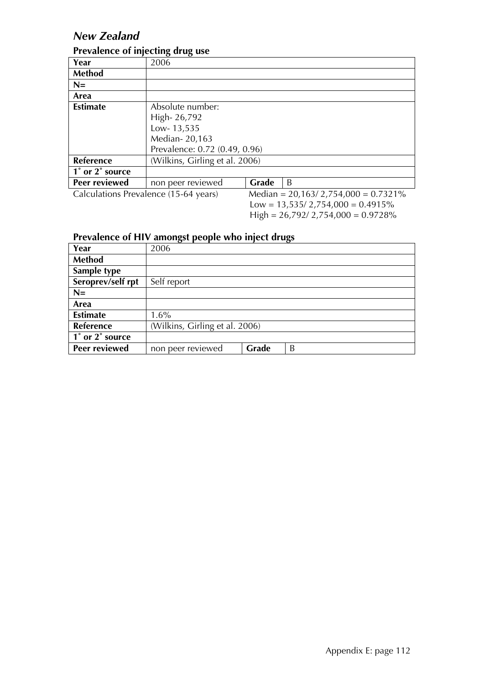## *New Zealand*

#### **Prevalence of injecting drug use**

|                                       | o<br><u>тп</u>                 |       |                                        |
|---------------------------------------|--------------------------------|-------|----------------------------------------|
| Year                                  | 2006                           |       |                                        |
| <b>Method</b>                         |                                |       |                                        |
| $N=$                                  |                                |       |                                        |
| Area                                  |                                |       |                                        |
| <b>Estimate</b>                       | Absolute number:               |       |                                        |
|                                       | High-26,792                    |       |                                        |
|                                       | Low-13,535                     |       |                                        |
|                                       | Median-20,163                  |       |                                        |
|                                       | Prevalence: 0.72 (0.49, 0.96)  |       |                                        |
| Reference                             | (Wilkins, Girling et al. 2006) |       |                                        |
| 1° or 2° source                       |                                |       |                                        |
| Peer reviewed                         | non peer reviewed              | Grade | B                                      |
| Calculations Prevalence (15-64 years) |                                |       | Median = $20,163/2,754,000 = 0.7321\%$ |
|                                       |                                |       |                                        |

 $Low = 13,535/2,754,000 = 0.4915\%$  $High = 26,792/2,754,000 = 0.9728\%$ 

| Year              | 2006                           |       |   |
|-------------------|--------------------------------|-------|---|
| <b>Method</b>     |                                |       |   |
| Sample type       |                                |       |   |
| Seroprev/self rpt | Self report                    |       |   |
| $N=$              |                                |       |   |
| Area              |                                |       |   |
| <b>Estimate</b>   | $1.6\%$                        |       |   |
| <b>Reference</b>  | (Wilkins, Girling et al. 2006) |       |   |
| 1° or 2° source   |                                |       |   |
| Peer reviewed     | non peer reviewed              | Grade | B |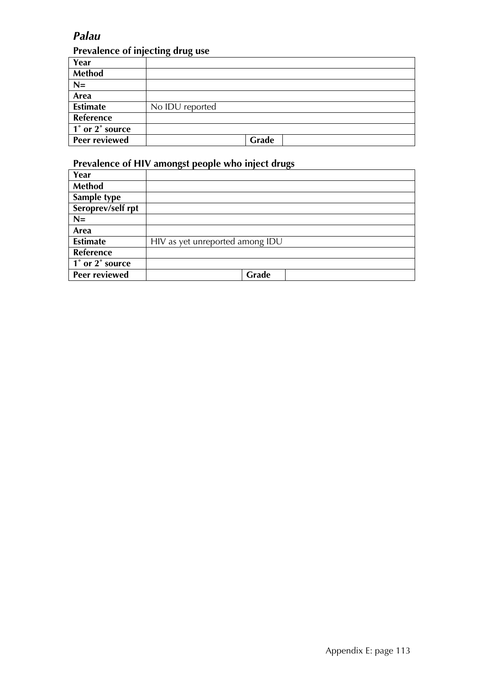## *Palau*

### **Prevalence of injecting drug use**

| Year                 |                 |
|----------------------|-----------------|
| Method               |                 |
| $N=$                 |                 |
| Area                 |                 |
| <b>Estimate</b>      | No IDU reported |
| Reference            |                 |
| 1° or 2° source      |                 |
| <b>Peer reviewed</b> | Grade           |

| Year              |                                 |
|-------------------|---------------------------------|
| Method            |                                 |
| Sample type       |                                 |
| Seroprev/self rpt |                                 |
| $N =$             |                                 |
| Area              |                                 |
| <b>Estimate</b>   | HIV as yet unreported among IDU |
| <b>Reference</b>  |                                 |
| 1° or 2° source   |                                 |
| Peer reviewed     | Grade                           |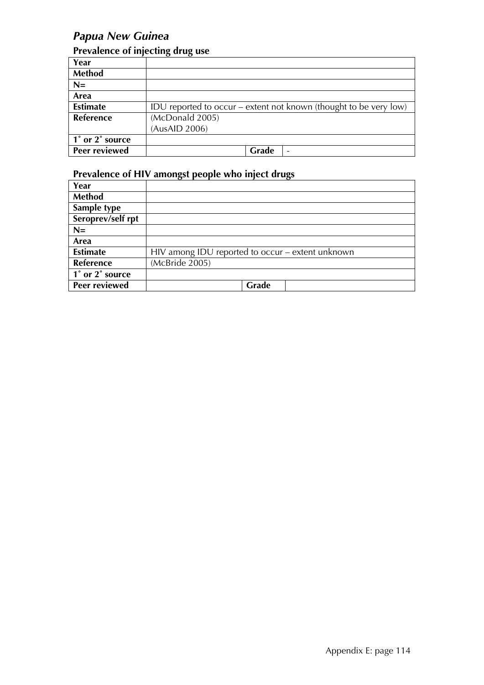## *Papua New Guinea*

## **Prevalence of injecting drug use**

| Year            |                                                                   |
|-----------------|-------------------------------------------------------------------|
| Method          |                                                                   |
| $N=$            |                                                                   |
| Area            |                                                                   |
| <b>Estimate</b> | IDU reported to occur – extent not known (thought to be very low) |
| Reference       | (McDonald 2005)                                                   |
|                 | (AusAID 2006)                                                     |
| 1° or 2° source |                                                                   |
| Peer reviewed   | Grade                                                             |

| Year              |                                                  |
|-------------------|--------------------------------------------------|
| <b>Method</b>     |                                                  |
| Sample type       |                                                  |
| Seroprev/self rpt |                                                  |
| $N=$              |                                                  |
| Area              |                                                  |
| <b>Estimate</b>   | HIV among IDU reported to occur – extent unknown |
| <b>Reference</b>  | (McBride 2005)                                   |
| 1° or 2° source   |                                                  |
| Peer reviewed     | Grade                                            |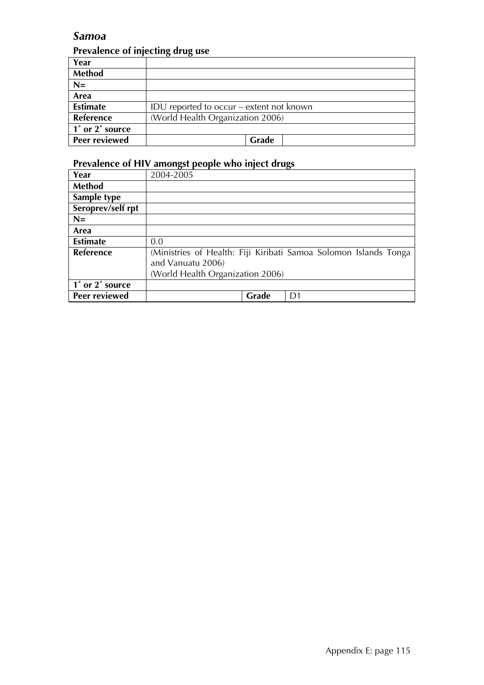### *Samoa*

#### **Prevalence of injecting drug use**

| Year            |                                          |
|-----------------|------------------------------------------|
| <b>Method</b>   |                                          |
| $N=$            |                                          |
| Area            |                                          |
| <b>Estimate</b> | IDU reported to occur – extent not known |
| Reference       | (World Health Organization 2006)         |
| 1° or 2° source |                                          |
| Peer reviewed   | Grade                                    |

| Year              | 2004-2005                        |       |                                                                  |
|-------------------|----------------------------------|-------|------------------------------------------------------------------|
| <b>Method</b>     |                                  |       |                                                                  |
| Sample type       |                                  |       |                                                                  |
| Seroprev/self rpt |                                  |       |                                                                  |
| $N=$              |                                  |       |                                                                  |
| Area              |                                  |       |                                                                  |
| <b>Estimate</b>   | 0.0                              |       |                                                                  |
| Reference         |                                  |       | (Ministries of Health: Fiji Kiribati Samoa Solomon Islands Tonga |
|                   | and Vanuatu 2006)                |       |                                                                  |
|                   | (World Health Organization 2006) |       |                                                                  |
| 1° or 2° source   |                                  |       |                                                                  |
| Peer reviewed     |                                  | Grade | D1                                                               |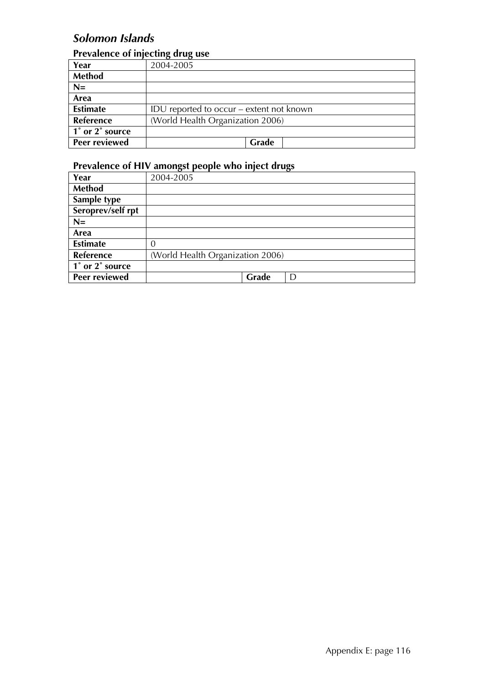## *Solomon Islands*

### **Prevalence of injecting drug use**

| Year            | 2004-2005                                |
|-----------------|------------------------------------------|
| Method          |                                          |
| $N=$            |                                          |
| Area            |                                          |
| <b>Estimate</b> | IDU reported to occur – extent not known |
| Reference       | (World Health Organization 2006)         |
| 1° or 2° source |                                          |
| Peer reviewed   | Grade                                    |

| Year              | 2004-2005                        |       |   |
|-------------------|----------------------------------|-------|---|
| <b>Method</b>     |                                  |       |   |
| Sample type       |                                  |       |   |
| Seroprev/self rpt |                                  |       |   |
| $N=$              |                                  |       |   |
| Area              |                                  |       |   |
| <b>Estimate</b>   |                                  |       |   |
| Reference         | (World Health Organization 2006) |       |   |
| 1° or 2° source   |                                  |       |   |
| Peer reviewed     |                                  | Grade | D |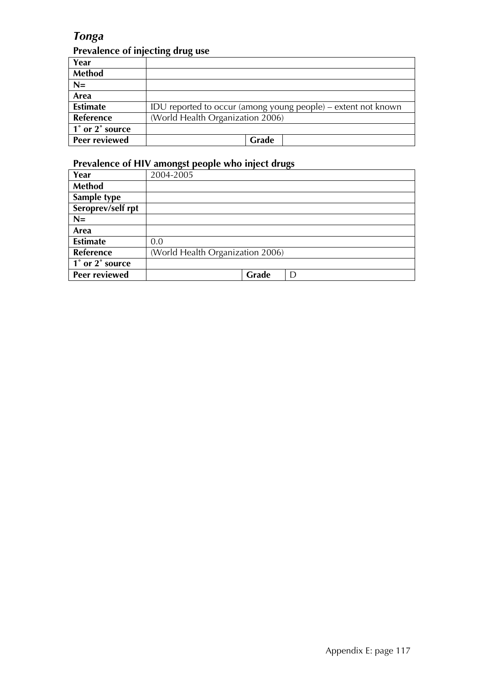## *Tonga*

## **Prevalence of injecting drug use**

| Year                 |                                                               |
|----------------------|---------------------------------------------------------------|
| <b>Method</b>        |                                                               |
| $N=$                 |                                                               |
| Area                 |                                                               |
| <b>Estimate</b>      | IDU reported to occur (among young people) – extent not known |
| <b>Reference</b>     | (World Health Organization 2006)                              |
| 1° or 2° source      |                                                               |
| <b>Peer reviewed</b> | Grade                                                         |

| Year              | 2004-2005                        |
|-------------------|----------------------------------|
| Method            |                                  |
| Sample type       |                                  |
| Seroprev/self rpt |                                  |
| $N=$              |                                  |
| Area              |                                  |
| <b>Estimate</b>   | 0.0                              |
| <b>Reference</b>  | (World Health Organization 2006) |
| 1° or 2° source   |                                  |
| Peer reviewed     | Grade<br>D                       |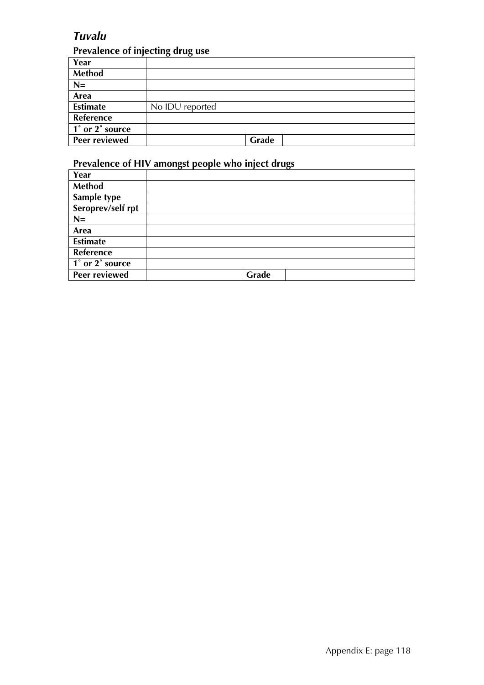## *Tuvalu*

#### **Prevalence of injecting drug use**

| Year                 |                 |
|----------------------|-----------------|
| Method               |                 |
| $N=$                 |                 |
| Area                 |                 |
| <b>Estimate</b>      | No IDU reported |
| Reference            |                 |
| 1° or 2° source      |                 |
| <b>Peer reviewed</b> | Grade           |

| Year              |       |
|-------------------|-------|
| <b>Method</b>     |       |
| Sample type       |       |
| Seroprev/self rpt |       |
| $N=$              |       |
| Area              |       |
| <b>Estimate</b>   |       |
| Reference         |       |
| 1° or 2° source   |       |
| Peer reviewed     | Grade |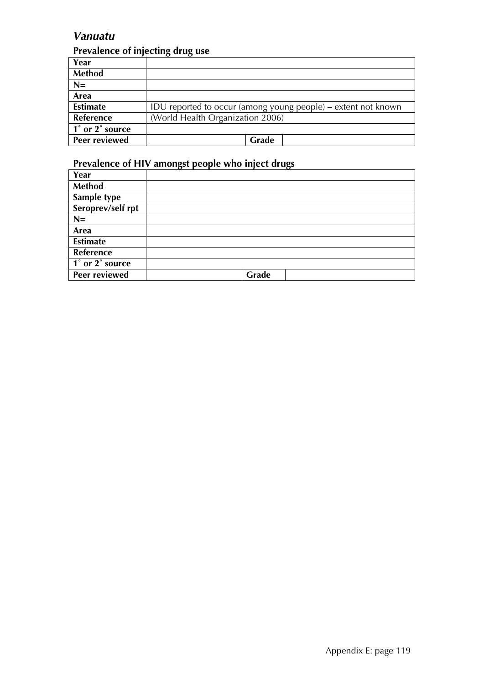## *Vanuatu*

## **Prevalence of injecting drug use**

| Year                 |                                                               |
|----------------------|---------------------------------------------------------------|
| <b>Method</b>        |                                                               |
| $N=$                 |                                                               |
| Area                 |                                                               |
| <b>Estimate</b>      | IDU reported to occur (among young people) – extent not known |
| Reference            | (World Health Organization 2006)                              |
| 1° or 2° source      |                                                               |
| <b>Peer reviewed</b> | Grade                                                         |

| Year              |       |  |
|-------------------|-------|--|
| <b>Method</b>     |       |  |
| Sample type       |       |  |
| Seroprev/self rpt |       |  |
| $N=$              |       |  |
| Area              |       |  |
| <b>Estimate</b>   |       |  |
| Reference         |       |  |
| 1° or 2° source   |       |  |
| Peer reviewed     | Grade |  |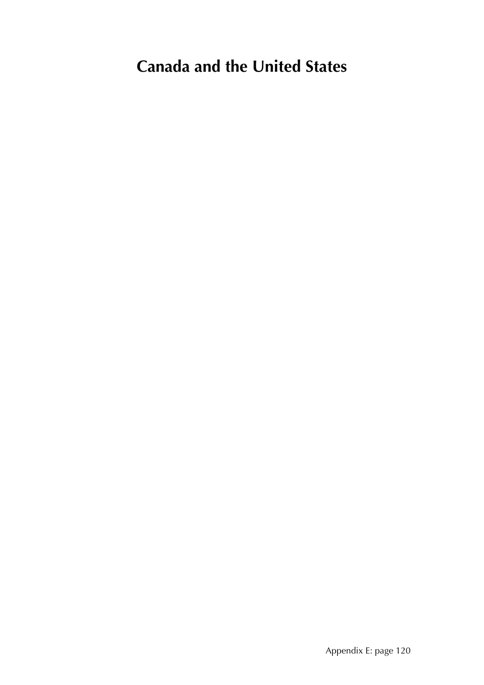# **Canada and the United States**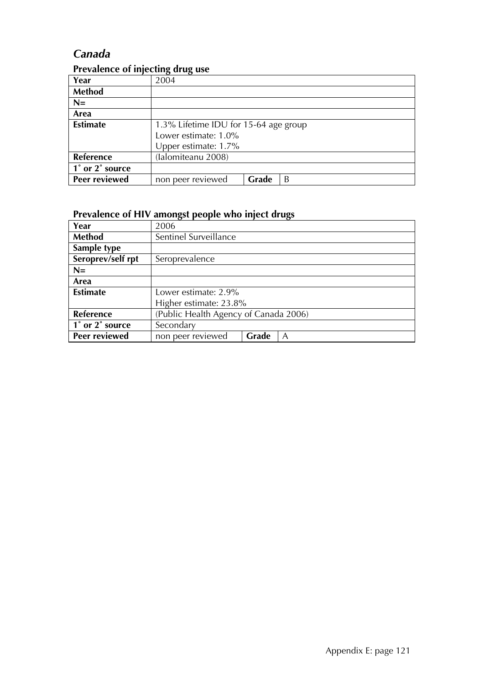## *Canada*

|                 | . .                                   |  |  |
|-----------------|---------------------------------------|--|--|
| Year            | 2004                                  |  |  |
| Method          |                                       |  |  |
| $N=$            |                                       |  |  |
| Area            |                                       |  |  |
| <b>Estimate</b> | 1.3% Lifetime IDU for 15-64 age group |  |  |
|                 | Lower estimate: 1.0%                  |  |  |
|                 | Upper estimate: 1.7%                  |  |  |
| Reference       | (Ialomiteanu 2008)                    |  |  |
| 1° or 2° source |                                       |  |  |
| Peer reviewed   | non peer reviewed<br>Grade<br>B       |  |  |

#### **Prevalence of injecting drug use**

| Year              | 2006                                  |  |  |
|-------------------|---------------------------------------|--|--|
| <b>Method</b>     | Sentinel Surveillance                 |  |  |
| Sample type       |                                       |  |  |
| Seroprev/self rpt | Seroprevalence                        |  |  |
| $N=$              |                                       |  |  |
| Area              |                                       |  |  |
| <b>Estimate</b>   | Lower estimate: 2.9%                  |  |  |
|                   | Higher estimate: 23.8%                |  |  |
| <b>Reference</b>  | (Public Health Agency of Canada 2006) |  |  |
| 1° or 2° source   | Secondary                             |  |  |
| Peer reviewed     | non peer reviewed<br>Grade<br>A       |  |  |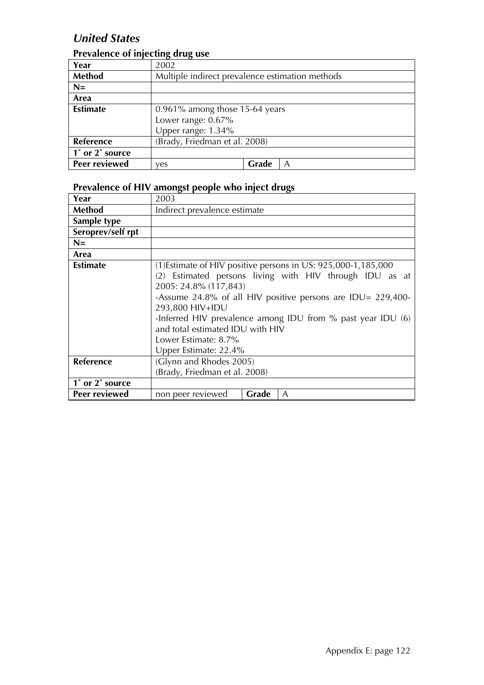## *United States*

## **Prevalence of injecting drug use**

| Year                 | 2002                                            |       |  |  |
|----------------------|-------------------------------------------------|-------|--|--|
| Method               | Multiple indirect prevalence estimation methods |       |  |  |
| $N=$                 |                                                 |       |  |  |
| Area                 |                                                 |       |  |  |
| <b>Estimate</b>      | $0.961\%$ among those 15-64 years               |       |  |  |
|                      | Lower range: 0.67%                              |       |  |  |
|                      | Upper range: 1.34%                              |       |  |  |
| Reference            | (Brady, Friedman et al. 2008)                   |       |  |  |
| 1° or 2° source      |                                                 |       |  |  |
| <b>Peer reviewed</b> | ves                                             | Grade |  |  |

| Year              | 2003                                                                                                                          |       |                                                                                                                                                                                                                                                           |  |
|-------------------|-------------------------------------------------------------------------------------------------------------------------------|-------|-----------------------------------------------------------------------------------------------------------------------------------------------------------------------------------------------------------------------------------------------------------|--|
| <b>Method</b>     | Indirect prevalence estimate                                                                                                  |       |                                                                                                                                                                                                                                                           |  |
| Sample type       |                                                                                                                               |       |                                                                                                                                                                                                                                                           |  |
| Seroprev/self rpt |                                                                                                                               |       |                                                                                                                                                                                                                                                           |  |
| $N=$              |                                                                                                                               |       |                                                                                                                                                                                                                                                           |  |
| Area              |                                                                                                                               |       |                                                                                                                                                                                                                                                           |  |
| <b>Estimate</b>   | 2005: 24.8% (117,843)<br>293,800 HIV+IDU<br>and total estimated IDU with HIV<br>Lower Estimate: 8.7%<br>Upper Estimate: 22.4% |       | (1) Estimate of HIV positive persons in US: 925,000-1,185,000<br>(2) Estimated persons living with HIV through IDU as at<br>-Assume 24.8% of all HIV positive persons are IDU= $229,400$ -<br>-Inferred HIV prevalence among IDU from % past year IDU (6) |  |
| Reference         | (Glynn and Rhodes 2005)<br>(Brady, Friedman et al. 2008)                                                                      |       |                                                                                                                                                                                                                                                           |  |
| 1° or 2° source   |                                                                                                                               |       |                                                                                                                                                                                                                                                           |  |
| Peer reviewed     | non peer reviewed                                                                                                             | Grade | A                                                                                                                                                                                                                                                         |  |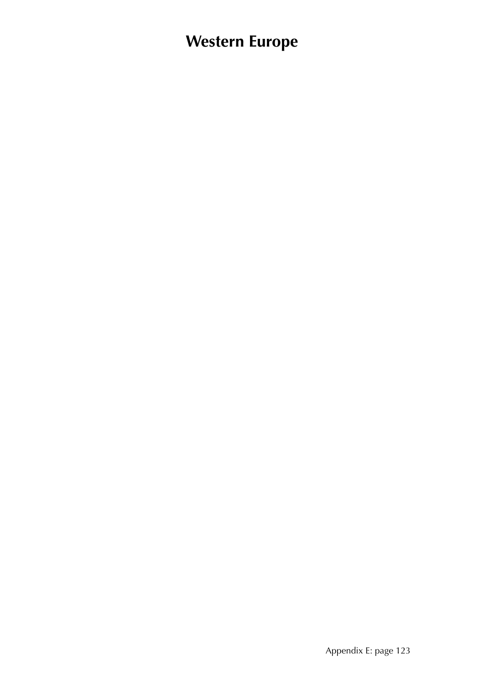# **Western Europe**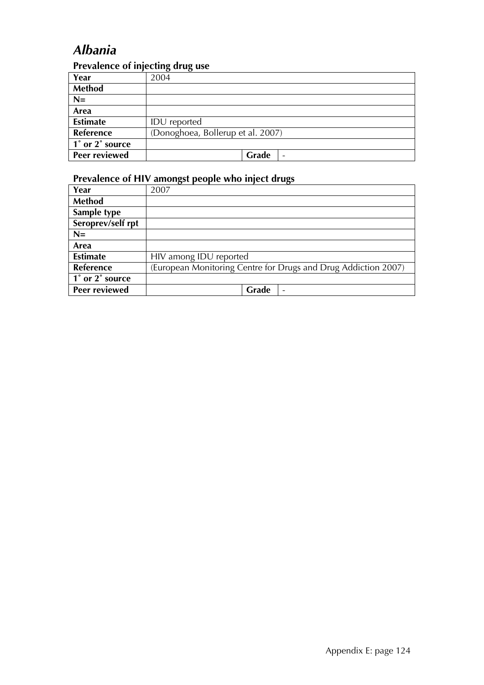## *Albania*

### **Prevalence of injecting drug use**

| Year                 | $\cdot$<br>$\cdot$<br>2004        |
|----------------------|-----------------------------------|
| <b>Method</b>        |                                   |
| $N=$                 |                                   |
| Area                 |                                   |
| <b>Estimate</b>      | <b>IDU</b> reported               |
| Reference            | (Donoghoea, Bollerup et al. 2007) |
| 1° or 2° source      |                                   |
| <b>Peer reviewed</b> | Grade                             |

| Year              | 2007                                                           |
|-------------------|----------------------------------------------------------------|
| Method            |                                                                |
| Sample type       |                                                                |
| Seroprev/self rpt |                                                                |
| $N=$              |                                                                |
| Area              |                                                                |
| <b>Estimate</b>   | HIV among IDU reported                                         |
| Reference         | (European Monitoring Centre for Drugs and Drug Addiction 2007) |
| 1° or 2° source   |                                                                |
| Peer reviewed     | Grade<br>۰                                                     |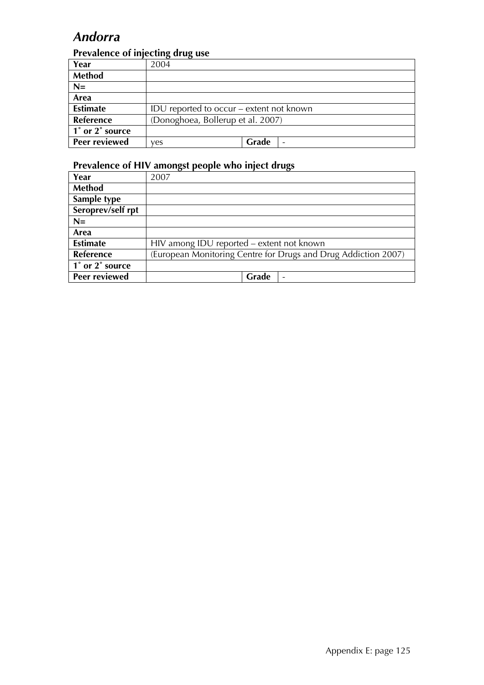## *Andorra*

## **Prevalence of injecting drug use**

| Year            | 2004                                     |       |  |
|-----------------|------------------------------------------|-------|--|
| <b>Method</b>   |                                          |       |  |
| $N=$            |                                          |       |  |
| Area            |                                          |       |  |
| <b>Estimate</b> | IDU reported to occur – extent not known |       |  |
| Reference       | (Donoghoea, Bollerup et al. 2007)        |       |  |
| 1° or 2° source |                                          |       |  |
| Peer reviewed   | ves                                      | Grade |  |

| Year              | 2007                                                           |
|-------------------|----------------------------------------------------------------|
| Method            |                                                                |
| Sample type       |                                                                |
| Seroprev/self rpt |                                                                |
| $N=$              |                                                                |
| Area              |                                                                |
| <b>Estimate</b>   | HIV among IDU reported - extent not known                      |
| Reference         | (European Monitoring Centre for Drugs and Drug Addiction 2007) |
| 1° or 2° source   |                                                                |
| Peer reviewed     | Grade                                                          |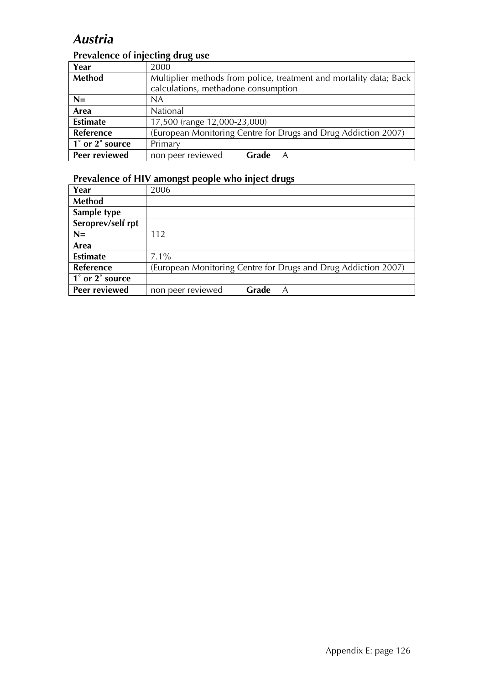## *Austria*

## **Prevalence of injecting drug use**

| Year                 | 2000                                                               |       |                                                                |  |
|----------------------|--------------------------------------------------------------------|-------|----------------------------------------------------------------|--|
| <b>Method</b>        | Multiplier methods from police, treatment and mortality data; Back |       |                                                                |  |
|                      | calculations, methadone consumption                                |       |                                                                |  |
| $N=$                 | <b>NA</b>                                                          |       |                                                                |  |
| Area                 | National                                                           |       |                                                                |  |
| <b>Estimate</b>      | 17,500 (range 12,000-23,000)                                       |       |                                                                |  |
| Reference            |                                                                    |       | (European Monitoring Centre for Drugs and Drug Addiction 2007) |  |
| 1° or 2° source      | Primary                                                            |       |                                                                |  |
| <b>Peer reviewed</b> | non peer reviewed                                                  | Grade | A                                                              |  |

| Year                 | 2006              |       |                                                                |
|----------------------|-------------------|-------|----------------------------------------------------------------|
| Method               |                   |       |                                                                |
| Sample type          |                   |       |                                                                |
| Seroprev/self rpt    |                   |       |                                                                |
| $N=$                 | 112               |       |                                                                |
| Area                 |                   |       |                                                                |
| <b>Estimate</b>      | $7.1\%$           |       |                                                                |
| Reference            |                   |       | (European Monitoring Centre for Drugs and Drug Addiction 2007) |
| 1° or 2° source      |                   |       |                                                                |
| <b>Peer reviewed</b> | non peer reviewed | Grade | A                                                              |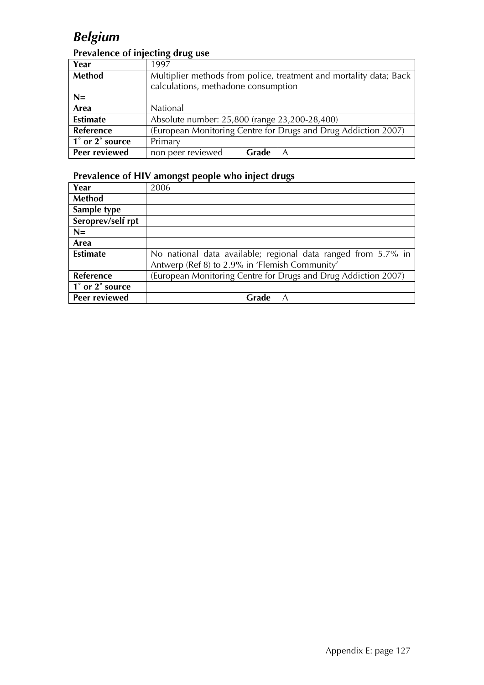## *Belgium*

## **Prevalence of injecting drug use**

| Year            | 1997                                                               |       |                                                                |  |
|-----------------|--------------------------------------------------------------------|-------|----------------------------------------------------------------|--|
| Method          | Multiplier methods from police, treatment and mortality data; Back |       |                                                                |  |
|                 | calculations, methadone consumption                                |       |                                                                |  |
| $N=$            |                                                                    |       |                                                                |  |
| Area            | National                                                           |       |                                                                |  |
| <b>Estimate</b> | Absolute number: 25,800 (range 23,200-28,400)                      |       |                                                                |  |
| Reference       |                                                                    |       | (European Monitoring Centre for Drugs and Drug Addiction 2007) |  |
| 1° or 2° source | Primary                                                            |       |                                                                |  |
| Peer reviewed   | non peer reviewed                                                  | Grade | A                                                              |  |

| Year              | 2006                                                           |
|-------------------|----------------------------------------------------------------|
| Method            |                                                                |
| Sample type       |                                                                |
| Seroprev/self rpt |                                                                |
| $N=$              |                                                                |
| Area              |                                                                |
| <b>Estimate</b>   | No national data available; regional data ranged from 5.7% in  |
|                   | Antwerp (Ref 8) to 2.9% in 'Flemish Community'                 |
| <b>Reference</b>  | (European Monitoring Centre for Drugs and Drug Addiction 2007) |
| 1° or 2° source   |                                                                |
| Peer reviewed     | Grade<br>A                                                     |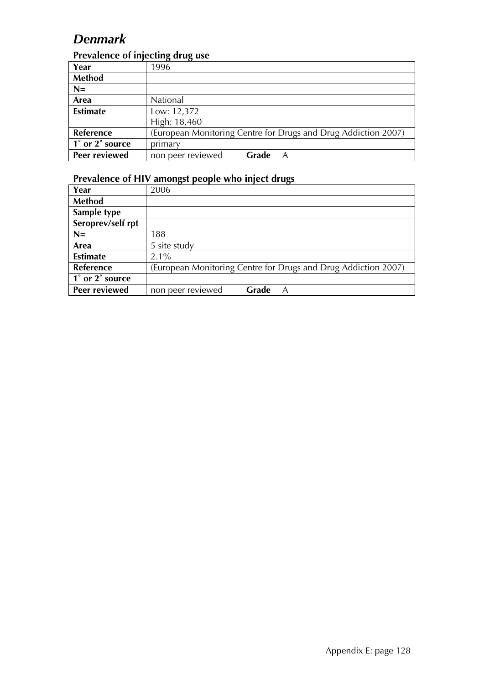## *Denmark*

#### **Prevalence of injecting drug use**

| Year            | 1996              |       |                                                                |
|-----------------|-------------------|-------|----------------------------------------------------------------|
| <b>Method</b>   |                   |       |                                                                |
| $N=$            |                   |       |                                                                |
| Area            | National          |       |                                                                |
| <b>Estimate</b> | Low: 12,372       |       |                                                                |
|                 | High: 18,460      |       |                                                                |
| Reference       |                   |       | (European Monitoring Centre for Drugs and Drug Addiction 2007) |
| 1° or 2° source | primary           |       |                                                                |
| Peer reviewed   | non peer reviewed | Grade | Α                                                              |

| Year              | 2006                                                           |  |  |
|-------------------|----------------------------------------------------------------|--|--|
| Method            |                                                                |  |  |
| Sample type       |                                                                |  |  |
| Seroprev/self rpt |                                                                |  |  |
| $N=$              | 188                                                            |  |  |
| Area              | 5 site study                                                   |  |  |
| <b>Estimate</b>   | $2.1\%$                                                        |  |  |
| Reference         | (European Monitoring Centre for Drugs and Drug Addiction 2007) |  |  |
| 1° or 2° source   |                                                                |  |  |
| Peer reviewed     | Grade<br>non peer reviewed<br>A                                |  |  |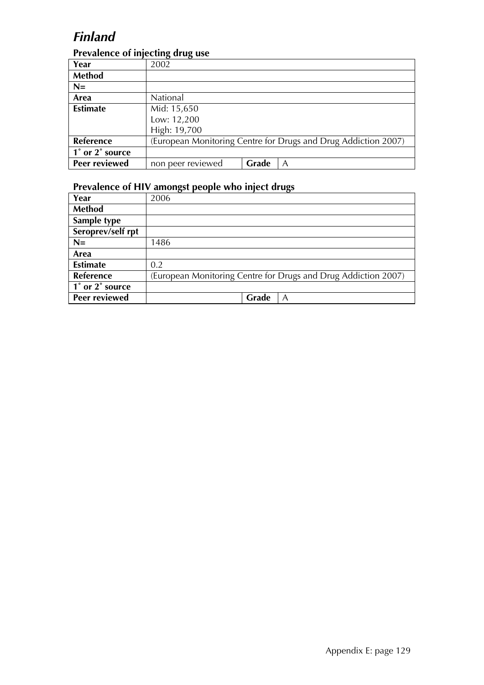## *Finland*

#### **Prevalence of injecting drug use**

| Year                 | 2002              |       |                                                                |
|----------------------|-------------------|-------|----------------------------------------------------------------|
| Method               |                   |       |                                                                |
| $N=$                 |                   |       |                                                                |
| Area                 | National          |       |                                                                |
| <b>Estimate</b>      | Mid: 15,650       |       |                                                                |
|                      | Low: 12,200       |       |                                                                |
|                      | High: 19,700      |       |                                                                |
| Reference            |                   |       | (European Monitoring Centre for Drugs and Drug Addiction 2007) |
| 1° or 2° source      |                   |       |                                                                |
| <b>Peer reviewed</b> | non peer reviewed | Grade | А                                                              |

| Year                 | 2006                                                           |
|----------------------|----------------------------------------------------------------|
| Method               |                                                                |
| Sample type          |                                                                |
| Seroprev/self rpt    |                                                                |
| $N=$                 | 1486                                                           |
| Area                 |                                                                |
| <b>Estimate</b>      | 0.2                                                            |
| <b>Reference</b>     | (European Monitoring Centre for Drugs and Drug Addiction 2007) |
| 1° or 2° source      |                                                                |
| <b>Peer reviewed</b> | Grade<br>A                                                     |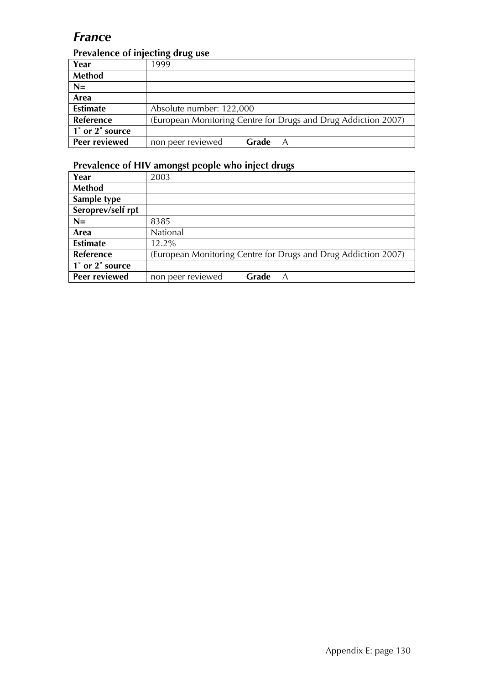## *France*

### **Prevalence of injecting drug use**

| Year             | 1999                                                           |       |  |
|------------------|----------------------------------------------------------------|-------|--|
| Method           |                                                                |       |  |
| $N=$             |                                                                |       |  |
| Area             |                                                                |       |  |
| <b>Estimate</b>  | Absolute number: 122,000                                       |       |  |
| <b>Reference</b> | (European Monitoring Centre for Drugs and Drug Addiction 2007) |       |  |
| 1° or 2° source  |                                                                |       |  |
| Peer reviewed    | non peer reviewed                                              | Grade |  |

| Year                 | 2003                                                           |       |   |
|----------------------|----------------------------------------------------------------|-------|---|
| Method               |                                                                |       |   |
| Sample type          |                                                                |       |   |
| Seroprev/self rpt    |                                                                |       |   |
| $N=$                 | 8385                                                           |       |   |
| Area                 | National                                                       |       |   |
| <b>Estimate</b>      | $12.2\%$                                                       |       |   |
| Reference            | (European Monitoring Centre for Drugs and Drug Addiction 2007) |       |   |
| 1° or 2° source      |                                                                |       |   |
| <b>Peer reviewed</b> | non peer reviewed                                              | Grade | Α |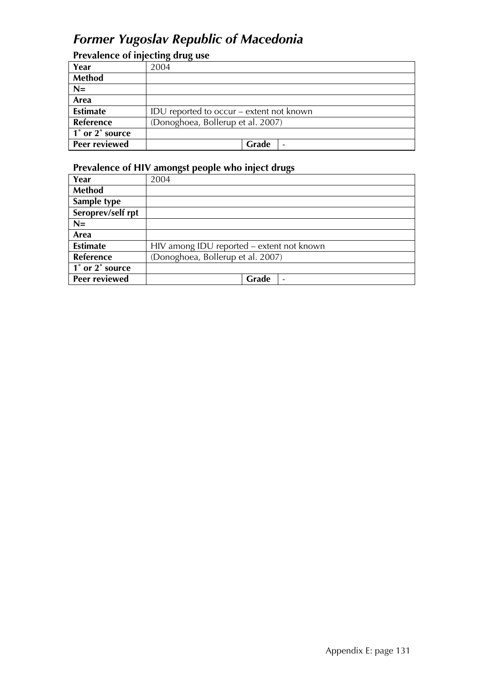## *Former Yugoslav Republic of Macedonia*

## **Prevalence of injecting drug use**

| Year            | 2004                                     |
|-----------------|------------------------------------------|
| Method          |                                          |
| $N=$            |                                          |
| Area            |                                          |
| <b>Estimate</b> | IDU reported to occur – extent not known |
| Reference       | (Donoghoea, Bollerup et al. 2007)        |
| 1° or 2° source |                                          |
| Peer reviewed   | Grade                                    |

| Year                 | 2004                                      |  |  |
|----------------------|-------------------------------------------|--|--|
| Method               |                                           |  |  |
| Sample type          |                                           |  |  |
| Seroprev/self rpt    |                                           |  |  |
| $N=$                 |                                           |  |  |
| Area                 |                                           |  |  |
| <b>Estimate</b>      | HIV among IDU reported - extent not known |  |  |
| Reference            | (Donoghoea, Bollerup et al. 2007)         |  |  |
| 1° or 2° source      |                                           |  |  |
| <b>Peer reviewed</b> | Grade                                     |  |  |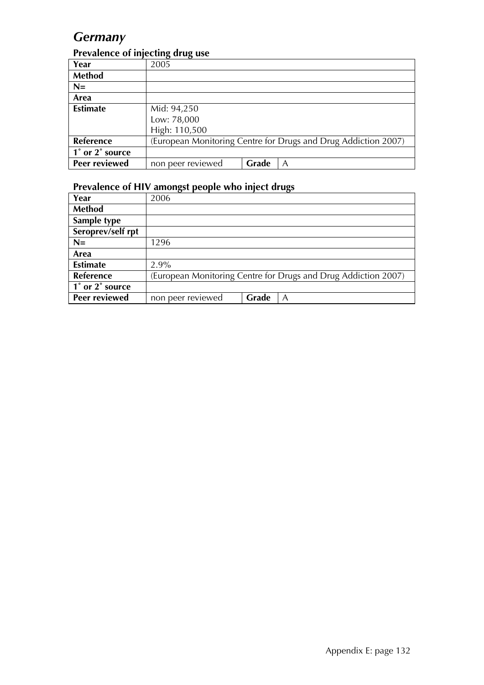## *Germany*

#### **Prevalence of injecting drug use**

| Year            | 2005              |       |                                                                |
|-----------------|-------------------|-------|----------------------------------------------------------------|
| Method          |                   |       |                                                                |
| $N=$            |                   |       |                                                                |
| Area            |                   |       |                                                                |
| <b>Estimate</b> | Mid: 94,250       |       |                                                                |
|                 | Low: 78,000       |       |                                                                |
|                 | High: 110,500     |       |                                                                |
| Reference       |                   |       | (European Monitoring Centre for Drugs and Drug Addiction 2007) |
| 1° or 2° source |                   |       |                                                                |
| Peer reviewed   | non peer reviewed | Grade | A                                                              |

| Year              | 2006                                                           |
|-------------------|----------------------------------------------------------------|
| Method            |                                                                |
| Sample type       |                                                                |
| Seroprev/self rpt |                                                                |
| $N=$              | 1296                                                           |
| Area              |                                                                |
| <b>Estimate</b>   | $2.9\%$                                                        |
| Reference         | (European Monitoring Centre for Drugs and Drug Addiction 2007) |
| 1° or 2° source   |                                                                |
| Peer reviewed     | non peer reviewed<br>Grade<br>A                                |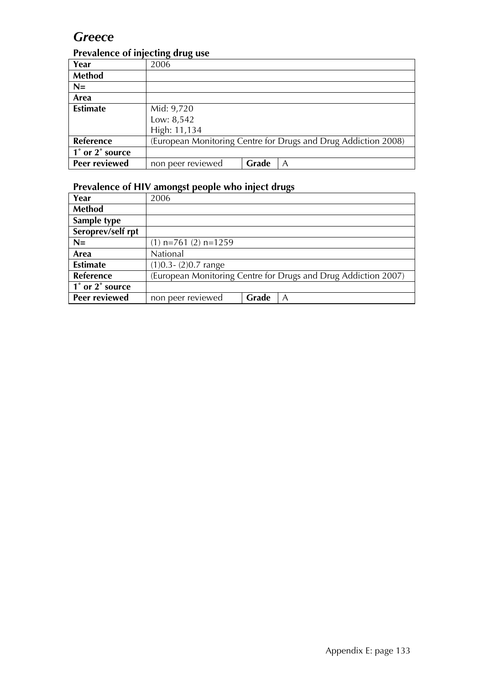## *Greece*

#### **Prevalence of injecting drug use**

| Year                 | 2006              |       |                                                                |  |
|----------------------|-------------------|-------|----------------------------------------------------------------|--|
| Method               |                   |       |                                                                |  |
| $N=$                 |                   |       |                                                                |  |
| Area                 |                   |       |                                                                |  |
| <b>Estimate</b>      | Mid: 9,720        |       |                                                                |  |
|                      | Low: 8,542        |       |                                                                |  |
|                      | High: 11,134      |       |                                                                |  |
| Reference            |                   |       | (European Monitoring Centre for Drugs and Drug Addiction 2008) |  |
| 1° or 2° source      |                   |       |                                                                |  |
| <b>Peer reviewed</b> | non peer reviewed | Grade | A                                                              |  |

| Year              | 2006                     |       |                                                                |
|-------------------|--------------------------|-------|----------------------------------------------------------------|
| Method            |                          |       |                                                                |
| Sample type       |                          |       |                                                                |
| Seroprev/self rpt |                          |       |                                                                |
| $N=$              | $(1)$ n=761 $(2)$ n=1259 |       |                                                                |
| Area              | National                 |       |                                                                |
| <b>Estimate</b>   | $(1)0.3 - (2)0.7$ range  |       |                                                                |
| <b>Reference</b>  |                          |       | (European Monitoring Centre for Drugs and Drug Addiction 2007) |
| 1° or 2° source   |                          |       |                                                                |
| Peer reviewed     | non peer reviewed        | Grade | A                                                              |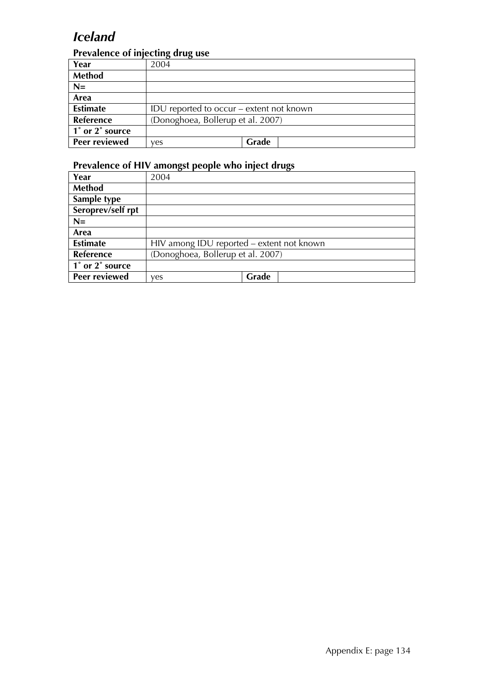## *Iceland*

### **Prevalence of injecting drug use**

| Year                                         | 2004                                     |       |  |
|----------------------------------------------|------------------------------------------|-------|--|
| <b>Method</b>                                |                                          |       |  |
| $N=$                                         |                                          |       |  |
| Area                                         |                                          |       |  |
| <b>Estimate</b>                              | IDU reported to occur – extent not known |       |  |
| Reference                                    | (Donoghoea, Bollerup et al. 2007)        |       |  |
| $\overline{1}^{\circ}$ or $2^{\circ}$ source |                                          |       |  |
| Peer reviewed                                | ves                                      | Grade |  |

| Year              | 2004                                      |       |
|-------------------|-------------------------------------------|-------|
| <b>Method</b>     |                                           |       |
| Sample type       |                                           |       |
| Seroprev/self rpt |                                           |       |
| $N=$              |                                           |       |
| Area              |                                           |       |
| <b>Estimate</b>   | HIV among IDU reported – extent not known |       |
| <b>Reference</b>  | (Donoghoea, Bollerup et al. 2007)         |       |
| 1° or 2° source   |                                           |       |
| Peer reviewed     | ves                                       | Grade |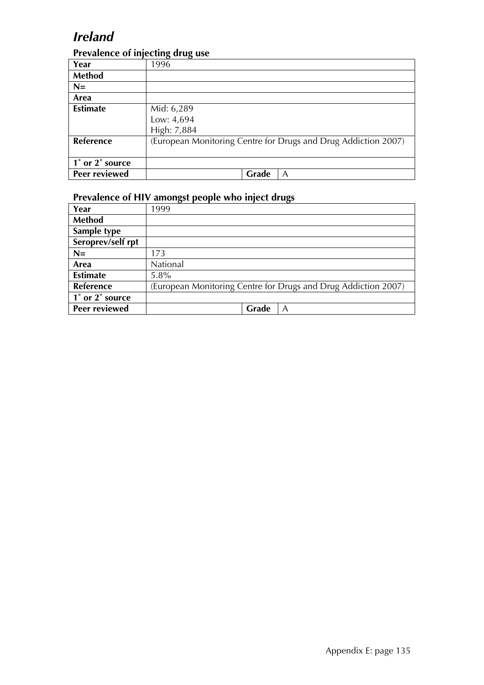## *Ireland*

#### **Prevalence of injecting drug use**

|                 | יי הי<br>ு - - |       |                                                                |
|-----------------|----------------|-------|----------------------------------------------------------------|
| Year            | 1996           |       |                                                                |
| Method          |                |       |                                                                |
| $N=$            |                |       |                                                                |
| Area            |                |       |                                                                |
| <b>Estimate</b> | Mid: 6,289     |       |                                                                |
|                 | Low: 4,694     |       |                                                                |
|                 | High: 7,884    |       |                                                                |
| Reference       |                |       | (European Monitoring Centre for Drugs and Drug Addiction 2007) |
|                 |                |       |                                                                |
| 1° or 2° source |                |       |                                                                |
| Peer reviewed   |                | Grade | A                                                              |

| Year                 | 1999                                                           |
|----------------------|----------------------------------------------------------------|
| <b>Method</b>        |                                                                |
| Sample type          |                                                                |
| Seroprev/self rpt    |                                                                |
| $N=$                 | 173                                                            |
| Area                 | National                                                       |
| <b>Estimate</b>      | $5.8\%$                                                        |
| Reference            | (European Monitoring Centre for Drugs and Drug Addiction 2007) |
| 1° or 2° source      |                                                                |
| <b>Peer reviewed</b> | Grade<br>Α                                                     |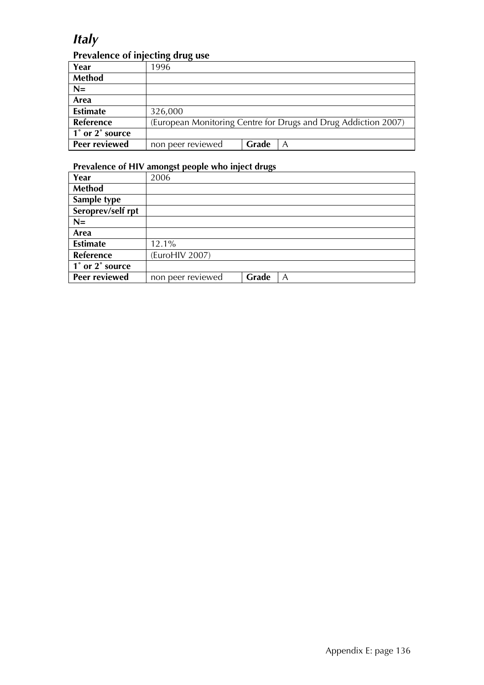## *Italy*

### **Prevalence of injecting drug use**

| Year             | 1996              |       |                                                                |
|------------------|-------------------|-------|----------------------------------------------------------------|
|                  |                   |       |                                                                |
| <b>Method</b>    |                   |       |                                                                |
| $N=$             |                   |       |                                                                |
| Area             |                   |       |                                                                |
| <b>Estimate</b>  | 326,000           |       |                                                                |
| <b>Reference</b> |                   |       | (European Monitoring Centre for Drugs and Drug Addiction 2007) |
| 1° or 2° source  |                   |       |                                                                |
| Peer reviewed    | non peer reviewed | Grade |                                                                |

| Year                 | 2006              |       |   |
|----------------------|-------------------|-------|---|
| Method               |                   |       |   |
| Sample type          |                   |       |   |
| Seroprev/self rpt    |                   |       |   |
| $N=$                 |                   |       |   |
| Area                 |                   |       |   |
| <b>Estimate</b>      | 12.1%             |       |   |
| <b>Reference</b>     | (EuroHIV 2007)    |       |   |
| 1° or 2° source      |                   |       |   |
| <b>Peer reviewed</b> | non peer reviewed | Grade | A |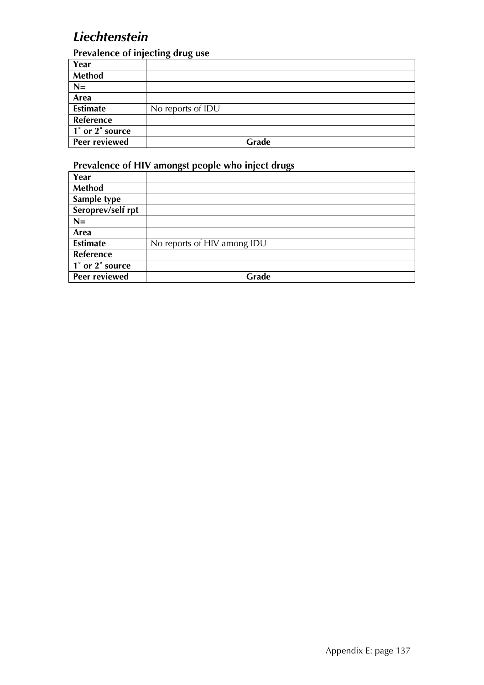## *Liechtenstein*

#### **Prevalence of injecting drug use**

|                                              | o<br>$\overline{\phantom{a}}$ |       |  |
|----------------------------------------------|-------------------------------|-------|--|
| Year                                         |                               |       |  |
| <b>Method</b>                                |                               |       |  |
| $N=$                                         |                               |       |  |
| Area                                         |                               |       |  |
| <b>Estimate</b>                              | No reports of IDU             |       |  |
| Reference                                    |                               |       |  |
| $\overline{1}^{\circ}$ or $2^{\circ}$ source |                               |       |  |
| Peer reviewed                                |                               | Grade |  |

| Year              |                             |
|-------------------|-----------------------------|
| <b>Method</b>     |                             |
| Sample type       |                             |
| Seroprev/self rpt |                             |
| $N=$              |                             |
| Area              |                             |
| <b>Estimate</b>   | No reports of HIV among IDU |
| <b>Reference</b>  |                             |
| 1° or 2° source   |                             |
| Peer reviewed     | Grade                       |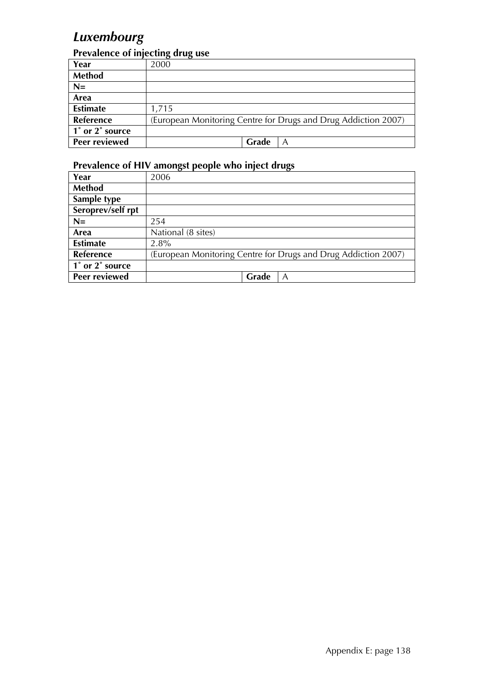# *Luxembourg*

### **Prevalence of injecting drug use**

| Year            | 2000                                                           |
|-----------------|----------------------------------------------------------------|
| <b>Method</b>   |                                                                |
| $N=$            |                                                                |
| Area            |                                                                |
| <b>Estimate</b> | 1,715                                                          |
| Reference       | (European Monitoring Centre for Drugs and Drug Addiction 2007) |
| 1° or 2° source |                                                                |
| Peer reviewed   | Grade<br>A                                                     |

| Year              | 2006                                                           |
|-------------------|----------------------------------------------------------------|
| <b>Method</b>     |                                                                |
| Sample type       |                                                                |
| Seroprev/self rpt |                                                                |
| $N=$              | 254                                                            |
| Area              | National (8 sites)                                             |
| <b>Estimate</b>   | 2.8%                                                           |
| <b>Reference</b>  | (European Monitoring Centre for Drugs and Drug Addiction 2007) |
| 1° or 2° source   |                                                                |
| Peer reviewed     | Grade<br>A                                                     |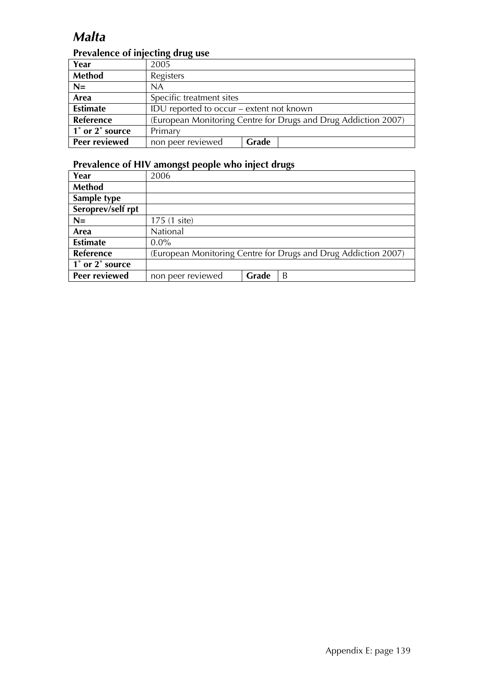# *Malta*

### **Prevalence of injecting drug use**

| Year                                         | 2005                                                           |       |  |  |
|----------------------------------------------|----------------------------------------------------------------|-------|--|--|
| <b>Method</b>                                | Registers                                                      |       |  |  |
| $N=$                                         | <b>NA</b>                                                      |       |  |  |
| Area                                         | Specific treatment sites                                       |       |  |  |
| <b>Estimate</b>                              | IDU reported to occur – extent not known                       |       |  |  |
| Reference                                    | (European Monitoring Centre for Drugs and Drug Addiction 2007) |       |  |  |
| $\overline{1}^{\circ}$ or $2^{\circ}$ source | Primary                                                        |       |  |  |
| <b>Peer reviewed</b>                         | non peer reviewed                                              | Grade |  |  |

| Year                 | 2006                                                           |       |   |
|----------------------|----------------------------------------------------------------|-------|---|
| Method               |                                                                |       |   |
| Sample type          |                                                                |       |   |
| Seroprev/self rpt    |                                                                |       |   |
| $N=$                 | 175 (1 site)                                                   |       |   |
| Area                 | National                                                       |       |   |
| <b>Estimate</b>      | $0.0\%$                                                        |       |   |
| Reference            | (European Monitoring Centre for Drugs and Drug Addiction 2007) |       |   |
| 1° or 2° source      |                                                                |       |   |
| <b>Peer reviewed</b> | non peer reviewed                                              | Grade | B |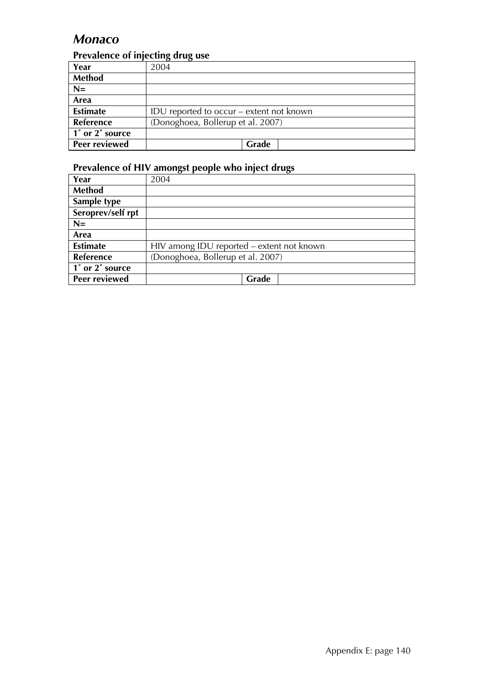## *Monaco*

### **Prevalence of injecting drug use**

| Year                 | 2004                                     |
|----------------------|------------------------------------------|
| <b>Method</b>        |                                          |
| $N=$                 |                                          |
| Area                 |                                          |
| <b>Estimate</b>      | IDU reported to occur – extent not known |
| Reference            | (Donoghoea, Bollerup et al. 2007)        |
| 1° or 2° source      |                                          |
| <b>Peer reviewed</b> | Grade                                    |

| Year                 | 2004                                      |
|----------------------|-------------------------------------------|
| <b>Method</b>        |                                           |
| Sample type          |                                           |
| Seroprev/self rpt    |                                           |
| $N=$                 |                                           |
| Area                 |                                           |
| <b>Estimate</b>      | HIV among IDU reported - extent not known |
| Reference            | (Donoghoea, Bollerup et al. 2007)         |
| 1° or 2° source      |                                           |
| <b>Peer reviewed</b> | Grade                                     |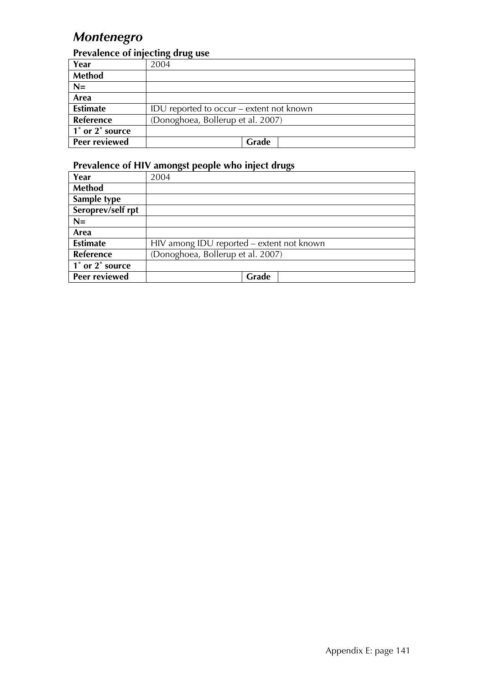# *Montenegro*

### **Prevalence of injecting drug use**

| Year            | 2004                                     |
|-----------------|------------------------------------------|
| <b>Method</b>   |                                          |
| $N=$            |                                          |
| Area            |                                          |
| <b>Estimate</b> | IDU reported to occur – extent not known |
| Reference       | (Donoghoea, Bollerup et al. 2007)        |
| 1° or 2° source |                                          |
| Peer reviewed   | Grade                                    |

| Year                 | 2004                                      |
|----------------------|-------------------------------------------|
| Method               |                                           |
| Sample type          |                                           |
| Seroprev/self rpt    |                                           |
| $N=$                 |                                           |
| Area                 |                                           |
| <b>Estimate</b>      | HIV among IDU reported - extent not known |
| <b>Reference</b>     | (Donoghoea, Bollerup et al. 2007)         |
| 1° or 2° source      |                                           |
| <b>Peer reviewed</b> | Grade                                     |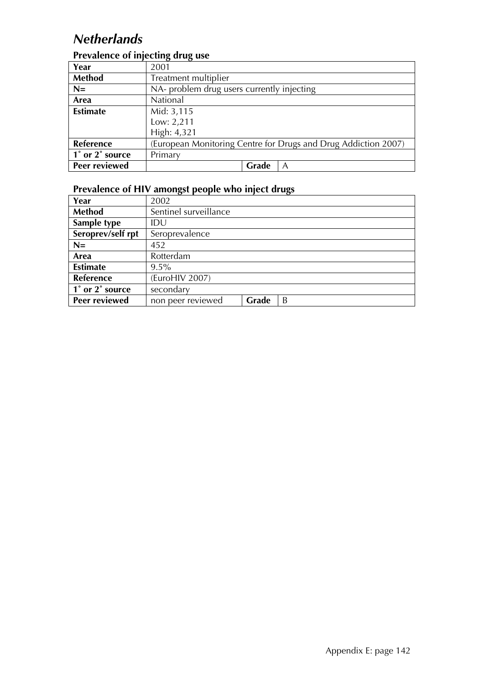# *Netherlands*

### **Prevalence of injecting drug use**

| Year                 | 2001                                                           |
|----------------------|----------------------------------------------------------------|
| <b>Method</b>        | Treatment multiplier                                           |
| $N=$                 | NA- problem drug users currently injecting                     |
| Area                 | National                                                       |
| <b>Estimate</b>      | Mid: 3,115                                                     |
|                      | Low: 2,211                                                     |
|                      | High: 4,321                                                    |
| Reference            | (European Monitoring Centre for Drugs and Drug Addiction 2007) |
| 1° or 2° source      | Primary                                                        |
| <b>Peer reviewed</b> | Grade<br>A                                                     |

| Year              | 2002                  |       |   |
|-------------------|-----------------------|-------|---|
| <b>Method</b>     | Sentinel surveillance |       |   |
| Sample type       | IDU                   |       |   |
| Seroprev/self rpt | Seroprevalence        |       |   |
| $N=$              | 452                   |       |   |
| Area              | Rotterdam             |       |   |
| <b>Estimate</b>   | $9.5\%$               |       |   |
| <b>Reference</b>  | (EuroHIV 2007)        |       |   |
| 1° or 2° source   | secondary             |       |   |
| Peer reviewed     | non peer reviewed     | Grade | B |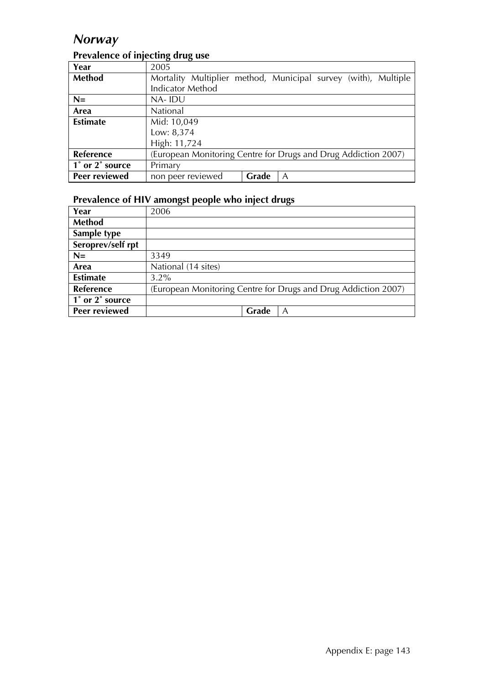## *Norway*

| Year                 | 2005                                                           |       |   |  |  |
|----------------------|----------------------------------------------------------------|-------|---|--|--|
| Method               | Mortality Multiplier method, Municipal survey (with), Multiple |       |   |  |  |
|                      | <b>Indicator Method</b>                                        |       |   |  |  |
| $N=$                 | NA-IDU                                                         |       |   |  |  |
| Area                 | <b>National</b>                                                |       |   |  |  |
| <b>Estimate</b>      | Mid: 10,049                                                    |       |   |  |  |
|                      | Low: 8,374                                                     |       |   |  |  |
|                      | High: 11,724                                                   |       |   |  |  |
| <b>Reference</b>     | (European Monitoring Centre for Drugs and Drug Addiction 2007) |       |   |  |  |
| 1° or 2° source      | Primary                                                        |       |   |  |  |
| <b>Peer reviewed</b> | non peer reviewed                                              | Grade | A |  |  |

### **Prevalence of injecting drug use**

| Year                 | 2006                                                           |
|----------------------|----------------------------------------------------------------|
| Method               |                                                                |
| Sample type          |                                                                |
| Seroprev/self rpt    |                                                                |
| $N=$                 | 3349                                                           |
| Area                 | National (14 sites)                                            |
| <b>Estimate</b>      | $3.2\%$                                                        |
| <b>Reference</b>     | (European Monitoring Centre for Drugs and Drug Addiction 2007) |
| 1° or 2° source      |                                                                |
| <b>Peer reviewed</b> | Grade<br>A                                                     |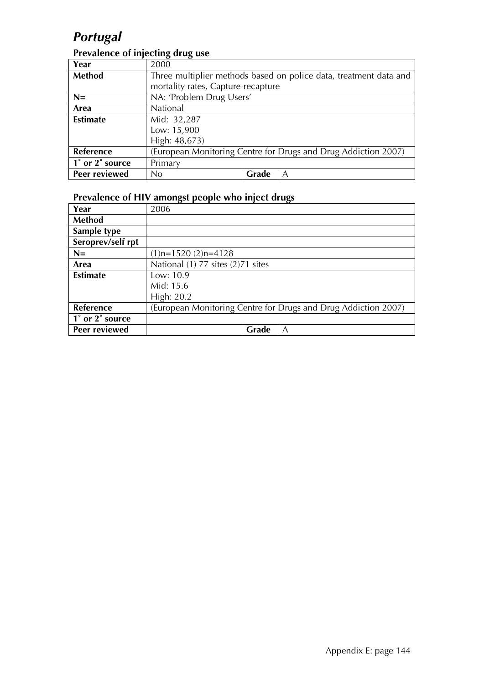# *Portugal*

### **Prevalence of injecting drug use**

| Year            | 2000                                                              |       |   |
|-----------------|-------------------------------------------------------------------|-------|---|
| Method          | Three multiplier methods based on police data, treatment data and |       |   |
|                 | mortality rates, Capture-recapture                                |       |   |
| $N=$            | NA: 'Problem Drug Users'                                          |       |   |
| Area            | National                                                          |       |   |
| <b>Estimate</b> | Mid: 32,287                                                       |       |   |
|                 | Low: 15,900                                                       |       |   |
|                 | High: 48,673)                                                     |       |   |
| Reference       | (European Monitoring Centre for Drugs and Drug Addiction 2007)    |       |   |
| 1° or 2° source | Primary                                                           |       |   |
| Peer reviewed   | No.                                                               | Grade | A |

| Year              | 2006                                                           |
|-------------------|----------------------------------------------------------------|
| <b>Method</b>     |                                                                |
| Sample type       |                                                                |
| Seroprev/self rpt |                                                                |
| $N=$              | $(1)$ n=1520 $(2)$ n=4128                                      |
| Area              | National (1) 77 sites (2)71 sites                              |
| <b>Estimate</b>   | Low: $10.9$                                                    |
|                   | Mid: 15.6                                                      |
|                   | High: 20.2                                                     |
| Reference         | (European Monitoring Centre for Drugs and Drug Addiction 2007) |
| 1° or 2° source   |                                                                |
| Peer reviewed     | Grade<br>A                                                     |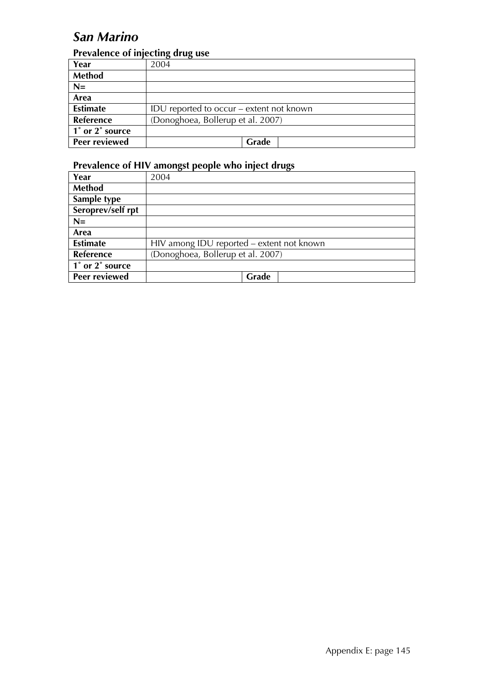# *San Marino*

### **Prevalence of injecting drug use**

| Year            | 2004                                     |
|-----------------|------------------------------------------|
| <b>Method</b>   |                                          |
| $N=$            |                                          |
| Area            |                                          |
| <b>Estimate</b> | IDU reported to occur – extent not known |
| Reference       | (Donoghoea, Bollerup et al. 2007)        |
| 1° or 2° source |                                          |
| Peer reviewed   | Grade                                    |

| Year                 | 2004                                      |  |
|----------------------|-------------------------------------------|--|
| Method               |                                           |  |
| Sample type          |                                           |  |
| Seroprev/self rpt    |                                           |  |
| $N=$                 |                                           |  |
| Area                 |                                           |  |
| <b>Estimate</b>      | HIV among IDU reported - extent not known |  |
| <b>Reference</b>     | (Donoghoea, Bollerup et al. 2007)         |  |
| 1° or 2° source      |                                           |  |
| <b>Peer reviewed</b> | Grade                                     |  |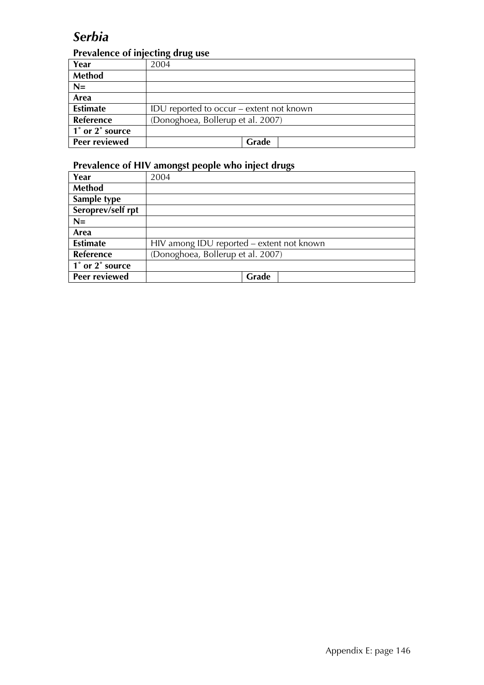## *Serbia*

### **Prevalence of injecting drug use**

| Year            | 2004                                     |
|-----------------|------------------------------------------|
| <b>Method</b>   |                                          |
| $N=$            |                                          |
| Area            |                                          |
| <b>Estimate</b> | IDU reported to occur – extent not known |
| Reference       | (Donoghoea, Bollerup et al. 2007)        |
| 1° or 2° source |                                          |
| Peer reviewed   | Grade                                    |

| Year                 | 2004                                      |  |
|----------------------|-------------------------------------------|--|
| <b>Method</b>        |                                           |  |
| Sample type          |                                           |  |
| Seroprev/self rpt    |                                           |  |
| $N=$                 |                                           |  |
| Area                 |                                           |  |
| <b>Estimate</b>      | HIV among IDU reported – extent not known |  |
| <b>Reference</b>     | (Donoghoea, Bollerup et al. 2007)         |  |
| 1° or 2° source      |                                           |  |
| <b>Peer reviewed</b> | Grade                                     |  |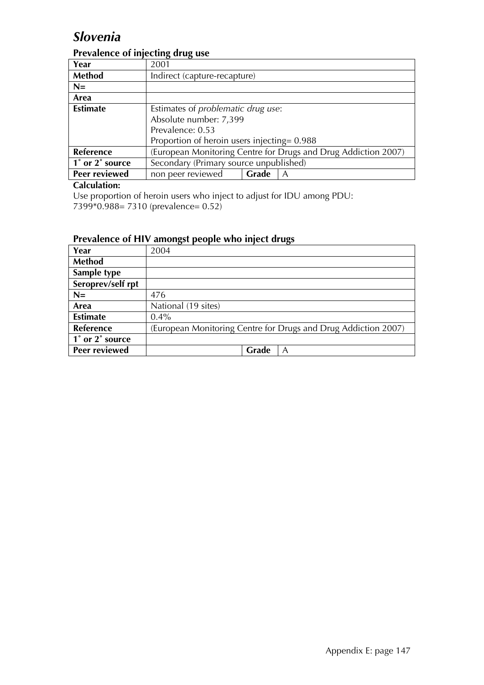# *Slovenia*

### **Prevalence of injecting drug use**

| Year             | 2001                                                           |       |   |
|------------------|----------------------------------------------------------------|-------|---|
| Method           | Indirect (capture-recapture)                                   |       |   |
| $N=$             |                                                                |       |   |
| Area             |                                                                |       |   |
| <b>Estimate</b>  | Estimates of problematic drug use:                             |       |   |
|                  | Absolute number: 7,399                                         |       |   |
|                  | Prevalence: 0.53                                               |       |   |
|                  | Proportion of heroin users injecting= 0.988                    |       |   |
| <b>Reference</b> | (European Monitoring Centre for Drugs and Drug Addiction 2007) |       |   |
| 1° or 2° source  | Secondary (Primary source unpublished)                         |       |   |
| Peer reviewed    | non peer reviewed                                              | Grade | A |

#### **Calculation:**

Use proportion of heroin users who inject to adjust for IDU among PDU: 7399\*0.988= 7310 (prevalence= 0.52)

| Year              | 2004                                                           |
|-------------------|----------------------------------------------------------------|
| <b>Method</b>     |                                                                |
| Sample type       |                                                                |
| Seroprev/self rpt |                                                                |
| $N=$              | 476                                                            |
| Area              | National (19 sites)                                            |
| <b>Estimate</b>   | $0.4\%$                                                        |
| Reference         | (European Monitoring Centre for Drugs and Drug Addiction 2007) |
| 1° or 2° source   |                                                                |
| Peer reviewed     | Grade<br>A                                                     |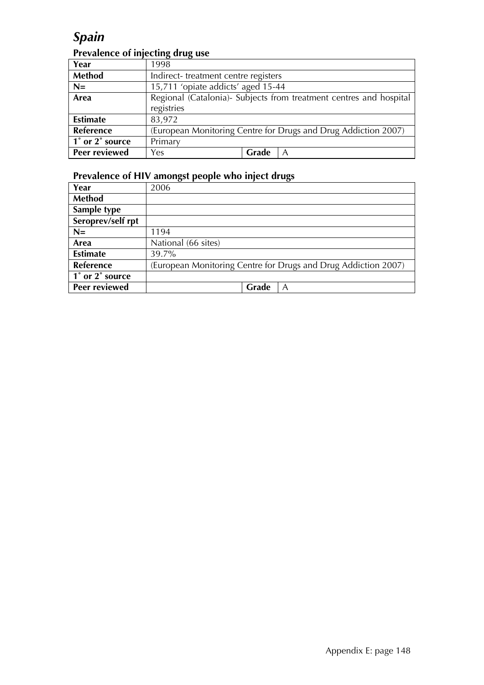# *Spain*

### **Prevalence of injecting drug use**

| Year                 | 1998                                                               |  |  |
|----------------------|--------------------------------------------------------------------|--|--|
| <b>Method</b>        | Indirect-treatment centre registers                                |  |  |
| $N=$                 | 15,711 'opiate addicts' aged 15-44                                 |  |  |
| Area                 | Regional (Catalonia)- Subjects from treatment centres and hospital |  |  |
|                      | registries                                                         |  |  |
| <b>Estimate</b>      | 83,972                                                             |  |  |
| Reference            | (European Monitoring Centre for Drugs and Drug Addiction 2007)     |  |  |
| 1° or 2° source      | Primary                                                            |  |  |
| <b>Peer reviewed</b> | Grade<br>Yes<br>A                                                  |  |  |

| Year              | 2006                                                           |
|-------------------|----------------------------------------------------------------|
| <b>Method</b>     |                                                                |
| Sample type       |                                                                |
| Seroprev/self rpt |                                                                |
| $N=$              | 1194                                                           |
| Area              | National (66 sites)                                            |
| <b>Estimate</b>   | 39.7%                                                          |
| Reference         | (European Monitoring Centre for Drugs and Drug Addiction 2007) |
| 1° or 2° source   |                                                                |
| Peer reviewed     | Grade<br>A                                                     |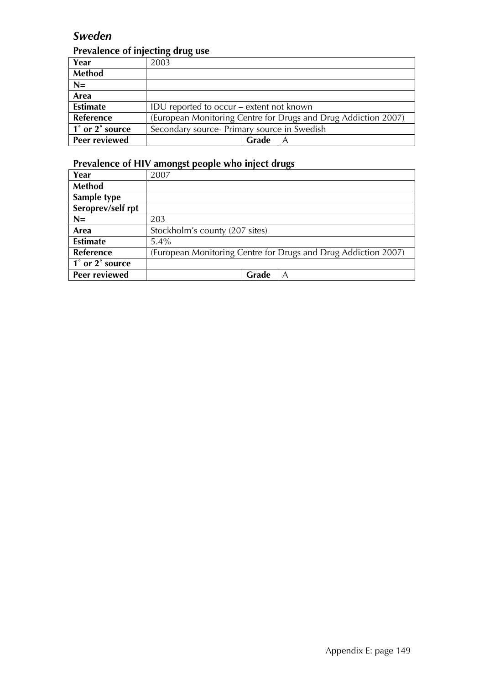### *Sweden*

### **Prevalence of injecting drug use**

| Year             | 2003                                                           |
|------------------|----------------------------------------------------------------|
| <b>Method</b>    |                                                                |
| $N=$             |                                                                |
| Area             |                                                                |
| <b>Estimate</b>  | IDU reported to occur – extent not known                       |
| <b>Reference</b> | (European Monitoring Centre for Drugs and Drug Addiction 2007) |
| 1° or 2° source  | Secondary source- Primary source in Swedish                    |
| Peer reviewed    | Grade                                                          |

| Year              | 2007                                                           |
|-------------------|----------------------------------------------------------------|
| <b>Method</b>     |                                                                |
| Sample type       |                                                                |
| Seroprev/self rpt |                                                                |
| $N=$              | 203                                                            |
| Area              | Stockholm's county (207 sites)                                 |
| <b>Estimate</b>   | $5.4\%$                                                        |
| <b>Reference</b>  | (European Monitoring Centre for Drugs and Drug Addiction 2007) |
| 1° or 2° source   |                                                                |
| Peer reviewed     | Grade<br>A                                                     |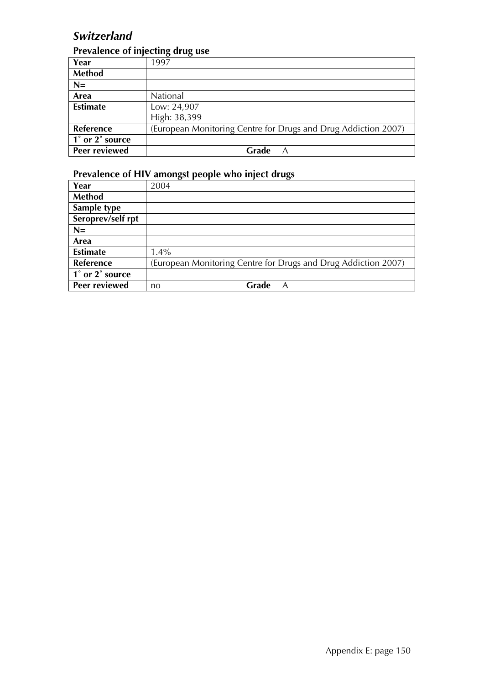## *Switzerland*

#### **Prevalence of injecting drug use**

| Year            | $\sigma$<br>$\sim$<br>1997                                     |
|-----------------|----------------------------------------------------------------|
| <b>Method</b>   |                                                                |
| $N=$            |                                                                |
| Area            | National                                                       |
| <b>Estimate</b> | Low: 24,907                                                    |
|                 | High: 38,399                                                   |
| Reference       | (European Monitoring Centre for Drugs and Drug Addiction 2007) |
| 1° or 2° source |                                                                |
| Peer reviewed   | Grade<br>Α                                                     |

| Year              | 2004                                                           |  |
|-------------------|----------------------------------------------------------------|--|
| Method            |                                                                |  |
| Sample type       |                                                                |  |
| Seroprev/self rpt |                                                                |  |
| $N=$              |                                                                |  |
| Area              |                                                                |  |
| <b>Estimate</b>   | $1.4\%$                                                        |  |
| <b>Reference</b>  | (European Monitoring Centre for Drugs and Drug Addiction 2007) |  |
| 1° or 2° source   |                                                                |  |
| Peer reviewed     | Grade<br>A<br>no                                               |  |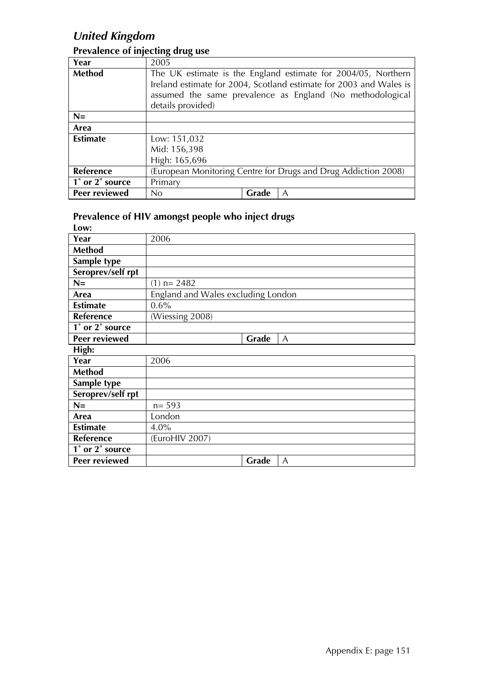# *United Kingdom*

| Year            | 2005                                                               |       |                                                                |  |
|-----------------|--------------------------------------------------------------------|-------|----------------------------------------------------------------|--|
| <b>Method</b>   | The UK estimate is the England estimate for 2004/05, Northern      |       |                                                                |  |
|                 | Ireland estimate for 2004, Scotland estimate for 2003 and Wales is |       |                                                                |  |
|                 | assumed the same prevalence as England (No methodological          |       |                                                                |  |
|                 | details provided)                                                  |       |                                                                |  |
| $N=$            |                                                                    |       |                                                                |  |
| Area            |                                                                    |       |                                                                |  |
| <b>Estimate</b> | Low: 151,032                                                       |       |                                                                |  |
|                 | Mid: 156,398                                                       |       |                                                                |  |
|                 | High: 165,696                                                      |       |                                                                |  |
| Reference       |                                                                    |       | (European Monitoring Centre for Drugs and Drug Addiction 2008) |  |
| 1° or 2° source | Primary                                                            |       |                                                                |  |
| Peer reviewed   | No                                                                 | Grade | A                                                              |  |

#### **Prevalence of injecting drug use**

| Low:                 |                                    |
|----------------------|------------------------------------|
| Year                 | 2006                               |
| <b>Method</b>        |                                    |
| Sample type          |                                    |
| Seroprev/self rpt    |                                    |
| $N=$                 | $(1)$ n= 2482                      |
| Area                 | England and Wales excluding London |
| <b>Estimate</b>      | 0.6%                               |
| Reference            | (Wiessing 2008)                    |
| 1° or 2° source      |                                    |
| <b>Peer reviewed</b> | Grade<br>A                         |
| High:                |                                    |
| Year                 | 2006                               |
| <b>Method</b>        |                                    |
| Sample type          |                                    |
| Seroprev/self rpt    |                                    |
| $N =$                | $n = 593$                          |
| Area                 | London                             |
| <b>Estimate</b>      | $4.0\%$                            |
| Reference            | (EuroHIV 2007)                     |
| 1° or 2° source      |                                    |
| <b>Peer reviewed</b> | Grade<br>A                         |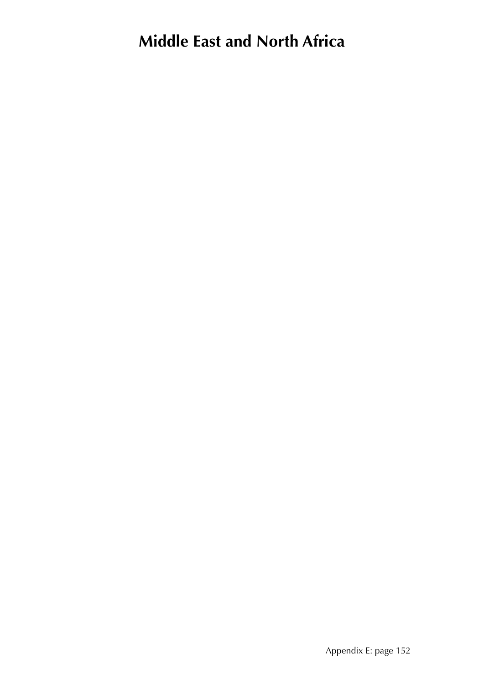# **Middle East and North Africa**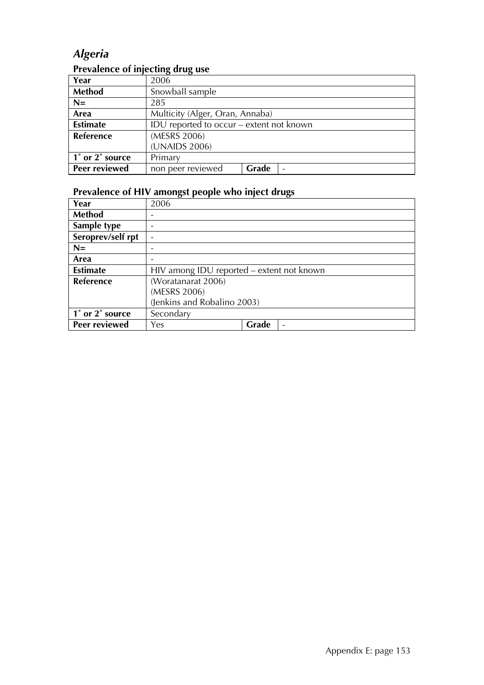# *Algeria*

| The valence of injecting and ase |                                          |                                 |                 |  |
|----------------------------------|------------------------------------------|---------------------------------|-----------------|--|
| Year                             | 2006                                     |                                 |                 |  |
| <b>Method</b>                    | Snowball sample                          |                                 |                 |  |
| $N=$                             | 285                                      |                                 |                 |  |
| Area                             |                                          | Multicity (Alger, Oran, Annaba) |                 |  |
| <b>Estimate</b>                  | IDU reported to occur – extent not known |                                 |                 |  |
| Reference                        | (MESRS 2006)                             |                                 |                 |  |
|                                  | (UNAIDS 2006)                            |                                 |                 |  |
| 1° or 2° source                  | Primary                                  |                                 |                 |  |
| Peer reviewed                    | non peer reviewed                        | Grade                           | $\qquad \qquad$ |  |

#### **Prevalence of injecting drug use**

| Year              | 2006                                      |       |
|-------------------|-------------------------------------------|-------|
| <b>Method</b>     |                                           |       |
| Sample type       |                                           |       |
| Seroprev/self rpt |                                           |       |
| $N=$              |                                           |       |
| Area              |                                           |       |
| <b>Estimate</b>   | HIV among IDU reported – extent not known |       |
| Reference         | (Woratanarat 2006)                        |       |
|                   | (MESRS 2006)                              |       |
|                   | (Jenkins and Robalino 2003)               |       |
| 1° or 2° source   | Secondary                                 |       |
| Peer reviewed     | Yes                                       | Grade |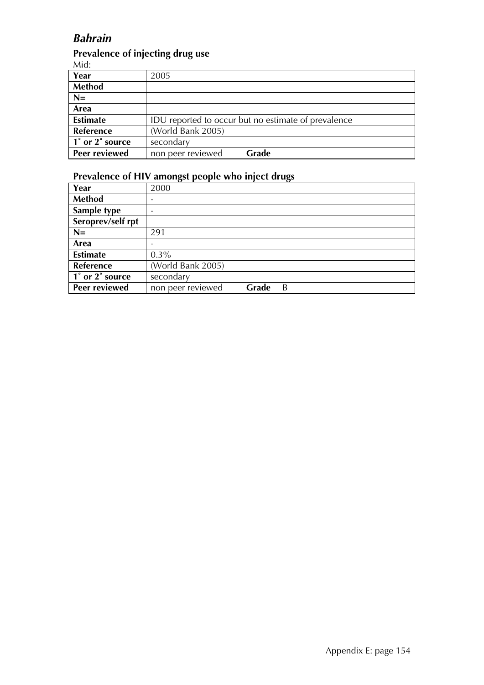### *Bahrain*

#### **Prevalence of injecting drug use**

Mid:

| .               |                                                     |       |  |
|-----------------|-----------------------------------------------------|-------|--|
| Year            | 2005                                                |       |  |
| <b>Method</b>   |                                                     |       |  |
| $N=$            |                                                     |       |  |
| Area            |                                                     |       |  |
| <b>Estimate</b> | IDU reported to occur but no estimate of prevalence |       |  |
| Reference       | (World Bank 2005)                                   |       |  |
| 1° or 2° source | secondary                                           |       |  |
| Peer reviewed   | non peer reviewed                                   | Grade |  |

| Year              | 2000              |       |   |
|-------------------|-------------------|-------|---|
| <b>Method</b>     |                   |       |   |
| Sample type       |                   |       |   |
| Seroprev/self rpt |                   |       |   |
| $N=$              | 291               |       |   |
| Area              |                   |       |   |
| <b>Estimate</b>   | $0.3\%$           |       |   |
| Reference         | (World Bank 2005) |       |   |
| 1° or 2° source   | secondary         |       |   |
| Peer reviewed     | non peer reviewed | Grade | B |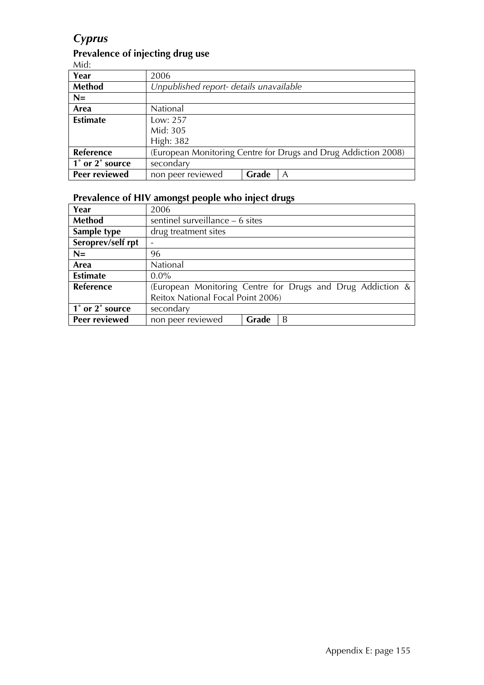# *Cyprus*

#### **Prevalence of injecting drug use**

Mid:

| $1.11$ u.       |                                         |       |                                                                |
|-----------------|-----------------------------------------|-------|----------------------------------------------------------------|
| Year            | 2006                                    |       |                                                                |
| <b>Method</b>   | Unpublished report- details unavailable |       |                                                                |
| $N=$            |                                         |       |                                                                |
| Area            | National                                |       |                                                                |
| <b>Estimate</b> | Low: 257                                |       |                                                                |
|                 | Mid: 305                                |       |                                                                |
|                 | High: 382                               |       |                                                                |
| Reference       |                                         |       | (European Monitoring Centre for Drugs and Drug Addiction 2008) |
| 1° or 2° source | secondary                               |       |                                                                |
| Peer reviewed   | non peer reviewed                       | Grade | A                                                              |

| Year              | 2006                                                       |       |   |  |  |
|-------------------|------------------------------------------------------------|-------|---|--|--|
| <b>Method</b>     | sentinel surveillance – 6 sites                            |       |   |  |  |
| Sample type       | drug treatment sites                                       |       |   |  |  |
| Seroprev/self rpt |                                                            |       |   |  |  |
| $N=$              | 96                                                         |       |   |  |  |
| Area              | National                                                   |       |   |  |  |
| <b>Estimate</b>   | $0.0\%$                                                    |       |   |  |  |
| <b>Reference</b>  | (European Monitoring Centre for Drugs and Drug Addiction & |       |   |  |  |
|                   | Reitox National Focal Point 2006)                          |       |   |  |  |
| 1° or 2° source   | secondary                                                  |       |   |  |  |
| Peer reviewed     | non peer reviewed                                          | Grade | B |  |  |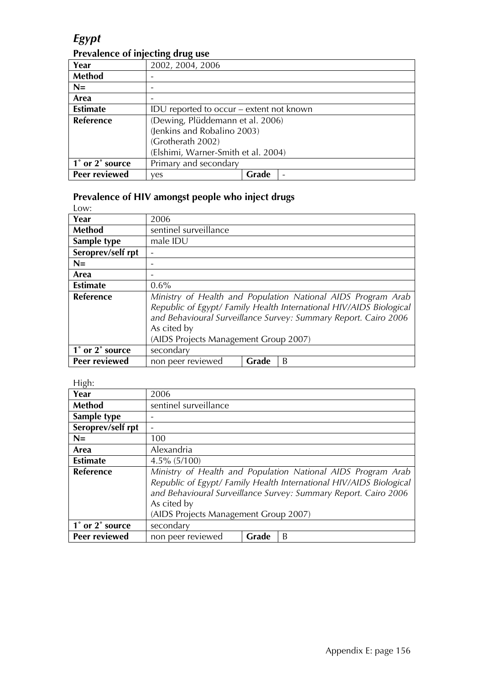## *Egypt*

### **Prevalence of injecting drug use**

| Year            | 2002, 2004, 2006                    |                                          |                          |  |
|-----------------|-------------------------------------|------------------------------------------|--------------------------|--|
| Method          |                                     |                                          |                          |  |
| $N=$            |                                     |                                          |                          |  |
| Area            |                                     |                                          |                          |  |
| <b>Estimate</b> |                                     | IDU reported to occur – extent not known |                          |  |
| Reference       | (Dewing, Plüddemann et al. 2006)    |                                          |                          |  |
|                 | (Jenkins and Robalino 2003)         |                                          |                          |  |
|                 | (Grotherath 2002)                   |                                          |                          |  |
|                 | (Elshimi, Warner-Smith et al. 2004) |                                          |                          |  |
| 1° or 2° source | Primary and secondary               |                                          |                          |  |
| Peer reviewed   | ves                                 | Grade                                    | $\overline{\phantom{0}}$ |  |

#### **Prevalence of HIV amongst people who inject drugs**

| Low:                 |                                                                                                                                                                                                                                                               |
|----------------------|---------------------------------------------------------------------------------------------------------------------------------------------------------------------------------------------------------------------------------------------------------------|
| Year                 | 2006                                                                                                                                                                                                                                                          |
| Method               | sentinel surveillance                                                                                                                                                                                                                                         |
| Sample type          | male IDU                                                                                                                                                                                                                                                      |
| Seroprev/self rpt    |                                                                                                                                                                                                                                                               |
| $N=$                 |                                                                                                                                                                                                                                                               |
| Area                 |                                                                                                                                                                                                                                                               |
| <b>Estimate</b>      | 0.6%                                                                                                                                                                                                                                                          |
| <b>Reference</b>     | Ministry of Health and Population National AIDS Program Arab<br>Republic of Egypt/ Family Health International HIV/AIDS Biological<br>and Behavioural Surveillance Survey: Summary Report. Cairo 2006<br>As cited by<br>(AIDS Projects Management Group 2007) |
|                      |                                                                                                                                                                                                                                                               |
| 1° or 2° source      | secondary                                                                                                                                                                                                                                                     |
| <b>Peer reviewed</b> | non peer reviewed<br>Grade<br>B                                                                                                                                                                                                                               |

#### High:

| Year              | 2006                                                                                                                                                                                                                                                          |       |   |  |
|-------------------|---------------------------------------------------------------------------------------------------------------------------------------------------------------------------------------------------------------------------------------------------------------|-------|---|--|
| <b>Method</b>     | sentinel surveillance                                                                                                                                                                                                                                         |       |   |  |
| Sample type       |                                                                                                                                                                                                                                                               |       |   |  |
| Seroprev/self rpt |                                                                                                                                                                                                                                                               |       |   |  |
| $N=$              | 100                                                                                                                                                                                                                                                           |       |   |  |
| Area              | Alexandria                                                                                                                                                                                                                                                    |       |   |  |
| <b>Estimate</b>   | $4.5\%$ (5/100)                                                                                                                                                                                                                                               |       |   |  |
| <b>Reference</b>  | Ministry of Health and Population National AIDS Program Arab<br>Republic of Egypt/ Family Health International HIV/AIDS Biological<br>and Behavioural Surveillance Survey: Summary Report. Cairo 2006<br>As cited by<br>(AIDS Projects Management Group 2007) |       |   |  |
| 1° or 2° source   | secondary                                                                                                                                                                                                                                                     |       |   |  |
| Peer reviewed     | non peer reviewed                                                                                                                                                                                                                                             | Grade | B |  |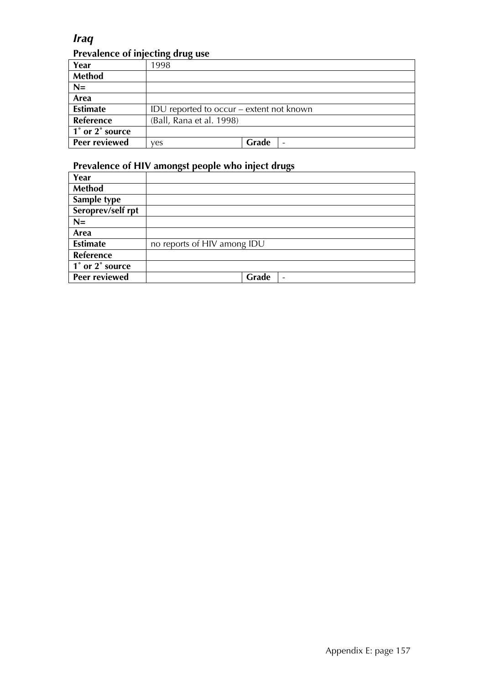### *Iraq*  **Prevalence of injecting drug use**

|                 | - 23                                     |       |  |
|-----------------|------------------------------------------|-------|--|
| Year            | 1998                                     |       |  |
| <b>Method</b>   |                                          |       |  |
| $N=$            |                                          |       |  |
| Area            |                                          |       |  |
| <b>Estimate</b> | IDU reported to occur – extent not known |       |  |
| Reference       | (Ball, Rana et al. 1998)                 |       |  |
| 1° or 2° source |                                          |       |  |
| Peer reviewed   | ves                                      | Grade |  |

| Year                                         |                                   |
|----------------------------------------------|-----------------------------------|
| <b>Method</b>                                |                                   |
| Sample type                                  |                                   |
| Seroprev/self rpt                            |                                   |
| $N=$                                         |                                   |
| Area                                         |                                   |
| <b>Estimate</b>                              | no reports of HIV among IDU       |
| Reference                                    |                                   |
| $\overline{1}^{\circ}$ or $2^{\circ}$ source |                                   |
| Peer reviewed                                | Grade<br>$\overline{\phantom{a}}$ |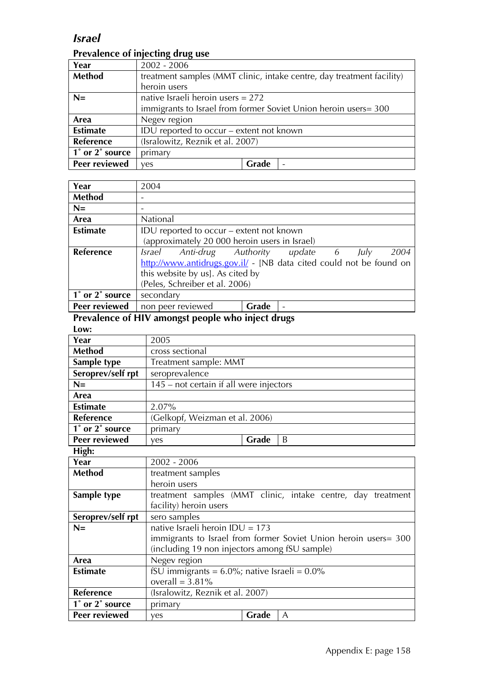### *Israel*

### **Prevalence of injecting drug use**

| Year             | $2002 - 2006$                                                         |       |  |  |  |
|------------------|-----------------------------------------------------------------------|-------|--|--|--|
| <b>Method</b>    | treatment samples (MMT clinic, intake centre, day treatment facility) |       |  |  |  |
|                  | heroin users                                                          |       |  |  |  |
| $N=$             | native Israeli heroin users = $272$                                   |       |  |  |  |
|                  | immigrants to Israel from former Soviet Union heroin users= 300       |       |  |  |  |
| Area             | Negev region                                                          |       |  |  |  |
| <b>Estimate</b>  | IDU reported to occur – extent not known                              |       |  |  |  |
| <b>Reference</b> | (Isralowitz, Reznik et al. 2007)                                      |       |  |  |  |
| 1° or 2° source  | primary                                                               |       |  |  |  |
| Peer reviewed    | ves                                                                   | Grade |  |  |  |

| Year            | 2004                                                                |       |  |  |      |
|-----------------|---------------------------------------------------------------------|-------|--|--|------|
|                 |                                                                     |       |  |  |      |
| <b>Method</b>   |                                                                     |       |  |  |      |
| $N=$            |                                                                     |       |  |  |      |
| Area            | National                                                            |       |  |  |      |
| <b>Estimate</b> | IDU reported to occur – extent not known                            |       |  |  |      |
|                 | (approximately 20 000 heroin users in Israel)                       |       |  |  |      |
| Reference       | Israel Anti-drug Authority update 6 July                            |       |  |  | 2004 |
|                 | http://www.antidrugs.gov.il/ - [NB data cited could not be found on |       |  |  |      |
|                 | this website by us]. As cited by                                    |       |  |  |      |
|                 | (Peles, Schreiber et al. 2006)                                      |       |  |  |      |
| 1° or 2° source | secondary                                                           |       |  |  |      |
| Peer reviewed   | non peer reviewed                                                   | Grade |  |  |      |

| Year                 | 2005                                                            |       |   |  |  |
|----------------------|-----------------------------------------------------------------|-------|---|--|--|
| <b>Method</b>        | cross sectional                                                 |       |   |  |  |
| Sample type          | Treatment sample: MMT                                           |       |   |  |  |
| Seroprev/self rpt    | seroprevalence                                                  |       |   |  |  |
| $N=$                 | 145 – not certain if all were injectors                         |       |   |  |  |
| Area                 |                                                                 |       |   |  |  |
| <b>Estimate</b>      | 2.07%                                                           |       |   |  |  |
| <b>Reference</b>     | (Gelkopf, Weizman et al. 2006)                                  |       |   |  |  |
| 1° or 2° source      | primary                                                         |       |   |  |  |
| <b>Peer reviewed</b> | ves                                                             | Grade | B |  |  |
| High:                |                                                                 |       |   |  |  |
| Year                 | $2002 - 2006$                                                   |       |   |  |  |
| <b>Method</b>        | treatment samples                                               |       |   |  |  |
|                      | heroin users                                                    |       |   |  |  |
| Sample type          | treatment samples (MMT clinic, intake centre, day treatment     |       |   |  |  |
|                      | facility) heroin users                                          |       |   |  |  |
| Seroprev/self rpt    | sero samples                                                    |       |   |  |  |
| $N =$                | native Israeli heroin IDU = $173$                               |       |   |  |  |
|                      | immigrants to Israel from former Soviet Union heroin users= 300 |       |   |  |  |
|                      | (including 19 non injectors among fSU sample)                   |       |   |  |  |
| Area                 | Negev region                                                    |       |   |  |  |
| <b>Estimate</b>      | fSU immigrants = $6.0\%$ ; native Israeli = $0.0\%$             |       |   |  |  |
|                      | overall = $3.81\%$                                              |       |   |  |  |
| <b>Reference</b>     | (Isralowitz, Reznik et al. 2007)                                |       |   |  |  |
| 1° or 2° source      | primary                                                         |       |   |  |  |
| Peer reviewed        | yes                                                             | Grade | A |  |  |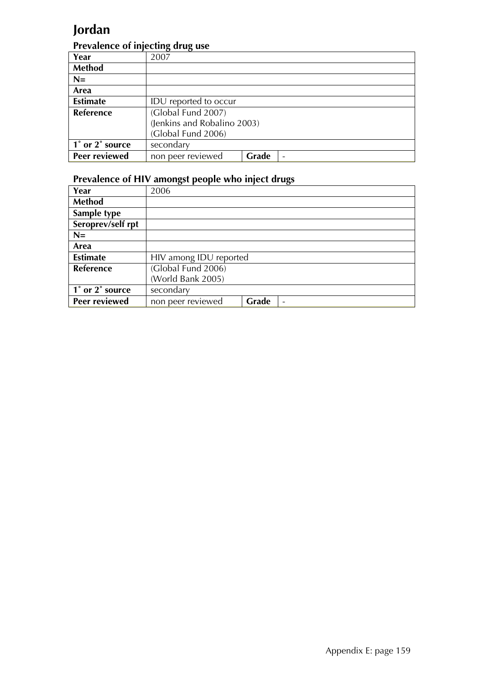# **Jordan**

#### **Prevalence of injecting drug use**

|                 | יים היינדים                 |       |  |
|-----------------|-----------------------------|-------|--|
| Year            | 2007                        |       |  |
| <b>Method</b>   |                             |       |  |
| $N=$            |                             |       |  |
| Area            |                             |       |  |
| <b>Estimate</b> | IDU reported to occur       |       |  |
| Reference       | (Global Fund 2007)          |       |  |
|                 | (Jenkins and Robalino 2003) |       |  |
|                 | (Global Fund 2006)          |       |  |
| 1° or 2° source | secondary                   |       |  |
| Peer reviewed   | non peer reviewed           | Grade |  |

| Year              | 2006                   |       |                          |
|-------------------|------------------------|-------|--------------------------|
| <b>Method</b>     |                        |       |                          |
| Sample type       |                        |       |                          |
| Seroprev/self rpt |                        |       |                          |
| $N=$              |                        |       |                          |
| Area              |                        |       |                          |
| <b>Estimate</b>   | HIV among IDU reported |       |                          |
| Reference         | (Global Fund 2006)     |       |                          |
|                   | (World Bank 2005)      |       |                          |
| 1° or 2° source   | secondary              |       |                          |
| Peer reviewed     | non peer reviewed      | Grade | $\overline{\phantom{0}}$ |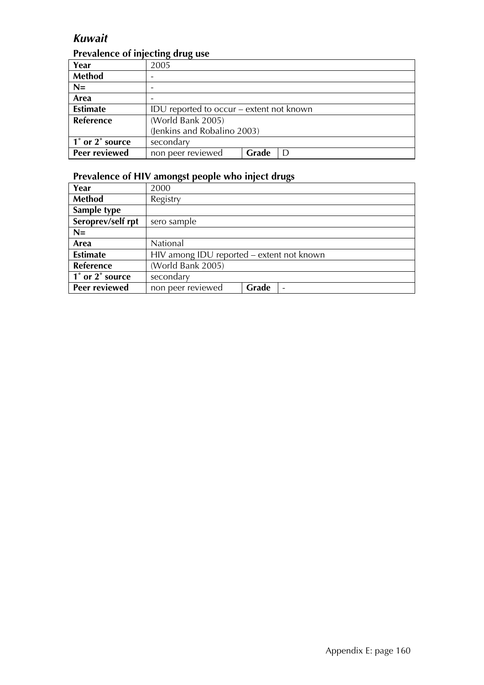### *Kuwait*

### **Prevalence of injecting drug use**

|                  | . .<br>. .                               |       |   |  |
|------------------|------------------------------------------|-------|---|--|
| Year             | 2005                                     |       |   |  |
| <b>Method</b>    |                                          |       |   |  |
| $N=$             |                                          |       |   |  |
| Area             |                                          |       |   |  |
| <b>Estimate</b>  | IDU reported to occur – extent not known |       |   |  |
| <b>Reference</b> | (World Bank 2005)                        |       |   |  |
|                  | (Jenkins and Robalino 2003)              |       |   |  |
| 1° or 2° source  | secondary                                |       |   |  |
| Peer reviewed    | non peer reviewed                        | Grade | D |  |

| Year                 | 2000                                      |       |                          |
|----------------------|-------------------------------------------|-------|--------------------------|
| Method               | Registry                                  |       |                          |
| Sample type          |                                           |       |                          |
| Seroprev/self rpt    | sero sample                               |       |                          |
| $N=$                 |                                           |       |                          |
| Area                 | National                                  |       |                          |
| <b>Estimate</b>      | HIV among IDU reported – extent not known |       |                          |
| Reference            | (World Bank 2005)                         |       |                          |
| 1° or 2° source      | secondary                                 |       |                          |
| <b>Peer reviewed</b> | non peer reviewed                         | Grade | $\overline{\phantom{0}}$ |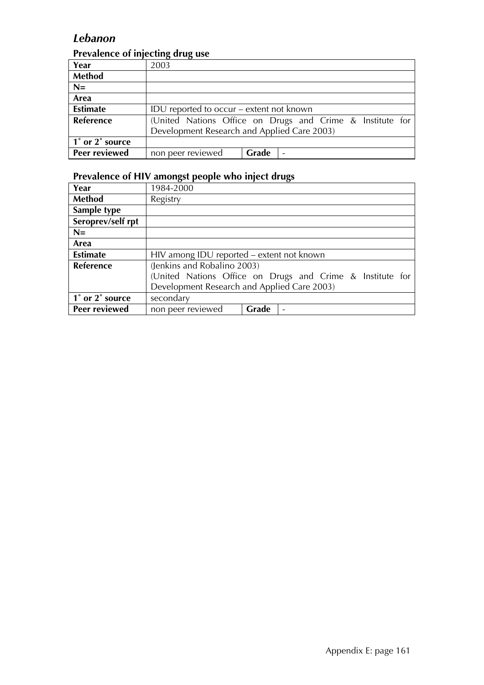### *Lebanon*

### **Prevalence of injecting drug use**

| Year                 | 2003                                                      |       |  |  |  |
|----------------------|-----------------------------------------------------------|-------|--|--|--|
| Method               |                                                           |       |  |  |  |
| $N=$                 |                                                           |       |  |  |  |
| Area                 |                                                           |       |  |  |  |
| <b>Estimate</b>      | IDU reported to occur – extent not known                  |       |  |  |  |
| <b>Reference</b>     | (United Nations Office on Drugs and Crime & Institute for |       |  |  |  |
|                      | Development Research and Applied Care 2003)               |       |  |  |  |
| 1° or 2° source      |                                                           |       |  |  |  |
| <b>Peer reviewed</b> | non peer reviewed                                         | Grade |  |  |  |

| Year              | 1984-2000                                   |       |                                                           |
|-------------------|---------------------------------------------|-------|-----------------------------------------------------------|
| Method            | Registry                                    |       |                                                           |
| Sample type       |                                             |       |                                                           |
| Seroprev/self rpt |                                             |       |                                                           |
| $N=$              |                                             |       |                                                           |
| Area              |                                             |       |                                                           |
| <b>Estimate</b>   | HIV among IDU reported – extent not known   |       |                                                           |
| Reference         | (Jenkins and Robalino 2003)                 |       |                                                           |
|                   |                                             |       | (United Nations Office on Drugs and Crime & Institute for |
|                   | Development Research and Applied Care 2003) |       |                                                           |
| 1° or 2° source   | secondary                                   |       |                                                           |
| Peer reviewed     | non peer reviewed                           | Grade |                                                           |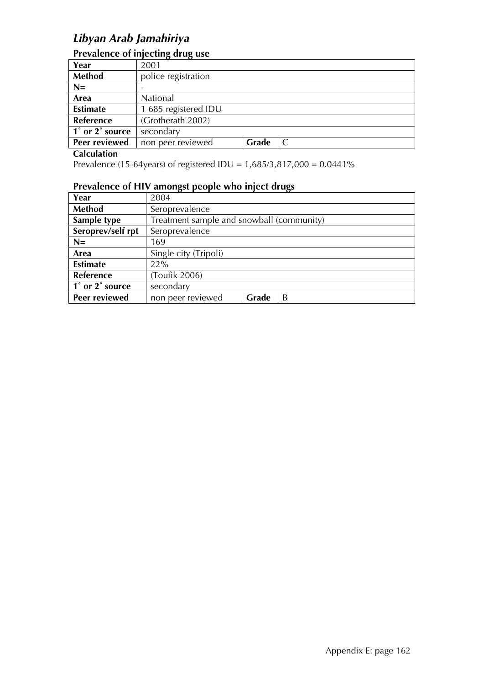## *Libyan Arab Jamahiriya*

#### **Prevalence of injecting drug use**

| Year            | 2001                 |       |  |
|-----------------|----------------------|-------|--|
| Method          | police registration  |       |  |
| $N=$            |                      |       |  |
| Area            | National             |       |  |
| <b>Estimate</b> | 1 685 registered IDU |       |  |
| Reference       | (Grotherath 2002)    |       |  |
| 1° or 2° source | secondary            |       |  |
| Peer reviewed   | non peer reviewed    | Grade |  |

#### **Calculation**

Prevalence (15-64years) of registered IDU = 1,685/3,817,000 = 0.0441%

| Year              | 2004                                      |       |   |  |
|-------------------|-------------------------------------------|-------|---|--|
| <b>Method</b>     | Seroprevalence                            |       |   |  |
| Sample type       | Treatment sample and snowball (community) |       |   |  |
| Seroprev/self rpt | Seroprevalence                            |       |   |  |
| $N=$              | 169                                       |       |   |  |
| Area              | Single city (Tripoli)                     |       |   |  |
| <b>Estimate</b>   | 22%                                       |       |   |  |
| Reference         | (Toufik 2006)                             |       |   |  |
| 1° or 2° source   | secondary                                 |       |   |  |
| Peer reviewed     | non peer reviewed                         | Grade | B |  |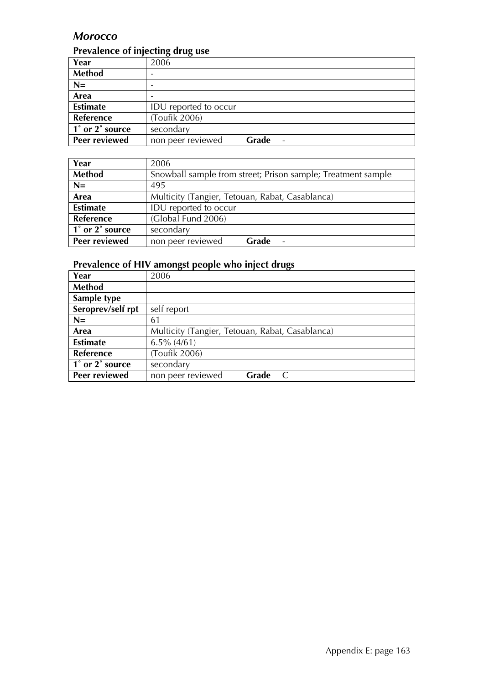### *Morocco*

#### **Prevalence of injecting drug use**

| Year                 | 2006                       |
|----------------------|----------------------------|
| <b>Method</b>        |                            |
| $N=$                 |                            |
| Area                 |                            |
| <b>Estimate</b>      | IDU reported to occur      |
| Reference            | (Toufik 2006)              |
| 1° or 2° source      | secondary                  |
| <b>Peer reviewed</b> | Grade<br>non peer reviewed |

| Year                 | 2006                                                          |  |  |
|----------------------|---------------------------------------------------------------|--|--|
| <b>Method</b>        | Snowball sample from street; Prison sample; Treatment sample  |  |  |
| $N=$                 | 495                                                           |  |  |
| Area                 | Multicity (Tangier, Tetouan, Rabat, Casablanca)               |  |  |
| <b>Estimate</b>      | IDU reported to occur                                         |  |  |
| Reference            | (Global Fund 2006)                                            |  |  |
| 1° or 2° source      | secondary                                                     |  |  |
| <b>Peer reviewed</b> | <b>Grade</b><br>non peer reviewed<br>$\overline{\phantom{0}}$ |  |  |

| Year              | 2006                                            |  |  |
|-------------------|-------------------------------------------------|--|--|
| <b>Method</b>     |                                                 |  |  |
| Sample type       |                                                 |  |  |
| Seroprev/self rpt | self report                                     |  |  |
| $N=$              | 61                                              |  |  |
| Area              | Multicity (Tangier, Tetouan, Rabat, Casablanca) |  |  |
| <b>Estimate</b>   | $6.5\%$ (4/61)                                  |  |  |
| <b>Reference</b>  | (Toufik 2006)                                   |  |  |
| 1° or 2° source   | secondary                                       |  |  |
| Peer reviewed     | Grade<br>non peer reviewed                      |  |  |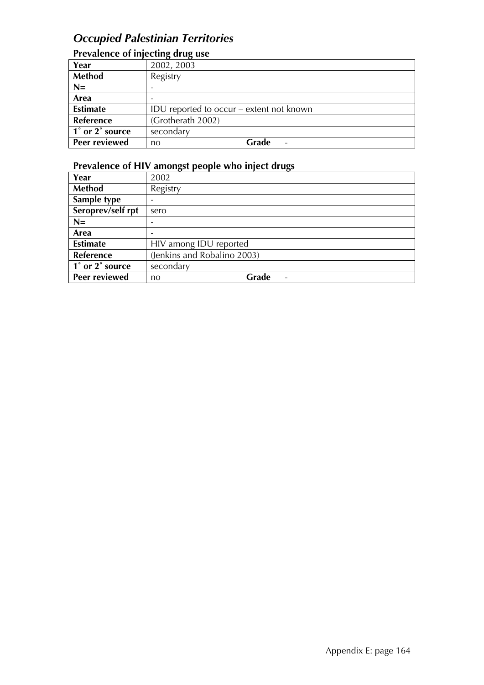## *Occupied Palestinian Territories*

### **Prevalence of injecting drug use**

| Year            | 2002, 2003                               |       |  |
|-----------------|------------------------------------------|-------|--|
| <b>Method</b>   | Registry                                 |       |  |
| $N=$            |                                          |       |  |
| Area            |                                          |       |  |
| <b>Estimate</b> | IDU reported to occur – extent not known |       |  |
| Reference       | (Grotherath 2002)                        |       |  |
| 1° or 2° source | secondary                                |       |  |
| Peer reviewed   | no                                       | Grade |  |

| Year              | 2002                        |       |  |
|-------------------|-----------------------------|-------|--|
| Method            | Registry                    |       |  |
| Sample type       |                             |       |  |
| Seroprev/self rpt | sero                        |       |  |
| $N=$              |                             |       |  |
| Area              |                             |       |  |
| <b>Estimate</b>   | HIV among IDU reported      |       |  |
| <b>Reference</b>  | (Jenkins and Robalino 2003) |       |  |
| 1° or 2° source   | secondary                   |       |  |
| Peer reviewed     | no                          | Grade |  |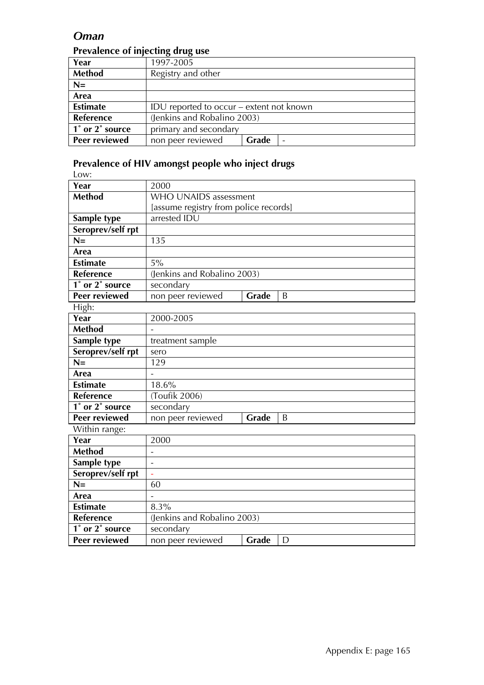#### *Oman*

#### **Prevalence of injecting drug use**

| Year             | 1997-2005                                |       |  |
|------------------|------------------------------------------|-------|--|
| <b>Method</b>    | Registry and other                       |       |  |
| $N=$             |                                          |       |  |
| Area             |                                          |       |  |
| <b>Estimate</b>  | IDU reported to occur – extent not known |       |  |
| <b>Reference</b> | (Jenkins and Robalino 2003)              |       |  |
| 1° or 2° source  | primary and secondary                    |       |  |
| Peer reviewed    | non peer reviewed                        | Grade |  |

| Low:                 |                                       |   |  |
|----------------------|---------------------------------------|---|--|
| Year                 | 2000                                  |   |  |
| <b>Method</b>        | WHO UNAIDS assessment                 |   |  |
|                      | [assume registry from police records] |   |  |
| Sample type          | arrested IDU                          |   |  |
| Seroprev/self rpt    |                                       |   |  |
| $N =$                | 135                                   |   |  |
| Area                 |                                       |   |  |
| <b>Estimate</b>      | 5%                                    |   |  |
| <b>Reference</b>     | (Jenkins and Robalino 2003)           |   |  |
| 1° or 2° source      | secondary                             |   |  |
| <b>Peer reviewed</b> | non peer reviewed<br><b>Grade</b>     | B |  |
| High:                |                                       |   |  |
| Year                 | 2000-2005                             |   |  |
| <b>Method</b>        |                                       |   |  |
| Sample type          | treatment sample                      |   |  |
| Seroprev/self rpt    | sero                                  |   |  |
| $N =$                | 129                                   |   |  |
| <b>Area</b>          | $\overline{a}$                        |   |  |
| <b>Estimate</b>      | 18.6%                                 |   |  |
| <b>Reference</b>     | (Toufik 2006)                         |   |  |
| 1° or 2° source      | secondary                             |   |  |
| <b>Peer reviewed</b> | non peer reviewed<br>Grade            | B |  |
| Within range:        |                                       |   |  |
| Year                 | 2000                                  |   |  |
| <b>Method</b>        |                                       |   |  |
| Sample type          | $\overline{\phantom{a}}$              |   |  |
| Seroprev/self rpt    | L,                                    |   |  |
| $N =$                | 60                                    |   |  |
| Area                 |                                       |   |  |
| <b>Estimate</b>      | 8.3%                                  |   |  |
| Reference            | (Jenkins and Robalino 2003)           |   |  |
| 1° or 2° source      | secondary                             |   |  |
| <b>Peer reviewed</b> | Grade<br>non peer reviewed            | D |  |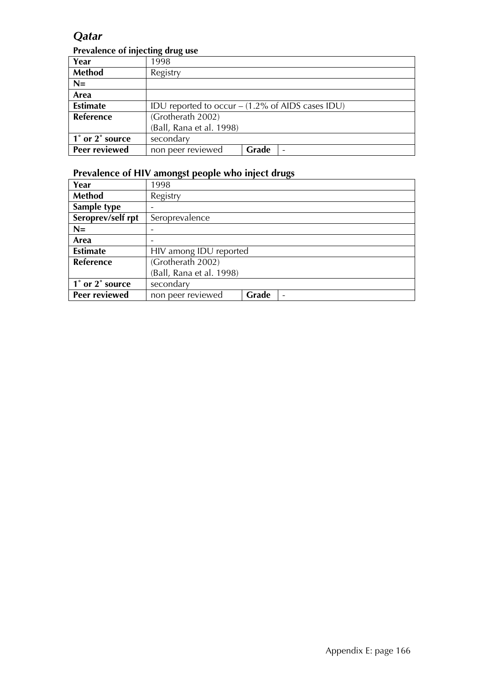### *Qatar*

#### **Prevalence of injecting drug use**

| Year                 | 1998                                                        |       |  |
|----------------------|-------------------------------------------------------------|-------|--|
| Method               | Registry                                                    |       |  |
| $N=$                 |                                                             |       |  |
| Area                 |                                                             |       |  |
| <b>Estimate</b>      | IDU reported to occur $- (1.2\% \text{ of AIDS cases IDU})$ |       |  |
| <b>Reference</b>     | (Grotherath 2002)                                           |       |  |
|                      | (Ball, Rana et al. 1998)                                    |       |  |
| 1° or 2° source      | secondary                                                   |       |  |
| <b>Peer reviewed</b> | non peer reviewed                                           | Grade |  |

| Year              | 1998                       |  |  |
|-------------------|----------------------------|--|--|
| Method            | Registry                   |  |  |
| Sample type       |                            |  |  |
| Seroprev/self rpt | Seroprevalence             |  |  |
| $N=$              |                            |  |  |
| Area              |                            |  |  |
| <b>Estimate</b>   | HIV among IDU reported     |  |  |
| Reference         | (Grotherath 2002)          |  |  |
|                   | (Ball, Rana et al. 1998)   |  |  |
| 1° or 2° source   | secondary                  |  |  |
| Peer reviewed     | non peer reviewed<br>Grade |  |  |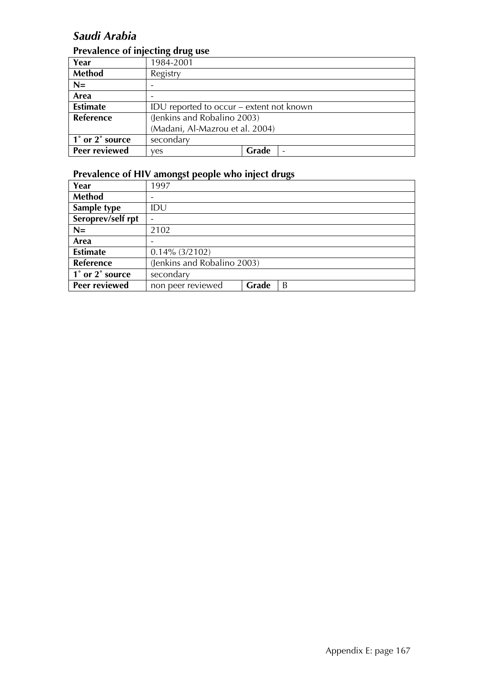# *Saudi Arabia*

#### **Prevalence of injecting drug use**

|                      | ה---                                     |       |  |  |
|----------------------|------------------------------------------|-------|--|--|
| Year                 | 1984-2001                                |       |  |  |
| <b>Method</b>        | Registry                                 |       |  |  |
| $N=$                 |                                          |       |  |  |
| Area                 |                                          |       |  |  |
| <b>Estimate</b>      | IDU reported to occur – extent not known |       |  |  |
| <b>Reference</b>     | (Jenkins and Robalino 2003)              |       |  |  |
|                      | (Madani, Al-Mazrou et al. 2004)          |       |  |  |
| 1° or 2° source      | secondary                                |       |  |  |
| <b>Peer reviewed</b> | ves                                      | Grade |  |  |

| Year              | 1997                        |       |   |
|-------------------|-----------------------------|-------|---|
| <b>Method</b>     |                             |       |   |
| Sample type       | IDU                         |       |   |
| Seroprev/self rpt |                             |       |   |
| $N=$              | 2102                        |       |   |
| Area              |                             |       |   |
| <b>Estimate</b>   | $0.14\%$ (3/2102)           |       |   |
| Reference         | (Jenkins and Robalino 2003) |       |   |
| 1° or 2° source   | secondary                   |       |   |
| Peer reviewed     | non peer reviewed           | Grade | B |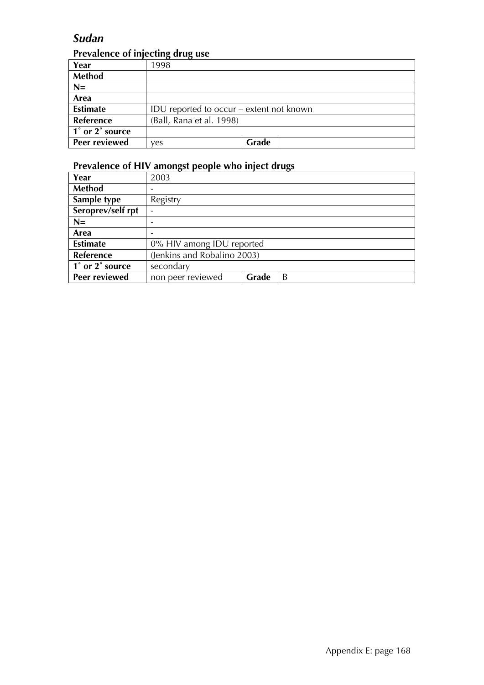### *Sudan*

### **Prevalence of injecting drug use**

| Year            | 1998                                     |       |
|-----------------|------------------------------------------|-------|
| <b>Method</b>   |                                          |       |
| $N=$            |                                          |       |
| Area            |                                          |       |
| <b>Estimate</b> | IDU reported to occur – extent not known |       |
| Reference       | (Ball, Rana et al. 1998)                 |       |
| 1° or 2° source |                                          |       |
| Peer reviewed   | ves                                      | Grade |

| Year              | 2003                        |       |   |
|-------------------|-----------------------------|-------|---|
| Method            |                             |       |   |
| Sample type       | Registry                    |       |   |
| Seroprev/self rpt |                             |       |   |
| $N=$              |                             |       |   |
| Area              |                             |       |   |
| <b>Estimate</b>   | 0% HIV among IDU reported   |       |   |
| Reference         | (Jenkins and Robalino 2003) |       |   |
| 1° or 2° source   | secondary                   |       |   |
| Peer reviewed     | non peer reviewed           | Grade | B |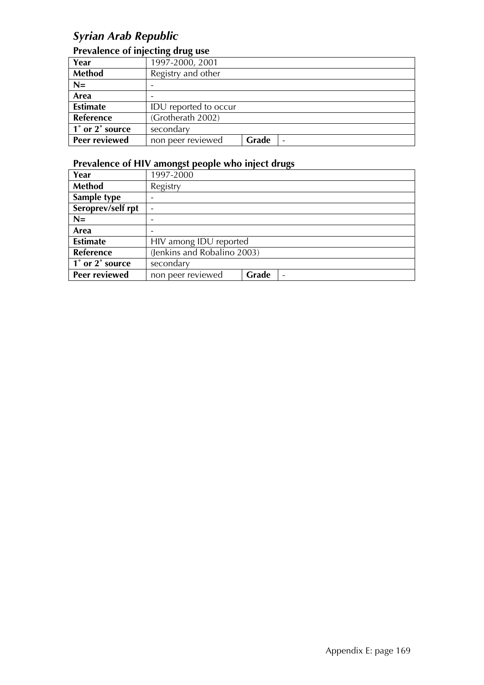## *Syrian Arab Republic*

#### **Prevalence of injecting drug use**

| Year                 | 1997-2000, 2001       |       |  |
|----------------------|-----------------------|-------|--|
| Method               | Registry and other    |       |  |
| $N=$                 |                       |       |  |
| Area                 |                       |       |  |
| <b>Estimate</b>      | IDU reported to occur |       |  |
| Reference            | (Grotherath 2002)     |       |  |
| 1° or 2° source      | secondary             |       |  |
| <b>Peer reviewed</b> | non peer reviewed     | Grade |  |

| Year              | 1997-2000                   |       |                          |
|-------------------|-----------------------------|-------|--------------------------|
| Method            | Registry                    |       |                          |
| Sample type       |                             |       |                          |
| Seroprev/self rpt |                             |       |                          |
| $N=$              |                             |       |                          |
| Area              |                             |       |                          |
| <b>Estimate</b>   | HIV among IDU reported      |       |                          |
| Reference         | (Jenkins and Robalino 2003) |       |                          |
| 1° or 2° source   | secondary                   |       |                          |
| Peer reviewed     | non peer reviewed           | Grade | $\overline{\phantom{0}}$ |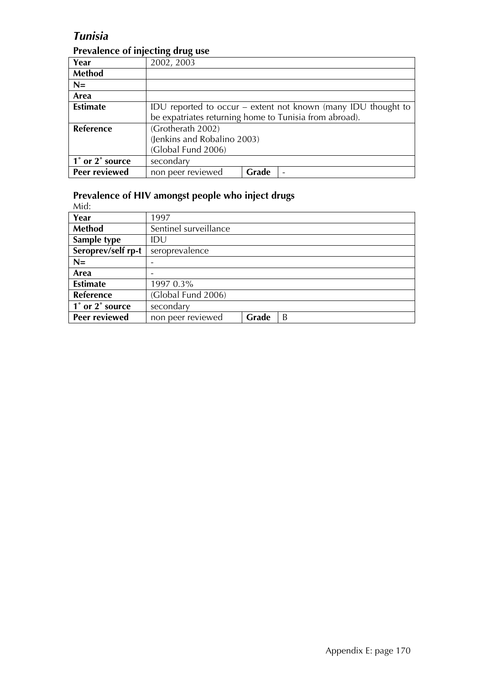### *Tunisia*

#### **Prevalence of injecting drug use**

| Year            | 2002, 2003                                             |       |                                                               |
|-----------------|--------------------------------------------------------|-------|---------------------------------------------------------------|
| Method          |                                                        |       |                                                               |
| $N=$            |                                                        |       |                                                               |
| Area            |                                                        |       |                                                               |
| <b>Estimate</b> |                                                        |       | IDU reported to occur – extent not known (many IDU thought to |
|                 | be expatriates returning home to Tunisia from abroad). |       |                                                               |
| Reference       | (Grotherath 2002)                                      |       |                                                               |
|                 | (Jenkins and Robalino 2003)                            |       |                                                               |
|                 | (Global Fund 2006)                                     |       |                                                               |
| 1° or 2° source | secondary                                              |       |                                                               |
| Peer reviewed   | non peer reviewed                                      | Grade | ۰                                                             |

#### **Prevalence of HIV amongst people who inject drugs**

Mid:

| Year                 | 1997                  |       |   |
|----------------------|-----------------------|-------|---|
| Method               | Sentinel surveillance |       |   |
| Sample type          | IDU                   |       |   |
| Seroprev/self rp-t   | seroprevalence        |       |   |
| $N=$                 |                       |       |   |
| Area                 |                       |       |   |
| <b>Estimate</b>      | 1997 0.3%             |       |   |
| Reference            | (Global Fund 2006)    |       |   |
| 1° or 2° source      | secondary             |       |   |
| <b>Peer reviewed</b> | non peer reviewed     | Grade | B |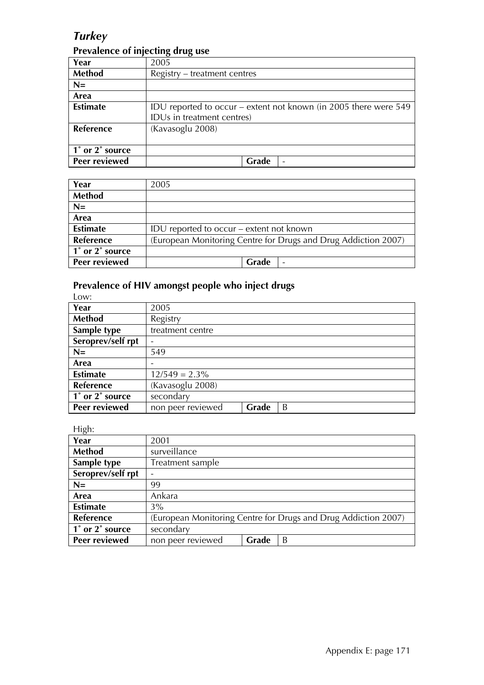### *Turkey*

#### **Prevalence of injecting drug use**

| Year            | 2005                                                             |
|-----------------|------------------------------------------------------------------|
| Method          | Registry – treatment centres                                     |
| $N=$            |                                                                  |
| Area            |                                                                  |
| <b>Estimate</b> | IDU reported to occur – extent not known (in 2005 there were 549 |
|                 | IDUs in treatment centres)                                       |
| Reference       | (Kavasoglu 2008)                                                 |
|                 |                                                                  |
| 1° or 2° source |                                                                  |
| Peer reviewed   | Grade<br>$\overline{\phantom{0}}$                                |

| Year             | 2005                                                           |
|------------------|----------------------------------------------------------------|
| <b>Method</b>    |                                                                |
| $N=$             |                                                                |
| Area             |                                                                |
| <b>Estimate</b>  | IDU reported to occur – extent not known                       |
| <b>Reference</b> | (European Monitoring Centre for Drugs and Drug Addiction 2007) |
| 1° or 2° source  |                                                                |
| Peer reviewed    | Grade<br>$\overline{\phantom{a}}$                              |

### **Prevalence of HIV amongst people who inject drugs**

| Low:              |                   |       |   |
|-------------------|-------------------|-------|---|
| Year              | 2005              |       |   |
| Method            | Registry          |       |   |
| Sample type       | treatment centre  |       |   |
| Seroprev/self rpt |                   |       |   |
| $N=$              | 549               |       |   |
| Area              |                   |       |   |
| <b>Estimate</b>   | $12/549 = 2.3\%$  |       |   |
| Reference         | (Kavasoglu 2008)  |       |   |
| 1° or 2° source   | secondary         |       |   |
| Peer reviewed     | non peer reviewed | Grade | B |

High:

| <u>ື່</u> ຕື      |                                                                |
|-------------------|----------------------------------------------------------------|
| Year              | 2001                                                           |
| Method            | surveillance                                                   |
| Sample type       | Treatment sample                                               |
| Seroprev/self rpt |                                                                |
| $N=$              | 99                                                             |
| Area              | Ankara                                                         |
| <b>Estimate</b>   | $3\%$                                                          |
| <b>Reference</b>  | (European Monitoring Centre for Drugs and Drug Addiction 2007) |
| 1° or 2° source   | secondary                                                      |
| Peer reviewed     | non peer reviewed<br>Grade<br>B                                |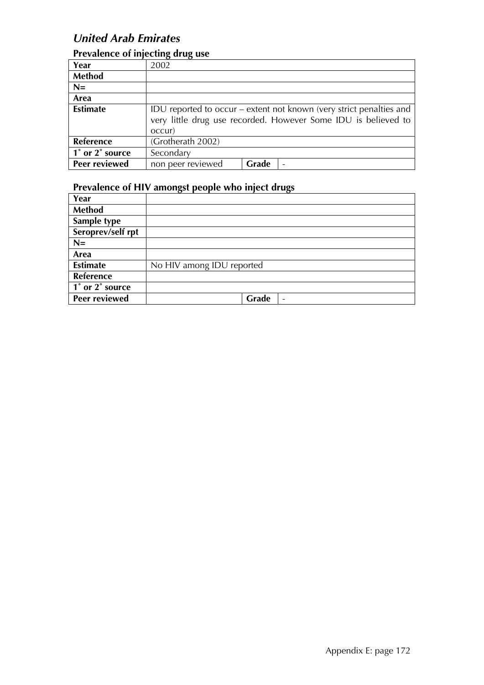### *United Arab Emirates*

### **Prevalence of injecting drug use**

| Year            | 2002                                                                |       |  |
|-----------------|---------------------------------------------------------------------|-------|--|
| <b>Method</b>   |                                                                     |       |  |
| $N=$            |                                                                     |       |  |
| Area            |                                                                     |       |  |
| <b>Estimate</b> | IDU reported to occur – extent not known (very strict penalties and |       |  |
|                 | very little drug use recorded. However Some IDU is believed to      |       |  |
|                 | occur)                                                              |       |  |
| Reference       | (Grotherath 2002)                                                   |       |  |
| 1° or 2° source | Secondary                                                           |       |  |
| Peer reviewed   | non peer reviewed                                                   | Grade |  |

| Year                 |                           |
|----------------------|---------------------------|
| <b>Method</b>        |                           |
| Sample type          |                           |
| Seroprev/self rpt    |                           |
| $N=$                 |                           |
| Area                 |                           |
| <b>Estimate</b>      | No HIV among IDU reported |
| Reference            |                           |
| 1° or 2° source      |                           |
| <b>Peer reviewed</b> | Grade                     |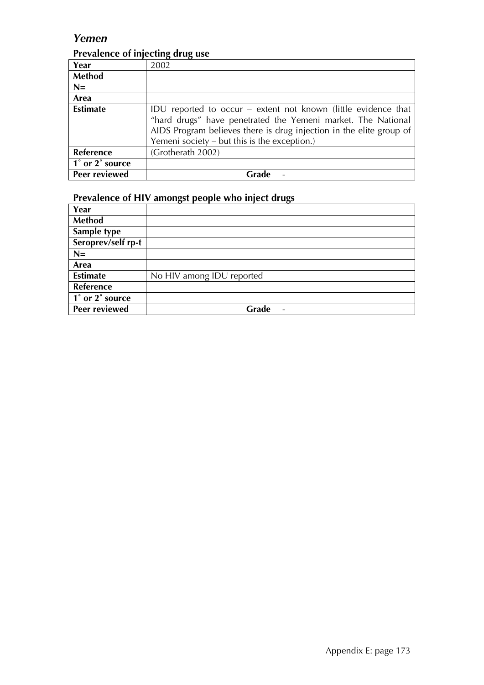### *Yemen*

### **Prevalence of injecting drug use**

| Year            | 2002                                                                                                                                                                                                                                                  |
|-----------------|-------------------------------------------------------------------------------------------------------------------------------------------------------------------------------------------------------------------------------------------------------|
| <b>Method</b>   |                                                                                                                                                                                                                                                       |
| $N=$            |                                                                                                                                                                                                                                                       |
| Area            |                                                                                                                                                                                                                                                       |
| <b>Estimate</b> | IDU reported to occur – extent not known (little evidence that<br>"hard drugs" have penetrated the Yemeni market. The National<br>AIDS Program believes there is drug injection in the elite group of<br>Yemeni society – but this is the exception.) |
| Reference       | (Grotherath 2002)                                                                                                                                                                                                                                     |
| 1° or 2° source |                                                                                                                                                                                                                                                       |
| Peer reviewed   | Grade                                                                                                                                                                                                                                                 |

| Year               |                                   |
|--------------------|-----------------------------------|
| <b>Method</b>      |                                   |
| Sample type        |                                   |
| Seroprev/self rp-t |                                   |
| $N=$               |                                   |
| Area               |                                   |
| <b>Estimate</b>    | No HIV among IDU reported         |
| <b>Reference</b>   |                                   |
| 1° or 2° source    |                                   |
| Peer reviewed      | Grade<br>$\overline{\phantom{0}}$ |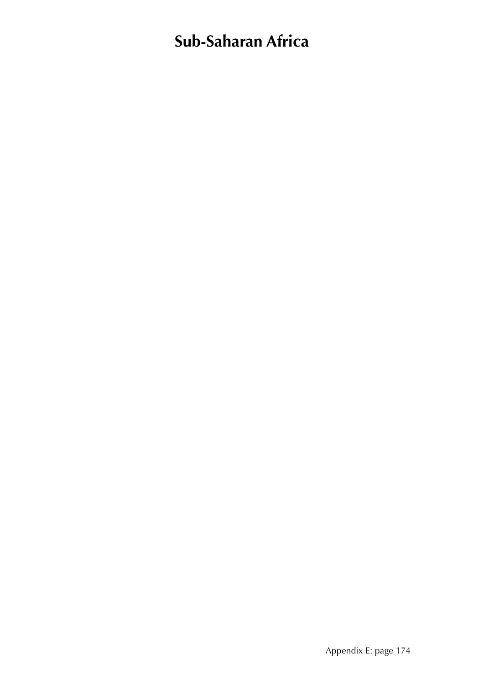# **Sub-Saharan Africa**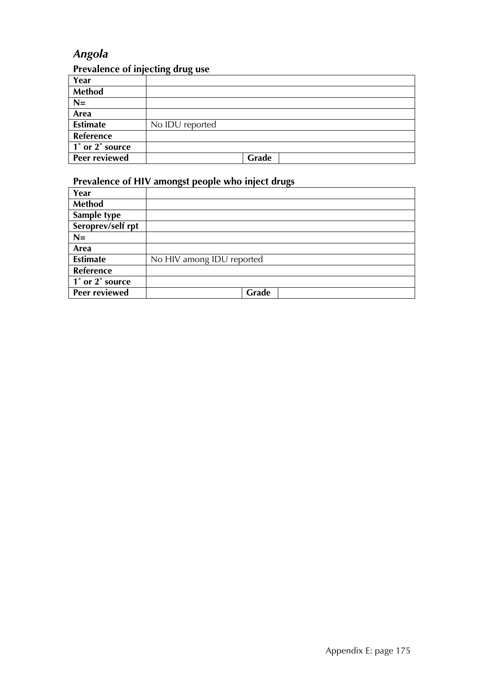# *Angola*

## **Prevalence of injecting drug use**

| Year                 |                 |
|----------------------|-----------------|
| Method               |                 |
| $N=$                 |                 |
| Area                 |                 |
| <b>Estimate</b>      | No IDU reported |
| Reference            |                 |
| 1° or 2° source      |                 |
| <b>Peer reviewed</b> | Grade           |

| Year              |                           |
|-------------------|---------------------------|
| <b>Method</b>     |                           |
| Sample type       |                           |
| Seroprev/self rpt |                           |
| $N=$              |                           |
| Area              |                           |
| <b>Estimate</b>   | No HIV among IDU reported |
| Reference         |                           |
| 1° or 2° source   |                           |
| Peer reviewed     | Grade                     |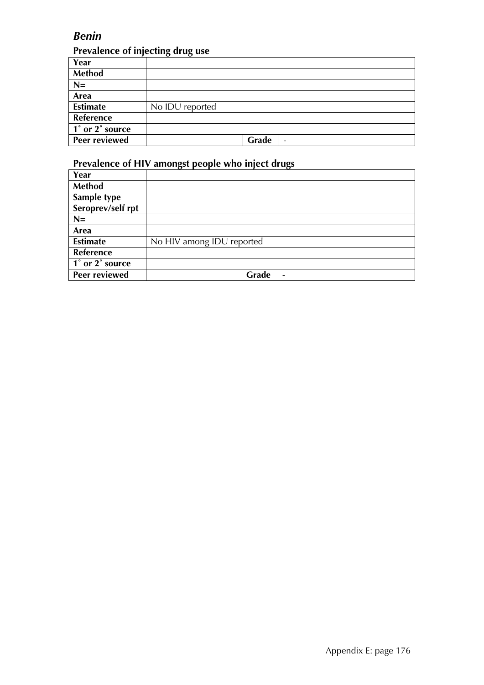## *Benin*

#### **Prevalence of injecting drug use**

| Year                 |                 |
|----------------------|-----------------|
| Method               |                 |
| $N=$                 |                 |
| Area                 |                 |
| <b>Estimate</b>      | No IDU reported |
| Reference            |                 |
| 1° or 2° source      |                 |
| <b>Peer reviewed</b> | Grade<br>-      |

| Year                                         |                                   |
|----------------------------------------------|-----------------------------------|
| Method                                       |                                   |
| Sample type                                  |                                   |
| Seroprev/self rpt                            |                                   |
| $N =$                                        |                                   |
| Area                                         |                                   |
| <b>Estimate</b>                              | No HIV among IDU reported         |
| <b>Reference</b>                             |                                   |
| $\overline{1}^{\circ}$ or $2^{\circ}$ source |                                   |
| Peer reviewed                                | Grade<br>$\overline{\phantom{a}}$ |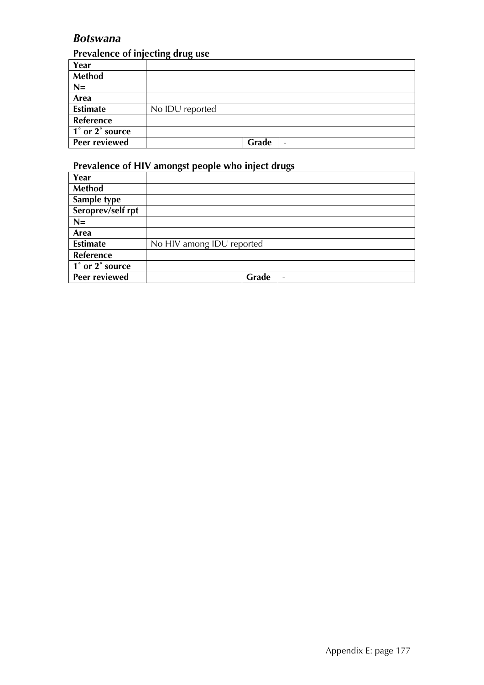## *Botswana*

## **Prevalence of injecting drug use**

|                 | . .<br>. .                        |
|-----------------|-----------------------------------|
| Year            |                                   |
| Method          |                                   |
| $N=$            |                                   |
| Area            |                                   |
| <b>Estimate</b> | No IDU reported                   |
| Reference       |                                   |
| 1° or 2° source |                                   |
| Peer reviewed   | Grade<br>$\overline{\phantom{a}}$ |

| Year              |                                   |
|-------------------|-----------------------------------|
| Method            |                                   |
| Sample type       |                                   |
| Seroprev/self rpt |                                   |
| $N=$              |                                   |
| Area              |                                   |
| <b>Estimate</b>   | No HIV among IDU reported         |
| Reference         |                                   |
| 1° or 2° source   |                                   |
| Peer reviewed     | Grade<br>$\overline{\phantom{a}}$ |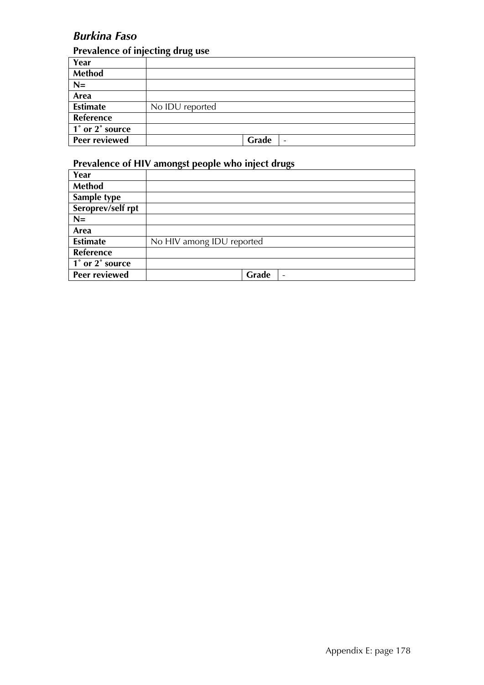# *Burkina Faso*

## **Prevalence of injecting drug use**

|                 | . .<br>. .                        |
|-----------------|-----------------------------------|
| Year            |                                   |
| Method          |                                   |
| $N=$            |                                   |
| Area            |                                   |
| <b>Estimate</b> | No IDU reported                   |
| Reference       |                                   |
| 1° or 2° source |                                   |
| Peer reviewed   | Grade<br>$\overline{\phantom{a}}$ |

| Year              |                                   |
|-------------------|-----------------------------------|
| Method            |                                   |
| Sample type       |                                   |
| Seroprev/self rpt |                                   |
| $N=$              |                                   |
| Area              |                                   |
| <b>Estimate</b>   | No HIV among IDU reported         |
| <b>Reference</b>  |                                   |
| 1° or 2° source   |                                   |
| Peer reviewed     | Grade<br>$\overline{\phantom{0}}$ |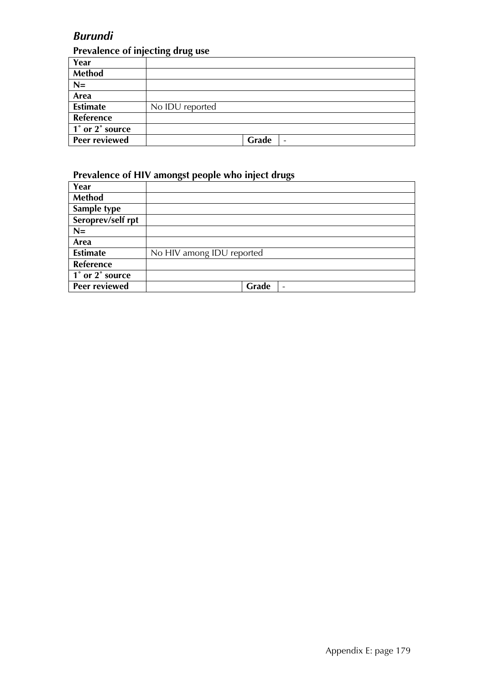# *Burundi*

## **Prevalence of injecting drug use**

| Year                 |                 |       |                          |
|----------------------|-----------------|-------|--------------------------|
| <b>Method</b>        |                 |       |                          |
| $N=$                 |                 |       |                          |
| Area                 |                 |       |                          |
| <b>Estimate</b>      | No IDU reported |       |                          |
| Reference            |                 |       |                          |
| 1° or 2° source      |                 |       |                          |
| <b>Peer reviewed</b> |                 | Grade | $\overline{\phantom{a}}$ |

| Year                 |                                   |
|----------------------|-----------------------------------|
| Method               |                                   |
| Sample type          |                                   |
| Seroprev/self rpt    |                                   |
| $N=$                 |                                   |
| Area                 |                                   |
| <b>Estimate</b>      | No HIV among IDU reported         |
| Reference            |                                   |
| 1° or 2° source      |                                   |
| <b>Peer reviewed</b> | Grade<br>$\overline{\phantom{a}}$ |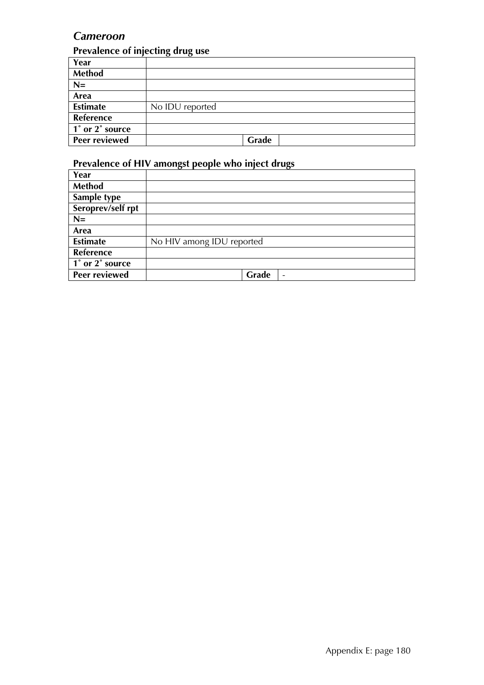## *Cameroon*

#### **Prevalence of injecting drug use**

| Year                 |                 |
|----------------------|-----------------|
| Method               |                 |
| $N=$                 |                 |
| Area                 |                 |
| <b>Estimate</b>      | No IDU reported |
| Reference            |                 |
| 1° or 2° source      |                 |
| <b>Peer reviewed</b> | Grade           |

| Year                 |                                   |
|----------------------|-----------------------------------|
| Method               |                                   |
| Sample type          |                                   |
| Seroprev/self rpt    |                                   |
| $N =$                |                                   |
| Area                 |                                   |
| <b>Estimate</b>      | No HIV among IDU reported         |
| <b>Reference</b>     |                                   |
| 1° or 2° source      |                                   |
| <b>Peer reviewed</b> | Grade<br>$\overline{\phantom{a}}$ |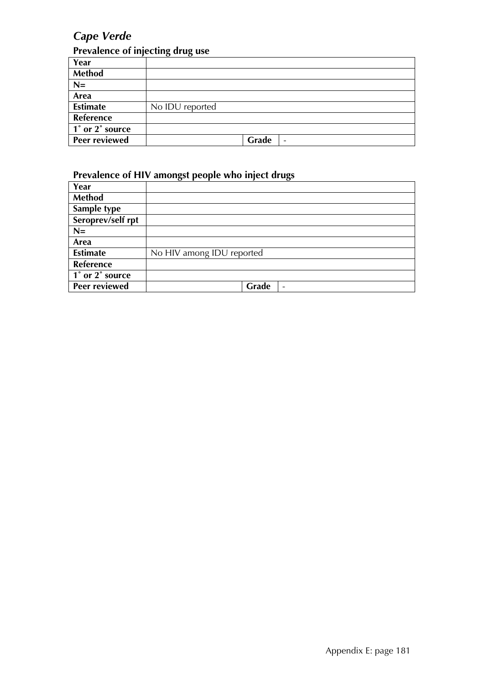# *Cape Verde*

## **Prevalence of injecting drug use**

| Year                 |                 |       |                          |
|----------------------|-----------------|-------|--------------------------|
| <b>Method</b>        |                 |       |                          |
| $N=$                 |                 |       |                          |
| Area                 |                 |       |                          |
| <b>Estimate</b>      | No IDU reported |       |                          |
| Reference            |                 |       |                          |
| 1° or 2° source      |                 |       |                          |
| <b>Peer reviewed</b> |                 | Grade | $\overline{\phantom{a}}$ |

| Year                 |                           |
|----------------------|---------------------------|
| <b>Method</b>        |                           |
| Sample type          |                           |
| Seroprev/self rpt    |                           |
| $N=$                 |                           |
| Area                 |                           |
| <b>Estimate</b>      | No HIV among IDU reported |
| Reference            |                           |
| 1° or 2° source      |                           |
| <b>Peer reviewed</b> | Grade<br>$\qquad \qquad$  |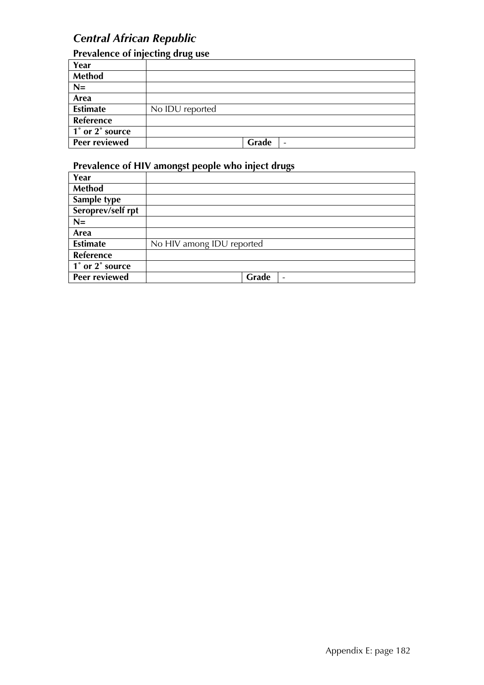## *Central African Republic*

## **Prevalence of injecting drug use**

|                 | . .<br>. .                        |
|-----------------|-----------------------------------|
| Year            |                                   |
| <b>Method</b>   |                                   |
| $N=$            |                                   |
| Area            |                                   |
| <b>Estimate</b> | No IDU reported                   |
| Reference       |                                   |
| 1° or 2° source |                                   |
| Peer reviewed   | Grade<br>$\overline{\phantom{a}}$ |

| Year                 |                                   |
|----------------------|-----------------------------------|
| <b>Method</b>        |                                   |
| Sample type          |                                   |
| Seroprev/self rpt    |                                   |
| $N=$                 |                                   |
| Area                 |                                   |
| <b>Estimate</b>      | No HIV among IDU reported         |
| <b>Reference</b>     |                                   |
| 1° or 2° source      |                                   |
| <b>Peer reviewed</b> | Grade<br>$\overline{\phantom{0}}$ |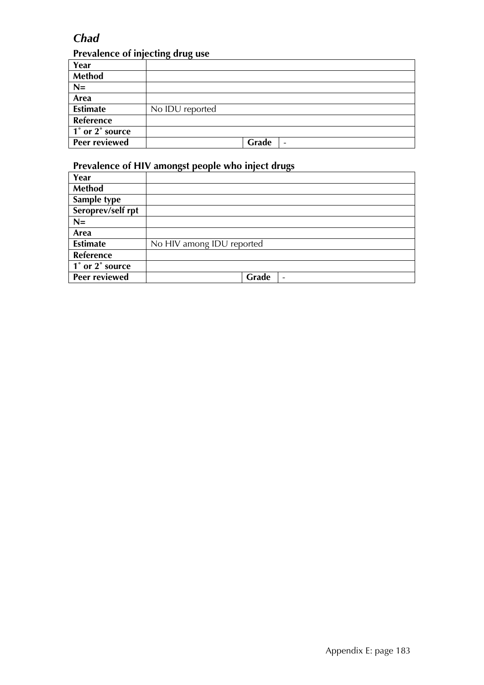## *Chad*

## **Prevalence of injecting drug use**

| Year                 |                                   |
|----------------------|-----------------------------------|
| <b>Method</b>        |                                   |
| $N=$                 |                                   |
| Area                 |                                   |
| <b>Estimate</b>      | No IDU reported                   |
| Reference            |                                   |
| 1° or 2° source      |                                   |
| <b>Peer reviewed</b> | Grade<br>$\overline{\phantom{a}}$ |

| Year              |                           |
|-------------------|---------------------------|
| Method            |                           |
| Sample type       |                           |
| Seroprev/self rpt |                           |
| $N=$              |                           |
| Area              |                           |
| <b>Estimate</b>   | No HIV among IDU reported |
| Reference         |                           |
| 1° or 2° source   |                           |
| Peer reviewed     | Grade<br>-                |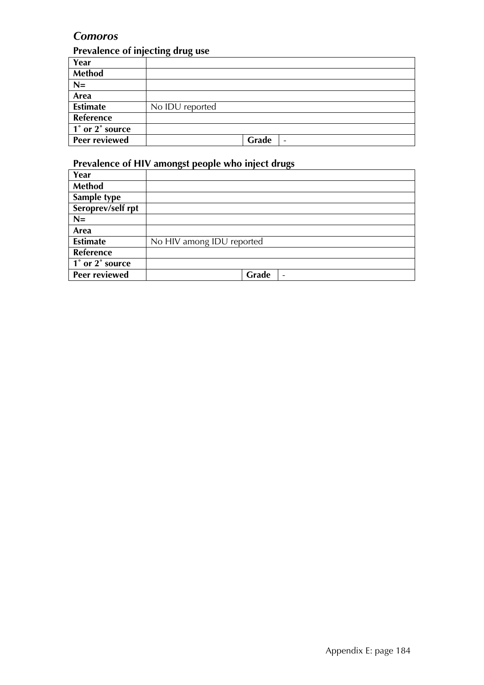## *Comoros*

#### **Prevalence of injecting drug use**

| Year                 |                 |
|----------------------|-----------------|
| Method               |                 |
| $N=$                 |                 |
| Area                 |                 |
| <b>Estimate</b>      | No IDU reported |
| Reference            |                 |
| 1° or 2° source      |                 |
| <b>Peer reviewed</b> | Grade<br>-      |

| Year                                         |                                   |
|----------------------------------------------|-----------------------------------|
| Method                                       |                                   |
| Sample type                                  |                                   |
| Seroprev/self rpt                            |                                   |
| $N =$                                        |                                   |
| Area                                         |                                   |
| <b>Estimate</b>                              | No HIV among IDU reported         |
| <b>Reference</b>                             |                                   |
| $\overline{1}^{\circ}$ or $2^{\circ}$ source |                                   |
| Peer reviewed                                | Grade<br>$\overline{\phantom{a}}$ |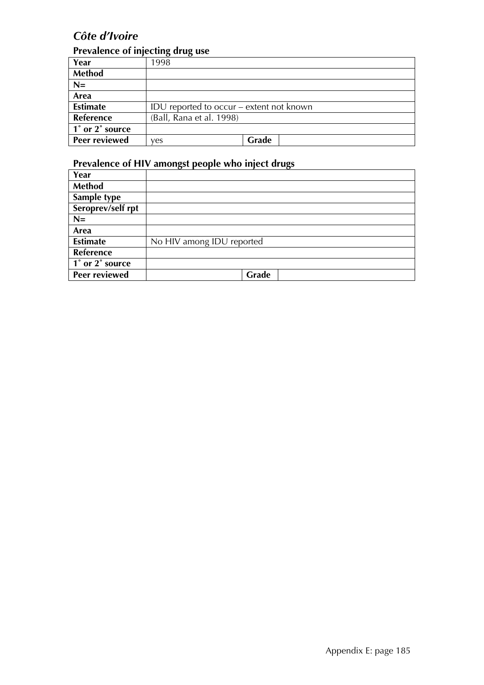# *Côte d'Ivoire*

## **Prevalence of injecting drug use**

|                 | . .                                      |       |
|-----------------|------------------------------------------|-------|
| Year            | 1998                                     |       |
| <b>Method</b>   |                                          |       |
| $N=$            |                                          |       |
| Area            |                                          |       |
| <b>Estimate</b> | IDU reported to occur – extent not known |       |
| Reference       | (Ball, Rana et al. 1998)                 |       |
| 1° or 2° source |                                          |       |
| Peer reviewed   | ves                                      | Grade |

| Year                                                       |                           |
|------------------------------------------------------------|---------------------------|
| Method                                                     |                           |
| Sample type                                                |                           |
| Seroprev/self rpt                                          |                           |
| $N=$                                                       |                           |
| Area                                                       |                           |
| <b>Estimate</b>                                            | No HIV among IDU reported |
| Reference                                                  |                           |
| $\overline{1^{\degree}$ or $\overline{2^{\degree}}$ source |                           |
| Peer reviewed                                              | Grade                     |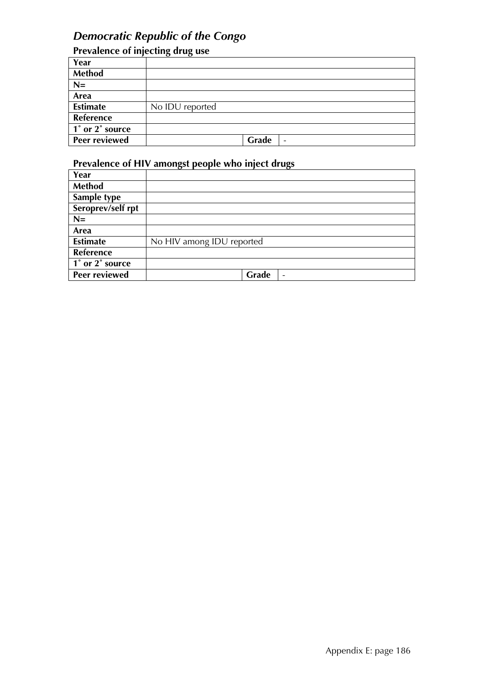#### *Democratic Republic of the Congo*

| Prevalence of injecting drug use |                                   |  |
|----------------------------------|-----------------------------------|--|
| Year                             |                                   |  |
| <b>Method</b>                    |                                   |  |
| $N=$                             |                                   |  |
| Area                             |                                   |  |
| <b>Estimate</b>                  | No IDU reported                   |  |
| Reference                        |                                   |  |
| 1° or 2° source                  |                                   |  |
| Peer reviewed                    | Grade<br>$\overline{\phantom{a}}$ |  |

| Year                 |                                   |
|----------------------|-----------------------------------|
| <b>Method</b>        |                                   |
| Sample type          |                                   |
| Seroprev/self rpt    |                                   |
| $N =$                |                                   |
| Area                 |                                   |
| <b>Estimate</b>      | No HIV among IDU reported         |
| <b>Reference</b>     |                                   |
| 1° or 2° source      |                                   |
| <b>Peer reviewed</b> | Grade<br>$\overline{\phantom{a}}$ |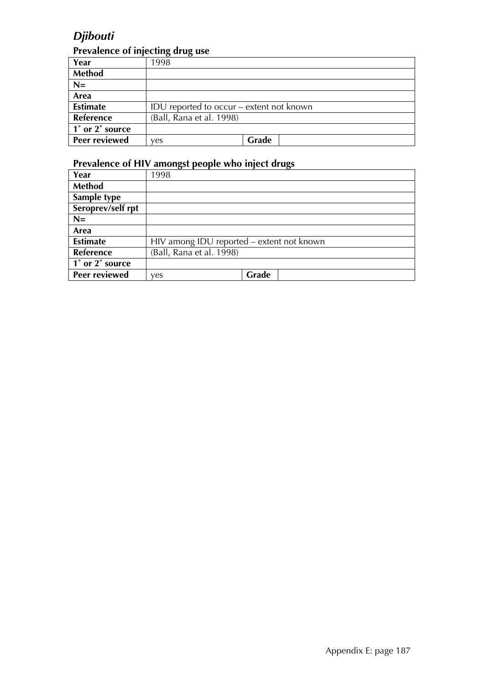# *Djibouti*

#### **Prevalence of injecting drug use**

| Year                 | 1998                                     |       |  |
|----------------------|------------------------------------------|-------|--|
| <b>Method</b>        |                                          |       |  |
| $N=$                 |                                          |       |  |
| Area                 |                                          |       |  |
| <b>Estimate</b>      | IDU reported to occur – extent not known |       |  |
| Reference            | (Ball, Rana et al. 1998)                 |       |  |
| 1° or 2° source      |                                          |       |  |
| <b>Peer reviewed</b> | ves                                      | Grade |  |

| Year              | 1998                                      |       |  |
|-------------------|-------------------------------------------|-------|--|
| Method            |                                           |       |  |
| Sample type       |                                           |       |  |
| Seroprev/self rpt |                                           |       |  |
| $N=$              |                                           |       |  |
| Area              |                                           |       |  |
| <b>Estimate</b>   | HIV among IDU reported - extent not known |       |  |
| Reference         | (Ball, Rana et al. 1998)                  |       |  |
| 1° or 2° source   |                                           |       |  |
| Peer reviewed     | yes                                       | Grade |  |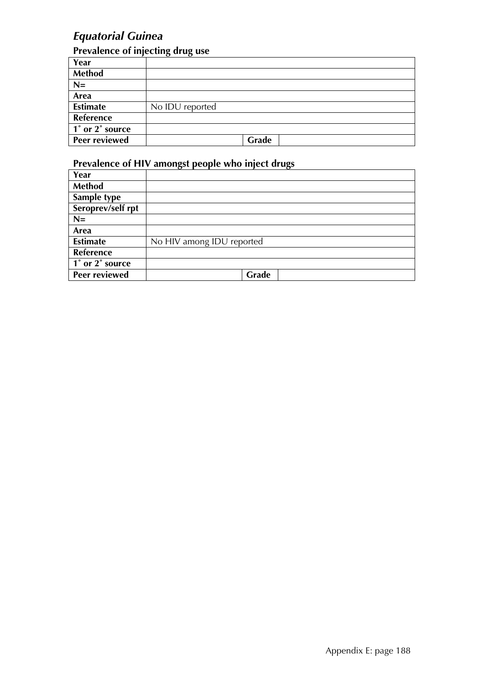# *Equatorial Guinea*

## **Prevalence of injecting drug use**

| Year                 |                 |
|----------------------|-----------------|
| Method               |                 |
| $N=$                 |                 |
| Area                 |                 |
| <b>Estimate</b>      | No IDU reported |
| Reference            |                 |
| 1° or 2° source      |                 |
| <b>Peer reviewed</b> | Grade           |

| Year                 |                           |
|----------------------|---------------------------|
| Method               |                           |
| Sample type          |                           |
| Seroprev/self rpt    |                           |
| $N =$                |                           |
| Area                 |                           |
| <b>Estimate</b>      | No HIV among IDU reported |
| <b>Reference</b>     |                           |
| 1° or 2° source      |                           |
| <b>Peer reviewed</b> | Grade                     |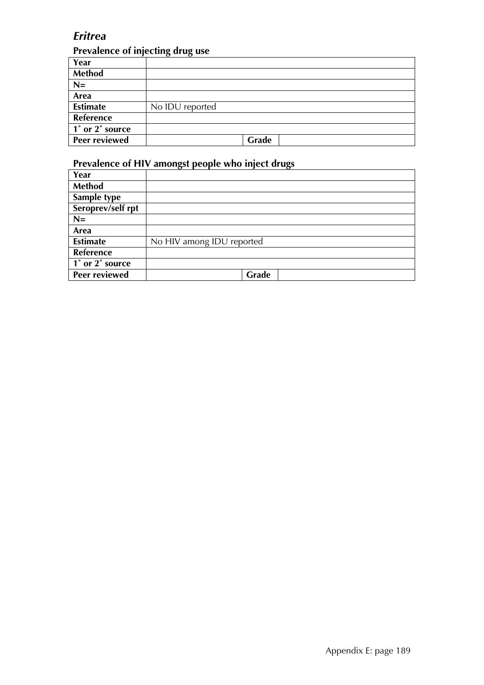## *Eritrea*

#### **Prevalence of injecting drug use**

| Year                 |                 |
|----------------------|-----------------|
| Method               |                 |
| $N=$                 |                 |
| Area                 |                 |
| <b>Estimate</b>      | No IDU reported |
| Reference            |                 |
| 1° or 2° source      |                 |
| <b>Peer reviewed</b> | Grade           |

| Year                                         |                           |
|----------------------------------------------|---------------------------|
| Method                                       |                           |
| Sample type                                  |                           |
| Seroprev/self rpt                            |                           |
| $N =$                                        |                           |
| Area                                         |                           |
| <b>Estimate</b>                              | No HIV among IDU reported |
| <b>Reference</b>                             |                           |
| $\overline{1}^{\circ}$ or $2^{\circ}$ source |                           |
| Peer reviewed                                | Grade                     |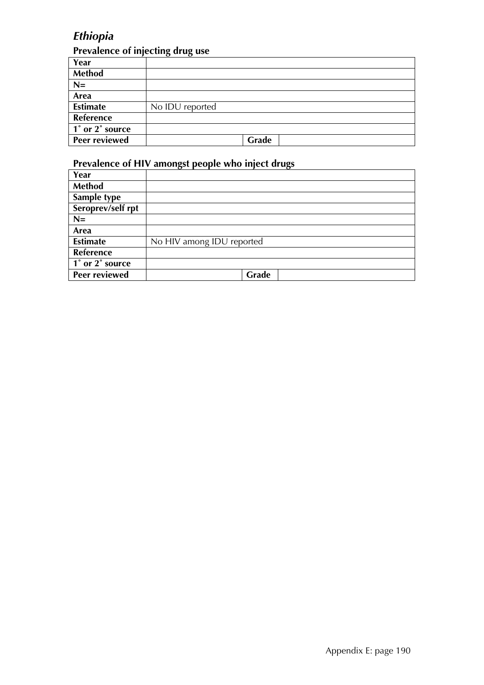# *Ethiopia*

## **Prevalence of injecting drug use**

| Year                 |                 |
|----------------------|-----------------|
| Method               |                 |
| $N=$                 |                 |
| Area                 |                 |
| <b>Estimate</b>      | No IDU reported |
| Reference            |                 |
| 1° or 2° source      |                 |
| <b>Peer reviewed</b> | Grade           |

| Year                 |                           |
|----------------------|---------------------------|
| <b>Method</b>        |                           |
| Sample type          |                           |
| Seroprev/self rpt    |                           |
| $N =$                |                           |
| Area                 |                           |
| <b>Estimate</b>      | No HIV among IDU reported |
| <b>Reference</b>     |                           |
| 1° or 2° source      |                           |
| <b>Peer reviewed</b> | Grade                     |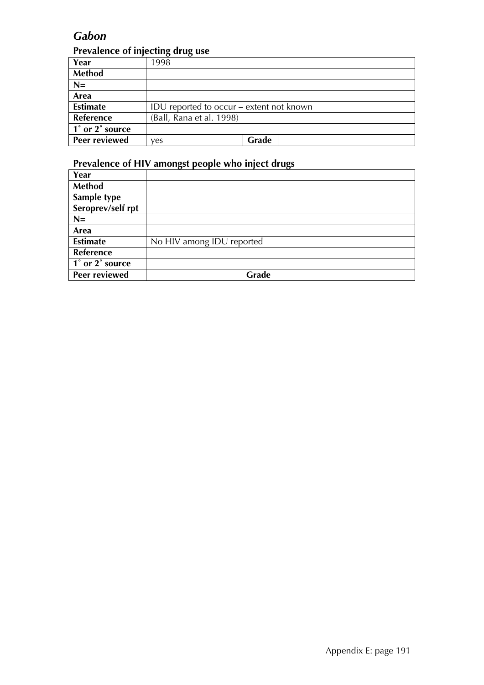## *Gabon*

#### **Prevalence of injecting drug use**

|                         | ה----                                    |
|-------------------------|------------------------------------------|
| Year                    | 1998                                     |
| <b>Method</b>           |                                          |
| $N=$                    |                                          |
| Area                    |                                          |
| <b>Estimate</b>         | IDU reported to occur – extent not known |
| Reference               | (Ball, Rana et al. 1998)                 |
| $\vert$ 1° or 2° source |                                          |
| <b>Peer reviewed</b>    | Grade<br>ves                             |

| Year                                         |                           |
|----------------------------------------------|---------------------------|
| Method                                       |                           |
| Sample type                                  |                           |
| Seroprev/self rpt                            |                           |
| $N =$                                        |                           |
| Area                                         |                           |
| <b>Estimate</b>                              | No HIV among IDU reported |
| <b>Reference</b>                             |                           |
| $\overline{1}^{\circ}$ or $2^{\circ}$ source |                           |
| Peer reviewed                                | Grade                     |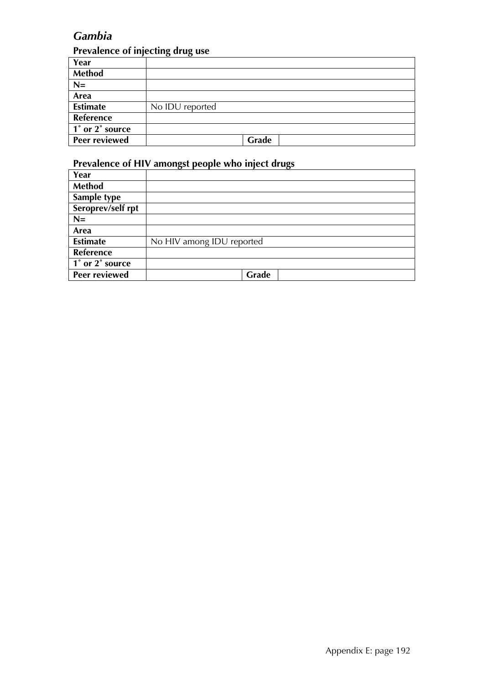# *Gambia*

## **Prevalence of injecting drug use**

| Year                 |                 |
|----------------------|-----------------|
| Method               |                 |
| $N=$                 |                 |
| Area                 |                 |
| <b>Estimate</b>      | No IDU reported |
| Reference            |                 |
| 1° or 2° source      |                 |
| <b>Peer reviewed</b> | Grade           |

| Year                 |                           |
|----------------------|---------------------------|
| <b>Method</b>        |                           |
| Sample type          |                           |
| Seroprev/self rpt    |                           |
| $N =$                |                           |
| Area                 |                           |
| <b>Estimate</b>      | No HIV among IDU reported |
| <b>Reference</b>     |                           |
| 1° or 2° source      |                           |
| <b>Peer reviewed</b> | Grade                     |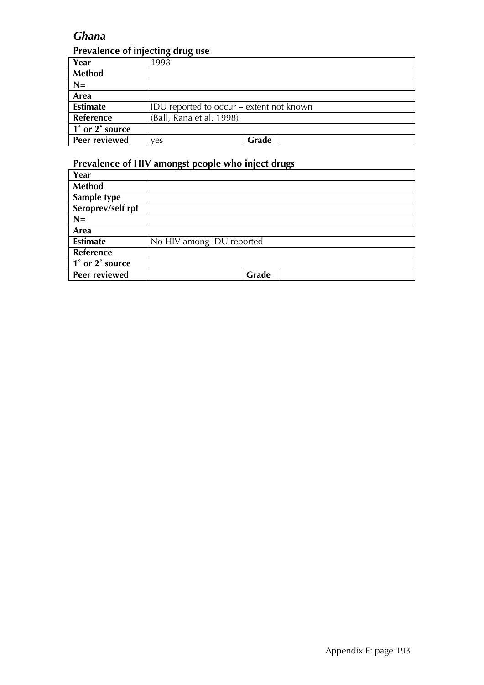## *Ghana*

#### **Prevalence of injecting drug use**

| Year            | 1998                                     |       |  |
|-----------------|------------------------------------------|-------|--|
| <b>Method</b>   |                                          |       |  |
| $N=$            |                                          |       |  |
| Area            |                                          |       |  |
| <b>Estimate</b> | IDU reported to occur – extent not known |       |  |
| Reference       | (Ball, Rana et al. 1998)                 |       |  |
| 1° or 2° source |                                          |       |  |
| Peer reviewed   | ves                                      | Grade |  |

| Year              |                           |
|-------------------|---------------------------|
| Method            |                           |
| Sample type       |                           |
| Seroprev/self rpt |                           |
| $N=$              |                           |
| Area              |                           |
| <b>Estimate</b>   | No HIV among IDU reported |
| Reference         |                           |
| 1° or 2° source   |                           |
| Peer reviewed     | Grade                     |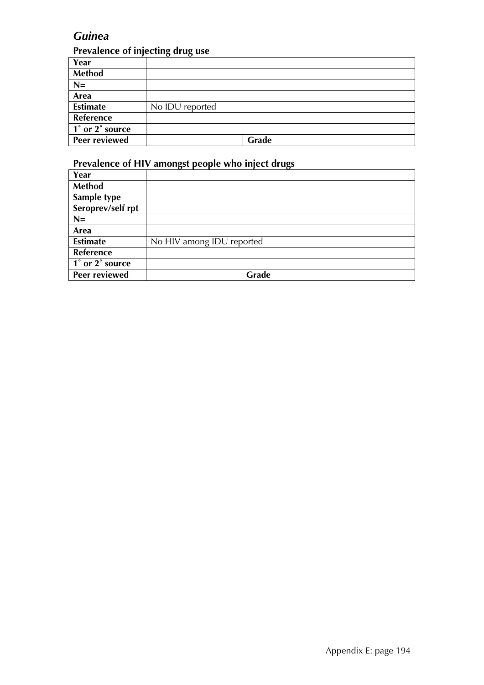## *Guinea*

#### **Prevalence of injecting drug use**

| Year                 |                 |
|----------------------|-----------------|
| Method               |                 |
| $N=$                 |                 |
| Area                 |                 |
| <b>Estimate</b>      | No IDU reported |
| Reference            |                 |
| 1° or 2° source      |                 |
| <b>Peer reviewed</b> | Grade           |

| Year                                         |                           |
|----------------------------------------------|---------------------------|
| Method                                       |                           |
| Sample type                                  |                           |
| Seroprev/self rpt                            |                           |
| $N =$                                        |                           |
| Area                                         |                           |
| <b>Estimate</b>                              | No HIV among IDU reported |
| <b>Reference</b>                             |                           |
| $\overline{1}^{\circ}$ or $2^{\circ}$ source |                           |
| Peer reviewed                                | Grade                     |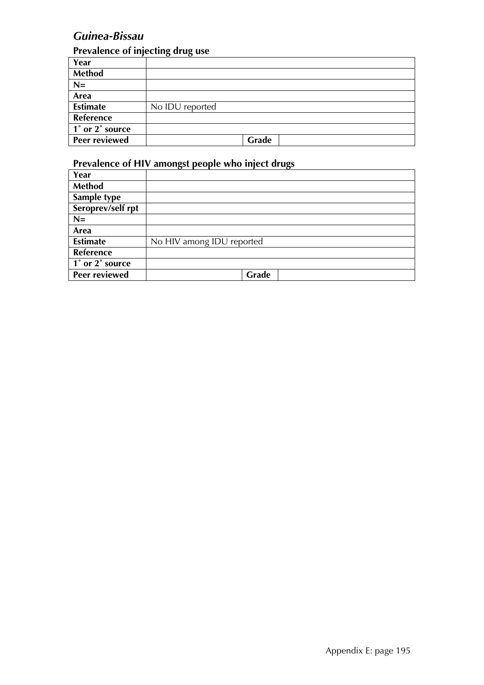# *Guinea-Bissau*

## **Prevalence of injecting drug use**

|                         | $\sqrt{ }$<br>$\sim$ $\sim$ |
|-------------------------|-----------------------------|
| Year                    |                             |
| Method                  |                             |
| $N=$                    |                             |
| Area                    |                             |
| <b>Estimate</b>         | No IDU reported             |
| Reference               |                             |
| $\vert$ 1° or 2° source |                             |
| <b>Peer reviewed</b>    | Grade                       |

| Year                 |                           |
|----------------------|---------------------------|
| Method               |                           |
| Sample type          |                           |
| Seroprev/self rpt    |                           |
| $N =$                |                           |
| Area                 |                           |
| <b>Estimate</b>      | No HIV among IDU reported |
| <b>Reference</b>     |                           |
| 1° or 2° source      |                           |
| <b>Peer reviewed</b> | Grade                     |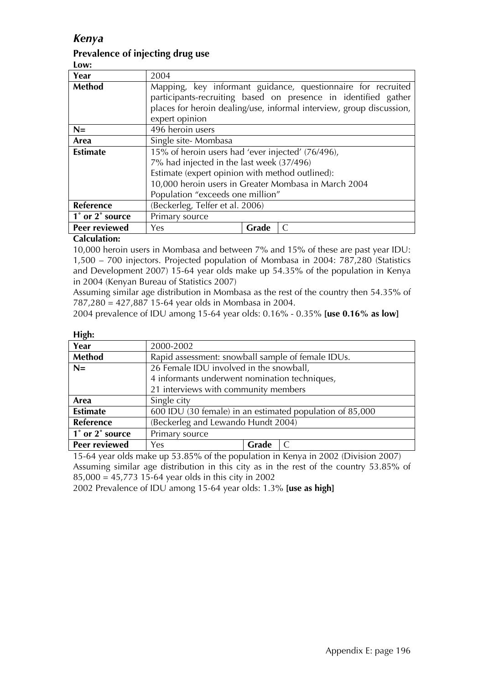#### *Kenya*

#### **Prevalence of injecting drug use**

**Low:** 

| Year            | 2004                                                         |                                                                      |  |
|-----------------|--------------------------------------------------------------|----------------------------------------------------------------------|--|
| <b>Method</b>   | Mapping, key informant guidance, questionnaire for recruited |                                                                      |  |
|                 |                                                              | participants-recruiting based on presence in identified gather       |  |
|                 |                                                              | places for heroin dealing/use, informal interview, group discussion, |  |
|                 | expert opinion                                               |                                                                      |  |
| $N=$            | 496 heroin users                                             |                                                                      |  |
| Area            | Single site-Mombasa                                          |                                                                      |  |
| <b>Estimate</b> | 15% of heroin users had 'ever injected' (76/496),            |                                                                      |  |
|                 | 7% had injected in the last week (37/496)                    |                                                                      |  |
|                 | Estimate (expert opinion with method outlined):              |                                                                      |  |
|                 | 10,000 heroin users in Greater Mombasa in March 2004         |                                                                      |  |
|                 | Population "exceeds one million"                             |                                                                      |  |
| Reference       | (Beckerleg, Telfer et al. 2006)                              |                                                                      |  |
| 1° or 2° source | Primary source                                               |                                                                      |  |
| Peer reviewed   | Yes                                                          | Grade                                                                |  |

#### **Calculation:**

10,000 heroin users in Mombasa and between 7% and 15% of these are past year IDU: 1,500 – 700 injectors. Projected population of Mombasa in 2004: 787,280 (Statistics and Development 2007) 15-64 year olds make up 54.35% of the population in Kenya in 2004 (Kenyan Bureau of Statistics 2007)

Assuming similar age distribution in Mombasa as the rest of the country then 54.35% of 787,280 = 427,887 15-64 year olds in Mombasa in 2004.

2004 prevalence of IDU among 15-64 year olds: 0.16% - 0.35% **[use 0.16% as low]** 

| יירה             |                                                          |       |  |  |
|------------------|----------------------------------------------------------|-------|--|--|
| Year             | 2000-2002                                                |       |  |  |
| Method           | Rapid assessment: snowball sample of female IDUs.        |       |  |  |
| $N=$             | 26 Female IDU involved in the snowball,                  |       |  |  |
|                  | 4 informants underwent nomination techniques,            |       |  |  |
|                  | 21 interviews with community members                     |       |  |  |
| Area             | Single city                                              |       |  |  |
| <b>Estimate</b>  | 600 IDU (30 female) in an estimated population of 85,000 |       |  |  |
| <b>Reference</b> | (Beckerleg and Lewando Hundt 2004)                       |       |  |  |
| 1° or 2° source  | Primary source                                           |       |  |  |
| Peer reviewed    | Yes                                                      | Grade |  |  |

15-64 year olds make up 53.85% of the population in Kenya in 2002 (Division 2007) Assuming similar age distribution in this city as in the rest of the country 53.85% of 85,000 = 45,773 15-64 year olds in this city in 2002

2002 Prevalence of IDU among 15-64 year olds: 1.3% **[use as high]**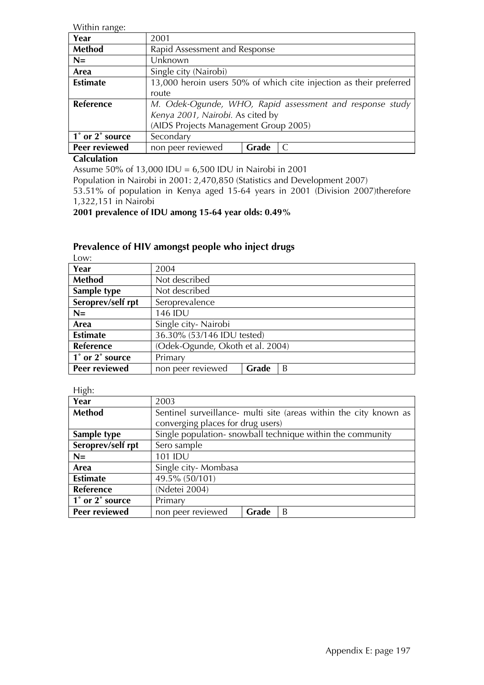Within range:

| $\cdot$          |                                       |       |                                                                    |
|------------------|---------------------------------------|-------|--------------------------------------------------------------------|
| Year             | 2001                                  |       |                                                                    |
| Method           | Rapid Assessment and Response         |       |                                                                    |
| $N=$             | Unknown                               |       |                                                                    |
| Area             | Single city (Nairobi)                 |       |                                                                    |
| <b>Estimate</b>  |                                       |       | 13,000 heroin users 50% of which cite injection as their preferred |
|                  | route                                 |       |                                                                    |
| <b>Reference</b> |                                       |       | M. Odek-Ogunde, WHO, Rapid assessment and response study           |
|                  | Kenya 2001, Nairobi. As cited by      |       |                                                                    |
|                  | (AIDS Projects Management Group 2005) |       |                                                                    |
| 1° or 2° source  | Secondary                             |       |                                                                    |
| Peer reviewed    | non peer reviewed                     | Grade |                                                                    |

#### **Calculation**

Assume 50% of 13,000 IDU = 6,500 IDU in Nairobi in 2001

Population in Nairobi in 2001: 2,470,850 (Statistics and Development 2007)

53.51% of population in Kenya aged 15-64 years in 2001 (Division 2007)therefore 1,322,151 in Nairobi

#### **2001 prevalence of IDU among 15-64 year olds: 0.49%**

## **Prevalence of HIV amongst people who inject drugs**

Low:

| Year              | 2004                             |  |  |  |
|-------------------|----------------------------------|--|--|--|
| Method            | Not described                    |  |  |  |
| Sample type       | Not described                    |  |  |  |
| Seroprev/self rpt | Seroprevalence                   |  |  |  |
| $N=$              | 146 IDU                          |  |  |  |
| Area              | Single city-Nairobi              |  |  |  |
| <b>Estimate</b>   | 36.30% (53/146 IDU tested)       |  |  |  |
| Reference         | (Odek-Ogunde, Okoth et al. 2004) |  |  |  |
| 1° or 2° source   | Primary                          |  |  |  |
| Peer reviewed     | B<br>Grade<br>non peer reviewed  |  |  |  |

High:

| Year              | 2003                                                              |       |   |  |
|-------------------|-------------------------------------------------------------------|-------|---|--|
| <b>Method</b>     | Sentinel surveillance- multi site (areas within the city known as |       |   |  |
|                   | converging places for drug users)                                 |       |   |  |
| Sample type       | Single population-snowball technique within the community         |       |   |  |
| Seroprev/self rpt | Sero sample                                                       |       |   |  |
| $N=$              | 101 IDU                                                           |       |   |  |
| Area              | Single city-Mombasa                                               |       |   |  |
| <b>Estimate</b>   | 49.5% (50/101)                                                    |       |   |  |
| <b>Reference</b>  | (Ndetei 2004)                                                     |       |   |  |
| 1° or 2° source   | Primary                                                           |       |   |  |
| Peer reviewed     | non peer reviewed                                                 | Grade | B |  |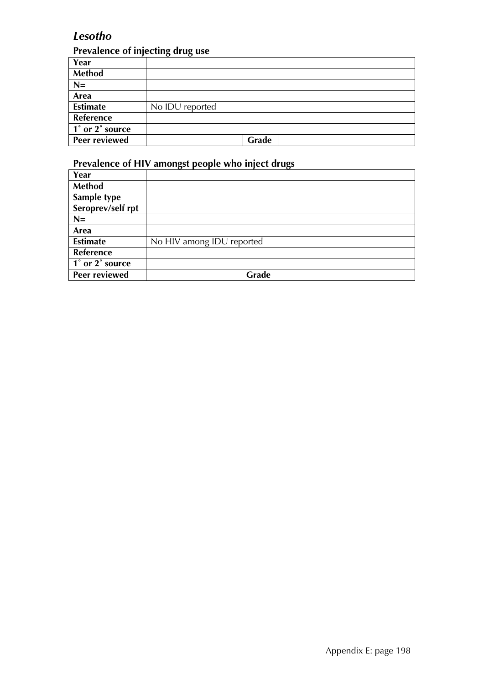## *Lesotho*

## **Prevalence of injecting drug use**

| Year                 |                 |
|----------------------|-----------------|
| Method               |                 |
| $N=$                 |                 |
| Area                 |                 |
| <b>Estimate</b>      | No IDU reported |
| Reference            |                 |
| 1° or 2° source      |                 |
| <b>Peer reviewed</b> | Grade           |

| Year                                         |                           |
|----------------------------------------------|---------------------------|
| Method                                       |                           |
| Sample type                                  |                           |
| Seroprev/self rpt                            |                           |
| $N =$                                        |                           |
| Area                                         |                           |
| <b>Estimate</b>                              | No HIV among IDU reported |
| <b>Reference</b>                             |                           |
| $\overline{1}^{\circ}$ or $2^{\circ}$ source |                           |
| Peer reviewed                                | Grade                     |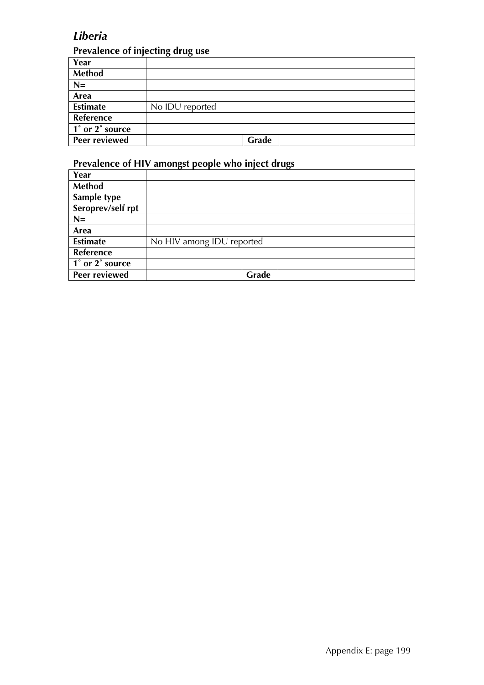## *Liberia*

## **Prevalence of injecting drug use**

| Year                 |                 |
|----------------------|-----------------|
| Method               |                 |
| $N=$                 |                 |
| Area                 |                 |
| <b>Estimate</b>      | No IDU reported |
| Reference            |                 |
| 1° or 2° source      |                 |
| <b>Peer reviewed</b> | Grade           |

| Year                                         |                           |
|----------------------------------------------|---------------------------|
| Method                                       |                           |
| Sample type                                  |                           |
| Seroprev/self rpt                            |                           |
| $N =$                                        |                           |
| Area                                         |                           |
| <b>Estimate</b>                              | No HIV among IDU reported |
| <b>Reference</b>                             |                           |
| $\overline{1}^{\circ}$ or $2^{\circ}$ source |                           |
| Peer reviewed                                | Grade                     |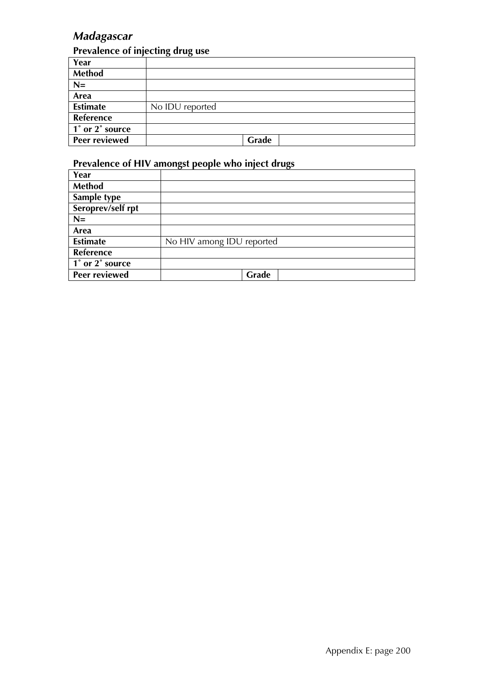# *Madagascar*

#### **Prevalence of injecting drug use**

| Year                 |                 |
|----------------------|-----------------|
| Method               |                 |
| $N=$                 |                 |
| Area                 |                 |
| <b>Estimate</b>      | No IDU reported |
| Reference            |                 |
| 1° or 2° source      |                 |
| <b>Peer reviewed</b> | Grade           |

| Year              |                           |
|-------------------|---------------------------|
| Method            |                           |
| Sample type       |                           |
| Seroprev/self rpt |                           |
| $N=$              |                           |
| Area              |                           |
| <b>Estimate</b>   | No HIV among IDU reported |
| Reference         |                           |
| 1° or 2° source   |                           |
| Peer reviewed     | Grade                     |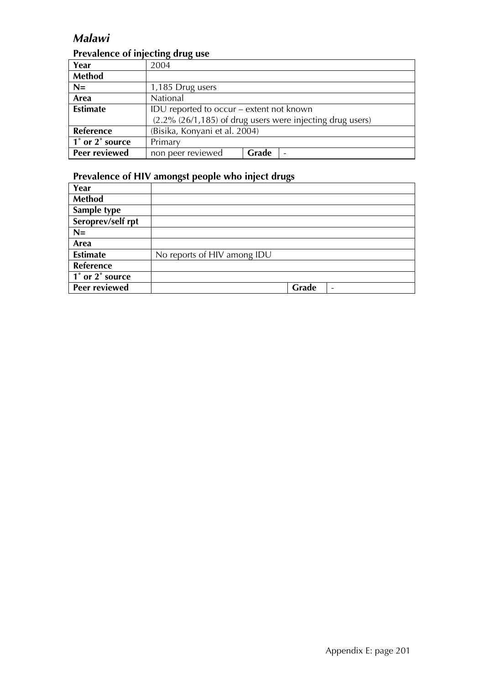## *Malawi*

## **Prevalence of injecting drug use**

| Year                 | 2004                                                      |       |                          |  |
|----------------------|-----------------------------------------------------------|-------|--------------------------|--|
| <b>Method</b>        |                                                           |       |                          |  |
| $N=$                 | 1,185 Drug users                                          |       |                          |  |
| Area                 | National                                                  |       |                          |  |
| <b>Estimate</b>      | IDU reported to occur - extent not known                  |       |                          |  |
|                      | (2.2% (26/1,185) of drug users were injecting drug users) |       |                          |  |
| Reference            | (Bisika, Konyani et al. 2004)                             |       |                          |  |
| 1° or 2° source      | Primary                                                   |       |                          |  |
| <b>Peer reviewed</b> | non peer reviewed                                         | Grade | $\overline{\phantom{0}}$ |  |

| Year                                         |                             |       |  |
|----------------------------------------------|-----------------------------|-------|--|
| <b>Method</b>                                |                             |       |  |
| Sample type                                  |                             |       |  |
| Seroprev/self rpt                            |                             |       |  |
| $N=$                                         |                             |       |  |
| Area                                         |                             |       |  |
| <b>Estimate</b>                              | No reports of HIV among IDU |       |  |
| <b>Reference</b>                             |                             |       |  |
| $\overline{1}^{\circ}$ or $2^{\circ}$ source |                             |       |  |
| Peer reviewed                                |                             | Grade |  |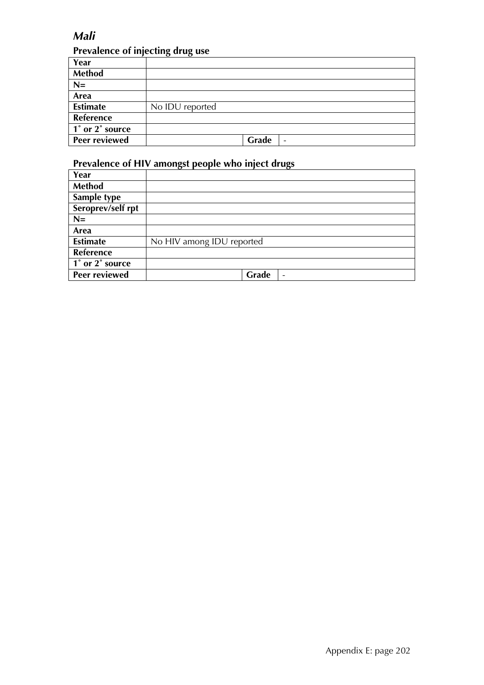## *Mali*

## **Prevalence of injecting drug use**

| Year                 |                 |
|----------------------|-----------------|
| Method               |                 |
| $N=$                 |                 |
| Area                 |                 |
| <b>Estimate</b>      | No IDU reported |
| Reference            |                 |
| 1° or 2° source      |                 |
| <b>Peer reviewed</b> | Grade<br>-      |

| Year                                         |                                   |
|----------------------------------------------|-----------------------------------|
| Method                                       |                                   |
| Sample type                                  |                                   |
| Seroprev/self rpt                            |                                   |
| $N =$                                        |                                   |
| Area                                         |                                   |
| <b>Estimate</b>                              | No HIV among IDU reported         |
| <b>Reference</b>                             |                                   |
| $\overline{1}^{\circ}$ or $2^{\circ}$ source |                                   |
| Peer reviewed                                | Grade<br>$\overline{\phantom{a}}$ |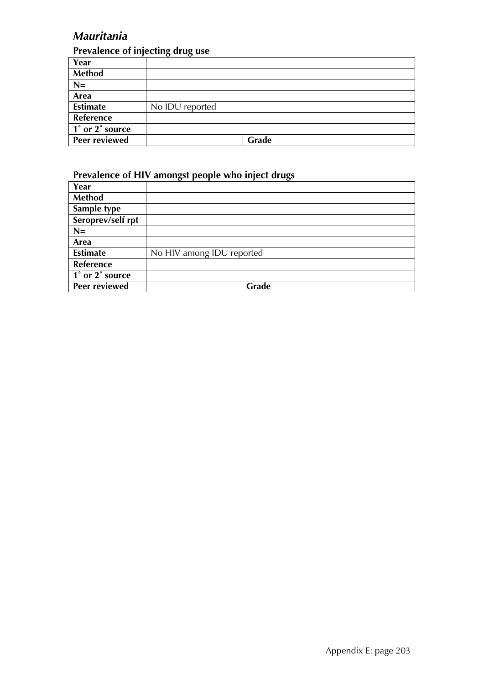# *Mauritania*

## **Prevalence of injecting drug use**

| Year            |                 |       |  |
|-----------------|-----------------|-------|--|
| <b>Method</b>   |                 |       |  |
| $N=$            |                 |       |  |
| Area            |                 |       |  |
| <b>Estimate</b> | No IDU reported |       |  |
| Reference       |                 |       |  |
| 1° or 2° source |                 |       |  |
| Peer reviewed   |                 | Grade |  |

| Year                                                       |                           |
|------------------------------------------------------------|---------------------------|
| <b>Method</b>                                              |                           |
| Sample type                                                |                           |
| Seroprev/self rpt                                          |                           |
| $N=$                                                       |                           |
| Area                                                       |                           |
| <b>Estimate</b>                                            | No HIV among IDU reported |
| Reference                                                  |                           |
| $\overline{1^{\degree}$ or $\overline{2^{\degree}}$ source |                           |
| <b>Peer reviewed</b>                                       | Grade                     |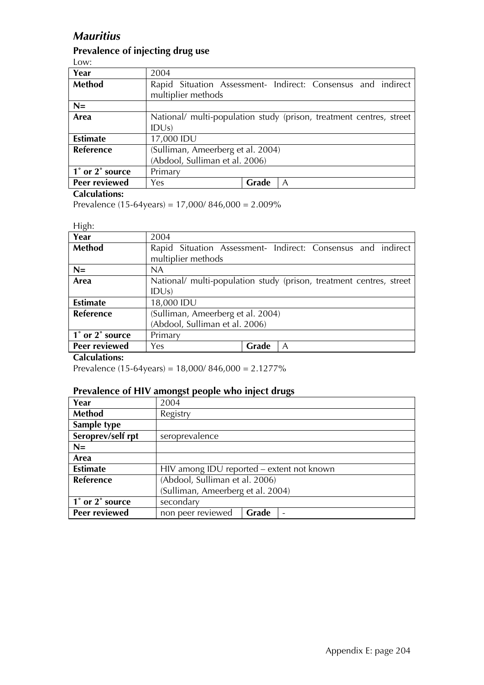## *Mauritius*

## **Prevalence of injecting drug use**

Low:

| Year                                         | 2004                                                                |       |  |  |  |
|----------------------------------------------|---------------------------------------------------------------------|-------|--|--|--|
| <b>Method</b>                                | Rapid Situation Assessment- Indirect: Consensus and indirect        |       |  |  |  |
|                                              | multiplier methods                                                  |       |  |  |  |
| $N=$                                         |                                                                     |       |  |  |  |
| Area                                         | National/ multi-population study (prison, treatment centres, street |       |  |  |  |
|                                              | IDUs)                                                               |       |  |  |  |
| <b>Estimate</b>                              | 17,000 IDU                                                          |       |  |  |  |
| Reference                                    | (Sulliman, Ameerberg et al. 2004)                                   |       |  |  |  |
|                                              | (Abdool, Sulliman et al. 2006)                                      |       |  |  |  |
| $\overline{1}^{\circ}$ or $2^{\circ}$ source | Primary                                                             |       |  |  |  |
| Peer reviewed                                | Yes                                                                 | Grade |  |  |  |

#### **Calculations:**

Prevalence (15-64years) = 17,000/ 846,000 = 2.009%

#### High:

| .                    |                                                                     |       |   |  |  |
|----------------------|---------------------------------------------------------------------|-------|---|--|--|
| Year                 | 2004                                                                |       |   |  |  |
| Method               | Rapid Situation Assessment- Indirect: Consensus and indirect        |       |   |  |  |
|                      | multiplier methods                                                  |       |   |  |  |
| $N=$                 | <b>NA</b>                                                           |       |   |  |  |
| Area                 | National/ multi-population study (prison, treatment centres, street |       |   |  |  |
|                      | IDUs)                                                               |       |   |  |  |
| <b>Estimate</b>      | 18,000 IDU                                                          |       |   |  |  |
| Reference            | (Sulliman, Ameerberg et al. 2004)                                   |       |   |  |  |
|                      | (Abdool, Sulliman et al. 2006)                                      |       |   |  |  |
| 1° or 2° source      | Primary                                                             |       |   |  |  |
| <b>Peer reviewed</b> | Yes                                                                 | Grade | A |  |  |
| $C = 1$ and $C = 1$  |                                                                     |       |   |  |  |

#### **Calculations:**

Prevalence (15-64years) = 18,000/ 846,000 = 2.1277%

| Year              | 2004                                      |       |  |
|-------------------|-------------------------------------------|-------|--|
| <b>Method</b>     | Registry                                  |       |  |
| Sample type       |                                           |       |  |
| Seroprev/self rpt | seroprevalence                            |       |  |
| $N=$              |                                           |       |  |
| Area              |                                           |       |  |
| <b>Estimate</b>   | HIV among IDU reported - extent not known |       |  |
| Reference         | (Abdool, Sulliman et al. 2006)            |       |  |
|                   | (Sulliman, Ameerberg et al. 2004)         |       |  |
| 1° or 2° source   | secondary                                 |       |  |
| Peer reviewed     | non peer reviewed                         | Grade |  |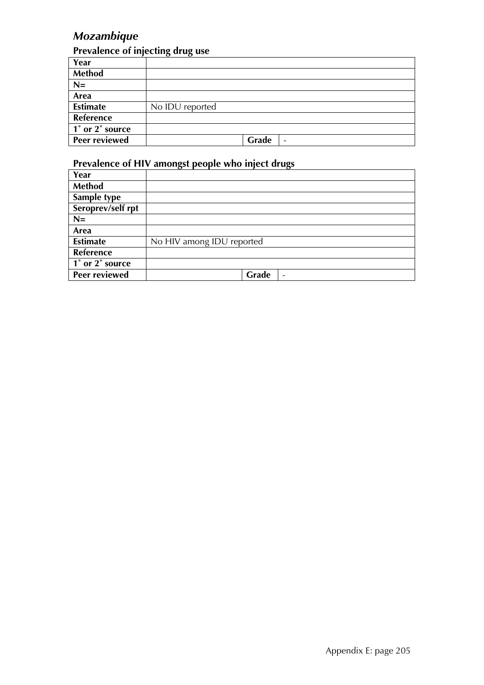# *Mozambique*

## **Prevalence of injecting drug use**

|                         | $\sqrt{ }$<br>$\sim$ $\sim$ |       |   |
|-------------------------|-----------------------------|-------|---|
| Year                    |                             |       |   |
| Method                  |                             |       |   |
| $N=$                    |                             |       |   |
| Area                    |                             |       |   |
| <b>Estimate</b>         | No IDU reported             |       |   |
| Reference               |                             |       |   |
| $\vert$ 1° or 2° source |                             |       |   |
| <b>Peer reviewed</b>    |                             | Grade | - |

| Year                 |                                   |
|----------------------|-----------------------------------|
| Method               |                                   |
| Sample type          |                                   |
| Seroprev/self rpt    |                                   |
| $N =$                |                                   |
| Area                 |                                   |
| <b>Estimate</b>      | No HIV among IDU reported         |
| <b>Reference</b>     |                                   |
| 1° or 2° source      |                                   |
| <b>Peer reviewed</b> | Grade<br>$\overline{\phantom{a}}$ |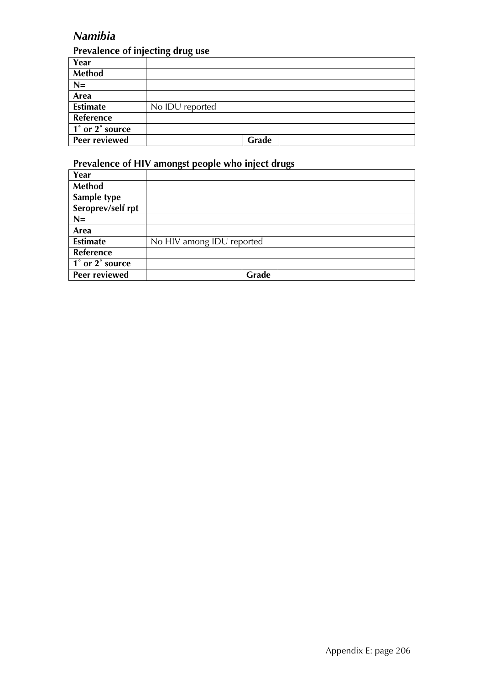# *Namibia*

## **Prevalence of injecting drug use**

| Year                 |                 |
|----------------------|-----------------|
| Method               |                 |
| $N=$                 |                 |
| Area                 |                 |
| <b>Estimate</b>      | No IDU reported |
| Reference            |                 |
| 1° or 2° source      |                 |
| <b>Peer reviewed</b> | Grade           |

| Year                                         |                           |
|----------------------------------------------|---------------------------|
| Method                                       |                           |
| Sample type                                  |                           |
| Seroprev/self rpt                            |                           |
| $N =$                                        |                           |
| Area                                         |                           |
| <b>Estimate</b>                              | No HIV among IDU reported |
| <b>Reference</b>                             |                           |
| $\overline{1}^{\circ}$ or $2^{\circ}$ source |                           |
| Peer reviewed                                | Grade                     |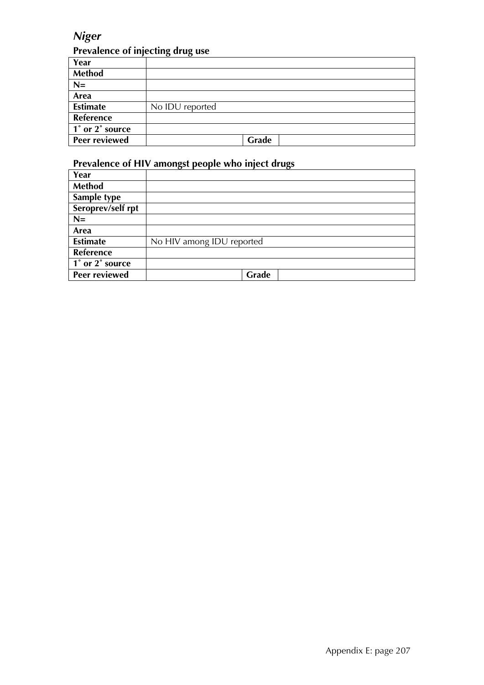# *Niger*

#### **Prevalence of injecting drug use**

| Year                 |                 |
|----------------------|-----------------|
| Method               |                 |
| $N=$                 |                 |
| Area                 |                 |
| <b>Estimate</b>      | No IDU reported |
| Reference            |                 |
| 1° or 2° source      |                 |
| <b>Peer reviewed</b> | Grade           |

| Year                                         |                           |
|----------------------------------------------|---------------------------|
| Method                                       |                           |
| Sample type                                  |                           |
| Seroprev/self rpt                            |                           |
| $N =$                                        |                           |
| Area                                         |                           |
| <b>Estimate</b>                              | No HIV among IDU reported |
| <b>Reference</b>                             |                           |
| $\overline{1}^{\circ}$ or $2^{\circ}$ source |                           |
| Peer reviewed                                | Grade                     |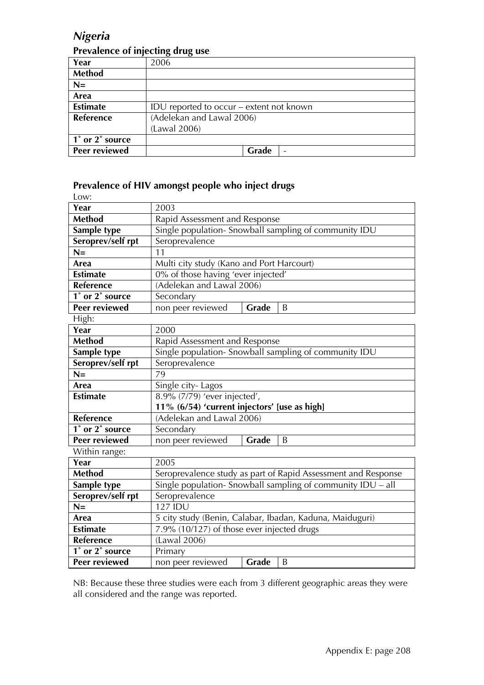## *Nigeria*

#### **Prevalence of injecting drug use**

| Year                 | 2006                                     |
|----------------------|------------------------------------------|
| <b>Method</b>        |                                          |
| $N=$                 |                                          |
| Area                 |                                          |
| <b>Estimate</b>      | IDU reported to occur – extent not known |
| <b>Reference</b>     | (Adelekan and Lawal 2006)                |
|                      | (Lawal 2006)                             |
| 1° or 2° source      |                                          |
| <b>Peer reviewed</b> | Grade<br>$\overline{\phantom{a}}$        |

#### **Prevalence of HIV amongst people who inject drugs**

| Low:                 |                                                               |  |  |
|----------------------|---------------------------------------------------------------|--|--|
| Year                 | 2003                                                          |  |  |
| <b>Method</b>        | Rapid Assessment and Response                                 |  |  |
| Sample type          | Single population- Snowball sampling of community IDU         |  |  |
| Seroprev/self rpt    | Seroprevalence                                                |  |  |
| $N =$                | 11                                                            |  |  |
| Area                 | Multi city study (Kano and Port Harcourt)                     |  |  |
| <b>Estimate</b>      | 0% of those having 'ever injected'                            |  |  |
| Reference            | (Adelekan and Lawal 2006)                                     |  |  |
| 1° or 2° source      | Secondary                                                     |  |  |
| <b>Peer reviewed</b> | non peer reviewed<br>Grade<br>B                               |  |  |
| High:                |                                                               |  |  |
| Year                 | 2000                                                          |  |  |
| <b>Method</b>        | Rapid Assessment and Response                                 |  |  |
| Sample type          | Single population- Snowball sampling of community IDU         |  |  |
| Seroprev/self rpt    | Seroprevalence                                                |  |  |
| $N =$                | 79                                                            |  |  |
| Area                 | Single city-Lagos                                             |  |  |
| <b>Estimate</b>      | 8.9% (7/79) 'ever injected',                                  |  |  |
|                      | 11% (6/54) 'current injectors' [use as high]                  |  |  |
| <b>Reference</b>     | (Adelekan and Lawal 2006)                                     |  |  |
| 1° or 2° source      | Secondary                                                     |  |  |
| <b>Peer reviewed</b> | non peer reviewed<br>Grade<br>B                               |  |  |
| Within range:        |                                                               |  |  |
| Year                 | 2005                                                          |  |  |
| <b>Method</b>        | Seroprevalence study as part of Rapid Assessment and Response |  |  |
| Sample type          | Single population- Snowball sampling of community IDU – all   |  |  |
| Seroprev/self rpt    | Seroprevalence                                                |  |  |
| $N =$                | <b>127 IDU</b>                                                |  |  |
| Area                 | 5 city study (Benin, Calabar, Ibadan, Kaduna, Maiduguri)      |  |  |
| <b>Estimate</b>      | 7.9% (10/127) of those ever injected drugs                    |  |  |
| Reference            | (Lawal 2006)                                                  |  |  |
| 1° or 2° source      | Primary                                                       |  |  |
| <b>Peer reviewed</b> | Grade<br>B<br>non peer reviewed                               |  |  |

NB: Because these three studies were each from 3 different geographic areas they were all considered and the range was reported.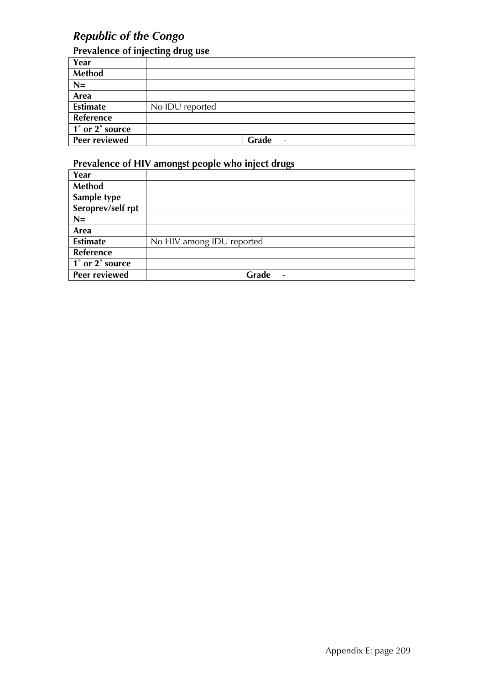# *Republic of the Congo*

## **Prevalence of injecting drug use**

| Year                 |                                   |
|----------------------|-----------------------------------|
| <b>Method</b>        |                                   |
| $N=$                 |                                   |
| Area                 |                                   |
| <b>Estimate</b>      | No IDU reported                   |
| Reference            |                                   |
| 1° or 2° source      |                                   |
| <b>Peer reviewed</b> | Grade<br>$\overline{\phantom{a}}$ |

| Year                 |                                   |
|----------------------|-----------------------------------|
| Method               |                                   |
| Sample type          |                                   |
| Seroprev/self rpt    |                                   |
| $N =$                |                                   |
| Area                 |                                   |
| <b>Estimate</b>      | No HIV among IDU reported         |
| <b>Reference</b>     |                                   |
| 1° or 2° source      |                                   |
| <b>Peer reviewed</b> | Grade<br>$\overline{\phantom{a}}$ |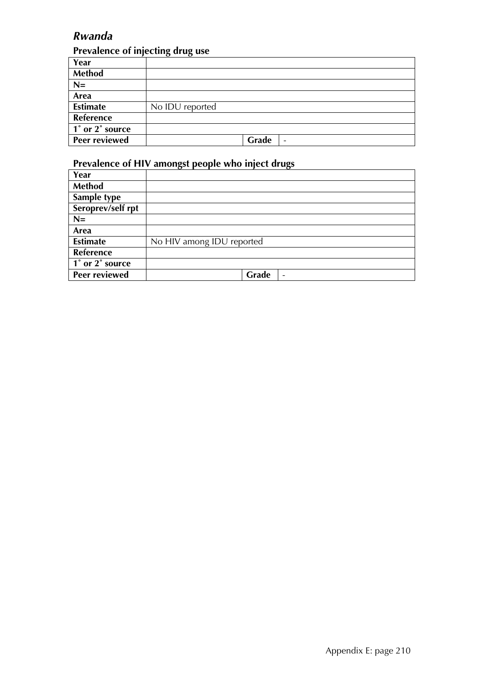# *Rwanda*

## **Prevalence of injecting drug use**

| Year                 |                 |
|----------------------|-----------------|
| Method               |                 |
| $N=$                 |                 |
| Area                 |                 |
| <b>Estimate</b>      | No IDU reported |
| Reference            |                 |
| 1° or 2° source      |                 |
| <b>Peer reviewed</b> | Grade<br>-      |

| Year                                         |                                   |
|----------------------------------------------|-----------------------------------|
| Method                                       |                                   |
| Sample type                                  |                                   |
| Seroprev/self rpt                            |                                   |
| $N =$                                        |                                   |
| Area                                         |                                   |
| <b>Estimate</b>                              | No HIV among IDU reported         |
| Reference                                    |                                   |
| $\overline{1}^{\circ}$ or $2^{\circ}$ source |                                   |
| Peer reviewed                                | Grade<br>$\overline{\phantom{a}}$ |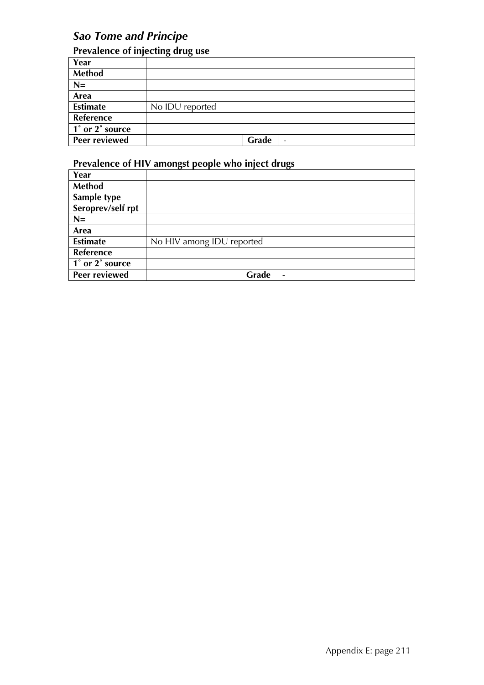# *Sao Tome and Principe*

## **Prevalence of injecting drug use**

|                 | . .<br>. .                        |
|-----------------|-----------------------------------|
| Year            |                                   |
| <b>Method</b>   |                                   |
| $N=$            |                                   |
| Area            |                                   |
| <b>Estimate</b> | No IDU reported                   |
| Reference       |                                   |
| 1° or 2° source |                                   |
| Peer reviewed   | Grade<br>$\overline{\phantom{a}}$ |

| Year                                                       |                                   |
|------------------------------------------------------------|-----------------------------------|
| <b>Method</b>                                              |                                   |
| Sample type                                                |                                   |
| Seroprev/self rpt                                          |                                   |
| $N=$                                                       |                                   |
| Area                                                       |                                   |
| <b>Estimate</b>                                            | No HIV among IDU reported         |
| Reference                                                  |                                   |
| $\overline{1^{\degree}$ or $\overline{2^{\degree}}$ source |                                   |
| <b>Peer reviewed</b>                                       | Grade<br>$\overline{\phantom{0}}$ |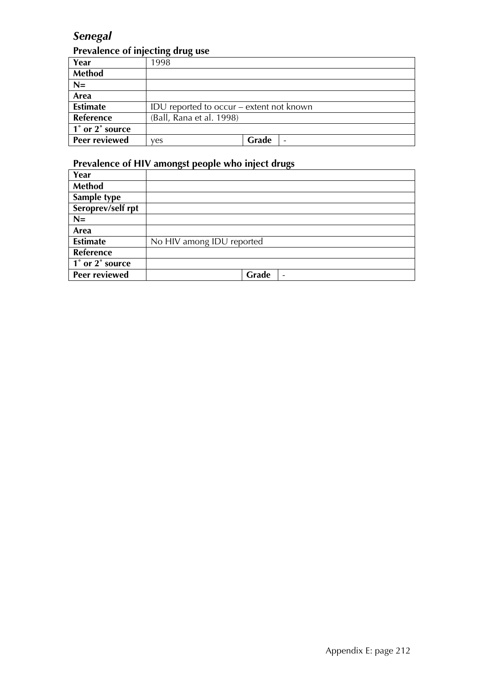# *Senegal*

### **Prevalence of injecting drug use**

|                 | $\overline{\phantom{a}}$                 |       |  |
|-----------------|------------------------------------------|-------|--|
| Year            | 1998                                     |       |  |
| <b>Method</b>   |                                          |       |  |
| $N=$            |                                          |       |  |
| Area            |                                          |       |  |
| <b>Estimate</b> | IDU reported to occur – extent not known |       |  |
| Reference       | (Ball, Rana et al. 1998)                 |       |  |
| 1° or 2° source |                                          |       |  |
| Peer reviewed   | ves                                      | Grade |  |

| Year                 |                                   |
|----------------------|-----------------------------------|
| Method               |                                   |
| Sample type          |                                   |
| Seroprev/self rpt    |                                   |
| $N=$                 |                                   |
| Area                 |                                   |
| <b>Estimate</b>      | No HIV among IDU reported         |
| Reference            |                                   |
| 1° or 2° source      |                                   |
| <b>Peer reviewed</b> | Grade<br>$\overline{\phantom{a}}$ |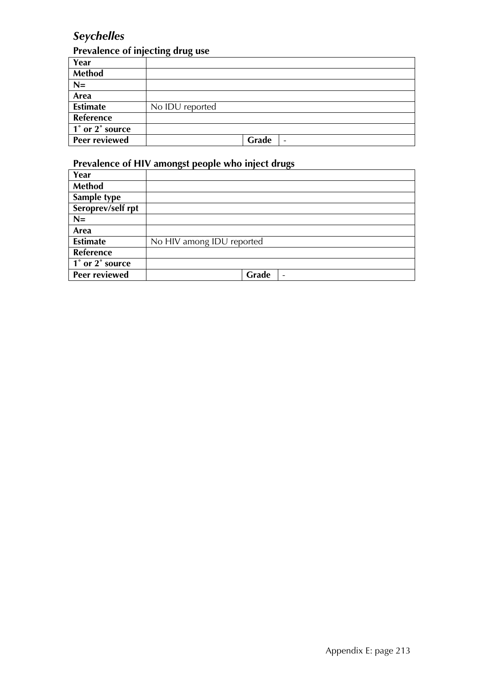# *Seychelles*

## **Prevalence of injecting drug use**

| Year                 |                 |
|----------------------|-----------------|
| Method               |                 |
| $N=$                 |                 |
| Area                 |                 |
| <b>Estimate</b>      | No IDU reported |
| Reference            |                 |
| 1° or 2° source      |                 |
| <b>Peer reviewed</b> | Grade<br>-      |

| Year                                         |                                   |
|----------------------------------------------|-----------------------------------|
| <b>Method</b>                                |                                   |
| Sample type                                  |                                   |
| Seroprev/self rpt                            |                                   |
| $N =$                                        |                                   |
| Area                                         |                                   |
| <b>Estimate</b>                              | No HIV among IDU reported         |
| Reference                                    |                                   |
| $\overline{1}^{\circ}$ or $2^{\circ}$ source |                                   |
| Peer reviewed                                | Grade<br>$\overline{\phantom{a}}$ |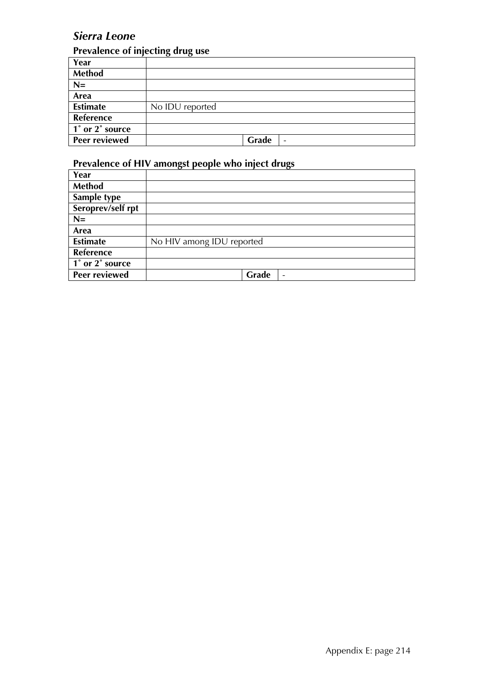## *Sierra Leone*

## **Prevalence of injecting drug use**

|                      | . .<br>. .                        |
|----------------------|-----------------------------------|
| Year                 |                                   |
| <b>Method</b>        |                                   |
| $N=$                 |                                   |
| Area                 |                                   |
| <b>Estimate</b>      | No IDU reported                   |
| Reference            |                                   |
| 1° or 2° source      |                                   |
| <b>Peer reviewed</b> | Grade<br>$\overline{\phantom{a}}$ |

| Year                                                       |                                   |
|------------------------------------------------------------|-----------------------------------|
| <b>Method</b>                                              |                                   |
| Sample type                                                |                                   |
| Seroprev/self rpt                                          |                                   |
| $N=$                                                       |                                   |
| Area                                                       |                                   |
| <b>Estimate</b>                                            | No HIV among IDU reported         |
| <b>Reference</b>                                           |                                   |
| $\overline{1^{\degree}$ or $\overline{2^{\degree}}$ source |                                   |
| <b>Peer reviewed</b>                                       | Grade<br>$\overline{\phantom{0}}$ |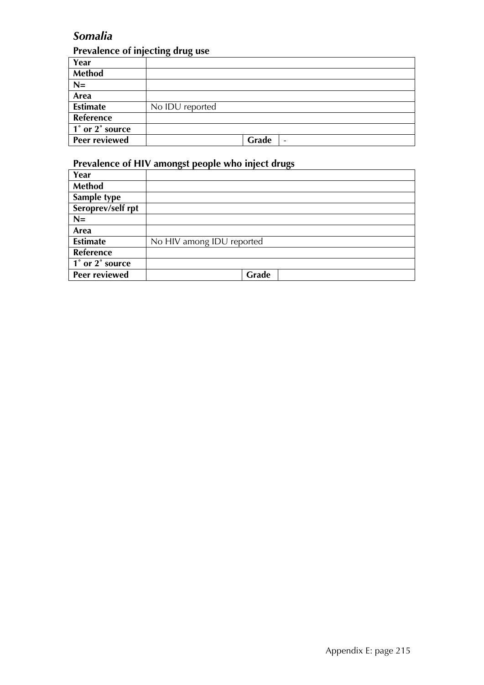# *Somalia*

## **Prevalence of injecting drug use**

| Year                 |                 |
|----------------------|-----------------|
| Method               |                 |
| $N=$                 |                 |
| Area                 |                 |
| <b>Estimate</b>      | No IDU reported |
| Reference            |                 |
| 1° or 2° source      |                 |
| <b>Peer reviewed</b> | Grade<br>-      |

| Year                                         |                           |
|----------------------------------------------|---------------------------|
| <b>Method</b>                                |                           |
| Sample type                                  |                           |
| Seroprev/self rpt                            |                           |
| $N =$                                        |                           |
| Area                                         |                           |
| <b>Estimate</b>                              | No HIV among IDU reported |
| Reference                                    |                           |
| $\overline{1}^{\circ}$ or $2^{\circ}$ source |                           |
| Peer reviewed                                | Grade                     |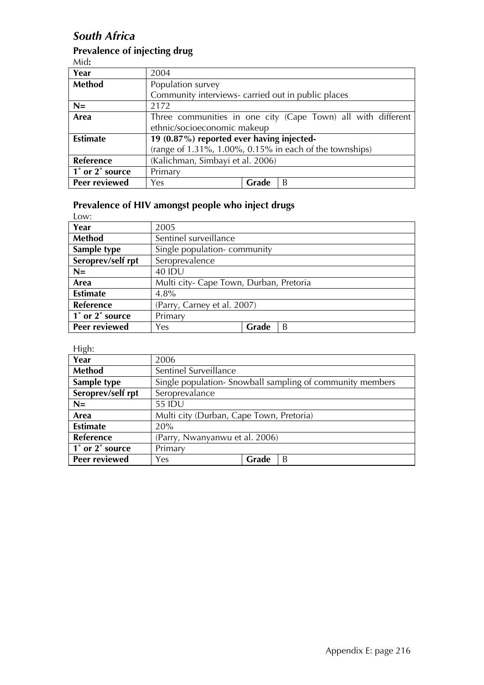## *South Africa*

## **Prevalence of injecting drug**

Mid**:** 

| Year            | 2004                                               |       |                                                              |
|-----------------|----------------------------------------------------|-------|--------------------------------------------------------------|
| <b>Method</b>   | Population survey                                  |       |                                                              |
|                 | Community interviews- carried out in public places |       |                                                              |
| $N=$            | 2172                                               |       |                                                              |
| Area            |                                                    |       | Three communities in one city (Cape Town) all with different |
|                 | ethnic/socioeconomic makeup                        |       |                                                              |
| <b>Estimate</b> | 19 (0.87%) reported ever having injected-          |       |                                                              |
|                 |                                                    |       | (range of 1.31%, 1.00%, 0.15% in each of the townships)      |
| Reference       | (Kalichman, Simbayi et al. 2006)                   |       |                                                              |
| 1° or 2° source | Primary                                            |       |                                                              |
| Peer reviewed   | Yes                                                | Grade | B                                                            |

## **Prevalence of HIV amongst people who inject drugs**

Low:

| Year              | 2005                                    |       |   |
|-------------------|-----------------------------------------|-------|---|
| Method            | Sentinel surveillance                   |       |   |
| Sample type       | Single population-community             |       |   |
| Seroprev/self rpt | Seroprevalence                          |       |   |
| $N=$              | <b>40 IDU</b>                           |       |   |
| Area              | Multi city- Cape Town, Durban, Pretoria |       |   |
| <b>Estimate</b>   | $4.8\%$                                 |       |   |
| Reference         | (Parry, Carney et al. 2007)             |       |   |
| 1° or 2° source   | Primary                                 |       |   |
| Peer reviewed     | Yes.                                    | Grade | B |

High:

| .<br>Year            | 2006                                     |       |                                                          |
|----------------------|------------------------------------------|-------|----------------------------------------------------------|
| Method               | Sentinel Surveillance                    |       |                                                          |
| Sample type          |                                          |       | Single population-Snowball sampling of community members |
| Seroprev/self rpt    | Seroprevalance                           |       |                                                          |
| $N=$                 | 55 IDU                                   |       |                                                          |
| Area                 | Multi city (Durban, Cape Town, Pretoria) |       |                                                          |
| <b>Estimate</b>      | 20%                                      |       |                                                          |
| <b>Reference</b>     | (Parry, Nwanyanwu et al. 2006)           |       |                                                          |
| 1° or 2° source      | Primary                                  |       |                                                          |
| <b>Peer reviewed</b> | Yes                                      | Grade | B                                                        |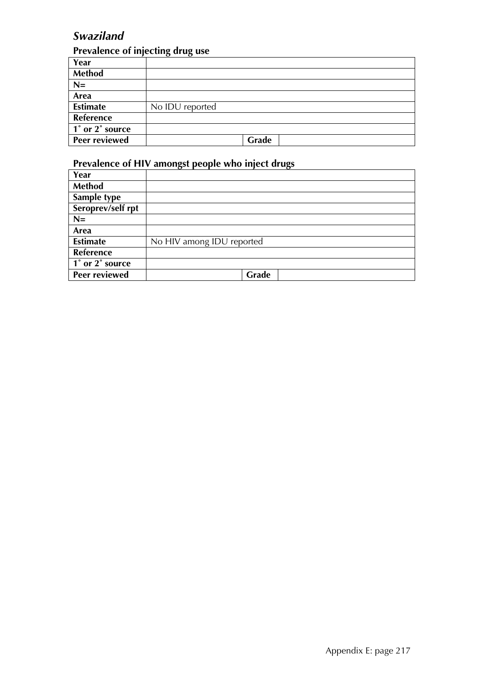# *Swaziland*

## **Prevalence of injecting drug use**

| Year                 |                 |
|----------------------|-----------------|
| Method               |                 |
| $N=$                 |                 |
| Area                 |                 |
| <b>Estimate</b>      | No IDU reported |
| Reference            |                 |
| 1° or 2° source      |                 |
| <b>Peer reviewed</b> | Grade           |

| Year                 |                           |
|----------------------|---------------------------|
| Method               |                           |
| Sample type          |                           |
| Seroprev/self rpt    |                           |
| $N =$                |                           |
| Area                 |                           |
| <b>Estimate</b>      | No HIV among IDU reported |
| Reference            |                           |
| 1° or 2° source      |                           |
| <b>Peer reviewed</b> | Grade                     |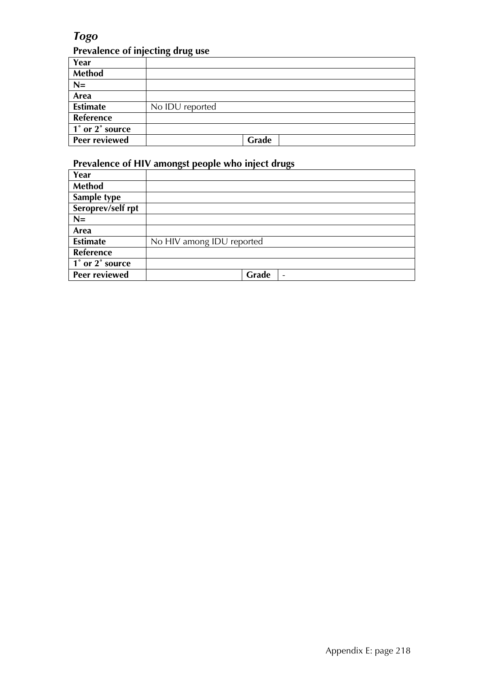# *Togo*

# **Prevalence of injecting drug use**

| Year                 |                 |
|----------------------|-----------------|
| Method               |                 |
| $N=$                 |                 |
| Area                 |                 |
| <b>Estimate</b>      | No IDU reported |
| Reference            |                 |
| 1° or 2° source      |                 |
| <b>Peer reviewed</b> | Grade           |

| Year                                         |                                   |
|----------------------------------------------|-----------------------------------|
| <b>Method</b>                                |                                   |
| Sample type                                  |                                   |
| Seroprev/self rpt                            |                                   |
| $N =$                                        |                                   |
| Area                                         |                                   |
| <b>Estimate</b>                              | No HIV among IDU reported         |
| Reference                                    |                                   |
| $\overline{1}^{\circ}$ or $2^{\circ}$ source |                                   |
| Peer reviewed                                | Grade<br>$\overline{\phantom{a}}$ |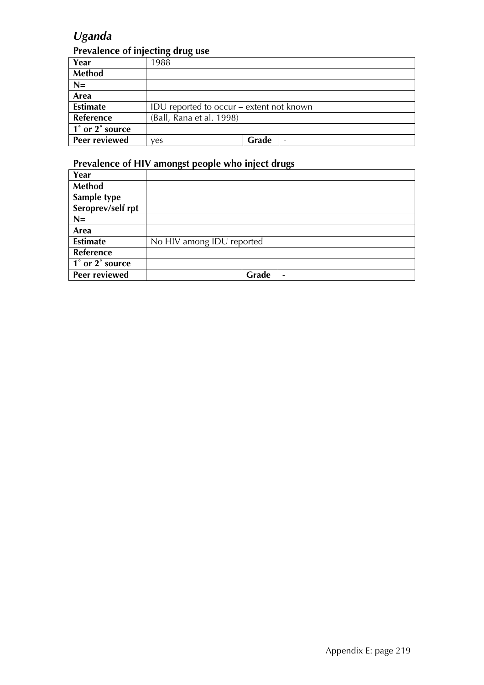# *Uganda*

### **Prevalence of injecting drug use**

| Year                 | 1988                                     |       |  |
|----------------------|------------------------------------------|-------|--|
| <b>Method</b>        |                                          |       |  |
| $N=$                 |                                          |       |  |
| Area                 |                                          |       |  |
| <b>Estimate</b>      | IDU reported to occur – extent not known |       |  |
| Reference            | (Ball, Rana et al. 1998)                 |       |  |
| 1° or 2° source      |                                          |       |  |
| <b>Peer reviewed</b> | ves                                      | Grade |  |

| Year              |                                   |
|-------------------|-----------------------------------|
| <b>Method</b>     |                                   |
| Sample type       |                                   |
| Seroprev/self rpt |                                   |
| $N=$              |                                   |
| Area              |                                   |
| <b>Estimate</b>   | No HIV among IDU reported         |
| <b>Reference</b>  |                                   |
| 1° or 2° source   |                                   |
| Peer reviewed     | Grade<br>$\overline{\phantom{a}}$ |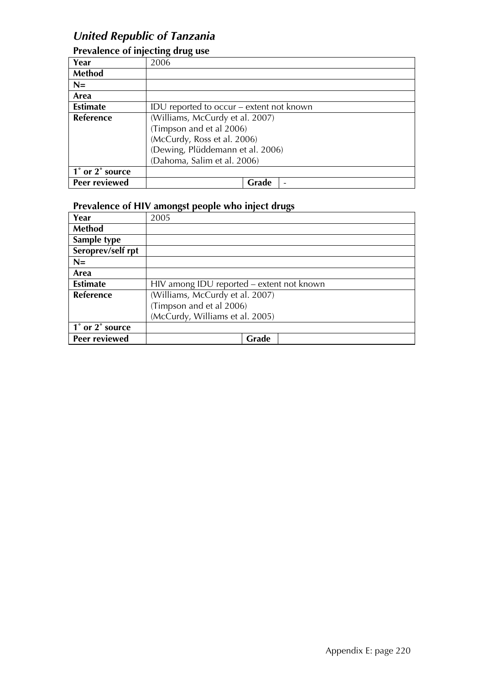# *United Republic of Tanzania*

|                  | ∽ רה                                     |
|------------------|------------------------------------------|
| Year             | 2006                                     |
| Method           |                                          |
| $N=$             |                                          |
| Area             |                                          |
| <b>Estimate</b>  | IDU reported to occur – extent not known |
| <b>Reference</b> | (Williams, McCurdy et al. 2007)          |
|                  | (Timpson and et al 2006)                 |
|                  | (McCurdy, Ross et al. 2006)              |
|                  | (Dewing, Plüddemann et al. 2006)         |
|                  | (Dahoma, Salim et al. 2006)              |
| 1° or 2° source  |                                          |
| Peer reviewed    | Grade                                    |

## **Prevalence of injecting drug use**

| Year              | ັ<br>2005                                 |
|-------------------|-------------------------------------------|
| <b>Method</b>     |                                           |
| Sample type       |                                           |
| Seroprev/self rpt |                                           |
| $N=$              |                                           |
| Area              |                                           |
| <b>Estimate</b>   | HIV among IDU reported – extent not known |
| Reference         | (Williams, McCurdy et al. 2007)           |
|                   | (Timpson and et al 2006)                  |
|                   | (McCurdy, Williams et al. 2005)           |
| 1° or 2° source   |                                           |
| Peer reviewed     | Grade                                     |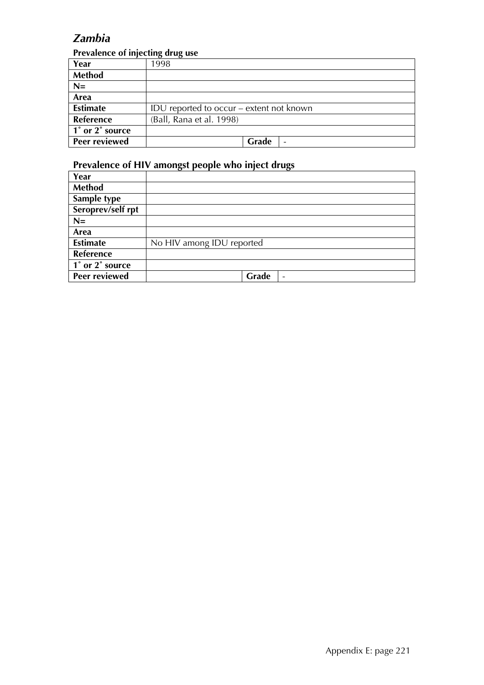## *Zambia*

### **Prevalence of injecting drug use**

| Year             | 1998                                     |
|------------------|------------------------------------------|
| <b>Method</b>    |                                          |
| $N=$             |                                          |
| Area             |                                          |
| <b>Estimate</b>  | IDU reported to occur – extent not known |
| <b>Reference</b> | (Ball, Rana et al. 1998)                 |
| 1° or 2° source  |                                          |
| Peer reviewed    | Grade                                    |

| Year                 |                           |
|----------------------|---------------------------|
| <b>Method</b>        |                           |
| Sample type          |                           |
| Seroprev/self rpt    |                           |
| $N=$                 |                           |
| Area                 |                           |
| <b>Estimate</b>      | No HIV among IDU reported |
| Reference            |                           |
| 1° or 2° source      |                           |
| <b>Peer reviewed</b> | Grade<br>$\qquad \qquad$  |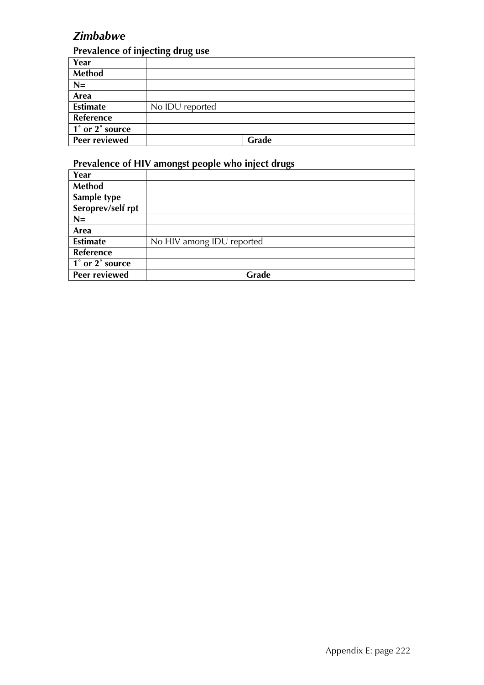# *Zimbabwe*

### **Prevalence of injecting drug use**

| Year                 |                 |
|----------------------|-----------------|
| Method               |                 |
| $N=$                 |                 |
| Area                 |                 |
| <b>Estimate</b>      | No IDU reported |
| Reference            |                 |
| 1° or 2° source      |                 |
| <b>Peer reviewed</b> | Grade           |

| Year                 |                           |
|----------------------|---------------------------|
| Method               |                           |
| Sample type          |                           |
| Seroprev/self rpt    |                           |
| $N =$                |                           |
| Area                 |                           |
| <b>Estimate</b>      | No HIV among IDU reported |
| Reference            |                           |
| 1° or 2° source      |                           |
| <b>Peer reviewed</b> | Grade                     |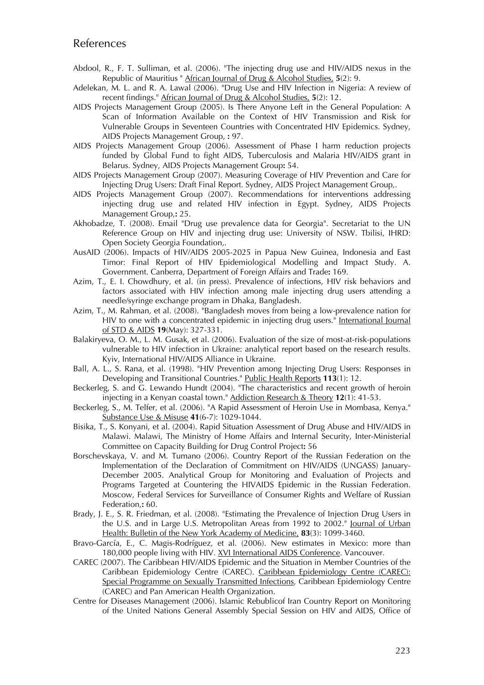### References

- Abdool, R., F. T. Sulliman, et al. (2006). "The injecting drug use and HIV/AIDS nexus in the Republic of Mauritius " African Journal of Drug & Alcohol Studies, **5**(2): 9.
- Adelekan, M. L. and R. A. Lawal (2006). "Drug Use and HIV Infection in Nigeria: A review of recent findings." African Journal of Drug & Alcohol Studies, **5**(2): 12.
- AIDS Projects Management Group (2005). Is There Anyone Left in the General Population: A Scan of Information Available on the Context of HIV Transmission and Risk for Vulnerable Groups in Seventeen Countries with Concentrated HIV Epidemics. Sydney, AIDS Projects Management Group, **:** 97.
- AIDS Projects Management Group (2006). Assessment of Phase I harm reduction projects funded by Global Fund to fight AIDS, Tuberculosis and Malaria HIV/AIDS grant in Belarus. Sydney, AIDS Projects Management Group**:** 54.
- AIDS Projects Management Group (2007). Measuring Coverage of HIV Prevention and Care for Injecting Drug Users: Draft Final Report. Sydney, AIDS Project Management Group,.
- AIDS Projects Management Group (2007). Recommendations for interventions addressing injecting drug use and related HIV infection in Egypt. Sydney, AIDS Projects Management Group,**:** 25.
- Akhobadze, T. (2008). Email "Drug use prevalence data for Georgia". Secretariat to the UN Reference Group on HIV and injecting drug use: University of NSW. Tbilisi, IHRD: Open Society Georgia Foundation,.
- AusAID (2006). Impacts of HIV/AIDS 2005-2025 in Papua New Guinea, Indonesia and East Timor: Final Report of HIV Epidemiological Modelling and Impact Study. A. Government. Canberra, Department of Foreign Affairs and Trade**:** 169.
- Azim, T., E. I. Chowdhury, et al. (in press). Prevalence of infections, HIV risk behaviors and factors associated with HIV infection among male injecting drug users attending a needle/syringe exchange program in Dhaka, Bangladesh.
- Azim, T., M. Rahman, et al. (2008). "Bangladesh moves from being a low-prevalence nation for HIV to one with a concentrated epidemic in injecting drug users." International Journal of STD & AIDS **19**(May): 327-331.
- Balakiryeva, O. M., L. M. Gusak, et al. (2006). Evaluation of the size of most-at-risk-populations vulnerable to HIV infection in Ukraine: analytical report based on the research results. Kyiv, International HIV/AIDS Alliance in Ukraine.
- Ball, A. L., S. Rana, et al. (1998). "HIV Prevention among Injecting Drug Users: Responses in Developing and Transitional Countries." Public Health Reports **113**(1): 12.
- Beckerleg, S. and G. Lewando Hundt (2004). "The characteristics and recent growth of heroin injecting in a Kenyan coastal town." Addiction Research & Theory **12**(1): 41-53.
- Beckerleg, S., M. Telfer, et al. (2006). "A Rapid Assessment of Heroin Use in Mombasa, Kenya." Substance Use & Misuse **41**(6-7): 1029-1044.
- Bisika, T., S. Konyani, et al. (2004). Rapid Situation Assessment of Drug Abuse and HIV/AIDS in Malawi. Malawi, The Ministry of Home Affairs and Internal Security, Inter-Ministerial Committee on Capacity Building for Drug Control Project**:** 56
- Borschevskaya, V. and M. Tumano (2006). Country Report of the Russian Federation on the Implementation of the Declaration of Commitment on HIV/AIDS (UNGASS) January-December 2005. Analytical Group for Monitoring and Evaluation of Projects and Programs Targeted at Countering the HIVAIDS Epidemic in the Russian Federation. Moscow, Federal Services for Surveillance of Consumer Rights and Welfare of Russian Federation,**:** 60.
- Brady, J. E., S. R. Friedman, et al. (2008). "Estimating the Prevalence of Injection Drug Users in the U.S. and in Large U.S. Metropolitan Areas from 1992 to 2002." Journal of Urban Health: Bulletin of the New York Academy of Medicine, **83**(3): 1099-3460.
- Bravo-García, E., C. Magis-Rodríguez, et al. (2006). New estimates in Mexico: more than 180,000 people living with HIV. XVI International AIDS Conference. Vancouver.
- CAREC (2007). The Caribbean HIV/AIDS Epidemic and the Situation in Member Countries of the Caribbean Epidemiology Centre (CAREC). Caribbean Epidemiology Centre (CAREC): Special Programme on Sexually Transmitted Infections, Caribbean Epidemiology Centre (CAREC) and Pan American Health Organization.
- Centre for Diseases Management (2006). Islamic Rebublicof Iran Country Report on Monitoring of the United Nations General Assembly Special Session on HIV and AIDS, Office of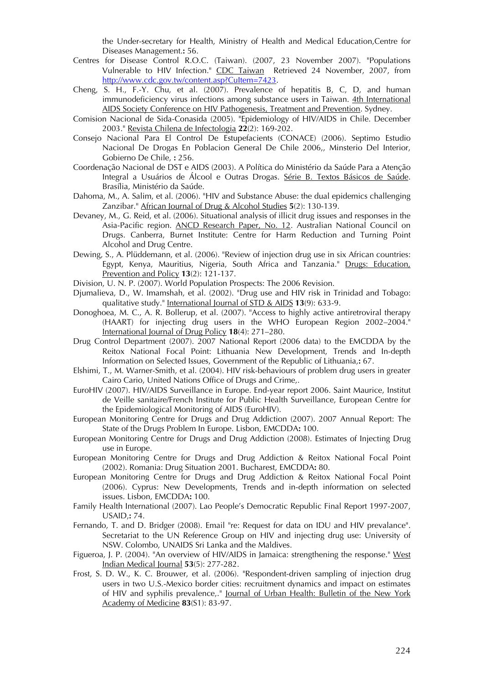the Under-secretary for Health, Ministry of Health and Medical Education,Centre for Diseases Management.**:** 56.

- Centres for Disease Control R.O.C. (Taiwan). (2007, 23 November 2007). "Populations Vulnerable to HIV Infection." CDC Taiwan Retrieved 24 November, 2007, from http://www.cdc.gov.tw/content.asp?CuItem=7423.
- Cheng, S. H., F.-Y. Chu, et al. (2007). Prevalence of hepatitis B, C, D, and human immunodeficiency virus infections among substance users in Taiwan. 4th International AIDS Society Conference on HIV Pathogenesis, Treatment and Prevention. Sydney.
- Comision Nacional de Sida-Conasida (2005). "Epidemiology of HIV/AIDS in Chile. December 2003." Revista Chilena de Infectologia **22**(2): 169-202.
- Consejo Nacional Para El Control De Estupefacients (CONACE) (2006). Septimo Estudio Nacional De Drogas En Poblacion General De Chile 2006,, Minsterio Del Interior, Gobierno De Chile, **:** 256.
- Coordenação Nacional de DST e AIDS (2003). A Política do Ministério da Saúde Para a Atenção Integral a Usuários de Álcool e Outras Drogas. Série B. Textos Básicos de Saúde. Brasília, Ministério da Saúde.
- Dahoma, M., A. Salim, et al. (2006). "HIV and Substance Abuse: the dual epidemics challenging Zanzibar." African Journal of Drug & Alcohol Studies **5**(2): 130-139.
- Devaney, M., G. Reid, et al. (2006). Situational analysis of illicit drug issues and responses in the Asia-Pacific region. ANCD Research Paper, No. 12. Australian National Council on Drugs. Canberra, Burnet Institute: Centre for Harm Reduction and Turning Point Alcohol and Drug Centre.
- Dewing, S., A. Plüddemann, et al. (2006). "Review of injection drug use in six African countries: Egypt, Kenya, Mauritius, Nigeria, South Africa and Tanzania." Drugs: Education, Prevention and Policy **13**(2): 121-137.
- Division, U. N. P. (2007). World Population Prospects: The 2006 Revision.
- Djumalieva, D., W. Imamshah, et al. (2002). "Drug use and HIV risk in Trinidad and Tobago: qualitative study." International Journal of STD & AIDS **13**(9): 633-9.
- Donoghoea, M. C., A. R. Bollerup, et al. (2007). "Access to highly active antiretroviral therapy (HAART) for injecting drug users in the WHO European Region 2002–2004." International Journal of Drug Policy **18**(4): 271–280.
- Drug Control Department (2007). 2007 National Report (2006 data) to the EMCDDA by the Reitox National Focal Point: Lithuania New Development, Trends and In-depth Information on Selected Issues, Government of the Republic of Lithuania,**:** 67.
- Elshimi, T., M. Warner-Smith, et al. (2004). HIV risk-behaviours of problem drug users in greater Cairo Cario, United Nations Office of Drugs and Crime,.
- EuroHIV (2007). HIV/AIDS Surveillance in Europe. End-year report 2006. Saint Maurice, Institut de Veille sanitaire/French Institute for Public Health Surveillance, European Centre for the Epidemiological Monitoring of AIDS (EuroHIV).
- European Monitoring Centre for Drugs and Drug Addiction (2007). 2007 Annual Report: The State of the Drugs Problem In Europe. Lisbon, EMCDDA**:** 100.
- European Monitoring Centre for Drugs and Drug Addiction (2008). Estimates of Injecting Drug use in Europe.
- European Monitoring Centre for Drugs and Drug Addiction & Reitox National Focal Point (2002). Romania: Drug Situation 2001. Bucharest, EMCDDA**:** 80.
- European Monitoring Centre for Drugs and Drug Addiction & Reitox National Focal Point (2006). Cyprus: New Developments, Trends and in-depth information on selected issues. Lisbon, EMCDDA**:** 100.
- Family Health International (2007). Lao People's Democratic Republic Final Report 1997-2007, USAID,**:** 74.
- Fernando, T. and D. Bridger (2008). Email "re: Request for data on IDU and HIV prevalance". Secretariat to the UN Reference Group on HIV and injecting drug use: University of NSW. Colombo, UNAIDS Sri Lanka and the Maldives.
- Figueroa, J. P. (2004). "An overview of HIV/AIDS in Jamaica: strengthening the response." West Indian Medical Journal **53**(5): 277-282.
- Frost, S. D. W., K. C. Brouwer, et al. (2006). "Respondent-driven sampling of injection drug users in two U.S.-Mexico border cities: recruitment dynamics and impact on estimates of HIV and syphilis prevalence,." Journal of Urban Health: Bulletin of the New York Academy of Medicine **83**(S1): 83-97.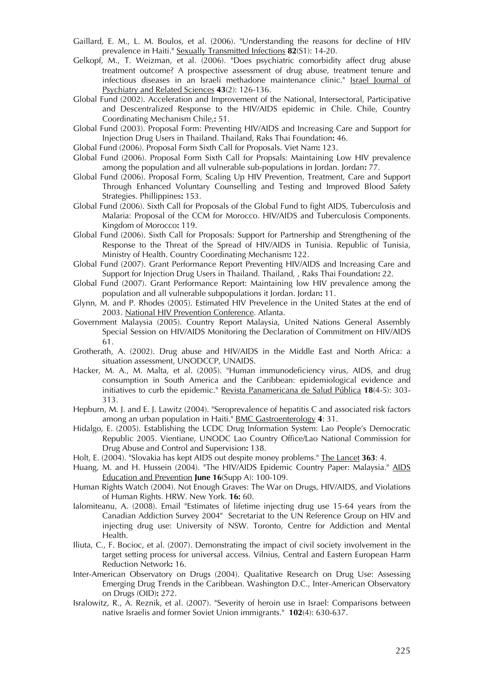- Gaillard, E. M., L. M. Boulos, et al. (2006). "Understanding the reasons for decline of HIV prevalence in Haiti." Sexually Transmitted Infections **82**(S1): 14-20.
- Gelkopf, M., T. Weizman, et al. (2006). "Does psychiatric comorbidity affect drug abuse treatment outcome? A prospective assessment of drug abuse, treatment tenure and infectious diseases in an Israeli methadone maintenance clinic." Israel Journal of Psychiatry and Related Sciences **43**(2): 126-136.
- Global Fund (2002). Acceleration and Improvement of the National, Intersectoral, Participative and Descentralized Response to the HIV/AIDS epidemic in Chile. Chile, Country Coordinating Mechanism Chile,**:** 51.
- Global Fund (2003). Proposal Form: Preventing HIV/AIDS and Increasing Care and Support for Injection Drug Users in Thailand. Thailand, Raks Thai Foundation**:** 46.
- Global Fund (2006). Proposal Form Sixth Call for Proposals. Viet Nam**:** 123.
- Global Fund (2006). Proposal Form Sixth Call for Propsals: Maintaining Low HIV prevalence among the population and all vulnerable sub-populations in Jordan. Jordan**:** 77.
- Global Fund (2006). Proposal Form, Scaling Up HIV Prevention, Treatment, Care and Support Through Enhanced Voluntary Counselling and Testing and Improved Blood Safety Strategies. Phillippines**:** 153.
- Global Fund (2006). Sixth Call for Proposals of the Global Fund to fight AIDS, Tuberculosis and Malaria: Proposal of the CCM for Morocco. HIV/AIDS and Tuberculosis Components. Kingdom of Morocco**:** 119.
- Global Fund (2006). Sixth Call for Proposals: Support for Partnership and Strengthening of the Response to the Threat of the Spread of HIV/AIDS in Tunisia. Republic of Tunisia, Ministry of Health. Country Coordinating Mechanism**:** 122.
- Global Fund (2007). Grant Performance Report Preventing HIV/AIDS and Increasing Care and Support for Injection Drug Users in Thailand. Thailand, , Raks Thai Foundation**:** 22.
- Global Fund (2007). Grant Performance Report: Maintaining low HIV prevalence among the population and all vulnerable subpopulations it Jordan. Jordan**:** 11.
- Glynn, M. and P. Rhodes (2005). Estimated HIV Prevelence in the United States at the end of 2003. National HIV Prevention Conference. Atlanta.
- Government Malaysia (2005). Country Report Malaysia, United Nations General Assembly Special Session on HIV/AIDS Monitoring the Declaration of Commitment on HIV/AIDS 61.
- Grotherath, A. (2002). Drug abuse and HIV/AIDS in the Middle East and North Africa: a situation assessment, UNODCCP, UNAIDS.
- Hacker, M. A., M. Malta, et al. (2005). "Human immunodeficiency virus, AIDS, and drug consumption in South America and the Caribbean: epidemiological evidence and initiatives to curb the epidemic." Revista Panamericana de Salud Pública **18**(4-5): 303- 313.
- Hepburn, M. J. and E. J. Lawitz (2004). "Seroprevalence of hepatitis C and associated risk factors among an urban population in Haiti." BMC Gastroenterology **4**: 31.
- Hidalgo, E. (2005). Establishing the LCDC Drug Information System: Lao People's Democratic Republic 2005. Vientiane, UNODC Lao Country Office/Lao National Commission for Drug Abuse and Control and Supervision**:** 138.
- Holt, E. (2004). "Slovakia has kept AIDS out despite money problems." The Lancet **363**: 4.
- Huang, M. and H. Hussein (2004). "The HIV/AIDS Epidemic Country Paper: Malaysia." AIDS Education and Prevention **June 16**(Supp A): 100-109.
- Human Rights Watch (2004). Not Enough Graves: The War on Drugs, HIV/AIDS, and Violations of Human Rights. HRW. New York. **16:** 60.
- Ialomiteanu, A. (2008). Email "Estimates of lifetime injecting drug use 15-64 years from the Canadian Addiction Survey 2004" Secretariat to the UN Reference Group on HIV and injecting drug use: University of NSW. Toronto, Centre for Addiction and Mental Health.
- Iliuta, C., F. Bocioc, et al. (2007). Demonstrating the impact of civil society involvement in the target setting process for universal access. Vilnius, Central and Eastern European Harm Reduction Network**:** 16.
- Inter-American Observatory on Drugs (2004). Qualitative Research on Drug Use: Assessing Emerging Drug Trends in the Caribbean. Washington D.C., Inter-American Observatory on Drugs (OID)**:** 272.
- Isralowitz, R., A. Reznik, et al. (2007). "Severity of heroin use in Israel: Comparisons between native Israelis and former Soviet Union immigrants." **102**(4): 630-637.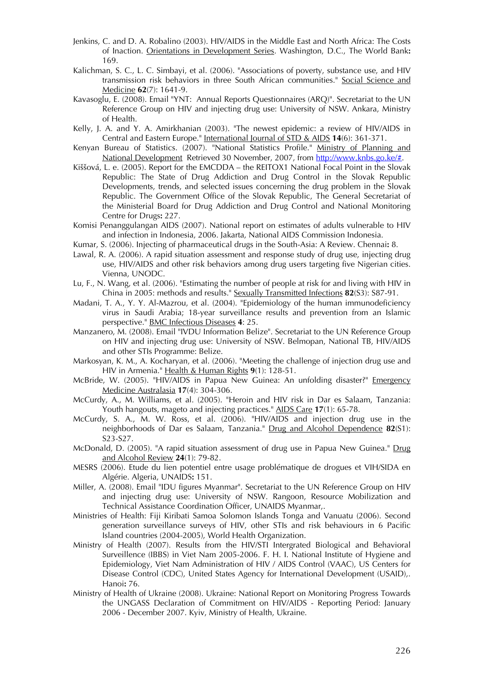- Jenkins, C. and D. A. Robalino (2003). HIV/AIDS in the Middle East and North Africa: The Costs of Inaction. Orientations in Development Series. Washington, D.C., The World Bank**:**  169.
- Kalichman, S. C., L. C. Simbayi, et al. (2006). "Associations of poverty, substance use, and HIV transmission risk behaviors in three South African communities." Social Science and Medicine **62**(7): 1641-9.
- Kavasoglu, E. (2008). Email "YNT: Annual Reports Questionnaires (ARQ)". Secretariat to the UN Reference Group on HIV and injecting drug use: University of NSW. Ankara, Ministry of Health.
- Kelly, J. A. and Y. A. Amirkhanian (2003). "The newest epidemic: a review of HIV/AIDS in Central and Eastern Europe." International Journal of STD & AIDS **14**(6): 361-371.
- Kenyan Bureau of Statistics. (2007). "National Statistics Profile." Ministry of Planning and National Development Retrieved 30 November, 2007, from http://www.knbs.go.ke/#.
- Kiššová, L. e. (2005). Report for the EMCDDA the REITOX1 National Focal Point in the Slovak Republic: The State of Drug Addiction and Drug Control in the Slovak Republic Developments, trends, and selected issues concerning the drug problem in the Slovak Republic. The Government Office of the Slovak Republic, The General Secretariat of the Ministerial Board for Drug Addiction and Drug Control and National Monitoring Centre for Drugs**:** 227.
- Komisi Penanggulangan AIDS (2007). National report on estimates of adults vulnerable to HIV and infection in Indonesia, 2006. Jakarta, National AIDS Commission Indonesia.
- Kumar, S. (2006). Injecting of pharmaceutical drugs in the South-Asia: A Review. Chennai**:** 8.
- Lawal, R. A. (2006). A rapid situation assessment and response study of drug use, injecting drug use, HIV/AIDS and other risk behaviors among drug users targeting five Nigerian cities. Vienna, UNODC.
- Lu, F., N. Wang, et al. (2006). "Estimating the number of people at risk for and living with HIV in China in 2005: methods and results." Sexually Transmitted Infections **82**(S3): S87-91.
- Madani, T. A., Y. Y. Al-Mazrou, et al. (2004). "Epidemiology of the human immunodeficiency virus in Saudi Arabia; 18-year surveillance results and prevention from an Islamic perspective." BMC Infectious Diseases **4**: 25.
- Manzanero, M. (2008). Email "IVDU Information Belize". Secretariat to the UN Reference Group on HIV and injecting drug use: University of NSW. Belmopan, National TB, HIV/AIDS and other STIs Programme: Belize.
- Markosyan, K. M., A. Kocharyan, et al. (2006). "Meeting the challenge of injection drug use and HIV in Armenia." Health & Human Rights **9**(1): 128-51.
- McBride, W. (2005). "HIV/AIDS in Papua New Guinea: An unfolding disaster?" Emergency Medicine Australasia **17**(4): 304-306.
- McCurdy, A., M. Williams, et al. (2005). "Heroin and HIV risk in Dar es Salaam, Tanzania: Youth hangouts, mageto and injecting practices." AIDS Care **17**(1): 65-78.
- McCurdy, S. A., M. W. Ross, et al. (2006). "HIV/AIDS and injection drug use in the neighborhoods of Dar es Salaam, Tanzania." Drug and Alcohol Dependence **82**(S1): S23-S27.
- McDonald, D. (2005). "A rapid situation assessment of drug use in Papua New Guinea." Drug and Alcohol Review **24**(1): 79-82.
- MESRS (2006). Etude du lien potentiel entre usage problématique de drogues et VIH/SIDA en Algérie. Algeria, UNAIDS**:** 151.
- Miller, A. (2008). Email "IDU figures Myanmar". Secretariat to the UN Reference Group on HIV and injecting drug use: University of NSW. Rangoon, Resource Mobilization and Technical Assistance Coordination Officer, UNAIDS Myanmar,.
- Ministries of Health: Fiji Kiribati Samoa Solomon Islands Tonga and Vanuatu (2006). Second generation surveillance surveys of HIV, other STIs and risk behaviours in 6 Pacific Island countries (2004-2005), World Health Organization.
- Ministry of Health (2007). Results from the HIV/STI Intergrated Biological and Behavioral Surveillence (IBBS) in Viet Nam 2005-2006. F. H. I. National Institute of Hygiene and Epidemiology, Viet Nam Administration of HIV / AIDS Control (VAAC), US Centers for Disease Control (CDC), United States Agency for International Development (USAID),. Hanoi**:** 76.
- Ministry of Health of Ukraine (2008). Ukraine: National Report on Monitoring Progress Towards the UNGASS Declaration of Commitment on HIV/AIDS - Reporting Period: January 2006 - December 2007. Kyiv, Ministry of Health, Ukraine.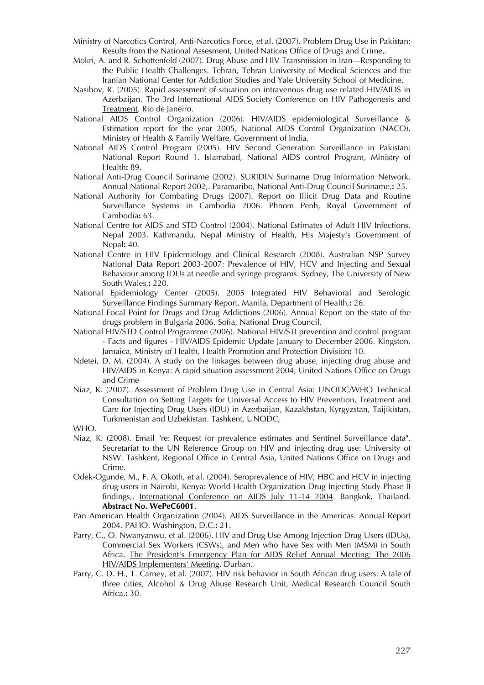- Ministry of Narcotics Control, Anti-Narcotics Force, et al. (2007). Problem Drug Use in Pakistan: Results from the National Assesment, United Nations Office of Drugs and Crime,.
- Mokri, A. and R. Schottenfeld (2007). Drug Abuse and HIV Transmission in Iran—Responding to the Public Health Challenges. Tehran, Tehran University of Medical Sciences and the Iranian National Center for Addiction Studies and Yale University School of Medicine.
- Nasibov, R. (2005). Rapid assessment of situation on intravenous drug use related HIV/AIDS in Azerbaijan. The 3rd International AIDS Society Conference on HIV Pathogenesis and Treatment. Rio de Janeiro.
- National AIDS Control Organization (2006). HIV/AIDS epidemiological Surveillance & Estimation report for the year 2005, National AIDS Control Organization (NACO), Ministry of Health & Family Welfare, Government of India.
- National AIDS Control Program (2005). HIV Second Generation Surveillance in Pakistan: National Report Round 1. Islamabad, National AIDS control Program, Ministry of Health**:** 89.
- National Anti-Drug Council Suriname (2002). SURIDIN Suriname Drug Information Network. Annual National Report 2002,. Paramaribo, National Anti-Drug Council Suriname,**:** 25.
- National Authority for Combating Drugs (2007). Report on Illicit Drug Data and Routine Surveillance Systems in Cambodia 2006. Phnom Penh, Royal Government of Cambodia**:** 63.
- National Centre for AIDS and STD Control (2004). National Estimates of Adult HIV Infections, Nepal 2003. Kathmandu, Nepal Ministry of Health, His Majesty's Government of Nepal**:** 40.
- National Centre in HIV Epidemiology and Clinical Research (2008). Australian NSP Survey National Data Report 2003-2007: Prevalence of HIV, HCV and Injecting and Sexual Behaviour among IDUs at needle and syringe programs. Sydney, The University of New South Wales,**:** 220.
- National Epidemiology Center (2005). 2005 Integrated HIV Behavioral and Serologic Surveillance Findings Summary Report. Manila, Department of Health,**:** 26.
- National Focal Point for Drugs and Drug Addictions (2006). Annual Report on the state of the drugs problem in Bulgaria 2006. Sofia, National Drug Council.
- National HIV/STD Control Programme (2006). National HIV/STI prevention and control program - Facts and figures - HIV/AIDS Epidemic Update January to December 2006. Kingston, Jamaica, Ministry of Health, Health Promotion and Protection Division**:** 10.
- Ndetei, D. M. (2004). A study on the linkages between drug abuse, injecting drug abuse and HIV/AIDS in Kenya: A rapid situation assessment 2004, United Nations Office on Drugs and Crime
- Niaz, K. (2007). Assessment of Problem Drug Use in Central Asia: UNODC/WHO Technical Consultation on Setting Targets for Universal Access to HIV Prevention, Treatment and Care for Injecting Drug Users (IDU) in Azerbaijan, Kazakhstan, Kyrgyzstan, Taijikistan, Turkmenistan and Uzbekistan. Tashkent, UNODC,

WHO.

- Niaz, K. (2008). Email "re: Request for prevalence estimates and Sentinel Surveillance data". Secretariat to the UN Reference Group on HIV and injecting drug use: University of NSW. Tashkent, Regional Office in Central Asia, United Nations Office on Drugs and Crime.
- Odek-Ogunde, M., F. A. Okoth, et al. (2004). Seroprevalence of HIV, HBC and HCV in injecting drug users in Nairobi, Kenya: World Health Organization Drug Injecting Study Phase II findings,. International Conference on AIDS July 11-14 2004. Bangkok, Thailand. **Abstract No. WePeC6001**.
- Pan American Health Organization (2004). AIDS Surveillance in the Americas: Annual Report 2004. PAHO. Washington, D.C.**:** 21.
- Parry, C., O. Nwanyanwu, et al. (2006). HIV and Drug Use Among Injection Drug Users (IDUs), Commercial Sex Workers (CSWs), and Men who have Sex with Men (MSM) in South Africa. The President's Emergency Plan for AIDS Relief Annual Meeting: The 2006 HIV/AIDS Implementers' Meeting. Durban.
- Parry, C. D. H., T. Carney, et al. (2007). HIV risk behavior in South African drug users: A tale of three cities, Alcohol & Drug Abuse Research Unit, Medical Research Council South Africa.**:** 30.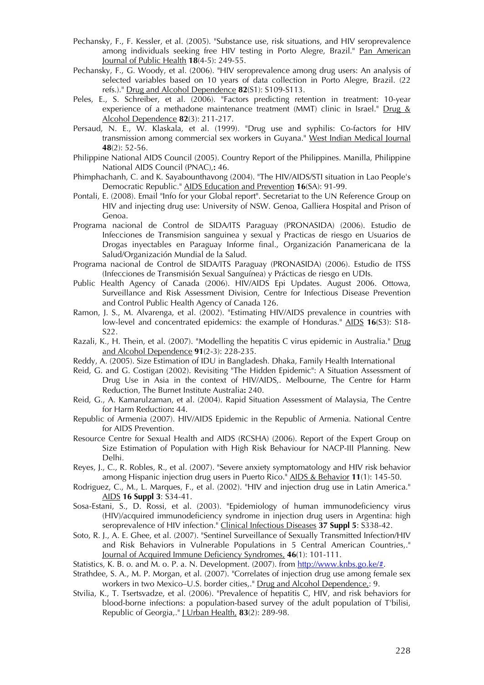- Pechansky, F., F. Kessler, et al. (2005). "Substance use, risk situations, and HIV seroprevalence among individuals seeking free HIV testing in Porto Alegre, Brazil." Pan American Journal of Public Health **18**(4-5): 249-55.
- Pechansky, F., G. Woody, et al. (2006). "HIV seroprevalence among drug users: An analysis of selected variables based on 10 years of data collection in Porto Alegre, Brazil. (22 refs.)." Drug and Alcohol Dependence **82**(S1): S109-S113.
- Peles, E., S. Schreiber, et al. (2006). "Factors predicting retention in treatment: 10-year experience of a methadone maintenance treatment (MMT) clinic in Israel." Drug & Alcohol Dependence **82**(3): 211-217.
- Persaud, N. E., W. Klaskala, et al. (1999). "Drug use and syphilis: Co-factors for HIV transmission among commercial sex workers in Guyana." West Indian Medical Journal **48**(2): 52-56.
- Philippine National AIDS Council (2005). Country Report of the Philippines. Manilla, Philippine National AIDS Council (PNAC),**:** 46.
- Phimphachanh, C. and K. Sayabounthavong (2004). "The HIV/AIDS/STI situation in Lao People's Democratic Republic." AIDS Education and Prevention **16**(SA): 91-99.
- Pontali, E. (2008). Email "Info for your Global report". Secretariat to the UN Reference Group on HIV and injecting drug use: University of NSW. Genoa, Galliera Hospital and Prison of Genoa.
- Programa nacional de Control de SIDA/ITS Paraguay (PRONASIDA) (2006). Estudio de Infecciones de Transmision sanguinea y sexual y Practicas de riesgo en Usuarios de Drogas inyectables en Paraguay Informe final., Organización Panamericana de la Salud/Organización Mundial de la Salud.
- Programa nacional de Control de SIDA/ITS Paraguay (PRONASIDA) (2006). Estudio de ITSS (Infecciones de Transmisión Sexual Sanguínea) y Prácticas de riesgo en UDIs.
- Public Health Agency of Canada (2006). HIV/AIDS Epi Updates. August 2006. Ottowa, Surveillance and Risk Assessment Division, Centre for Infectious Disease Prevention and Control Public Health Agency of Canada 126.
- Ramon, J. S., M. Alvarenga, et al. (2002). "Estimating HIV/AIDS prevalence in countries with low-level and concentrated epidemics: the example of Honduras." AIDS **16**(S3): S18- S22.
- Razali, K., H. Thein, et al. (2007). "Modelling the hepatitis C virus epidemic in Australia." Drug and Alcohol Dependence **91**(2-3): 228-235.
- Reddy, A. (2005). Size Estimation of IDU in Bangladesh. Dhaka, Family Health International
- Reid, G. and G. Costigan (2002). Revisiting "The Hidden Epidemic": A Situation Assessment of Drug Use in Asia in the context of HIV/AIDS,. Melbourne, The Centre for Harm Reduction, The Burnet Institute Australia**:** 240.
- Reid, G., A. Kamarulzaman, et al. (2004). Rapid Situation Assessment of Malaysia, The Centre for Harm Reduction**:** 44.
- Republic of Armenia (2007). HIV/AIDS Epidemic in the Republic of Armenia. National Centre for AIDS Prevention.
- Resource Centre for Sexual Health and AIDS (RCSHA) (2006). Report of the Expert Group on Size Estimation of Population with High Risk Behaviour for NACP-III Planning. New Delhi.
- Reyes, J., C., R. Robles, R., et al. (2007). "Severe anxiety symptomatology and HIV risk behavior among Hispanic injection drug users in Puerto Rico." AIDS & Behavior **11**(1): 145-50.
- Rodriguez, C., M., L. Marques, F., et al. (2002). "HIV and injection drug use in Latin America." AIDS **16 Suppl 3**: S34-41.
- Sosa-Estani, S., D. Rossi, et al. (2003). "Epidemiology of human immunodeficiency virus (HIV)/acquired immunodeficiency syndrome in injection drug users in Argentina: high seroprevalence of HIV infection." Clinical Infectious Diseases **37 Suppl 5**: S338-42.
- Soto, R. J., A. E. Ghee, et al. (2007). "Sentinel Surveillance of Sexually Transmitted Infection/HIV and Risk Behaviors in Vulnerable Populations in 5 Central American Countries,." Journal of Acquired Immune Deficiency Syndromes, **46**(1): 101-111.
- Statistics, K. B. o. and M. o. P. a. N. Development. (2007). from http://www.knbs.go.ke/#.
- Strathdee, S. A., M. P. Morgan, et al. (2007). "Correlates of injection drug use among female sex workers in two Mexico–U.S. border cities,." Drug and Alcohol Dependence,: 9.
- Stvilia, K., T. Tsertsvadze, et al. (2006). "Prevalence of hepatitis C, HIV, and risk behaviors for blood-borne infections: a population-based survey of the adult population of T'bilisi, Republic of Georgia,." J Urban Health, **83**(2): 289-98.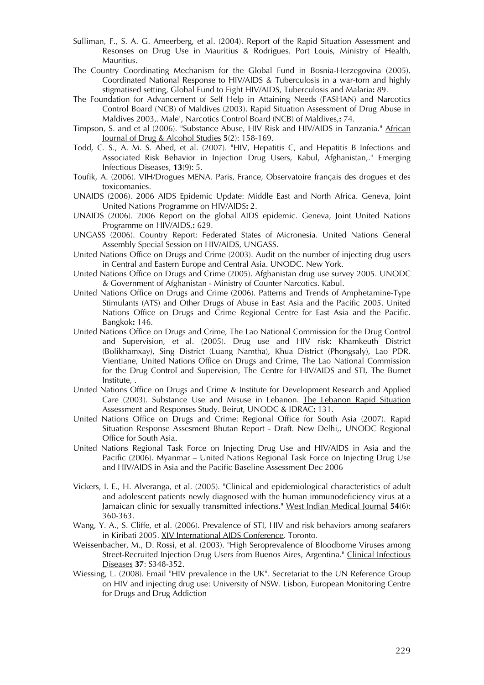- Sulliman, F., S. A. G. Ameerberg, et al. (2004). Report of the Rapid Situation Assessment and Resonses on Drug Use in Mauritius & Rodrigues. Port Louis, Ministry of Health, Mauritius.
- The Country Coordinating Mechanism for the Global Fund in Bosnia-Herzegovina (2005). Coordinated National Response to HIV/AIDS & Tuberculosis in a war-torn and highly stigmatised setting, Global Fund to Fight HIV/AIDS, Tuberculosis and Malaria**:** 89.
- The Foundation for Advancement of Self Help in Attaining Needs (FASHAN) and Narcotics Control Board (NCB) of Maldives (2003). Rapid Situation Assessment of Drug Abuse in Maldives 2003,. Male', Narcotics Control Board (NCB) of Maldives,**:** 74.
- Timpson, S. and et al (2006). "Substance Abuse, HIV Risk and HIV/AIDS in Tanzania." African Journal of Drug & Alcohol Studies **5**(2): 158-169.
- Todd, C. S., A. M. S. Abed, et al. (2007). "HIV, Hepatitis C, and Hepatitis B Infections and Associated Risk Behavior in Injection Drug Users, Kabul, Afghanistan,." Emerging Infectious Diseases, **13**(9): 5.
- Toufik, A. (2006). VIH/Drogues MENA. Paris, France, Observatoire français des drogues et des toxicomanies.
- UNAIDS (2006). 2006 AIDS Epidemic Update: Middle East and North Africa. Geneva, Joint United Nations Programme on HIV/AIDS**:** 2.
- UNAIDS (2006). 2006 Report on the global AIDS epidemic. Geneva, Joint United Nations Programme on HIV/AIDS,**:** 629.
- UNGASS (2006). Country Report: Federated States of Micronesia. United Nations General Assembly Special Session on HIV/AIDS, UNGASS.
- United Nations Office on Drugs and Crime (2003). Audit on the number of injecting drug users in Central and Eastern Europe and Central Asia. UNODC. New York.
- United Nations Office on Drugs and Crime (2005). Afghanistan drug use survey 2005. UNODC & Government of Afghanistan - Ministry of Counter Narcotics. Kabul.
- United Nations Office on Drugs and Crime (2006). Patterns and Trends of Amphetamine-Type Stimulants (ATS) and Other Drugs of Abuse in East Asia and the Pacific 2005. United Nations Office on Drugs and Crime Regional Centre for East Asia and the Pacific. Bangkok**:** 146.
- United Nations Office on Drugs and Crime, The Lao National Commission for the Drug Control and Supervision, et al. (2005). Drug use and HIV risk: Khamkeuth District (Bolikhamxay), Sing District (Luang Namtha), Khua District (Phongsaly), Lao PDR. Vientiane, United Nations Office on Drugs and Crime, The Lao National Commission for the Drug Control and Supervision, The Centre for HIV/AIDS and STI, The Burnet Institute, .
- United Nations Office on Drugs and Crime & Institute for Development Research and Applied Care (2003). Substance Use and Misuse in Lebanon. The Lebanon Rapid Situation Assessment and Responses Study. Beirut, UNODC & IDRAC**:** 131.
- United Nations Office on Drugs and Crime: Regional Office for South Asia (2007). Rapid Situation Response Assesment Bhutan Report - Draft. New Delhi,, UNODC Regional Office for South Asia.
- United Nations Regional Task Force on Injecting Drug Use and HIV/AIDS in Asia and the Pacific (2006). Myanmar – United Nations Regional Task Force on Injecting Drug Use and HIV/AIDS in Asia and the Pacific Baseline Assessment Dec 2006
- Vickers, I. E., H. Alveranga, et al. (2005). "Clinical and epidemiological characteristics of adult and adolescent patients newly diagnosed with the human immunodeficiency virus at a Jamaican clinic for sexually transmitted infections." West Indian Medical Journal **54**(6): 360-363.
- Wang, Y. A., S. Cliffe, et al. (2006). Prevalence of STI, HIV and risk behaviors among seafarers in Kiribati 2005. XIV International AIDS Conference. Toronto.
- Weissenbacher, M., D. Rossi, et al. (2003). "High Seroprevalence of Bloodborne Viruses among Street-Recruited Injection Drug Users from Buenos Aires, Argentina." Clinical Infectious Diseases **37**: S348-352.
- Wiessing, L. (2008). Email "HIV prevalence in the UK". Secretariat to the UN Reference Group on HIV and injecting drug use: University of NSW. Lisbon, European Monitoring Centre for Drugs and Drug Addiction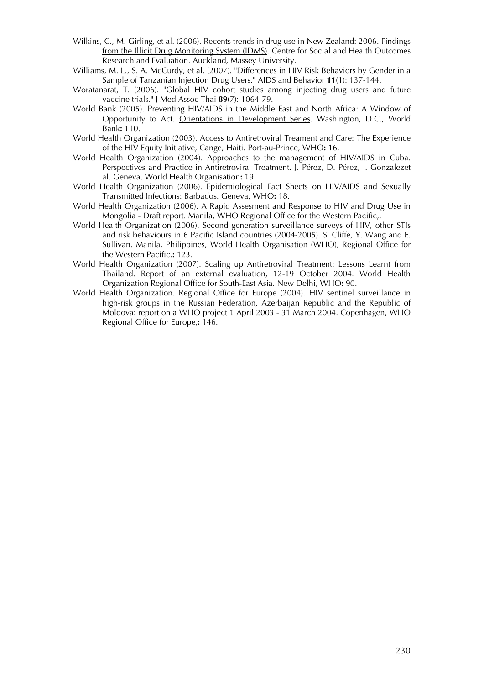- Wilkins, C., M. Girling, et al. (2006). Recents trends in drug use in New Zealand: 2006. Findings from the Illicit Drug Monitoring System (IDMS). Centre for Social and Health Outcomes Research and Evaluation. Auckland, Massey University.
- Williams, M. L., S. A. McCurdy, et al. (2007). "Differences in HIV Risk Behaviors by Gender in a Sample of Tanzanian Injection Drug Users." AIDS and Behavior **11**(1): 137-144.
- Woratanarat, T. (2006). "Global HIV cohort studies among injecting drug users and future vaccine trials." J Med Assoc Thai **89**(7): 1064-79.
- World Bank (2005). Preventing HIV/AIDS in the Middle East and North Africa: A Window of Opportunity to Act. Orientations in Development Series. Washington, D.C., World Bank**:** 110.
- World Health Organization (2003). Access to Antiretroviral Treament and Care: The Experience of the HIV Equity Initiative, Cange, Haiti. Port-au-Prince, WHO**:** 16.
- World Health Organization (2004). Approaches to the management of HIV/AIDS in Cuba. Perspectives and Practice in Antiretroviral Treatment. J. Pérez, D. Pérez, I. Gonzalezet al. Geneva, World Health Organisation**:** 19.
- World Health Organization (2006). Epidemiological Fact Sheets on HIV/AIDS and Sexually Transmitted Infections: Barbados. Geneva, WHO**:** 18.
- World Health Organization (2006). A Rapid Assesment and Response to HIV and Drug Use in Mongolia - Draft report. Manila, WHO Regional Office for the Western Pacific,.
- World Health Organization (2006). Second generation surveillance surveys of HIV, other STIs and risk behaviours in 6 Pacific Island countries (2004-2005). S. Cliffe, Y. Wang and E. Sullivan. Manila, Philippines, World Health Organisation (WHO), Regional Office for the Western Pacific.**:** 123.
- World Health Organization (2007). Scaling up Antiretroviral Treatment: Lessons Learnt from Thailand. Report of an external evaluation, 12-19 October 2004. World Health Organization Regional Office for South-East Asia. New Delhi, WHO**:** 90.
- World Health Organization. Regional Office for Europe (2004). HIV sentinel surveillance in high-risk groups in the Russian Federation, Azerbaijan Republic and the Republic of Moldova: report on a WHO project 1 April 2003 - 31 March 2004. Copenhagen, WHO Regional Office for Europe,**:** 146.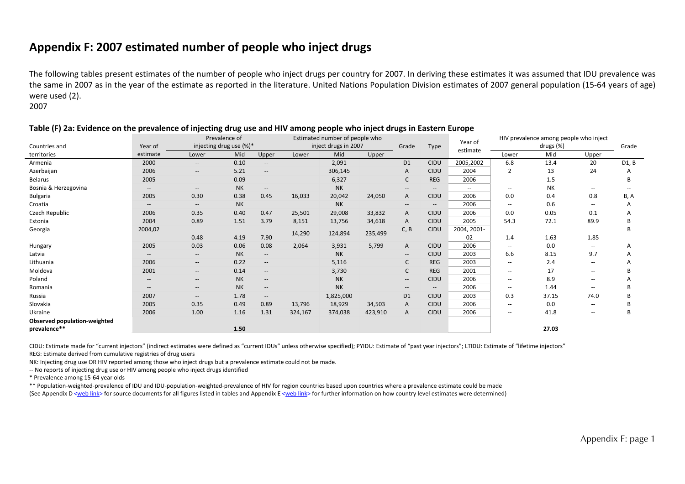## **Appendix F: 2007 estimated number of people who inject drugs**

The following tables present estimates of the number of people who inject drugs per country for 2007. In deriving these estimates it was assumed that IDU prevalence was the same in 2007 as in the year of the estimate as reported in the literature. United Nations Population Division estimates of 2007 general population (15‐64 years of age) were used (2).

2007

|                              |                                                     | Prevalence of<br>injecting drug use (%)* |           |                          | Estimated number of people who |                      |         |                                       |                          | Year of                  |                          | HIV prevalence among people who inject |                          |       |
|------------------------------|-----------------------------------------------------|------------------------------------------|-----------|--------------------------|--------------------------------|----------------------|---------|---------------------------------------|--------------------------|--------------------------|--------------------------|----------------------------------------|--------------------------|-------|
| Countries and                | Year of                                             |                                          |           |                          |                                | inject drugs in 2007 |         | Grade                                 | Type                     | estimate                 |                          | drugs (%)                              |                          | Grade |
| territories                  | estimate                                            | Lower                                    | Mid       | Upper                    | Lower                          | Mid                  | Upper   |                                       |                          |                          | Lower                    | Mid                                    | Upper                    |       |
| Armenia                      | 2000                                                | $-\!$                                    | 0.10      | $\overline{\phantom{a}}$ |                                | 2,091                |         | D <sub>1</sub>                        | <b>CIDU</b>              | 2005,2002                | 6.8                      | 13.4                                   | 20                       | D1, B |
| Azerbaijan                   | 2006                                                | $-\,$                                    | 5.21      | $\qquad \qquad -$        |                                | 306,145              |         | Α                                     | <b>CIDU</b>              | 2004                     | 2                        | 13                                     | 24                       | А     |
| Belarus                      | 2005                                                | $\overline{\phantom{a}}$                 | 0.09      | $- -$                    |                                | 6,327                |         | C                                     | <b>REG</b>               | 2006                     | $\overline{\phantom{a}}$ | 1.5                                    | $\hspace{0.05cm}$        |       |
| Bosnia & Herzegovina         | $\hspace{0.05cm} -\hspace{0.05cm} -\hspace{0.05cm}$ | $-\,$                                    | <b>NK</b> | $\qquad \qquad -$        |                                | <b>NK</b>            |         | $\overline{\phantom{a}}$              | $\hspace{0.05cm} \ldots$ | $\overline{\phantom{a}}$ | $\overline{\phantom{a}}$ | NΚ                                     | $\hspace{0.05cm} -$      |       |
| Bulgaria                     | 2005                                                | 0.30                                     | 0.38      | 0.45                     | 16,033                         | 20,042               | 24,050  | Α                                     | <b>CIDU</b>              | 2006                     | 0.0                      | 0.4                                    | 0.8                      | B, A  |
| Croatia                      | $\overline{\phantom{a}}$                            | $-\!$                                    | <b>NK</b> |                          |                                | <b>NK</b>            |         | $- -$                                 | $- -$                    | 2006                     | $\overline{\phantom{a}}$ | 0.6                                    | $\hspace{0.05cm}$        | А     |
| Czech Republic               | 2006                                                | 0.35                                     | 0.40      | 0.47                     | 25,501                         | 29,008               | 33,832  | Α                                     | <b>CIDU</b>              | 2006                     | 0.0                      | 0.05                                   | 0.1                      |       |
| Estonia                      | 2004                                                | 0.89                                     | 1.51      | 3.79                     | 8,151                          | 13,756               | 34,618  | A                                     | <b>CIDU</b>              | 2005                     | 54.3                     | 72.1                                   | 89.9                     | R     |
| Georgia                      | 2004,02                                             |                                          |           |                          | 14,290                         | 124,894              | 235,499 | C, B                                  | <b>CIDU</b>              | 2004, 2001-              |                          |                                        |                          | B     |
|                              |                                                     | 0.48                                     | 4.19      | 7.90                     |                                |                      |         |                                       |                          | 02                       | 1.4                      | 1.63                                   | 1.85                     |       |
| Hungary                      | 2005                                                | 0.03                                     | 0.06      | 0.08                     | 2,064                          | 3,931                | 5,799   | Α                                     | <b>CIDU</b>              | 2006                     | $\overline{\phantom{a}}$ | 0.0                                    | $\overline{\phantom{a}}$ | А     |
| Latvia                       |                                                     | $\hspace{0.05cm} \ldots$                 | <b>NK</b> | $--$                     |                                | <b>NK</b>            |         | $- -$                                 | <b>CIDU</b>              | 2003                     | 6.6                      | 8.15                                   | 9.7                      | А     |
| Lithuania                    | 2006                                                | $\overline{\phantom{a}}$                 | 0.22      | $--$                     |                                | 5,116                |         | C                                     | <b>REG</b>               | 2003                     | $\overline{\phantom{a}}$ | 2.4                                    | $\sim$ $\sim$            |       |
| Moldova                      | 2001                                                | $-\,$                                    | 0.14      | $--$                     |                                | 3,730                |         | C                                     | <b>REG</b>               | 2001                     | $\hspace{0.05cm} -$      | 17                                     | $\hspace{0.05cm}$        |       |
| Poland                       | $\hspace{0.1mm}-\hspace{0.1mm}-\hspace{0.1mm}$      | $-\,$                                    | <b>NK</b> | --                       |                                | <b>NK</b>            |         | $\overline{\phantom{a}}$              | <b>CIDU</b>              | 2006                     | $\overline{\phantom{a}}$ | 8.9                                    | $\hspace{0.05cm}$        |       |
| Romania                      | $\hspace{0.05cm} -\hspace{0.05cm} -\hspace{0.05cm}$ | $-\,$                                    | <b>NK</b> | $\qquad \qquad -$        |                                | <b>NK</b>            |         | $\hspace{0.05cm}$ – $\hspace{0.05cm}$ | $- -$                    | 2006                     | $\overline{\phantom{a}}$ | 1.44                                   | $\overline{\phantom{a}}$ |       |
| Russia                       | 2007                                                | $-\, -$                                  | 1.78      | $--$                     |                                | 1,825,000            |         | D <sub>1</sub>                        | <b>CIDU</b>              | 2003                     | 0.3                      | 37.15                                  | 74.0                     |       |
| Slovakia                     | 2005                                                | 0.35                                     | 0.49      | 0.89                     | 13,796                         | 18,929               | 34,503  | A                                     | <b>CIDU</b>              | 2006                     | $\overline{\phantom{a}}$ | 0.0                                    | $\overline{\phantom{a}}$ |       |
| Ukraine                      | 2006                                                | 1.00                                     | 1.16      | 1.31                     | 324,167                        | 374,038              | 423,910 | Α                                     | <b>CIDU</b>              | 2006                     | $\overline{\phantom{a}}$ | 41.8                                   | $\overline{\phantom{a}}$ | B     |
| Observed population-weighted |                                                     |                                          |           |                          |                                |                      |         |                                       |                          |                          |                          |                                        |                          |       |
| prevalence**                 |                                                     |                                          | 1.50      |                          |                                |                      |         |                                       |                          |                          |                          | 27.03                                  |                          |       |

#### Table (F) 2a: Evidence on the prevalence of injecting drug use and HIV among people who inject drugs in Eastern Europe

CIDU: Estimate made for "current injectors" (indirect estimates were defined as "current IDUs" unless otherwise specified); PYIDU: Estimate of "past year injectors"; LTIDU: Estimate of "lifetime injectors" REG: Estimate derived from cumulative registries of drug users

NK: Injecting drug use OR HIV reported among those who inject drugs but <sup>a</sup> prevalence estimate could not be made.

‐‐ No reports of injecting drug use or HIV among people who inject drugs identified

\* Prevalence among 15‐64 year olds

\*\* Population‐weighted‐prevalence of IDU and IDU‐population‐weighted‐prevalence of HIV for region countries based upon countries where <sup>a</sup> prevalence estimate could be made (See Appendix D <web link> for source documents for all figures listed in tables and Appendix E <web link> for further information on how country level estimates were determined)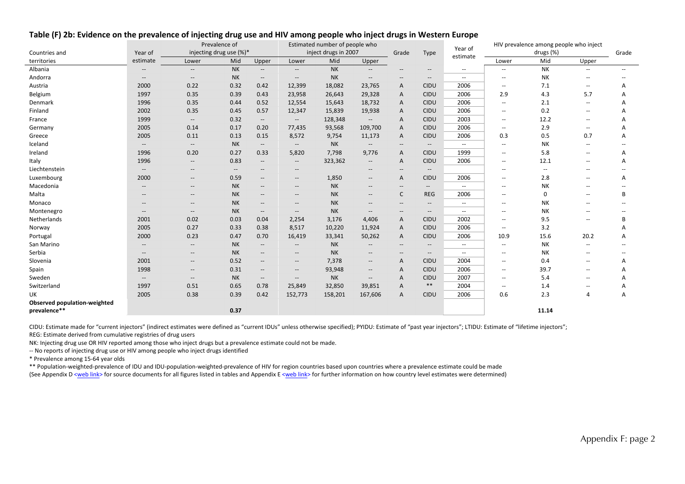|                              |                                                     | Prevalence of                                       |                          |                                                     |                                                     | Estimated number of people who |                          |                                                     | Year of                                        |                          |                                       | HIV prevalence among people who inject |                          |       |
|------------------------------|-----------------------------------------------------|-----------------------------------------------------|--------------------------|-----------------------------------------------------|-----------------------------------------------------|--------------------------------|--------------------------|-----------------------------------------------------|------------------------------------------------|--------------------------|---------------------------------------|----------------------------------------|--------------------------|-------|
| Countries and                | Year of                                             |                                                     | injecting drug use (%)*  |                                                     |                                                     | inject drugs in 2007           |                          | Grade                                               | Type                                           | estimate                 |                                       | drugs (%)                              |                          | Grade |
| territories                  | estimate                                            | Lower                                               | Mid                      | Upper                                               | Lower                                               | Mid                            | Upper                    |                                                     |                                                |                          | Lower                                 | Mid                                    | Upper                    |       |
| Albania                      |                                                     |                                                     | <b>NK</b>                | $\hspace{0.05cm} -\hspace{0.05cm} -\hspace{0.05cm}$ | $\overline{\phantom{a}}$                            | <b>NK</b>                      |                          |                                                     | $-\!$ $\!-$                                    | $\overline{\phantom{a}}$ | $\frac{1}{2}$                         | <b>NK</b>                              |                          |       |
| Andorra                      | $\qquad \qquad -$                                   | $-\!$ $\!-$                                         | <b>NK</b>                | $\qquad \qquad -$                                   | $\overline{\phantom{a}}$                            | <b>NK</b>                      | --                       | $\hspace{0.05cm}$ – $\hspace{0.05cm}$               | $-\!$ $\!-$                                    | $\overline{\phantom{a}}$ | $\overline{\phantom{a}}$              | NΚ                                     | $\overline{\phantom{a}}$ |       |
| Austria                      | 2000                                                | 0.22                                                | 0.32                     | 0.42                                                | 12,399                                              | 18,082                         | 23,765                   | Α                                                   | CIDU                                           | 2006                     | $\overline{\phantom{a}}$              | 7.1                                    | $\overline{\phantom{a}}$ | А     |
| Belgium                      | 1997                                                | 0.35                                                | 0.39                     | 0.43                                                | 23,958                                              | 26,643                         | 29,328                   | A                                                   | CIDU                                           | 2006                     | 2.9                                   | 4.3                                    | 5.7                      | А     |
| Denmark                      | 1996                                                | 0.35                                                | 0.44                     | 0.52                                                | 12,554                                              | 15,643                         | 18,732                   | A                                                   | CIDU                                           | 2006                     | $\overline{\phantom{a}}$              | 2.1                                    | $\sim$                   | A     |
| Finland                      | 2002                                                | 0.35                                                | 0.45                     | 0.57                                                | 12,347                                              | 15,839                         | 19,938                   | A                                                   | CIDU                                           | 2006                     | $\overline{\phantom{a}}$              | 0.2                                    | $\sim$                   |       |
| France                       | 1999                                                | $\hspace{0.05cm} \ldots$                            | 0.32                     | $--$                                                | $\overline{\phantom{a}}$                            | 128,348                        | $\overline{\phantom{a}}$ | A                                                   | CIDU                                           | 2003                     | $\overline{\phantom{a}}$              | 12.2                                   |                          |       |
| Germany                      | 2005                                                | 0.14                                                | 0.17                     | 0.20                                                | 77,435                                              | 93,568                         | 109,700                  | A                                                   | CIDU                                           | 2006                     | $\overline{\phantom{a}}$              | 2.9                                    | $\overline{\phantom{a}}$ | A     |
| Greece                       | 2005                                                | 0.11                                                | 0.13                     | 0.15                                                | 8,572                                               | 9,754                          | 11,173                   | A                                                   | <b>CIDU</b>                                    | 2006                     | 0.3                                   | 0.5                                    | 0.7                      | А     |
| Iceland                      | $\hspace{0.05cm} -\hspace{0.05cm} -\hspace{0.05cm}$ | $\hspace{0.05cm} \ldots$                            | <b>NK</b>                | $\hspace{0.05cm} \ldots$                            | $\hspace{0.05cm} \ldots$                            | <b>NK</b>                      | $- -$                    | $- -$                                               | $\overline{\phantom{a}}$                       | $\sim$ $\sim$            | $\overline{\phantom{a}}$              | NΚ                                     | $\overline{\phantom{a}}$ |       |
| Ireland                      | 1996                                                | 0.20                                                | 0.27                     | 0.33                                                | 5,820                                               | 7,798                          | 9,776                    | A                                                   | <b>CIDU</b>                                    | 1999                     | $\overline{\phantom{a}}$              | 5.8                                    | $\overline{\phantom{a}}$ | A     |
| Italy                        | 1996                                                | $- -$                                               | 0.83                     | $\qquad \qquad -$                                   | $\overline{\phantom{a}}$                            | 323,362                        | $\overline{\phantom{a}}$ | A                                                   | <b>CIDU</b>                                    | 2006                     | $\overline{\phantom{a}}$              | 12.1                                   | --                       | A     |
| Liechtenstein                | $\overline{\phantom{a}}$                            | $- -$                                               | $\overline{\phantom{a}}$ | $- -$                                               | $- -$                                               |                                | $- -$                    | $- -$                                               | $\hspace{0.1mm}-\hspace{0.1mm}-\hspace{0.1mm}$ |                          | $\overline{\phantom{a}}$              | $\overline{\phantom{a}}$               | $\sim$                   |       |
| Luxembourg                   | 2000                                                | $\hspace{0.05cm} -\hspace{0.05cm} -\hspace{0.05cm}$ | 0.59                     | $-$                                                 | $\hspace{0.05cm} -\hspace{0.05cm} -\hspace{0.05cm}$ | 1,850                          | $\qquad \qquad -$        | Α                                                   | CIDU                                           | 2006                     | $\hspace{0.05cm} -$                   | 2.8                                    |                          | Α     |
| Macedonia                    | $-$                                                 | $\overline{\phantom{a}}$                            | <b>NK</b>                | $\qquad \qquad -$                                   | $\qquad \qquad -$                                   | <b>NK</b>                      | --                       | $\overline{\phantom{a}}$                            | $- -$                                          | $\overline{\phantom{a}}$ | $\overline{\phantom{a}}$              | <b>NK</b>                              |                          |       |
| Malta                        |                                                     | $\hspace{0.05cm} -\hspace{0.05cm} -\hspace{0.05cm}$ | <b>NK</b>                | $\qquad \qquad -$                                   | $\qquad \qquad -$                                   | <b>NK</b>                      | $\overline{\phantom{a}}$ | C                                                   | <b>REG</b>                                     | 2006                     | $\overline{\phantom{a}}$              | 0                                      |                          | B     |
| Monaco                       | $-$                                                 | $\overline{\phantom{a}}$                            | <b>NK</b>                | $\overline{\phantom{a}}$                            | $\qquad \qquad -$                                   | <b>NK</b>                      | --                       | $\overline{\phantom{a}}$                            | $\overline{\phantom{a}}$                       | $\overline{\phantom{a}}$ | $\overline{\phantom{a}}$              | NΚ                                     |                          |       |
| Montenegro                   | $\qquad \qquad -$                                   | $- -$                                               | <b>NK</b>                | $\qquad \qquad -$                                   | $\overline{\phantom{a}}$                            | <b>NK</b>                      | $\overline{\phantom{a}}$ | $\hspace{0.05cm} -\hspace{0.05cm} -\hspace{0.05cm}$ | $- -$                                          | $\overline{\phantom{a}}$ | $\overline{\phantom{a}}$              | NΚ                                     | $\overline{\phantom{a}}$ |       |
| Netherlands                  | 2001                                                | 0.02                                                | 0.03                     | 0.04                                                | 2,254                                               | 3,176                          | 4,406                    | Α                                                   | CIDU                                           | 2002                     | $\overline{\phantom{a}}$              | 9.5                                    | $\overline{\phantom{a}}$ | B     |
| Norway                       | 2005                                                | 0.27                                                | 0.33                     | 0.38                                                | 8,517                                               | 10,220                         | 11,924                   | A                                                   | CIDU                                           | 2006                     | $\overline{\phantom{a}}$              | 3.2                                    |                          |       |
| Portugal                     | 2000                                                | 0.23                                                | 0.47                     | 0.70                                                | 16,419                                              | 33,341                         | 50,262                   | A                                                   | <b>CIDU</b>                                    | 2006                     | 10.9                                  | 15.6                                   | 20.2                     | А     |
| San Marino                   | $- -$                                               | $-$                                                 | <b>NK</b>                | $- -$                                               | $- -$                                               | <b>NK</b>                      | $- -$                    | $-$                                                 | $-$                                            | $\overline{\phantom{a}}$ | $\sim$                                | NK                                     |                          |       |
| Serbia                       | $\overline{\phantom{a}}$                            | $- -$                                               | <b>NK</b>                | $\qquad \qquad -$                                   | $\qquad \qquad -$                                   | <b>NK</b>                      | $\overline{\phantom{a}}$ | $\overline{\phantom{a}}$                            | $-\!$ –                                        | $\overline{\phantom{a}}$ | $\hspace{0.05cm}$ – $\hspace{0.05cm}$ | NΚ                                     | $\overline{\phantom{a}}$ |       |
| Slovenia                     | 2001                                                | $\overline{\phantom{a}}$                            | 0.52                     | $\overline{\phantom{a}}$                            | $\overline{\phantom{a}}$                            | 7,378                          | $\overline{\phantom{a}}$ | Α                                                   | CIDU                                           | 2004                     | $\overline{\phantom{a}}$              | 0.4                                    | $\overline{\phantom{a}}$ | Α     |
| Spain                        | 1998                                                | $\overline{\phantom{a}}$                            | 0.31                     | $\overline{\phantom{a}}$                            | $-\!$ –                                             | 93,948                         | $\overline{\phantom{a}}$ | Α                                                   | <b>CIDU</b>                                    | 2006                     | $\overline{\phantom{a}}$              | 39.7                                   | --                       | А     |
| Sweden                       | $\overline{\phantom{a}}$                            | $\hspace{0.05cm} \ldots$                            | <b>NK</b>                | $\hspace{0.05cm} \ldots$                            | $\overline{\phantom{a}}$                            | <b>NK</b>                      | $\overline{\phantom{a}}$ | Α                                                   | <b>CIDU</b>                                    | 2007                     | $\overline{\phantom{a}}$              | 5.4                                    | $\overline{\phantom{a}}$ | A     |
| Switzerland                  | 1997                                                | 0.51                                                | 0.65                     | 0.78                                                | 25,849                                              | 32,850                         | 39,851                   | A                                                   | $***$                                          | 2004                     | $\overline{\phantom{a}}$              | 1.4                                    |                          |       |
| UK                           | 2005                                                | 0.38                                                | 0.39                     | 0.42                                                | 152,773                                             | 158,201                        | 167,606                  | A                                                   | <b>CIDU</b>                                    | 2006                     | 0.6                                   | 2.3                                    | $\overline{4}$           | Α     |
| Observed population-weighted |                                                     |                                                     |                          |                                                     |                                                     |                                |                          |                                                     |                                                |                          |                                       |                                        |                          |       |
| prevalence**                 |                                                     |                                                     | 0.37                     |                                                     |                                                     |                                |                          |                                                     |                                                |                          |                                       | 11.14                                  |                          |       |

#### Table (F) 2b: Evidence on the prevalence of injecting drug use and HIV among people who inject drugs in Western Europe

CIDU: Estimate made for "current injectors" (indirect estimates were defined as "current IDUs" unless otherwise specified); PYIDU: Estimate of "past year injectors"; LTIDU: Estimate of "lifetime injectors";

REG: Estimate derived from cumulative registries of drug users

NK: Injecting drug use OR HIV reported among those who inject drugs but <sup>a</sup> prevalence estimate could not be made.

‐‐ No reports of injecting drug use or HIV among people who inject drugs identified

\* Prevalence among 15‐64 year olds

\*\* Population‐weighted‐prevalence of IDU and IDU‐population‐weighted‐prevalence of HIV for region countries based upon countries where <sup>a</sup> prevalence estimate could be made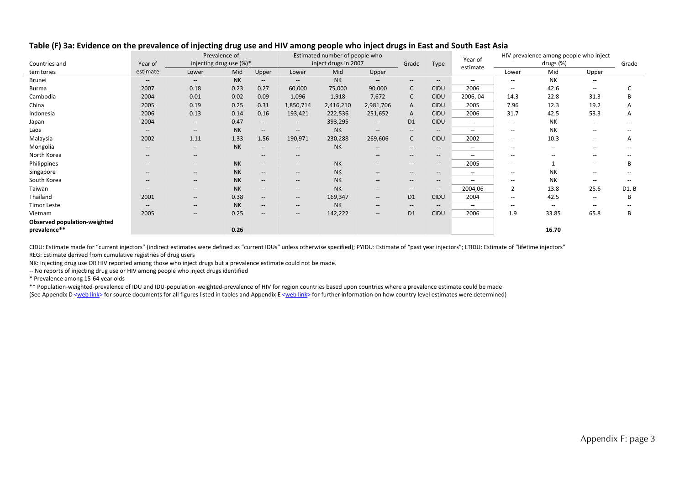|                              |                                                     | Prevalence of                                       |           |                                                     | Estimated number of people who                      |                      |                                                     |                          |                                                     | Year of                  |                                                | HIV prevalence among people who inject |                                                     |                                       |
|------------------------------|-----------------------------------------------------|-----------------------------------------------------|-----------|-----------------------------------------------------|-----------------------------------------------------|----------------------|-----------------------------------------------------|--------------------------|-----------------------------------------------------|--------------------------|------------------------------------------------|----------------------------------------|-----------------------------------------------------|---------------------------------------|
| Countries and                | Year of                                             | injecting drug use (%)*                             |           |                                                     |                                                     | inject drugs in 2007 |                                                     | Grade                    | Type                                                | estimate                 |                                                | drugs (%)                              |                                                     | Grade                                 |
| territories                  | estimate                                            | Lower                                               | Mid       | Upper                                               | Lower                                               | Mid                  | Upper                                               |                          |                                                     |                          | Lower                                          | Mid                                    | Upper                                               |                                       |
| <b>Brunei</b>                | $\hspace{0.05cm} -\hspace{0.05cm} -\hspace{0.05cm}$ | $\hspace{0.05cm} -\hspace{0.05cm} -\hspace{0.05cm}$ | <b>NK</b> | $--$                                                | $-\!$ –                                             | <b>NK</b>            | $\hspace{0.05cm} \ldots$                            | $\overline{\phantom{a}}$ | $\hspace{0.05cm} -\hspace{0.05cm} -\hspace{0.05cm}$ | $\sim$ $\sim$            | $\overline{\phantom{a}}$                       | <b>NK</b>                              | $\overline{\phantom{a}}$                            |                                       |
| <b>Burma</b>                 | 2007                                                | 0.18                                                | 0.23      | 0.27                                                | 60,000                                              | 75,000               | 90,000                                              | C                        | CIDU                                                | 2006                     | $\hspace{0.1mm}-\hspace{0.1mm}-\hspace{0.1mm}$ | 42.6                                   | $\overline{\phantom{a}}$                            | C                                     |
| Cambodia                     | 2004                                                | 0.01                                                | 0.02      | 0.09                                                | 1,096                                               | 1,918                | 7,672                                               | C                        | <b>CIDU</b>                                         | 2006, 04                 | 14.3                                           | 22.8                                   | 31.3                                                | B                                     |
| China                        | 2005                                                | 0.19                                                | 0.25      | 0.31                                                | 1,850,714                                           | 2,416,210            | 2,981,706                                           | A                        | CIDU                                                | 2005                     | 7.96                                           | 12.3                                   | 19.2                                                | A                                     |
| Indonesia                    | 2006                                                | 0.13                                                | 0.14      | 0.16                                                | 193,421                                             | 222,536              | 251,652                                             | A                        | CIDU                                                | 2006                     | 31.7                                           | 42.5                                   | 53.3                                                | Α                                     |
| Japan                        | 2004                                                | $\hspace{0.05cm}$ – $\hspace{0.05cm}$               | 0.47      | $\hspace{0.05cm}$ – $\hspace{0.05cm}$               | $\hspace{0.05cm} -\hspace{0.05cm} -\hspace{0.05cm}$ | 393,295              | $\hspace{0.05cm} \cdots$                            | D <sub>1</sub>           | CIDU                                                | $\overline{\phantom{a}}$ | $\hspace{0.1mm}-\hspace{0.1mm}-\hspace{0.1mm}$ | NΚ                                     | $\overline{\phantom{a}}$                            | $\hspace{0.05cm}$ – $\hspace{0.05cm}$ |
| Laos                         | --                                                  | $\hspace{0.05cm} -\hspace{0.05cm} -\hspace{0.05cm}$ | <b>NK</b> | $\hspace{0.05cm} -\hspace{0.05cm} -\hspace{0.05cm}$ | $\hspace{0.05cm} -\hspace{0.05cm} -\hspace{0.05cm}$ | <b>NK</b>            | $\hspace{0.05cm} -\hspace{0.05cm} -\hspace{0.05cm}$ | $--$                     | $\hspace{0.05cm} -\hspace{0.05cm} -\hspace{0.05cm}$ | $\hspace{0.05cm} -$      | $\sim$                                         | NΚ                                     | $\hspace{0.05cm} -\hspace{0.05cm} -\hspace{0.05cm}$ | --                                    |
| Malaysia                     | 2002                                                | 1.11                                                | 1.33      | 1.56                                                | 190,971                                             | 230,288              | 269,606                                             | C                        | CIDU                                                | 2002                     | $\hspace{0.1mm}-\hspace{0.1mm}-\hspace{0.1mm}$ | 10.3                                   | $\hspace{0.05cm} -\hspace{0.05cm} -\hspace{0.05cm}$ | A                                     |
| Mongolia                     | --                                                  | $\sim$                                              | <b>NK</b> | $\hspace{0.05cm} -\hspace{0.05cm} -\hspace{0.05cm}$ | $\hspace{0.05cm} -\hspace{0.05cm} -\hspace{0.05cm}$ | <b>NK</b>            | $\qquad \qquad -$                                   | $- -$                    | $- -$                                               | $\overline{\phantom{a}}$ | $\sim$                                         | $\hspace{0.05cm}$                      | $\hspace{0.05cm} -\hspace{0.05cm} -\hspace{0.05cm}$ | $\qquad \qquad -$                     |
| North Korea                  | --                                                  | $\hspace{0.05cm}$ – $\hspace{0.05cm}$               |           | $\hspace{0.05cm}$ – $\hspace{0.05cm}$               | $\overline{\phantom{a}}$                            |                      | $\qquad \qquad -$                                   | $- -$                    | $\hspace{0.05cm} -\hspace{0.05cm} -\hspace{0.05cm}$ | $\overline{\phantom{a}}$ | $\hspace{0.1mm}-\hspace{0.1mm}-\hspace{0.1mm}$ | --                                     | $\hspace{0.05cm} -\hspace{0.05cm} -\hspace{0.05cm}$ | $\qquad \qquad -$                     |
| Philippines                  | --                                                  | $- -$                                               | <b>NK</b> | --                                                  | $\hspace{0.05cm} -\hspace{0.05cm} -\hspace{0.05cm}$ | <b>NK</b>            | $\qquad \qquad -$                                   | $--$                     | $\hspace{0.05cm} -\hspace{0.05cm} -\hspace{0.05cm}$ | 2005                     | $\sim$                                         |                                        | $\overline{a}$                                      | B                                     |
| Singapore                    | --                                                  | $- -$                                               | <b>NK</b> | $--$                                                | $\hspace{0.05cm} -\hspace{0.05cm} -\hspace{0.05cm}$ | <b>NK</b>            | $\qquad \qquad -$                                   | $- -$                    | $\hspace{0.05cm}$ – $\hspace{0.05cm}$               | $\overline{\phantom{a}}$ | $\hspace{0.1mm}-\hspace{0.1mm}-\hspace{0.1mm}$ | NΚ                                     | $\overline{\phantom{a}}$                            | $\qquad \qquad -$                     |
| South Korea                  | --                                                  | $- -$                                               | <b>NK</b> | --                                                  | $\hspace{0.05cm} -\hspace{0.05cm} -\hspace{0.05cm}$ | <b>NK</b>            | $\qquad \qquad -$                                   | $--$                     | $\hspace{0.05cm}$ – $\hspace{0.05cm}$               | $\overline{\phantom{a}}$ | $\sim$                                         | <b>NK</b>                              | $\overline{\phantom{a}}$                            | $\qquad \qquad -$                     |
| Taiwan                       | $- -$                                               | $\hspace{0.05cm} -\hspace{0.05cm} -\hspace{0.05cm}$ | <b>NK</b> | --                                                  | $\hspace{0.05cm} \ldots$                            | <b>NK</b>            | $\hspace{0.05cm} -\hspace{0.05cm} -\hspace{0.05cm}$ | $- -$                    | $\hspace{0.05cm} -\hspace{0.05cm} -\hspace{0.05cm}$ | 2004,06                  | $\overline{2}$                                 | 13.8                                   | 25.6                                                | D1, B                                 |
| Thailand                     | 2001                                                | $\hspace{0.05cm} -\hspace{0.05cm} -\hspace{0.05cm}$ | 0.38      | $--$                                                | $--$                                                | 169,347              | $\hspace{0.05cm} \ldots$                            | D <sub>1</sub>           | <b>CIDU</b>                                         | 2004                     | $\sim$                                         | 42.5                                   | $\hspace{0.05cm} -\hspace{0.05cm} -\hspace{0.05cm}$ | B                                     |
| <b>Timor Leste</b>           | --                                                  | $\overline{\phantom{a}}$                            | <b>NK</b> | $--$                                                | $\hspace{0.05cm} -\hspace{0.05cm} -\hspace{0.05cm}$ | <b>NK</b>            | $\qquad \qquad -$                                   | $- -$                    | $\hspace{0.05cm}$ – $\hspace{0.05cm}$               | $\overline{\phantom{a}}$ | $\overline{\phantom{a}}$                       | --                                     | --                                                  |                                       |
| Vietnam                      | 2005                                                | $\hspace{0.05cm} \cdots$                            | 0.25      | --                                                  | $-\!$ $\!-$                                         | 142,222              | $\qquad \qquad -$                                   | D <sub>1</sub>           | CIDU                                                | 2006                     | 1.9                                            | 33.85                                  | 65.8                                                | В                                     |
| Observed population-weighted |                                                     |                                                     |           |                                                     |                                                     |                      |                                                     |                          |                                                     |                          |                                                |                                        |                                                     |                                       |
| prevalence**                 |                                                     |                                                     | 0.26      |                                                     |                                                     |                      |                                                     |                          |                                                     |                          |                                                | 16.70                                  |                                                     |                                       |

#### Table (F) 3a: Evidence on the prevalence of injecting drug use and HIV among people who inject drugs in East and South East Asia

CIDU: Estimate made for "current injectors" (indirect estimates were defined as "current IDUs" unless otherwise specified); PYIDU: Estimate of "past year injectors"; LTIDU: Estimate of "lifetime injectors" REG: Estimate derived from cumulative registries of drug users

NK: Injecting drug use OR HIV reported among those who inject drugs but <sup>a</sup> prevalence estimate could not be made.

‐‐ No reports of injecting drug use or HIV among people who inject drugs identified

\* Prevalence among 15‐64 year olds

\*\* Population‐weighted‐prevalence of IDU and IDU‐population‐weighted‐prevalence of HIV for region countries based upon countries where <sup>a</sup> prevalence estimate could be made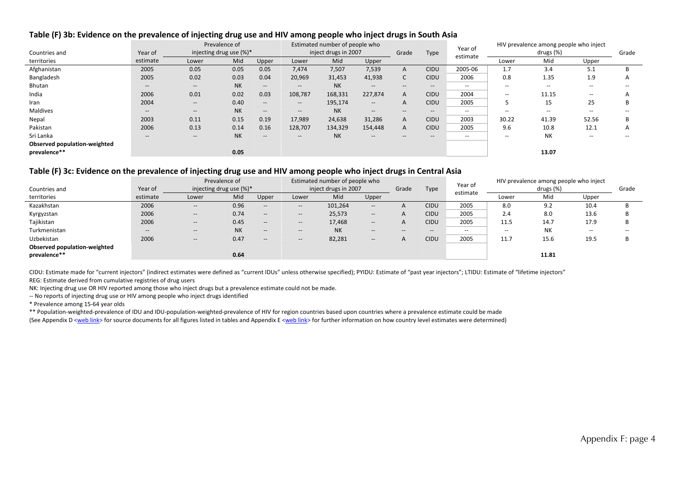### Table (F) 3b: Evidence on the prevalence of injecting drug use and HIV among people who inject drugs in South Asia

|                              |          |       | Prevalence of               | Estimated number of people who                      |                                       |           |                                                |       | Year of     |                          | HIV prevalence among people who inject |                          |                          |              |
|------------------------------|----------|-------|-----------------------------|-----------------------------------------------------|---------------------------------------|-----------|------------------------------------------------|-------|-------------|--------------------------|----------------------------------------|--------------------------|--------------------------|--------------|
| Countries and                | Year of  |       | injecting drug use $(\%)^*$ |                                                     | inject drugs in 2007                  |           |                                                | Grade | Type        | estimate                 |                                        | drugs (%)                |                          | Grade        |
| territories                  | estimate | Lower | Mid                         | Upper                                               | Lower                                 | Mid       | Upper                                          |       |             |                          | Lower                                  | Mid                      | Upper                    |              |
| Afghanistan                  | 2005     | 0.05  | 0.05                        | 0.05                                                | 7,474                                 | 7,507     | 7,539                                          | A     | <b>CIDU</b> | 2005-06                  | 1.7                                    | 3.4                      | 5.1                      |              |
| Bangladesh                   | 2005     | 0.02  | 0.03                        | 0.04                                                | 20,969                                | 31,453    | 41,938                                         | C.    | <b>CIDU</b> | 2006                     | 0.8                                    | 1.35                     | 1.9                      | $\mathsf{A}$ |
| Bhutan                       | $- -$    | $- -$ | <b>NK</b>                   | $\hspace{0.05cm} -\hspace{0.05cm} -\hspace{0.05cm}$ | $\hspace{0.05cm}$ – $\hspace{0.05cm}$ | <b>NK</b> | $\overline{\phantom{a}}$                       | $--$  | $--$        | $\overline{\phantom{m}}$ | $\sim$ $\sim$                          | $\overline{\phantom{a}}$ | --                       |              |
| India                        | 2006     | 0.01  | 0.02                        | 0.03                                                | 108,787                               | 168,331   | 227,874                                        | A     | <b>CIDU</b> | 2004                     | $\overline{\phantom{a}}$               | 11.15                    | $\overline{\phantom{a}}$ |              |
| Iran                         | 2004     | $- -$ | 0.40                        | $\overline{\phantom{a}}$                            | $--$                                  | 195,174   | $- -$                                          | A     | <b>CIDU</b> | 2005                     | 5                                      | 15                       | 25                       |              |
| Maldives                     | $- -$    | $- -$ | <b>NK</b>                   | $\overline{\phantom{a}}$                            | $- -$                                 | <b>NK</b> | $\hspace{0.1mm}-\hspace{0.1mm}-\hspace{0.1mm}$ | $- -$ | $- -$       | $- -$                    | $- -$                                  | $- -$                    | --                       |              |
| Nepal                        | 2003     | 0.11  | 0.15                        | 0.19                                                | 17,989                                | 24,638    | 31,286                                         | A     | <b>CIDU</b> | 2003                     | 30.22                                  | 41.39                    | 52.56                    |              |
| Pakistan                     | 2006     | 0.13  | 0.14                        | 0.16                                                | 128,707                               | 134,329   | 154,448                                        | A     | <b>CIDU</b> | 2005                     | 9.6                                    | 10.8                     | 12.1                     | $\mathsf{A}$ |
| Sri Lanka                    | $- -$    | $- -$ | <b>NK</b>                   | $\overline{\phantom{a}}$                            | $\hspace{0.05cm}$ – $\hspace{0.05cm}$ | <b>NK</b> | $\hspace{0.1mm}-\hspace{0.1mm}-\hspace{0.1mm}$ | $- -$ | $--$        | $\overline{\phantom{m}}$ | $\overline{\phantom{m}}$               | <b>NK</b>                | $\overline{\phantom{a}}$ | --           |
| Observed population-weighted |          |       |                             |                                                     |                                       |           |                                                |       |             |                          |                                        |                          |                          |              |
| prevalence**                 |          |       | 0.05                        |                                                     |                                       |           |                                                |       |             |                          |                                        | 13.07                    |                          |              |

#### Table (F) 3c: Evidence on the prevalence of injecting drug use and HIV among people who inject drugs in Central Asia

|                              |                                                |                             | Prevalence of |                                                     |                          | Estimated number of people who |                          |       |                          | Year of  |                          | HIV prevalence among people who inject |               |               |
|------------------------------|------------------------------------------------|-----------------------------|---------------|-----------------------------------------------------|--------------------------|--------------------------------|--------------------------|-------|--------------------------|----------|--------------------------|----------------------------------------|---------------|---------------|
| Countries and                | Year of                                        | injecting drug use $(\%)^*$ |               |                                                     |                          | inject drugs in 2007           |                          | Grade | Type                     | estimate |                          | drugs (%)                              |               | Grade         |
| territories                  | estimate                                       | Lower                       | Mid           | Upper                                               | Lower                    | Mid                            | Upper                    |       |                          |          | Lower                    | Mid                                    | Upper         |               |
| Kazakhstan                   | 2006                                           | $- -$                       | 0.96          | $\hspace{0.05cm} -\hspace{0.05cm} -\hspace{0.05cm}$ | $\hspace{0.05cm} \ldots$ | 101,264                        | $- -$                    |       | <b>CIDU</b>              | 2005     | 8.0                      | 9.2                                    | 10.4          |               |
| Kyrgyzstan                   | 2006                                           | $\hspace{0.05cm} \cdots$    | 0.74          | $\hspace{0.05cm} \cdots$                            | $- -$                    | 25,573                         | $- -$                    |       | <b>CIDU</b>              | 2005     | 2.4                      | 8.0                                    | 13.6          |               |
| Tajikistan                   | 2006                                           | $- -$                       | 0.45          | $\hspace{0.05cm} \cdots$                            | $- -$                    | 17,468                         | $- -$                    |       | <b>CIDU</b>              | 2005     | 11.5                     | 14.7                                   | 17.9          |               |
| Turkmenistan                 | $\hspace{0.1mm}-\hspace{0.1mm}-\hspace{0.1mm}$ | $-\hbox{--}$                | <b>NK</b>     | $\hspace{0.05cm} -\hspace{0.05cm} -\hspace{0.05cm}$ | $\hspace{0.05cm} \cdots$ | <b>NK</b>                      | $-\!$                    | $- -$ | $\hspace{0.05cm} \ldots$ | --       | $\overline{\phantom{a}}$ | <b>NK</b>                              | $\sim$ $\sim$ | $\sim$ $\sim$ |
| Uzbekistan                   | 2006                                           | $\overline{\phantom{a}}$    | 0.47          | $\hspace{0.05cm} -\hspace{0.05cm} -\hspace{0.05cm}$ | $\hspace{0.05cm} \cdots$ | 82,281                         | $\overline{\phantom{a}}$ |       | <b>CIDU</b>              | 2005     | 11.7                     | 15.6                                   | 19.5          |               |
| Observed population-weighted |                                                |                             |               |                                                     |                          |                                |                          |       |                          |          |                          |                                        |               |               |
| prevalence**                 |                                                |                             | 0.64          |                                                     |                          |                                |                          |       |                          |          |                          | 11.81                                  |               |               |

CIDU: Estimate made for "current injectors" (indirect estimates were defined as "current IDUs" unless otherwise specified); PYIDU: Estimate of "past year injectors"; LTIDU: Estimate of "lifetime injectors" REG: Estimate derived from cumulative registries of drug users

NK: Injecting drug use OR HIV reported among those who inject drugs but <sup>a</sup> prevalence estimate could not be made.

‐‐ No reports of injecting drug use or HIV among people who inject drugs identified

\* Prevalence among 15‐64 year olds

\*\* Population‐weighted‐prevalence of IDU and IDU‐population‐weighted‐prevalence of HIV for region countries based upon countries where <sup>a</sup> prevalence estimate could be made (See Appendix D <web link> for source documents for all figures listed in tables and Appendix E <web link> for further information on how country level estimates were determined)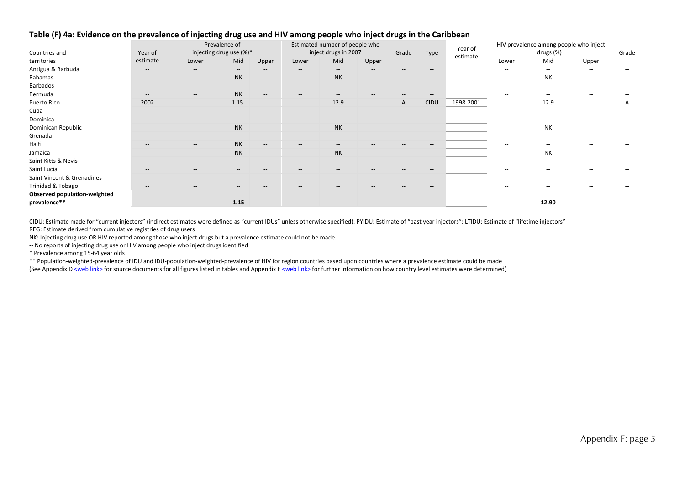|                              |                                                | Prevalence of           |                          |                                                     | Estimated number of people who |                                     |                                                                                                   |       |                          | Year of                  |                                       | HIV prevalence among people who inject |                          |                   |  |
|------------------------------|------------------------------------------------|-------------------------|--------------------------|-----------------------------------------------------|--------------------------------|-------------------------------------|---------------------------------------------------------------------------------------------------|-------|--------------------------|--------------------------|---------------------------------------|----------------------------------------|--------------------------|-------------------|--|
| Countries and                | Year of                                        | injecting drug use (%)* |                          |                                                     |                                | inject drugs in 2007                |                                                                                                   | Grade | Type                     | estimate                 |                                       | drugs (%)                              |                          | Grade             |  |
| territories                  | estimate                                       | Lower                   | Mid                      | Upper                                               | Lower                          | Mid                                 | Upper                                                                                             |       |                          |                          | Lower                                 | Mid                                    | Upper                    |                   |  |
| Antigua & Barbuda            | $\hspace{0.1mm}-\hspace{0.1mm}-\hspace{0.1mm}$ | $-\!$                   | $\qquad \qquad -$        | $\qquad \qquad -$                                   | $\hspace{0.05cm} \ldots$       | $- -$                               | $- -$                                                                                             | $-$   | $- -$                    |                          | $\overline{\phantom{a}}$              | $\overline{\phantom{a}}$               | $-$                      | $\qquad \qquad -$ |  |
| Bahamas                      | $\hspace{0.1mm}-\hspace{0.1mm}-\hspace{0.1mm}$ | $--$                    | <b>NK</b>                | $\hspace{0.05cm} -\hspace{0.05cm} -\hspace{0.05cm}$ | $\hspace{0.05cm} \ldots$       | <b>NK</b>                           | $\hspace{0.05cm} \ldots$                                                                          | $-\!$ | $\hspace{0.05cm}$        | $\sim$ $\sim$            | $\hspace{0.05cm}$                     | NK                                     | $\overline{\phantom{a}}$ | $\qquad \qquad -$ |  |
| Barbados                     | $\hspace{0.1mm}-\hspace{0.1mm}-\hspace{0.1mm}$ | $--$                    | $\hspace{0.05cm} \ldots$ | $--$                                                | $\hspace{0.05cm} \ldots$       | $- -$                               | $\hspace{0.05cm} \ldots$                                                                          | $-\!$ | $\hspace{0.05cm}$        |                          | $\hspace{0.05cm}$                     | $\overline{\phantom{a}}$               | $-$                      | $- -$             |  |
| Bermuda                      | $\hspace{0.1mm}-\hspace{0.1mm}-\hspace{0.1mm}$ | $- -$                   | <b>NK</b>                | $\hspace{0.05cm} -\hspace{0.05cm} -\hspace{0.05cm}$ | $- -$                          | $- -$                               | $\hspace{0.05cm} -\hspace{0.05cm} -\hspace{0.05cm}$                                               | $- -$ | $\hspace{0.05cm}$        |                          | $\hspace{0.05cm}$ – $\hspace{0.05cm}$ | $\hspace{0.05cm} -$                    | $\overline{\phantom{a}}$ | --                |  |
| Puerto Rico                  | 2002                                           | $- -$                   | 1.15                     | $--$                                                | $- -$                          | 12.9                                | $\hspace{0.05cm} \hspace{0.02cm} \hspace{0.02cm} \hspace{0.02cm} \hspace{0.02cm} \hspace{0.02cm}$ | A     | CIDU                     | 1998-2001                | $\overline{\phantom{a}}$              | 12.9                                   | $\hspace{0.05cm}$        | A                 |  |
| Cuba                         | $\hspace{0.1mm}-\hspace{0.1mm}-\hspace{0.1mm}$ | $- -$                   | $- -$                    | $-\!$                                               | $- -$                          | $- -$                               | $\hspace{0.05cm} \hspace{0.02cm} \hspace{0.02cm} \hspace{0.02cm} \hspace{0.02cm} \hspace{0.02cm}$ | $- -$ | $\overline{\phantom{a}}$ |                          | $\overline{\phantom{a}}$              | $\overline{\phantom{a}}$               | $-$                      |                   |  |
| Dominica                     | $\hspace{0.1mm}-\hspace{0.1mm}-\hspace{0.1mm}$ | $-\!$                   | $\qquad \qquad -$        | $--$                                                | $- -$                          | $- -$                               | $\overline{\phantom{a}}$                                                                          | $-\!$ | $\overline{\phantom{a}}$ |                          | $\overline{\phantom{a}}$              | $\overline{\phantom{a}}$               | $\overline{\phantom{a}}$ | $\qquad \qquad -$ |  |
| Dominican Republic           | $\hspace{0.1mm}-\hspace{0.1mm}-\hspace{0.1mm}$ | $\qquad \qquad -$       | <b>NK</b>                | $\hspace{0.05cm} -\hspace{0.05cm} -\hspace{0.05cm}$ | $\hspace{0.05cm} \ldots$       | <b>NK</b>                           | $\hspace{0.05cm} \cdots$                                                                          | $-\!$ | $\overline{\phantom{a}}$ | $\sim$ $\sim$            | $\overline{\phantom{a}}$              | NΚ                                     | $\hspace{0.05cm}$        | $\qquad \qquad -$ |  |
| Grenada                      | $\hspace{0.1mm}-\hspace{0.1mm}-\hspace{0.1mm}$ | $\qquad \qquad -$       | $\overline{\phantom{a}}$ | $--$                                                | $- -$                          | $- -$                               | $\hspace{0.05cm} -\hspace{0.05cm} -\hspace{0.05cm}$                                               | $-\!$ | $\hspace{0.05cm}$        |                          | $\hspace{0.05cm}$                     | $\overline{\phantom{a}}$               | $\overline{\phantom{a}}$ | $\qquad \qquad -$ |  |
| Haiti                        | $\hspace{0.1mm}-\hspace{0.1mm}-\hspace{0.1mm}$ | $- -$                   | <b>NK</b>                | $--$                                                | $- -$                          | $- -$                               | $\overline{\phantom{a}}$                                                                          | $-\!$ | $\overline{\phantom{a}}$ |                          | $\overline{\phantom{a}}$              | $\overline{\phantom{a}}$               | $-$                      |                   |  |
| Jamaica                      | $-$                                            | $-\!$                   | <b>NK</b>                | $--$                                                | $- -$                          | <b>NK</b>                           | $\hspace{0.05cm} -\hspace{0.05cm} -\hspace{0.05cm}$                                               | $-\!$ | $- -$                    | $\overline{\phantom{a}}$ | $\overline{\phantom{a}}$              | <b>NK</b>                              | $-$                      |                   |  |
| Saint Kitts & Nevis          | $-$                                            | $-\!$                   | $\qquad \qquad -$        | $\hspace{0.05cm} \textbf{--}$                       | $\hspace{0.05cm} \ldots$       | $\hspace{0.05cm} \cdots$            | $\hspace{0.05cm} -\hspace{0.05cm} -\hspace{0.05cm}$                                               | $-\!$ | $\hspace{0.05cm}$        |                          | $\overline{\phantom{a}}$              | $\overline{\phantom{a}}$               | $-$                      |                   |  |
| Saint Lucia                  | $\hspace{0.1mm}-\hspace{0.1mm}-\hspace{0.1mm}$ | $-\!$                   | $\qquad \qquad -$        | $\qquad \qquad -$                                   | $- -$                          | $- -$                               | $\overline{\phantom{a}}$                                                                          | $-\!$ | $\overline{\phantom{a}}$ |                          | $\overline{\phantom{a}}$              | $\overline{\phantom{a}}$               | $-$                      | $\qquad \qquad -$ |  |
| Saint Vincent & Grenadines   | $\overline{\phantom{a}}$                       | $-\!$                   | $- -$                    | $\hspace{0.05cm} \textbf{--}$                       | $- -$                          | $- -$                               | $\hspace{0.05cm} -\hspace{0.05cm} -\hspace{0.05cm}$                                               | $-\!$ | $\hspace{0.05cm}$        |                          | $\hspace{0.05cm}$                     | $\hspace{0.05cm} -$                    | $\hspace{0.05cm} -$      | $\qquad \qquad -$ |  |
| Trinidad & Tobago            | $\hspace{0.1mm}-\hspace{0.1mm}-\hspace{0.1mm}$ | $-\!$                   | $- -$                    | $-\!$                                               | $\hspace{0.05cm} \ldots$       | $\hspace{0.05cm}$ $\hspace{0.05cm}$ | $\hspace{0.05cm} -\hspace{0.05cm} -\hspace{0.05cm}$                                               | $- -$ | $\overline{\phantom{a}}$ |                          | $\overline{\phantom{a}}$              | $\overline{\phantom{a}}$               | $-$                      | $\qquad \qquad -$ |  |
| Observed population-weighted |                                                |                         |                          |                                                     |                                |                                     |                                                                                                   |       |                          |                          |                                       |                                        |                          |                   |  |
| prevalence**                 |                                                |                         | 1.15                     |                                                     |                                |                                     |                                                                                                   |       |                          |                          |                                       | 12.90                                  |                          |                   |  |

#### Table (F) 4a: Evidence on the prevalence of injecting drug use and HIV among people who inject drugs in the Caribbean

CIDU: Estimate made for "current injectors" (indirect estimates were defined as "current IDUs" unless otherwise specified); PYIDU: Estimate of "past year injectors"; LTIDU: Estimate of "lifetime injectors" REG: Estimate derived from cumulative registries of drug users

NK: Injecting drug use OR HIV reported among those who inject drugs but <sup>a</sup> prevalence estimate could not be made.

‐‐ No reports of injecting drug use or HIV among people who inject drugs identified

\* Prevalence among 15‐64 year olds

\*\* Population‐weighted‐prevalence of IDU and IDU‐population‐weighted‐prevalence of HIV for region countries based upon countries where <sup>a</sup> prevalence estimate could be made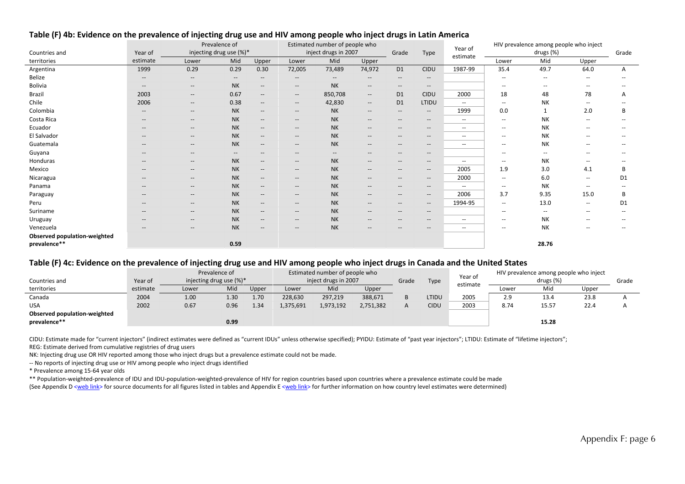|                              |                                                     | Prevalence of<br>injecting drug use (%)*                                                                          |                                                     |                                                     | Estimated number of people who                      |                          |                                                                                                                   |                                                     |                                                     | Year of                  |                          | HIV prevalence among people who inject |                          |               |
|------------------------------|-----------------------------------------------------|-------------------------------------------------------------------------------------------------------------------|-----------------------------------------------------|-----------------------------------------------------|-----------------------------------------------------|--------------------------|-------------------------------------------------------------------------------------------------------------------|-----------------------------------------------------|-----------------------------------------------------|--------------------------|--------------------------|----------------------------------------|--------------------------|---------------|
| Countries and                | Year of                                             |                                                                                                                   |                                                     |                                                     |                                                     | inject drugs in 2007     |                                                                                                                   | Grade                                               | Type                                                | estimate                 |                          | drugs (%)                              |                          | Grade         |
| territories                  | estimate                                            | Lower                                                                                                             | Mid                                                 | Upper                                               | Lower                                               | Mid                      | Upper                                                                                                             |                                                     |                                                     |                          | Lower                    | Mid                                    | Upper                    |               |
| Argentina                    | 1999                                                | 0.29                                                                                                              | 0.29                                                | 0.30                                                | 72,005                                              | 73,489                   | 74,972                                                                                                            | D <sub>1</sub>                                      | <b>CIDU</b>                                         | 1987-99                  | 35.4                     | 49.7                                   | 64.0                     | $\mathsf{A}$  |
| Belize                       | $\hspace{0.05cm}$ – $\hspace{0.05cm}$               | $\overline{\phantom{a}}$                                                                                          | $\qquad \qquad -$                                   | $\hspace{0.05cm} -\hspace{0.05cm} -\hspace{0.05cm}$ | $\hspace{0.05cm} -\hspace{0.05cm} -\hspace{0.05cm}$ | $-$                      | $\qquad \qquad -$                                                                                                 | $\overline{\phantom{a}}$                            | $\overline{\phantom{a}}$                            |                          | $\overline{\phantom{a}}$ | --                                     | $\hspace{0.05cm} -$      |               |
| Bolivia                      | $\hspace{0.05cm} -\hspace{0.05cm} -\hspace{0.05cm}$ | $\hspace{0.05cm} -\hspace{0.05cm} -\hspace{0.05cm}$                                                               | <b>NK</b>                                           | $\hspace{0.05cm} -\hspace{0.05cm} -\hspace{0.05cm}$ | $\overline{\phantom{a}}$                            | <b>NK</b>                | $- -$                                                                                                             | $-\!$ –                                             | $\overline{\phantom{a}}$                            |                          | $\overline{\phantom{a}}$ |                                        | --                       |               |
| Brazil                       | 2003                                                | $\hspace{0.05cm} -\hspace{0.05cm} -\hspace{0.05cm}$                                                               | 0.67                                                | $\overline{\phantom{a}}$                            | $- -$                                               | 850,708                  | $- -$                                                                                                             | D <sub>1</sub>                                      | <b>CIDU</b>                                         | 2000                     | 18                       | 48                                     | 78                       | A             |
| Chile                        | 2006                                                | --                                                                                                                | 0.38                                                | $\overline{\phantom{a}}$                            | $-\!$ –                                             | 42,830                   | $- -$                                                                                                             | D <sub>1</sub>                                      | LTIDU                                               | $\overline{\phantom{a}}$ | $\overline{\phantom{a}}$ | NK                                     | --                       |               |
| Colombia                     | $\hspace{0.05cm}$ – $\hspace{0.05cm}$               | $\overline{\phantom{a}}$                                                                                          | <b>NK</b>                                           | $\hspace{0.05cm} -\hspace{0.05cm} -\hspace{0.05cm}$ | $\overline{\phantom{a}}$                            | <b>NK</b>                | $\hspace{0.05cm} \hspace{0.02cm} \hspace{0.02cm} \hspace{0.02cm} \hspace{0.02cm} \hspace{0.02cm} \hspace{0.02cm}$ | $-\!$ –                                             | $\overline{\phantom{a}}$                            | 1999                     | 0.0                      |                                        | 2.0                      | В             |
| Costa Rica                   | $\hspace{0.05cm}$ – $\hspace{0.05cm}$               | $\overline{\phantom{a}}$                                                                                          | <b>NK</b>                                           | $\hspace{0.05cm} -\hspace{0.05cm} -\hspace{0.05cm}$ | $\overline{\phantom{a}}$                            | <b>NK</b>                | $- -$                                                                                                             | $\hspace{0.05cm} -\hspace{0.05cm} -\hspace{0.05cm}$ | $\hspace{0.05cm} -\hspace{0.05cm} -\hspace{0.05cm}$ | $\overline{\phantom{a}}$ | $\overline{\phantom{a}}$ | NK                                     | $\overline{\phantom{a}}$ |               |
| Ecuador                      | $-$                                                 | $\qquad \qquad -$                                                                                                 | <b>NK</b>                                           | $\overline{\phantom{a}}$                            | $\qquad \qquad -$                                   | <b>NK</b>                | $- -$                                                                                                             | $-$                                                 | $\hspace{0.05cm} -\hspace{0.05cm} -\hspace{0.05cm}$ | $\overline{\phantom{a}}$ | $\sim$ $\sim$            | <b>NK</b>                              | --                       |               |
| El Salvador                  | $\hspace{0.05cm} -\hspace{0.05cm} -\hspace{0.05cm}$ | $--$                                                                                                              | <b>NK</b>                                           | $\hspace{0.05cm} -\hspace{0.05cm} -\hspace{0.05cm}$ | $\hspace{0.05cm} -\hspace{0.05cm} -\hspace{0.05cm}$ | <b>NK</b>                | $\hspace{0.05cm} \hspace{0.02cm} \hspace{0.02cm} \hspace{0.02cm} \hspace{0.02cm} \hspace{0.02cm} \hspace{0.02cm}$ | $\overline{\phantom{a}}$                            | $\hspace{0.05cm} -\hspace{0.05cm} -\hspace{0.05cm}$ | $\overline{\phantom{a}}$ | $\sim$ $\sim$            | <b>NK</b>                              | --                       |               |
| Guatemala                    | $\hspace{0.05cm} -\hspace{0.05cm} -\hspace{0.05cm}$ | $- -$                                                                                                             | <b>NK</b>                                           | $\hspace{0.05cm} -\hspace{0.05cm} -\hspace{0.05cm}$ | $\hspace{0.05cm} -\hspace{0.05cm} -\hspace{0.05cm}$ | <b>NK</b>                | $\hspace{0.05cm} \ldots$                                                                                          | $\hspace{0.05cm} -\hspace{0.05cm} -\hspace{0.05cm}$ | $\hspace{0.05cm} -\hspace{0.05cm} -\hspace{0.05cm}$ | $\overline{\phantom{a}}$ | $\overline{\phantom{a}}$ | NK                                     | --                       |               |
| Guyana                       | $-$                                                 | $\overline{\phantom{a}}$                                                                                          | $\hspace{0.05cm} -\hspace{0.05cm} -\hspace{0.05cm}$ | --                                                  | $\qquad \qquad -$                                   | $\overline{\phantom{a}}$ | $\qquad \qquad -$                                                                                                 | $-$                                                 | $\overline{\phantom{a}}$                            |                          | $\sim$ $\sim$            | $\overline{a}$                         | --                       |               |
| Honduras                     | $-$                                                 | $\hspace{0.05cm} \hspace{0.02cm} \hspace{0.02cm} \hspace{0.02cm} \hspace{0.02cm} \hspace{0.02cm} \hspace{0.02cm}$ | <b>NK</b>                                           | $\hspace{0.05cm} \ldots$                            | $\qquad \qquad -$                                   | <b>NK</b>                | $\qquad \qquad -$                                                                                                 | $\overline{\phantom{a}}$                            | $\hspace{0.05cm} \ldots$                            | $\overline{\phantom{m}}$ | $\sim$ $\sim$            | <b>NK</b>                              | --                       |               |
| Mexico                       | $\hspace{0.05cm} -\hspace{0.05cm} -\hspace{0.05cm}$ | $- -$                                                                                                             | <b>NK</b>                                           | $\hspace{0.05cm} -\hspace{0.05cm} -\hspace{0.05cm}$ | $\hspace{0.05cm} -\hspace{0.05cm} -\hspace{0.05cm}$ | <b>NK</b>                | $\hspace{0.05cm} \ldots$                                                                                          | $\hspace{0.05cm} -\hspace{0.05cm} -\hspace{0.05cm}$ | $\overline{\phantom{a}}$                            | 2005                     | 1.9                      | 3.0                                    | 4.1                      | В             |
| Nicaragua                    | $\qquad \qquad -$                                   | $\overline{\phantom{a}}$                                                                                          | <b>NK</b>                                           | $\hspace{0.05cm} -\hspace{0.05cm} -\hspace{0.05cm}$ | $\overline{\phantom{a}}$                            | <b>NK</b>                | $- -$                                                                                                             | $\hspace{0.05cm} -\hspace{0.05cm} -\hspace{0.05cm}$ | $\overline{\phantom{a}}$                            | 2000                     | $\overline{\phantom{a}}$ | 6.0                                    | $\overline{\phantom{a}}$ | D1            |
| Panama                       | $\hspace{0.05cm} -\hspace{0.05cm} -\hspace{0.05cm}$ | $- -$                                                                                                             | <b>NK</b>                                           | $\overline{\phantom{a}}$                            | $\overline{\phantom{a}}$                            | <b>NK</b>                | $- -$                                                                                                             | $\overline{\phantom{a}}$                            | $\overline{\phantom{a}}$                            | $\overline{\phantom{a}}$ | $\overline{\phantom{a}}$ | <b>NK</b>                              | $\overline{\phantom{a}}$ |               |
| Paraguay                     | $\hspace{0.05cm} -\hspace{0.05cm} -\hspace{0.05cm}$ | $\overline{\phantom{a}}$                                                                                          | <b>NK</b>                                           | $\hspace{0.05cm} -\hspace{0.05cm} -\hspace{0.05cm}$ | $\hspace{0.05cm} -\hspace{0.05cm} -\hspace{0.05cm}$ | <b>NK</b>                | $- -$                                                                                                             | $\hspace{0.05cm} -\hspace{0.05cm} -\hspace{0.05cm}$ | $\overline{\phantom{a}}$                            | 2006                     | 3.7                      | 9.35                                   | 15.0                     |               |
| Peru                         | $\hspace{0.05cm} -\hspace{0.05cm} -\hspace{0.05cm}$ | $\overline{\phantom{a}}$                                                                                          | <b>NK</b>                                           | $\hspace{0.05cm} -\hspace{0.05cm} -\hspace{0.05cm}$ | $\hspace{0.05cm} -\hspace{0.05cm} -\hspace{0.05cm}$ | <b>NK</b>                | $- -$                                                                                                             | $-$                                                 | $\overline{\phantom{a}}$                            | 1994-95                  | $\overline{\phantom{a}}$ | 13.0                                   | $\overline{\phantom{a}}$ | D1            |
| Suriname                     | $\hspace{0.05cm} -\hspace{0.05cm} -\hspace{0.05cm}$ | $- -$                                                                                                             | <b>NK</b>                                           | $\overline{\phantom{a}}$                            | $\overline{\phantom{a}}$                            | <b>NK</b>                | $- -$                                                                                                             | $-\!$                                               | $\overline{\phantom{a}}$                            |                          | $\overline{\phantom{a}}$ | --                                     | $\overline{\phantom{a}}$ |               |
| Uruguay                      | $\hspace{0.05cm} -\hspace{0.05cm} -\hspace{0.05cm}$ | $- -$                                                                                                             | <b>NK</b>                                           | $\overline{\phantom{a}}$                            | $\qquad \qquad -$                                   | <b>NK</b>                | $- -$                                                                                                             | $\hspace{0.05cm} -\hspace{0.05cm} -\hspace{0.05cm}$ | $\hspace{0.05cm} \ldots$                            | $\overline{\phantom{a}}$ | $\overline{\phantom{a}}$ | <b>NK</b>                              | $\overline{\phantom{a}}$ | $\sim$ $\sim$ |
| Venezuela                    | $- -$                                               | $- -$                                                                                                             | <b>NK</b>                                           | $\overline{\phantom{a}}$                            | $\qquad \qquad -$                                   | <b>NK</b>                | $- -$                                                                                                             | $- -$                                               | $\overline{\phantom{a}}$                            | $\overline{\phantom{a}}$ | $\sim$ $\sim$            | NK                                     | --                       |               |
| Observed population-weighted |                                                     |                                                                                                                   |                                                     |                                                     |                                                     |                          |                                                                                                                   |                                                     |                                                     |                          |                          |                                        |                          |               |
| prevalence**                 |                                                     |                                                                                                                   | 0.59                                                |                                                     |                                                     |                          |                                                                                                                   |                                                     |                                                     |                          |                          | 28.76                                  |                          |               |

#### Table (F) 4b: Evidence on the prevalence of injecting drug use and HIV among people who inject drugs in Latin America

#### Table (F) 4c: Evidence on the prevalence of injecting drug use and HIV among people who inject drugs in Canada and the United States

|                              |          | Prevalence of               |      |       | Estimated number of people who |           |           |       |                  | Year of |           | HIV prevalence among people who inject |       |       |
|------------------------------|----------|-----------------------------|------|-------|--------------------------------|-----------|-----------|-------|------------------|---------|-----------|----------------------------------------|-------|-------|
| Countries and                | Year of  | injecting drug use $(\%)^*$ |      |       | inject drugs in 2007           |           |           | Grade | Type<br>estimate |         |           | drugs (%)                              |       | Grade |
| territories                  | estimate | Lower                       | Mid  | Upper | Lower                          | Mid       | Upper     |       |                  |         | Lower     | Mid                                    | Upper |       |
| Canada                       | 2004     | 1.00                        | 1.30 | 1.70  | 228,630                        | 297,219   | 388,671   |       | LTIDU            | 2005    | 20<br>2.J | 13.4                                   | 23.8  |       |
| <b>USA</b>                   | 2002     | 0.67                        | 0.96 | 1.34  | 1,375,691                      | 1,973,192 | 2,751,382 |       | <b>CIDU</b>      | 2003    | 8.74      | 15.57                                  | 22.4  |       |
| Observed population-weighted |          |                             |      |       |                                |           |           |       |                  |         |           |                                        |       |       |
| prevalence**                 |          |                             | 0.99 |       |                                |           |           |       |                  |         |           | 15.28                                  |       |       |

CIDU: Estimate made for "current injectors" (indirect estimates were defined as "current IDUs" unless otherwise specified); PYIDU: Estimate of "past year injectors"; LTIDU: Estimate of "lifetime injectors"; REG: Estimate derived from cumulative registries of drug users

NK: Injecting drug use OR HIV reported among those who inject drugs but <sup>a</sup> prevalence estimate could not be made.

‐‐ No reports of injecting drug use or HIV among people who inject drugs identified

\* Prevalence among 15‐64 year olds

\*\* Population‐weighted‐prevalence of IDU and IDU‐population‐weighted‐prevalence of HIV for region countries based upon countries where <sup>a</sup> prevalence estimate could be made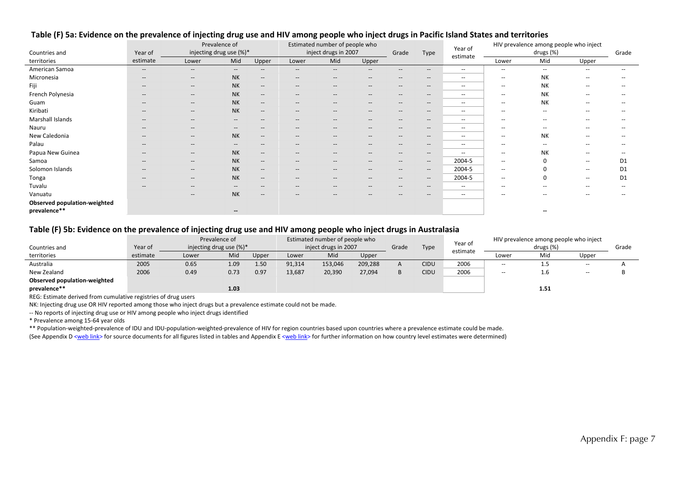|                              |                                                | Prevalence of                                       |                                                |                                                     | Estimated number of people who |                                                         |                                       |                                                     |                                                     | Year of                  |                          | HIV prevalence among people who inject |                          |                          |
|------------------------------|------------------------------------------------|-----------------------------------------------------|------------------------------------------------|-----------------------------------------------------|--------------------------------|---------------------------------------------------------|---------------------------------------|-----------------------------------------------------|-----------------------------------------------------|--------------------------|--------------------------|----------------------------------------|--------------------------|--------------------------|
| Countries and                | Year of                                        | injecting drug use (%)*                             |                                                |                                                     |                                | inject drugs in 2007                                    |                                       | Grade                                               | Type                                                | estimate                 |                          | drugs (%)                              |                          | Grade                    |
| territories                  | estimate                                       | Lower                                               | Mid                                            | Upper                                               | Lower                          | Mid                                                     | Upper                                 |                                                     |                                                     |                          | Lower                    | Mid                                    | Upper                    |                          |
| American Samoa               | $\overline{\phantom{a}}$                       | $- -$                                               | $\hspace{0.1mm}-\hspace{0.1mm}-\hspace{0.1mm}$ | $\hspace{0.05cm} -\hspace{0.05cm} -\hspace{0.05cm}$ | $--$                           | $\hspace{0.05cm} \hspace{0.02cm} \hspace{0.02cm} \dots$ | $\hspace{0.05cm}$ – $\hspace{0.05cm}$ | $\hspace{0.05cm} \textbf{--}$                       | $- -$                                               | $\overline{\phantom{a}}$ | --                       | $\overline{\phantom{a}}$               | $\overline{\phantom{a}}$ | $- -$                    |
| Micronesia                   | $\sim$                                         | $\hspace{0.05cm} -\hspace{0.05cm} -\hspace{0.05cm}$ | <b>NK</b>                                      | $\hspace{0.1mm}-\hspace{0.1mm}-\hspace{0.1mm}$      | $\hspace{0.05cm} \ldots$       | $\hspace{0.05cm} -\hspace{0.05cm} -\hspace{0.05cm}$     | $- -$                                 | $\hspace{0.05cm} -\hspace{0.05cm}$                  | $- -$                                               | $\sim$                   | $\overline{\phantom{a}}$ | <b>NK</b>                              | $\overline{\phantom{a}}$ | --                       |
| Fiji                         | $\hspace{0.05cm}$                              | $\hspace{0.05cm} -\hspace{0.05cm} -\hspace{0.05cm}$ | <b>NK</b>                                      | $\hspace{0.1mm}-\hspace{0.1mm}-\hspace{0.1mm}$      | $\hspace{0.05cm} \ldots$       | $\hspace{0.05cm} -\hspace{0.05cm} -\hspace{0.05cm}$     | $\hspace{0.05cm}$ – $\hspace{0.05cm}$ | $\hspace{0.05cm} -\hspace{0.05cm} -\hspace{0.05cm}$ | $\hspace{0.05cm} -\hspace{0.05cm} -\hspace{0.05cm}$ | $\sim$                   | $\overline{\phantom{a}}$ | <b>NK</b>                              | $\sim$                   |                          |
| French Polynesia             | $\hspace{0.05cm}$                              | $\hspace{0.05cm} -\hspace{0.05cm} -\hspace{0.05cm}$ | <b>NK</b>                                      | $\hspace{0.1mm}-\hspace{0.1mm}-\hspace{0.1mm}$      | $- -$                          | $\hspace{0.05cm} -\hspace{0.05cm} -\hspace{0.05cm}$     | $- -$                                 | $\hspace{0.05cm} -\hspace{0.05cm} -\hspace{0.05cm}$ | $- -$                                               | $\sim$                   | $\overline{\phantom{a}}$ | <b>NK</b>                              | $\sim$                   | $\qquad \qquad -$        |
| Guam                         | $\overline{\phantom{a}}$                       | $- -$                                               | <b>NK</b>                                      | $\overline{\phantom{a}}$                            | $- -$                          | $\hspace{0.05cm}$ – $\hspace{0.05cm}$                   | $\hspace{0.05cm}$ – $\hspace{0.05cm}$ | $--$                                                | $- -$                                               | $\sim$                   | $\overline{\phantom{a}}$ | NK                                     | $\overline{\phantom{a}}$ | $\qquad \qquad -$        |
| Kiribati                     | $\hspace{0.1mm}-\hspace{0.1mm}-\hspace{0.1mm}$ | $- -$                                               | <b>NK</b>                                      | $\hspace{0.1mm}-\hspace{0.1mm}-\hspace{0.1mm}$      | $- -$                          | $\hspace{0.05cm}$ – $\hspace{0.05cm}$                   | $- -$                                 | $--$                                                | $- -$                                               | $\sim$                   | $\overline{\phantom{a}}$ | $\overline{\phantom{a}}$               | $\overline{\phantom{a}}$ | --                       |
| Marshall Islands             | $\overline{\phantom{a}}$                       | $- -$                                               | $\overline{\phantom{a}}$                       | $- -$                                               | $- -$                          | $\hspace{0.05cm} \hspace{0.02cm} \hspace{0.02cm} \dots$ | $\qquad \qquad -$                     | $\hspace{0.05cm} \textbf{--}$                       | $- -$                                               | $\sim$ $\sim$            | $\overline{\phantom{a}}$ | $\overline{\phantom{a}}$               | $\overline{\phantom{m}}$ |                          |
| Nauru                        | $\overline{\phantom{a}}$                       | $- -$                                               | $\hspace{0.1mm}-\hspace{0.1mm}-\hspace{0.1mm}$ | $- -$                                               | $- -$                          | $\hspace{0.05cm} \hspace{0.02cm} \hspace{0.02cm} \dots$ | $\qquad \qquad -$                     | $\hspace{0.05cm} \textbf{--}$                       | $- -$                                               | $\sim$ $\sim$            | --                       | $\overline{\phantom{a}}$               | $\overline{\phantom{m}}$ |                          |
| New Caledonia                | $\overline{\phantom{a}}$                       | $\overline{\phantom{a}}$                            | <b>NK</b>                                      | $\hspace{0.1mm}-\hspace{0.1mm}-\hspace{0.1mm}$      | $- -$                          | $\hspace{0.05cm} \hspace{0.02cm} \hspace{0.02cm} \dots$ | $\qquad \qquad -$                     | $\hspace{0.05cm} \textbf{--}$                       | $- -$                                               | $\sim$                   | $\overline{\phantom{a}}$ | NK                                     | $\sim$                   | $-$                      |
| Palau                        | $\overline{\phantom{a}}$                       | $- -$                                               | $\hspace{0.1mm}-\hspace{0.1mm}-\hspace{0.1mm}$ | $\overline{\phantom{a}}$                            | $- -$                          | $\hspace{0.05cm} \hspace{0.02cm} \hspace{0.02cm} \dots$ | $- -$                                 | $\hspace{0.05cm} \textbf{--}$                       | $- -$                                               | $\sim$ $\sim$            | --                       | $\overline{\phantom{a}}$               | $\overline{\phantom{m}}$ | $- -$                    |
| Papua New Guinea             | $\overline{\phantom{a}}$                       | $- -$                                               | <b>NK</b>                                      | $\overline{\phantom{a}}$                            | $--$                           | $\hspace{0.05cm} \hspace{0.02cm} \hspace{0.02cm} \dots$ | $\qquad \qquad -$                     | $\hspace{0.05cm} \textbf{--}$                       | $- -$                                               | $\overline{\phantom{a}}$ | $\overline{\phantom{a}}$ | <b>NK</b>                              | $\overline{\phantom{a}}$ |                          |
| Samoa                        | $\hspace{0.1mm}-\hspace{0.1mm}-\hspace{0.1mm}$ | $\hspace{0.05cm} \cdots$                            | <b>NK</b>                                      | $- -$                                               | $- -$                          | $\hspace{0.05cm} \hspace{0.02cm} \hspace{0.02cm} \dots$ | $\qquad \qquad -$                     | $\hspace{0.05cm} \textbf{--}$                       | $- -$                                               | 2004-5                   | $\overline{\phantom{a}}$ |                                        | $\overline{\phantom{a}}$ | D <sub>1</sub>           |
| Solomon Islands              | $\overline{\phantom{a}}$                       | $\hspace{0.05cm}$ – $\hspace{0.05cm}$               | <b>NK</b>                                      | $\hspace{0.1mm}-\hspace{0.1mm}-\hspace{0.1mm}$      | $- -$                          | $\hspace{0.05cm} \hspace{0.02cm} \hspace{0.02cm} \dots$ | $\hspace{0.05cm}$ – $\hspace{0.05cm}$ | $\hspace{0.05cm} \textbf{--}$                       | $- -$                                               | 2004-5                   | $\overline{\phantom{a}}$ |                                        | $\sim$                   | D <sub>1</sub>           |
| Tonga                        | $\hspace{0.1mm}-\hspace{0.1mm}-\hspace{0.1mm}$ | $\hspace{0.05cm} \ldots$                            | <b>NK</b>                                      | $\hspace{0.1mm}-\hspace{0.1mm}-\hspace{0.1mm}$      | $- -$                          | $\hspace{0.05cm} \hspace{0.02cm} \hspace{0.02cm} \dots$ | $\hspace{0.05cm}$ – $\hspace{0.05cm}$ | $\hspace{0.05cm} \textbf{--}$                       | $- -$                                               | 2004-5                   | $\overline{\phantom{a}}$ | 0                                      | $\sim$                   | D <sub>1</sub>           |
| Tuvalu                       | $\sim$                                         | $\hspace{0.05cm} -\hspace{0.05cm} -\hspace{0.05cm}$ | $\sim$                                         | $- -$                                               | $- -$                          | $\hspace{0.05cm}$                                       | $\overline{\phantom{a}}$              | $-\!$                                               | $- -$                                               | $\sim$                   | $\overline{\phantom{a}}$ | $\hspace{0.05cm} -$                    | $\overline{\phantom{a}}$ | $\overline{\phantom{a}}$ |
| Vanuatu                      |                                                | $\hspace{0.05cm} -\hspace{0.05cm} -\hspace{0.05cm}$ | <b>NK</b>                                      | $\hspace{0.05cm} \ldots$                            | $- -$                          | $\hspace{0.05cm} \hspace{0.02cm} \hspace{0.02cm} \dots$ | $\hspace{0.05cm}$ – $\hspace{0.05cm}$ | $\hspace{0.05cm} \textbf{--}$                       | $- -$                                               | $\sim$                   | --                       | --                                     | --                       | --                       |
| Observed population-weighted |                                                |                                                     |                                                |                                                     |                                |                                                         |                                       |                                                     |                                                     |                          |                          |                                        |                          |                          |
| prevalence**                 |                                                |                                                     | $\overline{\phantom{a}}$                       |                                                     |                                |                                                         |                                       |                                                     |                                                     |                          |                          | $\sim$                                 |                          |                          |

#### Table (F) 5a: Evidence on the prevalence of injecting drug use and HIV among people who inject drugs in Pacific Island States and territories

#### Table (F) 5b: Evidence on the prevalence of injecting drug use and HIV among people who inject drugs in Australasia

|                                                                            |          | Prevalence of               |      |       | Estimated number of people who |         |         |       |             | Year of  |                          | HIV prevalence among people who inject |                          |       |
|----------------------------------------------------------------------------|----------|-----------------------------|------|-------|--------------------------------|---------|---------|-------|-------------|----------|--------------------------|----------------------------------------|--------------------------|-------|
| Countries and                                                              | Year of  | injecting drug use $(\%)^*$ |      |       | inject drugs in 2007           |         |         | Grade | Type        | estimate | drugs (%)                |                                        |                          | Grade |
| territories                                                                | estimate | Lower                       | Mid  | Upper | Lower                          | Mid     | Upper   |       |             |          | Lower                    | Mid                                    | Upper                    |       |
| Australia                                                                  | 2005     | 0.65                        | 1.09 | 1.50  | 91,314                         | 153,046 | 209,288 | A     | <b>CIDU</b> | 2006     | $- -$                    | 1.5                                    | $\overline{\phantom{a}}$ |       |
| New Zealand                                                                | 2006     | 0.49                        | 0.73 | 0.97  | 13,687                         | 20,390  | 27,094  |       | <b>CIDU</b> | 2006     | $\overline{\phantom{a}}$ | 1.6                                    | $\overline{\phantom{a}}$ |       |
| <b>Observed population-weighted</b>                                        |          |                             |      |       |                                |         |         |       |             |          |                          |                                        |                          |       |
| prevalence**                                                               |          |                             | 1.03 |       |                                |         |         |       |             |          |                          | 1.51                                   |                          |       |
| DEO: Fatherate, dantica d'Escoc, concolation na statuta a africoire consul |          |                             |      |       |                                |         |         |       |             |          |                          |                                        |                          |       |

REG: Estimate derived from cumulative registries of drug users

NK: Injecting drug use OR HIV reported among those who inject drugs but <sup>a</sup> prevalence estimate could not be made.

‐‐ No reports of injecting drug use or HIV among people who inject drugs identified

\* Prevalence among 15‐64 year olds

\*\* Population‐weighted‐prevalence of IDU and IDU‐population‐weighted‐prevalence of HIV for region countries based upon countries where <sup>a</sup> prevalence estimate could be made.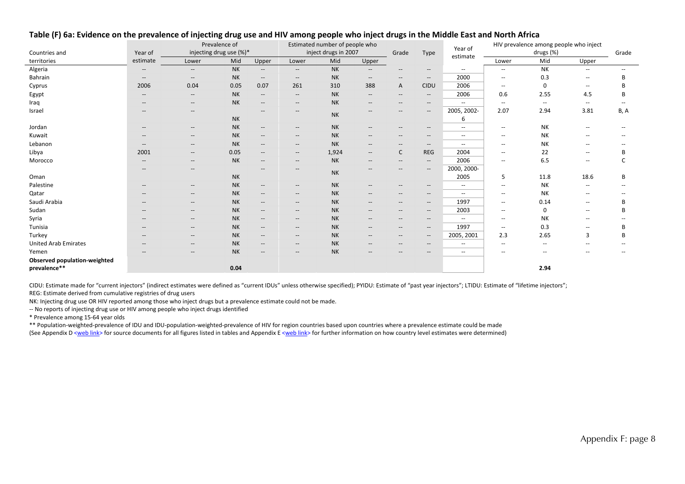|                                              |                                       | Prevalence of<br>injecting drug use (%)*            |           |                                                                                                   | Estimated number of people who<br>inject drugs in 2007 |           |                                       |                                    |                                                     | Year of                  | HIV prevalence among people who inject | Grade                    |                          |                          |
|----------------------------------------------|---------------------------------------|-----------------------------------------------------|-----------|---------------------------------------------------------------------------------------------------|--------------------------------------------------------|-----------|---------------------------------------|------------------------------------|-----------------------------------------------------|--------------------------|----------------------------------------|--------------------------|--------------------------|--------------------------|
| Countries and                                | Year of                               |                                                     |           |                                                                                                   |                                                        |           |                                       | Grade                              | Type                                                | estimate                 | drugs (%)                              |                          |                          |                          |
| territories                                  | estimate                              | Lower                                               | Mid       | Upper                                                                                             | Lower                                                  | Mid       | Upper                                 |                                    |                                                     |                          | Lower                                  | Mid                      | Upper                    |                          |
| Algeria                                      | $\qquad \qquad -$                     | $\hspace{0.1mm}-\hspace{0.1mm}-\hspace{0.1mm}$      | <b>NK</b> | $\overline{\phantom{a}}$                                                                          | $\overline{\phantom{a}}$                               | <b>NK</b> | $\overline{\phantom{a}}$              | $-\!$                              | $\overline{\phantom{a}}$                            | $\hspace{0.05cm} -$      | $\overline{\phantom{a}}$               | <b>NK</b>                | $\overline{a}$           | $\overline{\phantom{a}}$ |
| Bahrain                                      | $\hspace{0.05cm}$ – $\hspace{0.05cm}$ | $\hspace{0.1mm}-\hspace{0.1mm}-\hspace{0.1mm}$      | <b>NK</b> | $\overline{\phantom{a}}$                                                                          | $\hspace{0.05cm} -\hspace{0.05cm} -\hspace{0.05cm}$    | <b>NK</b> | $\hspace{0.05cm} \cdots$              | $-\!$                              | $\hspace{0.05cm} -\hspace{0.05cm} -\hspace{0.05cm}$ | 2000                     | $\overline{\phantom{a}}$               | 0.3                      | $\overline{a}$           | B                        |
| Cyprus                                       | 2006                                  | 0.04                                                | 0.05      | 0.07                                                                                              | 261                                                    | 310       | 388                                   | A                                  | <b>CIDU</b>                                         | 2006                     | $\overline{\phantom{a}}$               | $\mathbf 0$              | --                       | B                        |
| Egypt                                        | $\hspace{0.05cm}$ – $\hspace{0.05cm}$ | $\hspace{0.1mm}-\hspace{0.1mm}-\hspace{0.1mm}$      | <b>NK</b> | $\hspace{0.05cm} \hspace{0.02cm} \hspace{0.02cm} \hspace{0.02cm} \hspace{0.02cm} \hspace{0.02cm}$ | $\overline{\phantom{a}}$                               | <b>NK</b> | $\hspace{0.05cm} \cdots$              | $-\!$                              | $\overline{\phantom{a}}$                            | 2006                     | 0.6                                    | 2.55                     | 4.5                      | в                        |
| Iraq                                         | $\hspace{0.05cm}$ – $\hspace{0.05cm}$ | $\hspace{0.1mm}-\hspace{0.1mm}-\hspace{0.1mm}$      | <b>NK</b> | $\hspace{0.05cm}$ – $\hspace{0.05cm}$                                                             | --                                                     | <b>NK</b> | $- -$                                 | $-$                                | $\hspace{0.05cm}$ – $\hspace{0.05cm}$               | $\hspace{0.05cm} -$      | $\overline{\phantom{a}}$               | $\overline{\phantom{a}}$ | --                       |                          |
| Israel                                       | $\hspace{0.05cm}$ – $\hspace{0.05cm}$ | $\hspace{0.1mm}-\hspace{0.1mm}-\hspace{0.1mm}$      | <b>NK</b> | $--$                                                                                              | $- -$                                                  | <b>NK</b> | $\hspace{0.05cm} \cdots$              | $\hspace{0.05cm} -$                | $\qquad \qquad -$                                   | 2005, 2002-<br>6         | 2.07                                   | 2.94                     | 3.81                     | B, A                     |
| Jordan                                       | $\hspace{0.05cm}$                     | $\hspace{0.1mm}-\hspace{0.1mm}-\hspace{0.1mm}$      | <b>NK</b> | $\overline{\phantom{a}}$                                                                          | $\overline{\phantom{a}}$                               | <b>NK</b> | $\hspace{0.05cm} \ldots$              | $\hspace{0.05cm} -$                | $\hspace{0.05cm} -\hspace{0.05cm} -\hspace{0.05cm}$ | $\hspace{0.05cm} -$      | $\overline{\phantom{a}}$               | <b>NK</b>                | $\overline{a}$           |                          |
| Kuwait                                       | --                                    | $\hspace{0.1mm}-\hspace{0.1mm}-\hspace{0.1mm}$      | <b>NK</b> | $\overline{\phantom{a}}$                                                                          | $\overline{\phantom{a}}$                               | <b>NK</b> | --                                    | $-\!$                              | $\hspace{0.05cm}$ $\hspace{0.05cm}$                 | $\overline{\phantom{a}}$ | $\overline{\phantom{a}}$               | NΚ                       | --                       |                          |
| Lebanon                                      | $-$                                   | $\sim$                                              | <b>NK</b> | $--$                                                                                              | $--$                                                   | <b>NK</b> | $\hspace{0.05cm}$ – $\hspace{0.05cm}$ | $\hspace{0.05cm} -$                | $\hspace{0.05cm}$ - $\hspace{0.05cm}$               | $\hspace{0.05cm} -$      | $\overline{\phantom{a}}$               | NΚ                       | --                       |                          |
| Libya                                        | 2001                                  | $\hspace{0.1mm}-\hspace{0.1mm}-\hspace{0.1mm}$      | 0.05      | $\overline{\phantom{a}}$                                                                          | $\overline{\phantom{a}}$                               | 1,924     | $\hspace{0.05cm}$ – $\hspace{0.05cm}$ | C                                  | <b>REG</b>                                          | 2004                     | $\overline{\phantom{a}}$               | 22                       | --                       |                          |
| Morocco                                      | $\hspace{0.05cm}$ $\hspace{0.05cm}$   | $\hspace{0.1mm}-\hspace{0.1mm}-\hspace{0.1mm}$      | <b>NK</b> | $--$                                                                                              | $\overline{\phantom{a}}$                               | <b>NK</b> | $\overline{\phantom{a}}$              | $\hspace{0.05cm} -\hspace{0.05cm}$ | $\hspace{0.05cm}$ $\hspace{0.05cm}$                 | 2006                     | $\overline{\phantom{a}}$               | 6.5                      | $\overline{\phantom{a}}$ |                          |
|                                              | --                                    | $\overline{\phantom{a}}$                            |           | $\hspace{0.05cm}$ – $\hspace{0.05cm}$                                                             | --                                                     | <b>NK</b> | --                                    |                                    | $\hspace{0.05cm}$ – $\hspace{0.05cm}$               | 2000, 2000-              |                                        |                          |                          |                          |
| Oman                                         |                                       |                                                     | <b>NK</b> |                                                                                                   |                                                        |           |                                       |                                    |                                                     | 2005                     | 5                                      | 11.8                     | 18.6                     | В                        |
| Palestine                                    | $-$                                   | $\hspace{0.05cm} -\hspace{0.05cm} -\hspace{0.05cm}$ | <b>NK</b> | $\overline{\phantom{a}}$                                                                          | --                                                     | <b>NK</b> | $\hspace{0.05cm}$ – $\hspace{0.05cm}$ | $-$                                | $\hspace{0.05cm}$ – $\hspace{0.05cm}$               | $\overline{\phantom{a}}$ | $\overline{\phantom{a}}$               | <b>NK</b>                | --                       |                          |
| Qatar                                        | $\hspace{0.05cm}$ – $\hspace{0.05cm}$ | $\hspace{0.05cm} -\hspace{0.05cm} -\hspace{0.05cm}$ | <b>NK</b> | $--$                                                                                              | $--$                                                   | <b>NK</b> | $\hspace{0.05cm}$ – $\hspace{0.05cm}$ | $-$                                | $\hspace{0.05cm}$ - $\hspace{0.05cm}$               | $\overline{\phantom{a}}$ | $\overline{\phantom{a}}$               | NΚ                       | --                       |                          |
| Saudi Arabia                                 | $\hspace{0.05cm}$ – $\hspace{0.05cm}$ | $\hspace{0.1mm}-\hspace{0.1mm}-\hspace{0.1mm}$      | <b>NK</b> | $\overline{\phantom{a}}$                                                                          | $\overline{\phantom{a}}$                               | <b>NK</b> | --                                    | $-\!$                              | $\hspace{0.05cm} -\hspace{0.05cm} -\hspace{0.05cm}$ | 1997                     | $\overline{\phantom{a}}$               | 0.14                     | --                       | B                        |
| Sudan                                        | $\hspace{0.05cm}$ – $\hspace{0.05cm}$ | $\hspace{0.1mm}-\hspace{0.1mm}-\hspace{0.1mm}$      | <b>NK</b> | $\overline{\phantom{a}}$                                                                          | $\overline{\phantom{a}}$                               | <b>NK</b> | $\hspace{0.05cm}$                     | $-$                                | $\hspace{0.05cm} -\hspace{0.05cm} -\hspace{0.05cm}$ | 2003                     | $\overline{\phantom{a}}$               | 0                        | --                       | В                        |
| Syria                                        | $\overline{\phantom{a}}$              | $\hspace{0.1mm}-\hspace{0.1mm}-\hspace{0.1mm}$      | <b>NK</b> | $- -$                                                                                             | $--$                                                   | <b>NK</b> | $\hspace{0.05cm}$ – $\hspace{0.05cm}$ | $-\!$                              | $\hspace{0.05cm}$ – $\hspace{0.05cm}$               | $\hspace{0.05cm} -$      | $\overline{\phantom{a}}$               | <b>NK</b>                | --                       |                          |
| Tunisia                                      | $\hspace{0.05cm}$ - $\hspace{0.05cm}$ | $\sim$                                              | <b>NK</b> | $--$                                                                                              | $--$                                                   | <b>NK</b> | $\hspace{0.05cm}$                     | $\hspace{0.05cm} -$                | $\hspace{0.05cm}$ - $\hspace{0.05cm}$               | 1997                     | $\overline{\phantom{a}}$               | 0.3                      |                          | B                        |
| Turkey                                       | --                                    | $\hspace{0.1mm}-\hspace{0.1mm}-\hspace{0.1mm}$      | <b>NK</b> | $\overline{\phantom{a}}$                                                                          | $\overline{\phantom{a}}$                               | <b>NK</b> | $\hspace{0.05cm}$                     | $\hspace{0.05cm} -\hspace{0.05cm}$ | $-\!$                                               | 2005, 2001               | 2.3                                    | 2.65                     | 3                        | B                        |
| <b>United Arab Emirates</b>                  | $\hspace{0.05cm}$ – $\hspace{0.05cm}$ | $\hspace{0.1mm}-\hspace{0.1mm}-\hspace{0.1mm}$      | <b>NK</b> | $\overline{\phantom{a}}$                                                                          | $\overline{\phantom{a}}$                               | <b>NK</b> | $\hspace{0.05cm}$ – $\hspace{0.05cm}$ | $-$                                | $\hspace{0.05cm}$ $\hspace{0.05cm}$                 | $\hspace{0.05cm} -$      | $\overline{\phantom{a}}$               | $\overline{\phantom{a}}$ | --                       |                          |
| Yemen                                        | --                                    | $- -$                                               | <b>NK</b> | $--$                                                                                              | $--$                                                   | <b>NK</b> | $\hspace{0.05cm} \ldots$              |                                    | $\hspace{0.05cm}$ - $\hspace{0.05cm}$               | $\overline{\phantom{a}}$ | $\overline{\phantom{a}}$               | --                       | --                       |                          |
| Observed population-weighted<br>prevalence** |                                       |                                                     | 0.04      |                                                                                                   |                                                        |           |                                       |                                    |                                                     |                          |                                        | 2.94                     |                          |                          |

#### Table (F) 6a: Evidence on the prevalence of injecting drug use and HIV among people who inject drugs in the Middle East and North Africa

CIDU: Estimate made for "current injectors" (indirect estimates were defined as "current IDUs" unless otherwise specified); PYIDU: Estimate of "past year injectors"; LTIDU: Estimate of "lifetime injectors"; REG: Estimate derived from cumulative registries of drug users

NK: Injecting drug use OR HIV reported among those who inject drugs but <sup>a</sup> prevalence estimate could not be made.

‐‐ No reports of injecting drug use or HIV among people who inject drugs identified

\* Prevalence among 15‐64 year olds

\*\* Population‐weighted‐prevalence of IDU and IDU‐population‐weighted‐prevalence of HIV for region countries based upon countries where <sup>a</sup> prevalence estimate could be made (See Appendix D <web link> for source documents for all figures listed in tables and Appendix E <web link> for further information on how country level estimates were determined)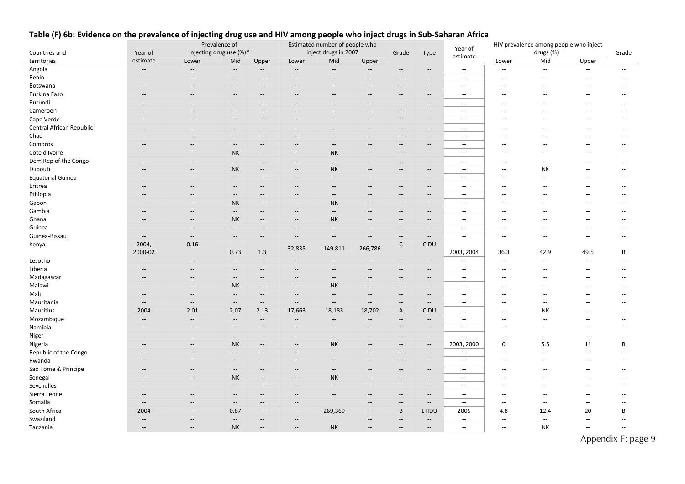|                          |                          |                          | Prevalence of                                       |                          | Estimated number of people who |                                                     |                                    |                                       | Year of                                             | HIV prevalence among people who inject |                          |                          |                          |                |
|--------------------------|--------------------------|--------------------------|-----------------------------------------------------|--------------------------|--------------------------------|-----------------------------------------------------|------------------------------------|---------------------------------------|-----------------------------------------------------|----------------------------------------|--------------------------|--------------------------|--------------------------|----------------|
| Countries and            | Year of                  | injecting drug use (%)*  |                                                     |                          | inject drugs in 2007           |                                                     |                                    | Grade                                 | Type                                                | estimate                               | drugs (%)                |                          |                          | Grade          |
| territories              | estimate                 | Lower                    | Mid                                                 | Upper                    | Lower                          | Mid                                                 | Upper                              |                                       |                                                     |                                        | Lower                    | Mid                      | Upper                    |                |
| Angola                   | $\overline{\phantom{a}}$ | $\overline{\phantom{a}}$ | $\overline{\phantom{a}}$                            | $\overline{\phantom{a}}$ | $\sim$                         | $\overline{\phantom{a}}$                            | $\overline{\phantom{a}}$           |                                       | $\overline{\phantom{a}}$                            | $\sim$                                 | $\overline{\phantom{a}}$ | $\mathbb{Z}^2$           | $\mathbf{u}$             | $\mathbf{u}$   |
| Benin                    | $\overline{\phantom{a}}$ | $\sim$                   | $\overline{\phantom{a}}$                            | $\overline{\phantom{a}}$ | $\overline{\phantom{a}}$       | $\overline{\phantom{a}}$                            | --                                 |                                       | $\overline{\phantom{a}}$                            | $\sim$ $\sim$                          | $\sim$                   | $\sim$                   | $\overline{a}$           | $\mathbf{u}$   |
| Botswana                 | $\overline{\phantom{a}}$ |                          |                                                     |                          |                                |                                                     |                                    | $\overline{\phantom{a}}$              | $\overline{\phantom{a}}$                            | $\sim$ $\sim$                          | ш.                       | ш.                       | --                       |                |
| Burkina Faso             |                          |                          |                                                     |                          |                                |                                                     |                                    |                                       | $\qquad \qquad -$                                   | $\overline{\phantom{a}}$               |                          |                          |                          |                |
| Burundi                  | $\overline{\phantom{a}}$ |                          | $\sim$                                              | $\overline{\phantom{a}}$ | $\overline{\phantom{a}}$       | $\overline{\phantom{a}}$                            | --                                 | $\overline{\phantom{a}}$              | $\overline{\phantom{a}}$                            | $\sim$                                 |                          | <u></u>                  |                          | $\overline{a}$ |
| Cameroon                 |                          |                          |                                                     |                          |                                |                                                     |                                    |                                       | $\overline{\phantom{a}}$                            | $\overline{\phantom{a}}$               |                          |                          |                          |                |
| Cape Verde               |                          |                          |                                                     |                          |                                |                                                     |                                    | $\overline{\phantom{a}}$              | $\qquad \qquad -$                                   | $\overline{\phantom{a}}$               |                          |                          |                          |                |
| Central African Republic | Ξ.                       |                          |                                                     |                          |                                |                                                     |                                    | $\overline{\phantom{a}}$              | --                                                  | $\overline{\phantom{a}}$               |                          |                          |                          |                |
| Chad                     | $\overline{\phantom{a}}$ |                          | $\overline{\phantom{a}}$                            | $\sim$                   | $-$                            | --                                                  | --                                 | $\overline{\phantom{a}}$              | $\hspace{0.05cm} -\hspace{0.05cm} -\hspace{0.05cm}$ | $\sim$ $\sim$                          |                          |                          |                          |                |
| Comoros                  |                          |                          | $\overline{\phantom{a}}$                            | $\overline{\phantom{a}}$ | $\overline{\phantom{a}}$       | $\overline{\phantom{a}}$                            |                                    | $\overline{\phantom{a}}$              | $\overline{\phantom{a}}$                            | $\overline{\phantom{a}}$               |                          |                          |                          |                |
| Cote d'Ivoire            | Ξ.                       | $-$                      | <b>NK</b>                                           | $\overline{\phantom{a}}$ | --                             | <b>NK</b>                                           |                                    | $\qquad \qquad -$                     | $\overline{\phantom{a}}$                            | $\overline{\phantom{a}}$               |                          |                          |                          |                |
| Dem Rep of the Congo     | $\sim$                   | $\sim$                   | $\hspace{0.05cm} -\hspace{0.05cm} -\hspace{0.05cm}$ | $\sim$                   | $\overline{\phantom{a}}$       | $-\!$                                               | --                                 | $\overline{\phantom{a}}$              | $\overline{\phantom{a}}$                            | $\sim$                                 | $\sim$                   | $\sim$                   |                          | $-$            |
| Djibouti                 | $\overline{\phantom{a}}$ | --                       | NΚ                                                  | $\overline{\phantom{a}}$ | $\qquad \qquad -$              | <b>NK</b>                                           |                                    | $-\!$                                 | $\overline{\phantom{a}}$                            | $\overline{\phantom{a}}$               | $\overline{a}$           | NΚ                       |                          |                |
| <b>Equatorial Guinea</b> | $\overline{\phantom{a}}$ |                          | $\overline{\phantom{a}}$                            | $\overline{\phantom{a}}$ | $-$                            | $\overline{\phantom{a}}$                            |                                    | $\overline{\phantom{a}}$              | $\hspace{0.05cm} -\hspace{0.05cm} -\hspace{0.05cm}$ | $\sim$ $\sim$                          |                          | $\sim$                   |                          |                |
| Eritrea                  |                          |                          |                                                     |                          |                                | Ξ.                                                  |                                    |                                       | $\overline{\phantom{a}}$                            | $\overline{\phantom{a}}$               |                          |                          |                          |                |
| Ethiopia                 | $\overline{\phantom{a}}$ | $-$                      | $\overline{\phantom{a}}$                            |                          | $-$                            | $\overline{\phantom{a}}$                            |                                    | $\qquad \qquad -$                     | $\overline{\phantom{a}}$                            | $\overline{\phantom{a}}$               |                          |                          |                          |                |
| Gabon                    |                          | $\sim$                   | <b>NK</b>                                           |                          | $\overline{\phantom{a}}$       | <b>NK</b>                                           |                                    | $\overline{a}$                        | $\overline{\phantom{a}}$                            | $\sim$                                 |                          |                          |                          |                |
| Gambia                   | $\overline{\phantom{a}}$ | $\overline{\phantom{a}}$ | $\hspace{0.05cm} -\hspace{0.05cm} -\hspace{0.05cm}$ | $\overline{\phantom{a}}$ | $\qquad \qquad -$              | $\overline{\phantom{a}}$                            | --                                 | $\overline{\phantom{a}}$              | $\hspace{0.05cm} -\hspace{0.05cm} -\hspace{0.05cm}$ | $\overline{\phantom{a}}$               |                          |                          |                          |                |
| Ghana                    | $\overline{\phantom{a}}$ | $-$                      | <b>NK</b>                                           | $\sim$                   | $-$                            | <b>NK</b>                                           |                                    | $-$                                   | $\overline{\phantom{a}}$                            | $\sim$                                 |                          |                          |                          |                |
| Guinea                   | $\overline{\phantom{a}}$ | $\overline{\phantom{a}}$ | $\overline{\phantom{a}}$                            | $\overline{\phantom{a}}$ | $\overline{\phantom{a}}$       | $\overline{\phantom{a}}$                            |                                    | $\overline{\phantom{a}}$              | $\overline{\phantom{a}}$                            | $\sim$ $\sim$                          |                          |                          |                          |                |
| Guinea-Bissau            | $\overline{\phantom{a}}$ | $\overline{\phantom{a}}$ | $\overline{\phantom{a}}$                            | $\overline{\phantom{a}}$ | $\overline{\phantom{a}}$       | $\overline{\phantom{a}}$                            | $-$                                | $\overline{\phantom{a}}$              | $\hspace{0.05cm} -\hspace{0.05cm}$                  | $\sim$                                 | $\overline{a}$           | $\overline{a}$           | $\overline{a}$           |                |
| Kenya                    | 2004                     | 0.16                     |                                                     |                          |                                |                                                     |                                    | $\mathsf{C}$                          | <b>CIDU</b>                                         |                                        |                          |                          |                          |                |
|                          | 2000-02                  |                          | 0.73                                                | 1.3                      | 32,835                         | 149,811                                             | 266,786                            |                                       |                                                     | 2003, 2004                             | 36.3                     | 42.9                     | 49.5                     | В              |
| Lesotho                  | $\overline{\phantom{a}}$ |                          | $\overline{\phantom{a}}$                            | $\overline{\phantom{a}}$ | $-$                            |                                                     |                                    |                                       | $\hspace{0.05cm} -\hspace{0.05cm}$                  | $\sim$                                 | $\sim$                   | $\overline{\phantom{a}}$ | $\sim$                   |                |
| Liberia                  | $\overline{\phantom{a}}$ |                          | $\overline{\phantom{a}}$                            | $\overline{\phantom{a}}$ | $\overline{\phantom{a}}$       |                                                     |                                    |                                       | $\overline{\phantom{a}}$                            | $\overline{\phantom{a}}$               | $\overline{a}$           | $\sim$                   |                          |                |
| Madagascar               | $\overline{\phantom{a}}$ | $-$                      | $\overline{\phantom{a}}$                            | $\sim$                   | $\overline{\phantom{a}}$       | $\overline{\phantom{a}}$                            |                                    | $\overline{\phantom{a}}$              | $\overline{a}$                                      | $\sim$                                 |                          |                          |                          |                |
| Malawi                   | $\overline{\phantom{a}}$ | $\overline{\phantom{a}}$ | <b>NK</b>                                           | $\overline{\phantom{a}}$ | $\qquad \qquad -$              | <b>NK</b>                                           | --                                 | $\overline{\phantom{a}}$              | $\overline{\phantom{a}}$                            | $\sim$                                 |                          |                          |                          |                |
| Mali                     | $\overline{\phantom{a}}$ | $\overline{\phantom{a}}$ | $\overline{\phantom{a}}$                            | $\overline{\phantom{a}}$ | $\qquad \qquad -$              | $\hspace{0.05cm} -\hspace{0.05cm} -\hspace{0.05cm}$ | --                                 | $-\!$                                 | $\overline{\phantom{a}}$                            | $\overline{\phantom{a}}$               |                          |                          |                          |                |
| Mauritania               | $\overline{\phantom{a}}$ | $\overline{\phantom{a}}$ | $\overline{\phantom{a}}$                            | $\sim$                   | $\overline{\phantom{a}}$       | $\overline{\phantom{a}}$                            | $\sim$                             | $\overline{\phantom{a}}$              | $\overline{\phantom{a}}$                            | $\sim$                                 |                          | $\sim$                   |                          |                |
| Mauritius                | 2004                     | 2.01                     | 2.07                                                | 2.13                     | 17,663                         | 18,183                                              | 18,702                             | A                                     | CIDU                                                | $\overline{\phantom{a}}$               | $\overline{\phantom{a}}$ | <b>NK</b>                |                          |                |
| Mozambique               | $\overline{\phantom{a}}$ | $\overline{\phantom{a}}$ | $\overline{\phantom{a}}$                            | $\overline{\phantom{a}}$ | $\overline{\phantom{a}}$       | $\overline{\phantom{a}}$                            | $\overline{\phantom{a}}$           | $\overline{\phantom{a}}$              | $\overline{\phantom{a}}$                            | $\overline{\phantom{a}}$               | $\sim$                   | $\sim$                   | --                       |                |
| Namibia                  | Ξ.                       |                          |                                                     |                          |                                | $\overline{\phantom{a}}$                            |                                    |                                       | $\overline{\phantom{a}}$                            | $\overline{\phantom{a}}$               | $\sim$                   | $\sim$                   |                          |                |
| Niger                    | $\overline{\phantom{a}}$ | $\overline{\phantom{a}}$ | $\hspace{0.05cm} -\hspace{0.05cm} -\hspace{0.05cm}$ | $\overline{\phantom{a}}$ | $\qquad \qquad -$              | $\hspace{0.05cm} -\hspace{0.05cm} -\hspace{0.05cm}$ | $-\!$                              | $\overline{\phantom{a}}$              | $\overline{\phantom{a}}$                            | $\overline{\phantom{a}}$               | $\sim$                   | $\sim$                   | $\overline{\phantom{a}}$ |                |
| Nigeria                  |                          |                          | <b>NK</b>                                           |                          | $\overline{\phantom{a}}$       | <b>NK</b>                                           |                                    |                                       | $\overline{\phantom{a}}$                            | 2003, 2000                             | $\mathbf 0$              | 5.5                      | 11                       | B              |
| Republic of the Congo    | $\overline{\phantom{a}}$ |                          | $\overline{\phantom{a}}$                            |                          | --                             |                                                     |                                    | $\hspace{0.05cm}$ – $\hspace{0.05cm}$ | $\qquad \qquad -$                                   | Ξ.                                     |                          | $\sim$                   | Ξ.                       |                |
| Rwanda                   | $\overline{\phantom{a}}$ | $-$                      | $\overline{\phantom{a}}$                            | $\sim$                   | $\overline{\phantom{a}}$       | $\overline{\phantom{a}}$                            |                                    | $\overline{\phantom{a}}$              | $\hspace{0.05cm} -\hspace{0.05cm} -\hspace{0.05cm}$ | $\sim$                                 | $\overline{a}$           | $\overline{a}$           | $\overline{a}$           |                |
| Sao Tome & Principe      | $-$                      |                          | $\hspace{0.05cm} -\hspace{0.05cm} -\hspace{0.05cm}$ |                          |                                | $\hspace{0.05cm} -\hspace{0.05cm} -\hspace{0.05cm}$ |                                    | $\hspace{0.05cm}$ – $\hspace{0.05cm}$ | --                                                  | $\overline{\phantom{a}}$               |                          |                          |                          |                |
| Senegal                  | $\overline{\phantom{a}}$ | $\overline{\phantom{a}}$ | <b>NK</b>                                           | $\overline{\phantom{a}}$ | $\overline{\phantom{a}}$       | <b>NK</b>                                           | $\hspace{0.05cm} -\hspace{0.05cm}$ | $\overline{\phantom{a}}$              | $\hspace{0.05cm} -\hspace{0.05cm} -\hspace{0.05cm}$ | $\sim$ $\sim$                          | $\sim$                   | $\overline{a}$           | --                       | $- -$          |
| Seychelles               |                          |                          |                                                     |                          |                                |                                                     |                                    |                                       | --                                                  | $\overline{\phantom{a}}$               |                          |                          |                          |                |
| Sierra Leone             | $\overline{\phantom{a}}$ |                          | $-$                                                 |                          | $\qquad \qquad -$              | $\hspace{0.05cm} -\hspace{0.05cm} -\hspace{0.05cm}$ | --                                 | $\qquad \qquad -$                     | $\overline{\phantom{a}}$                            | $\sim$ $\sim$                          | --                       |                          |                          |                |
| Somalia                  | $- \hspace{0.1em} -$     |                          | $\overline{\phantom{a}}$                            |                          | $\overline{\phantom{a}}$       |                                                     |                                    | $\overline{\phantom{a}}$              | $\overline{\phantom{a}}$                            | $\overline{\phantom{a}}$               | $\sim$                   | $\sim$                   | $\overline{\phantom{a}}$ |                |
| South Africa             | 2004                     |                          | 0.87                                                |                          | --                             | 269,369                                             | --                                 | $\sf B$                               | LTIDU                                               | 2005                                   | 4.8                      | 12.4                     | 20                       | B              |
| Swaziland                | $\overline{\phantom{a}}$ | $-$                      | $\overline{\phantom{a}}$                            |                          | $\qquad \qquad -$              |                                                     |                                    |                                       | $\overline{\phantom{a}}$                            | $\sim$                                 | $\sim$                   | $\sim$                   | $\sim$                   |                |
| Tanzania                 |                          |                          | <b>NK</b>                                           |                          | $\overline{\phantom{a}}$       | <b>NK</b>                                           |                                    | $\overline{\phantom{a}}$              | <u></u>                                             | $\sim$ $\sim$                          |                          | <b>NK</b>                |                          |                |
|                          |                          |                          |                                                     |                          |                                |                                                     |                                    |                                       |                                                     |                                        |                          |                          |                          |                |

#### Table (F) 6b: Evidence on the prevalence of injecting drug use and HIV among people who inject drugs in Sub-Saharan Africa

Appendix F: page 9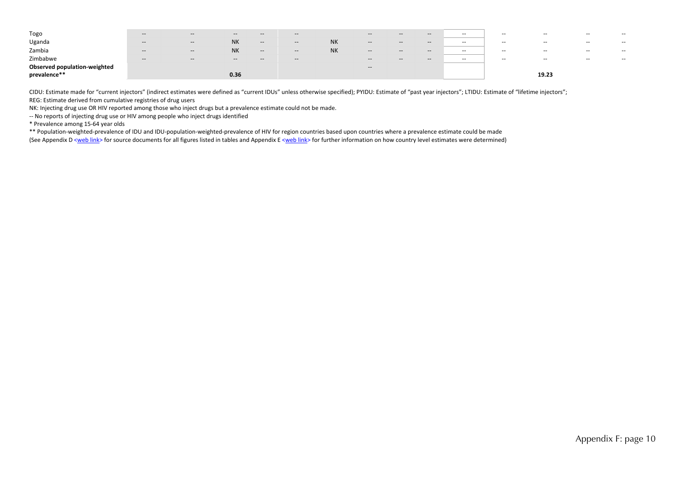| Togo                                | $- -$                                          | $- -$                    | $- -$     | $- -$                    | $- -$                                          |           | $- -$                                          | $- -$                                          | $- -$                                          | $- -$         | $- -$                    | $- -$                    | $- -$         |       |
|-------------------------------------|------------------------------------------------|--------------------------|-----------|--------------------------|------------------------------------------------|-----------|------------------------------------------------|------------------------------------------------|------------------------------------------------|---------------|--------------------------|--------------------------|---------------|-------|
| Uganda                              | $- -$                                          | $\hspace{0.05cm} \ldots$ | <b>NK</b> | $\hspace{0.05cm} \cdots$ | $- -$                                          | <b>NK</b> | $\hspace{0.05cm}$ – $\hspace{0.05cm}$          | $- -$                                          | $\overline{\phantom{a}}$                       | $\sim$ $\sim$ | $- -$                    | $- -$                    | $- -$         | $- -$ |
| Zambia                              | $\sim$                                         | $-$                      | <b>NK</b> | $-\!$                    | $\hspace{0.1mm}-\hspace{0.1mm}-\hspace{0.1mm}$ | <b>NK</b> | $\hspace{0.05cm}$                              | $\hspace{0.1mm}-\hspace{0.1mm}-\hspace{0.1mm}$ | $\hspace{0.1mm}-\hspace{0.1mm}-\hspace{0.1mm}$ | $\sim$ $\sim$ | $\overline{\phantom{a}}$ | $\overline{\phantom{a}}$ | $\sim$ $\sim$ | $- -$ |
| Zimbabwe                            | $\hspace{0.1mm}-\hspace{0.1mm}-\hspace{0.1mm}$ | $\hspace{0.05cm} \cdots$ | $- -$     | $\hspace{0.05cm} \cdots$ | $- -$                                          |           | $\hspace{0.1mm}-\hspace{0.1mm}-\hspace{0.1mm}$ | $- -$                                          | $- -$                                          | $\sim$ $\sim$ | $- -$                    | $\overline{\phantom{a}}$ | $- -$         | $- -$ |
| <b>Observed population-weighted</b> |                                                |                          |           |                          |                                                |           | $\hspace{0.1mm}-\hspace{0.1mm}-\hspace{0.1mm}$ |                                                |                                                |               |                          |                          |               |       |
| prevalence**                        |                                                |                          | 0.36      |                          |                                                |           |                                                |                                                |                                                |               |                          | 19.23                    |               |       |

CIDU: Estimate made for "current injectors" (indirect estimates were defined as "current IDUs" unless otherwise specified); PYIDU: Estimate of "past year injectors"; LTIDU: Estimate of "lifetime injectors"; REG: Estimate derived from cumulative registries of drug users

NK: Injecting drug use OR HIV reported among those who inject drugs but <sup>a</sup> prevalence estimate could not be made.

‐‐ No reports of injecting drug use or HIV among people who inject drugs identified

\* Prevalence among 15‐64 year olds

\*\* Population‐weighted‐prevalence of IDU and IDU‐population‐weighted‐prevalence of HIV for region countries based upon countries where <sup>a</sup> prevalence estimate could be made (See Appendix D <web link> for source documents for all figures listed in tables and Appendix E <web link> for further information on how country level estimates were determined)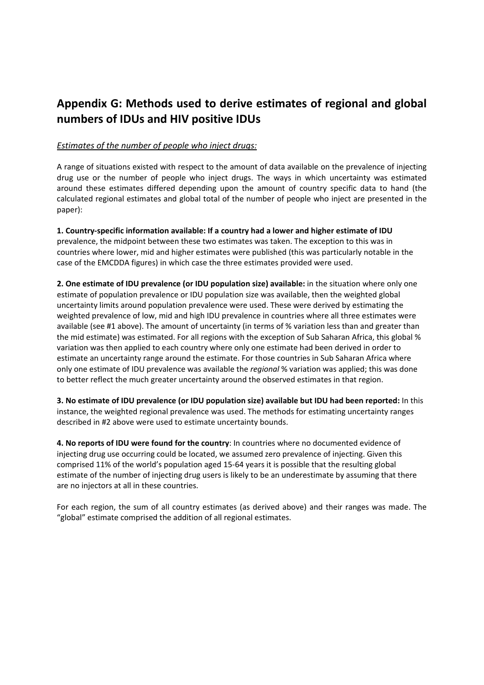## **Appendix G: Methods used to derive estimates of regional and global numbers of IDUs and HIV positive IDUs**

### *Estimates of the number of people who inject drugs:*

A range of situations existed with respect to the amount of data available on the prevalence of injecting drug use or the number of people who inject drugs. The ways in which uncertainty was estimated around these estimates differed depending upon the amount of country specific data to hand (the calculated regional estimates and global total of the number of people who inject are presented in the paper):

**1. Country‐specific information available: If a country had a lower and higher estimate of IDU** prevalence, the midpoint between these two estimates was taken. The exception to this was in countries where lower, mid and higher estimates were published (this was particularly notable in the case of the EMCDDA figures) in which case the three estimates provided were used.

**2. One estimate of IDU prevalence (or IDU population size) available:** in the situation where only one estimate of population prevalence or IDU population size was available, then the weighted global uncertainty limits around population prevalence were used. These were derived by estimating the weighted prevalence of low, mid and high IDU prevalence in countries where all three estimates were available (see #1 above). The amount of uncertainty (in terms of % variation less than and greater than the mid estimate) was estimated. For all regions with the exception of Sub Saharan Africa, this global % variation was then applied to each country where only one estimate had been derived in order to estimate an uncertainty range around the estimate. For those countries in Sub Saharan Africa where only one estimate of IDU prevalence was available the *regional* % variation was applied; this was done to better reflect the much greater uncertainty around the observed estimates in that region.

**3. No estimate of IDU prevalence (or IDU population size) available but IDU had been reported:** In this instance, the weighted regional prevalence was used. The methods for estimating uncertainty ranges described in #2 above were used to estimate uncertainty bounds.

**4. No reports of IDU were found for the country**: In countries where no documented evidence of injecting drug use occurring could be located, we assumed zero prevalence of injecting. Given this comprised 11% of the world's population aged 15‐64 years it is possible that the resulting global estimate of the number of injecting drug users is likely to be an underestimate by assuming that there are no injectors at all in these countries.

For each region, the sum of all country estimates (as derived above) and their ranges was made. The "global" estimate comprised the addition of all regional estimates.